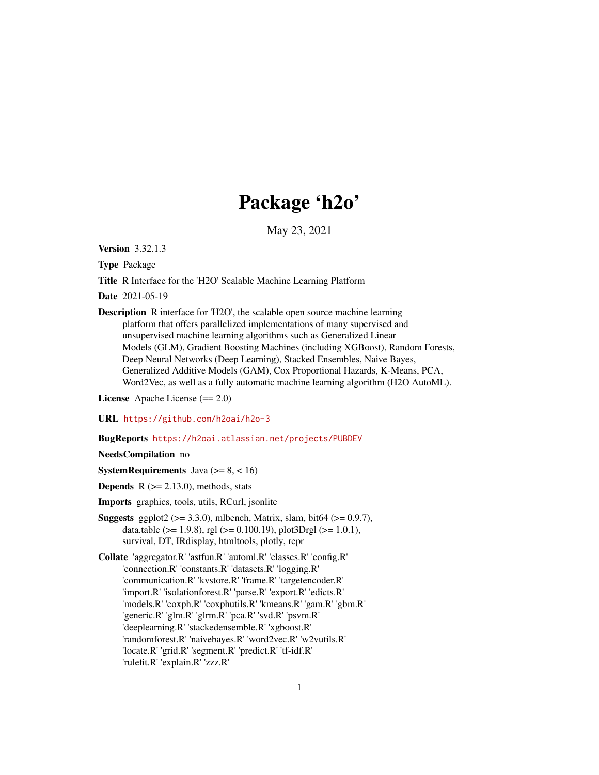# Package 'h2o'

May 23, 2021

Version 3.32.1.3

Type Package

Title R Interface for the 'H2O' Scalable Machine Learning Platform

Date 2021-05-19

Description R interface for 'H2O', the scalable open source machine learning platform that offers parallelized implementations of many supervised and unsupervised machine learning algorithms such as Generalized Linear Models (GLM), Gradient Boosting Machines (including XGBoost), Random Forests, Deep Neural Networks (Deep Learning), Stacked Ensembles, Naive Bayes, Generalized Additive Models (GAM), Cox Proportional Hazards, K-Means, PCA, Word2Vec, as well as a fully automatic machine learning algorithm (H2O AutoML).

License Apache License (== 2.0)

URL <https://github.com/h2oai/h2o-3>

BugReports <https://h2oai.atlassian.net/projects/PUBDEV>

NeedsCompilation no

**SystemRequirements** Java  $(>= 8, < 16)$ 

**Depends**  $R$  ( $>= 2.13.0$ ), methods, stats

Imports graphics, tools, utils, RCurl, jsonlite

- **Suggests** ggplot2 ( $>= 3.3.0$ ), mlbench, Matrix, slam, bit64 ( $>= 0.9.7$ ), data.table ( $>= 1.9.8$ ), rgl ( $>= 0.100.19$ ), plot3Drgl ( $>= 1.0.1$ ), survival, DT, IRdisplay, htmltools, plotly, repr
- Collate 'aggregator.R' 'astfun.R' 'automl.R' 'classes.R' 'config.R' 'connection.R' 'constants.R' 'datasets.R' 'logging.R' 'communication.R' 'kvstore.R' 'frame.R' 'targetencoder.R' 'import.R' 'isolationforest.R' 'parse.R' 'export.R' 'edicts.R' 'models.R' 'coxph.R' 'coxphutils.R' 'kmeans.R' 'gam.R' 'gbm.R' 'generic.R' 'glm.R' 'glrm.R' 'pca.R' 'svd.R' 'psvm.R' 'deeplearning.R' 'stackedensemble.R' 'xgboost.R' 'randomforest.R' 'naivebayes.R' 'word2vec.R' 'w2vutils.R' 'locate.R' 'grid.R' 'segment.R' 'predict.R' 'tf-idf.R' 'rulefit.R' 'explain.R' 'zzz.R'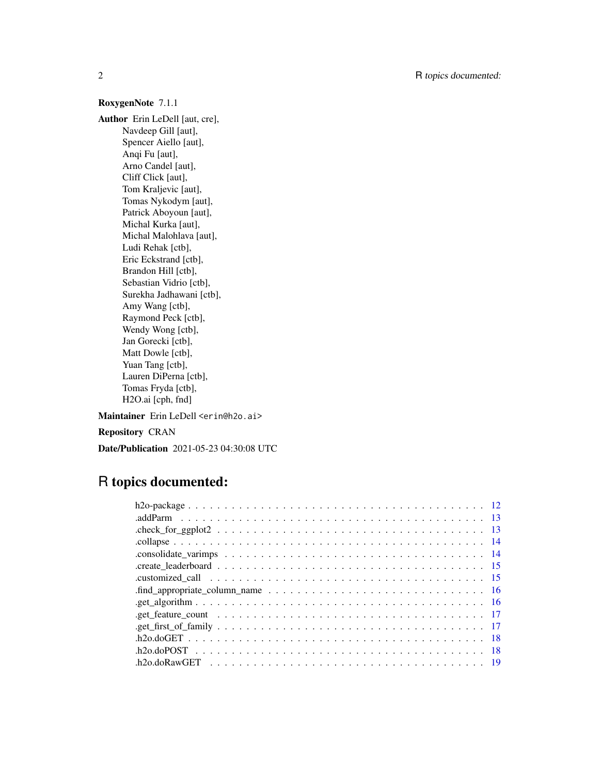# RoxygenNote 7.1.1

Author Erin LeDell [aut, cre], Navdeep Gill [aut], Spencer Aiello [aut], Anqi Fu [aut], Arno Candel [aut], Cliff Click [aut], Tom Kraljevic [aut], Tomas Nykodym [aut], Patrick Aboyoun [aut], Michal Kurka [aut], Michal Malohlava [aut], Ludi Rehak [ctb], Eric Eckstrand [ctb], Brandon Hill [ctb], Sebastian Vidrio [ctb], Surekha Jadhawani [ctb], Amy Wang [ctb], Raymond Peck [ctb], Wendy Wong [ctb], Jan Gorecki [ctb], Matt Dowle [ctb], Yuan Tang [ctb], Lauren DiPerna [ctb], Tomas Fryda [ctb], H2O.ai [cph, fnd]

Maintainer Erin LeDell <erin@h2o.ai> Repository CRAN

Date/Publication 2021-05-23 04:30:08 UTC

# R topics documented:

| .find_appropriate_column_name $\ldots \ldots \ldots \ldots \ldots \ldots \ldots \ldots \ldots \ldots \ldots \ldots 16$ |  |
|------------------------------------------------------------------------------------------------------------------------|--|
|                                                                                                                        |  |
| .get_feature_count $\ldots \ldots \ldots \ldots \ldots \ldots \ldots \ldots \ldots \ldots \ldots \ldots \ldots$        |  |
|                                                                                                                        |  |
|                                                                                                                        |  |
|                                                                                                                        |  |
|                                                                                                                        |  |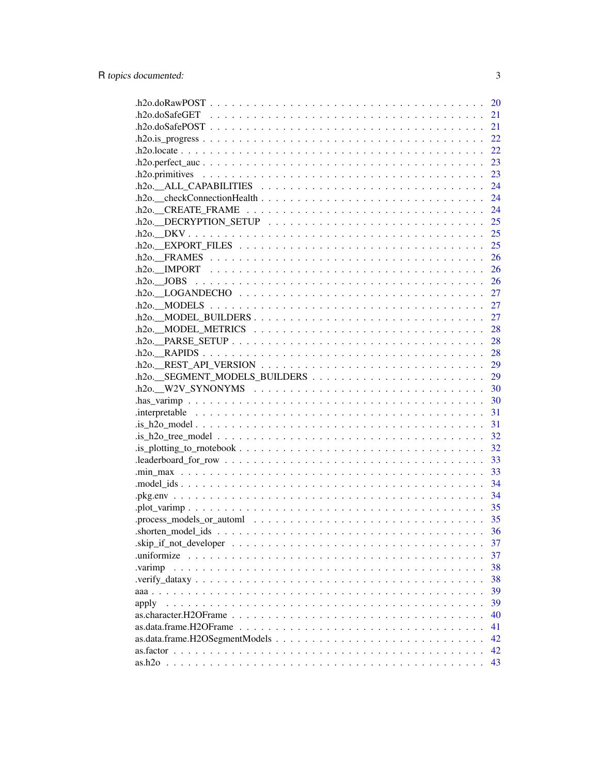|                                                                                                                      | 20 |
|----------------------------------------------------------------------------------------------------------------------|----|
|                                                                                                                      | 21 |
|                                                                                                                      | 21 |
|                                                                                                                      | 22 |
|                                                                                                                      | 22 |
|                                                                                                                      | 23 |
|                                                                                                                      | 23 |
|                                                                                                                      | 24 |
|                                                                                                                      | 24 |
| $h2o.$ CREATE_FRAME $\ldots \ldots \ldots \ldots \ldots \ldots \ldots \ldots \ldots \ldots$                          | 24 |
| $.h2o.$ DECRYPTION_SETUP $\ldots \ldots \ldots \ldots \ldots \ldots \ldots \ldots \ldots$                            | 25 |
|                                                                                                                      |    |
| $h2o.$ EXPORT_FILES $\ldots \ldots \ldots \ldots \ldots \ldots \ldots \ldots \ldots \ldots \ldots \ldots$            | 25 |
|                                                                                                                      | 26 |
|                                                                                                                      | 26 |
|                                                                                                                      |    |
|                                                                                                                      |    |
|                                                                                                                      | 27 |
| $h$ 20. MODEL BUILDERS                                                                                               | 27 |
| $h2o.$ MODEL METRICS $\ldots \ldots \ldots \ldots \ldots \ldots \ldots \ldots \ldots \ldots$                         | 28 |
|                                                                                                                      | 28 |
|                                                                                                                      | 28 |
|                                                                                                                      | 29 |
| $h2o$ REST_API_VERSION $\ldots \ldots \ldots \ldots \ldots \ldots \ldots \ldots \ldots \ldots \ldots$                | 29 |
|                                                                                                                      |    |
| $h2o.$ W2V_SYNONYMS $\ldots \ldots \ldots \ldots \ldots \ldots \ldots \ldots \ldots \ldots \ldots \ldots \ldots$     |    |
|                                                                                                                      |    |
|                                                                                                                      | 31 |
|                                                                                                                      | 31 |
|                                                                                                                      | 32 |
|                                                                                                                      | 32 |
| $. leaderboard for_{row} \ldots \ldots \ldots \ldots \ldots \ldots \ldots \ldots \ldots \ldots \ldots \ldots$        | 33 |
|                                                                                                                      | 33 |
|                                                                                                                      | 34 |
|                                                                                                                      | 34 |
|                                                                                                                      |    |
|                                                                                                                      |    |
| $shorten_model\_ids \dots \dots \dots \dots \dots \dots \dots \dots \dots \dots \dots \dots \dots \dots \dots \dots$ | 36 |
|                                                                                                                      | 37 |
|                                                                                                                      | 37 |
| .varimp                                                                                                              | 38 |
|                                                                                                                      | 38 |
|                                                                                                                      | 39 |
| apply                                                                                                                | 39 |
|                                                                                                                      | 40 |
|                                                                                                                      | 41 |
|                                                                                                                      | 42 |
|                                                                                                                      | 42 |
|                                                                                                                      | 43 |

 $\overline{3}$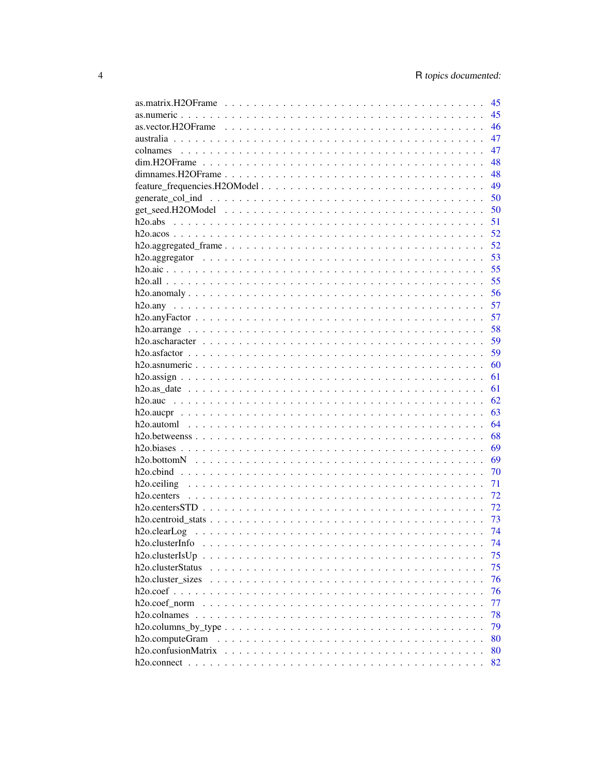|                                                                                                                 | 45 |
|-----------------------------------------------------------------------------------------------------------------|----|
|                                                                                                                 | 45 |
| as.vector.H2OFrame $\ldots \ldots \ldots \ldots \ldots \ldots \ldots \ldots \ldots \ldots \ldots \ldots \ldots$ | 46 |
|                                                                                                                 | 47 |
|                                                                                                                 | 47 |
|                                                                                                                 | 48 |
|                                                                                                                 | 48 |
|                                                                                                                 | 49 |
|                                                                                                                 | 50 |
|                                                                                                                 | 50 |
|                                                                                                                 | 51 |
|                                                                                                                 | 52 |
|                                                                                                                 | 52 |
|                                                                                                                 | 53 |
|                                                                                                                 | 55 |
|                                                                                                                 | 55 |
|                                                                                                                 | 56 |
|                                                                                                                 | 57 |
|                                                                                                                 | 57 |
|                                                                                                                 | 58 |
|                                                                                                                 | 59 |
|                                                                                                                 | 59 |
|                                                                                                                 | 60 |
|                                                                                                                 | 61 |
|                                                                                                                 | 61 |
|                                                                                                                 | 62 |
|                                                                                                                 | 63 |
|                                                                                                                 | 64 |
|                                                                                                                 | 68 |
|                                                                                                                 | 69 |
|                                                                                                                 | 69 |
|                                                                                                                 | 70 |
|                                                                                                                 | 71 |
|                                                                                                                 | 72 |
|                                                                                                                 | 72 |
|                                                                                                                 | 73 |
|                                                                                                                 | 74 |
| h <sub>2</sub> o.clusterInfo                                                                                    | 74 |
|                                                                                                                 | 75 |
| h <sub>2</sub> o.clusterStatus                                                                                  | 75 |
| h <sub>2</sub> o.cluster sizes                                                                                  | 76 |
|                                                                                                                 | 76 |
|                                                                                                                 | 77 |
|                                                                                                                 | 78 |
|                                                                                                                 |    |
|                                                                                                                 | 79 |
| h <sub>2</sub> o.computeGram                                                                                    | 80 |
|                                                                                                                 | 80 |
|                                                                                                                 | 82 |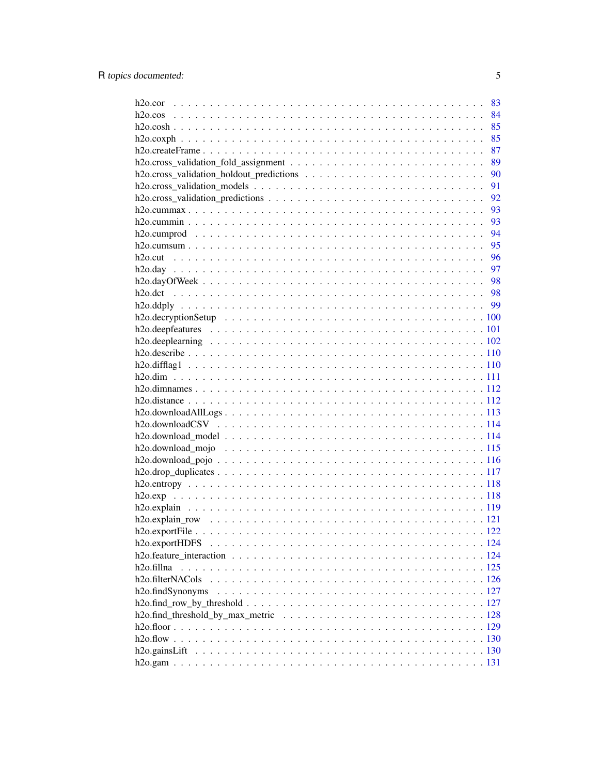|                               | 83 |
|-------------------------------|----|
|                               | 84 |
|                               | 85 |
|                               | 85 |
|                               | 87 |
|                               | 89 |
|                               | 90 |
|                               | 91 |
|                               | 92 |
|                               | 93 |
|                               | 93 |
|                               | 94 |
|                               | 95 |
|                               | 96 |
|                               | 97 |
|                               |    |
|                               |    |
|                               |    |
|                               |    |
|                               |    |
|                               |    |
|                               |    |
|                               |    |
|                               |    |
|                               |    |
|                               |    |
|                               |    |
|                               |    |
|                               |    |
|                               |    |
|                               |    |
|                               |    |
|                               |    |
|                               |    |
|                               |    |
|                               |    |
|                               |    |
|                               |    |
|                               |    |
|                               |    |
|                               |    |
|                               |    |
| h <sub>2</sub> o.findSynonyms |    |
|                               |    |
|                               |    |
|                               |    |
|                               |    |
|                               |    |
|                               |    |
|                               |    |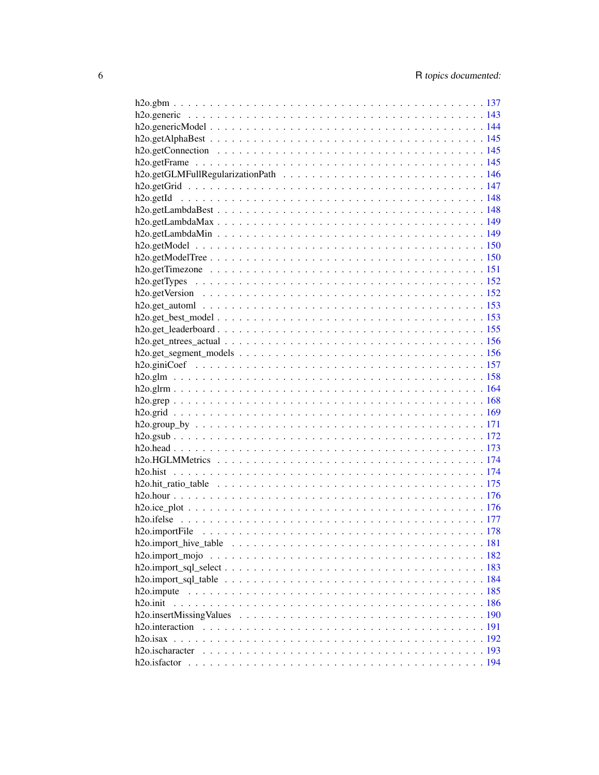| $h2o.get_ntrees_actual \ldots \ldots \ldots \ldots \ldots \ldots \ldots \ldots \ldots \ldots \ldots \ldots 156$ |  |
|-----------------------------------------------------------------------------------------------------------------|--|
|                                                                                                                 |  |
|                                                                                                                 |  |
|                                                                                                                 |  |
|                                                                                                                 |  |
|                                                                                                                 |  |
|                                                                                                                 |  |
|                                                                                                                 |  |
|                                                                                                                 |  |
|                                                                                                                 |  |
|                                                                                                                 |  |
|                                                                                                                 |  |
|                                                                                                                 |  |
|                                                                                                                 |  |
|                                                                                                                 |  |
|                                                                                                                 |  |
|                                                                                                                 |  |
|                                                                                                                 |  |
|                                                                                                                 |  |
|                                                                                                                 |  |
|                                                                                                                 |  |
|                                                                                                                 |  |
| h <sub>20.init</sub>                                                                                            |  |
|                                                                                                                 |  |
|                                                                                                                 |  |
|                                                                                                                 |  |
|                                                                                                                 |  |
|                                                                                                                 |  |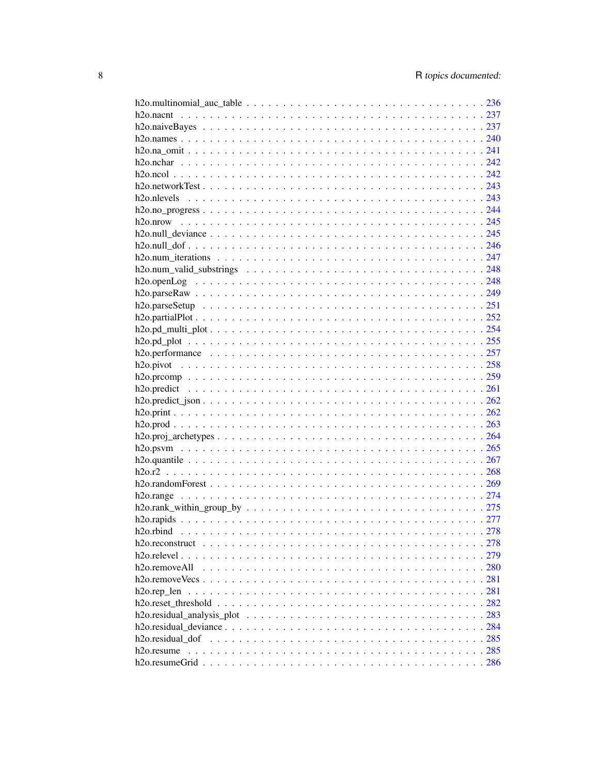| $h2o.\nrank\_within\_group\_by \ldots \ldots \ldots \ldots \ldots \ldots \ldots \ldots \ldots \ldots \ldots 275$ |     |
|------------------------------------------------------------------------------------------------------------------|-----|
|                                                                                                                  |     |
|                                                                                                                  |     |
|                                                                                                                  |     |
|                                                                                                                  |     |
| $h2o$ remove All                                                                                                 |     |
|                                                                                                                  |     |
| $h2o.rep_len$                                                                                                    |     |
|                                                                                                                  |     |
|                                                                                                                  |     |
|                                                                                                                  | 284 |
|                                                                                                                  | 285 |
| h <sub>20</sub> . resume                                                                                         |     |
|                                                                                                                  |     |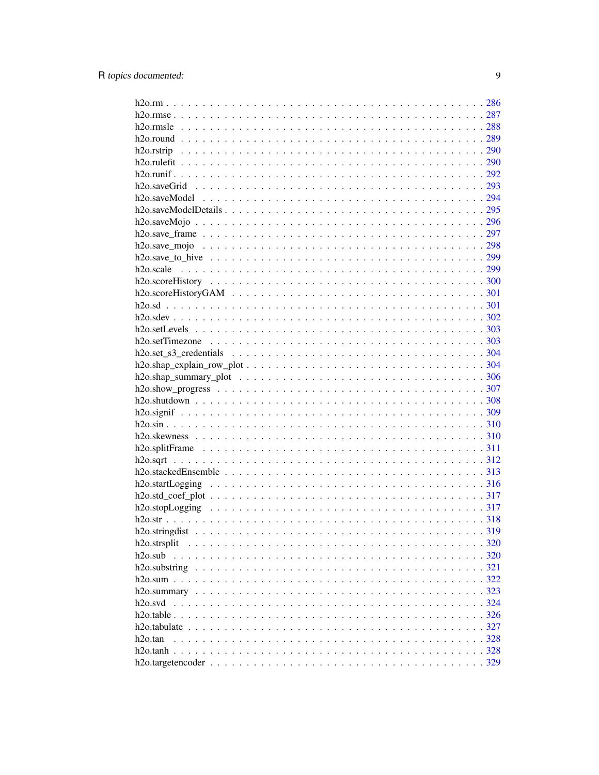| h2o.strsplit        |  |
|---------------------|--|
| $h2o$ .sub          |  |
|                     |  |
|                     |  |
|                     |  |
| h <sub>20.svd</sub> |  |
|                     |  |
|                     |  |
| h2o.tan             |  |
|                     |  |
|                     |  |
|                     |  |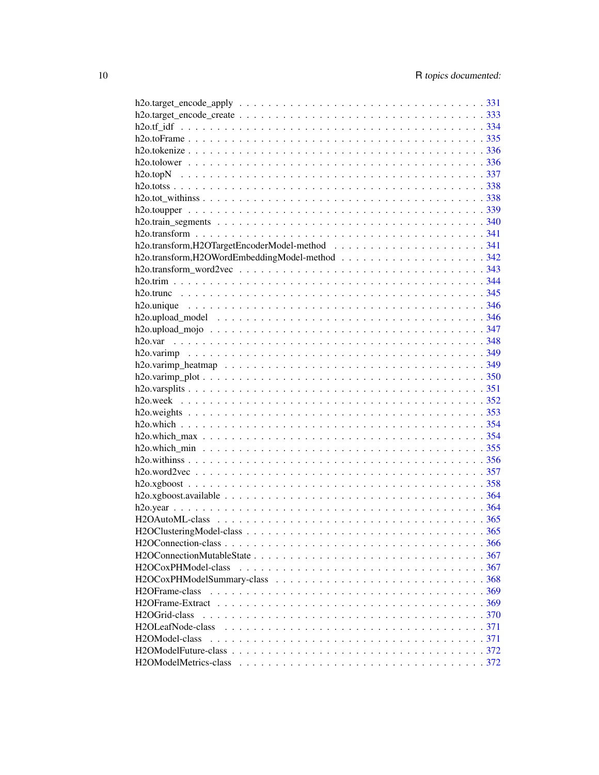| H <sub>2</sub> OFrame-class                                                                                                                                                                                                                                                                                                         |  |
|-------------------------------------------------------------------------------------------------------------------------------------------------------------------------------------------------------------------------------------------------------------------------------------------------------------------------------------|--|
|                                                                                                                                                                                                                                                                                                                                     |  |
| H <sub>2</sub> OGrid-class                                                                                                                                                                                                                                                                                                          |  |
| H2OLeafNode-class $\ldots$ $\ldots$ $\ldots$ $\ldots$ $\ldots$ $\ldots$ $\ldots$ $\ldots$ $\ldots$ $\ldots$ $\ldots$ $\ldots$ $\ldots$ $\ldots$ $\ldots$ $\ldots$ $\ldots$ $\ldots$ $\ldots$ $\ldots$ $\ldots$ $\ldots$ $\ldots$ $\ldots$ $\ldots$ $\ldots$ $\ldots$ $\ldots$ $\ldots$ $\ldots$ $\ldots$ $\ldots$ $\ldots$ $\ldots$ |  |
| H2OModel-class                                                                                                                                                                                                                                                                                                                      |  |
|                                                                                                                                                                                                                                                                                                                                     |  |
|                                                                                                                                                                                                                                                                                                                                     |  |
|                                                                                                                                                                                                                                                                                                                                     |  |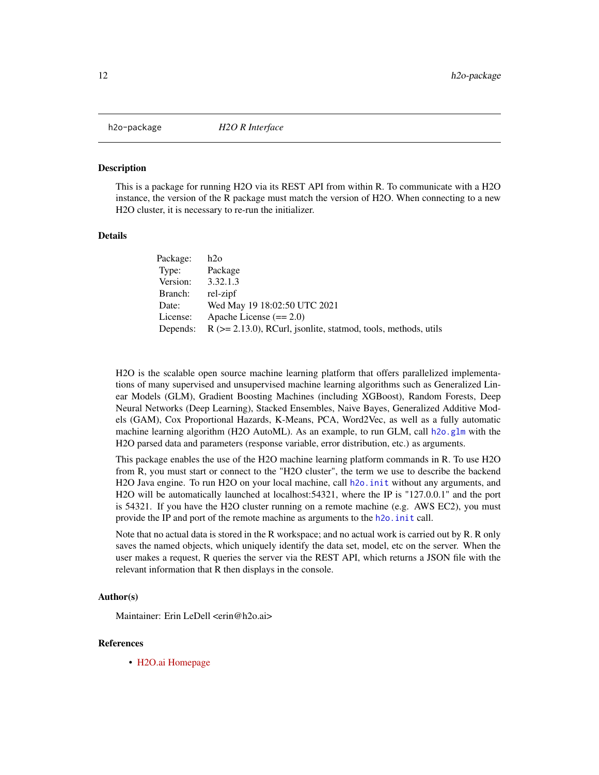<span id="page-11-0"></span>

This is a package for running H2O via its REST API from within R. To communicate with a H2O instance, the version of the R package must match the version of H2O. When connecting to a new H2O cluster, it is necessary to re-run the initializer.

#### **Details**

| Package: | h2o                                                                  |
|----------|----------------------------------------------------------------------|
| Type:    | Package                                                              |
| Version: | 3.32.1.3                                                             |
| Branch:  | rel-zipf                                                             |
| Date:    | Wed May 19 18:02:50 UTC 2021                                         |
| License: | Apache License $(== 2.0)$                                            |
| Depends: | $R$ ( $>= 2.13.0$ ), RCurl, jsonlite, statmod, tools, methods, utils |

H2O is the scalable open source machine learning platform that offers parallelized implementations of many supervised and unsupervised machine learning algorithms such as Generalized Linear Models (GLM), Gradient Boosting Machines (including XGBoost), Random Forests, Deep Neural Networks (Deep Learning), Stacked Ensembles, Naive Bayes, Generalized Additive Models (GAM), Cox Proportional Hazards, K-Means, PCA, Word2Vec, as well as a fully automatic machine learning algorithm (H2O AutoML). As an example, to run GLM, call [h2o.glm](#page-157-1) with the H2O parsed data and parameters (response variable, error distribution, etc.) as arguments.

This package enables the use of the H2O machine learning platform commands in R. To use H2O from R, you must start or connect to the "H2O cluster", the term we use to describe the backend H2O Java engine. To run H2O on your local machine, call [h2o.init](#page-185-1) without any arguments, and H2O will be automatically launched at localhost:54321, where the IP is "127.0.0.1" and the port is 54321. If you have the H2O cluster running on a remote machine (e.g. AWS EC2), you must provide the IP and port of the remote machine as arguments to the h2o. in it call.

Note that no actual data is stored in the R workspace; and no actual work is carried out by R. R only saves the named objects, which uniquely identify the data set, model, etc on the server. When the user makes a request, R queries the server via the REST API, which returns a JSON file with the relevant information that R then displays in the console.

#### Author(s)

Maintainer: Erin LeDell <erin@h2o.ai>

#### References

• [H2O.ai Homepage](https://www.h2o.ai)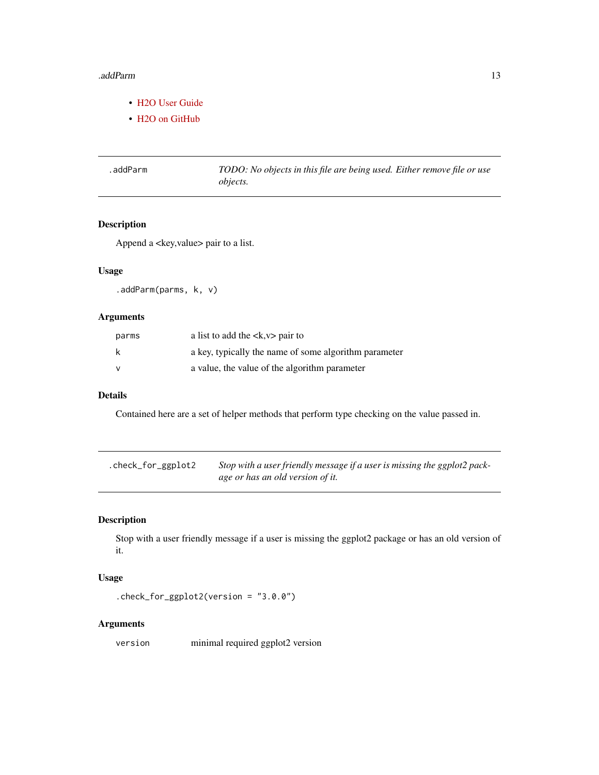#### <span id="page-12-0"></span>.addParm 13

- [H2O User Guide](https://docs.h2o.ai/h2o/latest-stable/h2o-docs/index.html)
- H<sub>2</sub>O on GitHub

.addParm *TODO: No objects in this file are being used. Either remove file or use objects.*

## Description

Append a <key, value> pair to a list.

# Usage

.addParm(parms, k, v)

## Arguments

| parms | a list to add the $\langle x, v \rangle$ pair to      |
|-------|-------------------------------------------------------|
| k     | a key, typically the name of some algorithm parameter |
| v     | a value, the value of the algorithm parameter         |

#### Details

Contained here are a set of helper methods that perform type checking on the value passed in.

| .check_for_ggplot2 | Stop with a user friendly message if a user is missing the ggplot2 pack- |
|--------------------|--------------------------------------------------------------------------|
|                    | age or has an old version of it.                                         |

## Description

Stop with a user friendly message if a user is missing the ggplot2 package or has an old version of it.

## Usage

.check\_for\_ggplot2(version = "3.0.0")

## Arguments

version minimal required ggplot2 version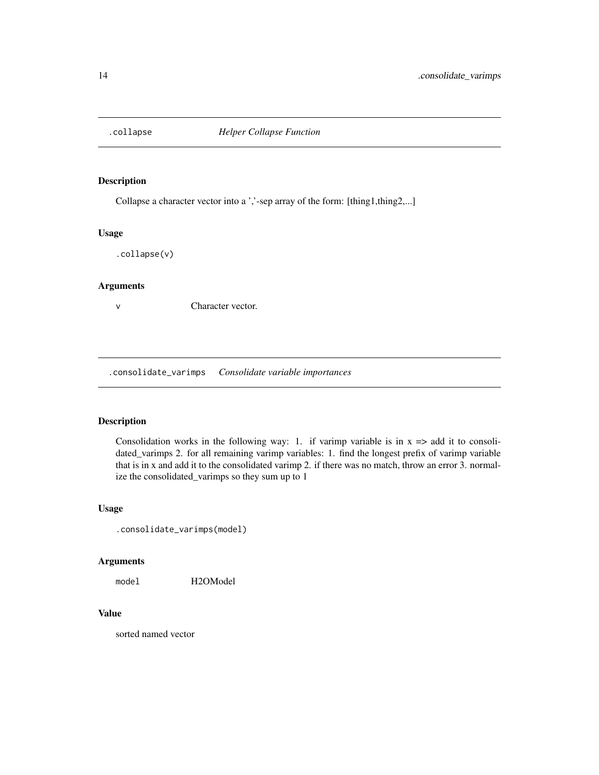<span id="page-13-0"></span>

Collapse a character vector into a ','-sep array of the form: [thing1,thing2,...]

#### Usage

.collapse(v)

## Arguments

v Character vector.

.consolidate\_varimps *Consolidate variable importances*

#### Description

Consolidation works in the following way: 1. if varimp variable is in  $x \Rightarrow$  add it to consolidated\_varimps 2. for all remaining varimp variables: 1. find the longest prefix of varimp variable that is in x and add it to the consolidated varimp 2. if there was no match, throw an error 3. normalize the consolidated\_varimps so they sum up to 1

#### Usage

```
.consolidate_varimps(model)
```
#### Arguments

model H2OModel

# Value

sorted named vector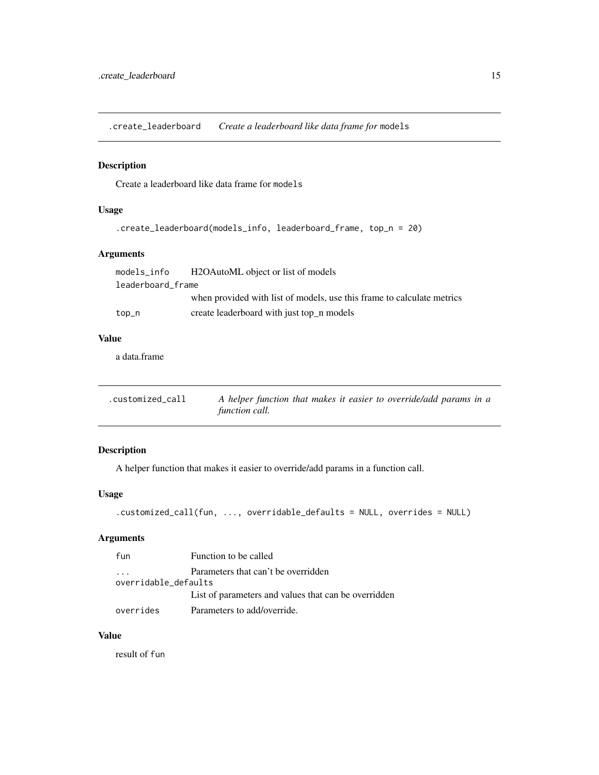<span id="page-14-0"></span>.create\_leaderboard *Create a leaderboard like data frame for* models

## Description

Create a leaderboard like data frame for models

## Usage

```
.create_leaderboard(models_info, leaderboard_frame, top_n = 20)
```
#### Arguments

| models_info       | H2OAutoML object or list of models                                     |
|-------------------|------------------------------------------------------------------------|
| leaderboard frame |                                                                        |
|                   | when provided with list of models, use this frame to calculate metrics |
| top_n             | create leaderboard with just top_n models                              |

## Value

a data.frame

| .customized_call | A helper function that makes it easier to override/add params in a |
|------------------|--------------------------------------------------------------------|
|                  | function call.                                                     |

## Description

A helper function that makes it easier to override/add params in a function call.

## Usage

```
.customized_call(fun, ..., overridable_defaults = NULL, overrides = NULL)
```
## Arguments

| fun                                 | Function to be called                                |  |  |
|-------------------------------------|------------------------------------------------------|--|--|
| Parameters that can't be overridden |                                                      |  |  |
| overridable_defaults                |                                                      |  |  |
|                                     | List of parameters and values that can be overridden |  |  |
| overrides                           | Parameters to add/override.                          |  |  |

## Value

result of fun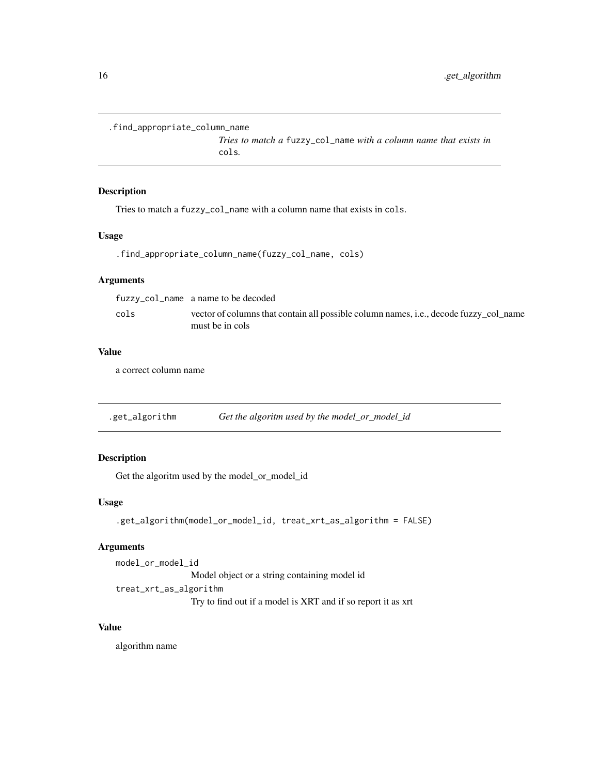```
.find_appropriate_column_name
```
*Tries to match a* fuzzy\_col\_name *with a column name that exists in* cols*.*

## Description

Tries to match a fuzzy\_col\_name with a column name that exists in cols.

#### Usage

```
.find_appropriate_column_name(fuzzy_col_name, cols)
```
#### Arguments

|      | fuzzy_col_name a name to be decoded                                                                      |
|------|----------------------------------------------------------------------------------------------------------|
| cols | vector of columns that contain all possible column names, i.e., decode fuzzy_col_name<br>must be in cols |

#### Value

a correct column name

.get\_algorithm *Get the algoritm used by the model\_or\_model\_id*

# Description

Get the algoritm used by the model\_or\_model\_id

#### Usage

```
.get_algorithm(model_or_model_id, treat_xrt_as_algorithm = FALSE)
```
## Arguments

model\_or\_model\_id Model object or a string containing model id treat\_xrt\_as\_algorithm Try to find out if a model is XRT and if so report it as xrt

#### Value

algorithm name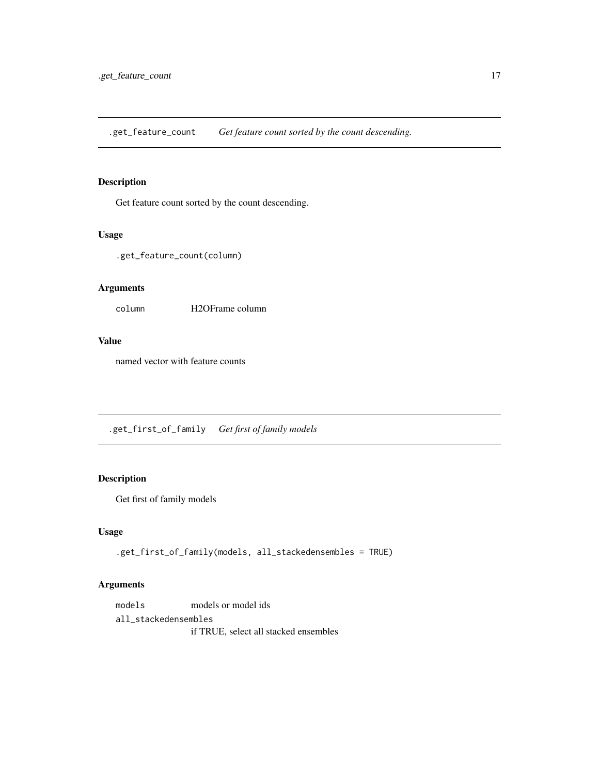<span id="page-16-0"></span>.get\_feature\_count *Get feature count sorted by the count descending.*

## Description

Get feature count sorted by the count descending.

#### Usage

.get\_feature\_count(column)

#### Arguments

column H2OFrame column

#### Value

named vector with feature counts

.get\_first\_of\_family *Get first of family models*

# Description

Get first of family models

#### Usage

.get\_first\_of\_family(models, all\_stackedensembles = TRUE)

## Arguments

models models or model ids all\_stackedensembles if TRUE, select all stacked ensembles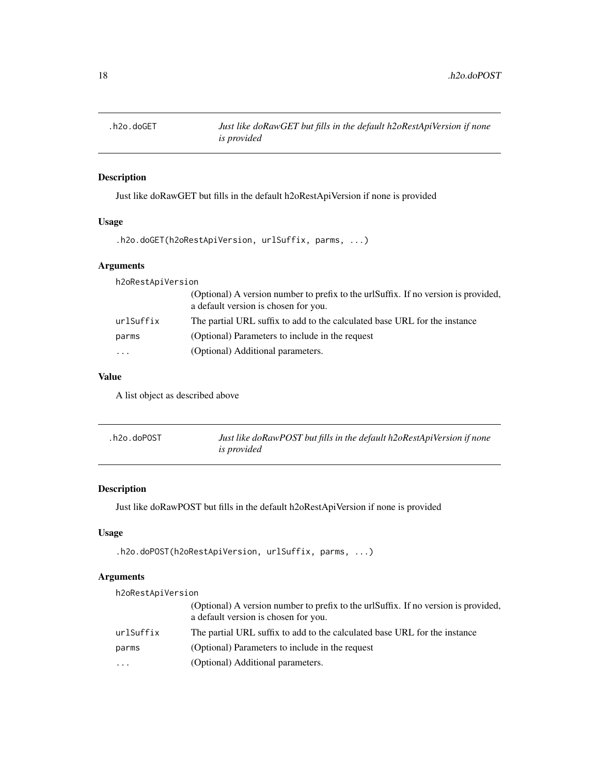<span id="page-17-0"></span>

Just like doRawGET but fills in the default h2oRestApiVersion if none is provided

## Usage

```
.h2o.doGET(h2oRestApiVersion, urlSuffix, parms, ...)
```
# Arguments

| h2oRestApiVersion |                                                                                                                            |
|-------------------|----------------------------------------------------------------------------------------------------------------------------|
|                   | (Optional) A version number to prefix to the urlSuffix. If no version is provided,<br>a default version is chosen for you. |
| urlSuffix         | The partial URL suffix to add to the calculated base URL for the instance                                                  |
| parms             | (Optional) Parameters to include in the request                                                                            |
| $\cdot$           | (Optional) Additional parameters.                                                                                          |
|                   |                                                                                                                            |

# Value

A list object as described above

| .h2o.doPOST | Just like doRawPOST but fills in the default h2oRestApiVersion if none |
|-------------|------------------------------------------------------------------------|
|             | <i>is provided</i>                                                     |

## Description

Just like doRawPOST but fills in the default h2oRestApiVersion if none is provided

## Usage

```
.h2o.doPOST(h2oRestApiVersion, urlSuffix, parms, ...)
```
# Arguments

| h2oRestApiVersion |                                                                                                                            |  |  |
|-------------------|----------------------------------------------------------------------------------------------------------------------------|--|--|
|                   | (Optional) A version number to prefix to the urlSuffix. If no version is provided,<br>a default version is chosen for you. |  |  |
| urlSuffix         | The partial URL suffix to add to the calculated base URL for the instance                                                  |  |  |
| parms             | (Optional) Parameters to include in the request                                                                            |  |  |
| .                 | (Optional) Additional parameters.                                                                                          |  |  |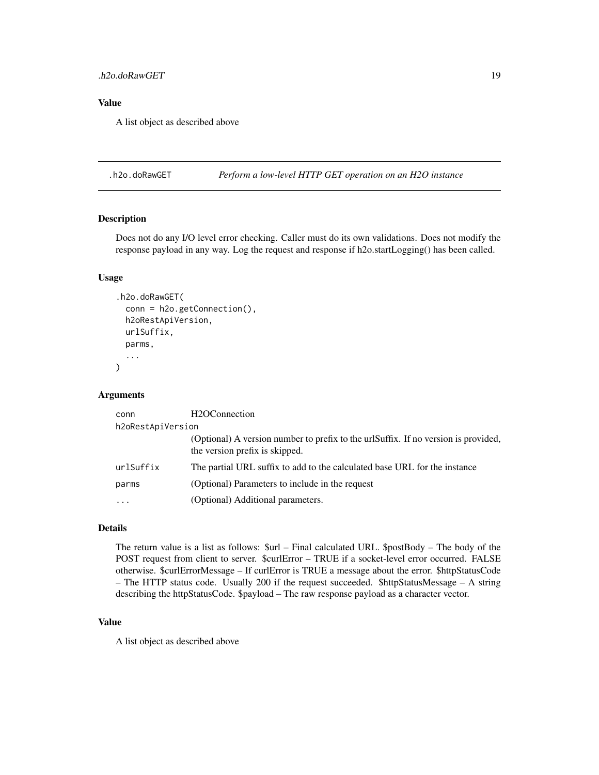#### <span id="page-18-0"></span>.h2o.doRawGET 19

#### Value

A list object as described above

.h2o.doRawGET *Perform a low-level HTTP GET operation on an H2O instance*

#### Description

Does not do any I/O level error checking. Caller must do its own validations. Does not modify the response payload in any way. Log the request and response if h2o.startLogging() has been called.

#### Usage

```
.h2o.doRawGET(
  conn = h2o.getConnection(),
  h2oRestApiVersion,
  urlSuffix,
  parms,
  ...
\mathcal{L}
```
#### Arguments

| conn              | H <sub>2</sub> OConnection                                                                                           |  |  |
|-------------------|----------------------------------------------------------------------------------------------------------------------|--|--|
| h2oRestApiVersion |                                                                                                                      |  |  |
|                   | (Optional) A version number to prefix to the urlSuffix. If no version is provided,<br>the version prefix is skipped. |  |  |
| urlSuffix         | The partial URL suffix to add to the calculated base URL for the instance                                            |  |  |
| parms             | (Optional) Parameters to include in the request                                                                      |  |  |
| $\cdots$          | (Optional) Additional parameters.                                                                                    |  |  |
|                   |                                                                                                                      |  |  |

## Details

The return value is a list as follows: \$url – Final calculated URL. \$postBody – The body of the POST request from client to server. \$curlError – TRUE if a socket-level error occurred. FALSE otherwise. \$curlErrorMessage – If curlError is TRUE a message about the error. \$httpStatusCode – The HTTP status code. Usually 200 if the request succeeded. \$httpStatusMessage – A string describing the httpStatusCode. \$payload – The raw response payload as a character vector.

#### Value

A list object as described above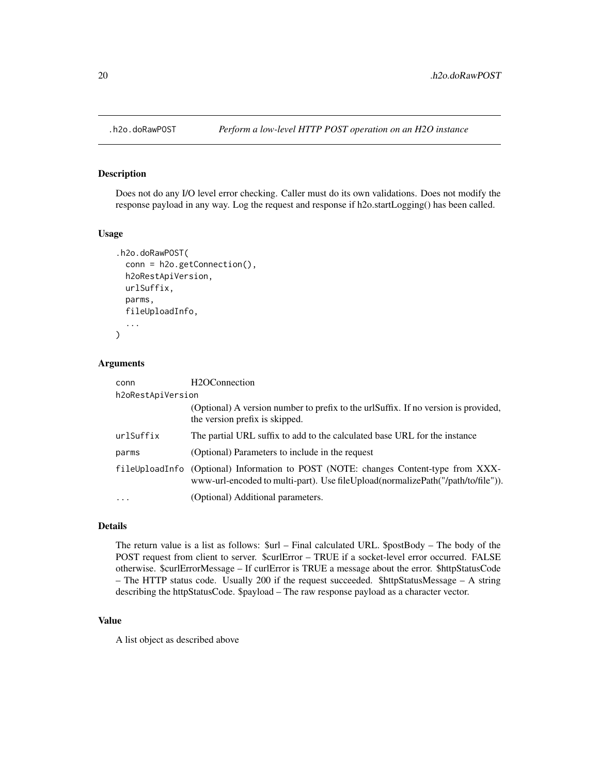<span id="page-19-0"></span>

Does not do any I/O level error checking. Caller must do its own validations. Does not modify the response payload in any way. Log the request and response if h2o.startLogging() has been called.

#### Usage

```
.h2o.doRawPOST(
  conn = h2o.getConnection(),
  h2oRestApiVersion,
  urlSuffix,
  parms,
  fileUploadInfo,
  ...
\mathcal{L}
```
#### Arguments

| conn              | H <sub>2</sub> OConnection                                                                                                                                                 |  |  |
|-------------------|----------------------------------------------------------------------------------------------------------------------------------------------------------------------------|--|--|
| h2oRestApiVersion |                                                                                                                                                                            |  |  |
|                   | (Optional) A version number to prefix to the urlSuffix. If no version is provided,<br>the version prefix is skipped.                                                       |  |  |
| urlSuffix         | The partial URL suffix to add to the calculated base URL for the instance                                                                                                  |  |  |
| parms             | (Optional) Parameters to include in the request                                                                                                                            |  |  |
|                   | fileUploadInfo (Optional) Information to POST (NOTE: changes Content-type from XXX-<br>www-url-encoded to multi-part). Use file Upload (normalize Path ("/path/to/file")). |  |  |
| $\ddotsc$         | (Optional) Additional parameters.                                                                                                                                          |  |  |

## Details

The return value is a list as follows: \$url – Final calculated URL. \$postBody – The body of the POST request from client to server. \$curlError – TRUE if a socket-level error occurred. FALSE otherwise. \$curlErrorMessage – If curlError is TRUE a message about the error. \$httpStatusCode – The HTTP status code. Usually 200 if the request succeeded. \$httpStatusMessage – A string describing the httpStatusCode. \$payload – The raw response payload as a character vector.

#### Value

A list object as described above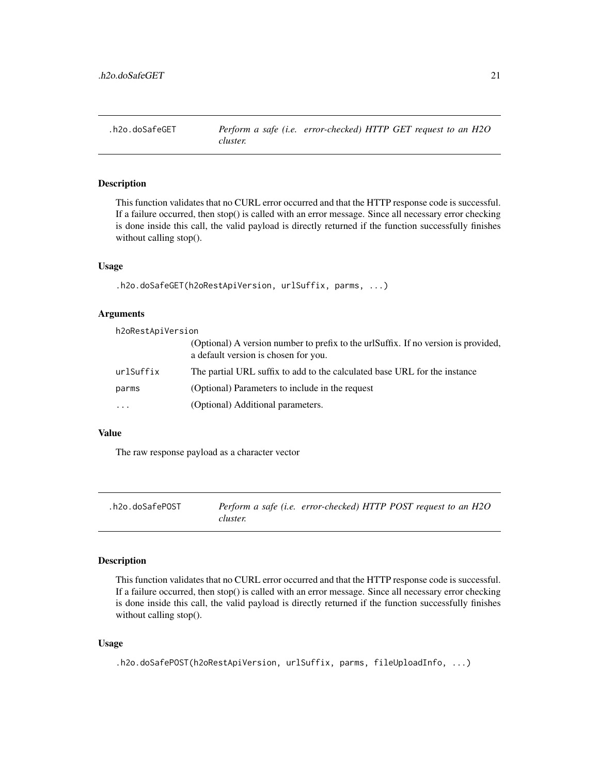<span id="page-20-0"></span>

This function validates that no CURL error occurred and that the HTTP response code is successful. If a failure occurred, then stop() is called with an error message. Since all necessary error checking is done inside this call, the valid payload is directly returned if the function successfully finishes without calling stop().

#### Usage

```
.h2o.doSafeGET(h2oRestApiVersion, urlSuffix, parms, ...)
```
#### Arguments

h2oRestApiVersion

|           | (Optional) A version number to prefix to the urlSuffix. If no version is provided,<br>a default version is chosen for you. |
|-----------|----------------------------------------------------------------------------------------------------------------------------|
| urlSuffix | The partial URL suffix to add to the calculated base URL for the instance                                                  |
| parms     | (Optional) Parameters to include in the request                                                                            |
| .         | (Optional) Additional parameters.                                                                                          |
|           |                                                                                                                            |

#### Value

The raw response payload as a character vector

| .h2o.doSafePOST |          | Perform a safe (i.e. error-checked) HTTP POST request to an H2O |  |  |
|-----------------|----------|-----------------------------------------------------------------|--|--|
|                 | cluster. |                                                                 |  |  |

#### Description

This function validates that no CURL error occurred and that the HTTP response code is successful. If a failure occurred, then stop() is called with an error message. Since all necessary error checking is done inside this call, the valid payload is directly returned if the function successfully finishes without calling stop().

#### Usage

```
.h2o.doSafePOST(h2oRestApiVersion, urlSuffix, parms, fileUploadInfo, ...)
```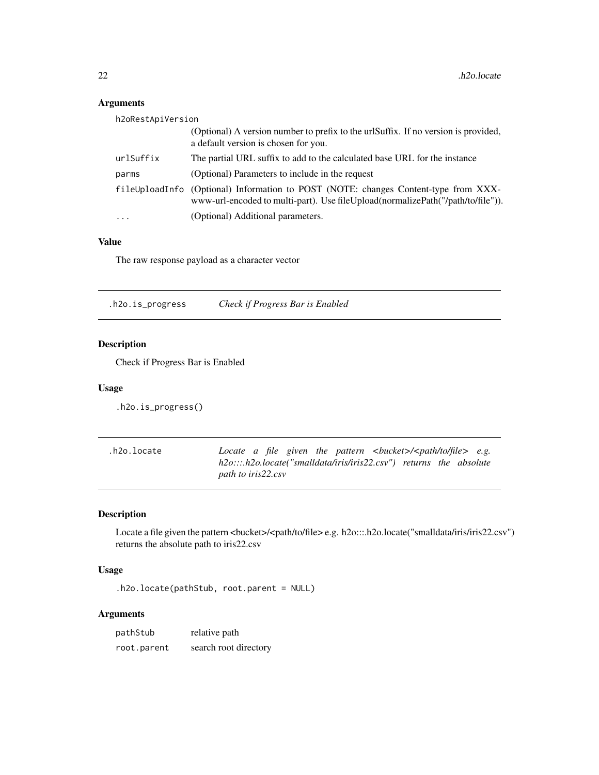# Arguments

| h2oRestApiVersion |                                                                                                                                                                        |
|-------------------|------------------------------------------------------------------------------------------------------------------------------------------------------------------------|
|                   | (Optional) A version number to prefix to the urlSuffix. If no version is provided,<br>a default version is chosen for you.                                             |
| urlSuffix         | The partial URL suffix to add to the calculated base URL for the instance                                                                                              |
| parms             | (Optional) Parameters to include in the request                                                                                                                        |
|                   | fileUploadInfo (Optional) Information to POST (NOTE: changes Content-type from XXX-<br>www-url-encoded to multi-part). Use fileUpload(normalizePath("/path/to/file")). |
| $\ddotsc$         | (Optional) Additional parameters.                                                                                                                                      |

# Value

The raw response payload as a character vector

.h2o.is\_progress *Check if Progress Bar is Enabled*

## Description

Check if Progress Bar is Enabled

#### Usage

.h2o.is\_progress()

| .h2o.locate |                    |  |  |  |  | Locate a file given the pattern $\langle \text{bucket}\rangle/\langle \text{path}{\rangle}$ and $\langle \text{e.g.}\rangle$ |
|-------------|--------------------|--|--|--|--|------------------------------------------------------------------------------------------------------------------------------|
|             |                    |  |  |  |  | h2o:::.h2o.locate("smalldata/iris/iris22.csv") returns the absolute                                                          |
|             | path to iris22.csv |  |  |  |  |                                                                                                                              |

## Description

Locate a file given the pattern <br/> <br/> <br/> <br/> <br/> <br/>e.g. h2o:::.h2o.locate("smalldata/iris/iris22.csv") returns the absolute path to iris22.csv

## Usage

.h2o.locate(pathStub, root.parent = NULL)

# Arguments

| pathStub    | relative path         |
|-------------|-----------------------|
| root.parent | search root directory |

<span id="page-21-0"></span>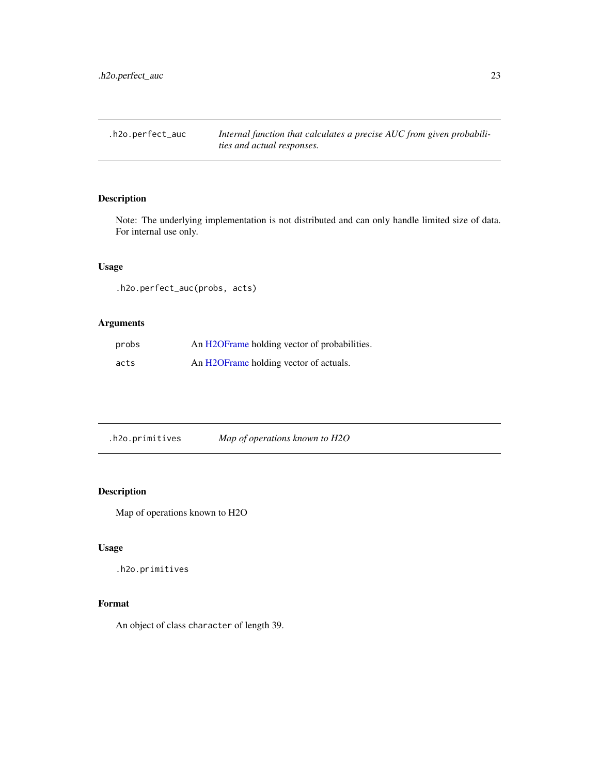<span id="page-22-0"></span>.h2o.perfect\_auc *Internal function that calculates a precise AUC from given probabilities and actual responses.*

# Description

Note: The underlying implementation is not distributed and can only handle limited size of data. For internal use only.

## Usage

.h2o.perfect\_auc(probs, acts)

## Arguments

| probs | An H2OFrame holding vector of probabilities. |
|-------|----------------------------------------------|
| acts  | An H2OFrame holding vector of actuals.       |

.h2o.primitives *Map of operations known to H2O*

#### Description

Map of operations known to H2O

#### Usage

.h2o.primitives

# Format

An object of class character of length 39.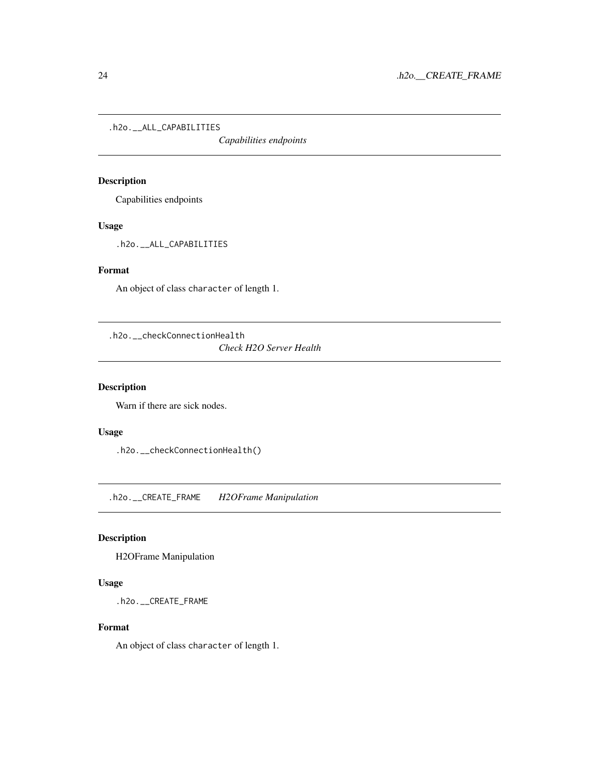<span id="page-23-0"></span>.h2o.\_\_ALL\_CAPABILITIES

*Capabilities endpoints*

## Description

Capabilities endpoints

## Usage

.h2o.\_\_ALL\_CAPABILITIES

#### Format

An object of class character of length 1.

.h2o.\_\_checkConnectionHealth

*Check H2O Server Health*

# Description

Warn if there are sick nodes.

# Usage

.h2o.\_\_checkConnectionHealth()

.h2o.\_\_CREATE\_FRAME *H2OFrame Manipulation*

# Description

H2OFrame Manipulation

## Usage

.h2o.\_\_CREATE\_FRAME

## Format

An object of class character of length 1.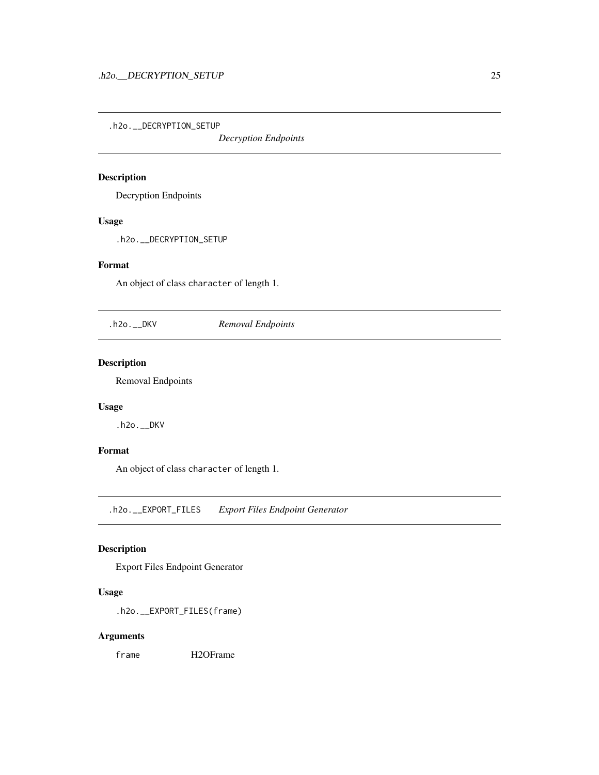<span id="page-24-0"></span>.h2o.\_\_DECRYPTION\_SETUP

*Decryption Endpoints*

# Description

Decryption Endpoints

# Usage

.h2o.\_\_DECRYPTION\_SETUP

# Format

An object of class character of length 1.

.h2o.\_\_DKV *Removal Endpoints*

## Description

Removal Endpoints

## Usage

.h2o.\_\_DKV

#### Format

An object of class character of length 1.

.h2o.\_\_EXPORT\_FILES *Export Files Endpoint Generator*

# Description

Export Files Endpoint Generator

#### Usage

.h2o.\_\_EXPORT\_FILES(frame)

#### Arguments

frame H2OFrame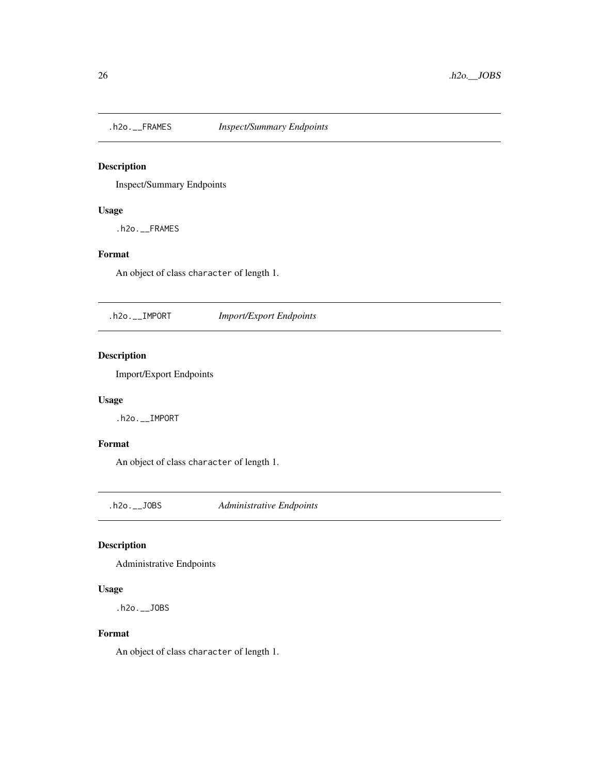<span id="page-25-0"></span>

Inspect/Summary Endpoints

## Usage

.h2o.\_\_FRAMES

# Format

An object of class character of length 1.

.h2o.\_\_IMPORT *Import/Export Endpoints*

# Description

Import/Export Endpoints

#### Usage

.h2o.\_\_IMPORT

## Format

An object of class character of length 1.

.h2o.\_\_JOBS *Administrative Endpoints*

## Description

Administrative Endpoints

#### Usage

.h2o.\_\_JOBS

#### Format

An object of class character of length 1.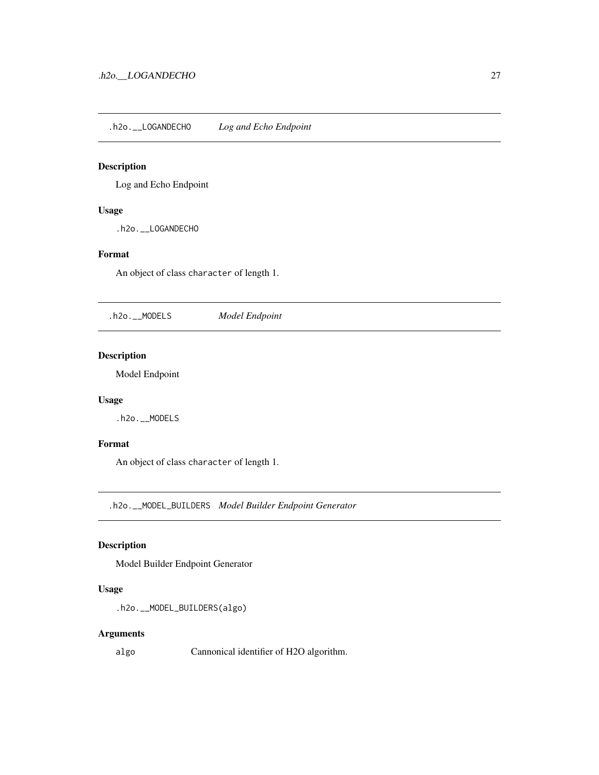<span id="page-26-0"></span>.h2o.\_\_LOGANDECHO *Log and Echo Endpoint*

## Description

Log and Echo Endpoint

## Usage

.h2o.\_\_LOGANDECHO

# Format

An object of class character of length 1.

.h2o.\_\_MODELS *Model Endpoint*

#### Description

Model Endpoint

## Usage

.h2o.\_\_MODELS

#### Format

An object of class character of length 1.

.h2o.\_\_MODEL\_BUILDERS *Model Builder Endpoint Generator*

## Description

Model Builder Endpoint Generator

#### Usage

```
.h2o.__MODEL_BUILDERS(algo)
```
## Arguments

algo Cannonical identifier of H2O algorithm.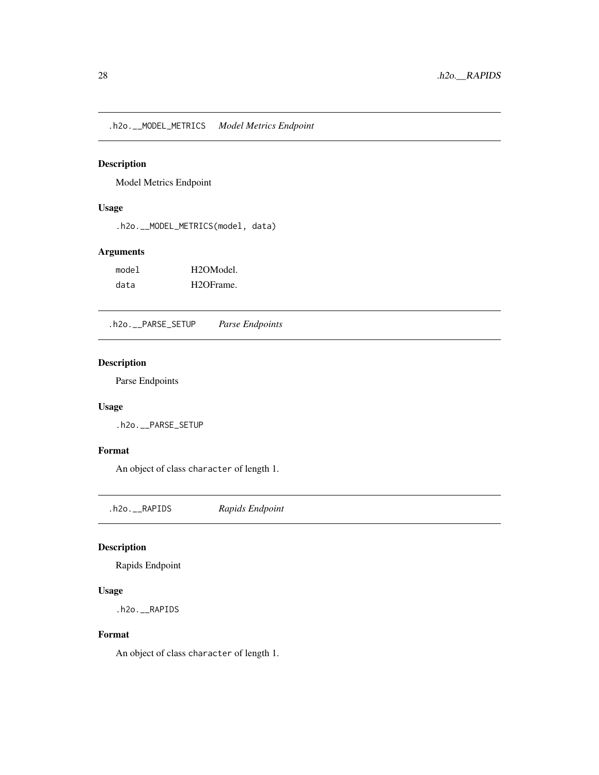<span id="page-27-0"></span>.h2o.\_\_MODEL\_METRICS *Model Metrics Endpoint*

#### Description

Model Metrics Endpoint

#### Usage

.h2o.\_\_MODEL\_METRICS(model, data)

## Arguments

| model | H <sub>2</sub> OM <sub>odel</sub> |
|-------|-----------------------------------|
| data  | H <sub>2</sub> OFrame.            |

.h2o.\_\_PARSE\_SETUP *Parse Endpoints*

# Description

Parse Endpoints

## Usage

.h2o.\_\_PARSE\_SETUP

#### Format

An object of class character of length 1.

.h2o.\_\_RAPIDS *Rapids Endpoint*

## Description

Rapids Endpoint

#### Usage

.h2o.\_\_RAPIDS

#### Format

An object of class character of length 1.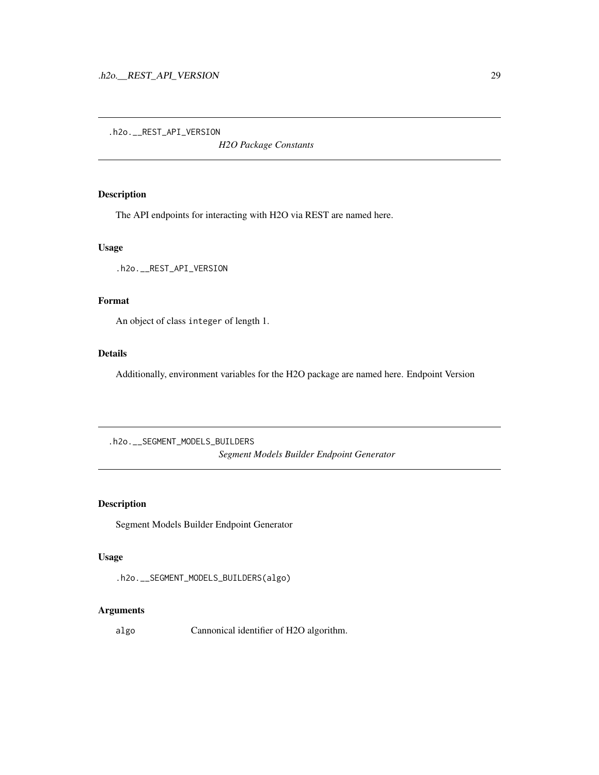<span id="page-28-0"></span>.h2o.\_\_REST\_API\_VERSION

*H2O Package Constants*

#### Description

The API endpoints for interacting with H2O via REST are named here.

## Usage

.h2o.\_\_REST\_API\_VERSION

## Format

An object of class integer of length 1.

#### Details

Additionally, environment variables for the H2O package are named here. Endpoint Version

.h2o.\_\_SEGMENT\_MODELS\_BUILDERS *Segment Models Builder Endpoint Generator*

## Description

Segment Models Builder Endpoint Generator

#### Usage

```
.h2o.__SEGMENT_MODELS_BUILDERS(algo)
```
#### Arguments

algo Cannonical identifier of H2O algorithm.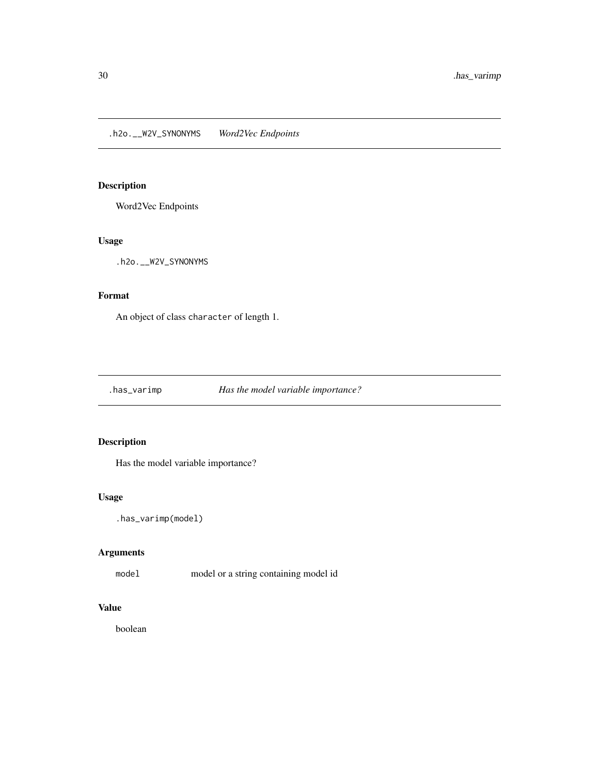<span id="page-29-0"></span>.h2o.\_\_W2V\_SYNONYMS *Word2Vec Endpoints*

# Description

Word2Vec Endpoints

#### Usage

.h2o.\_\_W2V\_SYNONYMS

# Format

An object of class character of length 1.

.has\_varimp *Has the model variable importance?*

# Description

Has the model variable importance?

## Usage

```
.has_varimp(model)
```
## Arguments

model model or a string containing model id

# Value

boolean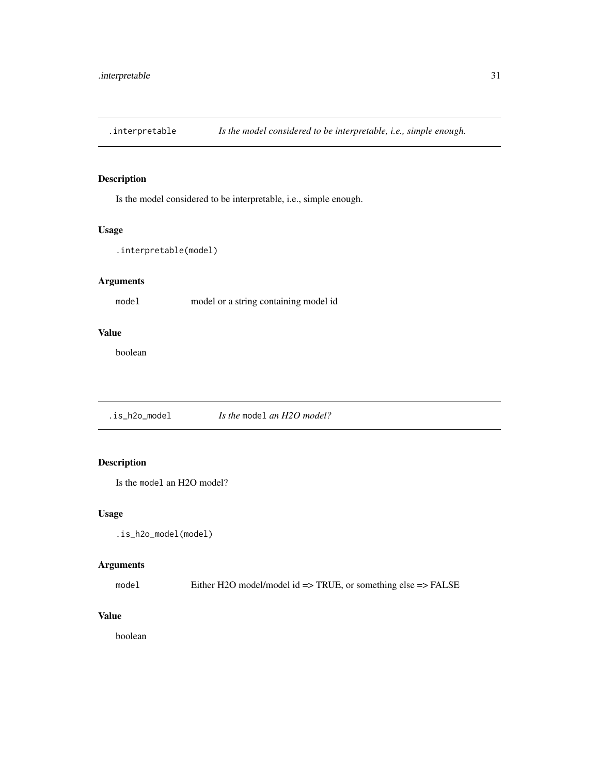<span id="page-30-0"></span>.interpretable *Is the model considered to be interpretable, i.e., simple enough.*

# Description

Is the model considered to be interpretable, i.e., simple enough.

#### Usage

```
.interpretable(model)
```
# Arguments

model model or a string containing model id

#### Value

boolean

.is\_h2o\_model *Is the* model *an H2O model?*

## Description

Is the model an H2O model?

#### Usage

.is\_h2o\_model(model)

# Arguments

model Either H2O model/model id => TRUE, or something else => FALSE

# Value

boolean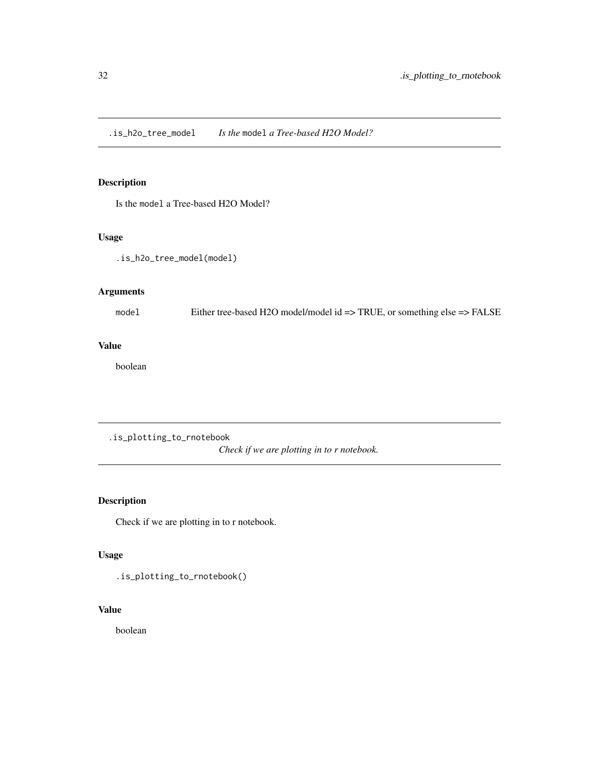<span id="page-31-0"></span>.is\_h2o\_tree\_model *Is the* model *a Tree-based H2O Model?*

## Description

Is the model a Tree-based H2O Model?

# Usage

.is\_h2o\_tree\_model(model)

## Arguments

model Either tree-based H2O model/model id => TRUE, or something else => FALSE

# Value

boolean

.is\_plotting\_to\_rnotebook

*Check if we are plotting in to r notebook.*

# Description

Check if we are plotting in to r notebook.

## Usage

.is\_plotting\_to\_rnotebook()

## Value

boolean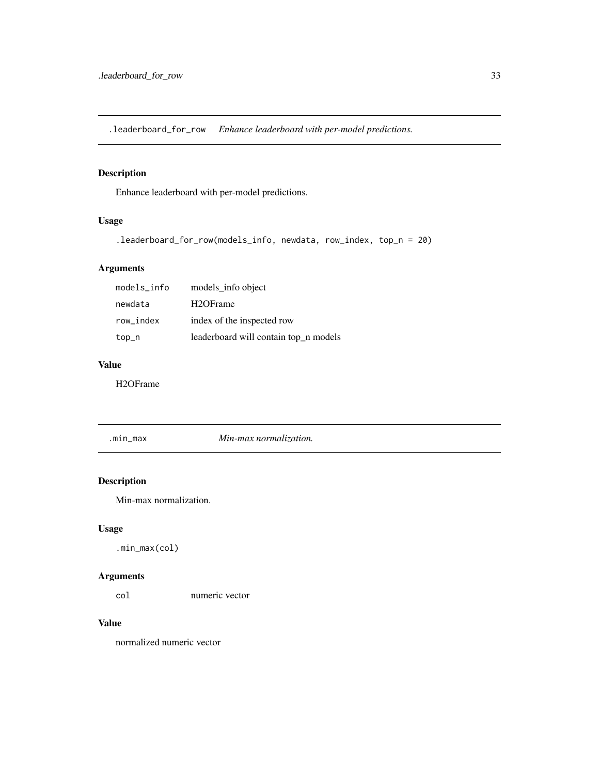<span id="page-32-0"></span>.leaderboard\_for\_row *Enhance leaderboard with per-model predictions.*

# Description

Enhance leaderboard with per-model predictions.

# Usage

```
.leaderboard_for_row(models_info, newdata, row_index, top_n = 20)
```
## Arguments

| models_info | models_info object                    |
|-------------|---------------------------------------|
| newdata     | H <sub>2</sub> OFrame                 |
| row index   | index of the inspected row            |
| top_n       | leaderboard will contain top_n models |

#### Value

H2OFrame

.min\_max *Min-max normalization.*

# Description

Min-max normalization.

## Usage

.min\_max(col)

## Arguments

col numeric vector

#### Value

normalized numeric vector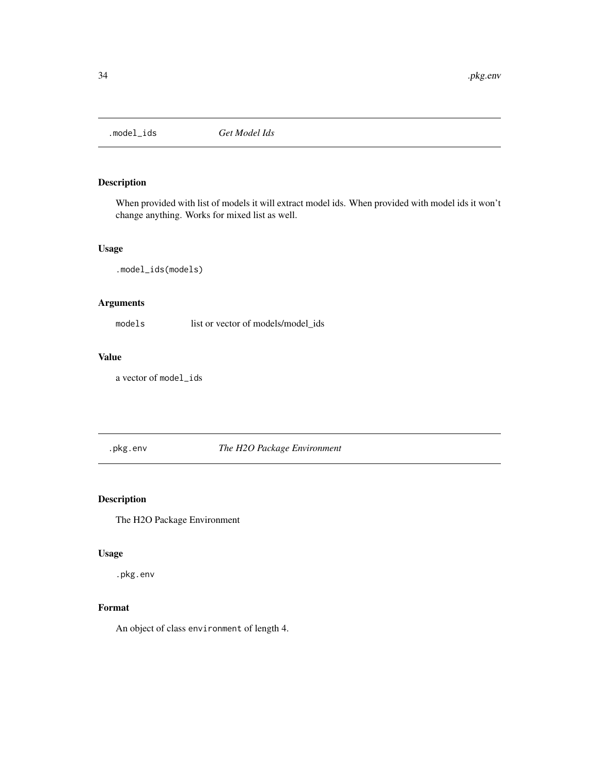<span id="page-33-0"></span>

When provided with list of models it will extract model ids. When provided with model ids it won't change anything. Works for mixed list as well.

## Usage

.model\_ids(models)

## Arguments

models list or vector of models/model\_ids

## Value

a vector of model\_ids

.pkg.env *The H2O Package Environment*

## Description

The H2O Package Environment

## Usage

.pkg.env

# Format

An object of class environment of length 4.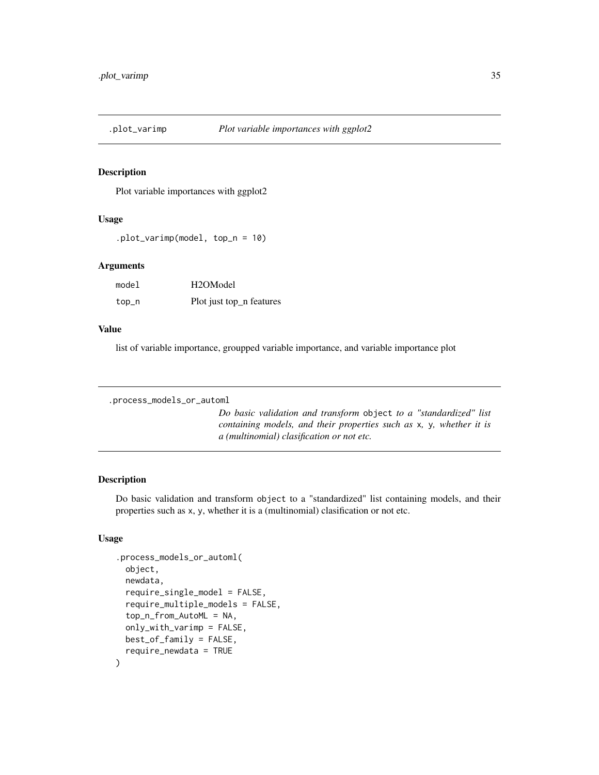<span id="page-34-0"></span>

Plot variable importances with ggplot2

#### Usage

.plot\_varimp(model, top\_n = 10)

#### Arguments

| model | H <sub>2</sub> OM <sub>odel</sub> |
|-------|-----------------------------------|
| top_n | Plot just top_n features          |

#### Value

list of variable importance, groupped variable importance, and variable importance plot

```
.process_models_or_automl
```
*Do basic validation and transform* object *to a "standardized" list containing models, and their properties such as* x*,* y*, whether it is a (multinomial) clasification or not etc.*

# Description

Do basic validation and transform object to a "standardized" list containing models, and their properties such as x, y, whether it is a (multinomial) clasification or not etc.

# Usage

```
.process_models_or_automl(
 object,
  newdata,
  require_single_model = FALSE,
  require_multiple_models = FALSE,
  top_n_from_AutoML = NA,
  only_with_varimp = FALSE,
 best_of_family = FALSE,
  require_newdata = TRUE
)
```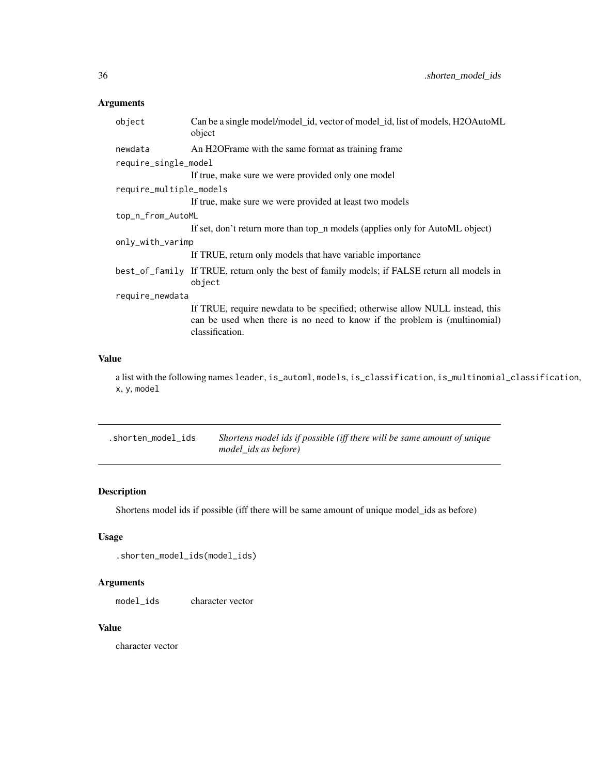# <span id="page-35-0"></span>Arguments

| Can be a single model/model_id, vector of model_id, list of models, H2OAutoML<br>object                                                                                      |  |  |
|------------------------------------------------------------------------------------------------------------------------------------------------------------------------------|--|--|
| An H2OF rame with the same format as training frame                                                                                                                          |  |  |
| require_single_model                                                                                                                                                         |  |  |
| If true, make sure we were provided only one model                                                                                                                           |  |  |
| require_multiple_models                                                                                                                                                      |  |  |
| If true, make sure we were provided at least two models                                                                                                                      |  |  |
| top_n_from_AutoML                                                                                                                                                            |  |  |
| If set, don't return more than top_n models (applies only for AutoML object)                                                                                                 |  |  |
| only_with_varimp                                                                                                                                                             |  |  |
| If TRUE, return only models that have variable importance                                                                                                                    |  |  |
| best_of_family If TRUE, return only the best of family models; if FALSE return all models in<br>object                                                                       |  |  |
| require_newdata                                                                                                                                                              |  |  |
| If TRUE, require newdata to be specified; otherwise allow NULL instead, this<br>can be used when there is no need to know if the problem is (multinomial)<br>classification. |  |  |
|                                                                                                                                                                              |  |  |

# Value

a list with the following names leader, is\_automl, models, is\_classification, is\_multinomial\_classification, x, y, model

| .shorten_model_ids | Shortens model ids if possible (iff there will be same amount of unique |
|--------------------|-------------------------------------------------------------------------|
|                    | model ids as before)                                                    |

# Description

Shortens model ids if possible (iff there will be same amount of unique model\_ids as before)

# Usage

```
.shorten_model_ids(model_ids)
```
# Arguments

model\_ids character vector

## Value

character vector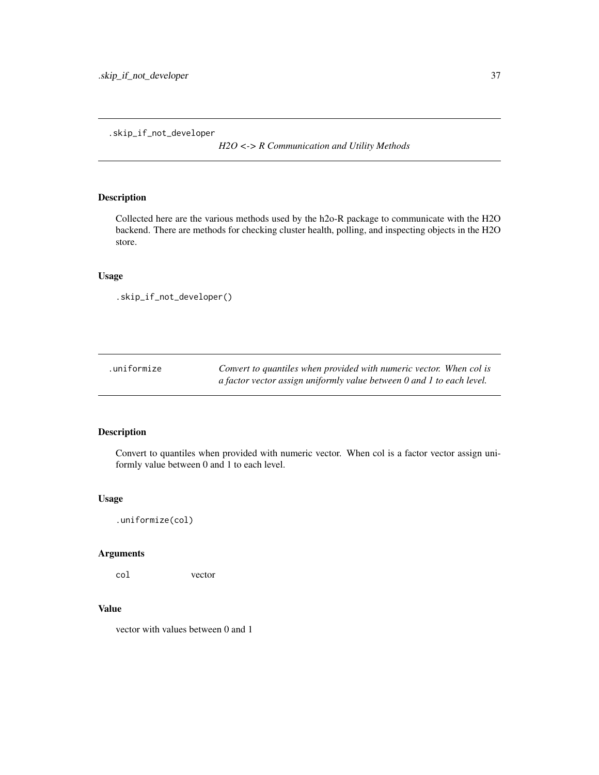.skip\_if\_not\_developer

*H2O <-> R Communication and Utility Methods*

# Description

Collected here are the various methods used by the h2o-R package to communicate with the H2O backend. There are methods for checking cluster health, polling, and inspecting objects in the H2O store.

## Usage

```
.skip_if_not_developer()
```

| .uniformize | Convert to quantiles when provided with numeric vector. When col is   |
|-------------|-----------------------------------------------------------------------|
|             | a factor vector assign uniformly value between 0 and 1 to each level. |

# Description

Convert to quantiles when provided with numeric vector. When col is a factor vector assign uniformly value between 0 and 1 to each level.

### Usage

```
.uniformize(col)
```
# Arguments

col vector

# Value

vector with values between 0 and 1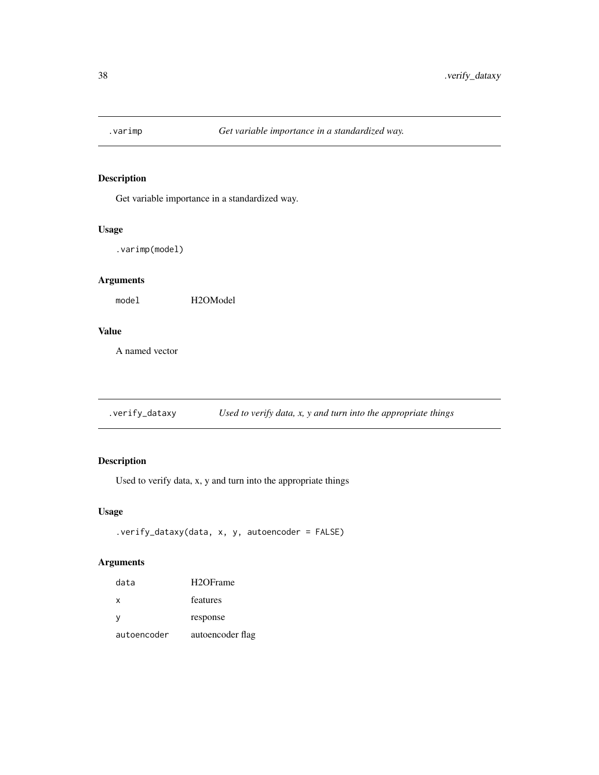Get variable importance in a standardized way.

# Usage

.varimp(model)

# Arguments

model H2OModel

## Value

A named vector

.verify\_dataxy *Used to verify data, x, y and turn into the appropriate things*

# Description

Used to verify data, x, y and turn into the appropriate things

## Usage

```
.verify_dataxy(data, x, y, autoencoder = FALSE)
```
# Arguments

| data        | H <sub>2</sub> OFrame |
|-------------|-----------------------|
| x           | features              |
| у           | response              |
| autoencoder | autoencoder flag      |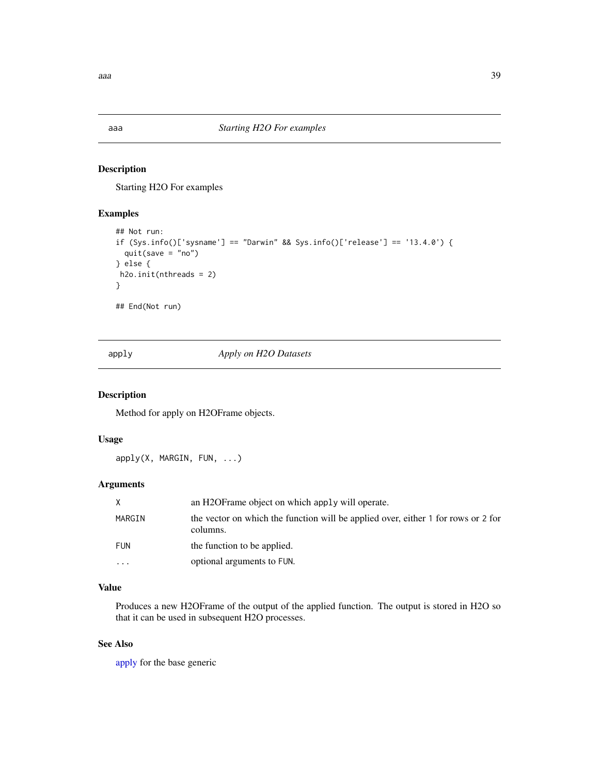Starting H2O For examples

### Examples

```
## Not run:
if (Sys.info()['sysname'] == "Darwin" && Sys.info()['release'] == '13.4.0') {
  quit(save = "no")
} else {
h2o.init(nthreads = 2)
}
## End(Not run)
```
<span id="page-38-0"></span>apply *Apply on H2O Datasets*

# Description

Method for apply on H2OFrame objects.

## Usage

apply(X, MARGIN, FUN, ...)

# Arguments

| X          | an H <sub>2</sub> OF rame object on which apply will operate.                                 |
|------------|-----------------------------------------------------------------------------------------------|
| MARGIN     | the vector on which the function will be applied over, either 1 for rows or 2 for<br>columns. |
| <b>FUN</b> | the function to be applied.                                                                   |
| .          | optional arguments to FUN.                                                                    |

# Value

Produces a new H2OFrame of the output of the applied function. The output is stored in H2O so that it can be used in subsequent H2O processes.

## See Also

[apply](#page-38-0) for the base generic

 $a$ aa  $39$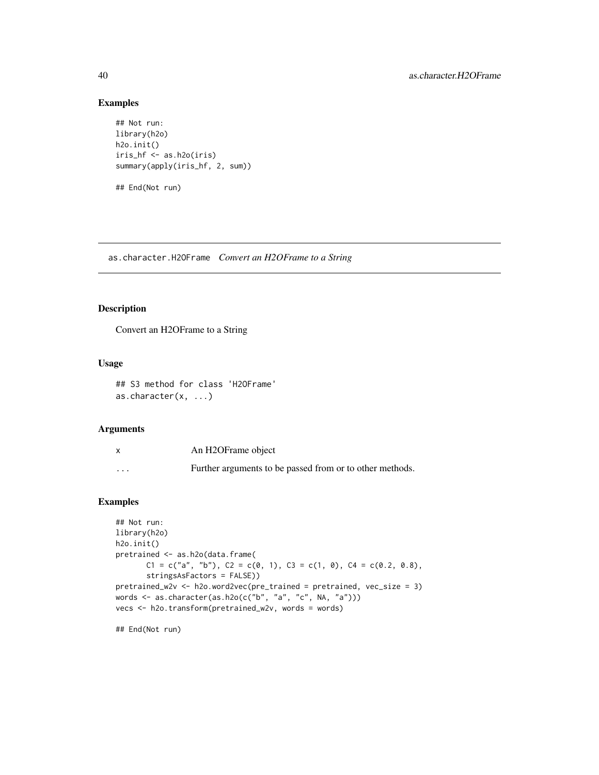# Examples

```
## Not run:
library(h2o)
h2o.init()
iris_hf <- as.h2o(iris)
summary(apply(iris_hf, 2, sum))
## End(Not run)
```
as.character.H2OFrame *Convert an H2OFrame to a String*

## Description

Convert an H2OFrame to a String

## Usage

```
## S3 method for class 'H2OFrame'
as.character(x, ...)
```
### Arguments

|          | An H2OFrame object                                       |
|----------|----------------------------------------------------------|
| $\cdots$ | Further arguments to be passed from or to other methods. |

# Examples

```
## Not run:
library(h2o)
h2o.init()
pretrained <- as.h2o(data.frame(
       C1 = c("a", "b"), C2 = c(0, 1), C3 = c(1, 0), C4 = c(0.2, 0.8),stringsAsFactors = FALSE))
pretrained_w2v <- h2o.word2vec(pre_trained = pretrained, vec_size = 3)
words <- as.character(as.h2o(c("b", "a", "c", NA, "a")))
vecs <- h2o.transform(pretrained_w2v, words = words)
```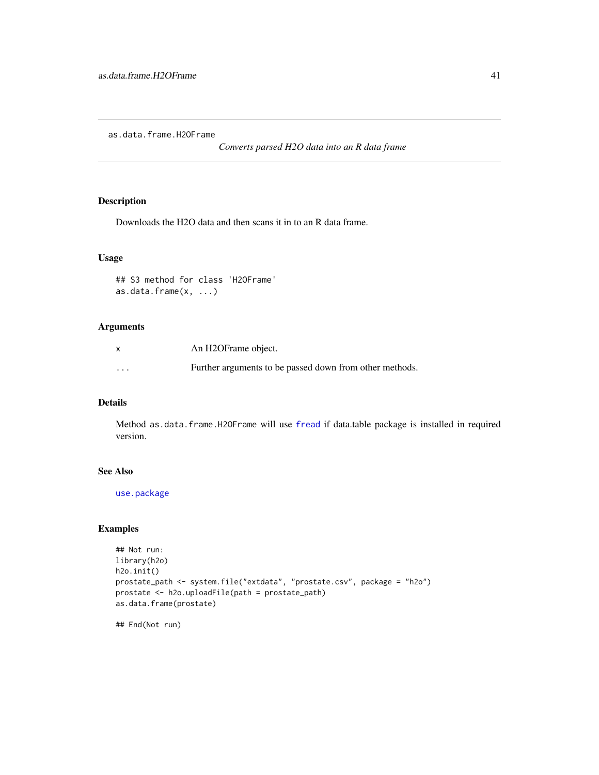as.data.frame.H2OFrame

*Converts parsed H2O data into an R data frame*

# Description

Downloads the H2O data and then scans it in to an R data frame.

## Usage

```
## S3 method for class 'H2OFrame'
as.data.frame(x, ...)
```
## Arguments

| $\mathsf{x}$            | An H2OFrame object.                                     |
|-------------------------|---------------------------------------------------------|
| $\cdot$ $\cdot$ $\cdot$ | Further arguments to be passed down from other methods. |

#### Details

Method as.data.frame.H2OFrame will use [fread](#page-0-0) if data.table package is installed in required version.

## See Also

[use.package](#page-396-0)

## Examples

```
## Not run:
library(h2o)
h2o.init()
prostate_path <- system.file("extdata", "prostate.csv", package = "h2o")
prostate <- h2o.uploadFile(path = prostate_path)
as.data.frame(prostate)
```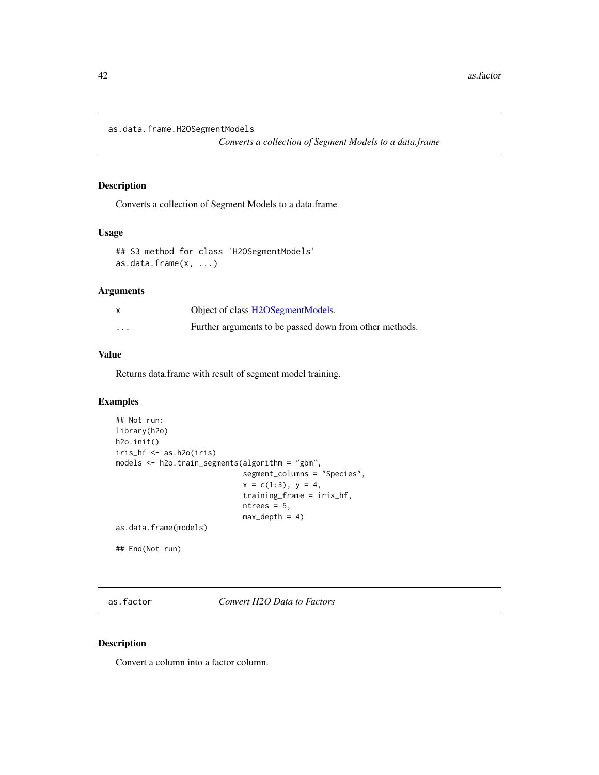as.data.frame.H2OSegmentModels

*Converts a collection of Segment Models to a data.frame*

## Description

Converts a collection of Segment Models to a data.frame

## Usage

```
## S3 method for class 'H2OSegmentModels'
as.data.frame(x, ...)
```
#### Arguments

|          | Object of class H2OSegmentModels.                       |
|----------|---------------------------------------------------------|
| $\cdots$ | Further arguments to be passed down from other methods. |

# Value

Returns data.frame with result of segment model training.

## Examples

```
## Not run:
library(h2o)
h2o.init()
iris_hf <- as.h2o(iris)
models <- h2o.train_segments(algorithm = "gbm",
                             segment_columns = "Species",
                             x = c(1:3), y = 4,
                             training_frame = iris_hf,
                             ntrees = 5,
                             max\_depth = 4)
as.data.frame(models)
## End(Not run)
```
<span id="page-41-0"></span>as.factor *Convert H2O Data to Factors*

## Description

Convert a column into a factor column.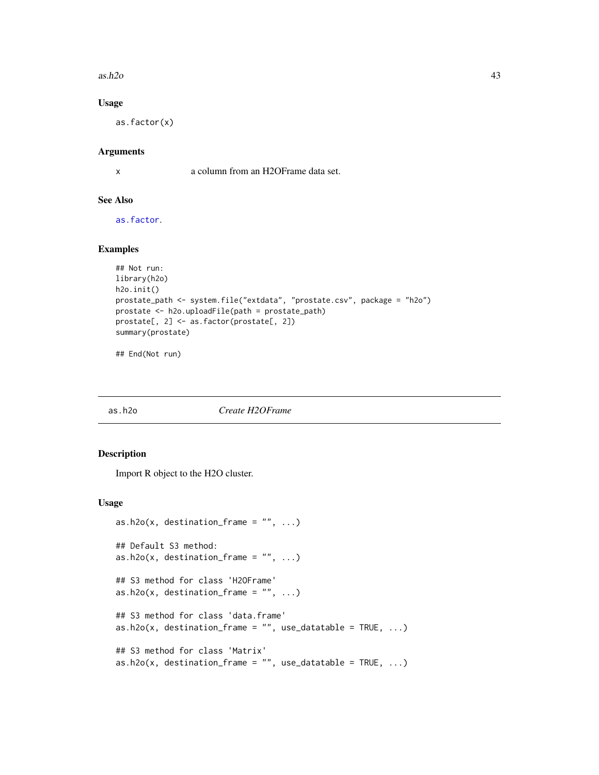$a$ s.h2o  $43$ 

## Usage

as.factor(x)

### Arguments

x a column from an H2OFrame data set.

## See Also

[as.factor](#page-41-0).

## Examples

```
## Not run:
library(h2o)
h2o.init()
prostate_path <- system.file("extdata", "prostate.csv", package = "h2o")
prostate <- h2o.uploadFile(path = prostate_path)
prostate[, 2] <- as.factor(prostate[, 2])
summary(prostate)
```
## End(Not run)

as.h2o *Create H2OFrame*

#### Description

Import R object to the H2O cluster.

## Usage

```
as.h2o(x, destination_frame = ", ...)
## Default S3 method:
as.h2o(x, destination-frame = "", ...)## S3 method for class 'H2OFrame'
as.h2o(x, destination_frame = ", ...)
## S3 method for class 'data.frame'
as.h2o(x, destination-frame = "", use_datatable = TRUE, ...)## S3 method for class 'Matrix'
as.h2o(x, destination-frame = "", use_dataable = TRUE, ...)
```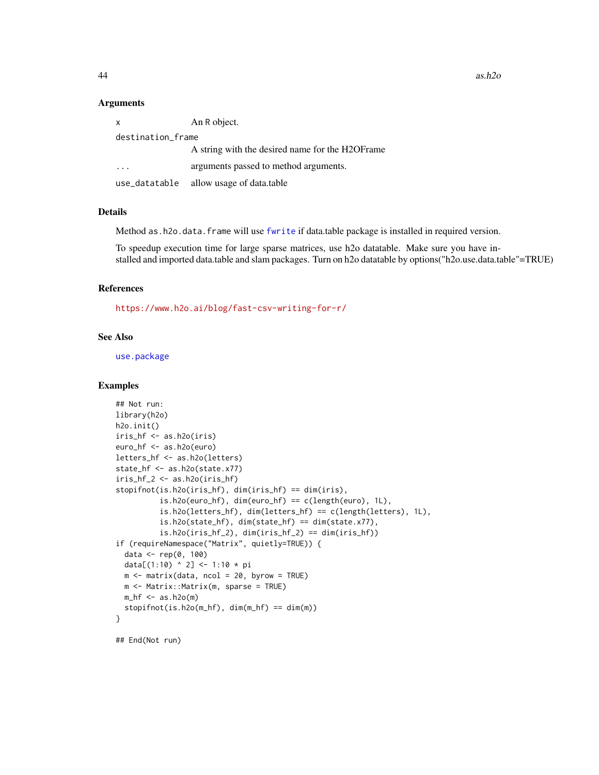$44$  as.h2o

#### Arguments

| $\mathsf{x}$      | An R object.                                     |  |
|-------------------|--------------------------------------------------|--|
| destination_frame |                                                  |  |
|                   | A string with the desired name for the H2OF rame |  |
|                   | arguments passed to method arguments.            |  |
| use_datatable     | allow usage of data.table                        |  |

#### Details

Method as.h2o.data.frame will use [fwrite](#page-0-0) if data.table package is installed in required version.

To speedup execution time for large sparse matrices, use h2o datatable. Make sure you have installed and imported data.table and slam packages. Turn on h2o datatable by options("h2o.use.data.table"=TRUE)

### References

<https://www.h2o.ai/blog/fast-csv-writing-for-r/>

# See Also

[use.package](#page-396-0)

#### Examples

```
## Not run:
library(h2o)
h2o.init()
iris_hf <- as.h2o(iris)
euro_hf <- as.h2o(euro)
letters_hf <- as.h2o(letters)
state_hf <- as.h2o(state.x77)
iris_hf_2 <- as.h2o(iris_hf)
stopifnot(is.h2o(iris_hf), dim(iris_hf) == dim(iris),
          is.h2o(euro_hf), dim(euro_hf) == c(length(euro), 1L),
          is.h2o(letters_hf), dim(letters_hf) == c(length(letters), 1L),
          is.h2o(state_hf), dim(state_hf) == dim(state.x77),
          is.h2o(iris_hf_2), dim(iris_hf_2) == dim(iris_hf))
if (requireNamespace("Matrix", quietly=TRUE)) {
  data <- rep(0, 100)
  data[(1:10) ^ 2] <- 1:10 * pi
  m \le - matrix(data, ncol = 20, byrow = TRUE)
  m <- Matrix::Matrix(m, sparse = TRUE)
  m_h f \leq -as.h2o(m)stopifnot(is.h2o(m_hf), dim(m_hf) == dim(m))
}
## End(Not run)
```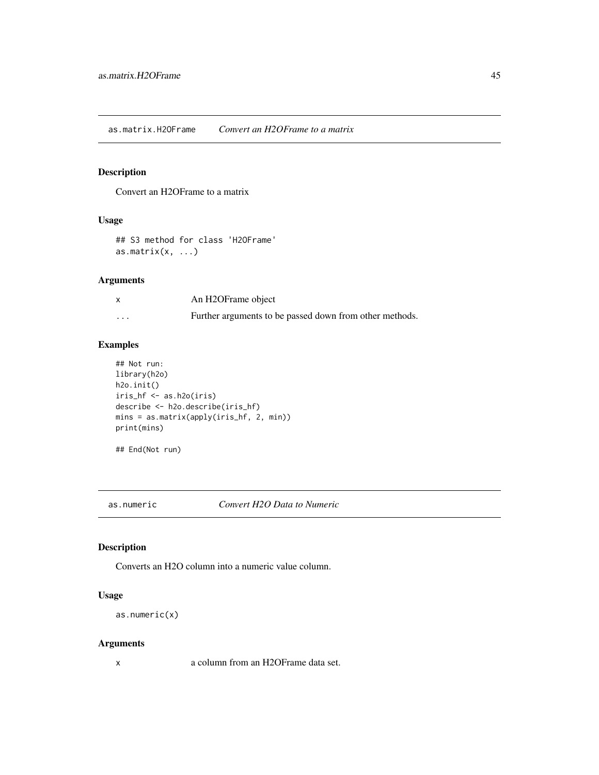Convert an H2OFrame to a matrix

# Usage

```
## S3 method for class 'H2OFrame'
as.matrix(x, \ldots)
```
# Arguments

| $\boldsymbol{\mathsf{x}}$ | An H2OFrame object                                      |
|---------------------------|---------------------------------------------------------|
| $\cdots$                  | Further arguments to be passed down from other methods. |

# Examples

```
## Not run:
library(h2o)
h2o.init()
iris_hf <- as.h2o(iris)
describe <- h2o.describe(iris_hf)
mins = as.matrix(apply(iris_hf, 2, min))
print(mins)
```

```
## End(Not run)
```
as.numeric *Convert H2O Data to Numeric*

## Description

Converts an H2O column into a numeric value column.

## Usage

```
as.numeric(x)
```
### Arguments

x a column from an H2OFrame data set.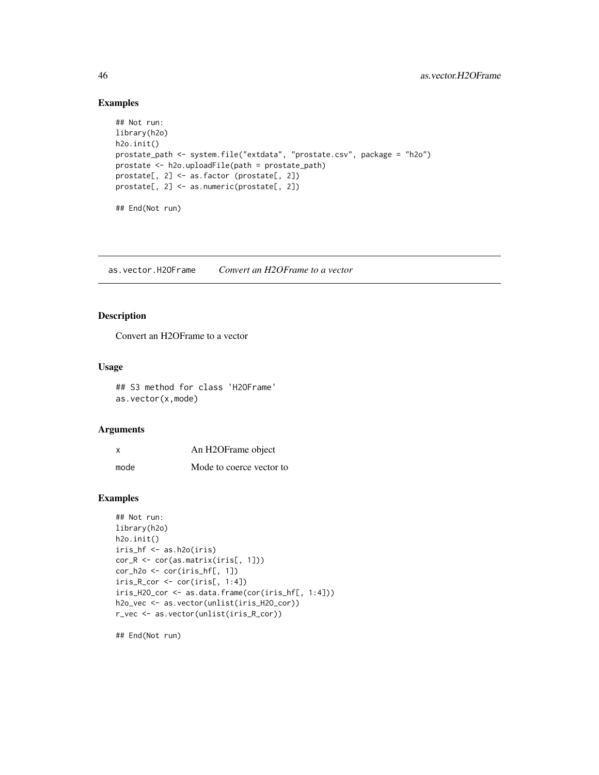# Examples

```
## Not run:
library(h2o)
h2o.init()
prostate_path <- system.file("extdata", "prostate.csv", package = "h2o")
prostate <- h2o.uploadFile(path = prostate_path)
prostate[, 2] <- as.factor (prostate[, 2])
prostate[, 2] <- as.numeric(prostate[, 2])
## End(Not run)
```
as.vector.H2OFrame *Convert an H2OFrame to a vector*

## Description

Convert an H2OFrame to a vector

#### Usage

## S3 method for class 'H2OFrame' as.vector(x,mode)

# Arguments

| X    | An H2OFrame object       |
|------|--------------------------|
| mode | Mode to coerce vector to |

#### Examples

```
## Not run:
library(h2o)
h2o.init()
iris_hf <- as.h2o(iris)
cor_R <- cor(as.matrix(iris[, 1]))
cor_h2o \leftarrow cor(iris_hf[, 1])iris_R_cor <- cor(iris[, 1:4])
iris_H2O_cor <- as.data.frame(cor(iris_hf[, 1:4]))
h2o_vec <- as.vector(unlist(iris_H2O_cor))
r_vec <- as.vector(unlist(iris_R_cor))
```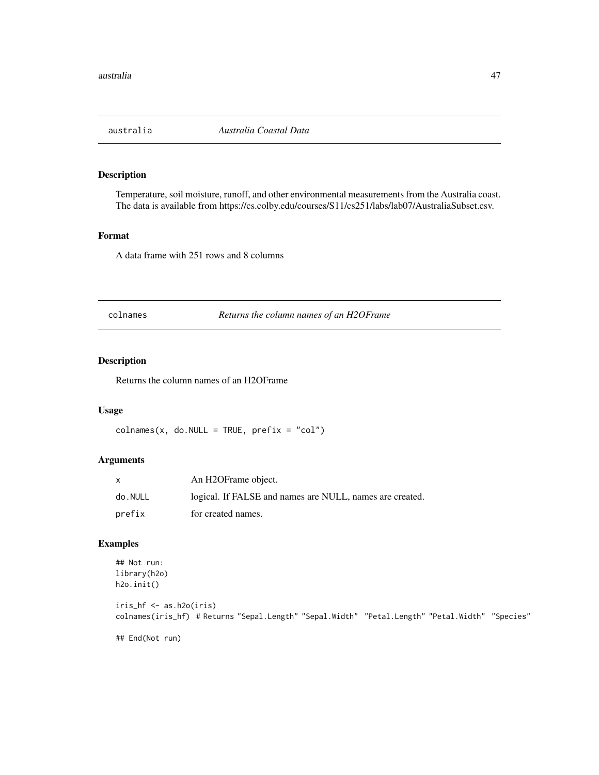Temperature, soil moisture, runoff, and other environmental measurements from the Australia coast. The data is available from https://cs.colby.edu/courses/S11/cs251/labs/lab07/AustraliaSubset.csv.

## Format

A data frame with 251 rows and 8 columns

colnames *Returns the column names of an H2OFrame*

# Description

Returns the column names of an H2OFrame

#### Usage

 $colnames(x, do.NULL = TRUE, prefix = "col")$ 

# Arguments

|         | An H2OFrame object.                                      |
|---------|----------------------------------------------------------|
| do.NULL | logical. If FALSE and names are NULL, names are created. |
| prefix  | for created names.                                       |

# Examples

```
## Not run:
library(h2o)
h2o.init()
iris_hf <- as.h2o(iris)
colnames(iris_hf) # Returns "Sepal.Length" "Sepal.Width" "Petal.Length" "Petal.Width" "Species"
```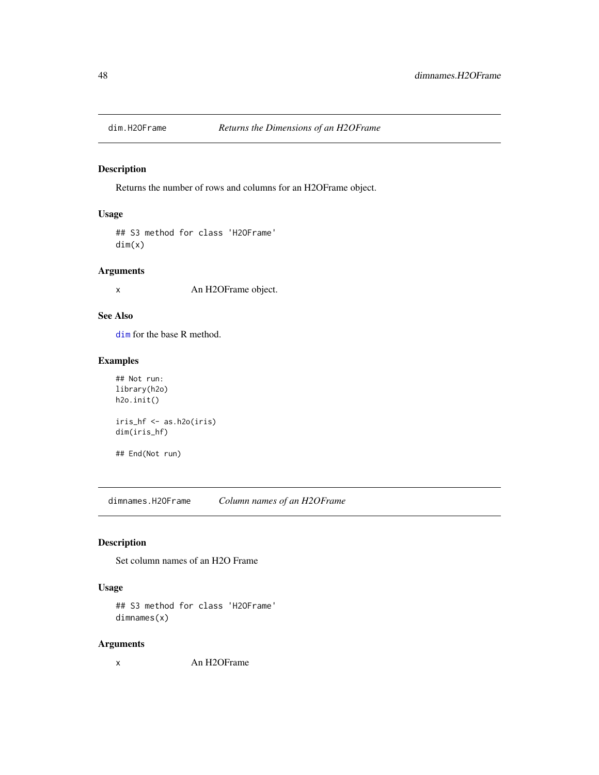Returns the number of rows and columns for an H2OFrame object.

# Usage

## S3 method for class 'H2OFrame' dim(x)

### Arguments

x An H2OFrame object.

# See Also

[dim](#page-0-0) for the base R method.

# Examples

```
## Not run:
library(h2o)
h2o.init()
iris_hf <- as.h2o(iris)
dim(iris_hf)
## End(Not run)
```
dimnames.H2OFrame *Column names of an H2OFrame*

## Description

Set column names of an H2O Frame

# Usage

```
## S3 method for class 'H2OFrame'
dimnames(x)
```
# Arguments

x An H2OFrame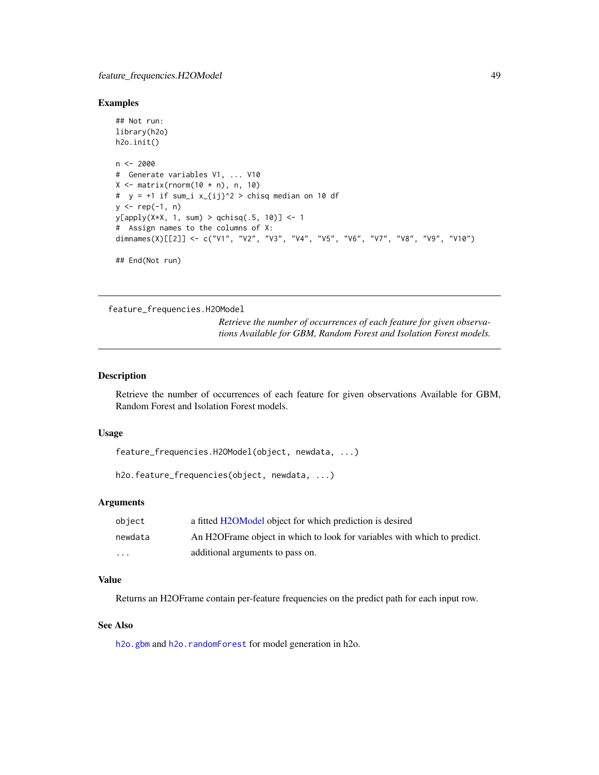#### Examples

```
## Not run:
library(h2o)
h2o.init()
n < -2000# Generate variables V1, ... V10
X \leftarrow matrix(rnorm(10 * n), n, 10)# y = +1 if sum_i x_{ij}^2 > chisq median on 10 df
y \leq - rep(-1, n)
y[apply(X*X, 1, sum) > qchisq(.5, 10)] <- 1
# Assign names to the columns of X:
dimnames(X)[[2]] <- c("V1", "V2", "V3", "V4", "V5", "V6", "V7", "V8", "V9", "V10")
## End(Not run)
```
feature\_frequencies.H2OModel

*Retrieve the number of occurrences of each feature for given observations Available for GBM, Random Forest and Isolation Forest models.*

#### Description

Retrieve the number of occurrences of each feature for given observations Available for GBM, Random Forest and Isolation Forest models.

## Usage

feature\_frequencies.H2OModel(object, newdata, ...)

h2o.feature\_frequencies(object, newdata, ...)

#### Arguments

| object   | a fitted H2OModel object for which prediction is desired                  |
|----------|---------------------------------------------------------------------------|
| newdata  | An H2OF rame object in which to look for variables with which to predict. |
| $\cdots$ | additional arguments to pass on.                                          |

# Value

Returns an H2OFrame contain per-feature frequencies on the predict path for each input row.

## See Also

[h2o.gbm](#page-136-0) and [h2o.randomForest](#page-268-0) for model generation in h2o.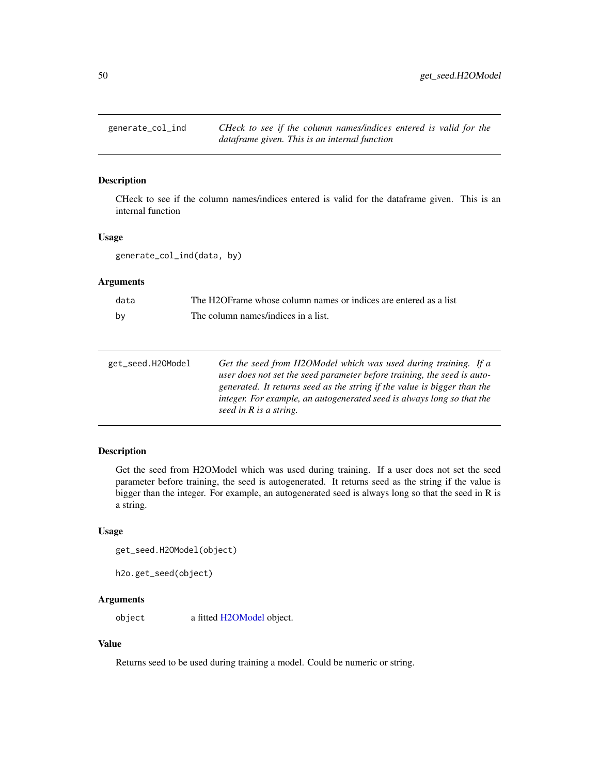CHeck to see if the column names/indices entered is valid for the dataframe given. This is an internal function

# Usage

generate\_col\_ind(data, by)

# Arguments

| data | The H2OFrame whose column names or indices are entered as a list |
|------|------------------------------------------------------------------|
| bv   | The column names/indices in a list.                              |

| Get the seed from H2OModel which was used during training. If a          |
|--------------------------------------------------------------------------|
| user does not set the seed parameter before training, the seed is auto-  |
| generated. It returns seed as the string if the value is bigger than the |
| integer. For example, an autogenerated seed is always long so that the   |
| seed in R is a string.                                                   |
|                                                                          |

# Description

Get the seed from H2OModel which was used during training. If a user does not set the seed parameter before training, the seed is autogenerated. It returns seed as the string if the value is bigger than the integer. For example, an autogenerated seed is always long so that the seed in R is a string.

# Usage

```
get_seed.H2OModel(object)
```

```
h2o.get_seed(object)
```
# Arguments

object a fitted [H2OModel](#page-370-0) object.

## Value

Returns seed to be used during training a model. Could be numeric or string.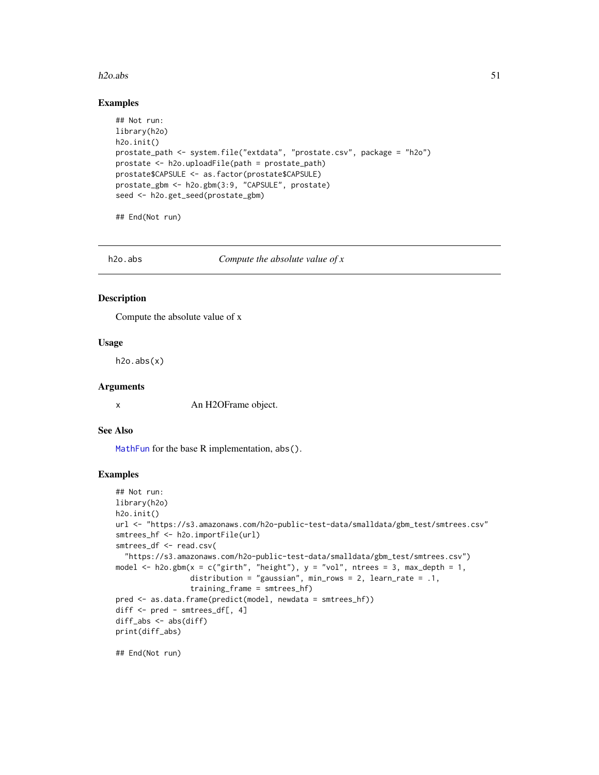#### h2o.abs 51

#### Examples

```
## Not run:
library(h2o)
h2o.init()
prostate_path <- system.file("extdata", "prostate.csv", package = "h2o")
prostate <- h2o.uploadFile(path = prostate_path)
prostate$CAPSULE <- as.factor(prostate$CAPSULE)
prostate_gbm <- h2o.gbm(3:9, "CAPSULE", prostate)
seed <- h2o.get_seed(prostate_gbm)
```
## End(Not run)

h2o.abs *Compute the absolute value of x*

## Description

Compute the absolute value of x

## Usage

h2o.abs(x)

## Arguments

x An H2OFrame object.

### See Also

[MathFun](#page-0-0) for the base R implementation, abs().

#### Examples

```
## Not run:
library(h2o)
h2o.init()
url <- "https://s3.amazonaws.com/h2o-public-test-data/smalldata/gbm_test/smtrees.csv"
smtrees_hf <- h2o.importFile(url)
smtrees_df <- read.csv(
  "https://s3.amazonaws.com/h2o-public-test-data/smalldata/gbm_test/smtrees.csv")
model \leq h2o.gbm(x = c("girth", "height"), y = "vol", ntrees = 3, max_depth = 1,
                 distribution = "gaussian", min_rows = 2, learn_rate = .1,
                 training_frame = smtrees_hf)
pred <- as.data.frame(predict(model, newdata = smtrees_hf))
diff <- pred - smtrees_df[, 4]
diff_abs <- abs(diff)
print(diff_abs)
```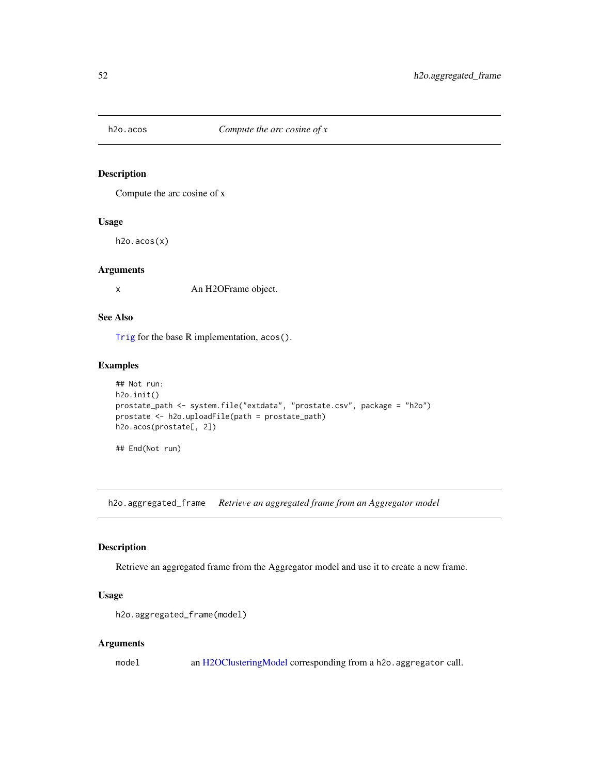Compute the arc cosine of x

## Usage

h2o.acos(x)

## Arguments

x An H2OFrame object.

# See Also

[Trig](#page-0-0) for the base R implementation, acos().

# Examples

```
## Not run:
h2o.init()
prostate_path <- system.file("extdata", "prostate.csv", package = "h2o")
prostate <- h2o.uploadFile(path = prostate_path)
h2o.acos(prostate[, 2])
```
## End(Not run)

h2o.aggregated\_frame *Retrieve an aggregated frame from an Aggregator model*

#### Description

Retrieve an aggregated frame from the Aggregator model and use it to create a new frame.

## Usage

h2o.aggregated\_frame(model)

#### Arguments

model an [H2OClusteringModel](#page-364-0) corresponding from a h2o.aggregator call.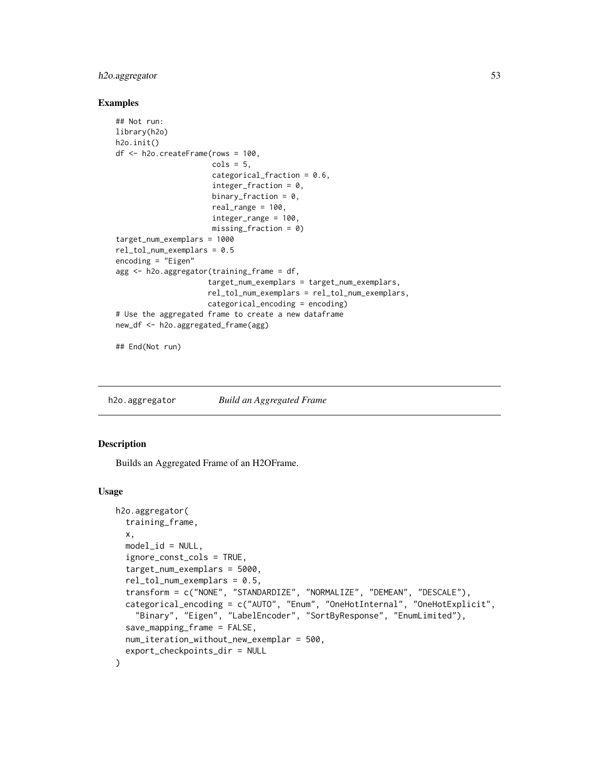# h2o.aggregator 53

#### Examples

```
## Not run:
library(h2o)
h2o.init()
df <- h2o.createFrame(rows = 100,
                      cols = 5,
                      categorical_fraction = 0.6,
                      integer_fraction = 0,
                      binary_fraction = 0,
                      real_range = 100,
                      integer_range = 100,
                      missing_fraction = 0)
target_num_exemplars = 1000
rel_tol_num_exemplars = 0.5
encoding = "Eigen"
agg <- h2o.aggregator(training_frame = df,
                     target_num_exemplars = target_num_exemplars,
                     rel_tol_num_exemplars = rel_tol_num_exemplars,
                     categorical_encoding = encoding)
# Use the aggregated frame to create a new dataframe
new_df <- h2o.aggregated_frame(agg)
```
## End(Not run)

h2o.aggregator *Build an Aggregated Frame*

## **Description**

Builds an Aggregated Frame of an H2OFrame.

#### Usage

```
h2o.aggregator(
  training_frame,
  x,
 model_id = NULL,ignore_const_cols = TRUE,
  target_num_exemplars = 5000,
  rel\_tol\_num\_exemplars = 0.5,
  transform = c("NONE", "STANDARDIZE", "NORMALIZE", "DEMEAN", "DESCALE"),
  categorical_encoding = c("AUTO", "Enum", "OneHotInternal", "OneHotExplicit",
    "Binary", "Eigen", "LabelEncoder", "SortByResponse", "EnumLimited"),
  save_mapping_frame = FALSE,
  num_iteration_without_new_exemplar = 500,
  export_checkpoints_dir = NULL
)
```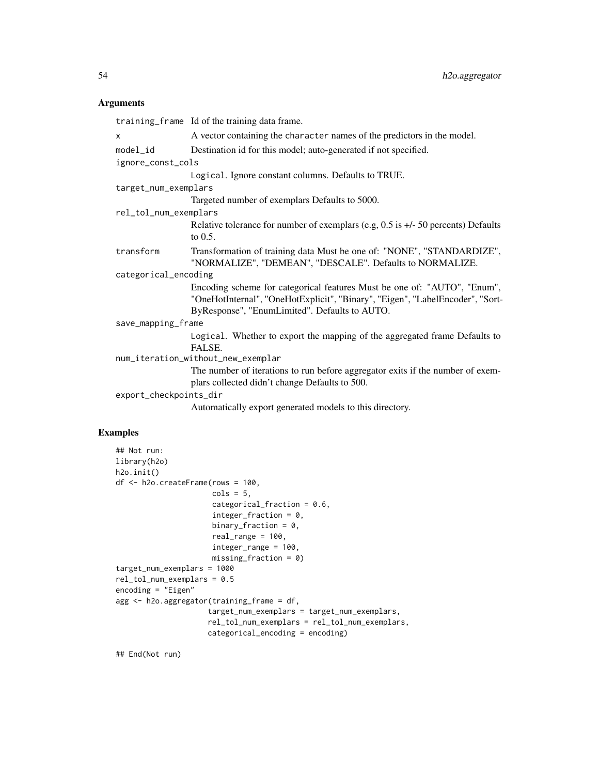#### Arguments

training\_frame Id of the training data frame. x A vector containing the character names of the predictors in the model. model\_id Destination id for this model; auto-generated if not specified. ignore\_const\_cols Logical. Ignore constant columns. Defaults to TRUE. target\_num\_exemplars Targeted number of exemplars Defaults to 5000. rel\_tol\_num\_exemplars Relative tolerance for number of exemplars (e.g, 0.5 is +/- 50 percents) Defaults to 0.5. transform Transformation of training data Must be one of: "NONE", "STANDARDIZE", "NORMALIZE", "DEMEAN", "DESCALE". Defaults to NORMALIZE. categorical\_encoding Encoding scheme for categorical features Must be one of: "AUTO", "Enum", "OneHotInternal", "OneHotExplicit", "Binary", "Eigen", "LabelEncoder", "Sort-ByResponse", "EnumLimited". Defaults to AUTO. save\_mapping\_frame Logical. Whether to export the mapping of the aggregated frame Defaults to FALSE. num\_iteration\_without\_new\_exemplar The number of iterations to run before aggregator exits if the number of exemplars collected didn't change Defaults to 500. export\_checkpoints\_dir Automatically export generated models to this directory.

## Examples

```
## Not run:
library(h2o)
h2o.init()
df <- h2o.createFrame(rows = 100,
                      \text{cols} = 5,
                      categorical_fraction = 0.6,
                      integer_fraction = 0,
                      binary_fraction = 0,
                      real_range = 100,
                      integer_range = 100,
                      missing_fraction = 0)
target_num_exemplars = 1000
rel_tol_num_exemplars = 0.5
encoding = "Eigen"
agg <- h2o.aggregator(training_frame = df,
                     target_num_exemplars = target_num_exemplars,
                      rel_tol_num_exemplars = rel_tol_num_exemplars,
                     categorical_encoding = encoding)
```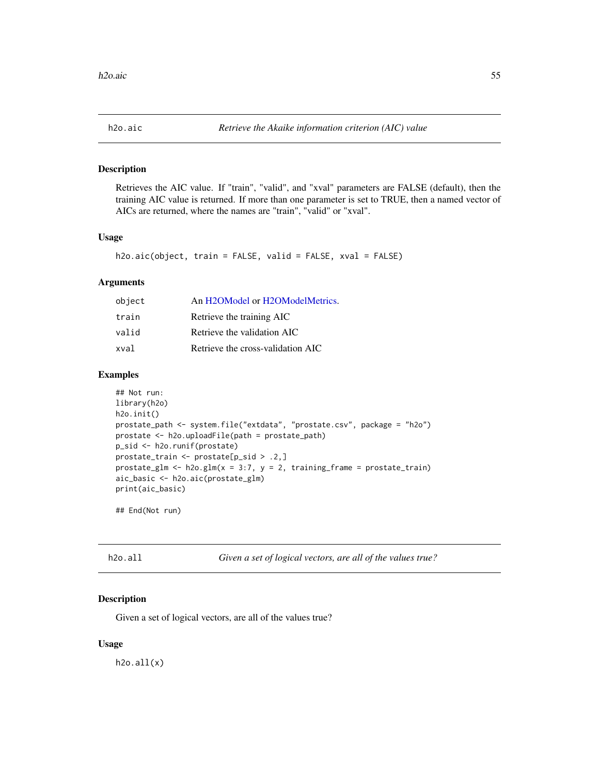Retrieves the AIC value. If "train", "valid", and "xval" parameters are FALSE (default), then the training AIC value is returned. If more than one parameter is set to TRUE, then a named vector of AICs are returned, where the names are "train", "valid" or "xval".

## Usage

```
h2o.aic(object, train = FALSE, valid = FALSE, xval = FALSE)
```
## Arguments

| object | An H2OModel or H2OModelMetrics.   |
|--------|-----------------------------------|
| train  | Retrieve the training AIC         |
| valid  | Retrieve the validation AIC       |
| xval   | Retrieve the cross-validation AIC |

## Examples

```
## Not run:
library(h2o)
h2o.init()
prostate_path <- system.file("extdata", "prostate.csv", package = "h2o")
prostate <- h2o.uploadFile(path = prostate_path)
p_sid <- h2o.runif(prostate)
prostate_train <- prostate[p_sid > .2,]
prostate_glm <- h2o.glm(x = 3:7, y = 2, training_frame = prostate_train)
aic_basic <- h2o.aic(prostate_glm)
print(aic_basic)
```
## End(Not run)

| $h2o$ .all |  |  |
|------------|--|--|
|            |  |  |

Given a set of logical vectors, are all of the values true?

## Description

Given a set of logical vectors, are all of the values true?

#### Usage

 $h2o.all(x)$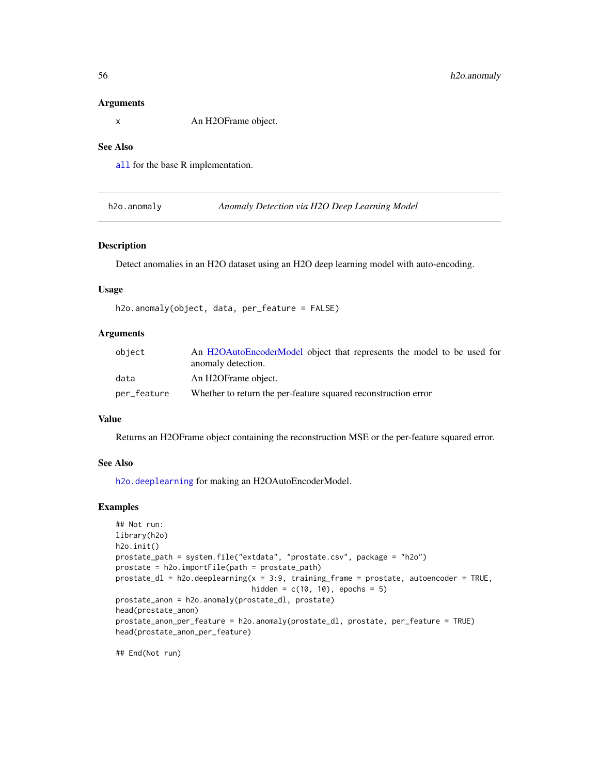#### Arguments

x An H2OFrame object.

## See Also

[all](#page-0-0) for the base R implementation.

h2o.anomaly *Anomaly Detection via H2O Deep Learning Model*

#### Description

Detect anomalies in an H2O dataset using an H2O deep learning model with auto-encoding.

## Usage

```
h2o.anomaly(object, data, per_feature = FALSE)
```
# Arguments

| object      | An H2OAutoEncoderModel object that represents the model to be used for<br>anomaly detection. |
|-------------|----------------------------------------------------------------------------------------------|
| data        | An H2OFrame object.                                                                          |
| per_feature | Whether to return the per-feature squared reconstruction error                               |

#### Value

Returns an H2OFrame object containing the reconstruction MSE or the per-feature squared error.

## See Also

[h2o.deeplearning](#page-101-0) for making an H2OAutoEncoderModel.

## Examples

```
## Not run:
library(h2o)
h2o.init()
prostate_path = system.file("extdata", "prostate.csv", package = "h2o")
prostate = h2o.importFile(path = prostate_path)
prostate_dl = h2o.deeplearning(x = 3:9, training_frame = prostate, autoencoder = TRUE,
                               hidden = c(10, 10), epochs = 5)
prostate_anon = h2o.anomaly(prostate_dl, prostate)
head(prostate_anon)
prostate_anon_per_feature = h2o.anomaly(prostate_dl, prostate, per_feature = TRUE)
head(prostate_anon_per_feature)
```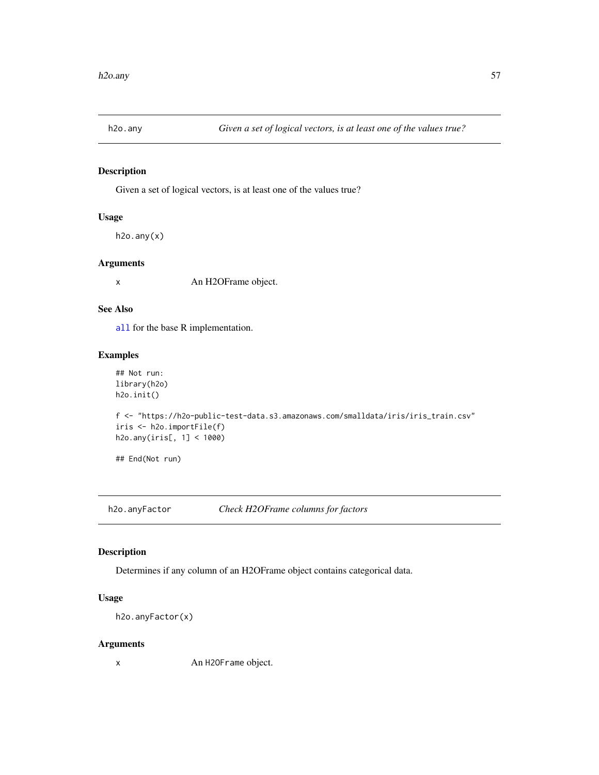Given a set of logical vectors, is at least one of the values true?

## Usage

h2o.any(x)

## Arguments

x An H2OFrame object.

#### See Also

[all](#page-0-0) for the base R implementation.

# Examples

```
## Not run:
library(h2o)
h2o.init()
f <- "https://h2o-public-test-data.s3.amazonaws.com/smalldata/iris/iris_train.csv"
iris <- h2o.importFile(f)
h2o.any(iris[, 1] < 1000)
## End(Not run)
```
h2o.anyFactor *Check H2OFrame columns for factors*

## Description

Determines if any column of an H2OFrame object contains categorical data.

## Usage

```
h2o.anyFactor(x)
```
### Arguments

x An H2OFrame object.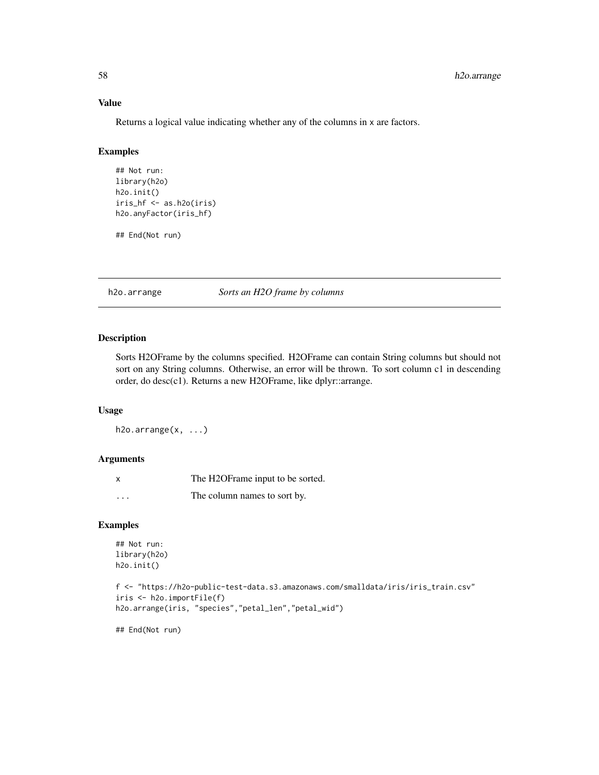## Value

Returns a logical value indicating whether any of the columns in x are factors.

# Examples

```
## Not run:
library(h2o)
h2o.init()
iris_hf <- as.h2o(iris)
h2o.anyFactor(iris_hf)
```
## End(Not run)

h2o.arrange *Sorts an H2O frame by columns*

## Description

Sorts H2OFrame by the columns specified. H2OFrame can contain String columns but should not sort on any String columns. Otherwise, an error will be thrown. To sort column c1 in descending order, do desc(c1). Returns a new H2OFrame, like dplyr::arrange.

#### Usage

h2o.arrange(x, ...)

#### Arguments

| $\boldsymbol{\mathsf{x}}$ | The H2OFrame input to be sorted. |
|---------------------------|----------------------------------|
| $\cdots$                  | The column names to sort by.     |

# Examples

```
## Not run:
library(h2o)
h2o.init()
```

```
f <- "https://h2o-public-test-data.s3.amazonaws.com/smalldata/iris/iris_train.csv"
iris <- h2o.importFile(f)
h2o.arrange(iris, "species","petal_len","petal_wid")
```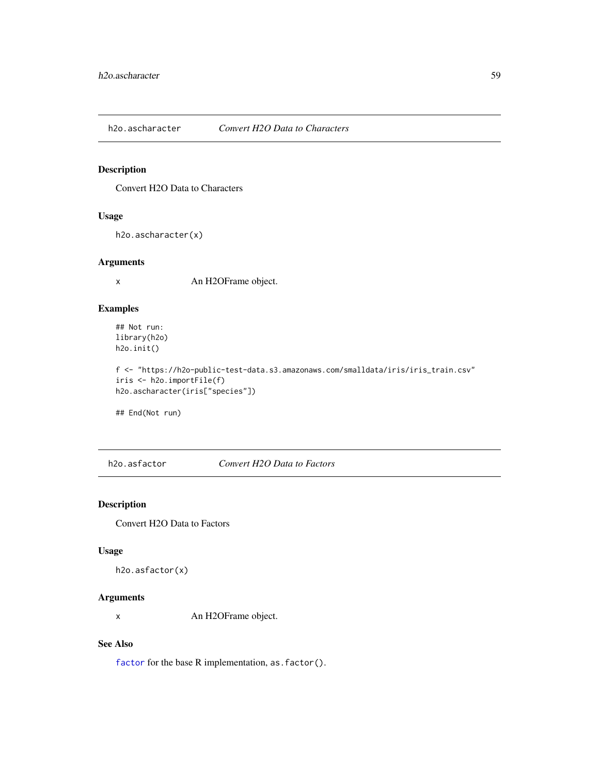h2o.ascharacter *Convert H2O Data to Characters*

# Description

Convert H2O Data to Characters

## Usage

h2o.ascharacter(x)

#### Arguments

x An H2OFrame object.

## Examples

## Not run: library(h2o) h2o.init()

f <- "https://h2o-public-test-data.s3.amazonaws.com/smalldata/iris/iris\_train.csv" iris <- h2o.importFile(f) h2o.ascharacter(iris["species"])

## End(Not run)

h2o.asfactor *Convert H2O Data to Factors*

## Description

Convert H2O Data to Factors

### Usage

```
h2o.asfactor(x)
```
# Arguments

x An H2OFrame object.

#### See Also

[factor](#page-0-0) for the base R implementation, as. factor().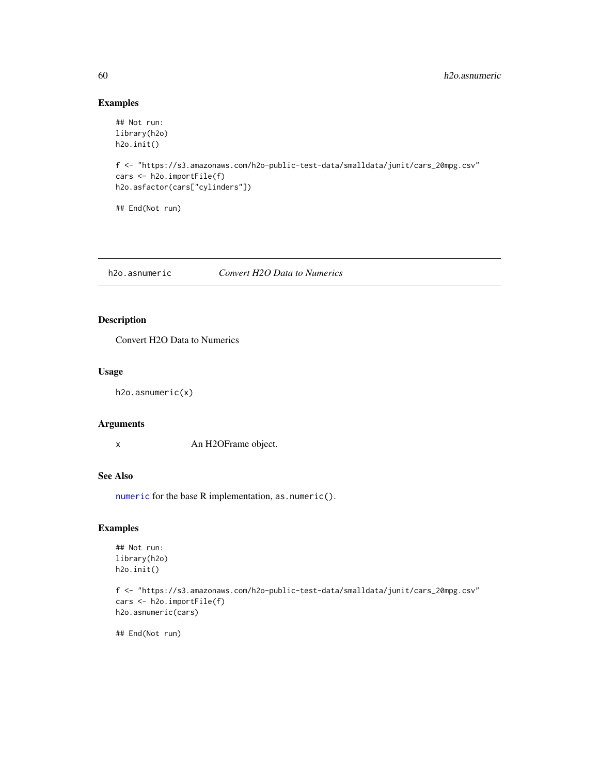# Examples

```
## Not run:
library(h2o)
h2o.init()
f <- "https://s3.amazonaws.com/h2o-public-test-data/smalldata/junit/cars_20mpg.csv"
cars <- h2o.importFile(f)
h2o.asfactor(cars["cylinders"])
## End(Not run)
```
h2o.asnumeric *Convert H2O Data to Numerics*

# Description

Convert H2O Data to Numerics

## Usage

h2o.asnumeric(x)

#### Arguments

x An H2OFrame object.

# See Also

[numeric](#page-0-0) for the base R implementation, as . numeric().

# Examples

```
## Not run:
library(h2o)
h2o.init()
```

```
f <- "https://s3.amazonaws.com/h2o-public-test-data/smalldata/junit/cars_20mpg.csv"
cars <- h2o.importFile(f)
h2o.asnumeric(cars)
```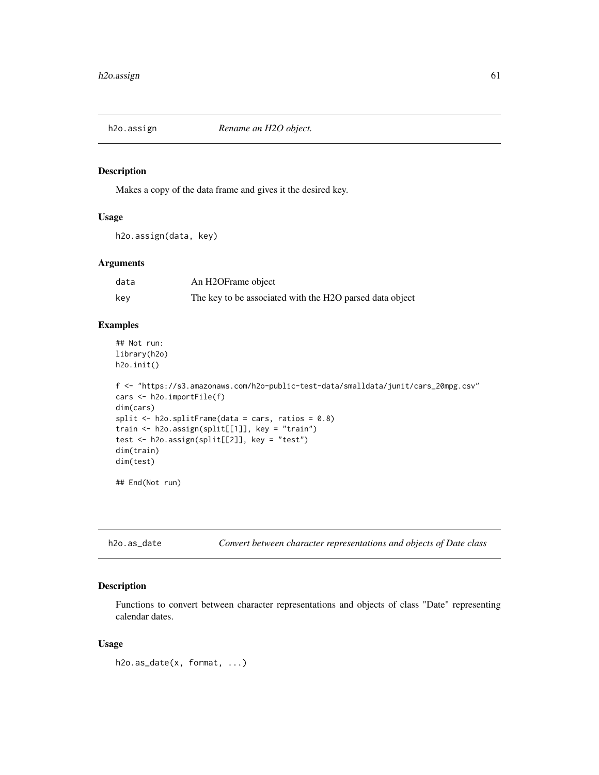Makes a copy of the data frame and gives it the desired key.

#### Usage

h2o.assign(data, key)

## Arguments

| data | An H2OFrame object                                       |
|------|----------------------------------------------------------|
| key  | The key to be associated with the H2O parsed data object |

#### Examples

```
## Not run:
library(h2o)
h2o.init()
```

```
f <- "https://s3.amazonaws.com/h2o-public-test-data/smalldata/junit/cars_20mpg.csv"
cars <- h2o.importFile(f)
dim(cars)
split \le h2o.splitFrame(data = cars, ratios = 0.8)
train <- h2o.assign(split[[1]], key = "train")
test <- h2o.assign(split[[2]], key = "test")
dim(train)
dim(test)
```
## End(Not run)

h2o.as\_date *Convert between character representations and objects of Date class*

# Description

Functions to convert between character representations and objects of class "Date" representing calendar dates.

#### Usage

h2o.as\_date(x, format, ...)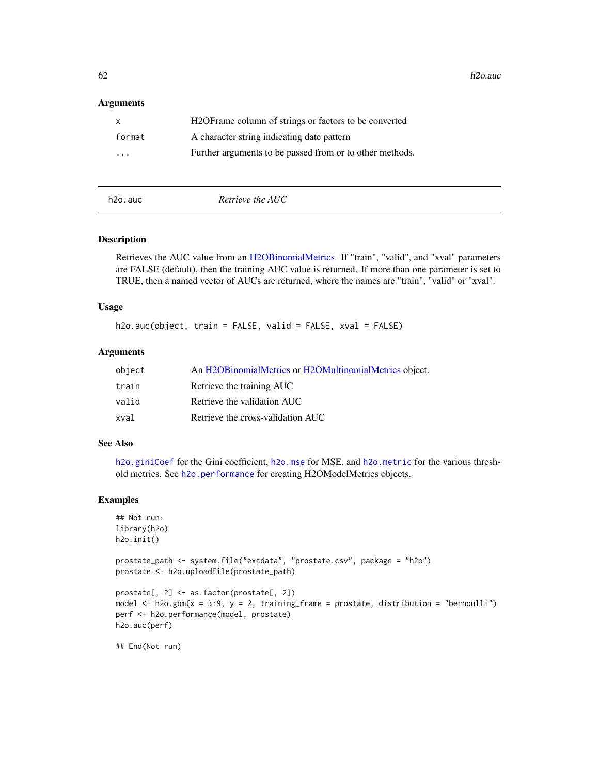$62$  h2o.auch  $h2o$ .auch  $h2o$ .auch  $h2o$ .auch  $h2o$ .auch  $h2o$ .auch  $h2o$ .auch  $h2o$ .auch  $h2o$ .auch  $h2o$ .auch  $h2o$ .auch  $h2o$ .auch  $h2o$ .auch  $h2o$ .auch  $h2o$ .auch  $h2o$ .auch  $h2o$ .auch  $h2o$ .auch  $h2o$ .auch  $h2o$ .auc

#### **Arguments**

| $\mathsf{X}$ | H <sub>2</sub> OF rame column of strings or factors to be converted |
|--------------|---------------------------------------------------------------------|
| format       | A character string indicating date pattern                          |
| $\cdots$     | Further arguments to be passed from or to other methods.            |

h2o.auc *Retrieve the AUC*

### Description

Retrieves the AUC value from an [H2OBinomialMetrics.](#page-371-1) If "train", "valid", and "xval" parameters are FALSE (default), then the training AUC value is returned. If more than one parameter is set to TRUE, then a named vector of AUCs are returned, where the names are "train", "valid" or "xval".

### Usage

h2o.auc(object, train = FALSE, valid = FALSE, xval = FALSE)

#### Arguments

| object | An H2OBinomialMetrics or H2OMultinomialMetrics object. |
|--------|--------------------------------------------------------|
| train  | Retrieve the training AUC                              |
| valid  | Retrieve the validation AUC                            |
| xval   | Retrieve the cross-validation AUC                      |

## See Also

[h2o.giniCoef](#page-156-0) for the Gini coefficient, [h2o.mse](#page-233-0) for MSE, and [h2o.metric](#page-225-0) for the various threshold metrics. See [h2o.performance](#page-256-0) for creating H2OModelMetrics objects.

# Examples

```
## Not run:
library(h2o)
h2o.init()
```

```
prostate_path <- system.file("extdata", "prostate.csv", package = "h2o")
prostate <- h2o.uploadFile(prostate_path)
```

```
prostate[, 2] <- as.factor(prostate[, 2])
model \leq h2o.gbm(x = 3:9, y = 2, training_frame = prostate, distribution = "bernoulli")
perf <- h2o.performance(model, prostate)
h2o.auc(perf)
```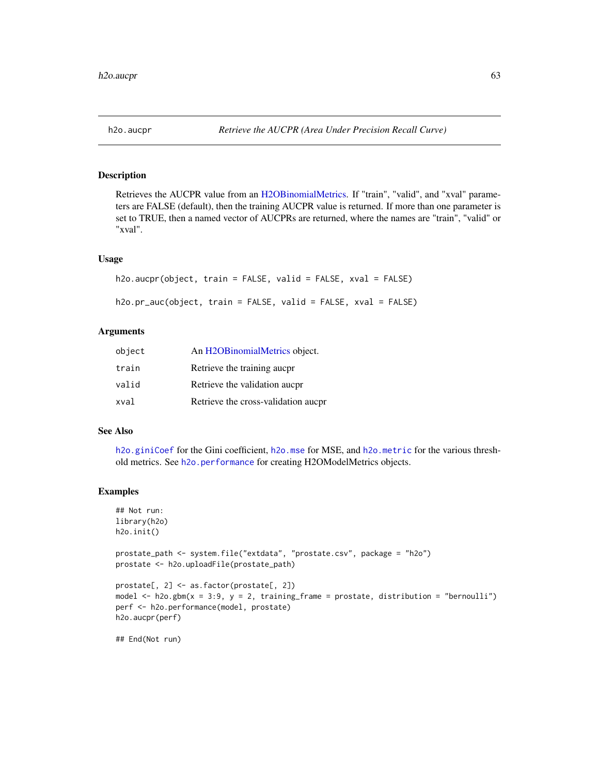Retrieves the AUCPR value from an [H2OBinomialMetrics.](#page-371-1) If "train", "valid", and "xval" parameters are FALSE (default), then the training AUCPR value is returned. If more than one parameter is set to TRUE, then a named vector of AUCPRs are returned, where the names are "train", "valid" or "xval".

#### Usage

```
h2o.aucpr(object, train = FALSE, valid = FALSE, xval = FALSE)
h2o.pr_auc(object, train = FALSE, valid = FALSE, xval = FALSE)
```
## Arguments

| object | An H2OBinomialMetrics object.       |
|--------|-------------------------------------|
| train  | Retrieve the training aucpr         |
| valid  | Retrieve the validation aucpr       |
| xval   | Retrieve the cross-validation aucpr |

# See Also

[h2o.giniCoef](#page-156-0) for the Gini coefficient, [h2o.mse](#page-233-0) for MSE, and [h2o.metric](#page-225-0) for the various threshold metrics. See [h2o.performance](#page-256-0) for creating H2OModelMetrics objects.

#### Examples

```
## Not run:
library(h2o)
h2o.init()
prostate_path <- system.file("extdata", "prostate.csv", package = "h2o")
prostate <- h2o.uploadFile(prostate_path)
prostate[, 2] <- as.factor(prostate[, 2])
model \leq h2o.gbm(x = 3:9, y = 2, training_frame = prostate, distribution = "bernoulli")
perf <- h2o.performance(model, prostate)
h2o.aucpr(perf)
## End(Not run)
```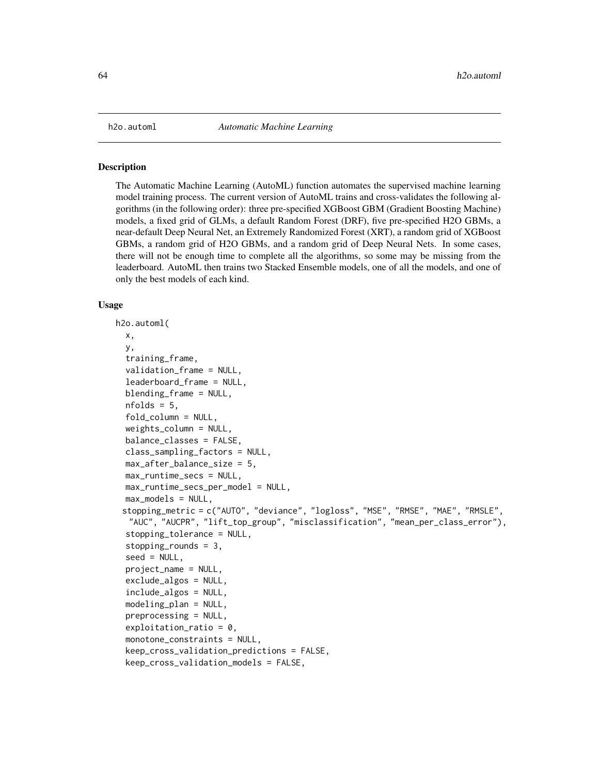The Automatic Machine Learning (AutoML) function automates the supervised machine learning model training process. The current version of AutoML trains and cross-validates the following algorithms (in the following order): three pre-specified XGBoost GBM (Gradient Boosting Machine) models, a fixed grid of GLMs, a default Random Forest (DRF), five pre-specified H2O GBMs, a near-default Deep Neural Net, an Extremely Randomized Forest (XRT), a random grid of XGBoost GBMs, a random grid of H2O GBMs, and a random grid of Deep Neural Nets. In some cases, there will not be enough time to complete all the algorithms, so some may be missing from the leaderboard. AutoML then trains two Stacked Ensemble models, one of all the models, and one of only the best models of each kind.

#### Usage

```
h2o.automl(
  x,
  y,
  training_frame,
  validation_frame = NULL,
  leaderboard_frame = NULL,
  blending_frame = NULL,
  nfolds = 5,
  fold_column = NULL,
  weights_column = NULL,
  balance_classes = FALSE,
  class_sampling_factors = NULL,
  max_after_balance_size = 5,
  max_runtime_secs = NULL,
 max_runtime_secs_per_model = NULL,
  max_models = NULL,
 stopping_metric = c("AUTO", "deviance", "logloss", "MSE", "RMSE", "MAE", "RMSLE",
  "AUC", "AUCPR", "lift_top_group", "misclassification", "mean_per_class_error"),
  stopping_tolerance = NULL,
  stopping_rounds = 3,
  seed = NULL,project_name = NULL,
  exclude_algos = NULL,
  include_algos = NULL,
  modeling_plan = NULL,
  preprocessing = NULL,
  exploitation_ratio = 0.
  monotone_constraints = NULL,
  keep_cross_validation_predictions = FALSE,
  keep_cross_validation_models = FALSE,
```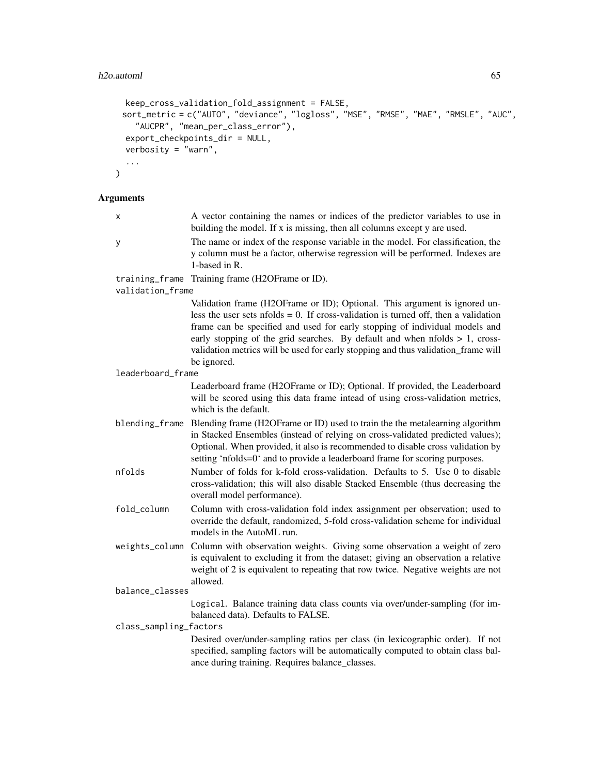```
keep_cross_validation_fold_assignment = FALSE,
 sort_metric = c("AUTO", "deviance", "logloss", "MSE", "RMSE", "MAE", "RMSLE", "AUC",
   "AUCPR", "mean_per_class_error"),
 export_checkpoints_dir = NULL,
 verbosity = "warn",
  ...
\mathcal{L}
```
# Arguments

| х                      | A vector containing the names or indices of the predictor variables to use in<br>building the model. If x is missing, then all columns except y are used.                                                                                                                                                                                                                                                                                   |
|------------------------|---------------------------------------------------------------------------------------------------------------------------------------------------------------------------------------------------------------------------------------------------------------------------------------------------------------------------------------------------------------------------------------------------------------------------------------------|
| У                      | The name or index of the response variable in the model. For classification, the<br>y column must be a factor, otherwise regression will be performed. Indexes are<br>1-based in $R$ .                                                                                                                                                                                                                                                      |
| training_frame         | Training frame (H2OFrame or ID).                                                                                                                                                                                                                                                                                                                                                                                                            |
| validation_frame       |                                                                                                                                                                                                                                                                                                                                                                                                                                             |
|                        | Validation frame (H2OFrame or ID); Optional. This argument is ignored un-<br>less the user sets nfolds $= 0$ . If cross-validation is turned off, then a validation<br>frame can be specified and used for early stopping of individual models and<br>early stopping of the grid searches. By default and when $n$ folds $> 1$ , cross-<br>validation metrics will be used for early stopping and thus validation_frame will<br>be ignored. |
| leaderboard_frame      |                                                                                                                                                                                                                                                                                                                                                                                                                                             |
|                        | Leaderboard frame (H2OFrame or ID); Optional. If provided, the Leaderboard<br>will be scored using this data frame intead of using cross-validation metrics,<br>which is the default.                                                                                                                                                                                                                                                       |
| blending_frame         | Blending frame (H2OFrame or ID) used to train the the metalearning algorithm<br>in Stacked Ensembles (instead of relying on cross-validated predicted values);<br>Optional. When provided, it also is recommended to disable cross validation by<br>setting 'nfolds=0' and to provide a leaderboard frame for scoring purposes.                                                                                                             |
| nfolds                 | Number of folds for k-fold cross-validation. Defaults to 5. Use 0 to disable<br>cross-validation; this will also disable Stacked Ensemble (thus decreasing the<br>overall model performance).                                                                                                                                                                                                                                               |
| fold_column            | Column with cross-validation fold index assignment per observation; used to<br>override the default, randomized, 5-fold cross-validation scheme for individual<br>models in the AutoML run.                                                                                                                                                                                                                                                 |
| weights_column         | Column with observation weights. Giving some observation a weight of zero<br>is equivalent to excluding it from the dataset; giving an observation a relative<br>weight of 2 is equivalent to repeating that row twice. Negative weights are not<br>allowed.                                                                                                                                                                                |
| balance_classes        |                                                                                                                                                                                                                                                                                                                                                                                                                                             |
|                        | Logical. Balance training data class counts via over/under-sampling (for im-<br>balanced data). Defaults to FALSE.                                                                                                                                                                                                                                                                                                                          |
| class_sampling_factors | Desired over/under-sampling ratios per class (in lexicographic order). If not<br>specified, sampling factors will be automatically computed to obtain class bal-<br>ance during training. Requires balance_classes.                                                                                                                                                                                                                         |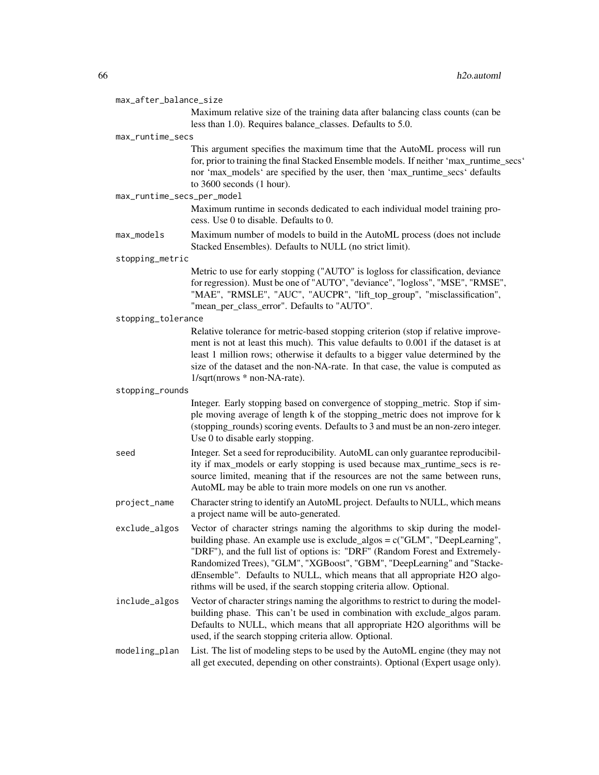| max_after_balance_size     |                                                                                                                                                                                                                                                                                                                                                                                                                                                                              |
|----------------------------|------------------------------------------------------------------------------------------------------------------------------------------------------------------------------------------------------------------------------------------------------------------------------------------------------------------------------------------------------------------------------------------------------------------------------------------------------------------------------|
|                            | Maximum relative size of the training data after balancing class counts (can be<br>less than 1.0). Requires balance_classes. Defaults to 5.0.                                                                                                                                                                                                                                                                                                                                |
| max_runtime_secs           |                                                                                                                                                                                                                                                                                                                                                                                                                                                                              |
|                            | This argument specifies the maximum time that the AutoML process will run<br>for, prior to training the final Stacked Ensemble models. If neither 'max_runtime_secs'<br>nor 'max_models' are specified by the user, then 'max_runtime_secs' defaults<br>to 3600 seconds (1 hour).                                                                                                                                                                                            |
| max_runtime_secs_per_model |                                                                                                                                                                                                                                                                                                                                                                                                                                                                              |
|                            | Maximum runtime in seconds dedicated to each individual model training pro-<br>cess. Use 0 to disable. Defaults to 0.                                                                                                                                                                                                                                                                                                                                                        |
| max_models                 | Maximum number of models to build in the AutoML process (does not include<br>Stacked Ensembles). Defaults to NULL (no strict limit).                                                                                                                                                                                                                                                                                                                                         |
| stopping_metric            |                                                                                                                                                                                                                                                                                                                                                                                                                                                                              |
|                            | Metric to use for early stopping ("AUTO" is logloss for classification, deviance<br>for regression). Must be one of "AUTO", "deviance", "logloss", "MSE", "RMSE",<br>"MAE", "RMSLE", "AUC", "AUCPR", "lift_top_group", "misclassification",<br>"mean_per_class_error". Defaults to "AUTO".                                                                                                                                                                                   |
| stopping_tolerance         |                                                                                                                                                                                                                                                                                                                                                                                                                                                                              |
|                            | Relative tolerance for metric-based stopping criterion (stop if relative improve-<br>ment is not at least this much). This value defaults to 0.001 if the dataset is at<br>least 1 million rows; otherwise it defaults to a bigger value determined by the<br>size of the dataset and the non-NA-rate. In that case, the value is computed as<br>1/sqrt(nrows * non-NA-rate).                                                                                                |
| stopping_rounds            |                                                                                                                                                                                                                                                                                                                                                                                                                                                                              |
|                            | Integer. Early stopping based on convergence of stopping_metric. Stop if sim-<br>ple moving average of length k of the stopping_metric does not improve for k<br>(stopping_rounds) scoring events. Defaults to 3 and must be an non-zero integer.<br>Use 0 to disable early stopping.                                                                                                                                                                                        |
| seed                       | Integer. Set a seed for reproducibility. AutoML can only guarantee reproducibil-<br>ity if max_models or early stopping is used because max_runtime_secs is re-<br>source limited, meaning that if the resources are not the same between runs,<br>AutoML may be able to train more models on one run vs another.                                                                                                                                                            |
| project_name               | Character string to identify an AutoML project. Defaults to NULL, which means<br>a project name will be auto-generated.                                                                                                                                                                                                                                                                                                                                                      |
| exclude_algos              | Vector of character strings naming the algorithms to skip during the model-<br>building phase. An example use is exclude_algos = $c("GLM"$ , "DeepLearning",<br>"DRF"), and the full list of options is: "DRF" (Random Forest and Extremely-<br>Randomized Trees), "GLM", "XGBoost", "GBM", "DeepLearning" and "Stacke-<br>dEnsemble". Defaults to NULL, which means that all appropriate H2O algo-<br>rithms will be used, if the search stopping criteria allow. Optional. |
| include_algos              | Vector of character strings naming the algorithms to restrict to during the model-<br>building phase. This can't be used in combination with exclude_algos param.<br>Defaults to NULL, which means that all appropriate H2O algorithms will be<br>used, if the search stopping criteria allow. Optional.                                                                                                                                                                     |
|                            |                                                                                                                                                                                                                                                                                                                                                                                                                                                                              |

modeling\_plan List. The list of modeling steps to be used by the AutoML engine (they may not all get executed, depending on other constraints). Optional (Expert usage only).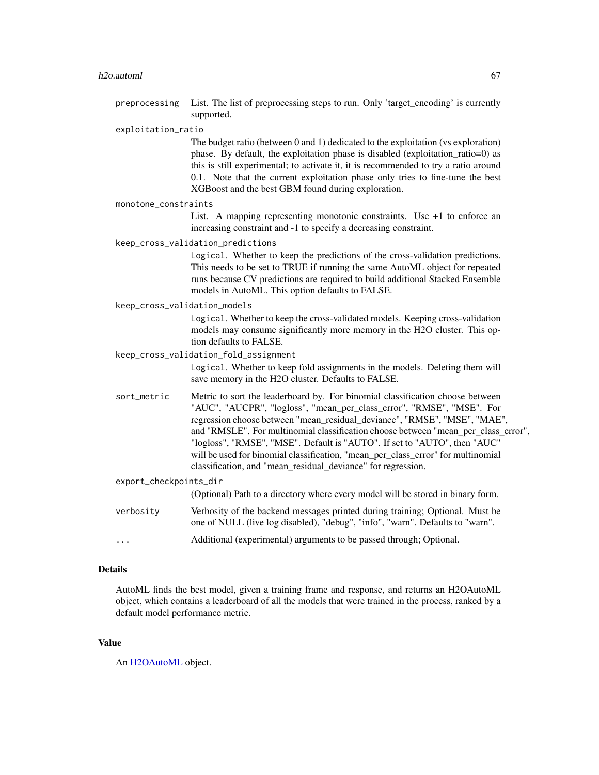#### h2o.automl 67

preprocessing List. The list of preprocessing steps to run. Only 'target\_encoding' is currently supported.

#### exploitation\_ratio

The budget ratio (between 0 and 1) dedicated to the exploitation (vs exploration) phase. By default, the exploitation phase is disabled (exploitation\_ratio=0) as this is still experimental; to activate it, it is recommended to try a ratio around 0.1. Note that the current exploitation phase only tries to fine-tune the best XGBoost and the best GBM found during exploration.

#### monotone\_constraints

List. A mapping representing monotonic constraints. Use +1 to enforce an increasing constraint and -1 to specify a decreasing constraint.

#### keep\_cross\_validation\_predictions

Logical. Whether to keep the predictions of the cross-validation predictions. This needs to be set to TRUE if running the same AutoML object for repeated runs because CV predictions are required to build additional Stacked Ensemble models in AutoML. This option defaults to FALSE.

#### keep\_cross\_validation\_models

Logical. Whether to keep the cross-validated models. Keeping cross-validation models may consume significantly more memory in the H2O cluster. This option defaults to FALSE.

## keep\_cross\_validation\_fold\_assignment

Logical. Whether to keep fold assignments in the models. Deleting them will save memory in the H2O cluster. Defaults to FALSE.

sort\_metric Metric to sort the leaderboard by. For binomial classification choose between "AUC", "AUCPR", "logloss", "mean\_per\_class\_error", "RMSE", "MSE". For regression choose between "mean\_residual\_deviance", "RMSE", "MSE", "MAE", and "RMSLE". For multinomial classification choose between "mean\_per\_class\_error", "logloss", "RMSE", "MSE". Default is "AUTO". If set to "AUTO", then "AUC" will be used for binomial classification, "mean\_per\_class\_error" for multinomial classification, and "mean\_residual\_deviance" for regression.

| export_checkpoints_dir |                                                                                                                                                               |
|------------------------|---------------------------------------------------------------------------------------------------------------------------------------------------------------|
|                        | (Optional) Path to a directory where every model will be stored in binary form.                                                                               |
| verbosity              | Verbosity of the backend messages printed during training; Optional. Must be<br>one of NULL (live log disabled), "debug", "info", "warn". Defaults to "warn". |
| $\ddotsc$              | Additional (experimental) arguments to be passed through; Optional.                                                                                           |

#### Details

AutoML finds the best model, given a training frame and response, and returns an H2OAutoML object, which contains a leaderboard of all the models that were trained in the process, ranked by a default model performance metric.

#### Value

An [H2OAutoML](#page-364-1) object.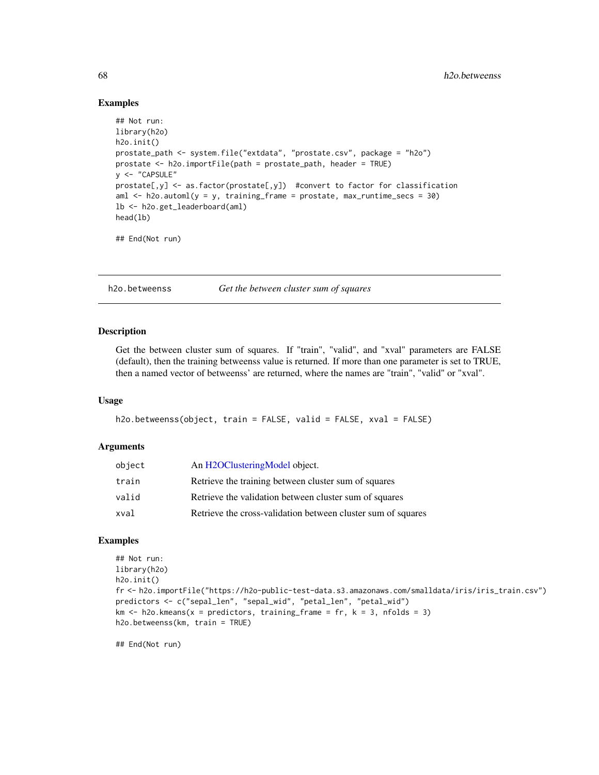## Examples

```
## Not run:
library(h2o)
h2o.init()
prostate_path <- system.file("extdata", "prostate.csv", package = "h2o")
prostate <- h2o.importFile(path = prostate_path, header = TRUE)
y <- "CAPSULE"
prostate[,y] <- as.factor(prostate[,y]) #convert to factor for classification
aml \leq h2o.automl(y = y, training_frame = prostate, max_runtime_secs = 30)
lb <- h2o.get_leaderboard(aml)
head(lb)
## End(Not run)
```
h2o.betweenss *Get the between cluster sum of squares*

#### Description

Get the between cluster sum of squares. If "train", "valid", and "xval" parameters are FALSE (default), then the training betweenss value is returned. If more than one parameter is set to TRUE, then a named vector of betweenss' are returned, where the names are "train", "valid" or "xval".

#### Usage

```
h2o.betweenss(object, train = FALSE, valid = FALSE, xval = FALSE)
```
#### Arguments

| object | An H <sub>2</sub> OClusteringModel object.                   |
|--------|--------------------------------------------------------------|
| train  | Retrieve the training between cluster sum of squares         |
| valid  | Retrieve the validation between cluster sum of squares       |
| xval   | Retrieve the cross-validation between cluster sum of squares |

## Examples

```
## Not run:
library(h2o)
h2o.init()
fr <- h2o.importFile("https://h2o-public-test-data.s3.amazonaws.com/smalldata/iris/iris_train.csv")
predictors <- c("sepal_len", "sepal_wid", "petal_len", "petal_wid")
km \leq -h2o.kmeans(x = predictors, training-frame = fr, k = 3, n folds = 3)h2o.betweenss(km, train = TRUE)
```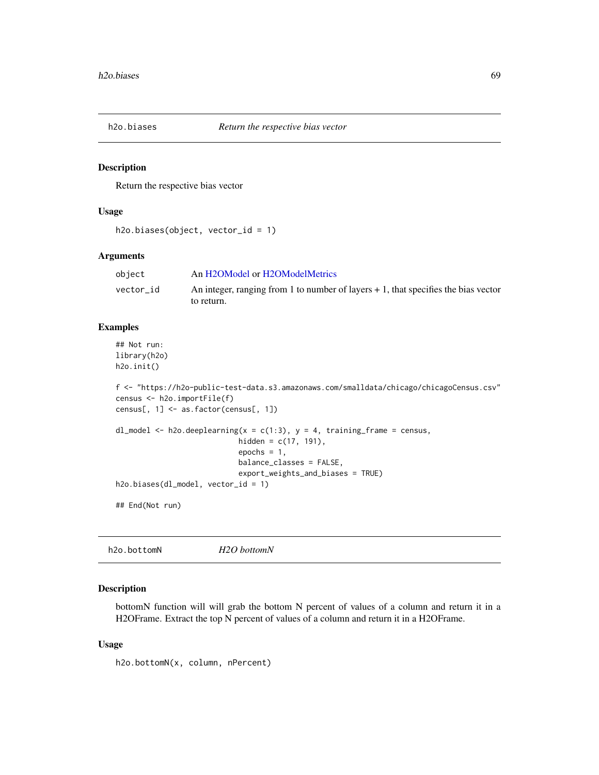Return the respective bias vector

#### Usage

```
h2o.biases(object, vector_id = 1)
```
## Arguments

| object    | An H2OModel or H2OModelMetrics                                                       |
|-----------|--------------------------------------------------------------------------------------|
| vector id | An integer, ranging from 1 to number of layers $+1$ , that specifies the bias vector |
|           | to return.                                                                           |

#### Examples

## Not run: library(h2o) h2o.init()

```
f <- "https://h2o-public-test-data.s3.amazonaws.com/smalldata/chicago/chicagoCensus.csv"
census <- h2o.importFile(f)
census[, 1] <- as.factor(census[, 1])
```

```
dl_model <- h2o.deeplearning(x = c(1:3), y = 4, training_frame = census,
                            hidden = c(17, 191),
                            epochs = 1,
                            balance_classes = FALSE,
                            export_weights_and_biases = TRUE)
h2o.biases(dl_model, vector_id = 1)
```
## End(Not run)

h2o.bottomN *H2O bottomN*

#### Description

bottomN function will will grab the bottom N percent of values of a column and return it in a H2OFrame. Extract the top N percent of values of a column and return it in a H2OFrame.

#### Usage

h2o.bottomN(x, column, nPercent)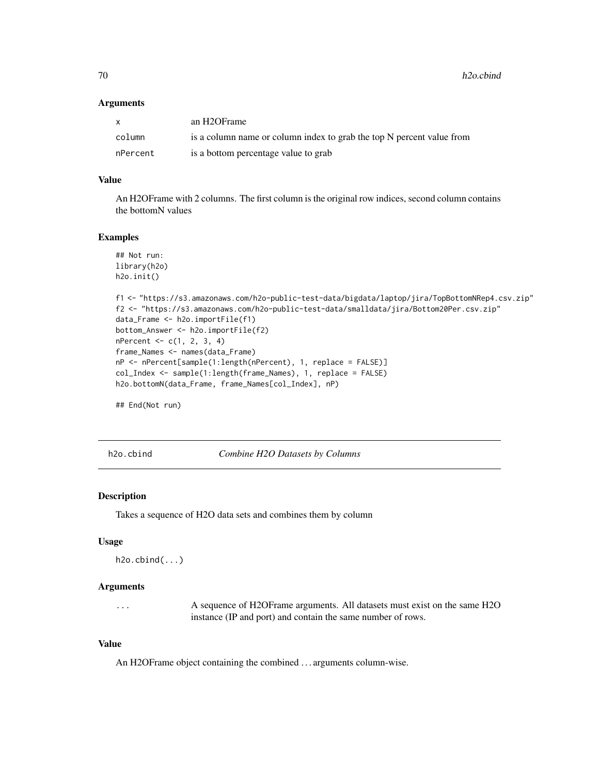70 h2o.cbind

#### **Arguments**

| $\mathsf{X}$ | an H2OFrame                                                           |
|--------------|-----------------------------------------------------------------------|
| column       | is a column name or column index to grab the top N percent value from |
| nPercent     | is a bottom percentage value to grab                                  |

## Value

An H2OFrame with 2 columns. The first column is the original row indices, second column contains the bottomN values

## Examples

```
## Not run:
library(h2o)
h2o.init()
f1 <- "https://s3.amazonaws.com/h2o-public-test-data/bigdata/laptop/jira/TopBottomNRep4.csv.zip"
f2 <- "https://s3.amazonaws.com/h2o-public-test-data/smalldata/jira/Bottom20Per.csv.zip"
data_Frame <- h2o.importFile(f1)
bottom_Answer <- h2o.importFile(f2)
nPercent < -c(1, 2, 3, 4)frame_Names <- names(data_Frame)
nP <- nPercent[sample(1:length(nPercent), 1, replace = FALSE)]
col_Index <- sample(1:length(frame_Names), 1, replace = FALSE)
h2o.bottomN(data_Frame, frame_Names[col_Index], nP)
```
## End(Not run)

h2o.cbind *Combine H2O Datasets by Columns*

#### **Description**

Takes a sequence of H2O data sets and combines them by column

## Usage

```
h2o.cbind(...)
```
# Arguments

... A sequence of H2OFrame arguments. All datasets must exist on the same H2O instance (IP and port) and contain the same number of rows.

## Value

An H2OFrame object containing the combined . . . arguments column-wise.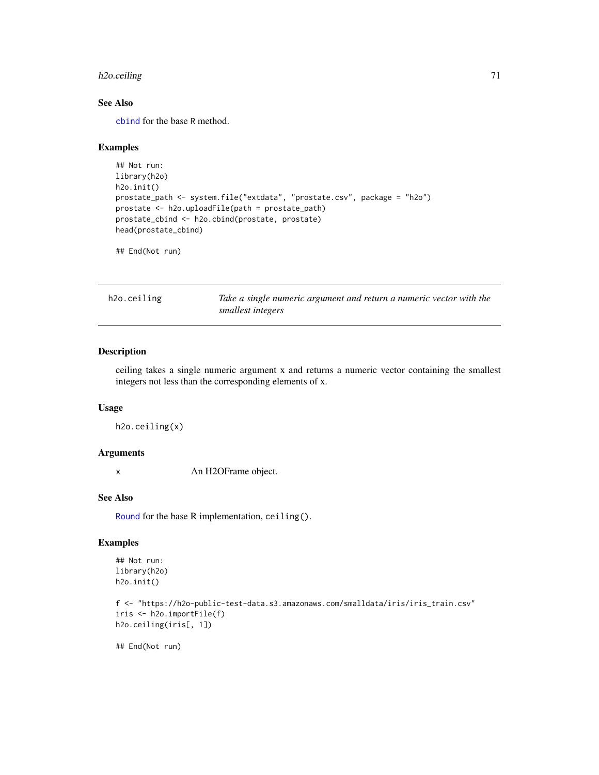# h2o.ceiling 71

# See Also

[cbind](#page-0-0) for the base R method.

## Examples

```
## Not run:
library(h2o)
h2o.init()
prostate_path <- system.file("extdata", "prostate.csv", package = "h2o")
prostate <- h2o.uploadFile(path = prostate_path)
prostate_cbind <- h2o.cbind(prostate, prostate)
head(prostate_cbind)
```
## End(Not run)

h2o.ceiling *Take a single numeric argument and return a numeric vector with the smallest integers*

#### Description

ceiling takes a single numeric argument x and returns a numeric vector containing the smallest integers not less than the corresponding elements of x.

# Usage

```
h2o.ceiling(x)
```
# Arguments

x An H2OFrame object.

## See Also

[Round](#page-0-0) for the base R implementation, ceiling().

# Examples

```
## Not run:
library(h2o)
h2o.init()
```

```
f <- "https://h2o-public-test-data.s3.amazonaws.com/smalldata/iris/iris_train.csv"
iris <- h2o.importFile(f)
h2o.ceiling(iris[, 1])
```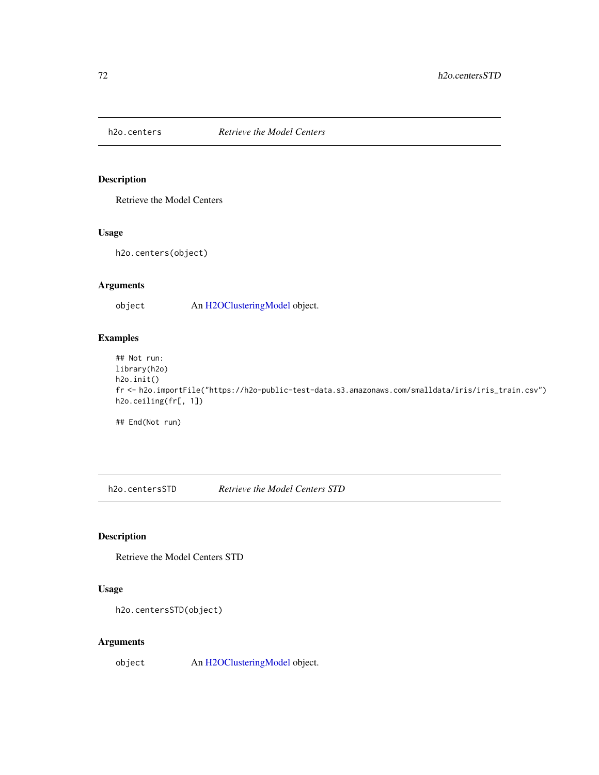Retrieve the Model Centers

# Usage

h2o.centers(object)

# Arguments

object An [H2OClusteringModel](#page-364-0) object.

# Examples

## Not run: library(h2o) h2o.init() fr <- h2o.importFile("https://h2o-public-test-data.s3.amazonaws.com/smalldata/iris/iris\_train.csv") h2o.ceiling(fr[, 1])

## End(Not run)

h2o.centersSTD *Retrieve the Model Centers STD*

# Description

Retrieve the Model Centers STD

## Usage

```
h2o.centersSTD(object)
```
# Arguments

object An [H2OClusteringModel](#page-364-0) object.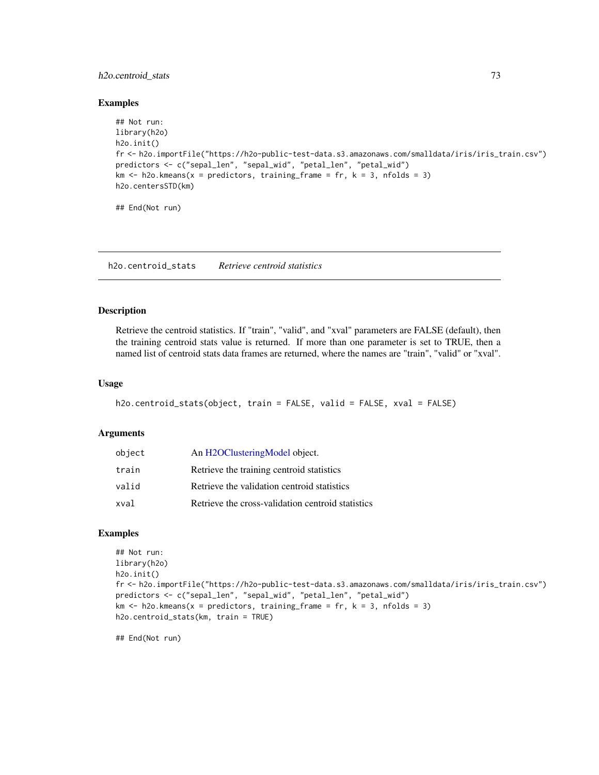## h2o.centroid\_stats 73

#### Examples

```
## Not run:
library(h2o)
h2o.init()
fr <- h2o.importFile("https://h2o-public-test-data.s3.amazonaws.com/smalldata/iris/iris_train.csv")
predictors <- c("sepal_len", "sepal_wid", "petal_len", "petal_wid")
km \le h2o.kmeans(x = predictors, training_frame = fr, k = 3, nfolds = 3)
h2o.centersSTD(km)
## End(Not run)
```
h2o.centroid\_stats *Retrieve centroid statistics*

#### Description

Retrieve the centroid statistics. If "train", "valid", and "xval" parameters are FALSE (default), then the training centroid stats value is returned. If more than one parameter is set to TRUE, then a named list of centroid stats data frames are returned, where the names are "train", "valid" or "xval".

## Usage

```
h2o.centroid_stats(object, train = FALSE, valid = FALSE, xval = FALSE)
```
#### **Arguments**

| object | An H2OClusteringModel object.                     |
|--------|---------------------------------------------------|
| train  | Retrieve the training centroid statistics         |
| valid  | Retrieve the validation centroid statistics       |
| xval   | Retrieve the cross-validation centroid statistics |

# Examples

```
## Not run:
library(h2o)
h2o.init()
fr <- h2o.importFile("https://h2o-public-test-data.s3.amazonaws.com/smalldata/iris/iris_train.csv")
predictors <- c("sepal_len", "sepal_wid", "petal_len", "petal_wid")
km \le h2o.kmeans(x = predictors, training frame = fr, k = 3, nfolds = 3)
h2o.centroid_stats(km, train = TRUE)
```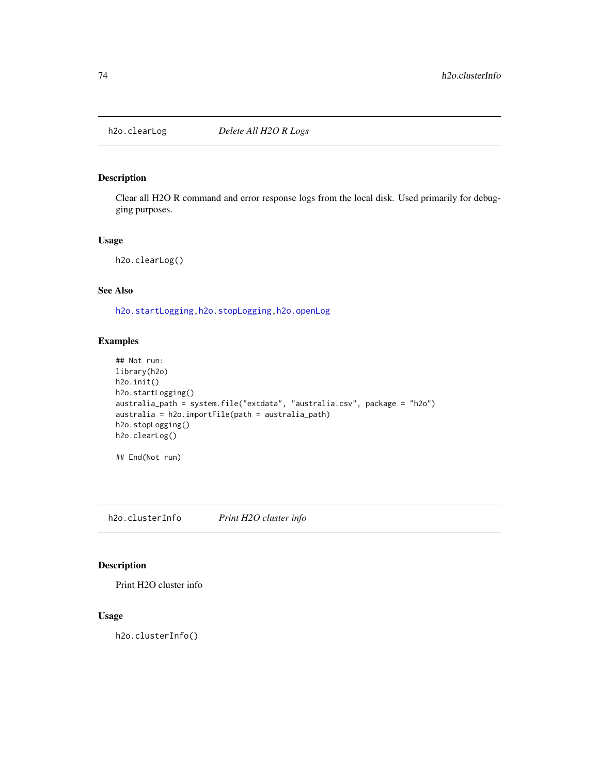Clear all H2O R command and error response logs from the local disk. Used primarily for debugging purposes.

#### Usage

h2o.clearLog()

# See Also

[h2o.startLogging](#page-315-0)[,h2o.stopLogging,](#page-316-0)[h2o.openLog](#page-247-0)

## Examples

```
## Not run:
library(h2o)
h2o.init()
h2o.startLogging()
australia_path = system.file("extdata", "australia.csv", package = "h2o")
australia = h2o.importFile(path = australia_path)
h2o.stopLogging()
h2o.clearLog()
```

```
## End(Not run)
```
h2o.clusterInfo *Print H2O cluster info*

# Description

Print H2O cluster info

## Usage

h2o.clusterInfo()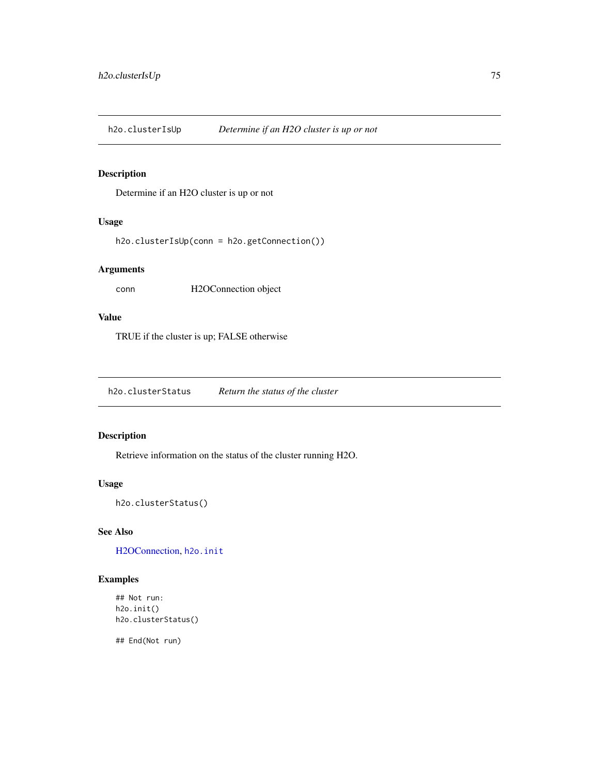h2o.clusterIsUp *Determine if an H2O cluster is up or not*

# Description

Determine if an H2O cluster is up or not

## Usage

h2o.clusterIsUp(conn = h2o.getConnection())

# Arguments

conn H2OConnection object

# Value

TRUE if the cluster is up; FALSE otherwise

h2o.clusterStatus *Return the status of the cluster*

# Description

Retrieve information on the status of the cluster running H2O.

# Usage

h2o.clusterStatus()

# See Also

[H2OConnection,](#page-365-0) [h2o.init](#page-185-0)

# Examples

```
## Not run:
h2o.init()
h2o.clusterStatus()
```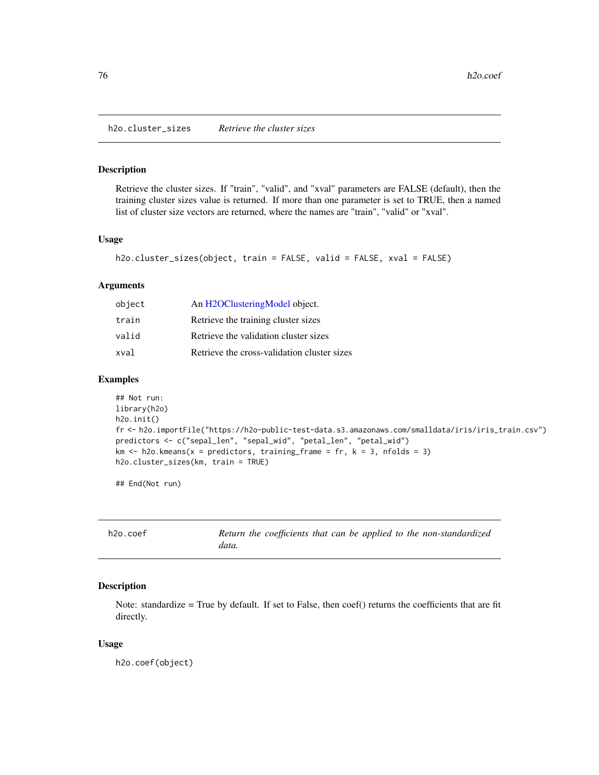h2o.cluster\_sizes *Retrieve the cluster sizes*

#### Description

Retrieve the cluster sizes. If "train", "valid", and "xval" parameters are FALSE (default), then the training cluster sizes value is returned. If more than one parameter is set to TRUE, then a named list of cluster size vectors are returned, where the names are "train", "valid" or "xval".

## Usage

```
h2o.cluster_sizes(object, train = FALSE, valid = FALSE, xval = FALSE)
```
## Arguments

| object | An H2OClusteringModel object.               |
|--------|---------------------------------------------|
| train  | Retrieve the training cluster sizes         |
| valid  | Retrieve the validation cluster sizes       |
| xval   | Retrieve the cross-validation cluster sizes |

#### Examples

```
## Not run:
library(h2o)
h2o.init()
fr <- h2o.importFile("https://h2o-public-test-data.s3.amazonaws.com/smalldata/iris/iris_train.csv")
predictors <- c("sepal_len", "sepal_wid", "petal_len", "petal_wid")
km \leq -h2o.kmeans(x = predictors, training-frame = fr, k = 3, n folds = 3)h2o.cluster_sizes(km, train = TRUE)
```
## End(Not run)

| h2o.coef |       |  |  | Return the coefficients that can be applied to the non-standardized |
|----------|-------|--|--|---------------------------------------------------------------------|
|          | data. |  |  |                                                                     |

# Description

Note: standardize = True by default. If set to False, then coef() returns the coefficients that are fit directly.

#### Usage

h2o.coef(object)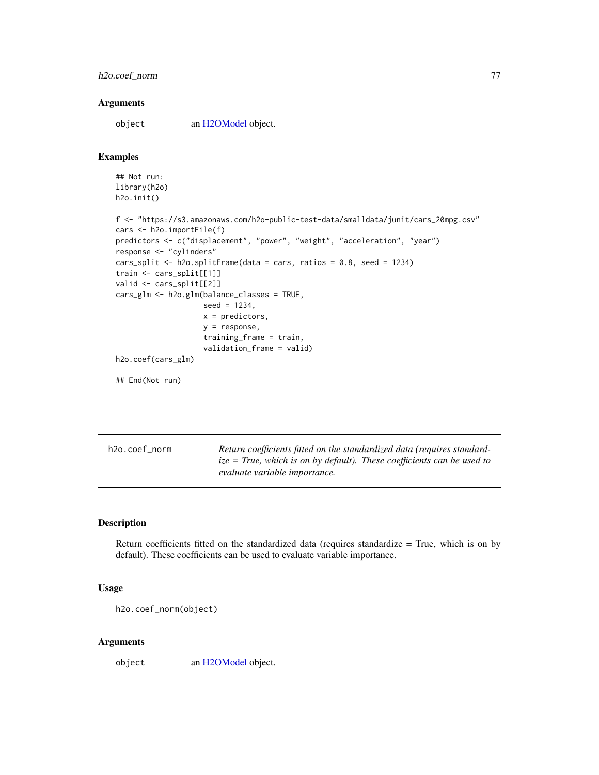# h2o.coef\_norm 77

#### **Arguments**

object an [H2OModel](#page-370-0) object.

#### Examples

```
## Not run:
library(h2o)
h2o.init()
f <- "https://s3.amazonaws.com/h2o-public-test-data/smalldata/junit/cars_20mpg.csv"
cars <- h2o.importFile(f)
predictors <- c("displacement", "power", "weight", "acceleration", "year")
response <- "cylinders"
cars_split <- h2o.splitFrame(data = cars, ratios = 0.8, seed = 1234)
train <- cars_split[[1]]
valid <- cars_split[[2]]
cars_glm <- h2o.glm(balance_classes = TRUE,
                    seed = 1234,
                    x = predictors,
                    y = response,
                    training_frame = train,
                    validation_frame = valid)
h2o.coef(cars_glm)
## End(Not run)
```

| h2o.coef_norm |  |
|---------------|--|
|               |  |

Return coefficients fitted on the standardized data (requires standard*ize = True, which is on by default). These coefficients can be used to evaluate variable importance.*

# Description

Return coefficients fitted on the standardized data (requires standardize = True, which is on by default). These coefficients can be used to evaluate variable importance.

#### Usage

```
h2o.coef_norm(object)
```
#### Arguments

object an [H2OModel](#page-370-0) object.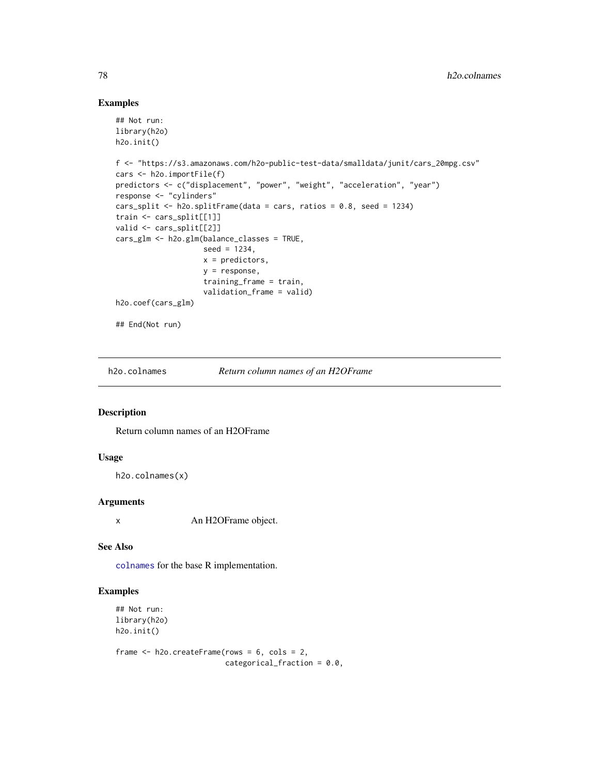# Examples

```
## Not run:
library(h2o)
h2o.init()
f <- "https://s3.amazonaws.com/h2o-public-test-data/smalldata/junit/cars_20mpg.csv"
cars <- h2o.importFile(f)
predictors <- c("displacement", "power", "weight", "acceleration", "year")
response <- "cylinders"
cars_split <- h2o.splitFrame(data = cars, ratios = 0.8, seed = 1234)
train <- cars_split[[1]]
valid <- cars_split[[2]]
cars_glm <- h2o.glm(balance_classes = TRUE,
                    seed = 1234,
                    x = predictors,
                    y = response,
                    training_frame = train,
                    validation_frame = valid)
h2o.coef(cars_glm)
## End(Not run)
```
h2o.colnames *Return column names of an H2OFrame*

#### Description

Return column names of an H2OFrame

## Usage

```
h2o.colnames(x)
```
# Arguments

x An H2OFrame object.

## See Also

[colnames](#page-46-0) for the base R implementation.

## Examples

## Not run: library(h2o) h2o.init()

frame  $<-$  h2o.createFrame(rows =  $6$ , cols =  $2$ , categorical\_fraction = 0.0,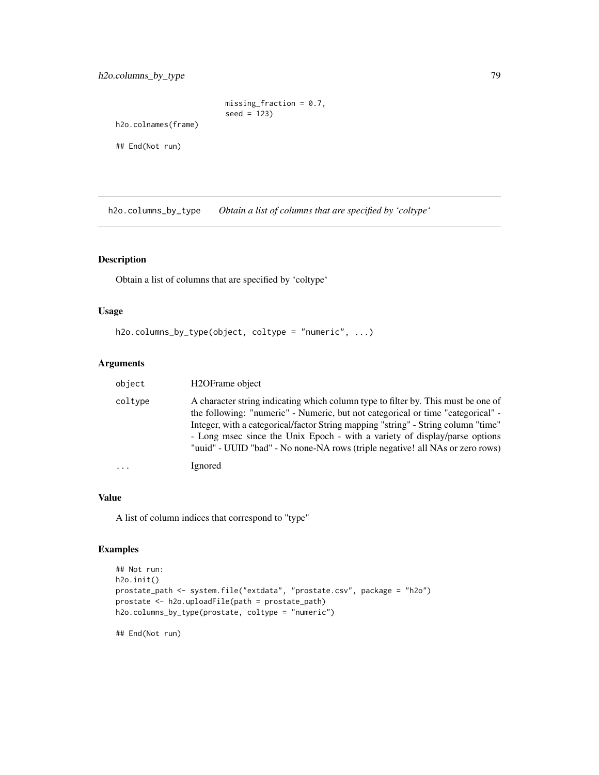```
missing_fraction = 0.7,
seed = 123)
```
h2o.colnames(frame)

## End(Not run)

h2o.columns\_by\_type *Obtain a list of columns that are specified by 'coltype'*

# Description

Obtain a list of columns that are specified by 'coltype'

# Usage

```
h2o.columns_by_type(object, coltype = "numeric", ...)
```
## Arguments

| object   | H <sub>2</sub> OFrame object                                                                                                                                                                                                                                                                                                                                                                                             |
|----------|--------------------------------------------------------------------------------------------------------------------------------------------------------------------------------------------------------------------------------------------------------------------------------------------------------------------------------------------------------------------------------------------------------------------------|
| coltype  | A character string indicating which column type to filter by. This must be one of<br>the following: "numeric" - Numeric, but not categorical or time "categorical" -<br>Integer, with a categorical/factor String mapping "string" - String column "time"<br>- Long msec since the Unix Epoch - with a variety of display/parse options<br>"uuid" - UUID "bad" - No none-NA rows (triple negative! all NAs or zero rows) |
| $\cdots$ | Ignored                                                                                                                                                                                                                                                                                                                                                                                                                  |

## Value

A list of column indices that correspond to "type"

# Examples

```
## Not run:
h2o.init()
prostate_path <- system.file("extdata", "prostate.csv", package = "h2o")
prostate <- h2o.uploadFile(path = prostate_path)
h2o.columns_by_type(prostate, coltype = "numeric")
```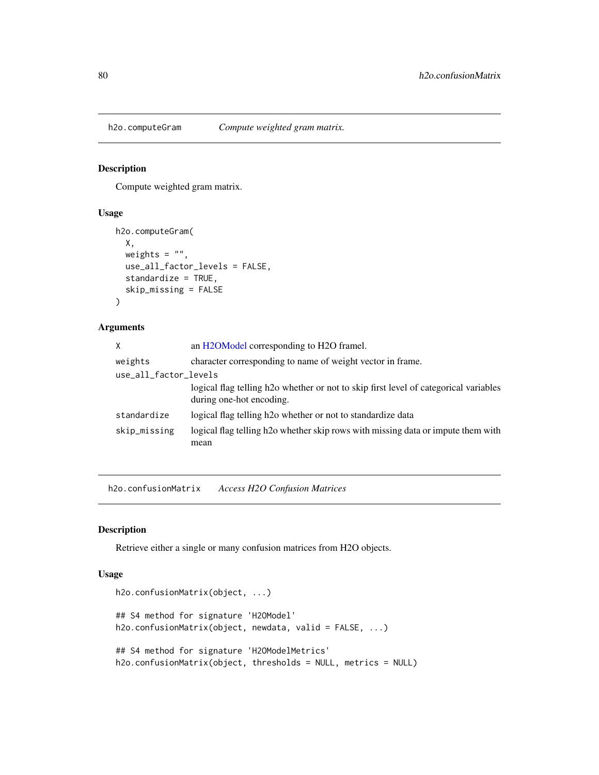Compute weighted gram matrix.

### Usage

```
h2o.computeGram(
 X,
 weights = ",
 use_all_factor_levels = FALSE,
 standardize = TRUE,
  skip_missing = FALSE
)
```
## Arguments

| X                     | an H2OModel corresponding to H2O framel.                                                                                      |
|-----------------------|-------------------------------------------------------------------------------------------------------------------------------|
| weights               | character corresponding to name of weight vector in frame.                                                                    |
| use_all_factor_levels |                                                                                                                               |
|                       | logical flag telling h <sub>2</sub> o whether or not to skip first level of categorical variables<br>during one-hot encoding. |
| standardize           | logical flag telling h <sub>2</sub> o whether or not to standardize data                                                      |
| skip_missing          | logical flag telling h <sub>2</sub> o whether skip rows with missing data or impute them with<br>mean                         |

h2o.confusionMatrix *Access H2O Confusion Matrices*

#### Description

Retrieve either a single or many confusion matrices from H2O objects.

### Usage

```
h2o.confusionMatrix(object, ...)
## S4 method for signature 'H2OModel'
h2o.confusionMatrix(object, newdata, valid = FALSE, ...)
## S4 method for signature 'H2OModelMetrics'
h2o.confusionMatrix(object, thresholds = NULL, metrics = NULL)
```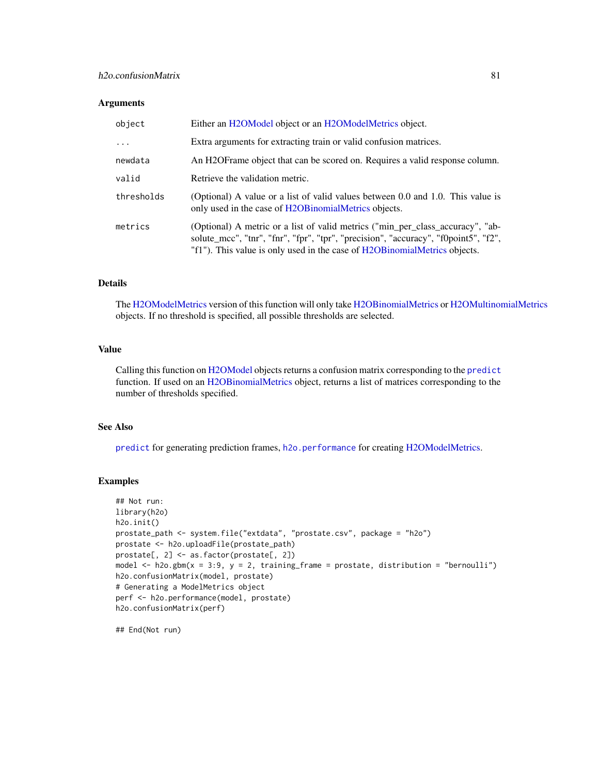## h2o.confusionMatrix 81

#### **Arguments**

| object     | Either an H2OModel object or an H2OModelMetrics object.                                                                                                                                                                                             |
|------------|-----------------------------------------------------------------------------------------------------------------------------------------------------------------------------------------------------------------------------------------------------|
|            | Extra arguments for extracting train or valid confusion matrices.                                                                                                                                                                                   |
| newdata    | An H2OF rame object that can be scored on. Requires a valid response column.                                                                                                                                                                        |
| valid      | Retrieve the validation metric.                                                                                                                                                                                                                     |
| thresholds | (Optional) A value or a list of valid values between 0.0 and 1.0. This value is<br>only used in the case of H2OB inomialMetrics objects.                                                                                                            |
| metrics    | (Optional) A metric or a list of valid metrics ("min_per_class_accuracy", "ab-<br>solute_mcc", "tnr", "fnr", "fpr", "tpr", "precision", "accuracy", "f0point5", "f2",<br>"f1"). This value is only used in the case of H2OB inomialMetrics objects. |

### Details

The [H2OModelMetrics](#page-371-0) version of this function will only take [H2OBinomialMetrics](#page-371-1) or [H2OMultinomialMetrics](#page-371-1) objects. If no threshold is specified, all possible thresholds are selected.

## Value

Calling this function on [H2OModel](#page-370-0) objects returns a confusion matrix corresponding to the [predict](#page-0-0) function. If used on an [H2OBinomialMetrics](#page-371-1) object, returns a list of matrices corresponding to the number of thresholds specified.

## See Also

[predict](#page-0-0) for generating prediction frames, [h2o.performance](#page-256-0) for creating [H2OModelMetrics.](#page-371-0)

## Examples

```
## Not run:
library(h2o)
h2o.init()
prostate_path <- system.file("extdata", "prostate.csv", package = "h2o")
prostate <- h2o.uploadFile(prostate_path)
prostate[, 2] <- as.factor(prostate[, 2])
model \leq h2o.gbm(x = 3:9, y = 2, training_frame = prostate, distribution = "bernoulli")
h2o.confusionMatrix(model, prostate)
# Generating a ModelMetrics object
perf <- h2o.performance(model, prostate)
h2o.confusionMatrix(perf)
```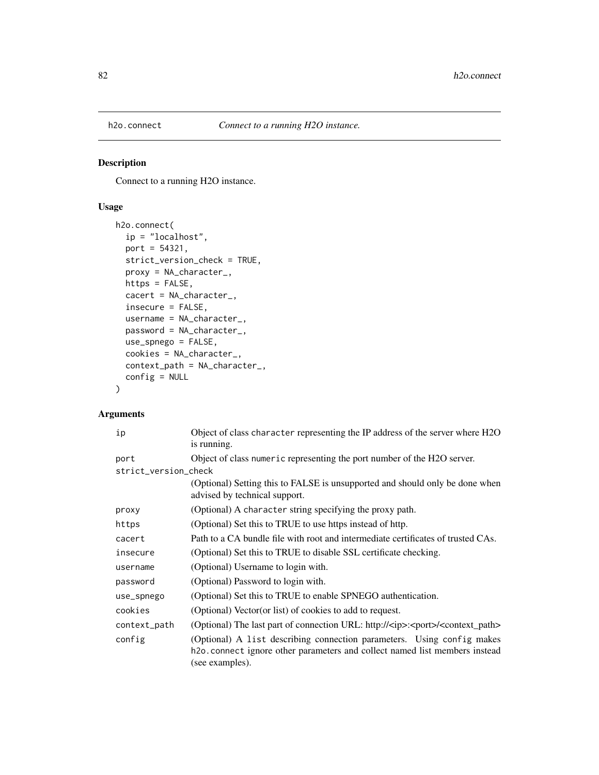Connect to a running H2O instance.

# Usage

```
h2o.connect(
  ip = "localhost",
 port = 54321,
  strict_version_check = TRUE,
 proxy = NA_character_,
 https = FALSE,
  cacert = NA_character_,
  insecure = FALSE,
 username = NA_character_,
 password = NA_character_,
 use_spnego = FALSE,
 cookies = NA_character_,
 context_path = NA_character_,
  config = NULL
\mathcal{L}
```
# Arguments

| ip                   | Object of class character representing the IP address of the server where H2O<br>is running.                                                                             |  |  |  |  |  |
|----------------------|--------------------------------------------------------------------------------------------------------------------------------------------------------------------------|--|--|--|--|--|
| port                 | Object of class numeric representing the port number of the H2O server.                                                                                                  |  |  |  |  |  |
| strict_version_check |                                                                                                                                                                          |  |  |  |  |  |
|                      | (Optional) Setting this to FALSE is unsupported and should only be done when<br>advised by technical support.                                                            |  |  |  |  |  |
| proxy                | (Optional) A character string specifying the proxy path.                                                                                                                 |  |  |  |  |  |
| https                | (Optional) Set this to TRUE to use https instead of http.                                                                                                                |  |  |  |  |  |
| cacert               | Path to a CA bundle file with root and intermediate certificates of trusted CAs.                                                                                         |  |  |  |  |  |
| insecure             | (Optional) Set this to TRUE to disable SSL certificate checking.                                                                                                         |  |  |  |  |  |
| username             | (Optional) Username to login with.                                                                                                                                       |  |  |  |  |  |
| password             | (Optional) Password to login with.                                                                                                                                       |  |  |  |  |  |
| use_spnego           | (Optional) Set this to TRUE to enable SPNEGO authentication.                                                                                                             |  |  |  |  |  |
| cookies              | (Optional) Vector(or list) of cookies to add to request.                                                                                                                 |  |  |  |  |  |
| context_path         | (Optional) The last part of connection URL: http:// <ip>:<port>/<context_path></context_path></port></ip>                                                                |  |  |  |  |  |
| config               | (Optional) A list describing connection parameters. Using config makes<br>h2o. connect ignore other parameters and collect named list members instead<br>(see examples). |  |  |  |  |  |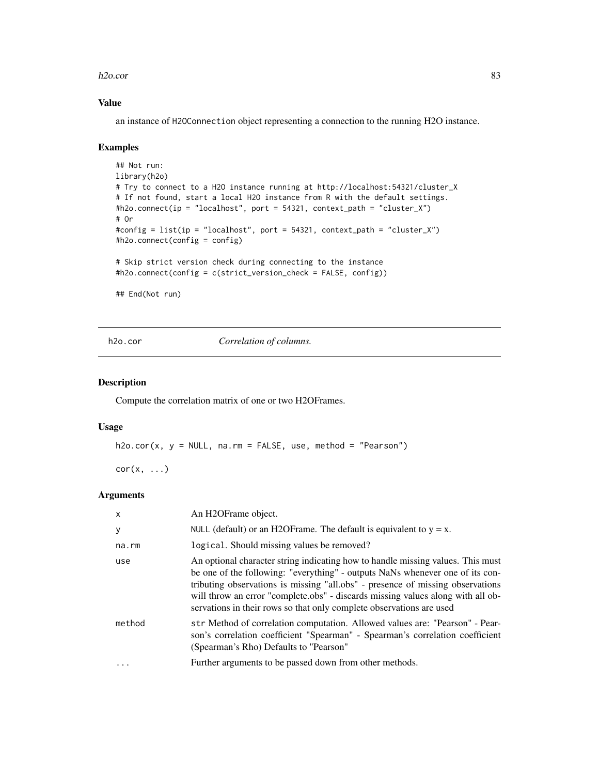#### h2o.cor 83

## Value

an instance of H2OConnection object representing a connection to the running H2O instance.

#### Examples

```
## Not run:
library(h2o)
# Try to connect to a H2O instance running at http://localhost:54321/cluster_X
# If not found, start a local H2O instance from R with the default settings.
#h2o.connect(ip = "localhost", port = 54321, context_path = "cluster_X")
# Or
#config = list(ip = "localhost", port = 54321, context_path = "cluster_X")
#h2o.connect(config = config)
# Skip strict version check during connecting to the instance
#h2o.connect(config = c(strict_version_check = FALSE, config))
```
## End(Not run)

h2o.cor *Correlation of columns.*

## Description

Compute the correlation matrix of one or two H2OFrames.

#### Usage

 $h2o.cor(x, y = NULL, na.rm = FALSE, use, method = "Pearson")$ 

 $cor(x, \ldots)$ 

## Arguments

| $\mathsf{x}$ | An H <sub>2</sub> OFrame object.                                                                                                                                                                                                                                                                                                                                                                              |
|--------------|---------------------------------------------------------------------------------------------------------------------------------------------------------------------------------------------------------------------------------------------------------------------------------------------------------------------------------------------------------------------------------------------------------------|
| y            | NULL (default) or an H2OF rame. The default is equivalent to $y = x$ .                                                                                                                                                                                                                                                                                                                                        |
| na.rm        | logical. Should missing values be removed?                                                                                                                                                                                                                                                                                                                                                                    |
| use          | An optional character string indicating how to handle missing values. This must<br>be one of the following: "everything" - outputs NaNs whenever one of its con-<br>tributing observations is missing "all.obs" - presence of missing observations<br>will throw an error "complete.obs" - discards missing values along with all ob-<br>servations in their rows so that only complete observations are used |
| method       | str Method of correlation computation. Allowed values are: "Pearson" - Pear-<br>son's correlation coefficient "Spearman" - Spearman's correlation coefficient<br>(Spearman's Rho) Defaults to "Pearson"                                                                                                                                                                                                       |
| .            | Further arguments to be passed down from other methods.                                                                                                                                                                                                                                                                                                                                                       |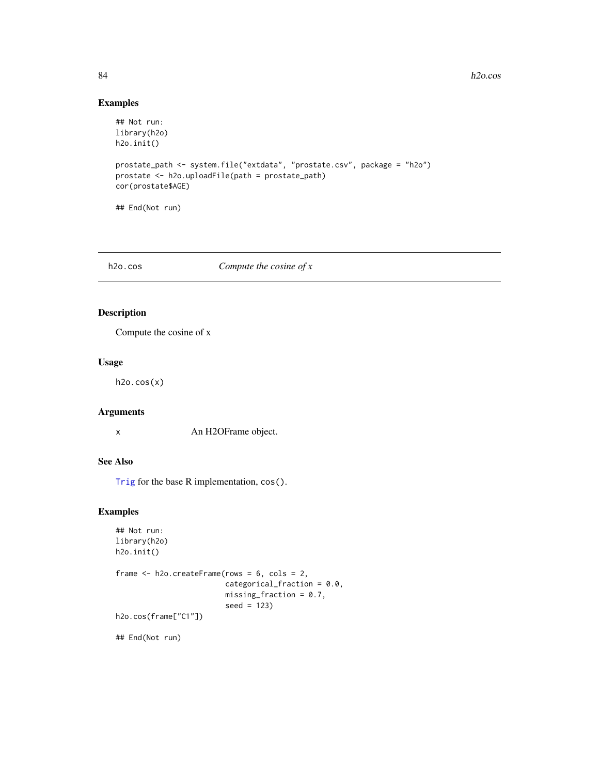## Examples

```
## Not run:
library(h2o)
h2o.init()
prostate_path <- system.file("extdata", "prostate.csv", package = "h2o")
prostate <- h2o.uploadFile(path = prostate_path)
cor(prostate$AGE)
## End(Not run)
```
### h2o.cos *Compute the cosine of x*

# Description

Compute the cosine of x

## Usage

 $h2o.cos(x)$ 

# Arguments

x An H2OFrame object.

# See Also

[Trig](#page-0-0) for the base R implementation, cos().

# Examples

```
## Not run:
library(h2o)
h2o.init()
frame <- h2o.createFrame(rows = 6, cols = 2,
                         categorical_fraction = 0.0,
                         missing_fraction = 0.7,
                         seed = 123)
h2o.cos(frame["C1"])
```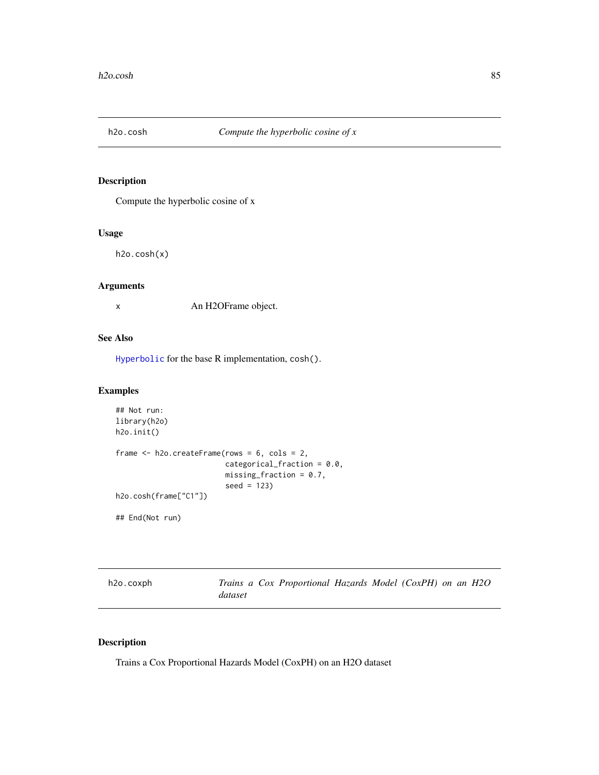Compute the hyperbolic cosine of x

# Usage

h2o.cosh(x)

# Arguments

x An H2OFrame object.

## See Also

[Hyperbolic](#page-0-0) for the base R implementation, cosh().

# Examples

```
## Not run:
library(h2o)
h2o.init()
frame <- h2o.createFrame(rows = 6, cols = 2,
                         categorical_fraction = 0.0,
                         missing_fraction = 0.7,
                         seed = 123)
h2o.cosh(frame["C1"])
```
## End(Not run)

| h <sub>2</sub> o.coxph |         | Trains a Cox Proportional Hazards Model (CoxPH) on an H2O |  |  |  |
|------------------------|---------|-----------------------------------------------------------|--|--|--|
|                        | dataset |                                                           |  |  |  |

# Description

Trains a Cox Proportional Hazards Model (CoxPH) on an H2O dataset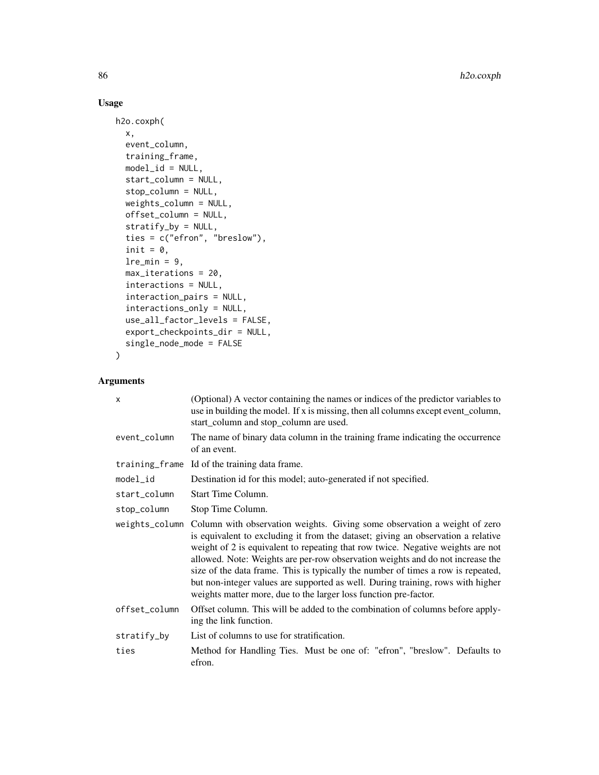# Usage

```
h2o.coxph(
 x,
  event_column,
  training_frame,
 model_id = NULL,start_column = NULL,
  stop_column = NULL,
 weights_column = NULL,
 offset_column = NULL,
  stratify_by = NULL,
  ties = c("efron", "breslow"),
  init = 0,
  lre_min = 9,
 max_iterations = 20,
  interactions = NULL,
  interaction_pairs = NULL,
  interactions_only = NULL,
  use_all_factor_levels = FALSE,
  export_checkpoints_dir = NULL,
  single_node_mode = FALSE
\mathcal{L}
```
# Arguments

| X             | (Optional) A vector containing the names or indices of the predictor variables to<br>use in building the model. If x is missing, then all columns except event_column,<br>start_column and stop_column are used.                                                                                                                                                                                                                                                                                                                                                                             |
|---------------|----------------------------------------------------------------------------------------------------------------------------------------------------------------------------------------------------------------------------------------------------------------------------------------------------------------------------------------------------------------------------------------------------------------------------------------------------------------------------------------------------------------------------------------------------------------------------------------------|
| event_column  | The name of binary data column in the training frame indicating the occurrence<br>of an event.                                                                                                                                                                                                                                                                                                                                                                                                                                                                                               |
|               | training frame Id of the training data frame.                                                                                                                                                                                                                                                                                                                                                                                                                                                                                                                                                |
| model_id      | Destination id for this model; auto-generated if not specified.                                                                                                                                                                                                                                                                                                                                                                                                                                                                                                                              |
| start_column  | Start Time Column.                                                                                                                                                                                                                                                                                                                                                                                                                                                                                                                                                                           |
| stop_column   | Stop Time Column.                                                                                                                                                                                                                                                                                                                                                                                                                                                                                                                                                                            |
|               | weights_column Column with observation weights. Giving some observation a weight of zero<br>is equivalent to excluding it from the dataset; giving an observation a relative<br>weight of 2 is equivalent to repeating that row twice. Negative weights are not<br>allowed. Note: Weights are per-row observation weights and do not increase the<br>size of the data frame. This is typically the number of times a row is repeated,<br>but non-integer values are supported as well. During training, rows with higher<br>weights matter more, due to the larger loss function pre-factor. |
| offset_column | Offset column. This will be added to the combination of columns before apply-<br>ing the link function.                                                                                                                                                                                                                                                                                                                                                                                                                                                                                      |
| stratify_by   | List of columns to use for stratification.                                                                                                                                                                                                                                                                                                                                                                                                                                                                                                                                                   |
| ties          | Method for Handling Ties. Must be one of: "efron", "breslow". Defaults to<br>efron.                                                                                                                                                                                                                                                                                                                                                                                                                                                                                                          |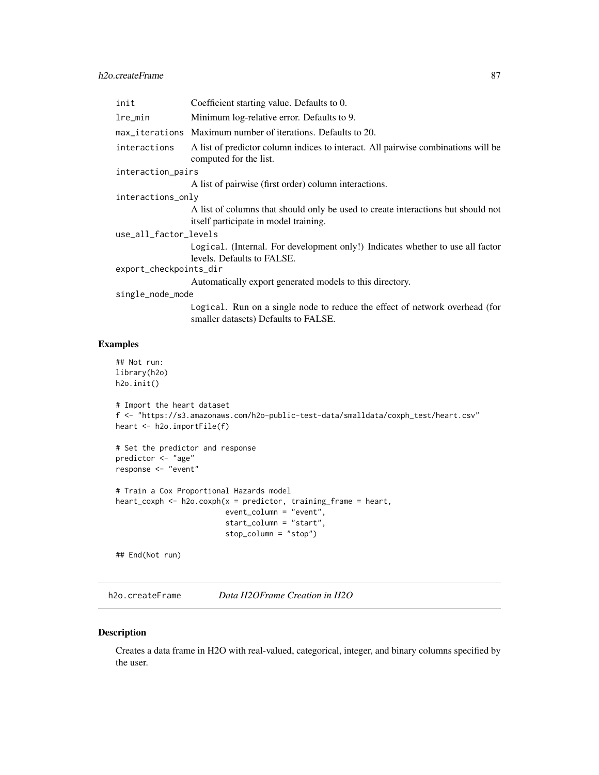| init                   | Coefficient starting value. Defaults to 0.                                                                                |  |  |
|------------------------|---------------------------------------------------------------------------------------------------------------------------|--|--|
| lre_min                | Minimum log-relative error. Defaults to 9.                                                                                |  |  |
|                        | max_iterations Maximum number of iterations. Defaults to 20.                                                              |  |  |
| interactions           | A list of predictor column indices to interact. All pairwise combinations will be<br>computed for the list.               |  |  |
| interaction_pairs      |                                                                                                                           |  |  |
|                        | A list of pairwise (first order) column interactions.                                                                     |  |  |
| interactions_only      |                                                                                                                           |  |  |
|                        | A list of columns that should only be used to create interactions but should not<br>itself participate in model training. |  |  |
| use_all_factor_levels  |                                                                                                                           |  |  |
|                        | Logical. (Internal. For development only!) Indicates whether to use all factor<br>levels. Defaults to FALSE.              |  |  |
| export_checkpoints_dir |                                                                                                                           |  |  |
|                        | Automatically export generated models to this directory.                                                                  |  |  |
| single_node_mode       |                                                                                                                           |  |  |
|                        | Logical. Run on a single node to reduce the effect of network overhead (for<br>smaller datasets) Defaults to FALSE.       |  |  |

# Examples

```
## Not run:
library(h2o)
h2o.init()
# Import the heart dataset
f <- "https://s3.amazonaws.com/h2o-public-test-data/smalldata/coxph_test/heart.csv"
heart <- h2o.importFile(f)
# Set the predictor and response
predictor <- "age"
response <- "event"
# Train a Cox Proportional Hazards model
heart_coxph <- h2o.coxph(x = predictor, training_frame = heart,
                         event_column = "event",
                         start_column = "start",
                         stop_column = "stop")
```
## End(Not run)

h2o.createFrame *Data H2OFrame Creation in H2O*

#### Description

Creates a data frame in H2O with real-valued, categorical, integer, and binary columns specified by the user.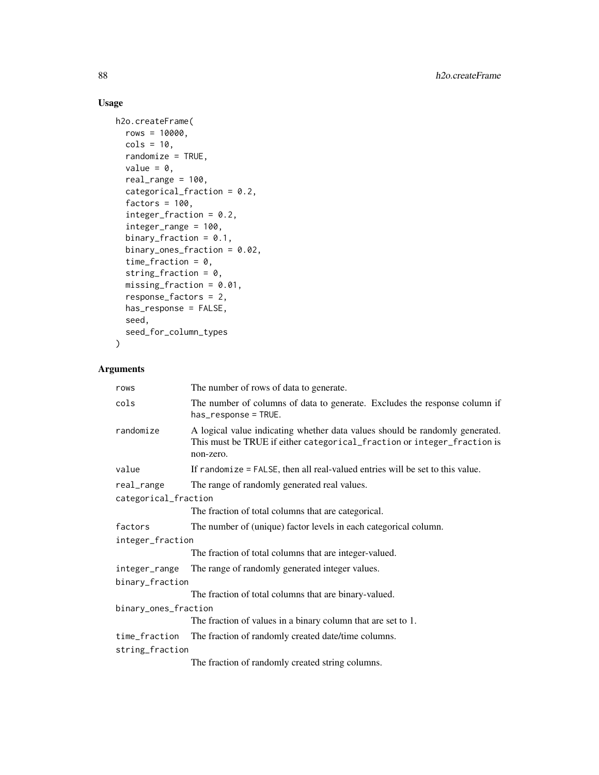# Usage

```
h2o.createFrame(
  rows = 10000,\text{cols} = 10,randomize = TRUE,
 value = 0,
  real_range = 100,
  categorical_fraction = 0.2,
  factors = 100,
  integer_fraction = 0.2,
  integer_range = 100,
 binary_fraction = 0.1,
 binary_ones_fraction = 0.02,
  time_fraction = 0,
  string_fraction = 0,
 missing_fraction = 0.01,
  response_factors = 2,
  has_response = FALSE,
  seed,
  seed_for_column_types
\mathcal{L}
```
# Arguments

| rows                 | The number of rows of data to generate.                                                                                                                              |
|----------------------|----------------------------------------------------------------------------------------------------------------------------------------------------------------------|
| cols                 | The number of columns of data to generate. Excludes the response column if<br>has_response = TRUE.                                                                   |
| randomize            | A logical value indicating whether data values should be randomly generated.<br>This must be TRUE if either categorical_fraction or integer_fraction is<br>non-zero. |
| value                | If randomize = FALSE, then all real-valued entries will be set to this value.                                                                                        |
| real_range           | The range of randomly generated real values.                                                                                                                         |
| categorical_fraction |                                                                                                                                                                      |
|                      | The fraction of total columns that are categorical.                                                                                                                  |
| factors              | The number of (unique) factor levels in each categorical column.                                                                                                     |
| integer_fraction     |                                                                                                                                                                      |
|                      | The fraction of total columns that are integer-valued.                                                                                                               |
| integer_range        | The range of randomly generated integer values.                                                                                                                      |
| binary_fraction      |                                                                                                                                                                      |
|                      | The fraction of total columns that are binary-valued.                                                                                                                |
| binary_ones_fraction |                                                                                                                                                                      |
|                      | The fraction of values in a binary column that are set to 1.                                                                                                         |
| time_fraction        | The fraction of randomly created date/time columns.                                                                                                                  |
| string_fraction      |                                                                                                                                                                      |
|                      | The fraction of randomly created string columns.                                                                                                                     |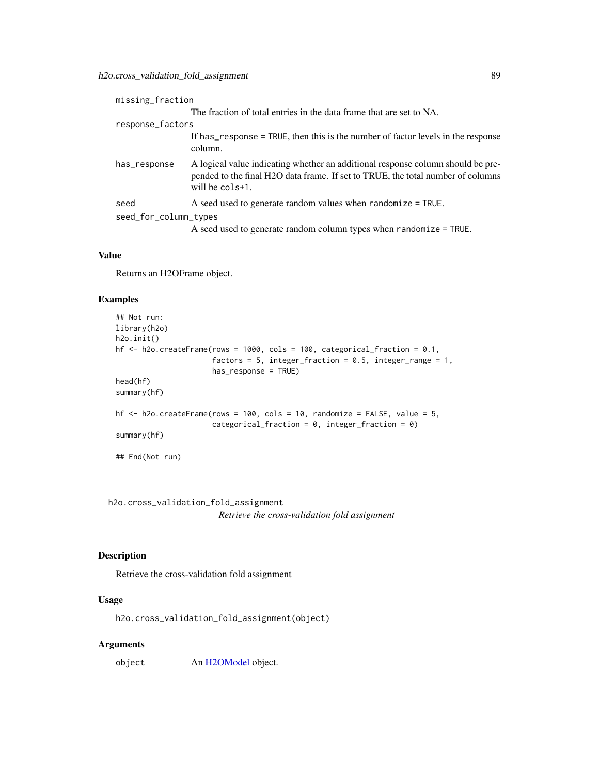| missing_fraction      |                                                                                                                                                                                          |
|-----------------------|------------------------------------------------------------------------------------------------------------------------------------------------------------------------------------------|
|                       | The fraction of total entries in the data frame that are set to NA.                                                                                                                      |
| response_factors      |                                                                                                                                                                                          |
|                       | If has response = TRUE, then this is the number of factor levels in the response<br>column.                                                                                              |
| has_response          | A logical value indicating whether an additional response column should be pre-<br>pended to the final H2O data frame. If set to TRUE, the total number of columns<br>will be $cols+1$ . |
| seed                  | A seed used to generate random values when randomize = TRUE.                                                                                                                             |
| seed_for_column_types |                                                                                                                                                                                          |
|                       | A seed used to generate random column types when $r$ andomize = TRUE.                                                                                                                    |

### Value

Returns an H2OFrame object.

#### Examples

```
## Not run:
library(h2o)
h2o.init()
hf <- h2o.createFrame(rows = 1000, cols = 100, categorical_fraction = 0.1,
                      factors = 5, integer_fraction = 0.5, integer_range = 1,
                      has_response = TRUE)
head(hf)
summary(hf)
hf \leq h2o.createFrame(rows = 100, cols = 10, randomize = FALSE, value = 5,
                      categorical_fraction = 0, integer_fraction = 0)
summary(hf)
## End(Not run)
```
h2o.cross\_validation\_fold\_assignment *Retrieve the cross-validation fold assignment*

# Description

Retrieve the cross-validation fold assignment

### Usage

h2o.cross\_validation\_fold\_assignment(object)

# Arguments

object An [H2OModel](#page-370-0) object.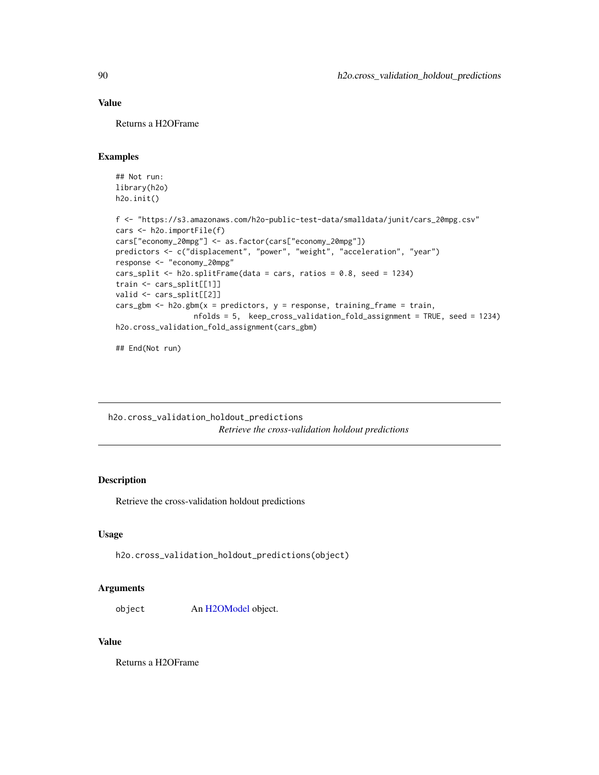# Value

Returns a H2OFrame

### Examples

```
## Not run:
library(h2o)
h2o.init()
f <- "https://s3.amazonaws.com/h2o-public-test-data/smalldata/junit/cars_20mpg.csv"
cars <- h2o.importFile(f)
cars["economy_20mpg"] <- as.factor(cars["economy_20mpg"])
predictors <- c("displacement", "power", "weight", "acceleration", "year")
response <- "economy_20mpg"
cars_split <- h2o.splitFrame(data = cars, ratios = 0.8, seed = 1234)
train <- cars_split[[1]]
valid <- cars_split[[2]]
cars_gbm <- h2o.gbm(x = predictors, y = response, training_frame = train,
                 nfolds = 5, keep_cross_validation_fold_assignment = TRUE, seed = 1234)
h2o.cross_validation_fold_assignment(cars_gbm)
```

```
## End(Not run)
```
h2o.cross\_validation\_holdout\_predictions *Retrieve the cross-validation holdout predictions*

# Description

Retrieve the cross-validation holdout predictions

#### Usage

```
h2o.cross_validation_holdout_predictions(object)
```
#### Arguments

object An [H2OModel](#page-370-0) object.

## Value

Returns a H2OFrame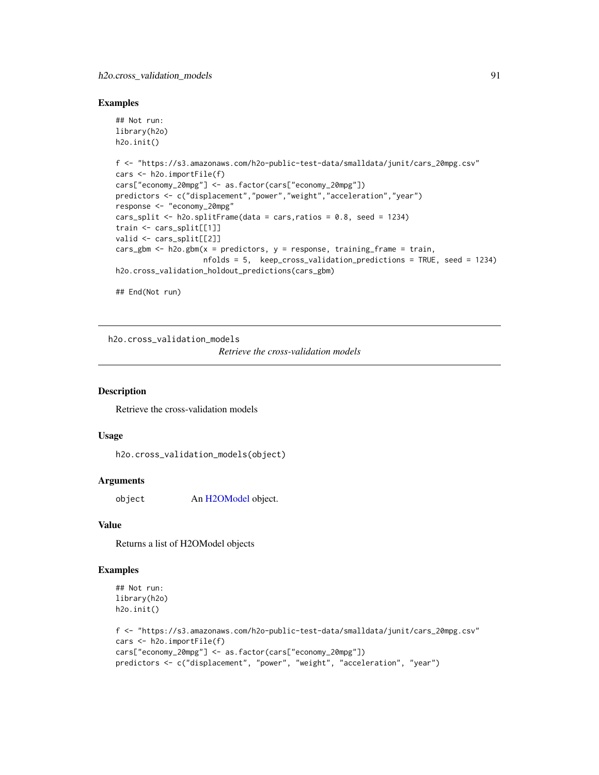#### Examples

```
## Not run:
library(h2o)
h2o.init()
f <- "https://s3.amazonaws.com/h2o-public-test-data/smalldata/junit/cars_20mpg.csv"
cars <- h2o.importFile(f)
cars["economy_20mpg"] <- as.factor(cars["economy_20mpg"])
predictors <- c("displacement","power","weight","acceleration","year")
response <- "economy_20mpg"
cars_split <- h2o.splitFrame(data = cars, ratios = 0.8, seed = 1234)
train <- cars_split[[1]]
valid <- cars_split[[2]]
cars_gbm <- h2o.gbm(x = predictors, y = response, training_frame = train,
                    nfolds = 5, keep_cross_validation_predictions = TRUE, seed = 1234)
h2o.cross_validation_holdout_predictions(cars_gbm)
## End(Not run)
```
h2o.cross\_validation\_models

*Retrieve the cross-validation models*

## Description

Retrieve the cross-validation models

## Usage

h2o.cross\_validation\_models(object)

#### Arguments

object An [H2OModel](#page-370-0) object.

### Value

Returns a list of H2OModel objects

#### Examples

```
## Not run:
library(h2o)
h2o.init()
```

```
f <- "https://s3.amazonaws.com/h2o-public-test-data/smalldata/junit/cars_20mpg.csv"
cars <- h2o.importFile(f)
cars["economy_20mpg"] <- as.factor(cars["economy_20mpg"])
predictors <- c("displacement", "power", "weight", "acceleration", "year")
```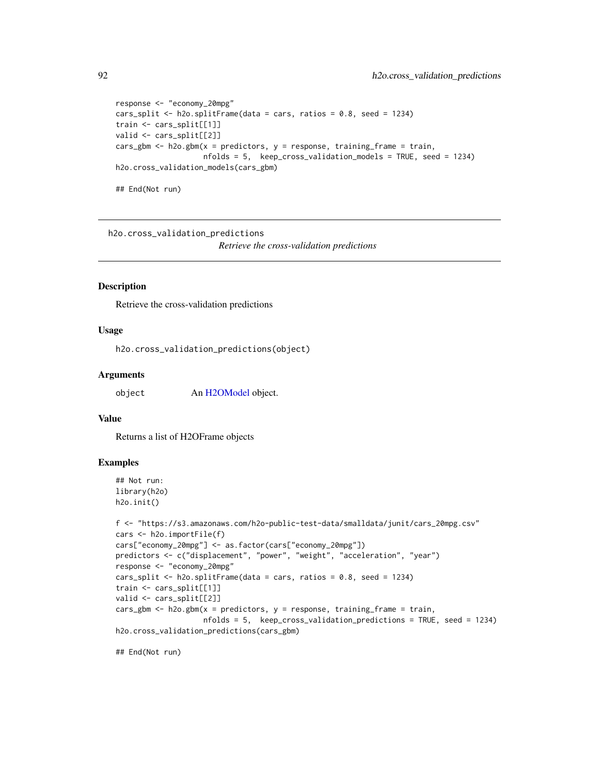```
response <- "economy_20mpg"
cars_split <- h2o.splitFrame(data = cars, ratios = 0.8, seed = 1234)
train <- cars_split[[1]]
valid <- cars_split[[2]]
cars_gbm <- h2o.gbm(x = predictors, y = response, training_frame = train,
                    nfolds = 5, keep_cross_validation_models = TRUE, seed = 1234)
h2o.cross_validation_models(cars_gbm)
```
## End(Not run)

h2o.cross\_validation\_predictions

*Retrieve the cross-validation predictions*

#### Description

Retrieve the cross-validation predictions

## Usage

h2o.cross\_validation\_predictions(object)

### Arguments

object An [H2OModel](#page-370-0) object.

### Value

Returns a list of H2OFrame objects

## Examples

```
## Not run:
library(h2o)
h2o.init()
```

```
f <- "https://s3.amazonaws.com/h2o-public-test-data/smalldata/junit/cars_20mpg.csv"
cars <- h2o.importFile(f)
cars["economy_20mpg"] <- as.factor(cars["economy_20mpg"])
predictors <- c("displacement", "power", "weight", "acceleration", "year")
response <- "economy_20mpg"
cars_split <- h2o.splitFrame(data = cars, ratios = 0.8, seed = 1234)
train <- cars_split[[1]]
valid <- cars_split[[2]]
cars_gbm <- h2o.gbm(x = predictors, y = response, training_frame = train,
                    nfolds = 5, keep_cross_validation_predictions = TRUE, seed = 1234)
h2o.cross_validation_predictions(cars_gbm)
```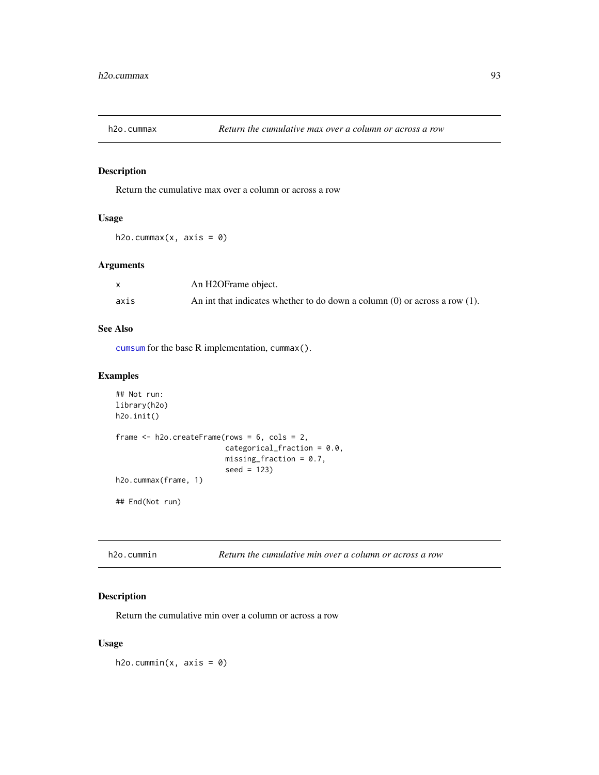Return the cumulative max over a column or across a row

## Usage

h2o.cummax(x,  $axis = 0$ )

## Arguments

|      | An H2OFrame object.                                                             |
|------|---------------------------------------------------------------------------------|
| axis | An int that indicates whether to do down a column $(0)$ or across a row $(1)$ . |

## See Also

[cumsum](#page-0-0) for the base R implementation, cummax().

# Examples

```
## Not run:
library(h2o)
h2o.init()
frame <- h2o.createFrame(rows = 6, cols = 2,
                         categorical_fraction = 0.0,
                         missing\_fraction = 0.7,
                         seed = 123)
h2o.cummax(frame, 1)
## End(Not run)
```

| h2o.cummin |  | Return the cumulative min over a column or across a row |
|------------|--|---------------------------------------------------------|
|------------|--|---------------------------------------------------------|

# Description

Return the cumulative min over a column or across a row

## Usage

 $h2o.cummin(x, axis = 0)$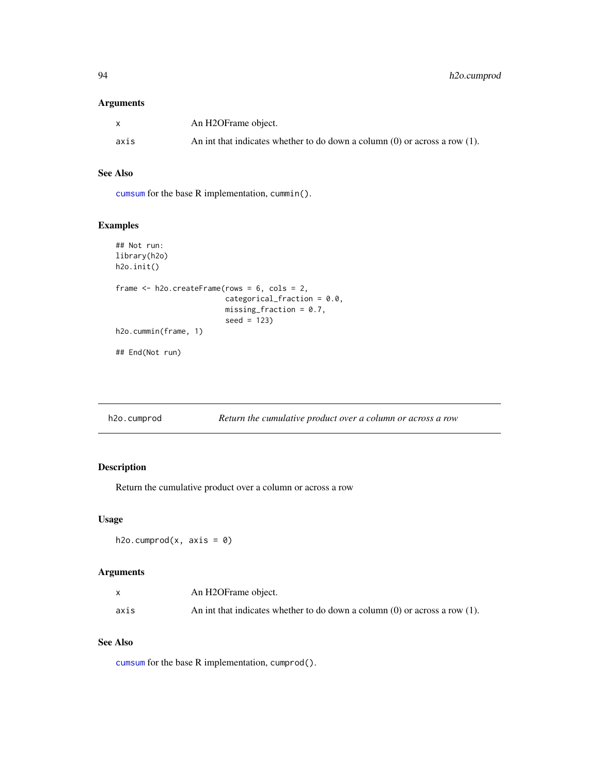## Arguments

|      | An H2OFrame object.                                                             |
|------|---------------------------------------------------------------------------------|
| axis | An int that indicates whether to do down a column $(0)$ or across a row $(1)$ . |

## See Also

[cumsum](#page-0-0) for the base R implementation, cummin().

# Examples

```
## Not run:
library(h2o)
h2o.init()
frame <- h2o.createFrame(rows = 6, cols = 2,
                         categorical_fraction = 0.0,
                         missing_fraction = 0.7,
                         seed = 123)
h2o.cummin(frame, 1)
## End(Not run)
```

| h2o.cumprod | Return the cumulative product over a column or across a row |
|-------------|-------------------------------------------------------------|
|-------------|-------------------------------------------------------------|

# Description

Return the cumulative product over a column or across a row

# Usage

```
h2o.cumprod(x, axis = 0)
```
### Arguments

|      | An H2OFrame object.                                                             |
|------|---------------------------------------------------------------------------------|
| axis | An int that indicates whether to do down a column $(0)$ or across a row $(1)$ . |

# See Also

[cumsum](#page-0-0) for the base R implementation, cumprod().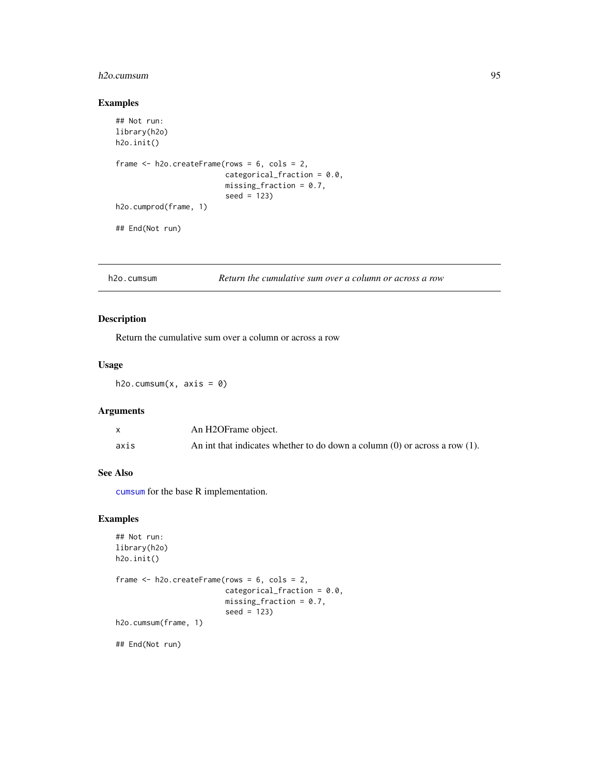# h2o.cumsum 95

## Examples

```
## Not run:
library(h2o)
h2o.init()
frame <- h2o.createFrame(rows = 6, cols = 2,
                         categorical_fraction = 0.0,
                         missing\_fraction = 0.7,
                         seed = 123h2o.cumprod(frame, 1)
## End(Not run)
```
h2o.cumsum *Return the cumulative sum over a column or across a row*

## Description

Return the cumulative sum over a column or across a row

### Usage

h2o.cumsum $(x, axis = 0)$ 

## Arguments

|      | An H2OFrame object.                                                             |
|------|---------------------------------------------------------------------------------|
| axis | An int that indicates whether to do down a column $(0)$ or across a row $(1)$ . |

## See Also

[cumsum](#page-0-0) for the base R implementation.

### Examples

```
## Not run:
library(h2o)
h2o.init()
frame <- h2o.createFrame(rows = 6, cols = 2,
                         categorical_fraction = 0.0,
                         missing_fraction = 0.7,
                         seed = 123)
h2o.cumsum(frame, 1)
```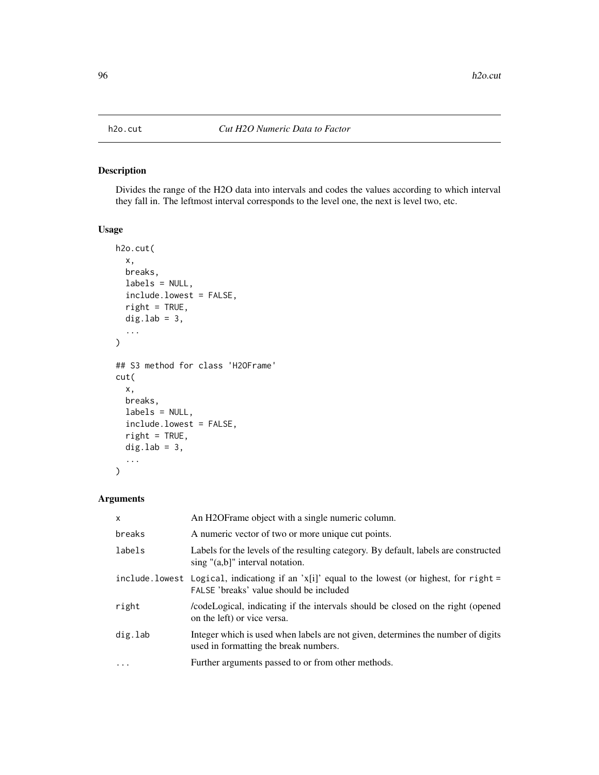Divides the range of the H2O data into intervals and codes the values according to which interval they fall in. The leftmost interval corresponds to the level one, the next is level two, etc.

### Usage

```
h2o.cut(
  x,
 breaks,
  labels = NULL,
  include.lowest = FALSE,
  right = TRUE,dig.lab = 3,
  ...
)
## S3 method for class 'H2OFrame'
cut(
 x,
 breaks,
 labels = NULL,
  include.lowest = FALSE,
  right = TRUE,dig.lab = 3,
  ...
)
```
# Arguments

| X        | An H2OFrame object with a single numeric column.                                                                                          |
|----------|-------------------------------------------------------------------------------------------------------------------------------------------|
| breaks   | A numeric vector of two or more unique cut points.                                                                                        |
| labels   | Labels for the levels of the resulting category. By default, labels are constructed<br>sing "(a,b]" interval notation.                    |
|          | include. lowest Logical, indicationg if an 'x[i]' equal to the lowest (or highest, for right =<br>FALSE 'breaks' value should be included |
| right    | codeLogical, indicating if the intervals should be closed on the right (opened<br>on the left) or vice versa.                             |
| dig.lab  | Integer which is used when labels are not given, determines the number of digits<br>used in formatting the break numbers.                 |
| $\cdots$ | Further arguments passed to or from other methods.                                                                                        |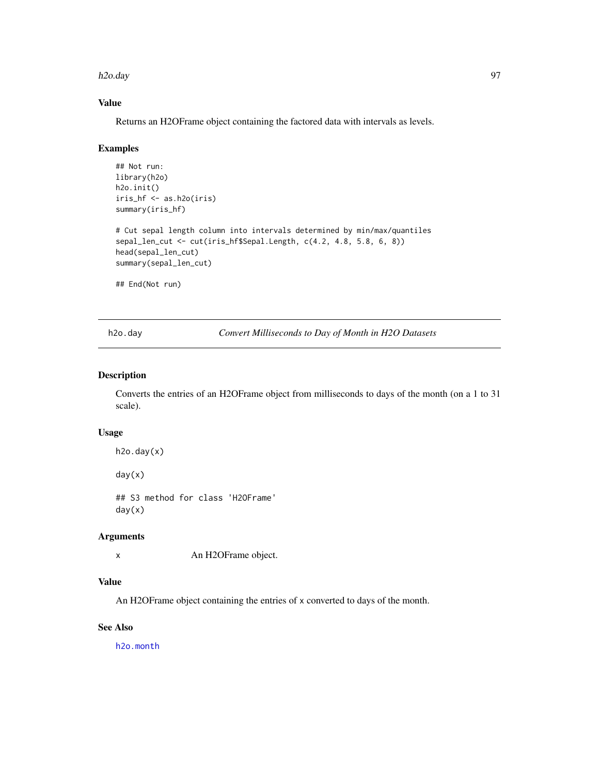#### h2o.day 97

# Value

Returns an H2OFrame object containing the factored data with intervals as levels.

#### Examples

```
## Not run:
library(h2o)
h2o.init()
iris_hf <- as.h2o(iris)
summary(iris_hf)
# Cut sepal length column into intervals determined by min/max/quantiles
sepal_len_cut <- cut(iris_hf$Sepal.Length, c(4.2, 4.8, 5.8, 6, 8))
head(sepal_len_cut)
summary(sepal_len_cut)
## End(Not run)
```
<span id="page-96-0"></span>h2o.day *Convert Milliseconds to Day of Month in H2O Datasets*

# Description

Converts the entries of an H2OFrame object from milliseconds to days of the month (on a 1 to 31 scale).

# Usage

```
h2o.day(x)
```
day(x)

## S3 method for class 'H2OFrame' day(x)

#### Arguments

x An H2OFrame object.

## Value

An H2OFrame object containing the entries of x converted to days of the month.

# See Also

[h2o.month](#page-232-0)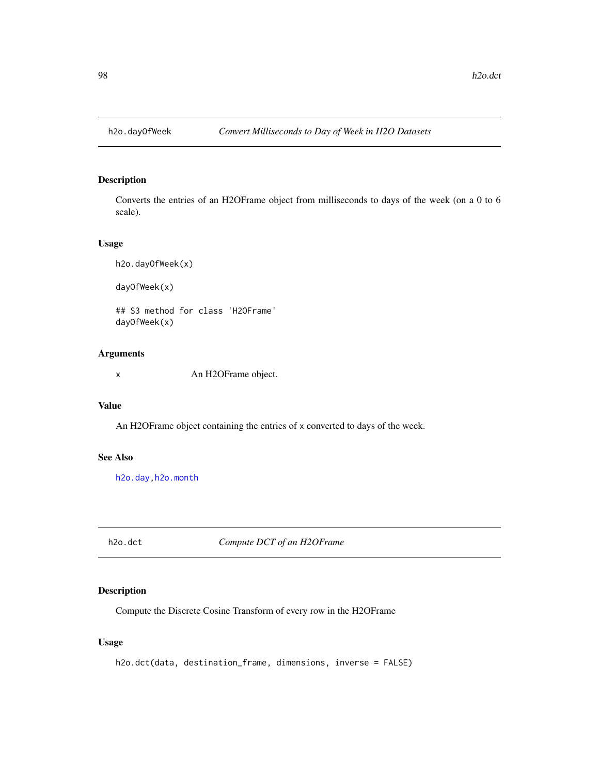Converts the entries of an H2OFrame object from milliseconds to days of the week (on a 0 to 6 scale).

## Usage

h2o.dayOfWeek(x) dayOfWeek(x)

## S3 method for class 'H2OFrame' dayOfWeek(x)

## Arguments

x An H2OFrame object.

### Value

An H2OFrame object containing the entries of x converted to days of the week.

## See Also

[h2o.day](#page-96-0)[,h2o.month](#page-232-0)

h2o.dct *Compute DCT of an H2OFrame*

# Description

Compute the Discrete Cosine Transform of every row in the H2OFrame

## Usage

h2o.dct(data, destination\_frame, dimensions, inverse = FALSE)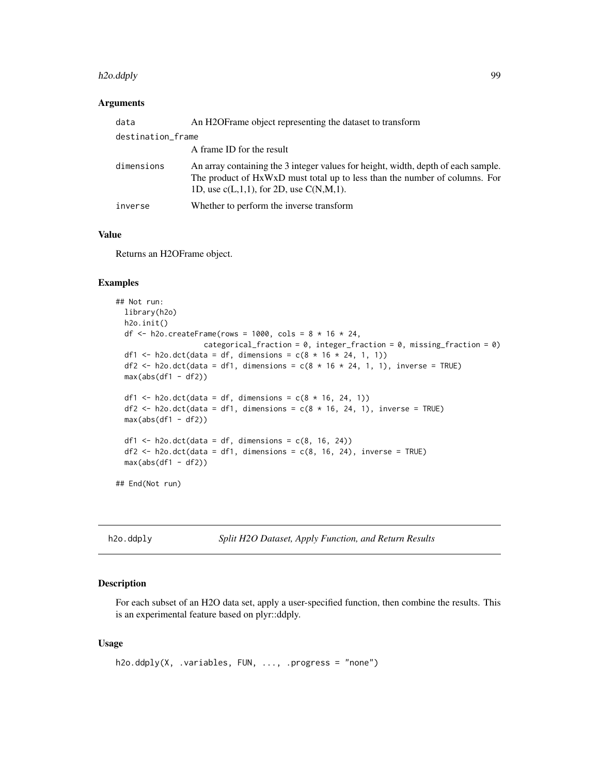#### h2o.ddply 99

#### Arguments

| data              | An H2OFrame object representing the dataset to transform                                                                                                                                                         |
|-------------------|------------------------------------------------------------------------------------------------------------------------------------------------------------------------------------------------------------------|
| destination_frame |                                                                                                                                                                                                                  |
|                   | A frame ID for the result                                                                                                                                                                                        |
| dimensions        | An array containing the 3 integer values for height, width, depth of each sample.<br>The product of HxWxD must total up to less than the number of columns. For<br>1D, use $c(L,1,1)$ , for 2D, use $C(N,M,1)$ . |
| inverse           | Whether to perform the inverse transform                                                                                                                                                                         |

#### Value

Returns an H2OFrame object.

#### Examples

```
## Not run:
 library(h2o)
 h2o.init()
 df \le h2o.createFrame(rows = 1000, cols = 8 \star 16 \star 24,
                     categorical_fraction = 0, integer_fraction = 0, missing_fraction = 0)
 df1 <- h2o.dct(data = df, dimensions = c(8 * 16 * 24, 1, 1))
 df2 <- h2o.dct(data = df1, dimensions = c(8 * 16 * 24, 1, 1), inverse = TRUE)
 max(abs(df1 - df2))df1 <- h2o.dct(data = df, dimensions = c(8 * 16, 24, 1))
 df2 <- h2o.dct(data = df1, dimensions = c(8 * 16, 24, 1), inverse = TRUE)
 max(abs(df1 - df2))df1 <- h2o.dct(data = df, dimensions = c(8, 16, 24))
 df2 \leq -h2o. \det(\text{data} = df1, \text{ dimensions} = c(8, 16, 24), \text{ inverse} = TRUE)max(abs(df1 - df2))## End(Not run)
```
h2o.ddply *Split H2O Dataset, Apply Function, and Return Results*

#### Description

For each subset of an H2O data set, apply a user-specified function, then combine the results. This is an experimental feature based on plyr::ddply.

## Usage

```
h2o.ddply(X, .variables, FUN, ..., .progress = "none")
```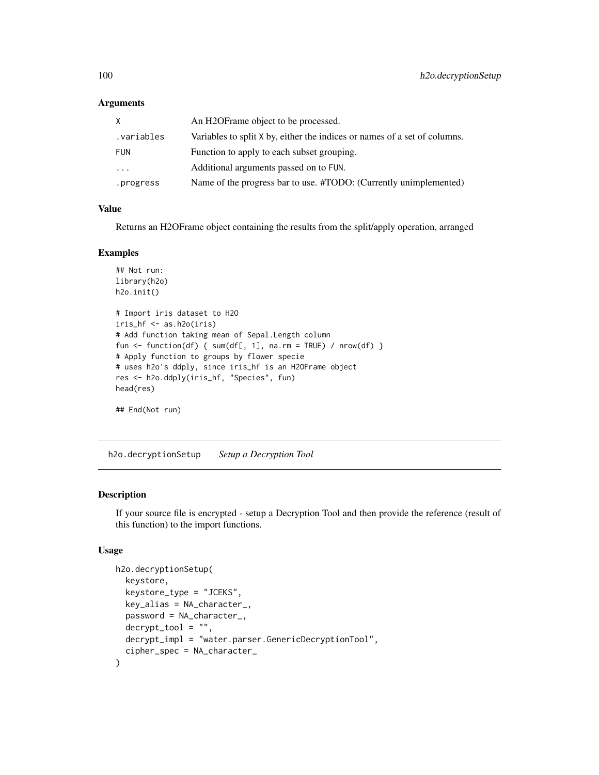#### **Arguments**

| X          | An H2OF rame object to be processed.                                      |
|------------|---------------------------------------------------------------------------|
| .variables | Variables to split X by, either the indices or names of a set of columns. |
| <b>FUN</b> | Function to apply to each subset grouping.                                |
| $\cdot$    | Additional arguments passed on to FUN.                                    |
| .progress  | Name of the progress bar to use. #TODO: (Currently unimplemented)         |

## Value

Returns an H2OFrame object containing the results from the split/apply operation, arranged

### Examples

```
## Not run:
library(h2o)
h2o.init()
# Import iris dataset to H2O
iris_hf <- as.h2o(iris)
# Add function taking mean of Sepal.Length column
fun <- function(df) { sum(df[, 1], na.rm = TRUE) / nrow(df) }
# Apply function to groups by flower specie
# uses h2o's ddply, since iris_hf is an H2OFrame object
res <- h2o.ddply(iris_hf, "Species", fun)
head(res)
## End(Not run)
```
h2o.decryptionSetup *Setup a Decryption Tool*

## Description

If your source file is encrypted - setup a Decryption Tool and then provide the reference (result of this function) to the import functions.

#### Usage

```
h2o.decryptionSetup(
  keystore,
  keystore_type = "JCEKS",
  key\_alias = NA_{character_{-}}password = NA_character_,
  decrvpt\_tool = "".decrypt_impl = "water.parser.GenericDecryptionTool",
  cipher_spec = NA_character_
)
```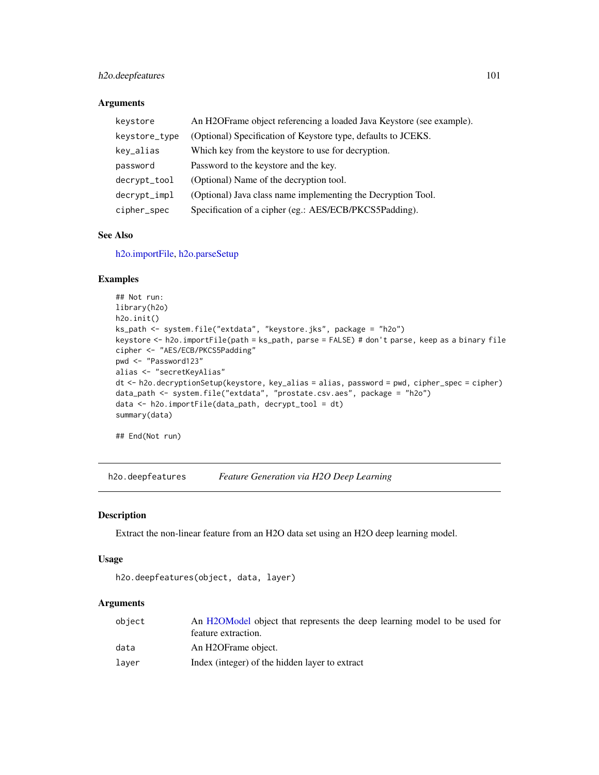# h2o.deepfeatures 101

## Arguments

| keystore      | An H2OFrame object referencing a loaded Java Keystore (see example). |
|---------------|----------------------------------------------------------------------|
| keystore_type | (Optional) Specification of Keystore type, defaults to JCEKS.        |
| key_alias     | Which key from the keystore to use for decryption.                   |
| password      | Password to the keystore and the key.                                |
| decrypt_tool  | (Optional) Name of the decryption tool.                              |
| decrypt_impl  | (Optional) Java class name implementing the Decryption Tool.         |
| cipher_spec   | Specification of a cipher (eg.: AES/ECB/PKCS5Padding).               |

### See Also

[h2o.importFile,](#page-177-0) [h2o.parseSetup](#page-250-0)

# Examples

```
## Not run:
library(h2o)
h2o.init()
ks_path <- system.file("extdata", "keystore.jks", package = "h2o")
keystore <- h2o.importFile(path = ks_path, parse = FALSE) # don't parse, keep as a binary file
cipher <- "AES/ECB/PKCS5Padding"
pwd <- "Password123"
alias <- "secretKeyAlias"
dt <- h2o.decryptionSetup(keystore, key_alias = alias, password = pwd, cipher_spec = cipher)
data_path <- system.file("extdata", "prostate.csv.aes", package = "h2o")
data <- h2o.importFile(data_path, decrypt_tool = dt)
summary(data)
```
## End(Not run)

h2o.deepfeatures *Feature Generation via H2O Deep Learning*

### Description

Extract the non-linear feature from an H2O data set using an H2O deep learning model.

## Usage

```
h2o.deepfeatures(object, data, layer)
```
# Arguments

| object | An H2OModel object that represents the deep learning model to be used for |
|--------|---------------------------------------------------------------------------|
|        | feature extraction.                                                       |
| data   | An H2OFrame object.                                                       |
| laver  | Index (integer) of the hidden layer to extract                            |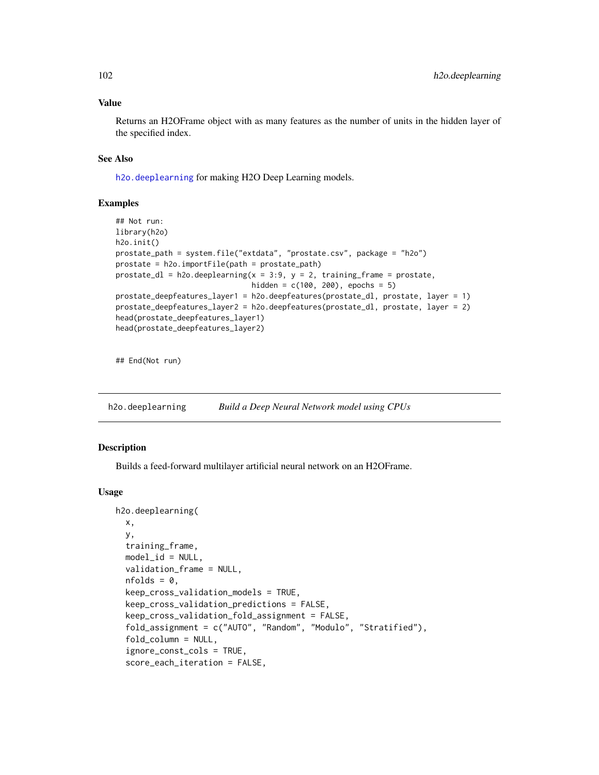#### Value

Returns an H2OFrame object with as many features as the number of units in the hidden layer of the specified index.

## See Also

[h2o.deeplearning](#page-101-0) for making H2O Deep Learning models.

## Examples

```
## Not run:
library(h2o)
h2o.init()
prostate_path = system.file("extdata", "prostate.csv", package = "h2o")
prostate = h2o.importFile(path = prostate_path)
prostate_dl = h2o.deeplearning(x = 3:9, y = 2, training_frame = prostate,
                               hidden = c(100, 200), epochs = 5)
prostate_deepfeatures_layer1 = h2o.deepfeatures(prostate_dl, prostate, layer = 1)
prostate_deepfeatures_layer2 = h2o.deepfeatures(prostate_dl, prostate, layer = 2)
head(prostate_deepfeatures_layer1)
head(prostate_deepfeatures_layer2)
```
## End(Not run)

<span id="page-101-0"></span>h2o.deeplearning *Build a Deep Neural Network model using CPUs*

## Description

Builds a feed-forward multilayer artificial neural network on an H2OFrame.

#### Usage

```
h2o.deeplearning(
 x,
 y,
  training_frame,
 model_id = NULL,validation_frame = NULL,
  nfolds = 0,
  keep_cross_validation_models = TRUE,
  keep_cross_validation_predictions = FALSE,
  keep_cross_validation_fold_assignment = FALSE,
  fold_assignment = c("AUTO", "Random", "Modulo", "Stratified"),
  fold_column = NULL,
  ignore_const_cols = TRUE,
  score_each_iteration = FALSE,
```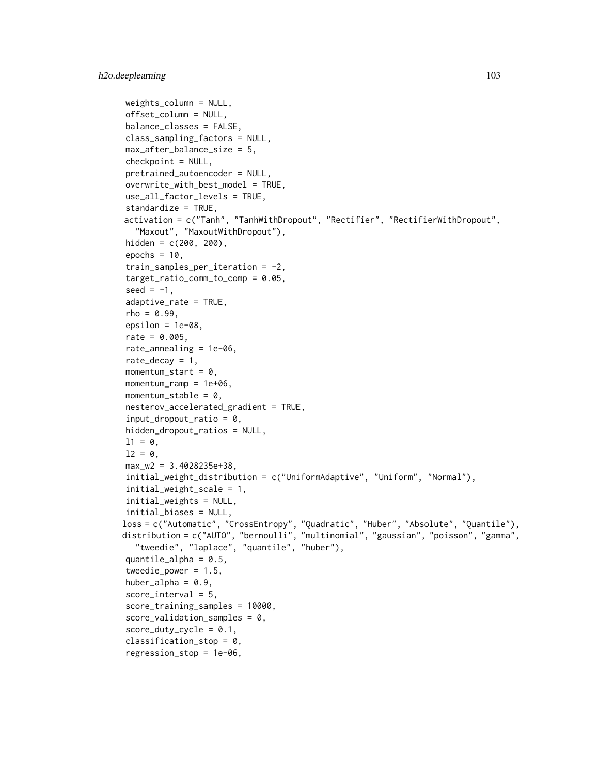```
weights_column = NULL,
offset_column = NULL,
balance_classes = FALSE,
class_sampling_factors = NULL,
max_after_balance_size = 5,
checkpoint = NULL,
pretrained_autoencoder = NULL,
overwrite\_with\_best\_model = TRUE,
use_all_factor_levels = TRUE,
standardize = TRUE,
activation = c("Tanh", "TanhWithDropout", "Rectifier", "RectifierWithDropout",
  "Maxout", "MaxoutWithDropout"),
hidden = c(200, 200),
epochs = 10,
train_samples_per_iteration = -2,
target_ratio_comm_to_comp = 0.05,
seed = -1,
adaptive_rate = TRUE,
rho = 0.99.
epsilon = 1e-08.
rate = 0.005,rate_annealing = 1e-06,
rate_decay = 1,
momentum_start = 0,
momentum_ramp = 1e+06,
momentum_stable = 0,
nesterov_accelerated_gradient = TRUE,
input_dropout_ratio = 0,
hidden_dropout_ratios = NULL,
11 = 0,
12 = 0,
max_w2 = 3.4028235e+38,
initial_weight_distribution = c("UniformAdaptive", "Uniform", "Normal"),
initial_weight_scale = 1,
initial_weights = NULL,
initial_biases = NULL,
loss = c("Automatic", "CrossEntropy", "Quadratic", "Huber", "Absolute", "Quantile"),
distribution = c("AUTO", "bernoulli", "multinomial", "gaussian", "poisson", "gamma",
  "tweedie", "laplace", "quantile", "huber"),
quantile_alpha = 0.5,
tweedie_power = 1.5,
huber_alpha = 0.9,
score_interestval = 5,
score_training_samples = 10000,
score\_validation\_samples = 0,score_duty_cycle = 0.1,
classification_stop = 0,
regression_stop = 1e-06,
```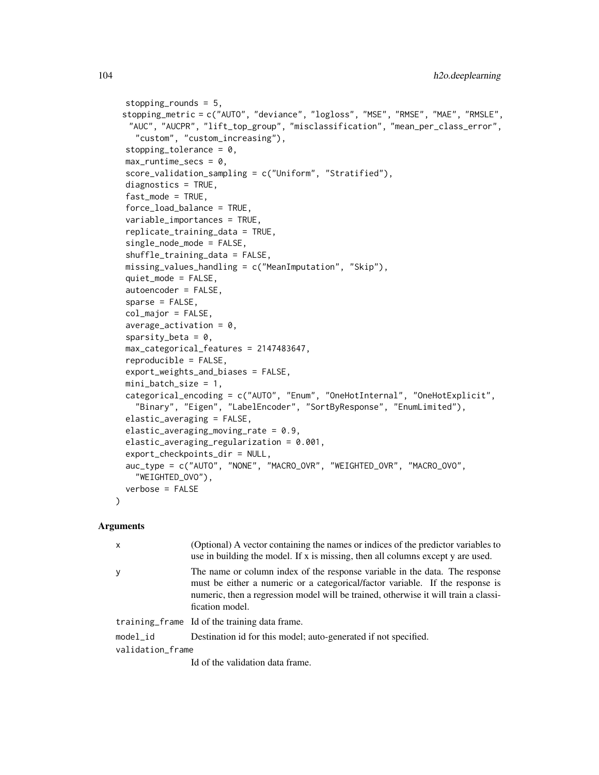```
stopping_rounds = 5,
stopping_metric = c("AUTO", "deviance", "logloss", "MSE", "RMSE", "MAE", "RMSLE",
 "AUC", "AUCPR", "lift_top_group", "misclassification", "mean_per_class_error",
  "custom", "custom_increasing"),
stopping_tolerance = 0,
max_runtime_secs = 0,
score_validation_sampling = c("Uniform", "Stratified"),
diagnostics = TRUE,
fast_model = TRUE,force_load_balance = TRUE,
variable_importances = TRUE,
replicate_training_data = TRUE,
single_node_mode = FALSE,
shuffle_training_data = FALSE,
missing_values_handling = c("MeanImputation", "Skip"),
quiet_mode = FALSE,
autoencoder = FALSE,
sparse = FALSE,col_major = FALSE,
average\_activation = 0,
sparsity_beta = 0,
max_categorical_features = 2147483647,
reproducible = FALSE,
export_weights_and_biases = FALSE,
mini_batch_size = 1,
categorical_encoding = c("AUTO", "Enum", "OneHotInternal", "OneHotExplicit",
  "Binary", "Eigen", "LabelEncoder", "SortByResponse", "EnumLimited"),
elastic_averaging = FALSE,
elastic_averaging_moving_rate = 0.9,
elastic_averaging_regularization = 0.001,
export_checkpoints_dir = NULL,
auc_type = c("AUTO", "NONE", "MACRO_OVR", "WEIGHTED_OVR", "MACRO_OVO",
  "WEIGHTED_OVO"),
verbose = FALSE
```
#### **Arguments**

 $\lambda$ 

| $\mathsf{x}$     | (Optional) A vector containing the names or indices of the predictor variables to<br>use in building the model. If x is missing, then all columns except y are used.                                                                                                   |  |
|------------------|------------------------------------------------------------------------------------------------------------------------------------------------------------------------------------------------------------------------------------------------------------------------|--|
| y                | The name or column index of the response variable in the data. The response<br>must be either a numeric or a categorical/factor variable. If the response is<br>numeric, then a regression model will be trained, otherwise it will train a classi-<br>fication model. |  |
|                  | training frame Id of the training data frame.                                                                                                                                                                                                                          |  |
| model_id         | Destination id for this model; auto-generated if not specified.                                                                                                                                                                                                        |  |
| validation_frame |                                                                                                                                                                                                                                                                        |  |
|                  | Id of the validation data frame.                                                                                                                                                                                                                                       |  |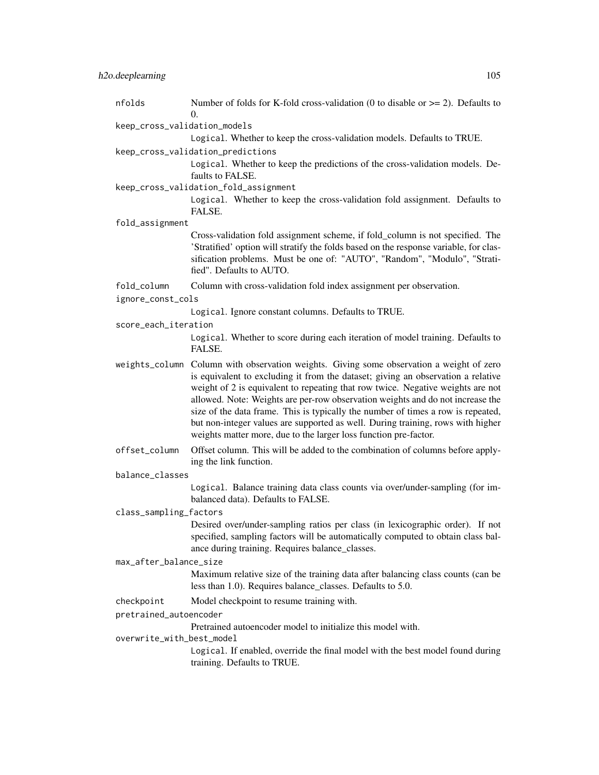| nfolds                       | Number of folds for K-fold cross-validation (0 to disable or $\ge$ = 2). Defaults to<br>$\Omega$ .                                                                                                                                                                                                                                                                                                                                                                                                                                                                                           |  |
|------------------------------|----------------------------------------------------------------------------------------------------------------------------------------------------------------------------------------------------------------------------------------------------------------------------------------------------------------------------------------------------------------------------------------------------------------------------------------------------------------------------------------------------------------------------------------------------------------------------------------------|--|
| keep_cross_validation_models |                                                                                                                                                                                                                                                                                                                                                                                                                                                                                                                                                                                              |  |
|                              | Logical. Whether to keep the cross-validation models. Defaults to TRUE.                                                                                                                                                                                                                                                                                                                                                                                                                                                                                                                      |  |
|                              | keep_cross_validation_predictions                                                                                                                                                                                                                                                                                                                                                                                                                                                                                                                                                            |  |
|                              | Logical. Whether to keep the predictions of the cross-validation models. De-<br>faults to FALSE.                                                                                                                                                                                                                                                                                                                                                                                                                                                                                             |  |
|                              | keep_cross_validation_fold_assignment                                                                                                                                                                                                                                                                                                                                                                                                                                                                                                                                                        |  |
|                              | Logical. Whether to keep the cross-validation fold assignment. Defaults to<br>FALSE.                                                                                                                                                                                                                                                                                                                                                                                                                                                                                                         |  |
| fold_assignment              |                                                                                                                                                                                                                                                                                                                                                                                                                                                                                                                                                                                              |  |
|                              | Cross-validation fold assignment scheme, if fold_column is not specified. The<br>'Stratified' option will stratify the folds based on the response variable, for clas-<br>sification problems. Must be one of: "AUTO", "Random", "Modulo", "Strati-<br>fied". Defaults to AUTO.                                                                                                                                                                                                                                                                                                              |  |
| fold_column                  | Column with cross-validation fold index assignment per observation.                                                                                                                                                                                                                                                                                                                                                                                                                                                                                                                          |  |
| ignore_const_cols            |                                                                                                                                                                                                                                                                                                                                                                                                                                                                                                                                                                                              |  |
|                              | Logical. Ignore constant columns. Defaults to TRUE.                                                                                                                                                                                                                                                                                                                                                                                                                                                                                                                                          |  |
| score_each_iteration         |                                                                                                                                                                                                                                                                                                                                                                                                                                                                                                                                                                                              |  |
|                              | Logical. Whether to score during each iteration of model training. Defaults to<br>FALSE.                                                                                                                                                                                                                                                                                                                                                                                                                                                                                                     |  |
|                              | weights_column Column with observation weights. Giving some observation a weight of zero<br>is equivalent to excluding it from the dataset; giving an observation a relative<br>weight of 2 is equivalent to repeating that row twice. Negative weights are not<br>allowed. Note: Weights are per-row observation weights and do not increase the<br>size of the data frame. This is typically the number of times a row is repeated,<br>but non-integer values are supported as well. During training, rows with higher<br>weights matter more, due to the larger loss function pre-factor. |  |
| offset_column                | Offset column. This will be added to the combination of columns before apply-<br>ing the link function.                                                                                                                                                                                                                                                                                                                                                                                                                                                                                      |  |
| balance_classes              |                                                                                                                                                                                                                                                                                                                                                                                                                                                                                                                                                                                              |  |
|                              | Logical. Balance training data class counts via over/under-sampling (for im-<br>balanced data). Defaults to FALSE.                                                                                                                                                                                                                                                                                                                                                                                                                                                                           |  |
| class_sampling_factors       |                                                                                                                                                                                                                                                                                                                                                                                                                                                                                                                                                                                              |  |
|                              | Desired over/under-sampling ratios per class (in lexicographic order). If not<br>specified, sampling factors will be automatically computed to obtain class bal-<br>ance during training. Requires balance_classes.                                                                                                                                                                                                                                                                                                                                                                          |  |
| max_after_balance_size       |                                                                                                                                                                                                                                                                                                                                                                                                                                                                                                                                                                                              |  |
|                              | Maximum relative size of the training data after balancing class counts (can be<br>less than 1.0). Requires balance_classes. Defaults to 5.0.                                                                                                                                                                                                                                                                                                                                                                                                                                                |  |
| checkpoint                   | Model checkpoint to resume training with.                                                                                                                                                                                                                                                                                                                                                                                                                                                                                                                                                    |  |
| pretrained_autoencoder       |                                                                                                                                                                                                                                                                                                                                                                                                                                                                                                                                                                                              |  |
|                              | Pretrained autoencoder model to initialize this model with.                                                                                                                                                                                                                                                                                                                                                                                                                                                                                                                                  |  |
| overwrite_with_best_model    |                                                                                                                                                                                                                                                                                                                                                                                                                                                                                                                                                                                              |  |
|                              | Logical. If enabled, override the final model with the best model found during<br>training. Defaults to TRUE.                                                                                                                                                                                                                                                                                                                                                                                                                                                                                |  |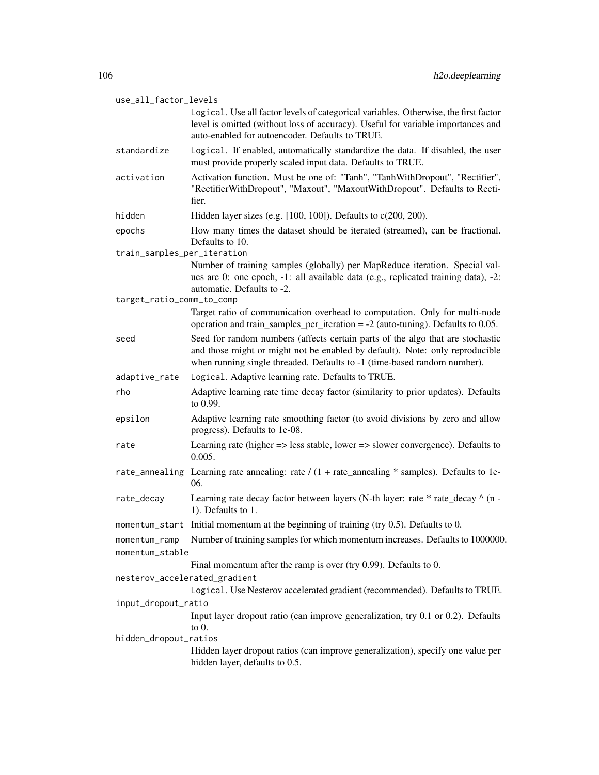| use_all_factor_levels                                                                                    |                                                                                                                                                                                                                                            |  |
|----------------------------------------------------------------------------------------------------------|--------------------------------------------------------------------------------------------------------------------------------------------------------------------------------------------------------------------------------------------|--|
|                                                                                                          | Logical. Use all factor levels of categorical variables. Otherwise, the first factor<br>level is omitted (without loss of accuracy). Useful for variable importances and<br>auto-enabled for autoencoder. Defaults to TRUE.                |  |
| standardize                                                                                              | Logical. If enabled, automatically standardize the data. If disabled, the user<br>must provide properly scaled input data. Defaults to TRUE.                                                                                               |  |
| activation                                                                                               | Activation function. Must be one of: "Tanh", "TanhWithDropout", "Rectifier",<br>"RectifierWithDropout", "Maxout", "MaxoutWithDropout". Defaults to Recti-<br>fier.                                                                         |  |
| hidden                                                                                                   | Hidden layer sizes (e.g. $[100, 100]$ ). Defaults to $c(200, 200)$ .                                                                                                                                                                       |  |
| epochs                                                                                                   | How many times the dataset should be iterated (streamed), can be fractional.<br>Defaults to 10.                                                                                                                                            |  |
| train_samples_per_iteration                                                                              |                                                                                                                                                                                                                                            |  |
|                                                                                                          | Number of training samples (globally) per MapReduce iteration. Special val-<br>ues are 0: one epoch, -1: all available data (e.g., replicated training data), -2:<br>automatic. Defaults to -2.                                            |  |
| target_ratio_comm_to_comp                                                                                |                                                                                                                                                                                                                                            |  |
|                                                                                                          | Target ratio of communication overhead to computation. Only for multi-node<br>operation and train_samples_per_iteration = $-2$ (auto-tuning). Defaults to 0.05.                                                                            |  |
| seed                                                                                                     | Seed for random numbers (affects certain parts of the algo that are stochastic<br>and those might or might not be enabled by default). Note: only reproducible<br>when running single threaded. Defaults to -1 (time-based random number). |  |
| adaptive_rate                                                                                            | Logical. Adaptive learning rate. Defaults to TRUE.                                                                                                                                                                                         |  |
| rho                                                                                                      | Adaptive learning rate time decay factor (similarity to prior updates). Defaults<br>to 0.99.                                                                                                                                               |  |
| epsilon                                                                                                  | Adaptive learning rate smoothing factor (to avoid divisions by zero and allow<br>progress). Defaults to 1e-08.                                                                                                                             |  |
| rate                                                                                                     | Learning rate (higher => less stable, lower => slower convergence). Defaults to<br>0.005.                                                                                                                                                  |  |
|                                                                                                          | rate_annealing Learning rate annealing: rate $/(1 + rate$ _annealing * samples). Defaults to 1e-<br>06.                                                                                                                                    |  |
| rate_decay                                                                                               | Learning rate decay factor between layers (N-th layer: rate * rate_decay ^ (n -<br>1). Defaults to 1.                                                                                                                                      |  |
|                                                                                                          | momentum_start Initial momentum at the beginning of training (try 0.5). Defaults to 0.                                                                                                                                                     |  |
| momentum_ramp<br>momentum_stable                                                                         | Number of training samples for which momentum increases. Defaults to 1000000.                                                                                                                                                              |  |
|                                                                                                          | Final momentum after the ramp is over (try $0.99$ ). Defaults to $0$ .                                                                                                                                                                     |  |
| nesterov_accelerated_gradient                                                                            |                                                                                                                                                                                                                                            |  |
|                                                                                                          | Logical. Use Nesterov accelerated gradient (recommended). Defaults to TRUE.                                                                                                                                                                |  |
| input_dropout_ratio                                                                                      |                                                                                                                                                                                                                                            |  |
|                                                                                                          | Input layer dropout ratio (can improve generalization, try 0.1 or 0.2). Defaults<br>to $0$ .                                                                                                                                               |  |
| hidden_dropout_ratios<br>Hidden layer dropout ratios (can improve generalization), specify one value per |                                                                                                                                                                                                                                            |  |
|                                                                                                          | hidden layer, defaults to 0.5.                                                                                                                                                                                                             |  |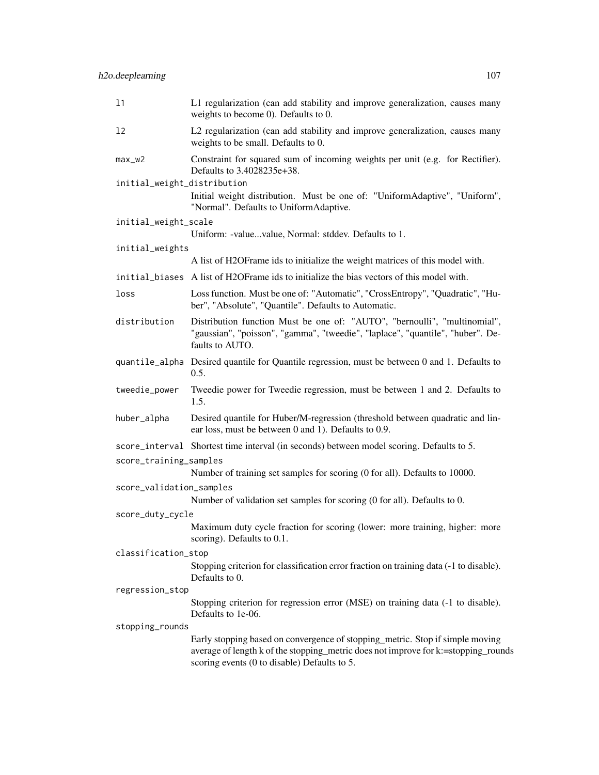| 11                          | L1 regularization (can add stability and improve generalization, causes many<br>weights to become 0). Defaults to 0.                                                                                                |
|-----------------------------|---------------------------------------------------------------------------------------------------------------------------------------------------------------------------------------------------------------------|
| 12                          | L2 regularization (can add stability and improve generalization, causes many<br>weights to be small. Defaults to 0.                                                                                                 |
| $max_w2$                    | Constraint for squared sum of incoming weights per unit (e.g. for Rectifier).<br>Defaults to 3.4028235e+38.                                                                                                         |
| initial_weight_distribution | Initial weight distribution. Must be one of: "UniformAdaptive", "Uniform",<br>"Normal". Defaults to UniformAdaptive.                                                                                                |
| initial_weight_scale        |                                                                                                                                                                                                                     |
|                             | Uniform: -valuevalue, Normal: stddev. Defaults to 1.                                                                                                                                                                |
| initial_weights             |                                                                                                                                                                                                                     |
|                             | A list of H2OFrame ids to initialize the weight matrices of this model with.                                                                                                                                        |
|                             | initial_biases A list of H2OFrame ids to initialize the bias vectors of this model with.                                                                                                                            |
| loss                        | Loss function. Must be one of: "Automatic", "CrossEntropy", "Quadratic", "Hu-<br>ber", "Absolute", "Quantile". Defaults to Automatic.                                                                               |
| distribution                | Distribution function Must be one of: "AUTO", "bernoulli", "multinomial",<br>"gaussian", "poisson", "gamma", "tweedie", "laplace", "quantile", "huber". De-<br>faults to AUTO.                                      |
|                             | quantile_alpha Desired quantile for Quantile regression, must be between 0 and 1. Defaults to<br>0.5.                                                                                                               |
| tweedie_power               | Tweedie power for Tweedie regression, must be between 1 and 2. Defaults to<br>1.5.                                                                                                                                  |
| huber_alpha                 | Desired quantile for Huber/M-regression (threshold between quadratic and lin-<br>ear loss, must be between 0 and 1). Defaults to 0.9.                                                                               |
| score_training_samples      | score_interval Shortest time interval (in seconds) between model scoring. Defaults to 5.                                                                                                                            |
|                             | Number of training set samples for scoring (0 for all). Defaults to 10000.                                                                                                                                          |
| score_validation_samples    | Number of validation set samples for scoring (0 for all). Defaults to 0.                                                                                                                                            |
| score_duty_cycle            |                                                                                                                                                                                                                     |
|                             | Maximum duty cycle fraction for scoring (lower: more training, higher: more<br>scoring). Defaults to $0.1$ .                                                                                                        |
| classification_stop         |                                                                                                                                                                                                                     |
|                             | Stopping criterion for classification error fraction on training data (-1 to disable).<br>Defaults to 0.                                                                                                            |
| regression_stop             |                                                                                                                                                                                                                     |
|                             | Stopping criterion for regression error (MSE) on training data (-1 to disable).<br>Defaults to 1e-06.                                                                                                               |
| stopping_rounds             | Early stopping based on convergence of stopping_metric. Stop if simple moving<br>average of length k of the stopping_metric does not improve for k:=stopping_rounds<br>scoring events (0 to disable) Defaults to 5. |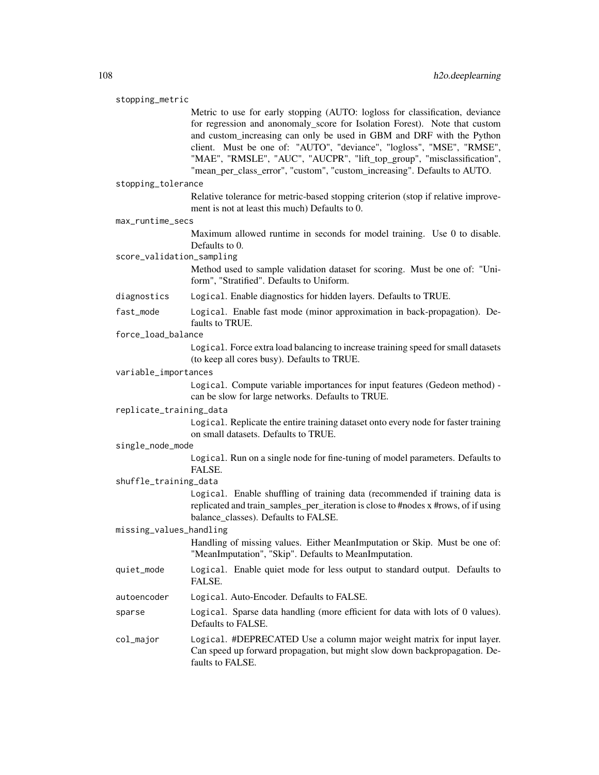#### stopping\_metric

Metric to use for early stopping (AUTO: logloss for classification, deviance for regression and anonomaly\_score for Isolation Forest). Note that custom and custom increasing can only be used in GBM and DRF with the Python client. Must be one of: "AUTO", "deviance", "logloss", "MSE", "RMSE", "MAE", "RMSLE", "AUC", "AUCPR", "lift\_top\_group", "misclassification", "mean\_per\_class\_error", "custom", "custom\_increasing". Defaults to AUTO.

#### stopping\_tolerance

Relative tolerance for metric-based stopping criterion (stop if relative improvement is not at least this much) Defaults to 0.

#### max\_runtime\_secs

Maximum allowed runtime in seconds for model training. Use 0 to disable. Defaults to 0.

# score\_validation\_sampling

Method used to sample validation dataset for scoring. Must be one of: "Uniform", "Stratified". Defaults to Uniform.

## diagnostics Logical. Enable diagnostics for hidden layers. Defaults to TRUE.

fast\_mode Logical. Enable fast mode (minor approximation in back-propagation). Defaults to TRUE.

#### force\_load\_balance

Logical. Force extra load balancing to increase training speed for small datasets (to keep all cores busy). Defaults to TRUE.

## variable\_importances

Logical. Compute variable importances for input features (Gedeon method) can be slow for large networks. Defaults to TRUE.

#### replicate\_training\_data

Logical. Replicate the entire training dataset onto every node for faster training on small datasets. Defaults to TRUE.

#### single\_node\_mode

Logical. Run on a single node for fine-tuning of model parameters. Defaults to FALSE.

# shuffle\_training\_data

Logical. Enable shuffling of training data (recommended if training data is replicated and train\_samples\_per\_iteration is close to #nodes x #rows, of if using balance\_classes). Defaults to FALSE.

## missing\_values\_handling

Handling of missing values. Either MeanImputation or Skip. Must be one of: "MeanImputation", "Skip". Defaults to MeanImputation.

- quiet\_mode Logical. Enable quiet mode for less output to standard output. Defaults to FALSE.
- autoencoder Logical. Auto-Encoder. Defaults to FALSE.
- sparse Logical. Sparse data handling (more efficient for data with lots of 0 values). Defaults to FALSE.

col\_major Logical. #DEPRECATED Use a column major weight matrix for input layer. Can speed up forward propagation, but might slow down backpropagation. Defaults to FALSE.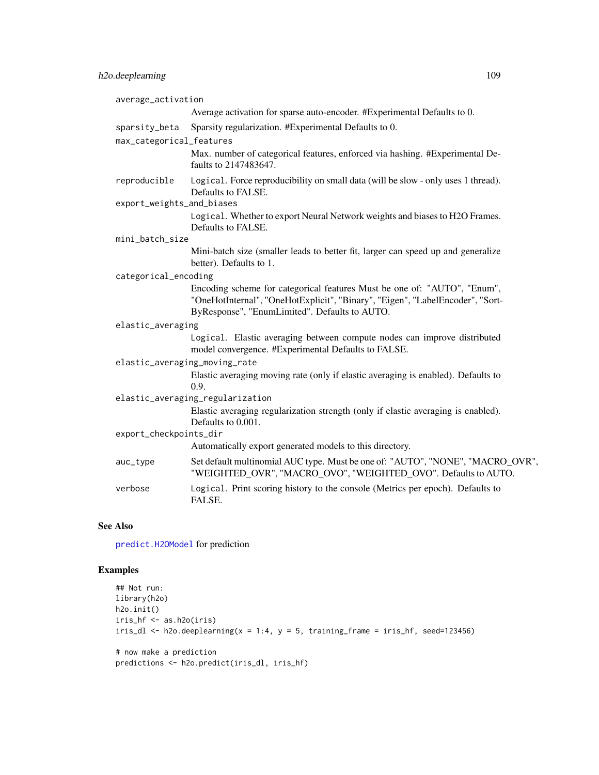| average_activation                        |                                                                                                                                                                                                            |
|-------------------------------------------|------------------------------------------------------------------------------------------------------------------------------------------------------------------------------------------------------------|
|                                           | Average activation for sparse auto-encoder. #Experimental Defaults to 0.                                                                                                                                   |
| sparsity_beta<br>max_categorical_features | Sparsity regularization. #Experimental Defaults to 0.                                                                                                                                                      |
|                                           | Max. number of categorical features, enforced via hashing. #Experimental De-<br>faults to 2147483647.                                                                                                      |
| reproducible                              | Logical. Force reproducibility on small data (will be slow - only uses 1 thread).<br>Defaults to FALSE.                                                                                                    |
| export_weights_and_biases                 |                                                                                                                                                                                                            |
|                                           | Logical. Whether to export Neural Network weights and biases to H2O Frames.<br>Defaults to FALSE.                                                                                                          |
| mini_batch_size                           |                                                                                                                                                                                                            |
|                                           | Mini-batch size (smaller leads to better fit, larger can speed up and generalize<br>better). Defaults to 1.                                                                                                |
| categorical_encoding                      |                                                                                                                                                                                                            |
|                                           | Encoding scheme for categorical features Must be one of: "AUTO", "Enum",<br>"OneHotInternal", "OneHotExplicit", "Binary", "Eigen", "LabelEncoder", "Sort-<br>ByResponse", "EnumLimited". Defaults to AUTO. |
| elastic_averaging                         |                                                                                                                                                                                                            |
|                                           | Logical. Elastic averaging between compute nodes can improve distributed<br>model convergence. #Experimental Defaults to FALSE.                                                                            |
| elastic_averaging_moving_rate             |                                                                                                                                                                                                            |
|                                           | Elastic averaging moving rate (only if elastic averaging is enabled). Defaults to<br>0.9.                                                                                                                  |
|                                           | elastic_averaging_regularization<br>Elastic averaging regularization strength (only if elastic averaging is enabled).<br>Defaults to 0.001.                                                                |
| export_checkpoints_dir                    |                                                                                                                                                                                                            |
|                                           | Automatically export generated models to this directory.                                                                                                                                                   |
| auc_type                                  | Set default multinomial AUC type. Must be one of: "AUTO", "NONE", "MACRO_OVR",<br>"WEIGHTED OVR", "MACRO OVO", "WEIGHTED OVO". Defaults to AUTO.                                                           |
| verbose                                   | Logical. Print scoring history to the console (Metrics per epoch). Defaults to<br>FALSE.                                                                                                                   |

## See Also

[predict.H2OModel](#page-385-0) for prediction

## Examples

```
## Not run:
library(h2o)
h2o.init()
iris_hf <- as.h2o(iris)
iris_d1 <- h2o.deeplearning(x = 1:4, y = 5, training_frame = iris_hf, seed=123456)
# now make a prediction
predictions <- h2o.predict(iris_dl, iris_hf)
```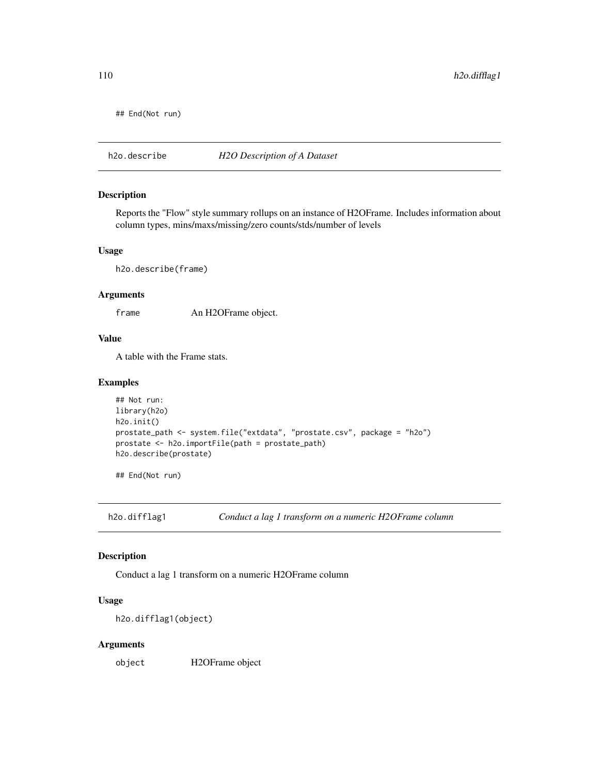## End(Not run)

h2o.describe *H2O Description of A Dataset*

#### Description

Reports the "Flow" style summary rollups on an instance of H2OFrame. Includes information about column types, mins/maxs/missing/zero counts/stds/number of levels

#### Usage

h2o.describe(frame)

#### Arguments

frame An H2OFrame object.

#### Value

A table with the Frame stats.

#### Examples

```
## Not run:
library(h2o)
h2o.init()
prostate_path <- system.file("extdata", "prostate.csv", package = "h2o")
prostate <- h2o.importFile(path = prostate_path)
h2o.describe(prostate)
```
## End(Not run)

h2o.difflag1 *Conduct a lag 1 transform on a numeric H2OFrame column*

## Description

Conduct a lag 1 transform on a numeric H2OFrame column

#### Usage

h2o.difflag1(object)

#### Arguments

object H2OFrame object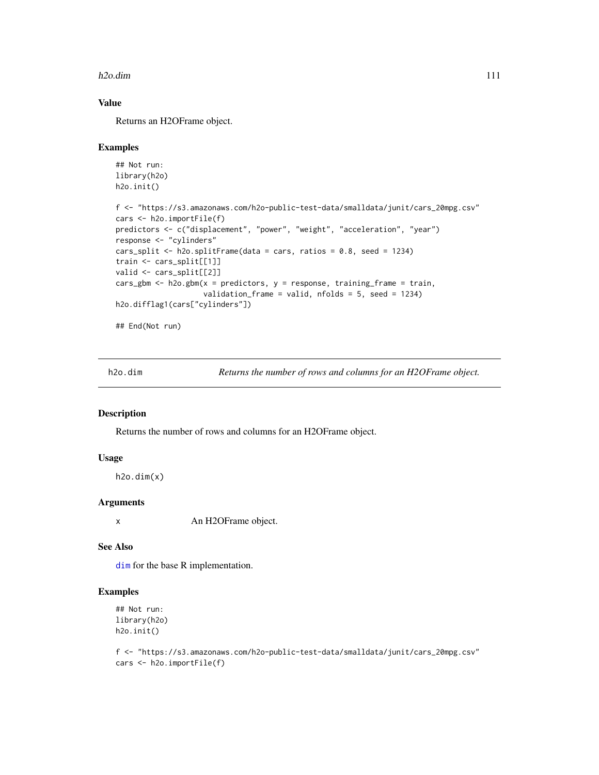#### h2o.dim 111

### Value

Returns an H2OFrame object.

#### Examples

```
## Not run:
library(h2o)
h2o.init()
f <- "https://s3.amazonaws.com/h2o-public-test-data/smalldata/junit/cars_20mpg.csv"
cars <- h2o.importFile(f)
predictors <- c("displacement", "power", "weight", "acceleration", "year")
response <- "cylinders"
cars_split <- h2o.splitFrame(data = cars, ratios = 0.8, seed = 1234)
train <- cars_split[[1]]
valid <- cars_split[[2]]
cars_gbm <- h2o.gbm(x = predictors, y = response, training_frame = train,
                    validation_frame = valid, nfolds = 5, seed = 1234)
h2o.difflag1(cars["cylinders"])
## End(Not run)
```
h2o.dim *Returns the number of rows and columns for an H2OFrame object.*

## Description

Returns the number of rows and columns for an H2OFrame object.

## Usage

h2o.dim(x)

#### Arguments

x An H2OFrame object.

#### See Also

[dim](#page-0-0) for the base R implementation.

#### Examples

```
## Not run:
library(h2o)
h2o.init()
```
f <- "https://s3.amazonaws.com/h2o-public-test-data/smalldata/junit/cars\_20mpg.csv" cars <- h2o.importFile(f)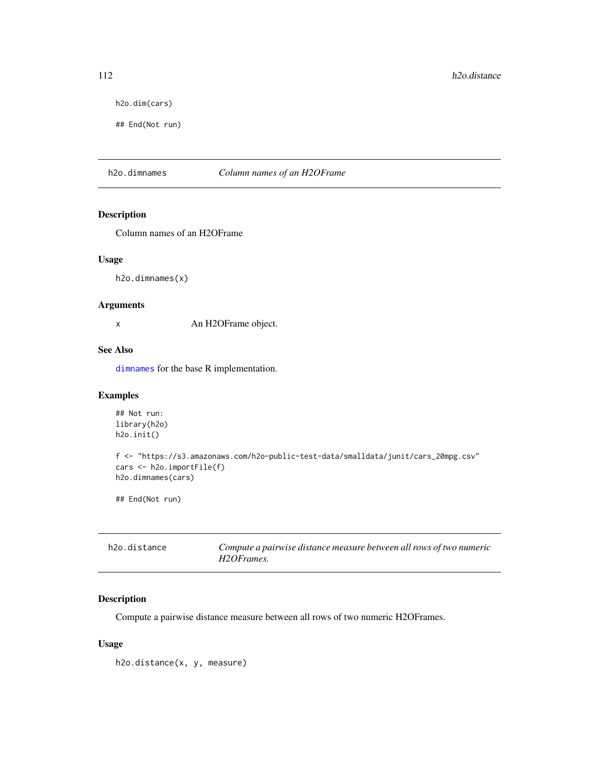h2o.dim(cars)

## End(Not run)

h2o.dimnames *Column names of an H2OFrame*

## Description

Column names of an H2OFrame

#### Usage

h2o.dimnames(x)

#### Arguments

x An H2OFrame object.

## See Also

[dimnames](#page-0-0) for the base R implementation.

## Examples

```
## Not run:
library(h2o)
h2o.init()
f <- "https://s3.amazonaws.com/h2o-public-test-data/smalldata/junit/cars_20mpg.csv"
cars <- h2o.importFile(f)
h2o.dimnames(cars)
```
## End(Not run)

| h2o.distance | Compute a pairwise distance measure between all rows of two numeric |
|--------------|---------------------------------------------------------------------|
|              | H2OFrames.                                                          |

## Description

Compute a pairwise distance measure between all rows of two numeric H2OFrames.

## Usage

h2o.distance(x, y, measure)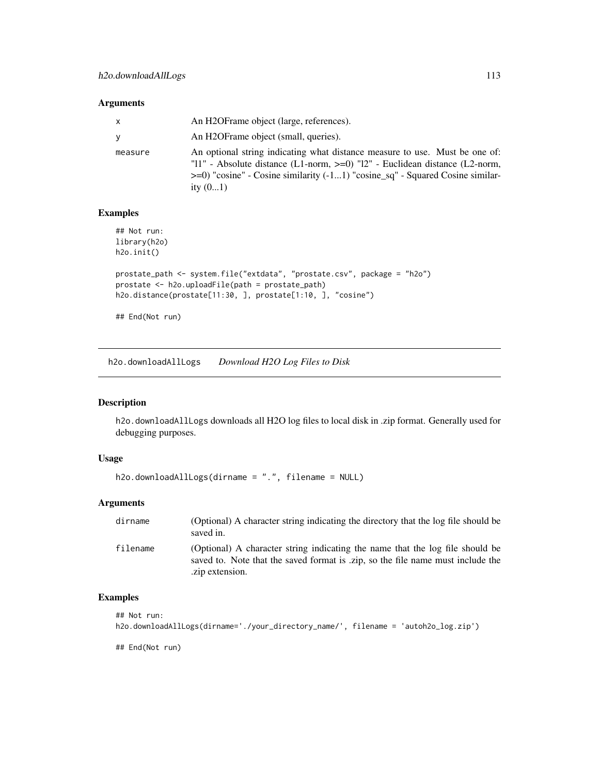#### Arguments

| X        | An H2OFrame object (large, references).                                                                                                                                                                                                                         |
|----------|-----------------------------------------------------------------------------------------------------------------------------------------------------------------------------------------------------------------------------------------------------------------|
| <b>V</b> | An H2OFrame object (small, queries).                                                                                                                                                                                                                            |
| measure  | An optional string indicating what distance measure to use. Must be one of:<br>"11" - Absolute distance (L1-norm, >=0) "12" - Euclidean distance (L2-norm,<br>$\geq$ =0) "cosine" - Cosine similarity (-11) "cosine_sq" - Squared Cosine similar-<br>ity $(01)$ |

## Examples

```
## Not run:
library(h2o)
h2o.init()
prostate_path <- system.file("extdata", "prostate.csv", package = "h2o")
prostate <- h2o.uploadFile(path = prostate_path)
h2o.distance(prostate[11:30, ], prostate[1:10, ], "cosine")
```
## End(Not run)

h2o.downloadAllLogs *Download H2O Log Files to Disk*

#### Description

h2o.downloadAllLogs downloads all H2O log files to local disk in .zip format. Generally used for debugging purposes.

## Usage

```
h2o.downloadAllLogs(dirname = ".", filename = NULL)
```
#### Arguments

| dirname  | (Optional) A character string indicating the directory that the log file should be<br>saved in.                                                                                     |
|----------|-------------------------------------------------------------------------------------------------------------------------------------------------------------------------------------|
| filename | (Optional) A character string indicating the name that the log file should be<br>saved to. Note that the saved format is .zip, so the file name must include the<br>.zip extension. |

## Examples

```
## Not run:
h2o.downloadAllLogs(dirname='./your_directory_name/', filename = 'autoh2o_log.zip')
```
## End(Not run)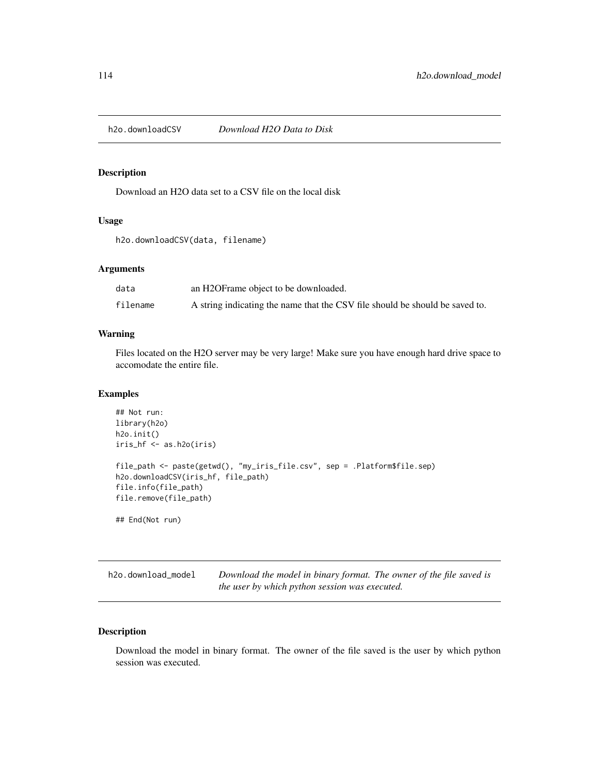h2o.downloadCSV *Download H2O Data to Disk*

## Description

Download an H2O data set to a CSV file on the local disk

### Usage

h2o.downloadCSV(data, filename)

## Arguments

| data     | an H2OFrame object to be downloaded.                                         |
|----------|------------------------------------------------------------------------------|
| filename | A string indicating the name that the CSV file should be should be saved to. |

## Warning

Files located on the H2O server may be very large! Make sure you have enough hard drive space to accomodate the entire file.

## Examples

```
## Not run:
library(h2o)
h2o.init()
iris_hf <- as.h2o(iris)
file_path <- paste(getwd(), "my_iris_file.csv", sep = .Platform$file.sep)
h2o.downloadCSV(iris_hf, file_path)
file.info(file_path)
file.remove(file_path)
```
## End(Not run)

h2o.download\_model *Download the model in binary format. The owner of the file saved is the user by which python session was executed.*

## Description

Download the model in binary format. The owner of the file saved is the user by which python session was executed.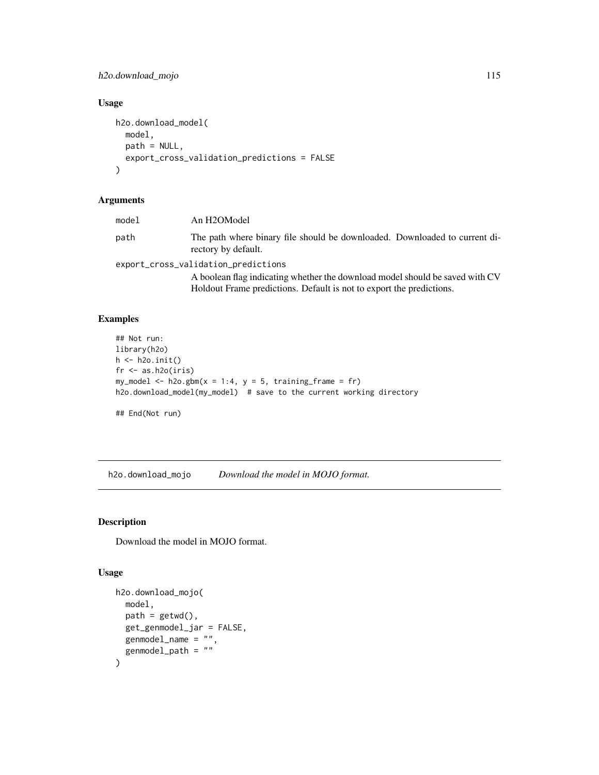h2o.download\_mojo 115

## Usage

```
h2o.download_model(
  model,
  path = NULL,
  export_cross_validation_predictions = FALSE
\mathcal{L}
```
## Arguments

| model                               | An H2OModel                                                                                       |  |
|-------------------------------------|---------------------------------------------------------------------------------------------------|--|
| path                                | The path where binary file should be downloaded. Downloaded to current di-<br>rectory by default. |  |
| export_cross_validation_predictions |                                                                                                   |  |
|                                     | A boolean flag indicating whether the download model should be saved with CV                      |  |
|                                     | Holdout Frame predictions. Default is not to export the predictions.                              |  |

#### Examples

```
## Not run:
library(h2o)
h \leftarrow h2o.init()fr < - as.h2o(iris)
my_model <- h2o.gbm(x = 1:4, y = 5, training-frame = fr)h2o.download_model(my_model) # save to the current working directory
## End(Not run)
```
h2o.download\_mojo *Download the model in MOJO format.*

## Description

Download the model in MOJO format.

## Usage

```
h2o.download_mojo(
  model,
 path = getwd(),
  get_genmodel_jar = FALSE,
 genmodel_name = "",
  genmodel_path = ""\mathcal{E}
```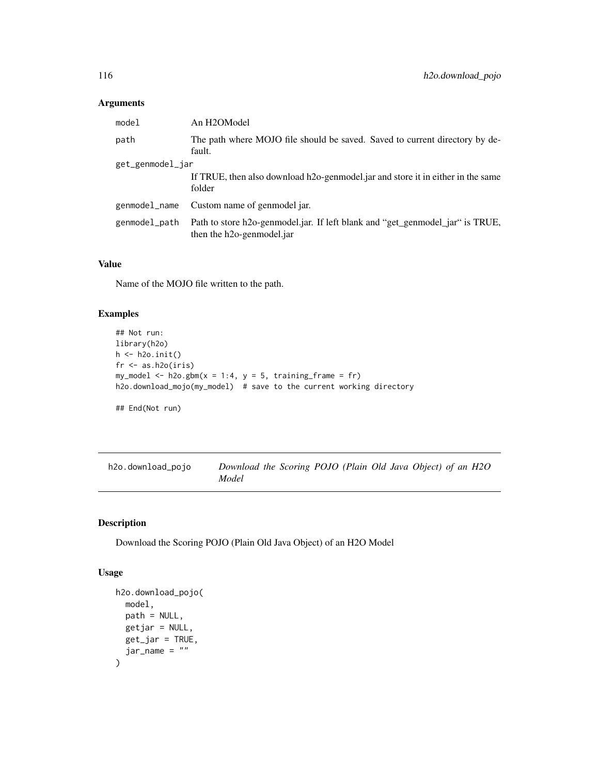#### Arguments

| model            | An H2OModel                                                                                                             |  |
|------------------|-------------------------------------------------------------------------------------------------------------------------|--|
| path             | The path where MOJO file should be saved. Saved to current directory by de-<br>fault.                                   |  |
| get_genmodel_jar |                                                                                                                         |  |
|                  | If TRUE, then also download h2o-genmodel jar and store it in either in the same<br>folder                               |  |
| genmodel_name    | Custom name of genmodel jar.                                                                                            |  |
| genmodel_path    | Path to store h2o-genmodel.jar. If left blank and "get_genmodel_jar" is TRUE,<br>then the h <sub>20</sub> -genmodel.jar |  |

## Value

Name of the MOJO file written to the path.

## Examples

```
## Not run:
library(h2o)
h <- h2o.init()
fr < - as.h2o(iris)
my_model <- h2o.gbm(x = 1:4, y = 5, training_frame = fr)
h2o.download_mojo(my_model) # save to the current working directory
## End(Not run)
```
h2o.download\_pojo *Download the Scoring POJO (Plain Old Java Object) of an H2O Model*

## Description

Download the Scoring POJO (Plain Old Java Object) of an H2O Model

#### Usage

```
h2o.download_pojo(
  model,
  path = NULL,
  getjar = NULL,
  get_jar = TRUE,jar_name = ""\mathcal{E}
```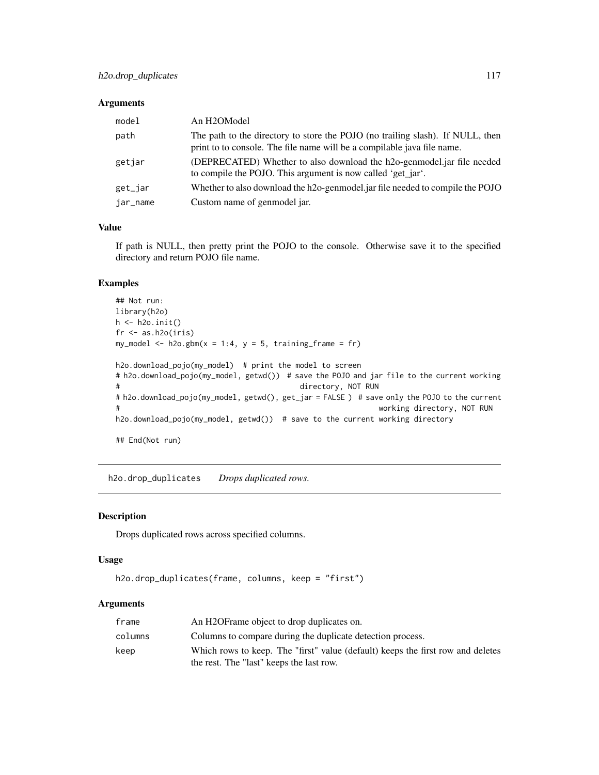#### Arguments

| model    | An H2OModel                                                                                                                                               |
|----------|-----------------------------------------------------------------------------------------------------------------------------------------------------------|
| path     | The path to the directory to store the POJO (no trailing slash). If NULL, then<br>print to to console. The file name will be a compilable java file name. |
| getjar   | (DEPRECATED) Whether to also download the h2o-genmodel.jar file needed<br>to compile the POJO. This argument is now called 'get_jar'.                     |
| get_jar  | Whether to also download the h2o-genmodel jar file needed to compile the POJO                                                                             |
| jar_name | Custom name of genmodel jar.                                                                                                                              |

## Value

If path is NULL, then pretty print the POJO to the console. Otherwise save it to the specified directory and return POJO file name.

#### Examples

```
## Not run:
library(h2o)
h \leftarrow h20.init()fr < - as.h2o(iris)
my_model <- h2o.gbm(x = 1:4, y = 5, training-frame = fr)h2o.download_pojo(my_model) # print the model to screen
# h2o.download_pojo(my_model, getwd()) # save the POJO and jar file to the current working
# directory, NOT RUN
# h2o.download_pojo(my_model, getwd(), get_jar = FALSE ) # save only the POJO to the current
# working directory, NOT RUN
h2o.download_pojo(my_model, getwd()) # save to the current working directory
## End(Not run)
```
h2o.drop\_duplicates *Drops duplicated rows.*

## Description

Drops duplicated rows across specified columns.

#### Usage

```
h2o.drop_duplicates(frame, columns, keep = "first")
```

| frame   | An H2OF rame object to drop duplicates on.                                      |
|---------|---------------------------------------------------------------------------------|
| columns | Columns to compare during the duplicate detection process.                      |
| keep    | Which rows to keep. The "first" value (default) keeps the first row and deletes |
|         | the rest. The "last" keeps the last row.                                        |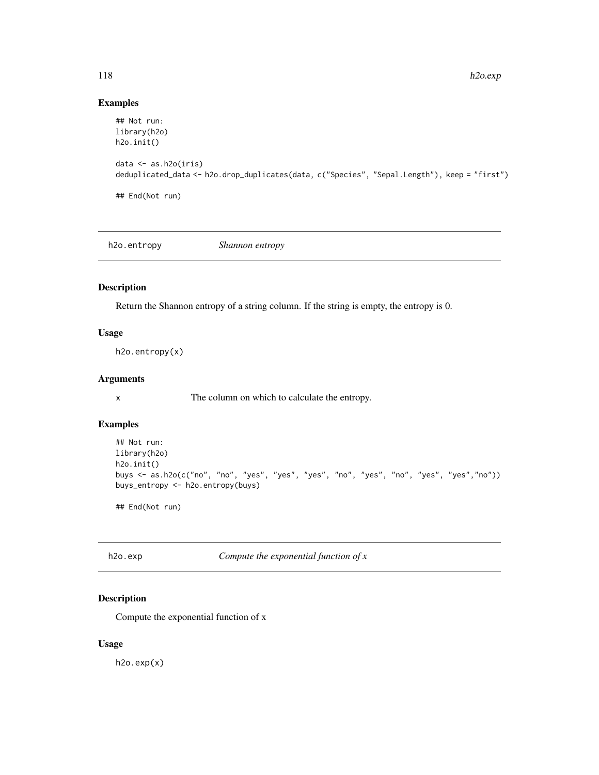## Examples

```
## Not run:
library(h2o)
h2o.init()
data <- as.h2o(iris)
deduplicated_data <- h2o.drop_duplicates(data, c("Species", "Sepal.Length"), keep = "first")
## End(Not run)
```
h2o.entropy *Shannon entropy*

# Description

Return the Shannon entropy of a string column. If the string is empty, the entropy is 0.

## Usage

h2o.entropy(x)

## Arguments

x The column on which to calculate the entropy.

## Examples

```
## Not run:
library(h2o)
h2o.init()
buys <- as.h2o(c("no", "no", "yes", "yes", "yes", "no", "yes", "no", "yes", "yes","no"))
buys_entropy <- h2o.entropy(buys)
```
## End(Not run)

h2o.exp *Compute the exponential function of x*

## Description

Compute the exponential function of x

#### Usage

h2o.exp(x)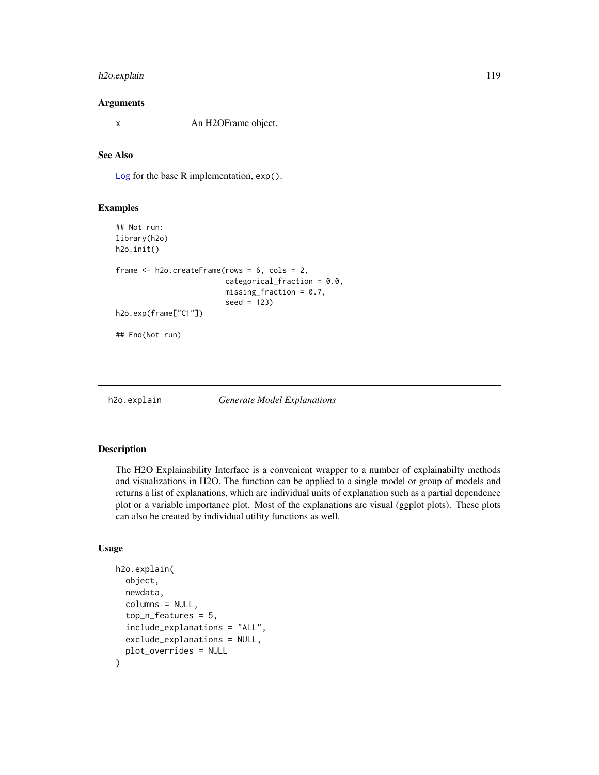## h2o.explain 119

#### Arguments

x An H2OFrame object.

## See Also

[Log](#page-0-0) for the base R implementation, exp().

#### Examples

```
## Not run:
library(h2o)
h2o.init()
frame <- h2o.createFrame(rows = 6, cols = 2,
                         categorical_fraction = 0.0,
                         missing_fraction = 0.7,
                         seed = 123)
h2o.exp(frame["C1"])
## End(Not run)
```
h2o.explain *Generate Model Explanations*

#### Description

The H2O Explainability Interface is a convenient wrapper to a number of explainabilty methods and visualizations in H2O. The function can be applied to a single model or group of models and returns a list of explanations, which are individual units of explanation such as a partial dependence plot or a variable importance plot. Most of the explanations are visual (ggplot plots). These plots can also be created by individual utility functions as well.

## Usage

```
h2o.explain(
  object,
  newdata,
  columns = NULL,
  top_n_features = 5,
  include_explanations = "ALL",
  exclude_explanations = NULL,
  plot_overrides = NULL
)
```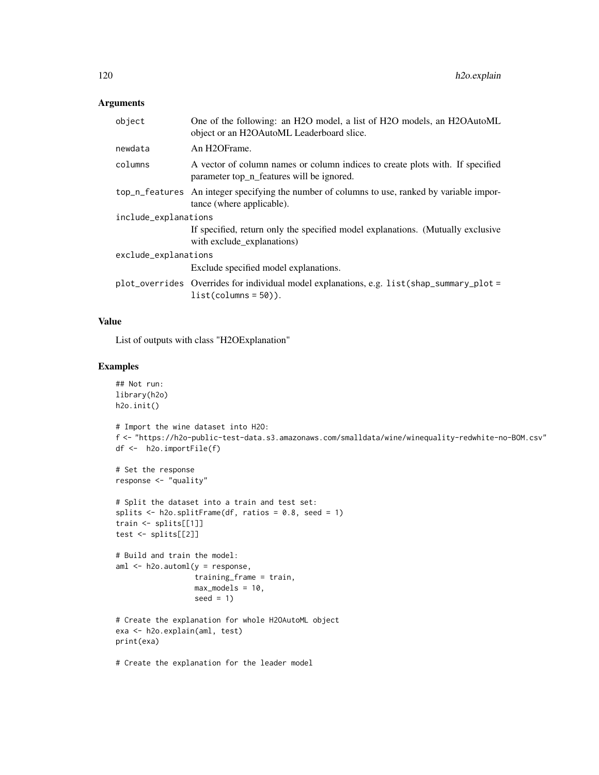## Arguments

| object               | One of the following: an H2O model, a list of H2O models, an H2OAutoML<br>object or an H2OAutoML Leaderboard slice.        |  |
|----------------------|----------------------------------------------------------------------------------------------------------------------------|--|
| newdata              | An H <sub>2</sub> OF <sub>rame.</sub>                                                                                      |  |
| columns              | A vector of column names or column indices to create plots with. If specified<br>parameter top_n_features will be ignored. |  |
|                      | top_n_features An integer specifying the number of columns to use, ranked by variable impor-<br>tance (where applicable).  |  |
| include_explanations |                                                                                                                            |  |
|                      | If specified, return only the specified model explanations. (Mutually exclusive<br>with exclude_explanations)              |  |
| exclude_explanations |                                                                                                                            |  |
|                      | Exclude specified model explanations.                                                                                      |  |
|                      | plot_overrides Overrides for individual model explanations, e.g. list(shap_summary_plot =<br>$list(column = 50).$          |  |

#### Value

List of outputs with class "H2OExplanation"

## Examples

```
## Not run:
library(h2o)
h2o.init()
# Import the wine dataset into H2O:
f <- "https://h2o-public-test-data.s3.amazonaws.com/smalldata/wine/winequality-redwhite-no-BOM.csv"
df <- h2o.importFile(f)
# Set the response
response <- "quality"
# Split the dataset into a train and test set:
splits \le h2o.splitFrame(df, ratios = 0.8, seed = 1)
train <- splits[[1]]
test <- splits[[2]]
# Build and train the model:
aml <- h2o.automl(y = response,
                 training_frame = train,
                  max_models = 10,seed = 1)
# Create the explanation for whole H2OAutoML object
exa <- h2o.explain(aml, test)
print(exa)
# Create the explanation for the leader model
```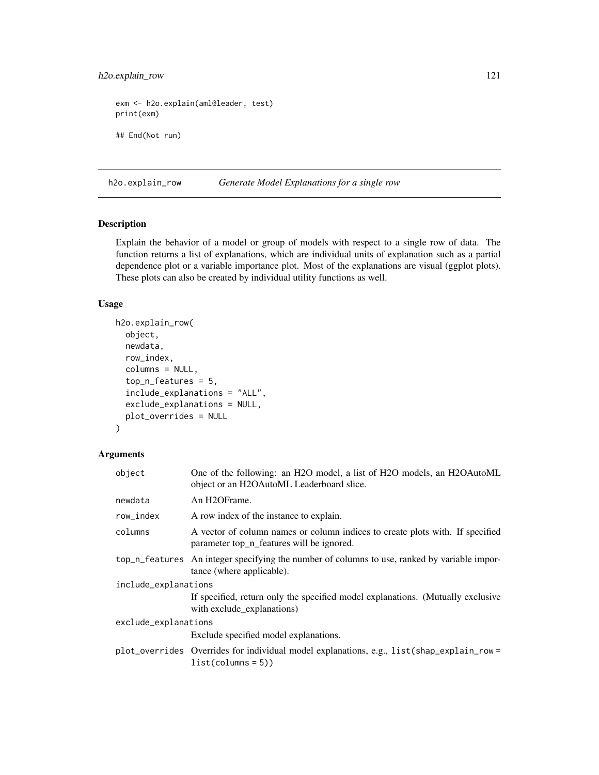## h2o.explain\_row 121

```
exm <- h2o.explain(aml@leader, test)
print(exm)
## End(Not run)
```
h2o.explain\_row *Generate Model Explanations for a single row*

#### Description

Explain the behavior of a model or group of models with respect to a single row of data. The function returns a list of explanations, which are individual units of explanation such as a partial dependence plot or a variable importance plot. Most of the explanations are visual (ggplot plots). These plots can also be created by individual utility functions as well.

#### Usage

```
h2o.explain_row(
  object,
  newdata,
  row_index,
  columns = NULL,
  top_n_features = 5,
  include_explanations = "ALL",
  exclude_explanations = NULL,
  plot_overrides = NULL
\mathcal{L}
```

| object               | One of the following: an H2O model, a list of H2O models, an H2OAutoML<br>object or an H2OAutoML Leaderboard slice.        |
|----------------------|----------------------------------------------------------------------------------------------------------------------------|
| newdata              | An H <sub>2</sub> OFrame.                                                                                                  |
| row_index            | A row index of the instance to explain.                                                                                    |
| columns              | A vector of column names or column indices to create plots with. If specified<br>parameter top n features will be ignored. |
|                      | top_n_features An integer specifying the number of columns to use, ranked by variable impor-<br>tance (where applicable).  |
| include_explanations |                                                                                                                            |
|                      | If specified, return only the specified model explanations. (Mutually exclusive<br>with exclude_explanations)              |
| exclude_explanations |                                                                                                                            |
|                      | Exclude specified model explanations.                                                                                      |
|                      | plot_overrides Overrides for individual model explanations, e.g., list(shap_explain_row =<br>$list(column = 5))$           |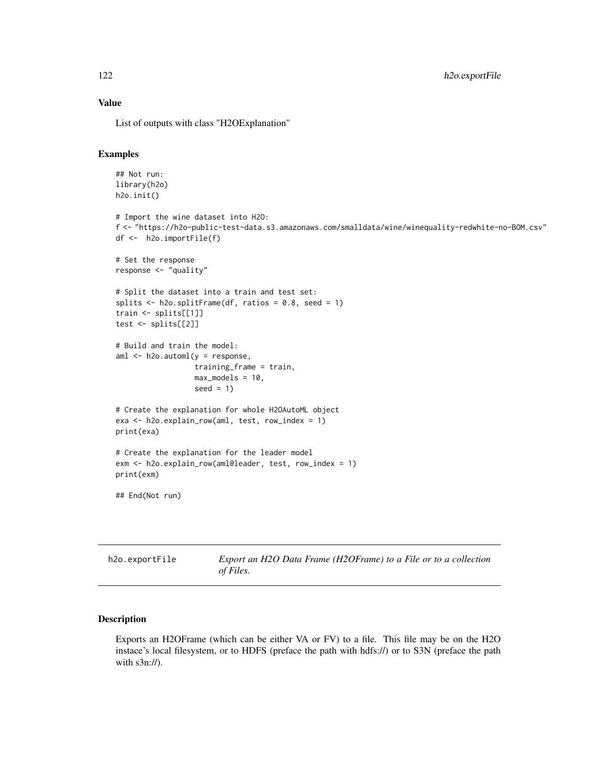### Value

List of outputs with class "H2OExplanation"

### Examples

```
## Not run:
 library(h2o)
 h2o.init()
  # Import the wine dataset into H2O:
  f <- "https://h2o-public-test-data.s3.amazonaws.com/smalldata/wine/winequality-redwhite-no-BOM.csv"
 df <- h2o.importFile(f)
 # Set the response
 response <- "quality"
 # Split the dataset into a train and test set:
 splits \le h2o.splitFrame(df, ratios = 0.8, seed = 1)
 train <- splits[[1]]
 test <- splits[[2]]
 # Build and train the model:
 aml <- h2o.automl(y = response,
                   training_frame = train,
                   max_models = 10,
                   seed = 1)# Create the explanation for whole H2OAutoML object
 exa <- h2o.explain_row(aml, test, row_index = 1)
 print(exa)
 # Create the explanation for the leader model
 exm <- h2o.explain_row(aml@leader, test, row_index = 1)
 print(exm)
  ## End(Not run)
h2o.exportFile Export an H2O Data Frame (H2OFrame) to a File or to a collection
```
#### Description

Exports an H2OFrame (which can be either VA or FV) to a file. This file may be on the H2O instace's local filesystem, or to HDFS (preface the path with hdfs://) or to S3N (preface the path with s3n://).

*of Files.*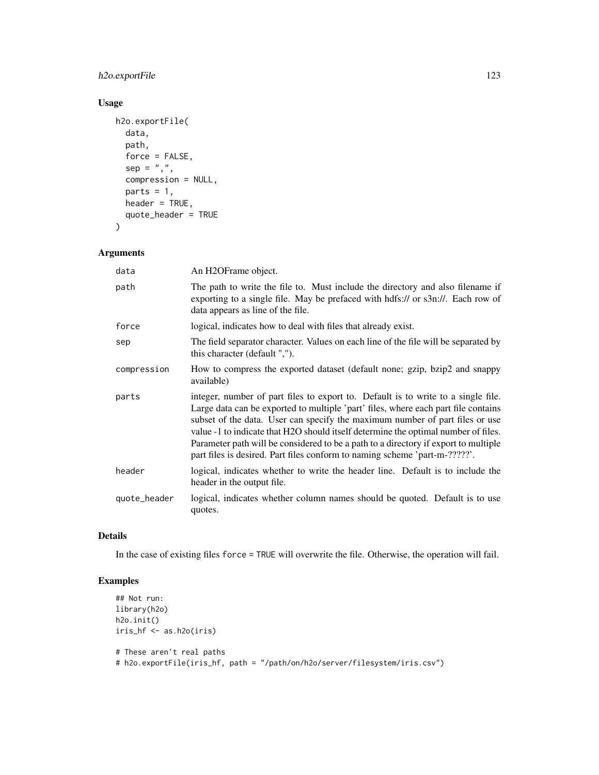## h2o.exportFile 123

## Usage

```
h2o.exportFile(
 data,
 path,
  force = FALSE,
  sep = ","compression = NULL,
 parts = 1,
 header = TRUE,
  quote_header = TRUE
)
```
## Arguments

| data         | An H <sub>2</sub> OFrame object.                                                                                                                                                                                                                                                                                                                                                                                                                                                                                   |
|--------------|--------------------------------------------------------------------------------------------------------------------------------------------------------------------------------------------------------------------------------------------------------------------------------------------------------------------------------------------------------------------------------------------------------------------------------------------------------------------------------------------------------------------|
| path         | The path to write the file to. Must include the directory and also filename if<br>exporting to a single file. May be prefaced with hdfs:// or s3n://. Each row of<br>data appears as line of the file.                                                                                                                                                                                                                                                                                                             |
| force        | logical, indicates how to deal with files that already exist.                                                                                                                                                                                                                                                                                                                                                                                                                                                      |
| sep          | The field separator character. Values on each line of the file will be separated by<br>this character (default ",").                                                                                                                                                                                                                                                                                                                                                                                               |
| compression  | How to compress the exported dataset (default none; gzip, bzip2 and snappy<br>available)                                                                                                                                                                                                                                                                                                                                                                                                                           |
| parts        | integer, number of part files to export to. Default is to write to a single file.<br>Large data can be exported to multiple 'part' files, where each part file contains<br>subset of the data. User can specify the maximum number of part files or use<br>value -1 to indicate that H2O should itself determine the optimal number of files.<br>Parameter path will be considered to be a path to a directory if export to multiple<br>part files is desired. Part files conform to naming scheme 'part-m-?????'. |
| header       | logical, indicates whether to write the header line. Default is to include the<br>header in the output file.                                                                                                                                                                                                                                                                                                                                                                                                       |
| quote_header | logical, indicates whether column names should be quoted. Default is to use<br>quotes.                                                                                                                                                                                                                                                                                                                                                                                                                             |

## Details

In the case of existing files force = TRUE will overwrite the file. Otherwise, the operation will fail.

## Examples

```
## Not run:
library(h2o)
h2o.init()
iris_hf <- as.h2o(iris)
# These aren't real paths
# h2o.exportFile(iris_hf, path = "/path/on/h2o/server/filesystem/iris.csv")
```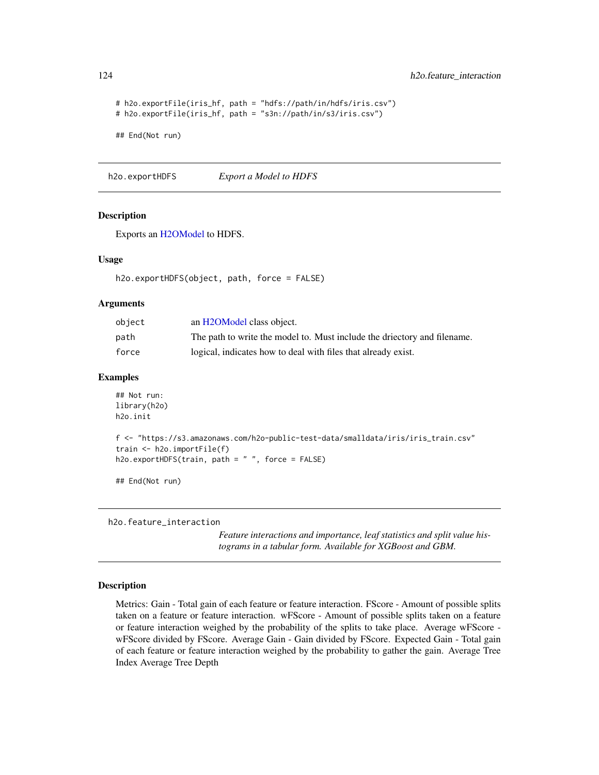```
# h2o.exportFile(iris_hf, path = "hdfs://path/in/hdfs/iris.csv")
# h2o.exportFile(iris_hf, path = "s3n://path/in/s3/iris.csv")
## End(Not run)
```
h2o.exportHDFS *Export a Model to HDFS*

## Description

Exports an [H2OModel](#page-370-0) to HDFS.

#### Usage

```
h2o.exportHDFS(object, path, force = FALSE)
```
#### Arguments

| object | an H <sub>2</sub> OM odel class object.                                  |
|--------|--------------------------------------------------------------------------|
| path   | The path to write the model to. Must include the driectory and filename. |
| force  | logical, indicates how to deal with files that already exist.            |

## Examples

```
## Not run:
library(h2o)
h2o.init
f <- "https://s3.amazonaws.com/h2o-public-test-data/smalldata/iris/iris_train.csv"
train <- h2o.importFile(f)
h2o.exportHDFS(train, path = " ", force = FALSE)
## End(Not run)
```
h2o.feature\_interaction

*Feature interactions and importance, leaf statistics and split value histograms in a tabular form. Available for XGBoost and GBM.*

#### Description

Metrics: Gain - Total gain of each feature or feature interaction. FScore - Amount of possible splits taken on a feature or feature interaction. wFScore - Amount of possible splits taken on a feature or feature interaction weighed by the probability of the splits to take place. Average wFScore wFScore divided by FScore. Average Gain - Gain divided by FScore. Expected Gain - Total gain of each feature or feature interaction weighed by the probability to gather the gain. Average Tree Index Average Tree Depth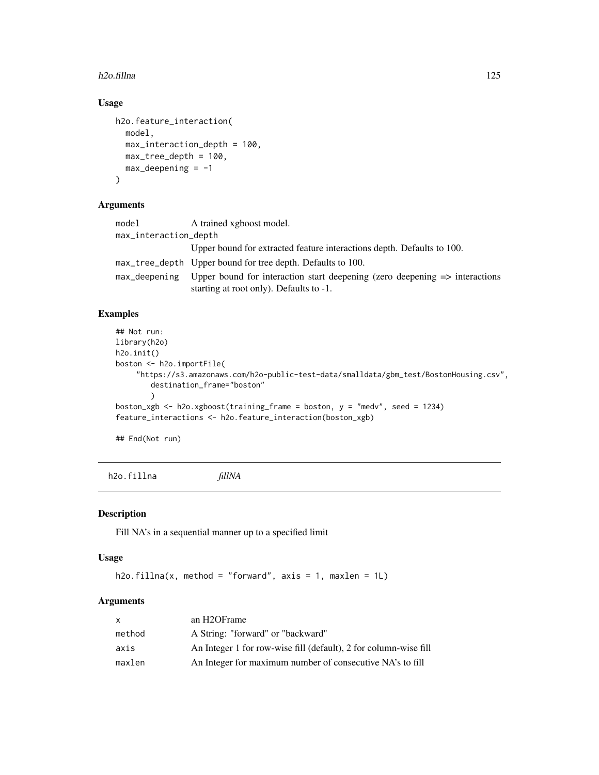#### h2o.fillna international control of the control of the control of the control of the control of the control of the control of the control of the control of the control of the control of the control of the control of the co

## Usage

```
h2o.feature_interaction(
 model,
 max_interaction_depth = 100,
 max_tree_depth = 100,
 max\_deepening = -1)
```
## Arguments

| model                 | A trained xgboost model.                                                                                                          |
|-----------------------|-----------------------------------------------------------------------------------------------------------------------------------|
| max_interaction_depth |                                                                                                                                   |
|                       | Upper bound for extracted feature interactions depth. Defaults to 100.                                                            |
|                       | max_tree_depth Upper bound for tree depth. Defaults to 100.                                                                       |
| max_deepening         | Upper bound for interaction start deepening (zero deepening $\Rightarrow$ interactions<br>starting at root only). Defaults to -1. |

## Examples

```
## Not run:
library(h2o)
h2o.init()
boston <- h2o.importFile(
    "https://s3.amazonaws.com/h2o-public-test-data/smalldata/gbm_test/BostonHousing.csv",
        destination_frame="boston"
        \lambdaboston_xgb <- h2o.xgboost(training_frame = boston, y = "medv", seed = 1234)
feature_interactions <- h2o.feature_interaction(boston_xgb)
```
## End(Not run)

h2o.fillna *fillNA*

#### Description

Fill NA's in a sequential manner up to a specified limit

#### Usage

```
h2o.fillna(x, method = "forward", axis = 1, maxlen = 1L)
```

| X      | an H <sub>2</sub> OF <sub>rame</sub>                             |
|--------|------------------------------------------------------------------|
| method | A String: "forward" or "backward"                                |
| axis   | An Integer 1 for row-wise fill (default), 2 for column-wise fill |
| maxlen | An Integer for maximum number of consecutive NA's to fill        |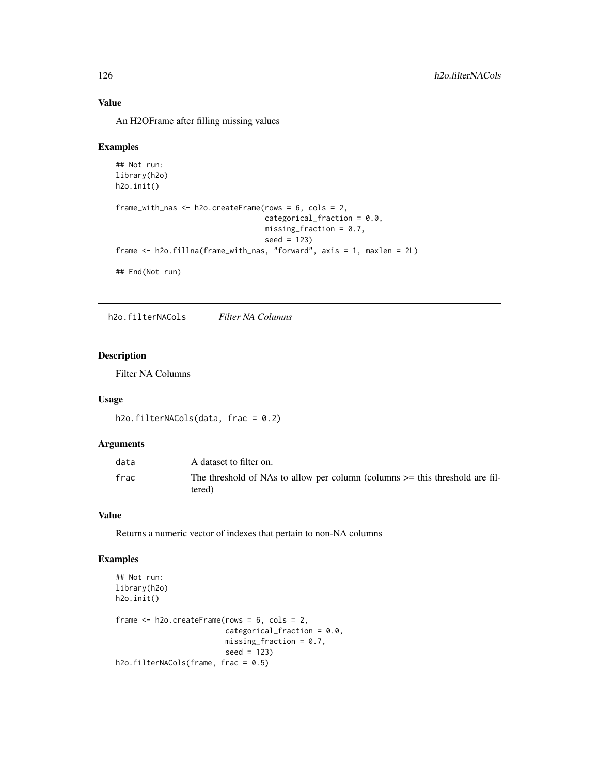## Value

An H2OFrame after filling missing values

#### Examples

```
## Not run:
library(h2o)
h2o.init()
frame_with_nas <- h2o.createFrame(rows = 6, cols = 2,
                                  categorical_fraction = 0.0,
                                  missing_fraction = 0.7,
                                  seed = 123frame <- h2o.fillna(frame_with_nas, "forward", axis = 1, maxlen = 2L)
## End(Not run)
```
h2o.filterNACols *Filter NA Columns*

#### Description

Filter NA Columns

#### Usage

```
h2o.filterNACols(data, frac = 0.2)
```
#### Arguments

| data | A dataset to filter on.                                                                    |
|------|--------------------------------------------------------------------------------------------|
| frac | The threshold of NAs to allow per column (columns $\geq$ this threshold are fil-<br>tered) |

#### Value

Returns a numeric vector of indexes that pertain to non-NA columns

## Examples

```
## Not run:
library(h2o)
h2o.init()
frame <- h2o.createFrame(rows = 6, cols = 2,
                         categorical_fraction = 0.0,
                         missing\_fraction = 0.7,
                         seed = 123)
h2o.filterNACols(frame, frac = 0.5)
```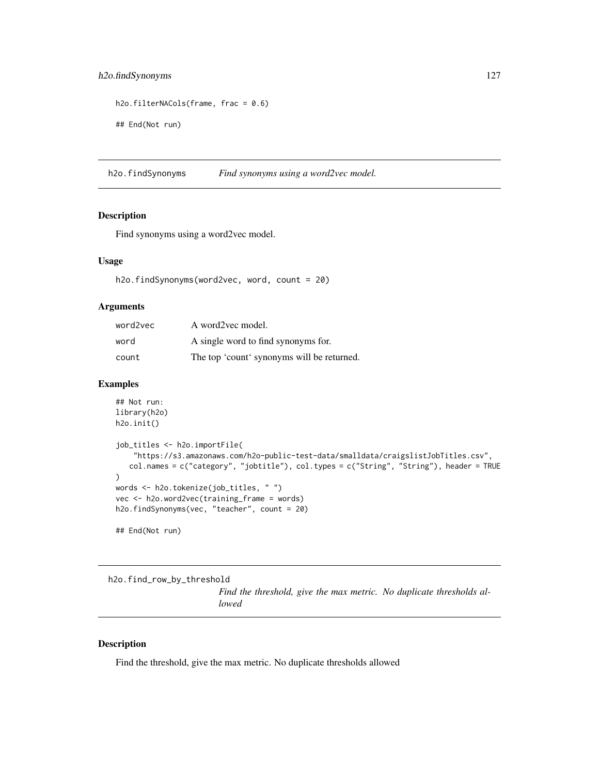## h2o.findSynonyms 127

```
h2o.filterNACols(frame, frac = 0.6)
```
## End(Not run)

h2o.findSynonyms *Find synonyms using a word2vec model.*

## Description

Find synonyms using a word2vec model.

#### Usage

h2o.findSynonyms(word2vec, word, count = 20)

## Arguments

| word2vec | A word2yec model.                          |
|----------|--------------------------------------------|
| word     | A single word to find synonyms for.        |
| count    | The top 'count' synonyms will be returned. |

#### Examples

```
## Not run:
library(h2o)
h2o.init()
job_titles <- h2o.importFile(
    "https://s3.amazonaws.com/h2o-public-test-data/smalldata/craigslistJobTitles.csv",
   col.names = c("category", "jobtitle"), col.types = c("String", "String"), header = TRUE
)
words <- h2o.tokenize(job_titles, " ")
vec <- h2o.word2vec(training_frame = words)
h2o.findSynonyms(vec, "teacher", count = 20)
## End(Not run)
```
h2o.find\_row\_by\_threshold

*Find the threshold, give the max metric. No duplicate thresholds allowed*

## Description

Find the threshold, give the max metric. No duplicate thresholds allowed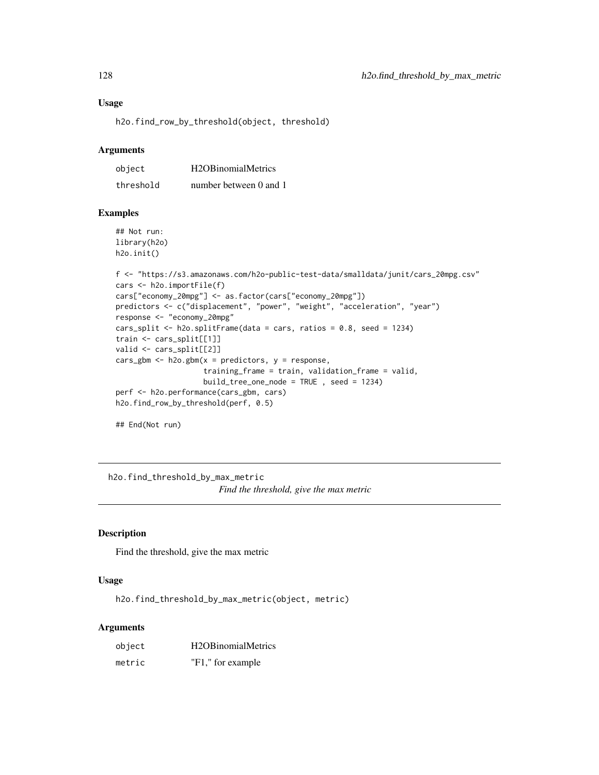#### Usage

h2o.find\_row\_by\_threshold(object, threshold)

#### **Arguments**

| object    | H <sub>2</sub> OB <sub>inomial</sub> Metrics |
|-----------|----------------------------------------------|
| threshold | number between 0 and 1                       |

#### Examples

## Not run: library(h2o) h2o.init()

```
f <- "https://s3.amazonaws.com/h2o-public-test-data/smalldata/junit/cars_20mpg.csv"
cars <- h2o.importFile(f)
cars["economy_20mpg"] <- as.factor(cars["economy_20mpg"])
predictors <- c("displacement", "power", "weight", "acceleration", "year")
response <- "economy_20mpg"
cars_split <- h2o.splitFrame(data = cars, ratios = 0.8, seed = 1234)
train <- cars_split[[1]]
valid <- cars_split[[2]]
cars\_gbm < - h2o.gbm(x = predictors, y = response,training_frame = train, validation_frame = valid,
                    build_tree_one_node = TRUE , seed = 1234)
perf <- h2o.performance(cars_gbm, cars)
h2o.find_row_by_threshold(perf, 0.5)
```
## End(Not run)

h2o.find\_threshold\_by\_max\_metric *Find the threshold, give the max metric*

## Description

Find the threshold, give the max metric

## Usage

h2o.find\_threshold\_by\_max\_metric(object, metric)

| object | H <sub>2</sub> OB <sub>inomial</sub> Metrics |
|--------|----------------------------------------------|
| metric | "F1," for example                            |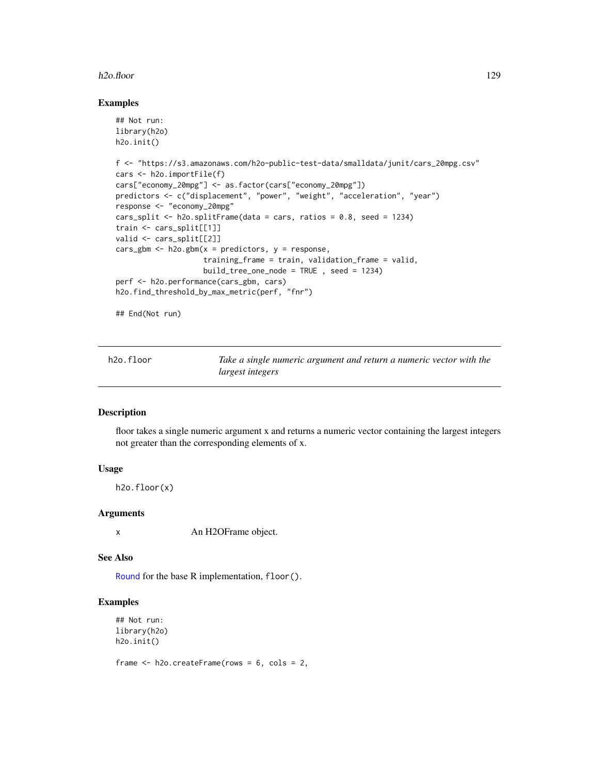#### h2o.floor 129

#### Examples

```
## Not run:
library(h2o)
h2o.init()
f <- "https://s3.amazonaws.com/h2o-public-test-data/smalldata/junit/cars_20mpg.csv"
cars <- h2o.importFile(f)
cars["economy_20mpg"] <- as.factor(cars["economy_20mpg"])
predictors <- c("displacement", "power", "weight", "acceleration", "year")
response <- "economy_20mpg"
cars_split <- h2o.splitFrame(data = cars, ratios = 0.8, seed = 1234)
train <- cars_split[[1]]
valid <- cars_split[[2]]
cars_gbm <- h2o.gbm(x = predictors, y = response,
                    training_frame = train, validation_frame = valid,
                    build\_tree\_one\_node = TRUE , seed = 1234)perf <- h2o.performance(cars_gbm, cars)
h2o.find_threshold_by_max_metric(perf, "fnr")
```
## End(Not run)

| h2o.floor | Take a single numeric argument and return a numeric vector with the |
|-----------|---------------------------------------------------------------------|
|           | <i>largest integers</i>                                             |

#### Description

floor takes a single numeric argument x and returns a numeric vector containing the largest integers not greater than the corresponding elements of x.

#### Usage

h2o.floor(x)

#### Arguments

x An H2OFrame object.

#### See Also

[Round](#page-0-0) for the base R implementation, floor().

## Examples

```
## Not run:
library(h2o)
h2o.init()
```
frame <- h2o.createFrame(rows = 6, cols = 2,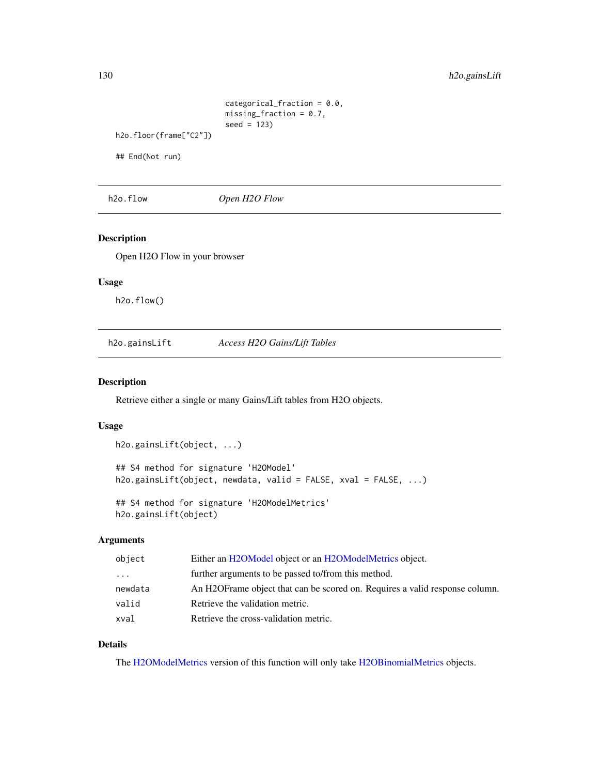```
categorical_fraction = 0.0,
                         missing_fraction = 0.7,
                         seed = 123)
h2o.floor(frame["C2"])
```
## End(Not run)

h2o.flow *Open H2O Flow*

#### Description

Open H2O Flow in your browser

#### Usage

h2o.flow()

h2o.gainsLift *Access H2O Gains/Lift Tables*

## Description

Retrieve either a single or many Gains/Lift tables from H2O objects.

#### Usage

```
h2o.gainsLift(object, ...)
```
## S4 method for signature 'H2OModel' h2o.gainsLift(object, newdata, valid = FALSE, xval = FALSE, ...)

## S4 method for signature 'H2OModelMetrics' h2o.gainsLift(object)

## Arguments

| object                  | Either an H2OModel object or an H2OModelMetrics object.                     |
|-------------------------|-----------------------------------------------------------------------------|
| $\cdot$ $\cdot$ $\cdot$ | further arguments to be passed to/from this method.                         |
| newdata                 | An H2OFrame object that can be scored on. Requires a valid response column. |
| valid                   | Retrieve the validation metric.                                             |
| xval                    | Retrieve the cross-validation metric.                                       |

## Details

The [H2OModelMetrics](#page-371-0) version of this function will only take [H2OBinomialMetrics](#page-371-1) objects.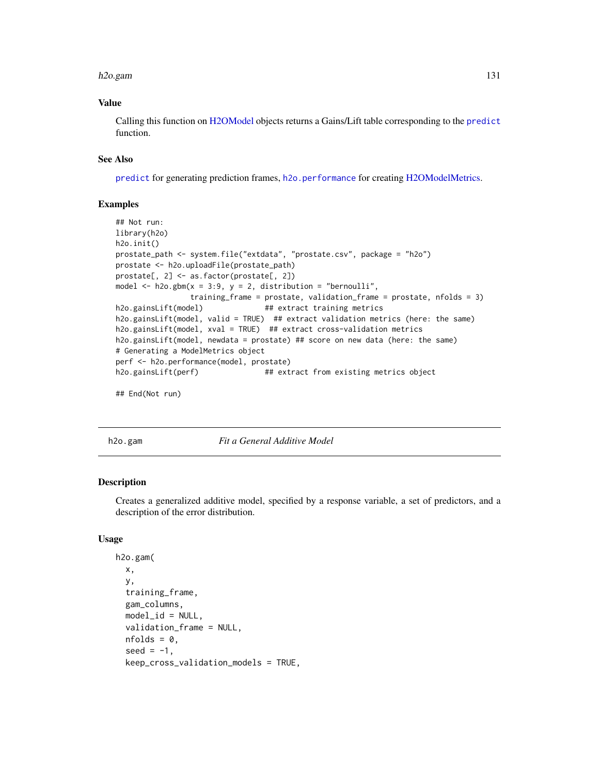#### h2o.gam 131

## Value

Calling this function on [H2OModel](#page-370-0) objects returns a Gains/Lift table corresponding to the [predict](#page-0-0) function.

#### See Also

[predict](#page-0-0) for generating prediction frames, [h2o.performance](#page-256-0) for creating [H2OModelMetrics.](#page-371-0)

#### Examples

```
## Not run:
library(h2o)
h2o.init()
prostate_path <- system.file("extdata", "prostate.csv", package = "h2o")
prostate <- h2o.uploadFile(prostate_path)
prostate[, 2] <- as.factor(prostate[, 2])
model \leq h2o.gbm(x = 3:9, y = 2, distribution = "bernoulli",
                training_frame = prostate, validation_frame = prostate, nfolds = 3)
h2o.gainsLift(model) ## extract training metrics
h2o.gainsLift(model, valid = TRUE) ## extract validation metrics (here: the same)
h2o.gainsLift(model, xval = TRUE) ## extract cross-validation metrics
h2o.gainsLift(model, newdata = prostate) ## score on new data (here: the same)
# Generating a ModelMetrics object
perf <- h2o.performance(model, prostate)
h2o.gainsLift(perf) \qquad ## extract from existing metrics object
```
## End(Not run)

h2o.gam *Fit a General Additive Model*

#### Description

Creates a generalized additive model, specified by a response variable, a set of predictors, and a description of the error distribution.

#### Usage

```
h2o.gam(
 x,
  y,
  training_frame,
  gam_columns,
 model_id = NULL,
  validation_frame = NULL,
 nfolds = 0,
  seed = -1,
  keep_cross_validation_models = TRUE,
```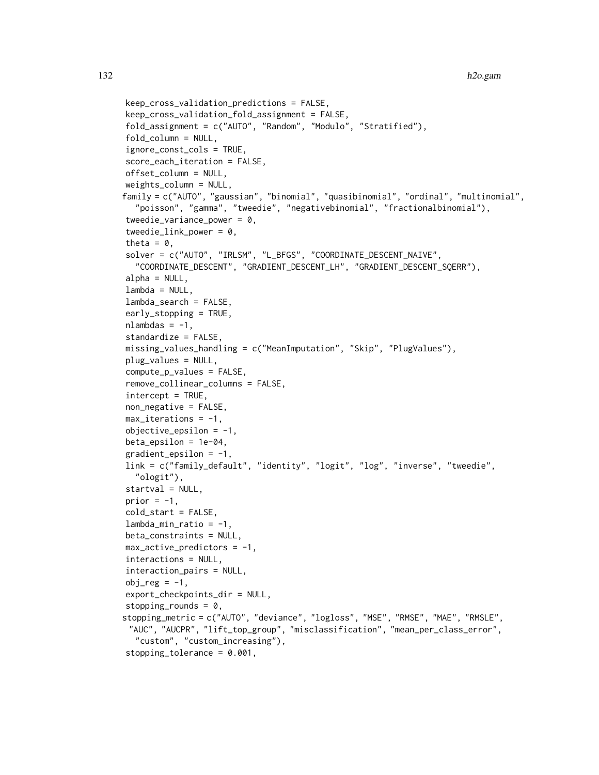```
keep_cross_validation_predictions = FALSE,
keep_cross_validation_fold_assignment = FALSE,
fold_assignment = c("AUTO", "Random", "Modulo", "Stratified"),
fold_column = NULL,
ignore_const_cols = TRUE,
score_each_iteration = FALSE,
offset_column = NULL,
weights_column = NULL,
family = c("AUTO", "gaussian", "binomial", "quasibinomial", "ordinal", "multinomial",
  "poisson", "gamma", "tweedie", "negativebinomial", "fractionalbinomial"),
tweedie_variance_power = 0,
tweedie_link_power = 0,
theta = 0,
solver = c("AUTO", "IRLSM", "L_BFGS", "COORDINATE_DESCENT_NAIVE",
  "COORDINATE_DESCENT", "GRADIENT_DESCENT_LH", "GRADIENT_DESCENT_SQERR"),
alpha = NULL,lambda = NULL,
lambda_search = FALSE,
early_stopping = TRUE,
nlambdas = -1,
standardize = FALSE,
missing_values_handling = c("MeanImputation", "Skip", "PlugValues"),
plug_values = NULL,
compute_p_values = FALSE,
remove_collinear_columns = FALSE,
intercept = TRUE,non_negative = FALSE,
max\_iterations = -1,
objective_epsilon = -1,
beta_epsilon = 1e-04,
gradient_epsilonion = -1,
link = c("family_default", "identity", "logit", "log", "inverse", "tweedie",
  "ologit"),
startval = NULL,
prior = -1,
cold_start = FALSE,
lambda_min_ratio = -1,
beta_constraints = NULL,
max_active_predictors = -1,interactions = NULL,
interaction_pairs = NULL,
obj_reg = -1,
export_checkpoints_dir = NULL,
stopping_rounds = 0,
stopping_metric = c("AUTO", "deviance", "logloss", "MSE", "RMSE", "MAE", "RMSLE",
 "AUC", "AUCPR", "lift_top_group", "misclassification", "mean_per_class_error",
  "custom", "custom_increasing"),
```

```
stopping_tolerance = 0.001,
```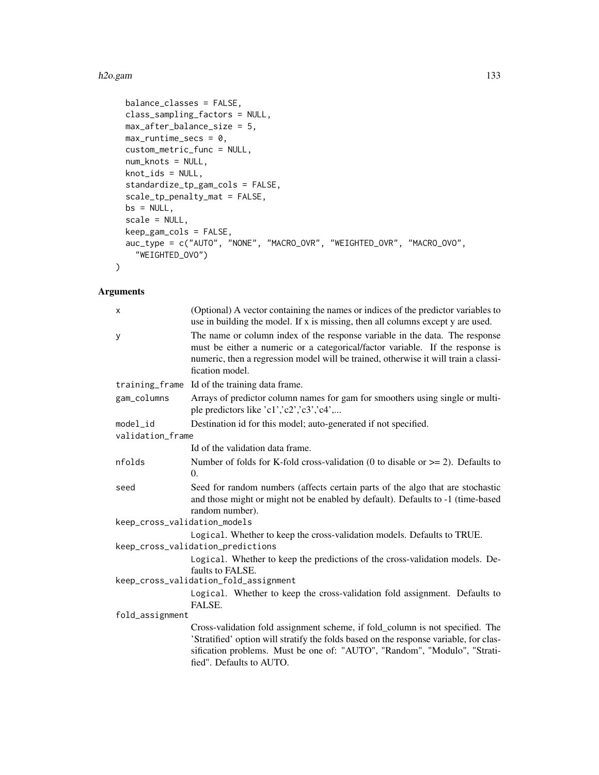#### h2o.gam 133

```
balance_classes = FALSE,
 class_sampling_factors = NULL,
 max_after_balance_size = 5,
 max_runtime_secs = 0,
 custom_metric_func = NULL,
 num_knots = NULL,
 knot_ids = NULL,
 standardize_tp_gam_cols = FALSE,
 scale_tp_penalty_mat = FALSE,
 bs = NULL,scale = NULL,
 keep_gam_cols = FALSE,
 auc_type = c("AUTO", "NONE", "MACRO_OVR", "WEIGHTED_OVR", "MACRO_OVO",
   "WEIGHTED_OVO")
)
```

| X                            | (Optional) A vector containing the names or indices of the predictor variables to<br>use in building the model. If x is missing, then all columns except y are used.                                                                                                            |
|------------------------------|---------------------------------------------------------------------------------------------------------------------------------------------------------------------------------------------------------------------------------------------------------------------------------|
| У                            | The name or column index of the response variable in the data. The response<br>must be either a numeric or a categorical/factor variable. If the response is<br>numeric, then a regression model will be trained, otherwise it will train a classi-<br>fication model.          |
| training_frame               | Id of the training data frame.                                                                                                                                                                                                                                                  |
| gam_columns                  | Arrays of predictor column names for gam for smoothers using single or multi-<br>ple predictors like 'c1','c2','c3','c4',                                                                                                                                                       |
| model_id                     | Destination id for this model; auto-generated if not specified.                                                                                                                                                                                                                 |
| validation_frame             |                                                                                                                                                                                                                                                                                 |
|                              | Id of the validation data frame.                                                                                                                                                                                                                                                |
| nfolds                       | Number of folds for K-fold cross-validation (0 to disable or $\geq$ = 2). Defaults to<br>$\Omega$ .                                                                                                                                                                             |
| seed                         | Seed for random numbers (affects certain parts of the algo that are stochastic<br>and those might or might not be enabled by default). Defaults to -1 (time-based<br>random number).                                                                                            |
| keep_cross_validation_models |                                                                                                                                                                                                                                                                                 |
|                              | Logical. Whether to keep the cross-validation models. Defaults to TRUE.                                                                                                                                                                                                         |
|                              | keep_cross_validation_predictions                                                                                                                                                                                                                                               |
|                              | Logical. Whether to keep the predictions of the cross-validation models. De-<br>faults to FALSE.                                                                                                                                                                                |
|                              | keep_cross_validation_fold_assignment                                                                                                                                                                                                                                           |
|                              | Logical. Whether to keep the cross-validation fold assignment. Defaults to<br>FALSE.                                                                                                                                                                                            |
| fold_assignment              |                                                                                                                                                                                                                                                                                 |
|                              | Cross-validation fold assignment scheme, if fold_column is not specified. The<br>'Stratified' option will stratify the folds based on the response variable, for clas-<br>sification problems. Must be one of: "AUTO", "Random", "Modulo", "Strati-<br>fied". Defaults to AUTO. |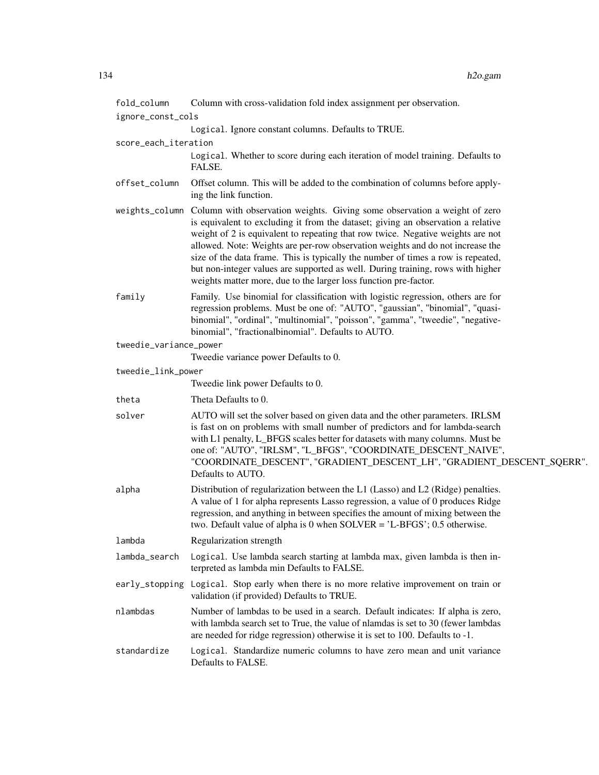| fold_column            | Column with cross-validation fold index assignment per observation.                                                                                                                                                                                                                                                                                                                                                                                                                                                                                                                          |
|------------------------|----------------------------------------------------------------------------------------------------------------------------------------------------------------------------------------------------------------------------------------------------------------------------------------------------------------------------------------------------------------------------------------------------------------------------------------------------------------------------------------------------------------------------------------------------------------------------------------------|
| ignore_const_cols      |                                                                                                                                                                                                                                                                                                                                                                                                                                                                                                                                                                                              |
|                        | Logical. Ignore constant columns. Defaults to TRUE.                                                                                                                                                                                                                                                                                                                                                                                                                                                                                                                                          |
| score_each_iteration   |                                                                                                                                                                                                                                                                                                                                                                                                                                                                                                                                                                                              |
|                        | Logical. Whether to score during each iteration of model training. Defaults to<br>FALSE.                                                                                                                                                                                                                                                                                                                                                                                                                                                                                                     |
| offset_column          | Offset column. This will be added to the combination of columns before apply-<br>ing the link function.                                                                                                                                                                                                                                                                                                                                                                                                                                                                                      |
|                        | weights_column Column with observation weights. Giving some observation a weight of zero<br>is equivalent to excluding it from the dataset; giving an observation a relative<br>weight of 2 is equivalent to repeating that row twice. Negative weights are not<br>allowed. Note: Weights are per-row observation weights and do not increase the<br>size of the data frame. This is typically the number of times a row is repeated,<br>but non-integer values are supported as well. During training, rows with higher<br>weights matter more, due to the larger loss function pre-factor. |
| family                 | Family. Use binomial for classification with logistic regression, others are for<br>regression problems. Must be one of: "AUTO", "gaussian", "binomial", "quasi-<br>binomial", "ordinal", "multinomial", "poisson", "gamma", "tweedie", "negative-<br>binomial", "fractionalbinomial". Defaults to AUTO.                                                                                                                                                                                                                                                                                     |
| tweedie_variance_power |                                                                                                                                                                                                                                                                                                                                                                                                                                                                                                                                                                                              |
|                        | Tweedie variance power Defaults to 0.                                                                                                                                                                                                                                                                                                                                                                                                                                                                                                                                                        |
| tweedie_link_power     | Tweedie link power Defaults to 0.                                                                                                                                                                                                                                                                                                                                                                                                                                                                                                                                                            |
| theta                  | Theta Defaults to 0.                                                                                                                                                                                                                                                                                                                                                                                                                                                                                                                                                                         |
| solver                 | AUTO will set the solver based on given data and the other parameters. IRLSM<br>is fast on on problems with small number of predictors and for lambda-search<br>with L1 penalty, L_BFGS scales better for datasets with many columns. Must be<br>one of: "AUTO", "IRLSM", "L_BFGS", "COORDINATE_DESCENT_NAIVE",<br>"COORDINATE_DESCENT", "GRADIENT_DESCENT_LH", "GRADIENT_DESCENT_SQERR".<br>Defaults to AUTO.                                                                                                                                                                               |
| alpha                  | Distribution of regularization between the L1 (Lasso) and L2 (Ridge) penalties.<br>A value of 1 for alpha represents Lasso regression, a value of 0 produces Ridge<br>regression, and anything in between specifies the amount of mixing between the<br>two. Default value of alpha is 0 when $SOLVER = 'L-BFGS'; 0.5$ otherwise.                                                                                                                                                                                                                                                            |
| lambda                 | Regularization strength                                                                                                                                                                                                                                                                                                                                                                                                                                                                                                                                                                      |
| lambda_search          | Logical. Use lambda search starting at lambda max, given lambda is then in-<br>terpreted as lambda min Defaults to FALSE.                                                                                                                                                                                                                                                                                                                                                                                                                                                                    |
| early_stopping         | Logical. Stop early when there is no more relative improvement on train or<br>validation (if provided) Defaults to TRUE.                                                                                                                                                                                                                                                                                                                                                                                                                                                                     |
| nlambdas               | Number of lambdas to be used in a search. Default indicates: If alpha is zero,<br>with lambda search set to True, the value of nlamdas is set to 30 (fewer lambdas<br>are needed for ridge regression) otherwise it is set to 100. Defaults to -1.                                                                                                                                                                                                                                                                                                                                           |
| standardize            | Logical. Standardize numeric columns to have zero mean and unit variance<br>Defaults to FALSE.                                                                                                                                                                                                                                                                                                                                                                                                                                                                                               |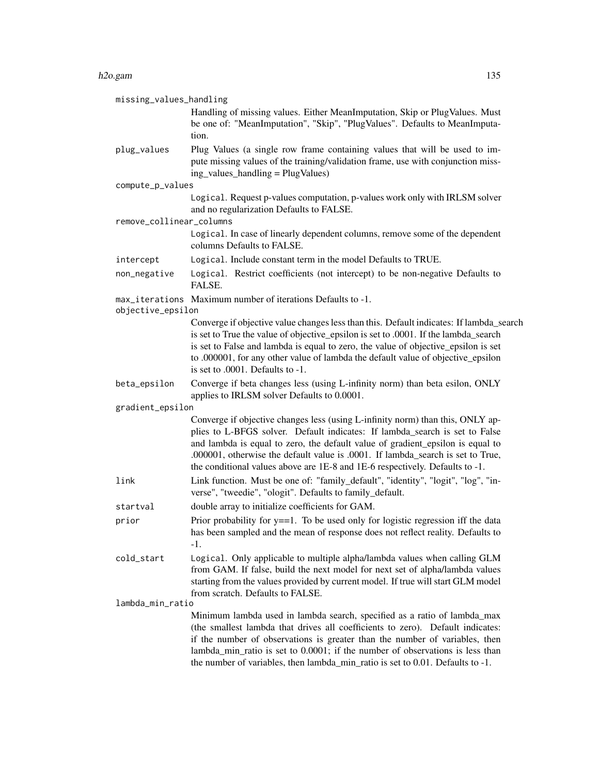| missing_values_handling  |                                                                                                                                                                                                                                                                                                                                                                                                                    |
|--------------------------|--------------------------------------------------------------------------------------------------------------------------------------------------------------------------------------------------------------------------------------------------------------------------------------------------------------------------------------------------------------------------------------------------------------------|
|                          | Handling of missing values. Either MeanImputation, Skip or PlugValues. Must<br>be one of: "MeanImputation", "Skip", "PlugValues". Defaults to MeanImputa-<br>tion.                                                                                                                                                                                                                                                 |
| plug_values              | Plug Values (a single row frame containing values that will be used to im-<br>pute missing values of the training/validation frame, use with conjunction miss-<br>ing_values_handling = PlugValues)                                                                                                                                                                                                                |
| compute_p_values         |                                                                                                                                                                                                                                                                                                                                                                                                                    |
| remove_collinear_columns | Logical. Request p-values computation, p-values work only with IRLSM solver<br>and no regularization Defaults to FALSE.                                                                                                                                                                                                                                                                                            |
|                          | Logical. In case of linearly dependent columns, remove some of the dependent<br>columns Defaults to FALSE.                                                                                                                                                                                                                                                                                                         |
| intercept                | Logical. Include constant term in the model Defaults to TRUE.                                                                                                                                                                                                                                                                                                                                                      |
| non_negative             | Logical. Restrict coefficients (not intercept) to be non-negative Defaults to<br>FALSE.                                                                                                                                                                                                                                                                                                                            |
| objective_epsilon        | max_iterations Maximum number of iterations Defaults to -1.                                                                                                                                                                                                                                                                                                                                                        |
|                          | Converge if objective value changes less than this. Default indicates: If lambda_search<br>is set to True the value of objective_epsilon is set to .0001. If the lambda_search<br>is set to False and lambda is equal to zero, the value of objective_epsilon is set<br>to .000001, for any other value of lambda the default value of objective_epsilon<br>is set to $.0001$ . Defaults to $-1$ .                 |
| beta_epsilon             | Converge if beta changes less (using L-infinity norm) than beta esilon, ONLY<br>applies to IRLSM solver Defaults to 0.0001.                                                                                                                                                                                                                                                                                        |
| gradient_epsilon         |                                                                                                                                                                                                                                                                                                                                                                                                                    |
|                          | Converge if objective changes less (using L-infinity norm) than this, ONLY ap-<br>plies to L-BFGS solver. Default indicates: If lambda_search is set to False<br>and lambda is equal to zero, the default value of gradient_epsilon is equal to<br>.000001, otherwise the default value is .0001. If lambda_search is set to True,<br>the conditional values above are 1E-8 and 1E-6 respectively. Defaults to -1. |
| link                     | Link function. Must be one of: "family_default", "identity", "logit", "log", "in-<br>verse", "tweedie", "ologit". Defaults to family_default.                                                                                                                                                                                                                                                                      |
| startval                 | double array to initialize coefficients for GAM.                                                                                                                                                                                                                                                                                                                                                                   |
| prior                    | Prior probability for $y = 1$ . To be used only for logistic regression iff the data<br>has been sampled and the mean of response does not reflect reality. Defaults to<br>$-1.$                                                                                                                                                                                                                                   |
| cold_start               | Logical. Only applicable to multiple alpha/lambda values when calling GLM<br>from GAM. If false, build the next model for next set of alpha/lambda values<br>starting from the values provided by current model. If true will start GLM model<br>from scratch. Defaults to FALSE.                                                                                                                                  |
| lambda_min_ratio         |                                                                                                                                                                                                                                                                                                                                                                                                                    |
|                          | Minimum lambda used in lambda search, specified as a ratio of lambda_max<br>(the smallest lambda that drives all coefficients to zero). Default indicates:<br>if the number of observations is greater than the number of variables, then<br>lambda_min_ratio is set to 0.0001; if the number of observations is less than<br>the number of variables, then lambda_min_ratio is set to 0.01. Defaults to -1.       |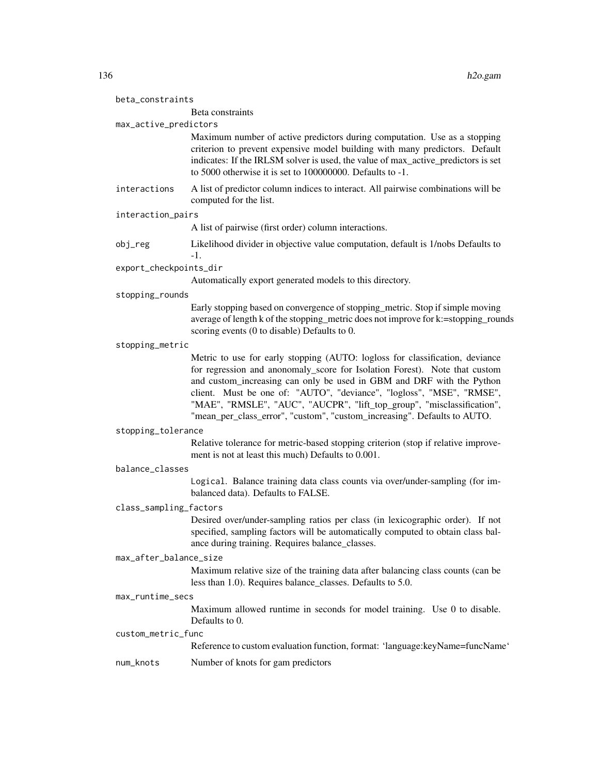| beta_constraints       |                                                                                                                                                                                                                                                                                                                                                                                                                                                                    |
|------------------------|--------------------------------------------------------------------------------------------------------------------------------------------------------------------------------------------------------------------------------------------------------------------------------------------------------------------------------------------------------------------------------------------------------------------------------------------------------------------|
|                        | Beta constraints                                                                                                                                                                                                                                                                                                                                                                                                                                                   |
| max_active_predictors  | Maximum number of active predictors during computation. Use as a stopping<br>criterion to prevent expensive model building with many predictors. Default<br>indicates: If the IRLSM solver is used, the value of max_active_predictors is set<br>to 5000 otherwise it is set to 100000000. Defaults to -1.                                                                                                                                                         |
| interactions           | A list of predictor column indices to interact. All pairwise combinations will be<br>computed for the list.                                                                                                                                                                                                                                                                                                                                                        |
| interaction_pairs      |                                                                                                                                                                                                                                                                                                                                                                                                                                                                    |
|                        | A list of pairwise (first order) column interactions.                                                                                                                                                                                                                                                                                                                                                                                                              |
| $obj_{reg}$            | Likelihood divider in objective value computation, default is 1/nobs Defaults to<br>$-1.$                                                                                                                                                                                                                                                                                                                                                                          |
| export_checkpoints_dir |                                                                                                                                                                                                                                                                                                                                                                                                                                                                    |
|                        | Automatically export generated models to this directory.                                                                                                                                                                                                                                                                                                                                                                                                           |
| stopping_rounds        |                                                                                                                                                                                                                                                                                                                                                                                                                                                                    |
|                        | Early stopping based on convergence of stopping_metric. Stop if simple moving<br>average of length k of the stopping_metric does not improve for k:=stopping_rounds<br>scoring events (0 to disable) Defaults to 0.                                                                                                                                                                                                                                                |
| stopping_metric        |                                                                                                                                                                                                                                                                                                                                                                                                                                                                    |
|                        | Metric to use for early stopping (AUTO: logloss for classification, deviance<br>for regression and anonomaly_score for Isolation Forest). Note that custom<br>and custom_increasing can only be used in GBM and DRF with the Python<br>client. Must be one of: "AUTO", "deviance", "logloss", "MSE", "RMSE",<br>"MAE", "RMSLE", "AUC", "AUCPR", "lift_top_group", "misclassification",<br>"mean_per_class_error", "custom", "custom_increasing". Defaults to AUTO. |
| stopping_tolerance     |                                                                                                                                                                                                                                                                                                                                                                                                                                                                    |
|                        | Relative tolerance for metric-based stopping criterion (stop if relative improve-<br>ment is not at least this much) Defaults to 0.001.                                                                                                                                                                                                                                                                                                                            |
| balance_classes        |                                                                                                                                                                                                                                                                                                                                                                                                                                                                    |
|                        | Logical. Balance training data class counts via over/under-sampling (for im-<br>balanced data). Defaults to FALSE.                                                                                                                                                                                                                                                                                                                                                 |
| class_sampling_factors |                                                                                                                                                                                                                                                                                                                                                                                                                                                                    |
|                        | Desired over/under-sampling ratios per class (in lexicographic order). If not<br>specified, sampling factors will be automatically computed to obtain class bal-<br>ance during training. Requires balance_classes.                                                                                                                                                                                                                                                |
| max_after_balance_size |                                                                                                                                                                                                                                                                                                                                                                                                                                                                    |
|                        | Maximum relative size of the training data after balancing class counts (can be<br>less than 1.0). Requires balance_classes. Defaults to 5.0.                                                                                                                                                                                                                                                                                                                      |
| max_runtime_secs       |                                                                                                                                                                                                                                                                                                                                                                                                                                                                    |
|                        | Maximum allowed runtime in seconds for model training. Use 0 to disable.<br>Defaults to 0.                                                                                                                                                                                                                                                                                                                                                                         |
| custom_metric_func     |                                                                                                                                                                                                                                                                                                                                                                                                                                                                    |
|                        | Reference to custom evaluation function, format: 'language:keyName=funcName'                                                                                                                                                                                                                                                                                                                                                                                       |
| num_knots              | Number of knots for gam predictors                                                                                                                                                                                                                                                                                                                                                                                                                                 |
|                        |                                                                                                                                                                                                                                                                                                                                                                                                                                                                    |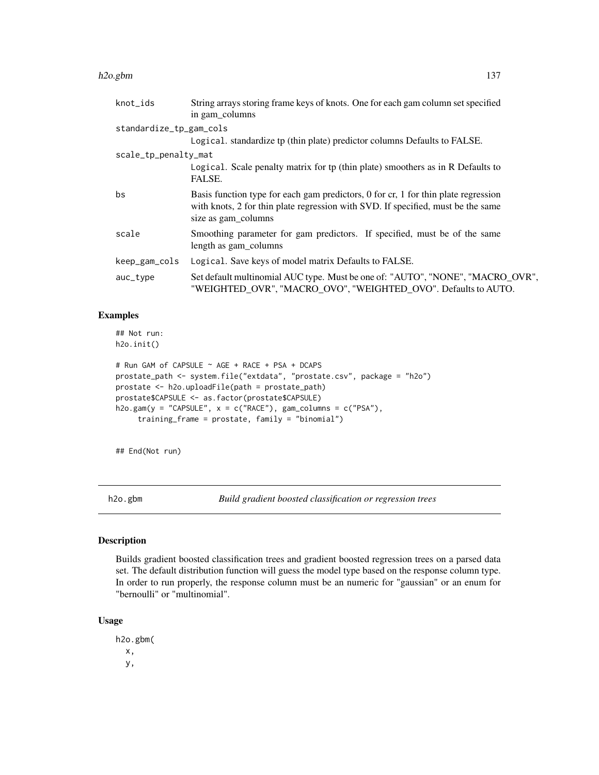#### h2o.gbm 137

| knot_ids                | String arrays storing frame keys of knots. One for each gam column set specified                                                                                                              |  |
|-------------------------|-----------------------------------------------------------------------------------------------------------------------------------------------------------------------------------------------|--|
|                         | in gam_columns                                                                                                                                                                                |  |
| standardize_tp_gam_cols |                                                                                                                                                                                               |  |
|                         | Logical. standardize tp (thin plate) predictor columns Defaults to FALSE.                                                                                                                     |  |
| scale_tp_penalty_mat    |                                                                                                                                                                                               |  |
|                         | Logical. Scale penalty matrix for tp (thin plate) smoothers as in R Defaults to<br>FALSE.                                                                                                     |  |
| bs                      | Basis function type for each gam predictors, 0 for cr, 1 for thin plate regression<br>with knots, 2 for thin plate regression with SVD. If specified, must be the same<br>size as gam_columns |  |
| scale                   | Smoothing parameter for gam predictors. If specified, must be of the same<br>length as gam_columns                                                                                            |  |
| keep_gam_cols           | Logical. Save keys of model matrix Defaults to FALSE.                                                                                                                                         |  |
| auc_type                | Set default multinomial AUC type. Must be one of: "AUTO", "NONE", "MACRO_OVR",<br>"WEIGHTED OVR", "MACRO OVO", "WEIGHTED OVO". Defaults to AUTO.                                              |  |

## Examples

## Not run: h2o.init()

```
# Run GAM of CAPSULE ~ AGE + RACE + PSA + DCAPS
prostate_path <- system.file("extdata", "prostate.csv", package = "h2o")
prostate <- h2o.uploadFile(path = prostate_path)
prostate$CAPSULE <- as.factor(prostate$CAPSULE)
h2o.gam(y = "CAPSULE", x = c("RACE"), gam\_columns = c("PSA"),training_frame = prostate, family = "binomial")
```
## End(Not run)

h2o.gbm *Build gradient boosted classification or regression trees*

## Description

Builds gradient boosted classification trees and gradient boosted regression trees on a parsed data set. The default distribution function will guess the model type based on the response column type. In order to run properly, the response column must be an numeric for "gaussian" or an enum for "bernoulli" or "multinomial".

#### Usage

h2o.gbm( x, y,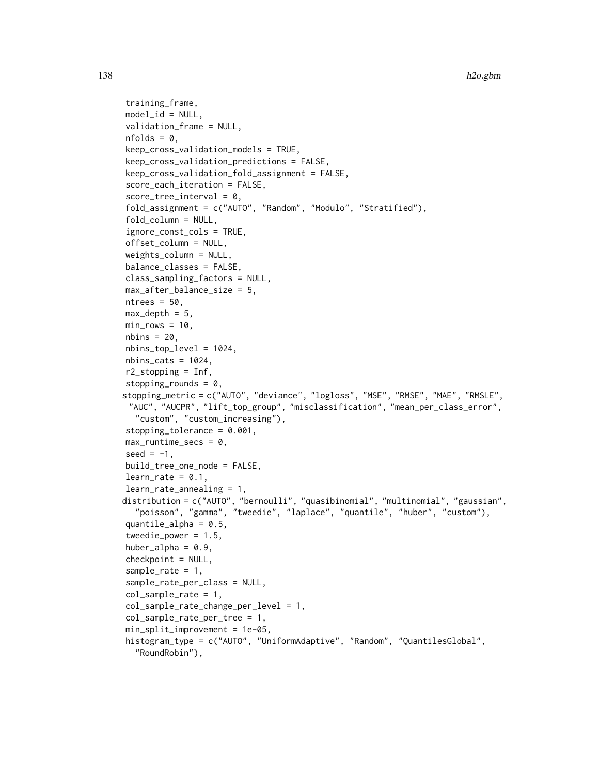```
training_frame,
model_id = NULL,
validation_frame = NULL,
nfolds = 0,
keep_cross_validation_models = TRUE,
keep_cross_validation_predictions = FALSE,
keep_cross_validation_fold_assignment = FALSE,
score_each_iteration = FALSE,
score\_tree\_interval = 0,
fold_assignment = c("AUTO", "Random", "Modulo", "Stratified"),
fold_column = NULL,
ignore_const_cols = TRUE,
offset_column = NULL,
weights_column = NULL,
balance_classes = FALSE,
class_sampling_factors = NULL,
max_after_balance_size = 5,
ntrees = 50,
max-depth = 5,
min\_rows = 10,
nbins = 20,
nbins_top_level = 1024,
nbins\_cats = 1024,r2_stopping = Inf,
stopping_rounds = 0,
stopping_metric = c("AUTO", "deviance", "logloss", "MSE", "RMSE", "MAE", "RMSLE",
 "AUC", "AUCPR", "lift_top_group", "misclassification", "mean_per_class_error",
  "custom", "custom_increasing"),
stopping_tolerance = 0.001,
max_runtime_secs = \theta,
seed = -1,
build_tree_one_node = FALSE,
learn_rate = 0.1,
learn_rate_annealing = 1,
distribution = c("AUTO", "bernoulli", "quasibinomial", "multinomial", "gaussian",
  "poisson", "gamma", "tweedie", "laplace", "quantile", "huber", "custom"),
quantile_alpha = 0.5,
tweedie_power = 1.5,
huber_alpha = 0.9,
checkpoint = NULL,
sample_rate = 1,
sample_rate_per_class = NULL,
col_sample_rate = 1,
col_sample_rate_change_per_level = 1,
col_sample_rate_per_tree = 1,
min_split_improvement = 1e-05,
histogram_type = c("AUTO", "UniformAdaptive", "Random", "QuantilesGlobal",
  "RoundRobin"),
```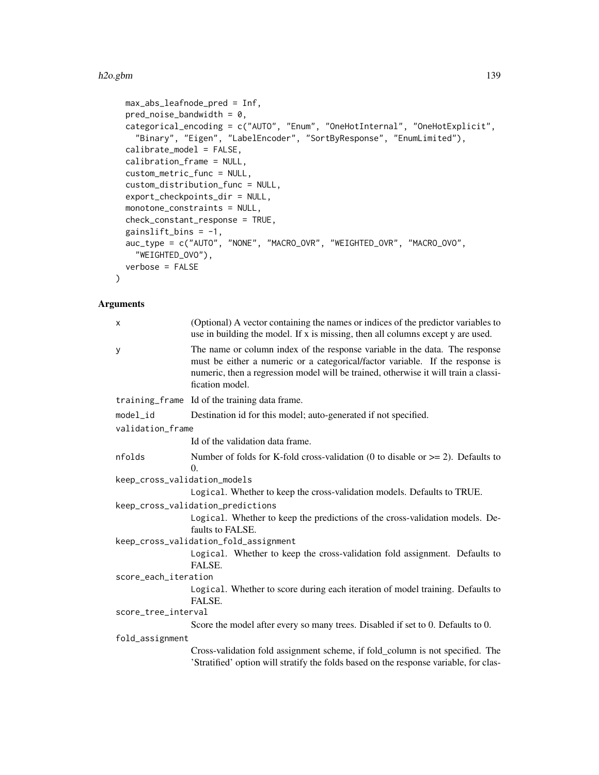#### h2o.gbm 139

```
max_abs_leafnode_pred = Inf,
 pred\_noise\_bandwidth = 0,categorical_encoding = c("AUTO", "Enum", "OneHotInternal", "OneHotExplicit",
    "Binary", "Eigen", "LabelEncoder", "SortByResponse", "EnumLimited"),
  calibrate_model = FALSE,
 calibration_frame = NULL,
 custom_metric_func = NULL,
  custom_distribution_func = NULL,
 export_checkpoints_dir = NULL,
 monotone_constraints = NULL,
 check_constant_response = TRUE,
  gainslift_bins = -1,
 auc_type = c("AUTO", "NONE", "MACRO_OVR", "WEIGHTED_OVR", "MACRO_OVO",
    "WEIGHTED_OVO"),
 verbose = FALSE
\mathcal{L}
```

| X                            | (Optional) A vector containing the names or indices of the predictor variables to<br>use in building the model. If x is missing, then all columns except y are used.                                                                                                   |
|------------------------------|------------------------------------------------------------------------------------------------------------------------------------------------------------------------------------------------------------------------------------------------------------------------|
| y                            | The name or column index of the response variable in the data. The response<br>must be either a numeric or a categorical/factor variable. If the response is<br>numeric, then a regression model will be trained, otherwise it will train a classi-<br>fication model. |
|                              | training_frame Id of the training data frame.                                                                                                                                                                                                                          |
| model_id                     | Destination id for this model; auto-generated if not specified.                                                                                                                                                                                                        |
| validation_frame             |                                                                                                                                                                                                                                                                        |
|                              | Id of the validation data frame.                                                                                                                                                                                                                                       |
| nfolds                       | Number of folds for K-fold cross-validation (0 to disable or $\geq$ 2). Defaults to<br>$\Omega$ .                                                                                                                                                                      |
| keep_cross_validation_models |                                                                                                                                                                                                                                                                        |
|                              | Logical. Whether to keep the cross-validation models. Defaults to TRUE.                                                                                                                                                                                                |
|                              | keep_cross_validation_predictions                                                                                                                                                                                                                                      |
|                              | Logical. Whether to keep the predictions of the cross-validation models. De-<br>faults to FALSE.                                                                                                                                                                       |
|                              | keep_cross_validation_fold_assignment                                                                                                                                                                                                                                  |
|                              | Logical. Whether to keep the cross-validation fold assignment. Defaults to<br>FALSE.                                                                                                                                                                                   |
| score_each_iteration         |                                                                                                                                                                                                                                                                        |
|                              | Logical. Whether to score during each iteration of model training. Defaults to<br>FALSE.                                                                                                                                                                               |
| score_tree_interval          |                                                                                                                                                                                                                                                                        |
|                              | Score the model after every so many trees. Disabled if set to 0. Defaults to 0.                                                                                                                                                                                        |
| fold_assignment              |                                                                                                                                                                                                                                                                        |
|                              | Cross-validation fold assignment scheme, if fold_column is not specified. The<br>'Stratified' option will stratify the folds based on the response variable, for clas-                                                                                                 |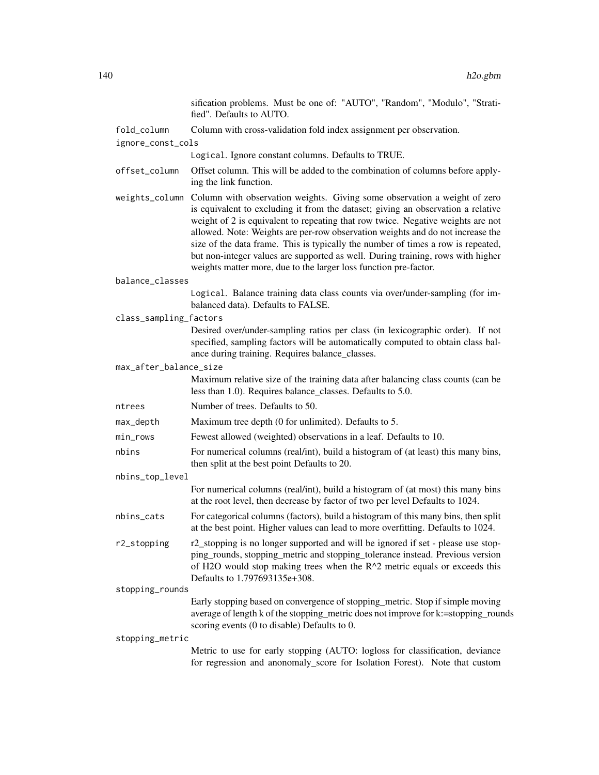sification problems. Must be one of: "AUTO", "Random", "Modulo", "Stratified". Defaults to AUTO. fold\_column Column with cross-validation fold index assignment per observation. ignore\_const\_cols Logical. Ignore constant columns. Defaults to TRUE. offset\_column Offset column. This will be added to the combination of columns before applying the link function. weights\_column Column with observation weights. Giving some observation a weight of zero is equivalent to excluding it from the dataset; giving an observation a relative weight of 2 is equivalent to repeating that row twice. Negative weights are not allowed. Note: Weights are per-row observation weights and do not increase the size of the data frame. This is typically the number of times a row is repeated, but non-integer values are supported as well. During training, rows with higher weights matter more, due to the larger loss function pre-factor. balance\_classes Logical. Balance training data class counts via over/under-sampling (for imbalanced data). Defaults to FALSE. class\_sampling\_factors Desired over/under-sampling ratios per class (in lexicographic order). If not specified, sampling factors will be automatically computed to obtain class balance during training. Requires balance\_classes. max\_after\_balance\_size Maximum relative size of the training data after balancing class counts (can be less than 1.0). Requires balance\_classes. Defaults to 5.0. ntrees Number of trees. Defaults to 50. max\_depth Maximum tree depth (0 for unlimited). Defaults to 5. min\_rows Fewest allowed (weighted) observations in a leaf. Defaults to 10. nbins For numerical columns (real/int), build a histogram of (at least) this many bins, then split at the best point Defaults to 20. nbins\_top\_level For numerical columns (real/int), build a histogram of (at most) this many bins at the root level, then decrease by factor of two per level Defaults to 1024. nbins\_cats For categorical columns (factors), build a histogram of this many bins, then split at the best point. Higher values can lead to more overfitting. Defaults to 1024. r2\_stopping r2\_stopping is no longer supported and will be ignored if set - please use stopping\_rounds, stopping\_metric and stopping\_tolerance instead. Previous version of H2O would stop making trees when the R^2 metric equals or exceeds this Defaults to 1.797693135e+308. stopping\_rounds Early stopping based on convergence of stopping\_metric. Stop if simple moving average of length k of the stopping\_metric does not improve for k:=stopping\_rounds scoring events (0 to disable) Defaults to 0. stopping\_metric Metric to use for early stopping (AUTO: logloss for classification, deviance for regression and anonomaly\_score for Isolation Forest). Note that custom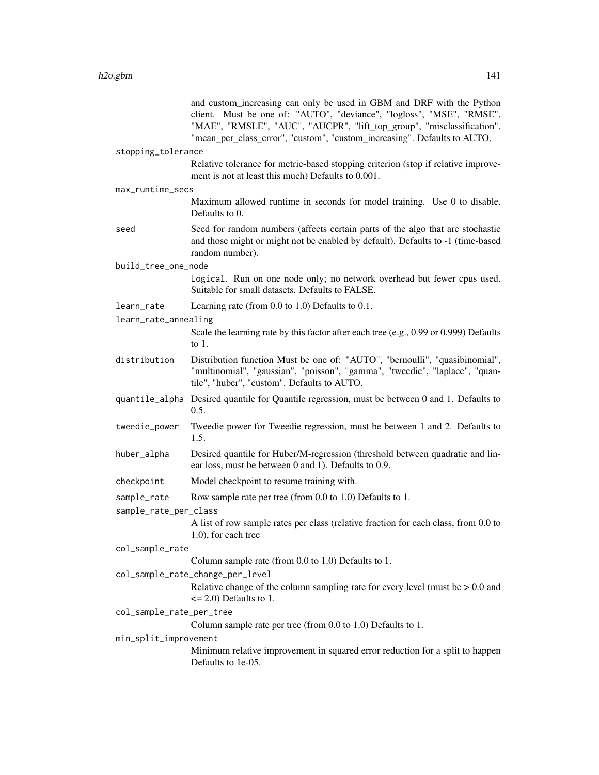|                          | and custom_increasing can only be used in GBM and DRF with the Python<br>client. Must be one of: "AUTO", "deviance", "logloss", "MSE", "RMSE",<br>"MAE", "RMSLE", "AUC", "AUCPR", "lift_top_group", "misclassification",<br>"mean_per_class_error", "custom", "custom_increasing". Defaults to AUTO. |
|--------------------------|------------------------------------------------------------------------------------------------------------------------------------------------------------------------------------------------------------------------------------------------------------------------------------------------------|
| stopping_tolerance       |                                                                                                                                                                                                                                                                                                      |
|                          | Relative tolerance for metric-based stopping criterion (stop if relative improve-<br>ment is not at least this much) Defaults to 0.001.                                                                                                                                                              |
| max_runtime_secs         |                                                                                                                                                                                                                                                                                                      |
|                          | Maximum allowed runtime in seconds for model training. Use 0 to disable.<br>Defaults to 0.                                                                                                                                                                                                           |
| seed                     | Seed for random numbers (affects certain parts of the algo that are stochastic<br>and those might or might not be enabled by default). Defaults to -1 (time-based<br>random number).                                                                                                                 |
| build_tree_one_node      |                                                                                                                                                                                                                                                                                                      |
|                          | Logical. Run on one node only; no network overhead but fewer cpus used.<br>Suitable for small datasets. Defaults to FALSE.                                                                                                                                                                           |
| learn_rate               | Learning rate (from $0.0$ to $1.0$ ) Defaults to $0.1$ .                                                                                                                                                                                                                                             |
| learn_rate_annealing     |                                                                                                                                                                                                                                                                                                      |
|                          | Scale the learning rate by this factor after each tree (e.g., 0.99 or 0.999) Defaults<br>to $1$ .                                                                                                                                                                                                    |
| distribution             | Distribution function Must be one of: "AUTO", "bernoulli", "quasibinomial",<br>"multinomial", "gaussian", "poisson", "gamma", "tweedie", "laplace", "quan-<br>tile", "huber", "custom". Defaults to AUTO.                                                                                            |
|                          | quantile_alpha Desired quantile for Quantile regression, must be between 0 and 1. Defaults to<br>0.5.                                                                                                                                                                                                |
| tweedie_power            | Tweedie power for Tweedie regression, must be between 1 and 2. Defaults to<br>1.5.                                                                                                                                                                                                                   |
| huber_alpha              | Desired quantile for Huber/M-regression (threshold between quadratic and lin-<br>ear loss, must be between 0 and 1). Defaults to 0.9.                                                                                                                                                                |
| checkpoint               | Model checkpoint to resume training with.                                                                                                                                                                                                                                                            |
| sample_rate              | Row sample rate per tree (from 0.0 to 1.0) Defaults to 1.                                                                                                                                                                                                                                            |
| sample_rate_per_class    |                                                                                                                                                                                                                                                                                                      |
|                          | A list of row sample rates per class (relative fraction for each class, from 0.0 to<br>1.0), for each tree                                                                                                                                                                                           |
| col_sample_rate          |                                                                                                                                                                                                                                                                                                      |
|                          | Column sample rate (from 0.0 to 1.0) Defaults to 1.                                                                                                                                                                                                                                                  |
|                          | col_sample_rate_change_per_level<br>Relative change of the column sampling rate for every level (must be $> 0.0$ and<br>$\leq$ 2.0) Defaults to 1.                                                                                                                                                   |
| col_sample_rate_per_tree |                                                                                                                                                                                                                                                                                                      |
|                          | Column sample rate per tree (from 0.0 to 1.0) Defaults to 1.                                                                                                                                                                                                                                         |
| min_split_improvement    |                                                                                                                                                                                                                                                                                                      |
|                          | Minimum relative improvement in squared error reduction for a split to happen<br>Defaults to 1e-05.                                                                                                                                                                                                  |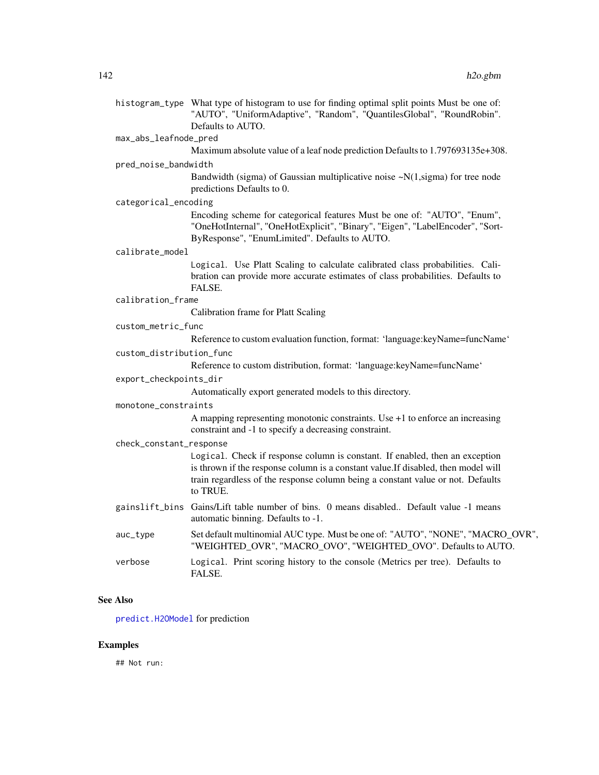histogram\_type What type of histogram to use for finding optimal split points Must be one of: "AUTO", "UniformAdaptive", "Random", "QuantilesGlobal", "RoundRobin". Defaults to AUTO.

## max\_abs\_leafnode\_pred

Maximum absolute value of a leaf node prediction Defaults to 1.797693135e+308.

#### pred\_noise\_bandwidth

Bandwidth (sigma) of Gaussian multiplicative noise  $-N(1, sigma)$  for tree node predictions Defaults to 0.

#### categorical\_encoding

Encoding scheme for categorical features Must be one of: "AUTO", "Enum", "OneHotInternal", "OneHotExplicit", "Binary", "Eigen", "LabelEncoder", "Sort-ByResponse", "EnumLimited". Defaults to AUTO.

#### calibrate\_model

Logical. Use Platt Scaling to calculate calibrated class probabilities. Calibration can provide more accurate estimates of class probabilities. Defaults to FALSE.

#### calibration\_frame

Calibration frame for Platt Scaling

#### custom\_metric\_func

Reference to custom evaluation function, format: 'language:keyName=funcName'

## custom\_distribution\_func

Reference to custom distribution, format: 'language:keyName=funcName'

#### export\_checkpoints\_dir

Automatically export generated models to this directory.

#### monotone\_constraints

A mapping representing monotonic constraints. Use +1 to enforce an increasing constraint and -1 to specify a decreasing constraint.

#### check\_constant\_response

Logical. Check if response column is constant. If enabled, then an exception is thrown if the response column is a constant value.If disabled, then model will train regardless of the response column being a constant value or not. Defaults to TRUE.

- gainslift\_bins Gains/Lift table number of bins. 0 means disabled.. Default value -1 means automatic binning. Defaults to -1.
- auc\_type Set default multinomial AUC type. Must be one of: "AUTO", "NONE", "MACRO\_OVR", "WEIGHTED\_OVR", "MACRO\_OVO", "WEIGHTED\_OVO". Defaults to AUTO.
- verbose Logical. Print scoring history to the console (Metrics per tree). Defaults to FALSE.

#### See Also

[predict.H2OModel](#page-385-0) for prediction

#### Examples

## Not run: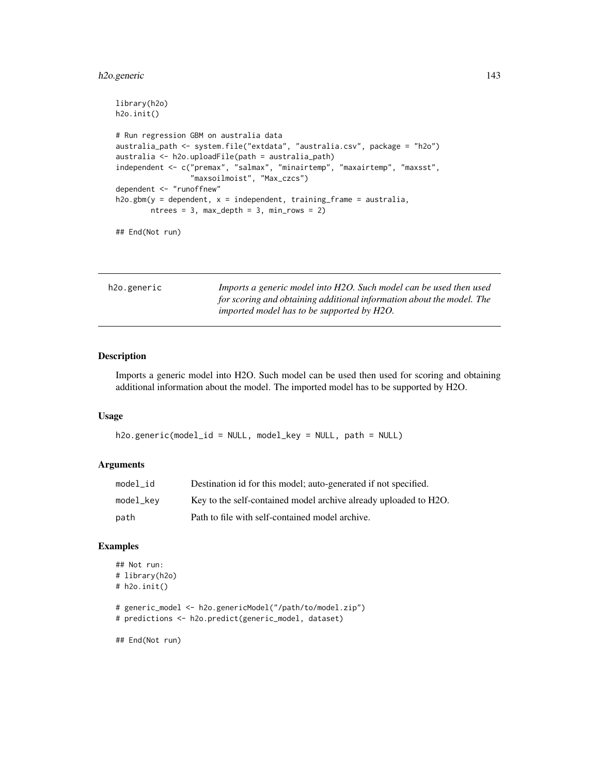## h2o.generic 143

```
library(h2o)
h2o.init()
# Run regression GBM on australia data
australia_path <- system.file("extdata", "australia.csv", package = "h2o")
australia <- h2o.uploadFile(path = australia_path)
independent <- c("premax", "salmax", "minairtemp", "maxairtemp", "maxsst",
                 "maxsoilmoist", "Max_czcs")
dependent <- "runoffnew"
h2o.gbm(y = dependent, x = independent, training-frame = australia,ntrees = 3, max\_depth = 3, min\_rows = 2)
```
## End(Not run)

| h2o.generic |  |
|-------------|--|
|             |  |

Imports a generic model into H2O. Such model can be used then used *for scoring and obtaining additional information about the model. The imported model has to be supported by H2O.*

## Description

Imports a generic model into H2O. Such model can be used then used for scoring and obtaining additional information about the model. The imported model has to be supported by H2O.

#### Usage

```
h2o.generic(model_id = NULL, model_key = NULL, path = NULL)
```
#### Arguments

| model id  | Destination id for this model; auto-generated if not specified.  |
|-----------|------------------------------------------------------------------|
| model_key | Key to the self-contained model archive already uploaded to H2O. |
| path      | Path to file with self-contained model archive.                  |

#### Examples

```
## Not run:
# library(h2o)
# h2o.init()
# generic_model <- h2o.genericModel("/path/to/model.zip")
# predictions <- h2o.predict(generic_model, dataset)
```
## End(Not run)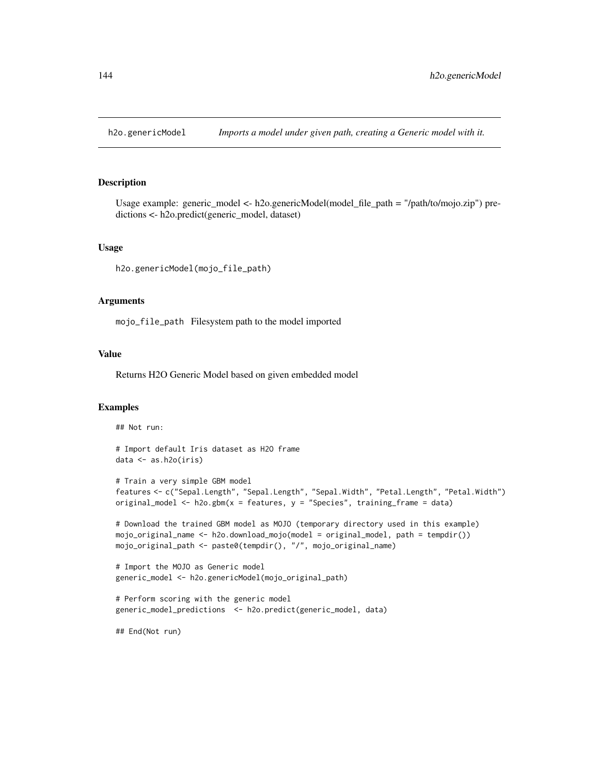#### Description

Usage example: generic\_model <- h2o.genericModel(model\_file\_path = "/path/to/mojo.zip") predictions <- h2o.predict(generic\_model, dataset)

#### Usage

```
h2o.genericModel(mojo_file_path)
```
## Arguments

mojo\_file\_path Filesystem path to the model imported

## Value

Returns H2O Generic Model based on given embedded model

#### Examples

## Not run:

```
# Import default Iris dataset as H2O frame
data <- as.h2o(iris)
```

```
# Train a very simple GBM model
features <- c("Sepal.Length", "Sepal.Length", "Sepal.Width", "Petal.Length", "Petal.Width")
original_model <- h2o.gbm(x = features, y = "Species", training_frame = data)
```

```
# Download the trained GBM model as MOJO (temporary directory used in this example)
mojo_original_name <- h2o.download_mojo(model = original_model, path = tempdir())
mojo_original_path <- paste0(tempdir(), "/", mojo_original_name)
```

```
# Import the MOJO as Generic model
generic_model <- h2o.genericModel(mojo_original_path)
```

```
# Perform scoring with the generic model
generic_model_predictions <- h2o.predict(generic_model, data)
```
## End(Not run)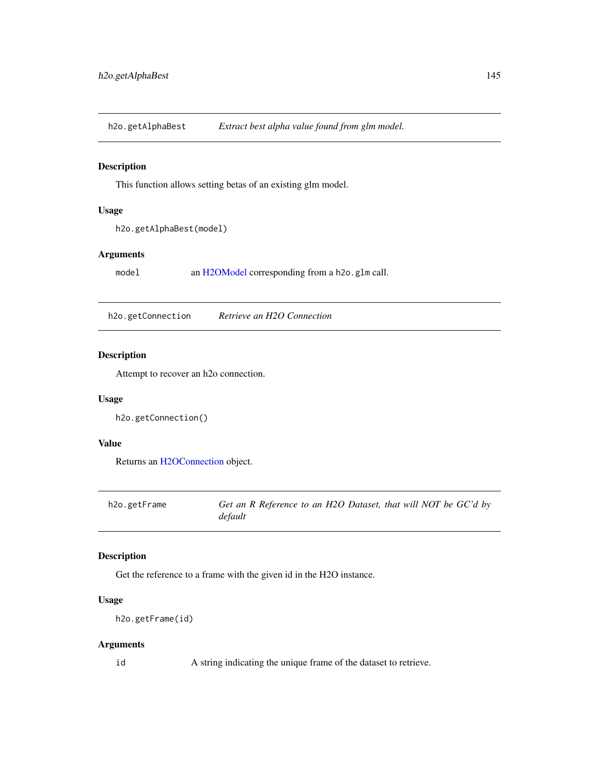h2o.getAlphaBest *Extract best alpha value found from glm model.*

## Description

This function allows setting betas of an existing glm model.

### Usage

h2o.getAlphaBest(model)

## Arguments

model an [H2OModel](#page-370-0) corresponding from a h2o.glm call.

h2o.getConnection *Retrieve an H2O Connection*

# Description

Attempt to recover an h2o connection.

## Usage

h2o.getConnection()

## Value

Returns an [H2OConnection](#page-365-0) object.

| h2o.getFrame | Get an R Reference to an H2O Dataset, that will NOT be GC'd by |
|--------------|----------------------------------------------------------------|
|              | default                                                        |

## Description

Get the reference to a frame with the given id in the H2O instance.

## Usage

h2o.getFrame(id)

## Arguments

id A string indicating the unique frame of the dataset to retrieve.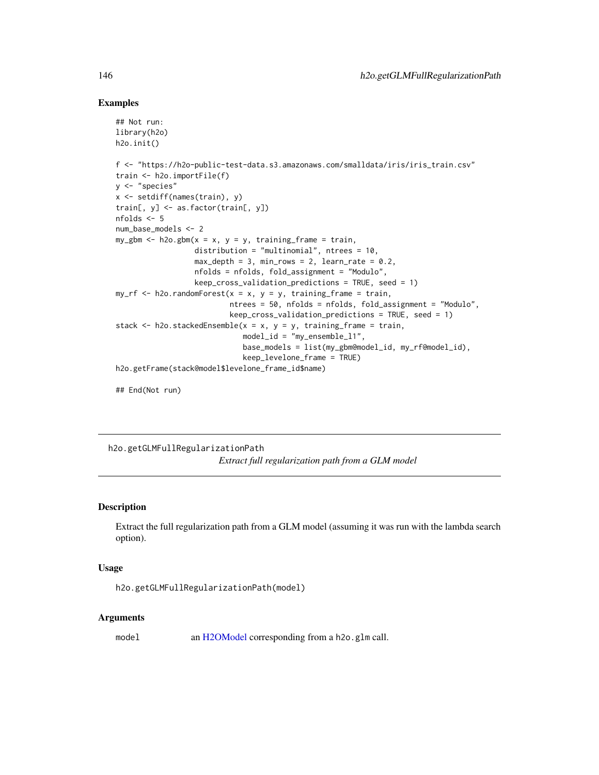#### Examples

```
## Not run:
library(h2o)
h2o.init()
f <- "https://h2o-public-test-data.s3.amazonaws.com/smalldata/iris/iris_train.csv"
train <- h2o.importFile(f)
y <- "species"
x <- setdiff(names(train), y)
train[, y] <- as.factor(train[, y])
nfolds <- 5
num_base_models <- 2
my\_gbm \leftarrow h2o.gbm(x = x, y = y, training\_frame = train,distribution = "multinomial", ntrees = 10,
                  max_{def} = 3, min_{res} = 2, learn_rate = 0.2,
                  nfolds = nfolds, fold_assignment = "Modulo",
                  keep_cross_validation_predictions = TRUE, seed = 1)
my\_rf \leq -h2o.randomForest(x = x, y = y, training\_frame = train,ntrees = 50, nfolds = nfolds, fold_assignment = "Modulo",
                           keep\_cross\_validation\_predictions = TRUE, seed = 1)stack \leq h2o.stackedEnsemble(x = x, y = y, training_frame = train,
                             model_id = "my_ensemble_l1",
                             base_models = list(my_gbm@model_id, my_rf@model_id),
                             keep_levelone_frame = TRUE)
h2o.getFrame(stack@model$levelone_frame_id$name)
```
## End(Not run)

h2o.getGLMFullRegularizationPath *Extract full regularization path from a GLM model*

## Description

Extract the full regularization path from a GLM model (assuming it was run with the lambda search option).

### Usage

```
h2o.getGLMFullRegularizationPath(model)
```
#### Arguments

model an [H2OModel](#page-370-0) corresponding from a h2o.glm call.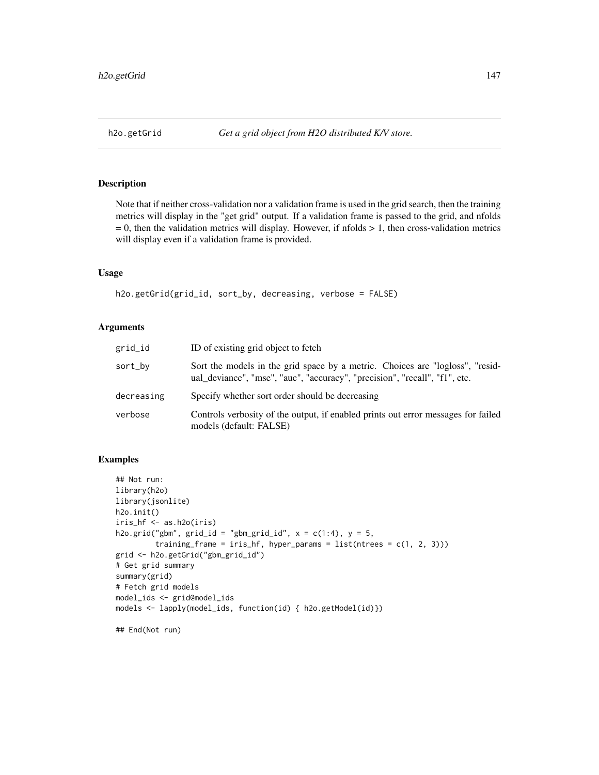Note that if neither cross-validation nor a validation frame is used in the grid search, then the training metrics will display in the "get grid" output. If a validation frame is passed to the grid, and nfolds  $= 0$ , then the validation metrics will display. However, if nfolds  $> 1$ , then cross-validation metrics will display even if a validation frame is provided.

### Usage

h2o.getGrid(grid\_id, sort\_by, decreasing, verbose = FALSE)

### Arguments

| grid_id    | ID of existing grid object to fetch                                                                                                                         |
|------------|-------------------------------------------------------------------------------------------------------------------------------------------------------------|
| sort_by    | Sort the models in the grid space by a metric. Choices are "logloss", "resid-<br>ual_deviance", "mse", "auc", "accuracy", "precision", "recall", "f1", etc. |
| decreasing | Specify whether sort order should be decreasing                                                                                                             |
| verbose    | Controls verbosity of the output, if enabled prints out error messages for failed<br>models (default: FALSE)                                                |

## Examples

```
## Not run:
library(h2o)
library(jsonlite)
h2o.init()
iris_hf <- as.h2o(iris)
h2o.grid("gbm", grid_id = "gbm_grid_id", x = c(1:4), y = 5,
         training_frame = iris_hf, hyper_params = list(ntrees = c(1, 2, 3)))
grid <- h2o.getGrid("gbm_grid_id")
# Get grid summary
summary(grid)
# Fetch grid models
model_ids <- grid@model_ids
models <- lapply(model_ids, function(id) { h2o.getModel(id)})
```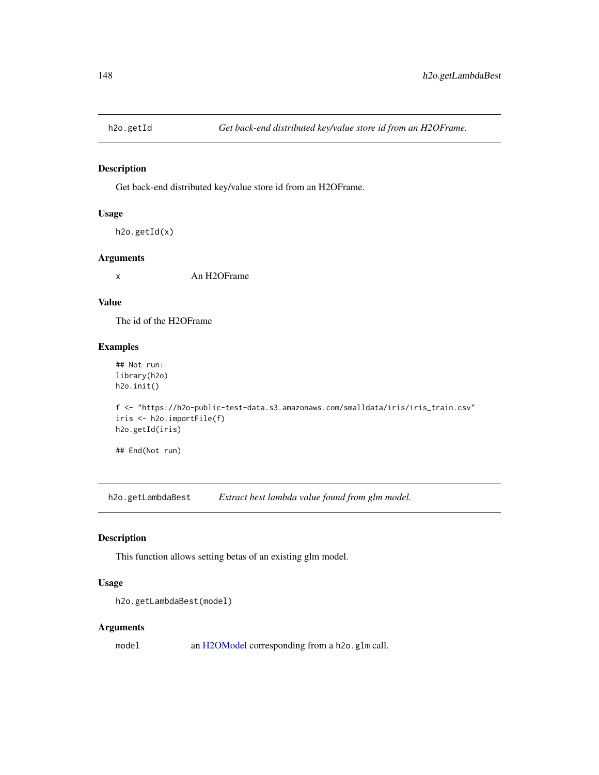Get back-end distributed key/value store id from an H2OFrame.

#### Usage

```
h2o.getId(x)
```
## Arguments

x An H2OFrame

## Value

The id of the H2OFrame

## Examples

## Not run: library(h2o) h2o.init()

```
f <- "https://h2o-public-test-data.s3.amazonaws.com/smalldata/iris/iris_train.csv"
iris <- h2o.importFile(f)
h2o.getId(iris)
```
## End(Not run)

h2o.getLambdaBest *Extract best lambda value found from glm model.*

## Description

This function allows setting betas of an existing glm model.

## Usage

```
h2o.getLambdaBest(model)
```
#### Arguments

model an [H2OModel](#page-370-0) corresponding from a h2o.glm call.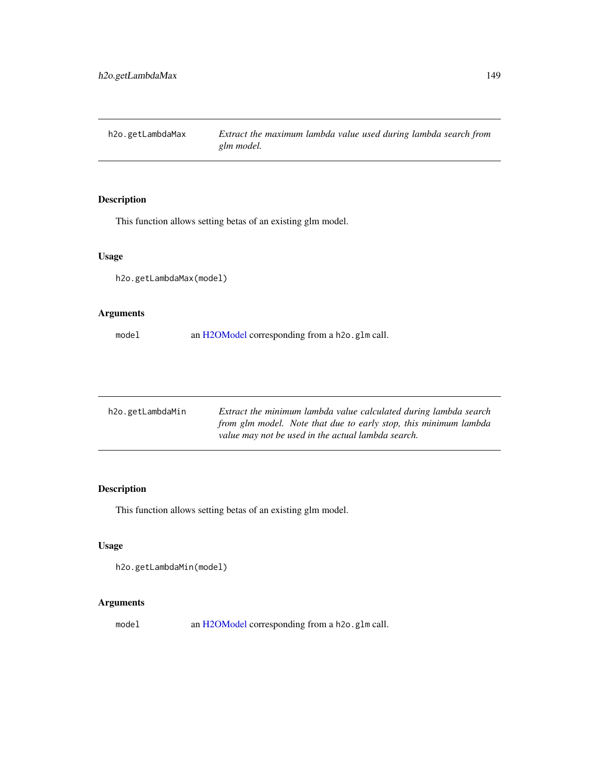h2o.getLambdaMax *Extract the maximum lambda value used during lambda search from glm model.*

# Description

This function allows setting betas of an existing glm model.

## Usage

h2o.getLambdaMax(model)

## Arguments

model an [H2OModel](#page-370-0) corresponding from a h2o.glm call.

| h2o.getLambdaMin | Extract the minimum lambda value calculated during lambda search<br>from glm model. Note that due to early stop, this minimum lambda |
|------------------|--------------------------------------------------------------------------------------------------------------------------------------|
|                  | value may not be used in the actual lambda search.                                                                                   |

## Description

This function allows setting betas of an existing glm model.

## Usage

```
h2o.getLambdaMin(model)
```
## Arguments

model an [H2OModel](#page-370-0) corresponding from a h2o.glm call.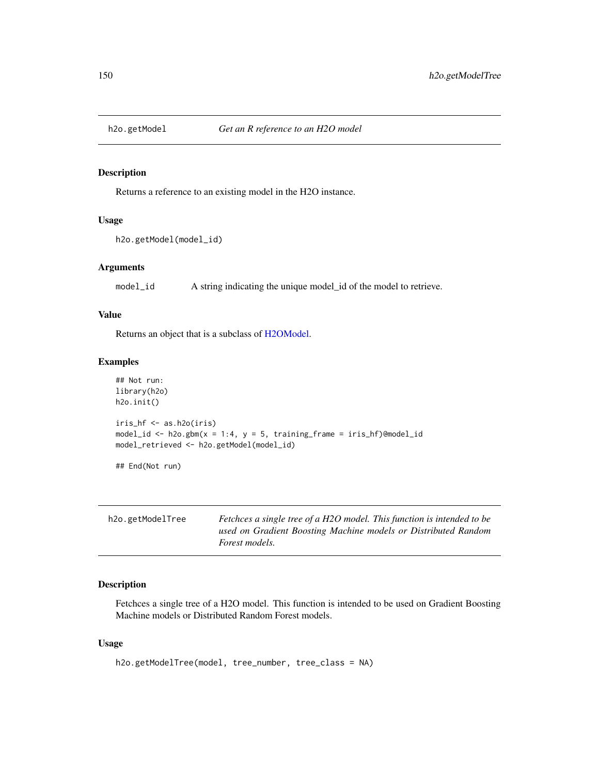Returns a reference to an existing model in the H2O instance.

## Usage

```
h2o.getModel(model_id)
```
#### Arguments

model\_id A string indicating the unique model\_id of the model to retrieve.

## Value

Returns an object that is a subclass of [H2OModel.](#page-370-0)

# Examples

```
## Not run:
library(h2o)
h2o.init()
iris_hf <- as.h2o(iris)
model_id <- h2o.gbm(x = 1:4, y = 5, training_frame = iris_hf)@model_id
model_retrieved <- h2o.getModel(model_id)
## End(Not run)
```

| h2o.getModelTree | Fetchces a single tree of a H2O model. This function is intended to be |
|------------------|------------------------------------------------------------------------|
|                  | used on Gradient Boosting Machine models or Distributed Random         |
|                  | <i>Forest models.</i>                                                  |

## Description

Fetchces a single tree of a H2O model. This function is intended to be used on Gradient Boosting Machine models or Distributed Random Forest models.

#### Usage

```
h2o.getModelTree(model, tree_number, tree_class = NA)
```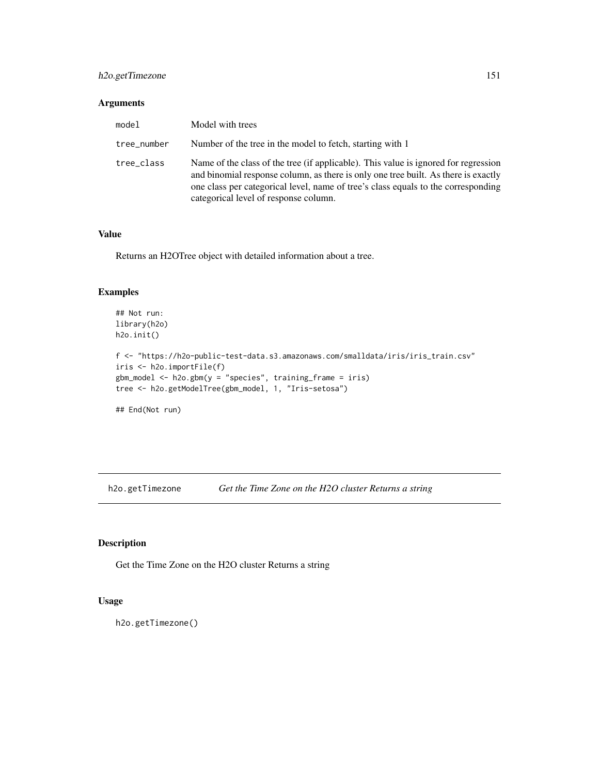## h2o.getTimezone 151

# Arguments

| model       | Model with trees                                                                                                                                                                                                                                                                                        |
|-------------|---------------------------------------------------------------------------------------------------------------------------------------------------------------------------------------------------------------------------------------------------------------------------------------------------------|
| tree_number | Number of the tree in the model to fetch, starting with 1                                                                                                                                                                                                                                               |
| tree_class  | Name of the class of the tree (if applicable). This value is ignored for regression<br>and binomial response column, as there is only one tree built. As there is exactly<br>one class per categorical level, name of tree's class equals to the corresponding<br>categorical level of response column. |

### Value

Returns an H2OTree object with detailed information about a tree.

## Examples

```
## Not run:
library(h2o)
h2o.init()
f <- "https://h2o-public-test-data.s3.amazonaws.com/smalldata/iris/iris_train.csv"
iris <- h2o.importFile(f)
gbm_model <- h2o.gbm(y = "species", training_frame = iris)
tree <- h2o.getModelTree(gbm_model, 1, "Iris-setosa")
```
## End(Not run)

h2o.getTimezone *Get the Time Zone on the H2O cluster Returns a string*

## Description

Get the Time Zone on the H2O cluster Returns a string

## Usage

h2o.getTimezone()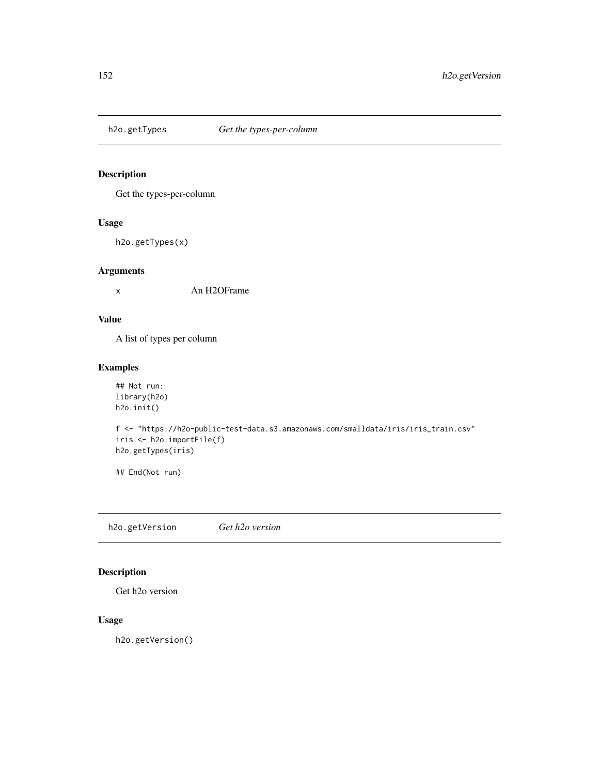Get the types-per-column

## Usage

h2o.getTypes(x)

## Arguments

x An H2OFrame

# Value

A list of types per column

## Examples

```
## Not run:
library(h2o)
h2o.init()
```

```
f <- "https://h2o-public-test-data.s3.amazonaws.com/smalldata/iris/iris_train.csv"
iris <- h2o.importFile(f)
h2o.getTypes(iris)
```
## End(Not run)

h2o.getVersion *Get h2o version*

# Description

Get h2o version

## Usage

h2o.getVersion()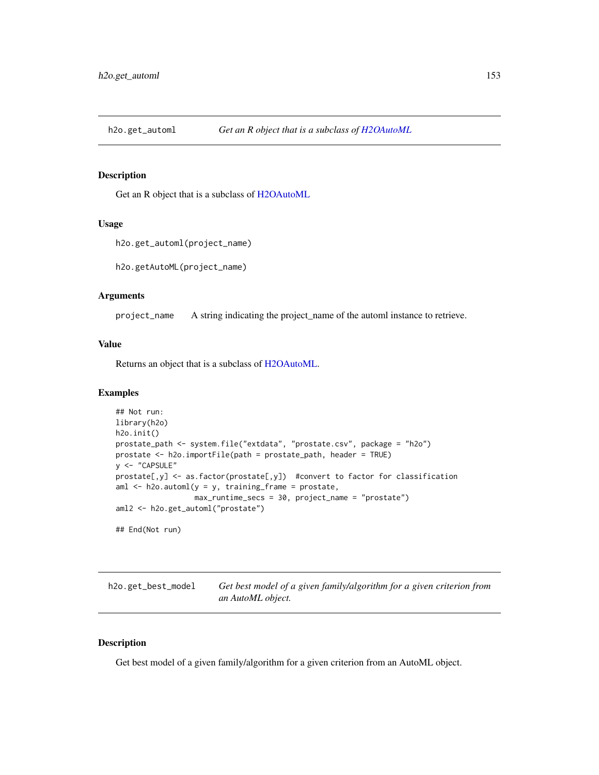Get an R object that is a subclass of [H2OAutoML](#page-364-0)

#### Usage

h2o.get\_automl(project\_name)

h2o.getAutoML(project\_name)

## Arguments

project\_name A string indicating the project\_name of the automl instance to retrieve.

## Value

Returns an object that is a subclass of [H2OAutoML.](#page-364-0)

## Examples

```
## Not run:
library(h2o)
h2o.init()
prostate_path <- system.file("extdata", "prostate.csv", package = "h2o")
prostate <- h2o.importFile(path = prostate_path, header = TRUE)
y <- "CAPSULE"
prostate[,y] <- as.factor(prostate[,y]) #convert to factor for classification
aml \leq h2o.automl(y = y, training_frame = prostate,
                  max_runtime_secs = 30, project_name = "prostate")
aml2 <- h2o.get_automl("prostate")
## End(Not run)
```
h2o.get\_best\_model *Get best model of a given family/algorithm for a given criterion from an AutoML object.*

### Description

Get best model of a given family/algorithm for a given criterion from an AutoML object.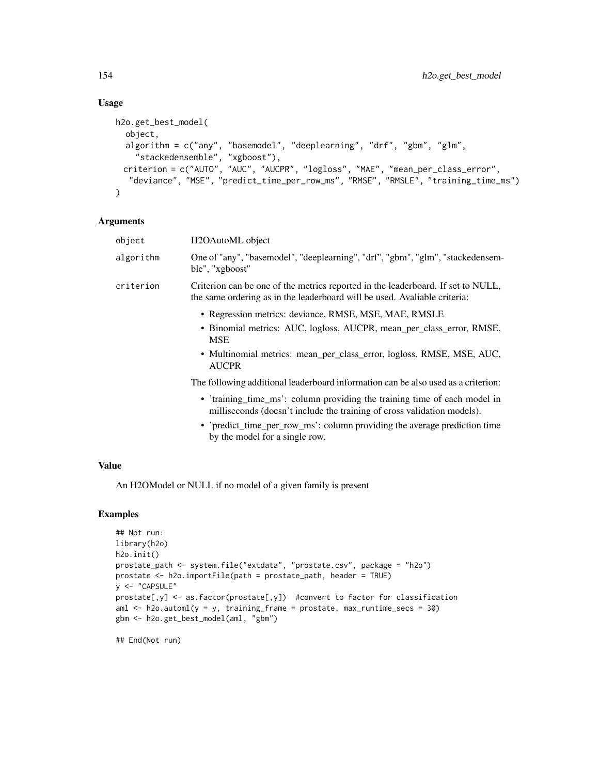## Usage

```
h2o.get_best_model(
  object,
  algorithm = c("any", "basemodel", "deeplearning", "drf", "gbm", "glm",
    "stackedensemble", "xgboost"),
 criterion = c("AUTO", "AUC", "AUCPR", "logloss", "MAE", "mean_per_class_error",
  "deviance", "MSE", "predict_time_per_row_ms", "RMSE", "RMSLE", "training_time_ms")
)
```
## Arguments

| object    | H <sub>2</sub> OAutoML object                                                                                                                                                                                                        |
|-----------|--------------------------------------------------------------------------------------------------------------------------------------------------------------------------------------------------------------------------------------|
| algorithm | One of "any", "basemodel", "deeplearning", "drf", "gbm", "glm", "stackedensem-<br>ble", "xgboost"                                                                                                                                    |
| criterion | Criterion can be one of the metrics reported in the leaderboard. If set to NULL,<br>the same ordering as in the leaderboard will be used. Avaliable criteria:                                                                        |
|           | • Regression metrics: deviance, RMSE, MSE, MAE, RMSLE<br>• Binomial metrics: AUC, logloss, AUCPR, mean_per_class_error, RMSE,<br><b>MSE</b><br>• Multinomial metrics: mean_per_class_error, logloss, RMSE, MSE, AUC,<br><b>AUCPR</b> |
|           | The following additional leaderboard information can be also used as a criterion:                                                                                                                                                    |
|           | • 'training time ms': column providing the training time of each model in<br>milliseconds (doesn't include the training of cross validation models).                                                                                 |
|           | $\bullet$ 'predict time per row ms': column providing the average prediction time                                                                                                                                                    |

• 'predict\_time\_per\_row\_ms': column providing the average prediction time by the model for a single row.

## Value

An H2OModel or NULL if no model of a given family is present

## Examples

```
## Not run:
library(h2o)
h2o.init()
prostate_path <- system.file("extdata", "prostate.csv", package = "h2o")
prostate <- h2o.importFile(path = prostate_path, header = TRUE)
y <- "CAPSULE"
prostate[,y] <- as.factor(prostate[,y]) #convert to factor for classification
aml \le h2o.automl(y = y, training_frame = prostate, max_runtime_secs = 30)
gbm <- h2o.get_best_model(aml, "gbm")
```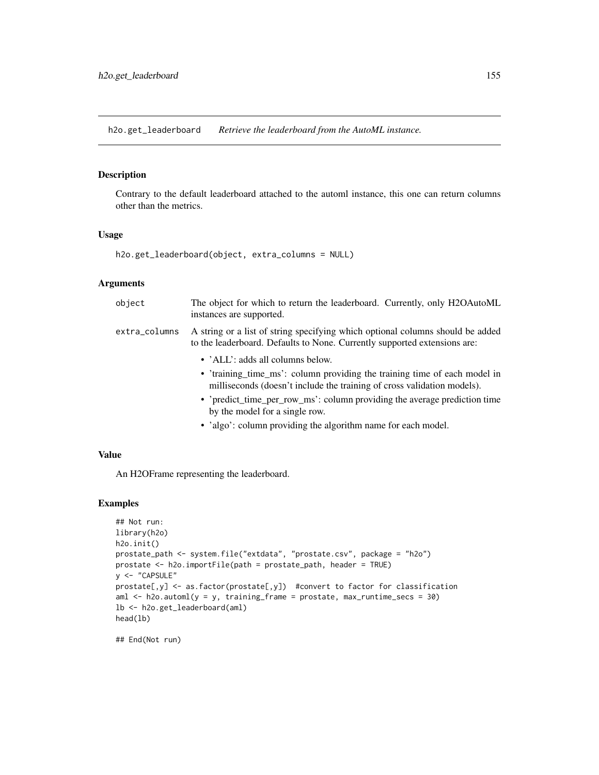h2o.get\_leaderboard *Retrieve the leaderboard from the AutoML instance.*

### Description

Contrary to the default leaderboard attached to the automl instance, this one can return columns other than the metrics.

#### Usage

h2o.get\_leaderboard(object, extra\_columns = NULL)

### Arguments

| object        | The object for which to return the leaderboard. Currently, only H2OAutoML<br>instances are supported.                                                       |
|---------------|-------------------------------------------------------------------------------------------------------------------------------------------------------------|
| extra_columns | A string or a list of string specifying which optional columns should be added<br>to the leaderboard. Defaults to None. Currently supported extensions are: |
|               | • 'ALL': adds all columns below.                                                                                                                            |
|               | • 'training time ms': column providing the training time of each model in<br>milliseconds (doesn't include the training of cross validation models).        |
|               | • 'predict_time_per_row_ms': column providing the average prediction time<br>by the model for a single row.                                                 |
|               | • 'algo': column providing the algorithm name for each model.                                                                                               |

### Value

An H2OFrame representing the leaderboard.

## Examples

```
## Not run:
library(h2o)
h2o.init()
prostate_path <- system.file("extdata", "prostate.csv", package = "h2o")
prostate <- h2o.importFile(path = prostate_path, header = TRUE)
y <- "CAPSULE"
prostate[,y] <- as.factor(prostate[,y]) #convert to factor for classification
aml \leq h2o.automl(y = y, training_frame = prostate, max_runtime_secs = 30)
lb <- h2o.get_leaderboard(aml)
head(lb)
```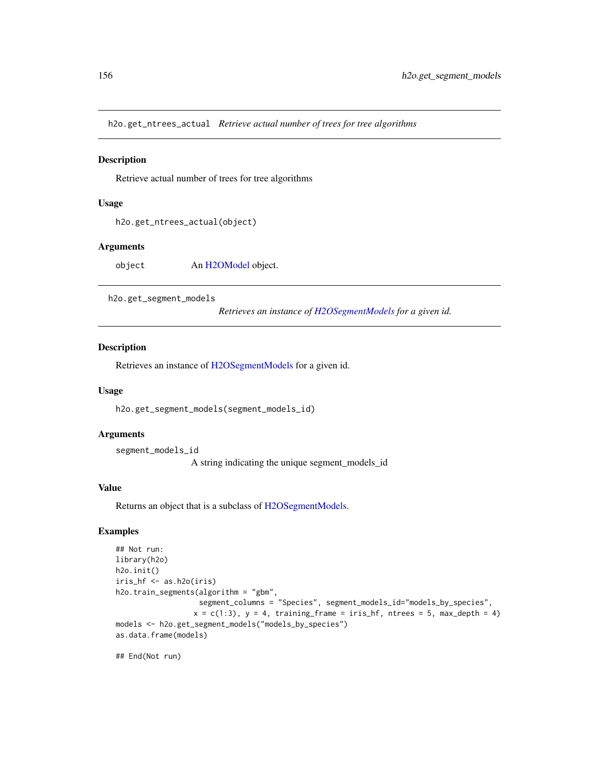h2o.get\_ntrees\_actual *Retrieve actual number of trees for tree algorithms*

#### **Description**

Retrieve actual number of trees for tree algorithms

### Usage

```
h2o.get_ntrees_actual(object)
```
### Arguments

object An [H2OModel](#page-370-0) object.

h2o.get\_segment\_models

*Retrieves an instance of [H2OSegmentModels](#page-372-0) for a given id.*

#### Description

Retrieves an instance of [H2OSegmentModels](#page-372-0) for a given id.

#### Usage

h2o.get\_segment\_models(segment\_models\_id)

#### Arguments

segment\_models\_id

A string indicating the unique segment\_models\_id

### Value

Returns an object that is a subclass of [H2OSegmentModels.](#page-372-0)

## Examples

```
## Not run:
library(h2o)
h2o.init()
iris_hf <- as.h2o(iris)
h2o.train_segments(algorithm = "gbm",
                   segment_columns = "Species", segment_models_id="models_by_species",
                  x = c(1:3), y = 4, training_frame = iris_hf, ntrees = 5, max_depth = 4)
models <- h2o.get_segment_models("models_by_species")
as.data.frame(models)
```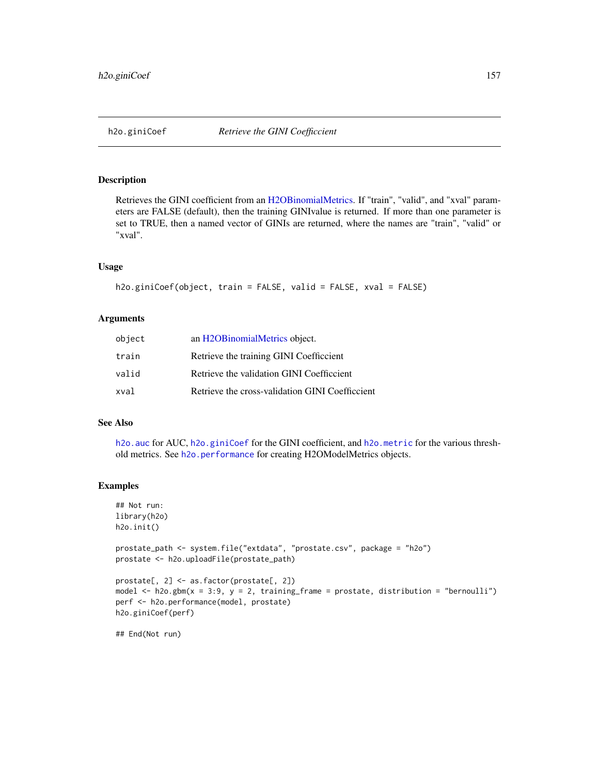<span id="page-156-0"></span>Retrieves the GINI coefficient from an [H2OBinomialMetrics.](#page-371-0) If "train", "valid", and "xval" parameters are FALSE (default), then the training GINIvalue is returned. If more than one parameter is set to TRUE, then a named vector of GINIs are returned, where the names are "train", "valid" or "xval".

#### Usage

```
h2o.giniCoef(object, train = FALSE, valid = FALSE, xval = FALSE)
```
## Arguments

| object | an H2OBinomialMetrics object.                   |
|--------|-------------------------------------------------|
| train  | Retrieve the training GINI Coefficcient         |
| valid  | Retrieve the validation GINI Coefficcient       |
| xval   | Retrieve the cross-validation GINI Coefficcient |

### See Also

[h2o.auc](#page-61-0) for AUC, [h2o.giniCoef](#page-156-0) for the GINI coefficient, and [h2o.metric](#page-225-0) for the various threshold metrics. See [h2o.performance](#page-256-0) for creating H2OModelMetrics objects.

### Examples

```
## Not run:
library(h2o)
h2o.init()
prostate_path <- system.file("extdata", "prostate.csv", package = "h2o")
prostate <- h2o.uploadFile(prostate_path)
prostate[, 2] <- as.factor(prostate[, 2])
model \leq h2o.gbm(x = 3:9, y = 2, training_frame = prostate, distribution = "bernoulli")
perf <- h2o.performance(model, prostate)
h2o.giniCoef(perf)
## End(Not run)
```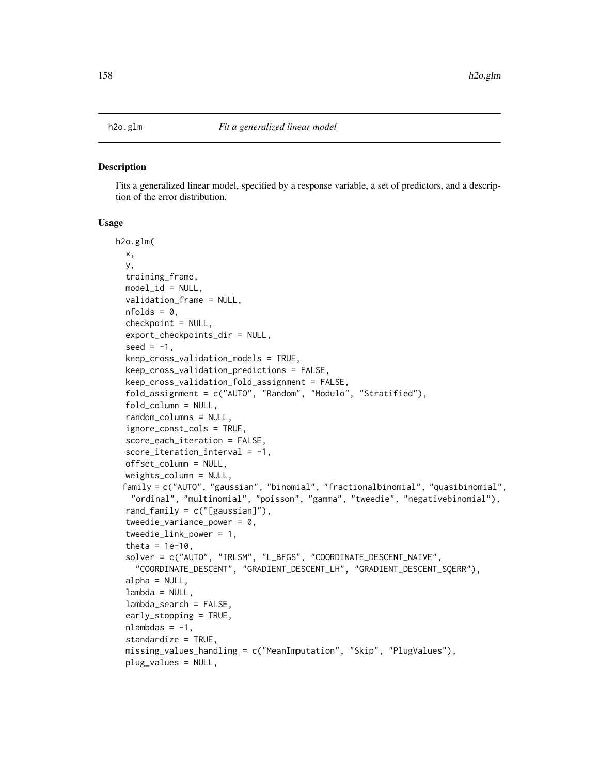Fits a generalized linear model, specified by a response variable, a set of predictors, and a description of the error distribution.

#### Usage

```
h2o.glm(
  x,
 y,
  training_frame,
 model_id = NULL,validation_frame = NULL,
  nfolds = 0,
  checkpoint = NULL,
  export_checkpoints_dir = NULL,
  seed = -1,
  keep_cross_validation_models = TRUE,
  keep_cross_validation_predictions = FALSE,
  keep_cross_validation_fold_assignment = FALSE,
  fold_assignment = c("AUTO", "Random", "Modulo", "Stratified"),
  fold_column = NULL,
  random_columns = NULL,
  ignore_const_cols = TRUE,
  score_each_iteration = FALSE,
  score\_iteration\_interval = -1,
  offset_column = NULL,
  weights_column = NULL,
 family = c("AUTO", "gaussian", "binomial", "fractionalbinomial", "quasibinomial",
   "ordinal", "multinomial", "poisson", "gamma", "tweedie", "negativebinomial"),
  rand_family = c("[gaussian]"),
  tweedie_variance_power = 0,
  tweedie_link_power = 1,
  theta = 1e-10,
  solver = c("AUTO", "IRLSM", "L_BFGS", "COORDINATE_DESCENT_NAIVE",
    "COORDINATE_DESCENT", "GRADIENT_DESCENT_LH", "GRADIENT_DESCENT_SQERR"),
  alpha = NULL,lambda = NULL,lambda_search = FALSE,
  early_stopping = TRUE,
  nlambdas = -1,
  standardize = TRUE,
  missing_values_handling = c("MeanImputation", "Skip", "PlugValues"),
  plug_values = NULL,
```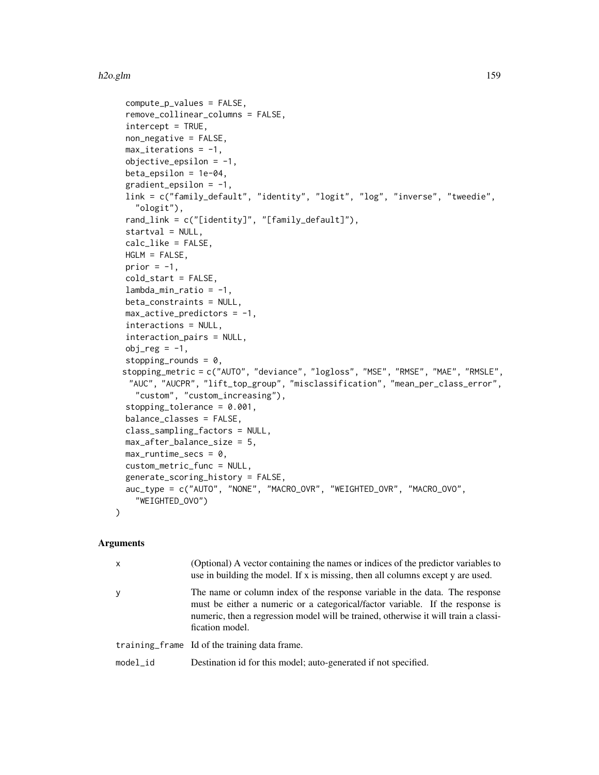```
compute_p_values = FALSE,
remove_collinear_columns = FALSE,
intercept = TRUE,non_negative = FALSE,
max\_iterations = -1,
objective_epsilonion = -1,
beta_epsilon = 1e-04,
gradient_epsilonion = -1,
link = c("family_default", "identity", "logit", "log", "inverse", "tweedie",
  "ologit"),
rand_link = c("[identity]", "[family_default]"),
startval = NULL,calc_like = FALSE,
HGLM = FALSE,
prior = -1,
cold_start = FALSE,
lambda_min_ratio = -1,
beta_constraints = NULL,
max_active_predictors = -1,interactions = NULL,
interaction_pairs = NULL,
obj_reg = -1,
stopping_rounds = 0,
stopping_metric = c("AUTO", "deviance", "logloss", "MSE", "RMSE", "MAE", "RMSLE",
 "AUC", "AUCPR", "lift_top_group", "misclassification", "mean_per_class_error",
  "custom", "custom_increasing"),
stopping_tolerance = 0.001,
balance_classes = FALSE,
class_sampling_factors = NULL,
max_after_balance_size = 5,
max_runtime_secs = 0,
custom_metric_func = NULL,
generate_scoring_history = FALSE,
auc_type = c("AUTO", "NONE", "MACRO_OVR", "WEIGHTED_OVR", "MACRO_OVO",
  "WEIGHTED_OVO")
```
## Arguments

 $\mathcal{L}$ 

| x        | (Optional) A vector containing the names or indices of the predictor variables to<br>use in building the model. If x is missing, then all columns except y are used.                                                                                                   |
|----------|------------------------------------------------------------------------------------------------------------------------------------------------------------------------------------------------------------------------------------------------------------------------|
| y        | The name or column index of the response variable in the data. The response<br>must be either a numeric or a categorical/factor variable. If the response is<br>numeric, then a regression model will be trained, otherwise it will train a classi-<br>fication model. |
|          | training frame Id of the training data frame.                                                                                                                                                                                                                          |
| model id | Destination id for this model; auto-generated if not specified.                                                                                                                                                                                                        |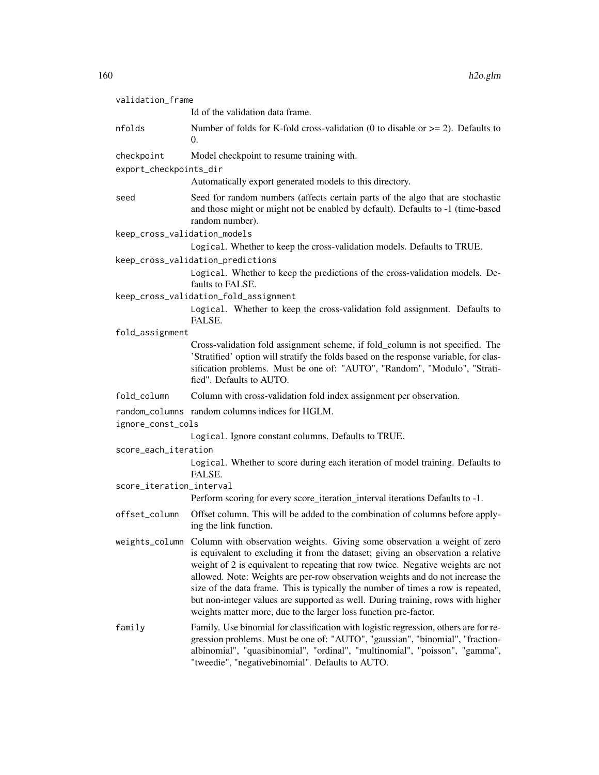| validation_frame             |                                                                                                                                                                                                                                                                                                                                                                                                                                                                                                                                                                                              |
|------------------------------|----------------------------------------------------------------------------------------------------------------------------------------------------------------------------------------------------------------------------------------------------------------------------------------------------------------------------------------------------------------------------------------------------------------------------------------------------------------------------------------------------------------------------------------------------------------------------------------------|
|                              | Id of the validation data frame.                                                                                                                                                                                                                                                                                                                                                                                                                                                                                                                                                             |
| nfolds                       | Number of folds for K-fold cross-validation (0 to disable or $\ge$ = 2). Defaults to<br>$\Omega$ .                                                                                                                                                                                                                                                                                                                                                                                                                                                                                           |
| checkpoint                   | Model checkpoint to resume training with.                                                                                                                                                                                                                                                                                                                                                                                                                                                                                                                                                    |
| export_checkpoints_dir       |                                                                                                                                                                                                                                                                                                                                                                                                                                                                                                                                                                                              |
|                              | Automatically export generated models to this directory.                                                                                                                                                                                                                                                                                                                                                                                                                                                                                                                                     |
| seed                         | Seed for random numbers (affects certain parts of the algo that are stochastic<br>and those might or might not be enabled by default). Defaults to -1 (time-based<br>random number).                                                                                                                                                                                                                                                                                                                                                                                                         |
| keep_cross_validation_models |                                                                                                                                                                                                                                                                                                                                                                                                                                                                                                                                                                                              |
|                              | Logical. Whether to keep the cross-validation models. Defaults to TRUE.                                                                                                                                                                                                                                                                                                                                                                                                                                                                                                                      |
|                              | keep_cross_validation_predictions                                                                                                                                                                                                                                                                                                                                                                                                                                                                                                                                                            |
|                              | Logical. Whether to keep the predictions of the cross-validation models. De-<br>faults to FALSE.                                                                                                                                                                                                                                                                                                                                                                                                                                                                                             |
|                              | keep_cross_validation_fold_assignment                                                                                                                                                                                                                                                                                                                                                                                                                                                                                                                                                        |
|                              | Logical. Whether to keep the cross-validation fold assignment. Defaults to<br>FALSE.                                                                                                                                                                                                                                                                                                                                                                                                                                                                                                         |
| fold_assignment              |                                                                                                                                                                                                                                                                                                                                                                                                                                                                                                                                                                                              |
|                              | Cross-validation fold assignment scheme, if fold_column is not specified. The<br>'Stratified' option will stratify the folds based on the response variable, for clas-<br>sification problems. Must be one of: "AUTO", "Random", "Modulo", "Strati-<br>fied". Defaults to AUTO.                                                                                                                                                                                                                                                                                                              |
| fold_column                  | Column with cross-validation fold index assignment per observation.                                                                                                                                                                                                                                                                                                                                                                                                                                                                                                                          |
| ignore_const_cols            | random_columns random columns indices for HGLM.                                                                                                                                                                                                                                                                                                                                                                                                                                                                                                                                              |
|                              | Logical. Ignore constant columns. Defaults to TRUE.                                                                                                                                                                                                                                                                                                                                                                                                                                                                                                                                          |
| score_each_iteration         |                                                                                                                                                                                                                                                                                                                                                                                                                                                                                                                                                                                              |
|                              | Logical. Whether to score during each iteration of model training. Defaults to<br>FALSE.                                                                                                                                                                                                                                                                                                                                                                                                                                                                                                     |
| score_iteration_interval     |                                                                                                                                                                                                                                                                                                                                                                                                                                                                                                                                                                                              |
|                              | Perform scoring for every score_iteration_interval iterations Defaults to -1.                                                                                                                                                                                                                                                                                                                                                                                                                                                                                                                |
| offset_column                | Offset column. This will be added to the combination of columns before apply-<br>ing the link function.                                                                                                                                                                                                                                                                                                                                                                                                                                                                                      |
|                              | weights_column Column with observation weights. Giving some observation a weight of zero<br>is equivalent to excluding it from the dataset; giving an observation a relative<br>weight of 2 is equivalent to repeating that row twice. Negative weights are not<br>allowed. Note: Weights are per-row observation weights and do not increase the<br>size of the data frame. This is typically the number of times a row is repeated,<br>but non-integer values are supported as well. During training, rows with higher<br>weights matter more, due to the larger loss function pre-factor. |
| family                       | Family. Use binomial for classification with logistic regression, others are for re-<br>gression problems. Must be one of: "AUTO", "gaussian", "binomial", "fraction-<br>albinomial", "quasibinomial", "ordinal", "multinomial", "poisson", "gamma",<br>"tweedie", "negativebinomial". Defaults to AUTO.                                                                                                                                                                                                                                                                                     |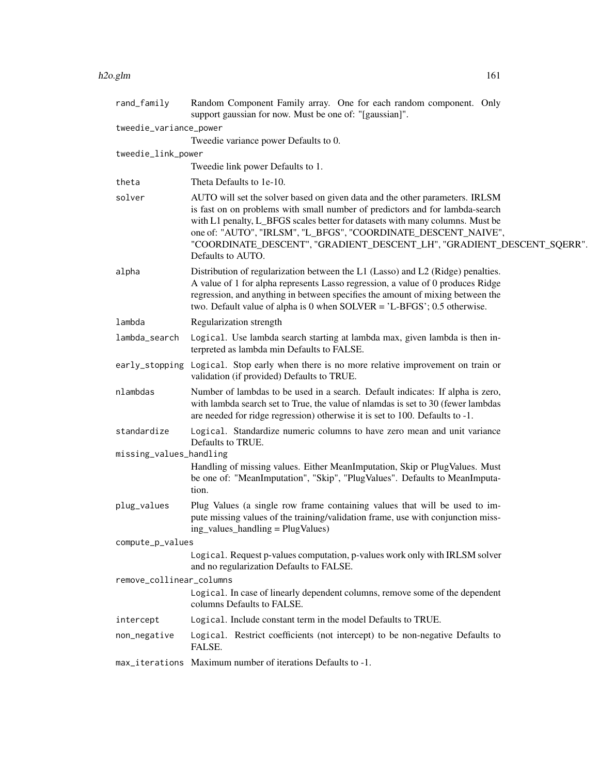| rand_family              | Random Component Family array. One for each random component. Only<br>support gaussian for now. Must be one of: "[gaussian]".                                                                                                                                                                                                                                                                                  |
|--------------------------|----------------------------------------------------------------------------------------------------------------------------------------------------------------------------------------------------------------------------------------------------------------------------------------------------------------------------------------------------------------------------------------------------------------|
| tweedie_variance_power   | Tweedie variance power Defaults to 0.                                                                                                                                                                                                                                                                                                                                                                          |
| tweedie_link_power       |                                                                                                                                                                                                                                                                                                                                                                                                                |
|                          | Tweedie link power Defaults to 1.                                                                                                                                                                                                                                                                                                                                                                              |
| theta                    | Theta Defaults to 1e-10.                                                                                                                                                                                                                                                                                                                                                                                       |
| solver                   | AUTO will set the solver based on given data and the other parameters. IRLSM<br>is fast on on problems with small number of predictors and for lambda-search<br>with L1 penalty, L_BFGS scales better for datasets with many columns. Must be<br>one of: "AUTO", "IRLSM", "L_BFGS", "COORDINATE_DESCENT_NAIVE",<br>"COORDINATE_DESCENT", "GRADIENT_DESCENT_LH", "GRADIENT_DESCENT_SQERR".<br>Defaults to AUTO. |
| alpha                    | Distribution of regularization between the L1 (Lasso) and L2 (Ridge) penalties.<br>A value of 1 for alpha represents Lasso regression, a value of 0 produces Ridge<br>regression, and anything in between specifies the amount of mixing between the<br>two. Default value of alpha is 0 when $SOLVER = 'L-BFGS'; 0.5$ otherwise.                                                                              |
| lambda                   | Regularization strength                                                                                                                                                                                                                                                                                                                                                                                        |
| lambda_search            | Logical. Use lambda search starting at lambda max, given lambda is then in-<br>terpreted as lambda min Defaults to FALSE.                                                                                                                                                                                                                                                                                      |
| early_stopping           | Logical. Stop early when there is no more relative improvement on train or<br>validation (if provided) Defaults to TRUE.                                                                                                                                                                                                                                                                                       |
| nlambdas                 | Number of lambdas to be used in a search. Default indicates: If alpha is zero,<br>with lambda search set to True, the value of nlamdas is set to 30 (fewer lambdas<br>are needed for ridge regression) otherwise it is set to 100. Defaults to -1.                                                                                                                                                             |
| standardize              | Logical. Standardize numeric columns to have zero mean and unit variance<br>Defaults to TRUE.                                                                                                                                                                                                                                                                                                                  |
| missing_values_handling  |                                                                                                                                                                                                                                                                                                                                                                                                                |
|                          | Handling of missing values. Either MeanImputation, Skip or PlugValues. Must<br>be one of: "MeanImputation", "Skip", "PlugValues". Defaults to MeanImputa-<br>tion.                                                                                                                                                                                                                                             |
| plug_values              | Plug Values (a single row frame containing values that will be used to im-<br>pute missing values of the training/validation frame, use with conjunction miss-<br>ing_values_handling = PlugValues)                                                                                                                                                                                                            |
| compute_p_values         |                                                                                                                                                                                                                                                                                                                                                                                                                |
|                          | Logical. Request p-values computation, p-values work only with IRLSM solver<br>and no regularization Defaults to FALSE.                                                                                                                                                                                                                                                                                        |
| remove_collinear_columns |                                                                                                                                                                                                                                                                                                                                                                                                                |
|                          | Logical. In case of linearly dependent columns, remove some of the dependent<br>columns Defaults to FALSE.                                                                                                                                                                                                                                                                                                     |
| intercept                | Logical. Include constant term in the model Defaults to TRUE.                                                                                                                                                                                                                                                                                                                                                  |
| non_negative             | Logical. Restrict coefficients (not intercept) to be non-negative Defaults to<br>FALSE.                                                                                                                                                                                                                                                                                                                        |
|                          | max_iterations Maximum number of iterations Defaults to -1.                                                                                                                                                                                                                                                                                                                                                    |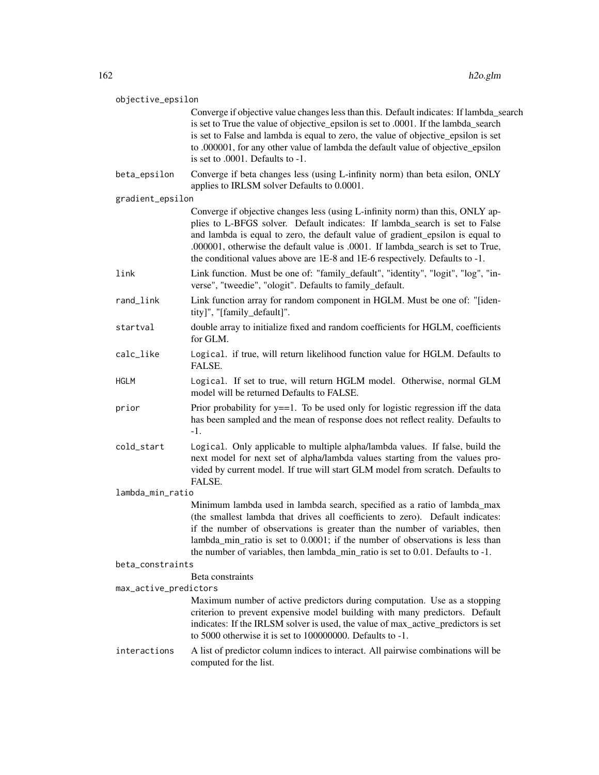| objective_epsilon |                       |                                                                                                                                                                                                                                                                                                                                                                                                                    |
|-------------------|-----------------------|--------------------------------------------------------------------------------------------------------------------------------------------------------------------------------------------------------------------------------------------------------------------------------------------------------------------------------------------------------------------------------------------------------------------|
|                   |                       | Converge if objective value changes less than this. Default indicates: If lambda_search<br>is set to True the value of objective_epsilon is set to .0001. If the lambda_search<br>is set to False and lambda is equal to zero, the value of objective_epsilon is set<br>to .000001, for any other value of lambda the default value of objective_epsilon<br>is set to $.0001$ . Defaults to $-1$ .                 |
|                   | beta_epsilon          | Converge if beta changes less (using L-infinity norm) than beta esilon, ONLY<br>applies to IRLSM solver Defaults to 0.0001.                                                                                                                                                                                                                                                                                        |
|                   | gradient_epsilon      |                                                                                                                                                                                                                                                                                                                                                                                                                    |
|                   |                       | Converge if objective changes less (using L-infinity norm) than this, ONLY ap-<br>plies to L-BFGS solver. Default indicates: If lambda_search is set to False<br>and lambda is equal to zero, the default value of gradient_epsilon is equal to<br>.000001, otherwise the default value is .0001. If lambda_search is set to True,<br>the conditional values above are 1E-8 and 1E-6 respectively. Defaults to -1. |
|                   | link                  | Link function. Must be one of: "family_default", "identity", "logit", "log", "in-<br>verse", "tweedie", "ologit". Defaults to family_default.                                                                                                                                                                                                                                                                      |
|                   | rand_link             | Link function array for random component in HGLM. Must be one of: "[iden-<br>tity]", "[family_default]".                                                                                                                                                                                                                                                                                                           |
|                   | startval              | double array to initialize fixed and random coefficients for HGLM, coefficients<br>for GLM.                                                                                                                                                                                                                                                                                                                        |
|                   | calc_like             | Logical. if true, will return likelihood function value for HGLM. Defaults to<br>FALSE.                                                                                                                                                                                                                                                                                                                            |
|                   | <b>HGLM</b>           | Logical. If set to true, will return HGLM model. Otherwise, normal GLM<br>model will be returned Defaults to FALSE.                                                                                                                                                                                                                                                                                                |
|                   | prior                 | Prior probability for $y = 1$ . To be used only for logistic regression iff the data<br>has been sampled and the mean of response does not reflect reality. Defaults to<br>$-1.$                                                                                                                                                                                                                                   |
|                   | cold_start            | Logical. Only applicable to multiple alpha/lambda values. If false, build the<br>next model for next set of alpha/lambda values starting from the values pro-<br>vided by current model. If true will start GLM model from scratch. Defaults to<br>FALSE.                                                                                                                                                          |
| lambda_min_ratio  |                       |                                                                                                                                                                                                                                                                                                                                                                                                                    |
|                   |                       | Minimum lambda used in lambda search, specified as a ratio of lambda_max<br>(the smallest lambda that drives all coefficients to zero). Default indicates:<br>if the number of observations is greater than the number of variables, then<br>lambda_min_ratio is set to 0.0001; if the number of observations is less than<br>the number of variables, then lambda_min_ratio is set to 0.01. Defaults to -1.       |
|                   | beta_constraints      |                                                                                                                                                                                                                                                                                                                                                                                                                    |
|                   | max_active_predictors | Beta constraints                                                                                                                                                                                                                                                                                                                                                                                                   |
|                   |                       | Maximum number of active predictors during computation. Use as a stopping                                                                                                                                                                                                                                                                                                                                          |
|                   |                       | criterion to prevent expensive model building with many predictors. Default<br>indicates: If the IRLSM solver is used, the value of max_active_predictors is set<br>to 5000 otherwise it is set to 100000000. Defaults to -1.                                                                                                                                                                                      |
|                   | interactions          | A list of predictor column indices to interact. All pairwise combinations will be<br>computed for the list.                                                                                                                                                                                                                                                                                                        |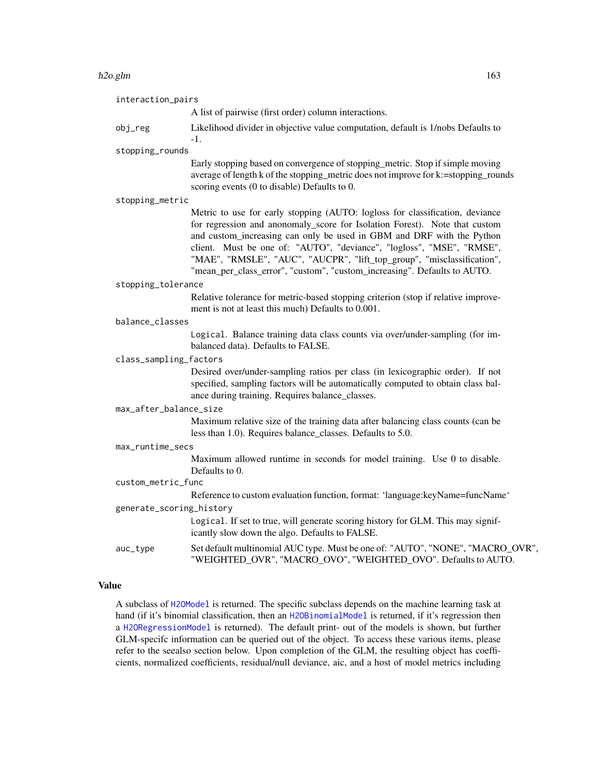#### h2o.glm and the state of the state of the state of the state of the state of the state of the state of the state of the state of the state of the state of the state of the state of the state of the state of the state of th

| interaction_pairs        |                                                                                                                                                                                                                                                                                                                                                                                                                                                                    |
|--------------------------|--------------------------------------------------------------------------------------------------------------------------------------------------------------------------------------------------------------------------------------------------------------------------------------------------------------------------------------------------------------------------------------------------------------------------------------------------------------------|
|                          | A list of pairwise (first order) column interactions.                                                                                                                                                                                                                                                                                                                                                                                                              |
| obj_reg                  | Likelihood divider in objective value computation, default is 1/nobs Defaults to<br>-1.                                                                                                                                                                                                                                                                                                                                                                            |
| stopping_rounds          |                                                                                                                                                                                                                                                                                                                                                                                                                                                                    |
|                          | Early stopping based on convergence of stopping_metric. Stop if simple moving<br>average of length k of the stopping_metric does not improve for k:=stopping_rounds<br>scoring events (0 to disable) Defaults to 0.                                                                                                                                                                                                                                                |
| stopping_metric          |                                                                                                                                                                                                                                                                                                                                                                                                                                                                    |
|                          | Metric to use for early stopping (AUTO: logloss for classification, deviance<br>for regression and anonomaly_score for Isolation Forest). Note that custom<br>and custom_increasing can only be used in GBM and DRF with the Python<br>client. Must be one of: "AUTO", "deviance", "logloss", "MSE", "RMSE",<br>"MAE", "RMSLE", "AUC", "AUCPR", "lift_top_group", "misclassification",<br>"mean_per_class_error", "custom", "custom_increasing". Defaults to AUTO. |
| stopping_tolerance       |                                                                                                                                                                                                                                                                                                                                                                                                                                                                    |
|                          | Relative tolerance for metric-based stopping criterion (stop if relative improve-<br>ment is not at least this much) Defaults to 0.001.                                                                                                                                                                                                                                                                                                                            |
| balance_classes          |                                                                                                                                                                                                                                                                                                                                                                                                                                                                    |
|                          | Logical. Balance training data class counts via over/under-sampling (for im-<br>balanced data). Defaults to FALSE.                                                                                                                                                                                                                                                                                                                                                 |
| class_sampling_factors   |                                                                                                                                                                                                                                                                                                                                                                                                                                                                    |
|                          | Desired over/under-sampling ratios per class (in lexicographic order). If not<br>specified, sampling factors will be automatically computed to obtain class bal-<br>ance during training. Requires balance_classes.                                                                                                                                                                                                                                                |
| max_after_balance_size   |                                                                                                                                                                                                                                                                                                                                                                                                                                                                    |
|                          | Maximum relative size of the training data after balancing class counts (can be<br>less than 1.0). Requires balance_classes. Defaults to 5.0.                                                                                                                                                                                                                                                                                                                      |
| max_runtime_secs         |                                                                                                                                                                                                                                                                                                                                                                                                                                                                    |
|                          | Maximum allowed runtime in seconds for model training. Use 0 to disable.<br>Defaults to 0.                                                                                                                                                                                                                                                                                                                                                                         |
| custom_metric_func       |                                                                                                                                                                                                                                                                                                                                                                                                                                                                    |
|                          | Reference to custom evaluation function, format: 'language:keyName=funcName'                                                                                                                                                                                                                                                                                                                                                                                       |
| generate_scoring_history |                                                                                                                                                                                                                                                                                                                                                                                                                                                                    |
|                          | Logical. If set to true, will generate scoring history for GLM. This may signif-<br>icantly slow down the algo. Defaults to FALSE.                                                                                                                                                                                                                                                                                                                                 |
| auc_type                 | Set default multinomial AUC type. Must be one of: "AUTO", "NONE", "MACRO_OVR",<br>"WEIGHTED_OVR", "MACRO_OVO", "WEIGHTED_OVO". Defaults to AUTO.                                                                                                                                                                                                                                                                                                                   |
|                          |                                                                                                                                                                                                                                                                                                                                                                                                                                                                    |

# Value

A subclass of [H2OModel](#page-370-0) is returned. The specific subclass depends on the machine learning task at hand (if it's binomial classification, then an [H2OBinomialModel](#page-370-1) is returned, if it's regression then a [H2ORegressionModel](#page-370-1) is returned). The default print- out of the models is shown, but further GLM-specifc information can be queried out of the object. To access these various items, please refer to the seealso section below. Upon completion of the GLM, the resulting object has coefficients, normalized coefficients, residual/null deviance, aic, and a host of model metrics including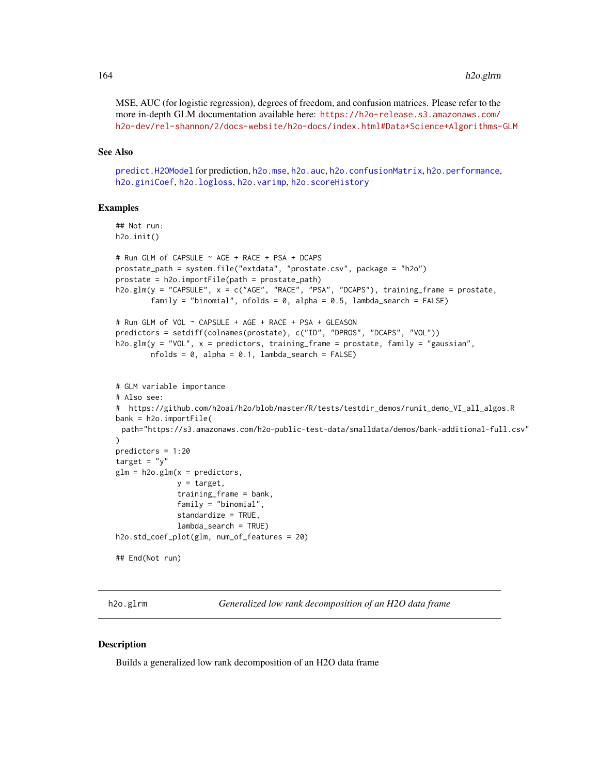MSE, AUC (for logistic regression), degrees of freedom, and confusion matrices. Please refer to the more in-depth GLM documentation available here: [https://h2o-release.s3.amazonaws.com/](https://h2o-release.s3.amazonaws.com/h2o-dev/rel-shannon/2/docs-website/h2o-docs/index.html#Data+Science+Algorithms-GLM) [h2o-dev/rel-shannon/2/docs-website/h2o-docs/index.html#Data+Science+Algorithms-GLM](https://h2o-release.s3.amazonaws.com/h2o-dev/rel-shannon/2/docs-website/h2o-docs/index.html#Data+Science+Algorithms-GLM)

#### See Also

[predict.H2OModel](#page-385-0) for prediction, [h2o.mse](#page-233-0), [h2o.auc](#page-61-0), [h2o.confusionMatrix](#page-79-0), [h2o.performance](#page-256-0), [h2o.giniCoef](#page-156-0), [h2o.logloss](#page-214-0), [h2o.varimp](#page-348-0), [h2o.scoreHistory](#page-299-0)

#### Examples

```
## Not run:
h2o.init()
# Run GLM of CAPSULE ~ AGE + RACE + PSA + DCAPS
prostate_path = system.file("extdata", "prostate.csv", package = "h2o")
prostate = h2o.importFile(path = prostate_path)
h2o.glm(y = "CAPSULE", x = c("AGE", "RACE", "PSA", "DCAPS"), training_frame = prostate,
        family = "binomial", nfolds = 0, alpha = 0.5, lambda_search = FALSE)
# Run GLM of VOL ~ CAPSULE + AGE + RACE + PSA + GLEASON
predictors = setdiff(colnames(prostate), c("ID", "DPROS", "DCAPS", "VOL"))
h2o.glm(y = "VOL", x = predictors, training_frame = prostate, family = "gaussian",
       nfolds = 0, alpha = 0.1, lambda_search = FALSE)
# GLM variable importance
# Also see:
# https://github.com/h2oai/h2o/blob/master/R/tests/testdir_demos/runit_demo_VI_all_algos.R
bank = h2o.importFile(
 path="https://s3.amazonaws.com/h2o-public-test-data/smalldata/demos/bank-additional-full.csv"
)
predictors = 1:20
target = "y"glm = h2o.glm(x = predictors,y = target,
              training_frame = bank,
              family = "binomial",
              standardize = TRUE,
              lambda_search = TRUE)
h2o.std_coef_plot(glm, num_of_features = 20)
## End(Not run)
```
h2o.glrm *Generalized low rank decomposition of an H2O data frame*

#### **Description**

Builds a generalized low rank decomposition of an H2O data frame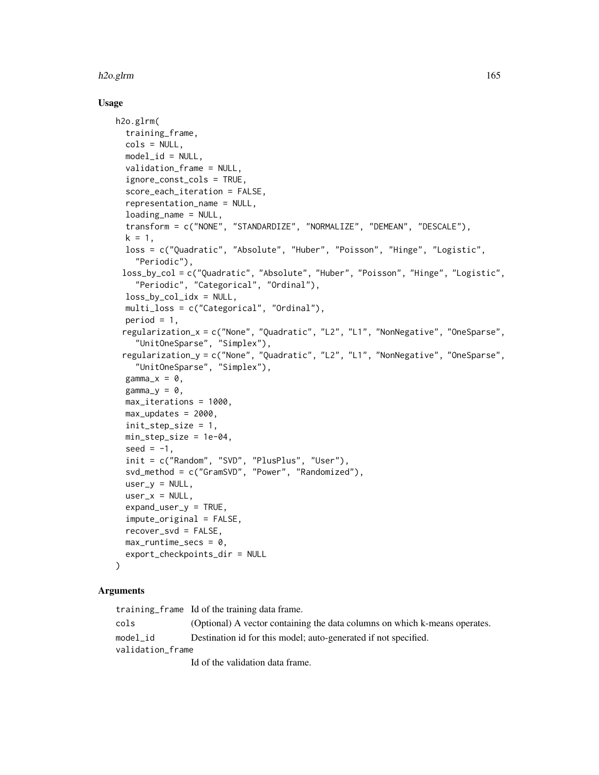#### h2o.glrm 165

### Usage

```
h2o.glrm(
  training_frame,
  cols = NULL,model_id = NULL,validation_frame = NULL,
  ignore_const_cols = TRUE,
  score_each_iteration = FALSE,
  representation_name = NULL,
  loading_name = NULL,
  transform = c("NONE", "STANDARDIZE", "NORMALIZE", "DEMEAN", "DESCALE"),
  k = 1,
  loss = c("Quadratic", "Absolute", "Huber", "Poisson", "Hinge", "Logistic",
    "Periodic"),
 loss_by_col = c("Quadratic", "Absolute", "Huber", "Poisson", "Hinge", "Logistic",
    "Periodic", "Categorical", "Ordinal"),
  loss_by_col_idx = NULL,multi_loss = c("Categorical", "Ordinal"),
  period = 1,
 regularization_x = c("None", "Quadratic", "L2", "L1", "NonNegative", "OneSparse",
    "UnitOneSparse", "Simplex"),
 regularization_y = c("None", "Quadratic", "L2", "L1", "NonNegative", "OneSparse",
    "UnitOneSparse", "Simplex"),
  gamma_x = 0,
  gamma_y = 0,
  max_iterations = 1000,
  max_updates = 2000,
  init_step_size = 1,
  min_step_size = 1e-04,
  seed = -1,
  init = c("Random", "SVD", "PlusPlus", "User"),
  svd_method = c("GramSVD", "Power", "Randomized"),
  user_y = NULL,user_x = NULL,expand_user_y = TRUE,
  impute_original = FALSE,
  recover_svd = FALSE,
  max_runtime_secs = 0,
  export_checkpoints_dir = NULL
```
### Arguments

)

training\_frame Id of the training data frame. cols (Optional) A vector containing the data columns on which k-means operates. model\_id Destination id for this model; auto-generated if not specified. validation\_frame Id of the validation data frame.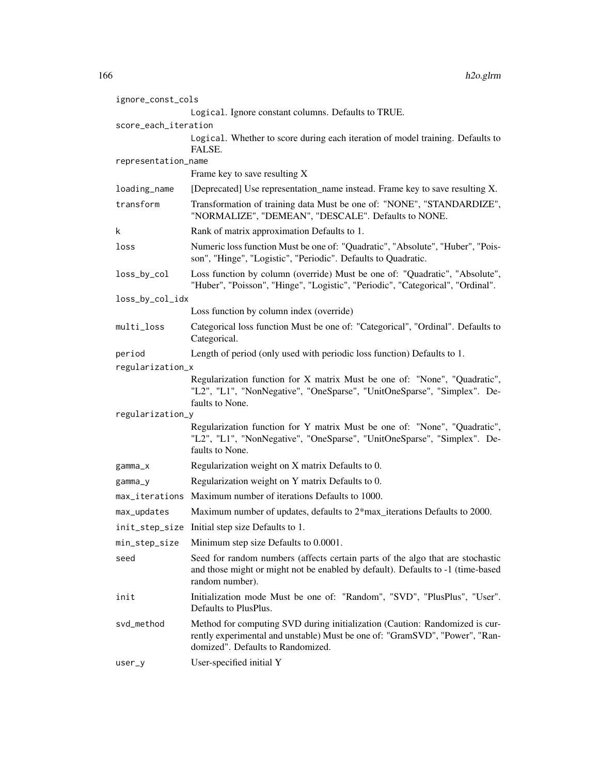| ignore_const_cols    |                                                                                                                                                                                                 |  |
|----------------------|-------------------------------------------------------------------------------------------------------------------------------------------------------------------------------------------------|--|
|                      | Logical. Ignore constant columns. Defaults to TRUE.                                                                                                                                             |  |
| score_each_iteration |                                                                                                                                                                                                 |  |
|                      | Logical. Whether to score during each iteration of model training. Defaults to<br>FALSE.                                                                                                        |  |
| representation_name  |                                                                                                                                                                                                 |  |
|                      | Frame key to save resulting X                                                                                                                                                                   |  |
| loading_name         | [Deprecated] Use representation_name instead. Frame key to save resulting X.                                                                                                                    |  |
| transform            | Transformation of training data Must be one of: "NONE", "STANDARDIZE",<br>"NORMALIZE", "DEMEAN", "DESCALE". Defaults to NONE.                                                                   |  |
| k                    | Rank of matrix approximation Defaults to 1.                                                                                                                                                     |  |
| loss                 | Numeric loss function Must be one of: "Quadratic", "Absolute", "Huber", "Pois-<br>son", "Hinge", "Logistic", "Periodic". Defaults to Quadratic.                                                 |  |
| loss_by_col          | Loss function by column (override) Must be one of: "Quadratic", "Absolute",<br>"Huber", "Poisson", "Hinge", "Logistic", "Periodic", "Categorical", "Ordinal".                                   |  |
| loss_by_col_idx      |                                                                                                                                                                                                 |  |
|                      | Loss function by column index (override)                                                                                                                                                        |  |
| multi_loss           | Categorical loss function Must be one of: "Categorical", "Ordinal". Defaults to<br>Categorical.                                                                                                 |  |
| period               | Length of period (only used with periodic loss function) Defaults to 1.                                                                                                                         |  |
| regularization_x     |                                                                                                                                                                                                 |  |
|                      | Regularization function for X matrix Must be one of: "None", "Quadratic",<br>"L2", "L1", "NonNegative", "OneSparse", "UnitOneSparse", "Simplex". De-<br>faults to None.                         |  |
| regularization_y     |                                                                                                                                                                                                 |  |
|                      | Regularization function for Y matrix Must be one of: "None", "Quadratic",<br>"L2", "L1", "NonNegative", "OneSparse", "UnitOneSparse", "Simplex". De-<br>faults to None.                         |  |
| $gamma_x$            | Regularization weight on X matrix Defaults to 0.                                                                                                                                                |  |
| gamma_y              | Regularization weight on Y matrix Defaults to 0.                                                                                                                                                |  |
| max_iterations       | Maximum number of iterations Defaults to 1000.                                                                                                                                                  |  |
| max_updates          | Maximum number of updates, defaults to 2*max_iterations Defaults to 2000.                                                                                                                       |  |
| init_step_size       | Initial step size Defaults to 1.                                                                                                                                                                |  |
| min_step_size        | Minimum step size Defaults to 0.0001.                                                                                                                                                           |  |
| seed                 | Seed for random numbers (affects certain parts of the algo that are stochastic<br>and those might or might not be enabled by default). Defaults to -1 (time-based<br>random number).            |  |
| init                 | Initialization mode Must be one of: "Random", "SVD", "PlusPlus", "User".<br>Defaults to PlusPlus.                                                                                               |  |
| svd_method           | Method for computing SVD during initialization (Caution: Randomized is cur-<br>rently experimental and unstable) Must be one of: "GramSVD", "Power", "Ran-<br>domized". Defaults to Randomized. |  |
| $user_y$             | User-specified initial Y                                                                                                                                                                        |  |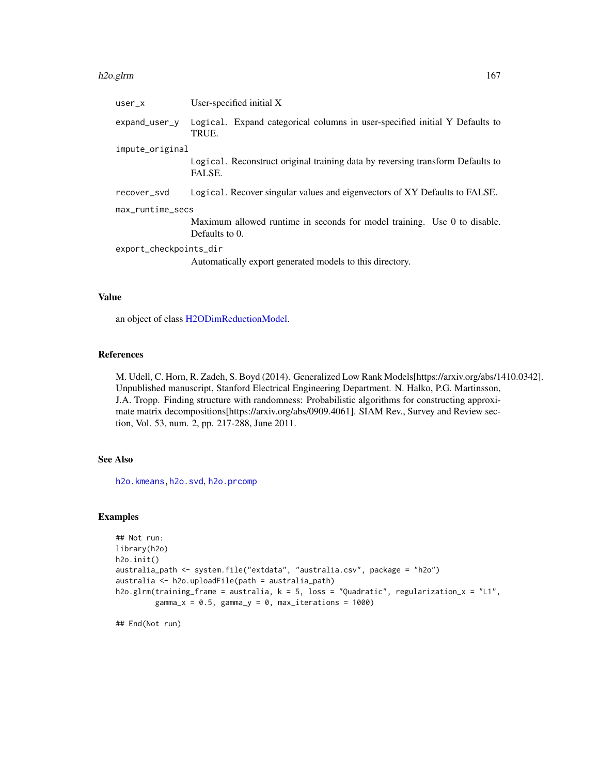#### h2o.glrm 167

| $user_x$               | User-specified initial $X$                                                                 |  |
|------------------------|--------------------------------------------------------------------------------------------|--|
| $expand_user_y$        | Logical. Expand categorical columns in user-specified initial Y Defaults to<br>TRUE.       |  |
| impute_original        |                                                                                            |  |
|                        | Logical. Reconstruct original training data by reversing transform Defaults to<br>FALSE.   |  |
| recover_svd            | Logical. Recover singular values and eigenvectors of XY Defaults to FALSE.                 |  |
| max_runtime_secs       |                                                                                            |  |
|                        | Maximum allowed runtime in seconds for model training. Use 0 to disable.<br>Defaults to 0. |  |
| export_checkpoints_dir |                                                                                            |  |
|                        | Automatically export generated models to this directory.                                   |  |

## Value

an object of class [H2ODimReductionModel.](#page-370-1)

## References

M. Udell, C. Horn, R. Zadeh, S. Boyd (2014). Generalized Low Rank Models[https://arxiv.org/abs/1410.0342]. Unpublished manuscript, Stanford Electrical Engineering Department. N. Halko, P.G. Martinsson, J.A. Tropp. Finding structure with randomness: Probabilistic algorithms for constructing approximate matrix decompositions[https://arxiv.org/abs/0909.4061]. SIAM Rev., Survey and Review section, Vol. 53, num. 2, pp. 217-288, June 2011.

## See Also

[h2o.kmeans](#page-199-0)[,h2o.svd](#page-323-0), [h2o.prcomp](#page-258-0)

## Examples

```
## Not run:
library(h2o)
h2o.init()
australia_path <- system.file("extdata", "australia.csv", package = "h2o")
australia <- h2o.uploadFile(path = australia_path)
h2o.glrm(training_frame = australia, k = 5, loss = "Quadratic", regularization_x = "L1",
         gamma_x = 0.5, gamma_y = 0, max_iterations = 1000)
```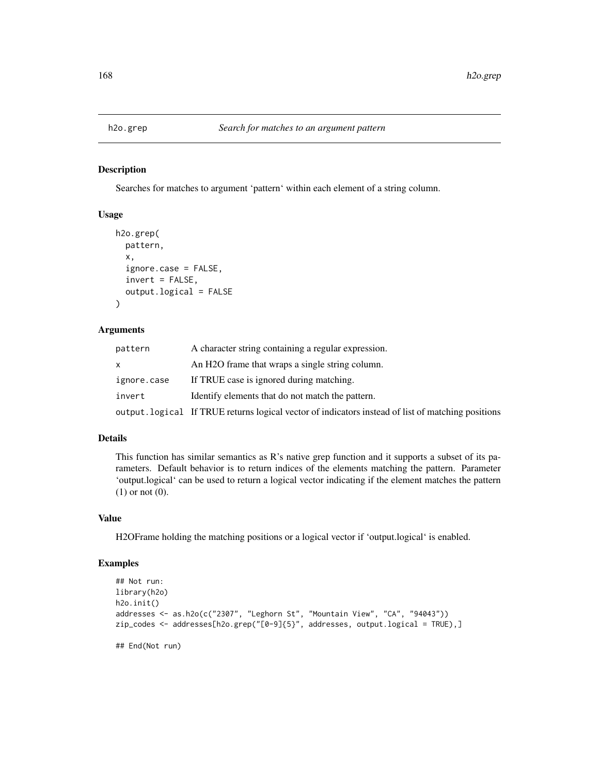Searches for matches to argument 'pattern' within each element of a string column.

## Usage

```
h2o.grep(
 pattern,
  x,
  ignore.case = FALSE,
  invert = FALSE,
  output.logical = FALSE
)
```
#### Arguments

| pattern     | A character string containing a regular expression.                                                |
|-------------|----------------------------------------------------------------------------------------------------|
|             | An H <sub>2</sub> O frame that wraps a single string column.                                       |
| ignore.case | If TRUE case is ignored during matching.                                                           |
| invert      | Identify elements that do not match the pattern.                                                   |
|             | output. logical If TRUE returns logical vector of indicators instead of list of matching positions |

#### Details

This function has similar semantics as R's native grep function and it supports a subset of its parameters. Default behavior is to return indices of the elements matching the pattern. Parameter 'output.logical' can be used to return a logical vector indicating if the element matches the pattern (1) or not (0).

#### Value

H2OFrame holding the matching positions or a logical vector if 'output.logical' is enabled.

## Examples

```
## Not run:
library(h2o)
h2o.init()
addresses <- as.h2o(c("2307", "Leghorn St", "Mountain View", "CA", "94043"))
zip_codes <- addresses[h2o.grep("[0-9]{5}", addresses, output.logical = TRUE),]
```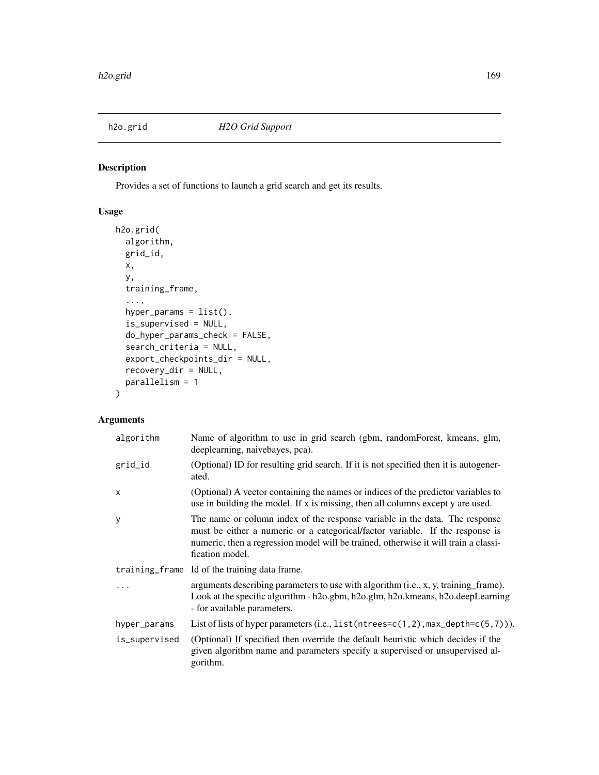Provides a set of functions to launch a grid search and get its results.

## Usage

```
h2o.grid(
  algorithm,
  grid_id,
 x,
 y,
  training_frame,
  ...,
 hyper_params = list(),
  is_supervised = NULL,
  do_hyper_params_check = FALSE,
  search_criteria = NULL,
  export_checkpoints_dir = NULL,
  recovery_dir = NULL,
 parallelism = 1
)
```
# Arguments

| algorithm     | Name of algorithm to use in grid search (gbm, randomForest, kmeans, glm,<br>deeplearning, naivebayes, pca).                                                                                                                                                            |  |
|---------------|------------------------------------------------------------------------------------------------------------------------------------------------------------------------------------------------------------------------------------------------------------------------|--|
| grid_id       | (Optional) ID for resulting grid search. If it is not specified then it is autogener-<br>ated.                                                                                                                                                                         |  |
| $\times$      | (Optional) A vector containing the names or indices of the predictor variables to<br>use in building the model. If x is missing, then all columns except y are used.                                                                                                   |  |
| y             | The name or column index of the response variable in the data. The response<br>must be either a numeric or a categorical/factor variable. If the response is<br>numeric, then a regression model will be trained, otherwise it will train a classi-<br>fication model. |  |
|               | training frame Id of the training data frame.                                                                                                                                                                                                                          |  |
|               | arguments describing parameters to use with algorithm (i.e., x, y, training frame).<br>Look at the specific algorithm - h2o.gbm, h2o.glm, h2o.kmeans, h2o.deepLearning<br>- for available parameters.                                                                  |  |
| hyper_params  | List of lists of hyper parameters (i.e., $list(ntrees=c(1,2), max\_depth=c(5,7))$ ).                                                                                                                                                                                   |  |
| is_supervised | (Optional) If specified then override the default heuristic which decides if the<br>given algorithm name and parameters specify a supervised or unsupervised al-<br>gorithm.                                                                                           |  |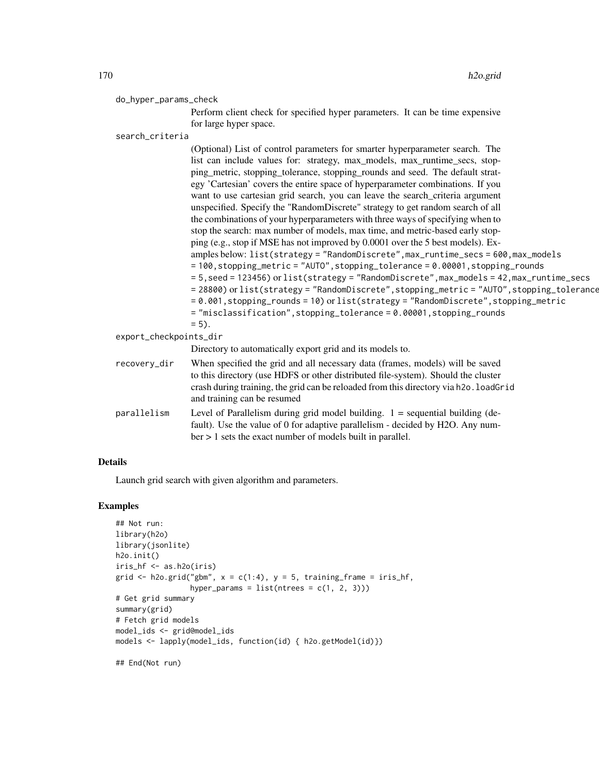#### do\_hyper\_params\_check

Perform client check for specified hyper parameters. It can be time expensive for large hyper space.

search\_criteria

(Optional) List of control parameters for smarter hyperparameter search. The list can include values for: strategy, max\_models, max\_runtime\_secs, stopping\_metric, stopping\_tolerance, stopping\_rounds and seed. The default strategy 'Cartesian' covers the entire space of hyperparameter combinations. If you want to use cartesian grid search, you can leave the search criteria argument unspecified. Specify the "RandomDiscrete" strategy to get random search of all the combinations of your hyperparameters with three ways of specifying when to stop the search: max number of models, max time, and metric-based early stopping (e.g., stop if MSE has not improved by 0.0001 over the 5 best models). Examples below: list(strategy = "RandomDiscrete",max\_runtime\_secs = 600,max\_models  $= 100$ , stopping\_metric = "AUTO", stopping\_tolerance = 0.00001, stopping\_rounds = 5,seed = 123456) or list(strategy = "RandomDiscrete",max\_models = 42,max\_runtime\_secs = 28800) or list(strategy = "RandomDiscrete", stopping\_metric = "AUTO", stopping\_tolerance = 0.001,stopping\_rounds = 10) or list(strategy = "RandomDiscrete",stopping\_metric = "misclassification",stopping\_tolerance = 0.00001,stopping\_rounds  $= 5$ ). export\_checkpoints\_dir Directory to automatically export grid and its models to.

| recovery_dir | When specified the grid and all necessary data (frames, models) will be saved<br>to this directory (use HDFS or other distributed file-system). Should the cluster<br>crash during training, the grid can be reloaded from this directory via h2o. loadGr id<br>and training can be resumed |
|--------------|---------------------------------------------------------------------------------------------------------------------------------------------------------------------------------------------------------------------------------------------------------------------------------------------|
| parallelism  | Level of Parallelism during grid model building. $1 =$ sequential building (de-<br>fault). Use the value of 0 for adaptive parallelism - decided by H2O. Any num-<br>$ber > 1$ sets the exact number of models built in parallel.                                                           |

### Details

Launch grid search with given algorithm and parameters.

### Examples

```
## Not run:
library(h2o)
library(jsonlite)
h2o.init()
iris_hf <- as.h2o(iris)
grid \le h2o.grid("gbm", x = c(1:4), y = 5, training_frame = iris_hf,
                 hyper_params = list(ntrees = c(1, 2, 3)))# Get grid summary
summary(grid)
# Fetch grid models
model_ids <- grid@model_ids
models <- lapply(model_ids, function(id) { h2o.getModel(id)})
```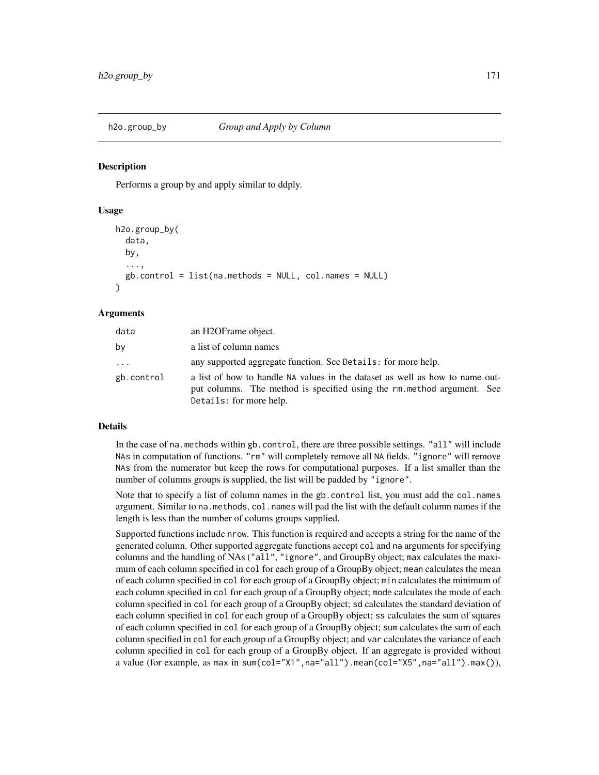Performs a group by and apply similar to ddply.

#### Usage

```
h2o.group_by(
  data,
  by,
  ...,
  gb.control = list(na.methods = NULL, col.names = NULL))
```
#### Arguments

| data       | an H2OFrame object.                                                                                                                                                               |  |
|------------|-----------------------------------------------------------------------------------------------------------------------------------------------------------------------------------|--|
| by         | a list of column names                                                                                                                                                            |  |
| $\cdot$    | any supported aggregate function. See Details: for more help.                                                                                                                     |  |
| gb.control | a list of how to handle NA values in the dataset as well as how to name out-<br>put columns. The method is specified using the rm method argument. See<br>Details: for more help. |  |

#### Details

In the case of na.methods within gb.control, there are three possible settings. "all" will include NAs in computation of functions. "rm" will completely remove all NA fields. "ignore" will remove NAs from the numerator but keep the rows for computational purposes. If a list smaller than the number of columns groups is supplied, the list will be padded by "ignore".

Note that to specify a list of column names in the gb.control list, you must add the col.names argument. Similar to na.methods, col.names will pad the list with the default column names if the length is less than the number of colums groups supplied.

Supported functions include nrow. This function is required and accepts a string for the name of the generated column. Other supported aggregate functions accept col and na arguments for specifying columns and the handling of NAs ("all", "ignore", and GroupBy object; max calculates the maximum of each column specified in col for each group of a GroupBy object; mean calculates the mean of each column specified in col for each group of a GroupBy object; min calculates the minimum of each column specified in col for each group of a GroupBy object; mode calculates the mode of each column specified in col for each group of a GroupBy object; sd calculates the standard deviation of each column specified in col for each group of a GroupBy object; ss calculates the sum of squares of each column specified in col for each group of a GroupBy object; sum calculates the sum of each column specified in col for each group of a GroupBy object; and var calculates the variance of each column specified in col for each group of a GroupBy object. If an aggregate is provided without a value (for example, as max in sum(col="X1",na="all").mean(col="X5",na="all").max()),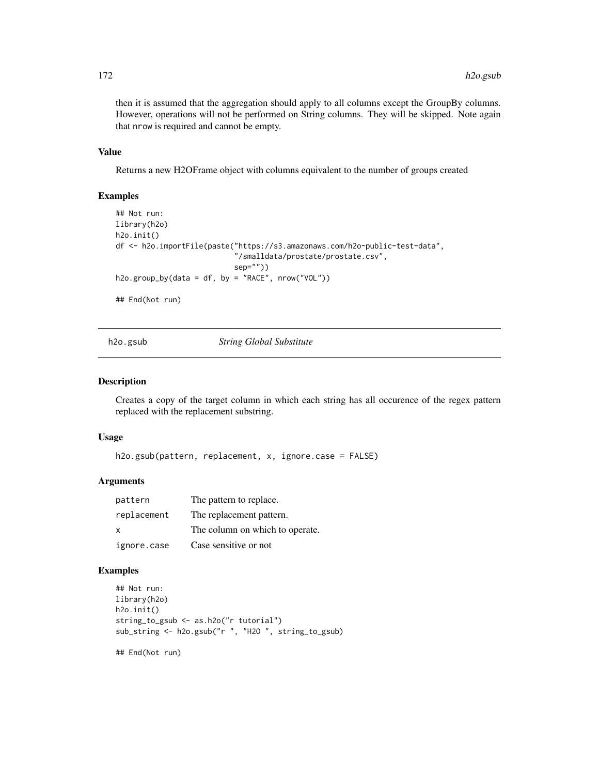then it is assumed that the aggregation should apply to all columns except the GroupBy columns. However, operations will not be performed on String columns. They will be skipped. Note again that nrow is required and cannot be empty.

## Value

Returns a new H2OFrame object with columns equivalent to the number of groups created

#### Examples

```
## Not run:
library(h2o)
h2o.init()
df <- h2o.importFile(paste("https://s3.amazonaws.com/h2o-public-test-data",
                           "/smalldata/prostate/prostate.csv",
                           sep=""))
h2o.group_by(data = df, by = "RACE", nrow("VOL"))
```
## End(Not run)

h2o.gsub *String Global Substitute*

### Description

Creates a copy of the target column in which each string has all occurence of the regex pattern replaced with the replacement substring.

#### Usage

h2o.gsub(pattern, replacement, x, ignore.case = FALSE)

## Arguments

| pattern      | The pattern to replace.         |
|--------------|---------------------------------|
| replacement  | The replacement pattern.        |
| $\mathsf{x}$ | The column on which to operate. |
| ignore.case  | Case sensitive or not           |

## Examples

```
## Not run:
library(h2o)
h2o.init()
string_to_gsub <- as.h2o("r tutorial")
sub_string <- h2o.gsub("r ", "H2O ", string_to_gsub)
```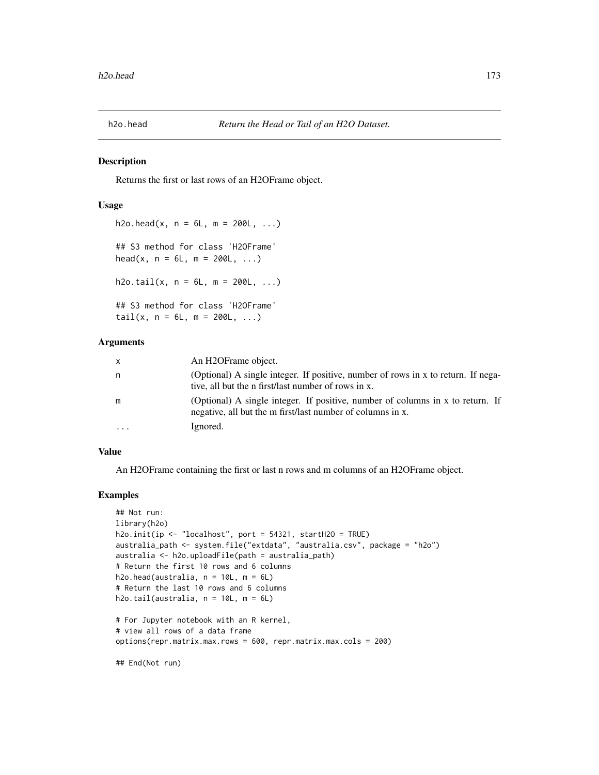Returns the first or last rows of an H2OFrame object.

### Usage

```
h2o.head(x, n = 6L, m = 200L, ...)## S3 method for class 'H2OFrame'
head(x, n = 6L, m = 200L, ...)
h2o.tail(x, n = 6L, m = 200L, ...)## S3 method for class 'H2OFrame'
tail(x, n = 6L, m = 200L, ...)
```
### Arguments

| $\mathsf{X}$ | An H <sub>2</sub> OFrame object.                                                                                                             |
|--------------|----------------------------------------------------------------------------------------------------------------------------------------------|
| n            | (Optional) A single integer. If positive, number of rows in x to return. If nega-<br>tive, all but the n first/last number of rows in x.     |
| m            | (Optional) A single integer. If positive, number of columns in x to return. If<br>negative, all but the m first/last number of columns in x. |
| $\cdot$      | Ignored.                                                                                                                                     |

#### Value

An H2OFrame containing the first or last n rows and m columns of an H2OFrame object.

#### Examples

```
## Not run:
library(h2o)
h2o.init(ip \le "localhost", port = 54321, startH2O = TRUE)
australia_path <- system.file("extdata", "australia.csv", package = "h2o")
australia <- h2o.uploadFile(path = australia_path)
# Return the first 10 rows and 6 columns
h2o.head(australia, n = 10L, m = 6L)
# Return the last 10 rows and 6 columns
h2o.tail(australia, n = 10L, m = 6L)
# For Jupyter notebook with an R kernel,
# view all rows of a data frame
options(repr.matrix.max.rows = 600, repr.matrix.max.cols = 200)
```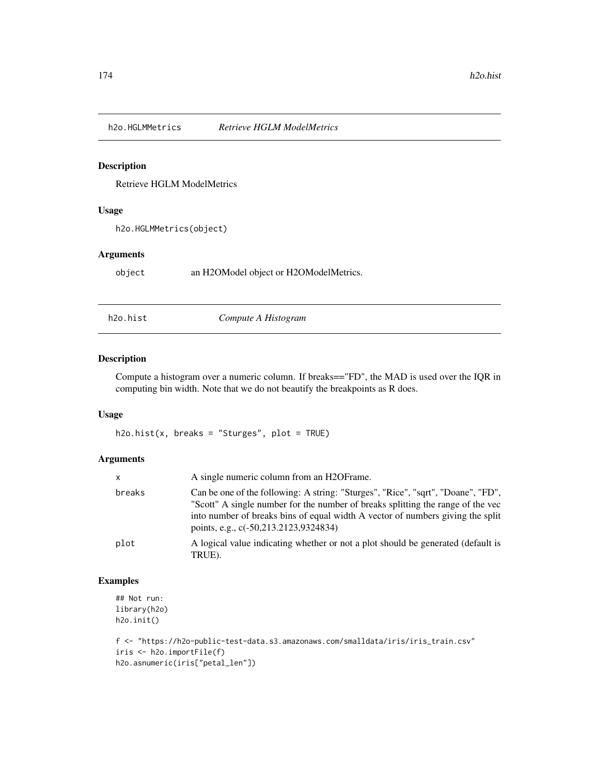Retrieve HGLM ModelMetrics

## Usage

h2o.HGLMMetrics(object)

### Arguments

object an H2OModel object or H2OModelMetrics.

h2o.hist *Compute A Histogram*

# Description

Compute a histogram over a numeric column. If breaks=="FD", the MAD is used over the IQR in computing bin width. Note that we do not beautify the breakpoints as R does.

## Usage

 $h2o.hist(x, breaks = "Sturges", plot = TRUE)$ 

## Arguments

| X      | A single numeric column from an H2OFrame.                                                                                                                                                                                                                                                      |
|--------|------------------------------------------------------------------------------------------------------------------------------------------------------------------------------------------------------------------------------------------------------------------------------------------------|
| breaks | Can be one of the following: A string: "Sturges", "Rice", "sqrt", "Doane", "FD",<br>"Scott" A single number for the number of breaks splitting the range of the vec<br>into number of breaks bins of equal width A vector of numbers giving the split<br>points, e.g., c(-50,213.2123,9324834) |
| plot   | A logical value indicating whether or not a plot should be generated (default is<br>TRUE).                                                                                                                                                                                                     |

## Examples

## Not run: library(h2o) h2o.init()

```
f <- "https://h2o-public-test-data.s3.amazonaws.com/smalldata/iris/iris_train.csv"
iris <- h2o.importFile(f)
h2o.asnumeric(iris["petal_len"])
```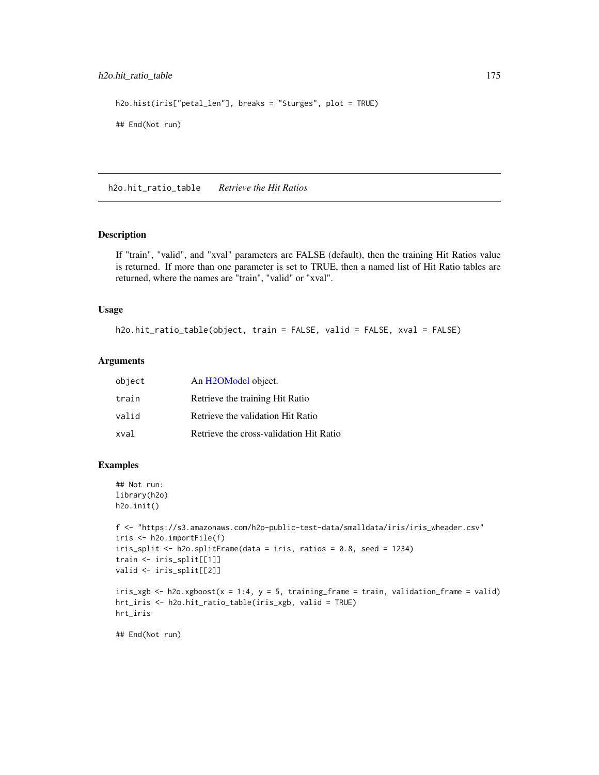## h2o.hit\_ratio\_table 175

```
h2o.hist(iris["petal_len"], breaks = "Sturges", plot = TRUE)
## End(Not run)
```
h2o.hit\_ratio\_table *Retrieve the Hit Ratios*

#### Description

If "train", "valid", and "xval" parameters are FALSE (default), then the training Hit Ratios value is returned. If more than one parameter is set to TRUE, then a named list of Hit Ratio tables are returned, where the names are "train", "valid" or "xval".

#### Usage

```
h2o.hit_ratio_table(object, train = FALSE, valid = FALSE, xval = FALSE)
```
## Arguments

| object | An H2OModel object.                     |
|--------|-----------------------------------------|
| train  | Retrieve the training Hit Ratio         |
| valid  | Retrieve the validation Hit Ratio       |
| xval   | Retrieve the cross-validation Hit Ratio |

### Examples

```
## Not run:
library(h2o)
h2o.init()
```

```
f <- "https://s3.amazonaws.com/h2o-public-test-data/smalldata/iris/iris_wheader.csv"
iris <- h2o.importFile(f)
iris_split <- h2o.splitFrame(data = iris, ratios = 0.8, seed = 1234)
train <- iris_split[[1]]
valid <- iris_split[[2]]
```

```
iris\_xgb \leftarrow h2o.xgboost(x = 1:4, y = 5, training-frame = train, validation-frame = valid)hrt_iris <- h2o.hit_ratio_table(iris_xgb, valid = TRUE)
hrt_iris
```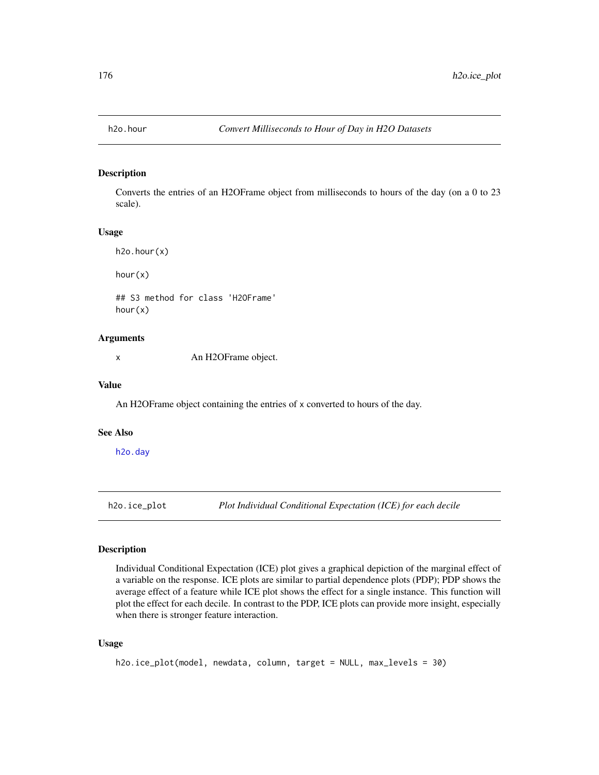Converts the entries of an H2OFrame object from milliseconds to hours of the day (on a 0 to 23 scale).

#### Usage

h2o.hour(x)

hour(x)

## S3 method for class 'H2OFrame' hour(x)

### Arguments

x An H2OFrame object.

#### Value

An H2OFrame object containing the entries of x converted to hours of the day.

### See Also

[h2o.day](#page-96-0)

h2o.ice\_plot *Plot Individual Conditional Expectation (ICE) for each decile*

## Description

Individual Conditional Expectation (ICE) plot gives a graphical depiction of the marginal effect of a variable on the response. ICE plots are similar to partial dependence plots (PDP); PDP shows the average effect of a feature while ICE plot shows the effect for a single instance. This function will plot the effect for each decile. In contrast to the PDP, ICE plots can provide more insight, especially when there is stronger feature interaction.

#### Usage

```
h2o.ice_plot(model, newdata, column, target = NULL, max_levels = 30)
```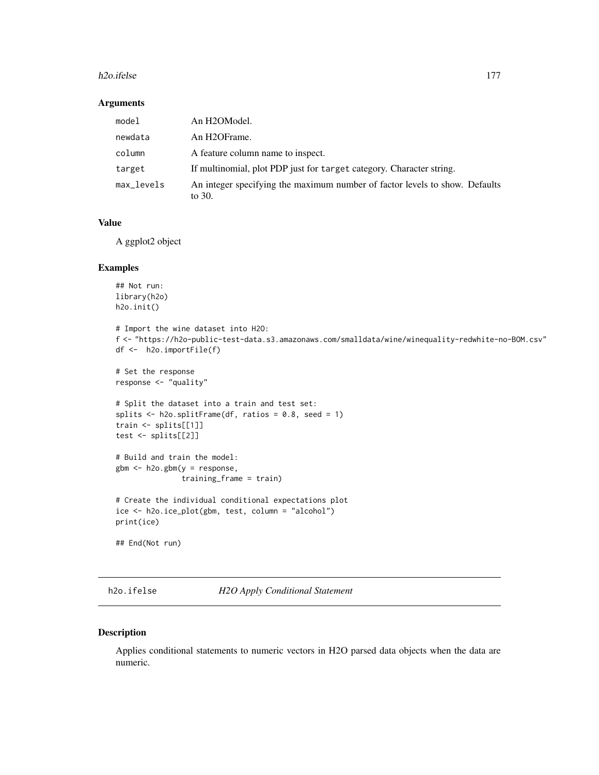#### h2o.ifelse 177

### Arguments

| model      | An H2OModel.                                                                          |  |
|------------|---------------------------------------------------------------------------------------|--|
| newdata    | An H2OFrame.                                                                          |  |
| column     | A feature column name to inspect.                                                     |  |
| target     | If multinomial, plot PDP just for target category. Character string.                  |  |
| max_levels | An integer specifying the maximum number of factor levels to show. Defaults<br>to 30. |  |

### Value

A ggplot2 object

#### Examples

```
## Not run:
library(h2o)
h2o.init()
# Import the wine dataset into H2O:
f <- "https://h2o-public-test-data.s3.amazonaws.com/smalldata/wine/winequality-redwhite-no-BOM.csv"
df <- h2o.importFile(f)
# Set the response
response <- "quality"
# Split the dataset into a train and test set:
splits \leq h2o.splitFrame(df, ratios = 0.8, seed = 1)
train <- splits[[1]]
test <- splits[[2]]
# Build and train the model:
gbm <- h2o.gbm(y = response,
               training_frame = train)
# Create the individual conditional expectations plot
ice <- h2o.ice_plot(gbm, test, column = "alcohol")
print(ice)
## End(Not run)
```
h2o.ifelse *H2O Apply Conditional Statement*

#### Description

Applies conditional statements to numeric vectors in H2O parsed data objects when the data are numeric.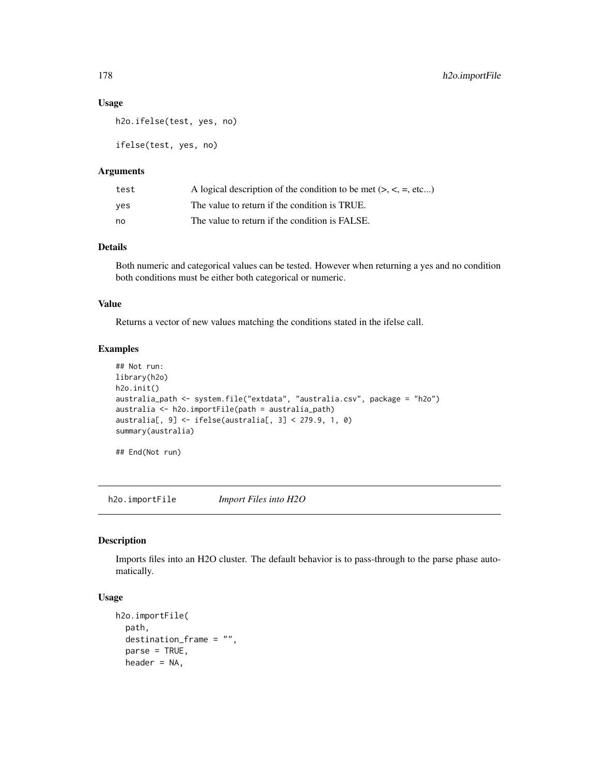#### Usage

```
h2o.ifelse(test, yes, no)
```
ifelse(test, yes, no)

### Arguments

| test | A logical description of the condition to be met $(> , < , = , etc )$ |
|------|-----------------------------------------------------------------------|
| ves  | The value to return if the condition is TRUE.                         |
| no   | The value to return if the condition is FALSE.                        |

# Details

Both numeric and categorical values can be tested. However when returning a yes and no condition both conditions must be either both categorical or numeric.

### Value

Returns a vector of new values matching the conditions stated in the ifelse call.

### Examples

```
## Not run:
library(h2o)
h2o.init()
australia_path <- system.file("extdata", "australia.csv", package = "h2o")
australia <- h2o.importFile(path = australia_path)
australia[, 9] <- ifelse(australia[, 3] < 279.9, 1, 0)
summary(australia)
```
## End(Not run)

h2o.importFile *Import Files into H2O*

### Description

Imports files into an H2O cluster. The default behavior is to pass-through to the parse phase automatically.

## Usage

```
h2o.importFile(
  path,
  destination_frame = "",
  parse = TRUE,
  header = NA,
```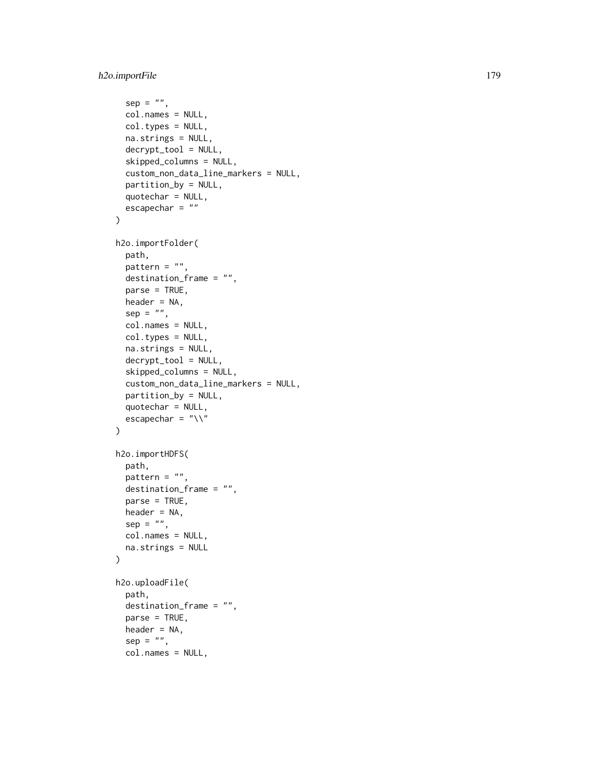```
sep = "",col.names = NULL,
  col.types = NULL,
 na.strings = NULL,
  decrypt_tool = NULL,
  skipped_columns = NULL,
  custom_non_data_line_markers = NULL,
  partition_by = NULL,
  quotechar = NULL,
  escapechar = ""
\mathcal{L}h2o.importFolder(
 path,
 pattern = ",
  destination_frame = "",
  parse = TRUE,
 header = NA,
  sep = "",col.names = NULL,
  col.types = NULL,
  na.strings = NULL,
  decrypt_tool = NULL,
  skipped_columns = NULL,
  custom_non_data_line_markers = NULL,
 partition_by = NULL,
  quotechar = NULL,
  escapechar = ''\wedge\mathcal{L}h2o.importHDFS(
 path,
 pattern = ",
  destination_frame = "",
 parse = TRUE,
 header = NA,
  sep = "".col.names = NULL,
  na.strings = NULL
\mathcal{L}h2o.uploadFile(
  path,
  destination_frame = "",
 parse = TRUE,header = NA,
  sep = "",col.names = NULL,
```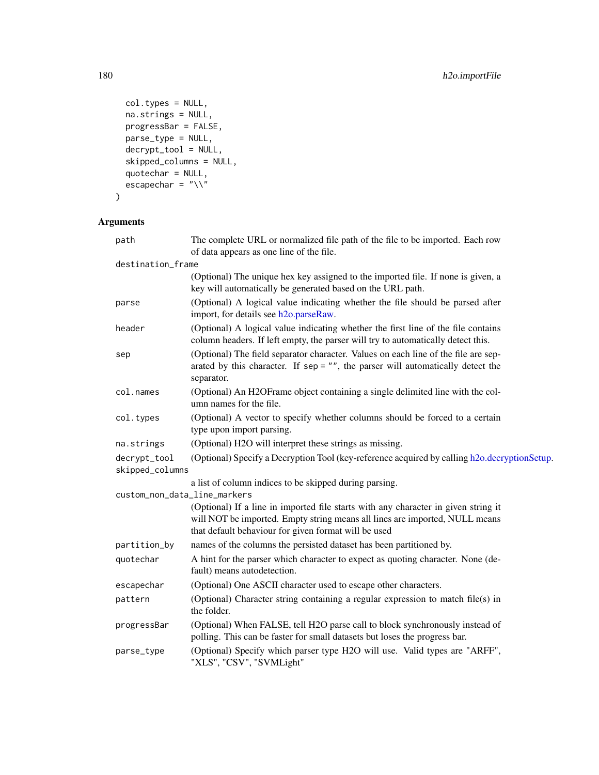```
col.types = NULL,
 na.strings = NULL,
 progressBar = FALSE,parse_type = NULL,
 decrypt_tool = NULL,
  skipped_columns = NULL,
 quotechar = NULL,
 escapechar = "\wedge"\mathcal{L}
```
# Arguments

| path                            | The complete URL or normalized file path of the file to be imported. Each row<br>of data appears as one line of the file.                                                                                                 |
|---------------------------------|---------------------------------------------------------------------------------------------------------------------------------------------------------------------------------------------------------------------------|
| destination_frame               |                                                                                                                                                                                                                           |
|                                 | (Optional) The unique hex key assigned to the imported file. If none is given, a<br>key will automatically be generated based on the URL path.                                                                            |
| parse                           | (Optional) A logical value indicating whether the file should be parsed after<br>import, for details see h2o.parseRaw.                                                                                                    |
| header                          | (Optional) A logical value indicating whether the first line of the file contains<br>column headers. If left empty, the parser will try to automatically detect this.                                                     |
| sep                             | (Optional) The field separator character. Values on each line of the file are sep-<br>arated by this character. If $sep = ""$ , the parser will automatically detect the<br>separator.                                    |
| col.names                       | (Optional) An H2OFrame object containing a single delimited line with the col-<br>umn names for the file.                                                                                                                 |
| col.types                       | (Optional) A vector to specify whether columns should be forced to a certain<br>type upon import parsing.                                                                                                                 |
| na.strings                      | (Optional) H2O will interpret these strings as missing.                                                                                                                                                                   |
| decrypt_tool<br>skipped_columns | (Optional) Specify a Decryption Tool (key-reference acquired by calling h2o.decryptionSetup.                                                                                                                              |
|                                 | a list of column indices to be skipped during parsing.                                                                                                                                                                    |
| custom_non_data_line_markers    |                                                                                                                                                                                                                           |
|                                 | (Optional) If a line in imported file starts with any character in given string it<br>will NOT be imported. Empty string means all lines are imported, NULL means<br>that default behaviour for given format will be used |
| partition_by                    | names of the columns the persisted dataset has been partitioned by.                                                                                                                                                       |
| quotechar                       | A hint for the parser which character to expect as quoting character. None (de-<br>fault) means autodetection.                                                                                                            |
| escapechar                      | (Optional) One ASCII character used to escape other characters.                                                                                                                                                           |
| pattern                         | (Optional) Character string containing a regular expression to match file(s) in<br>the folder.                                                                                                                            |
| progressBar                     | (Optional) When FALSE, tell H2O parse call to block synchronously instead of<br>polling. This can be faster for small datasets but loses the progress bar.                                                                |
| parse_type                      | (Optional) Specify which parser type H2O will use. Valid types are "ARFF",<br>"XLS", "CSV", "SVMLight"                                                                                                                    |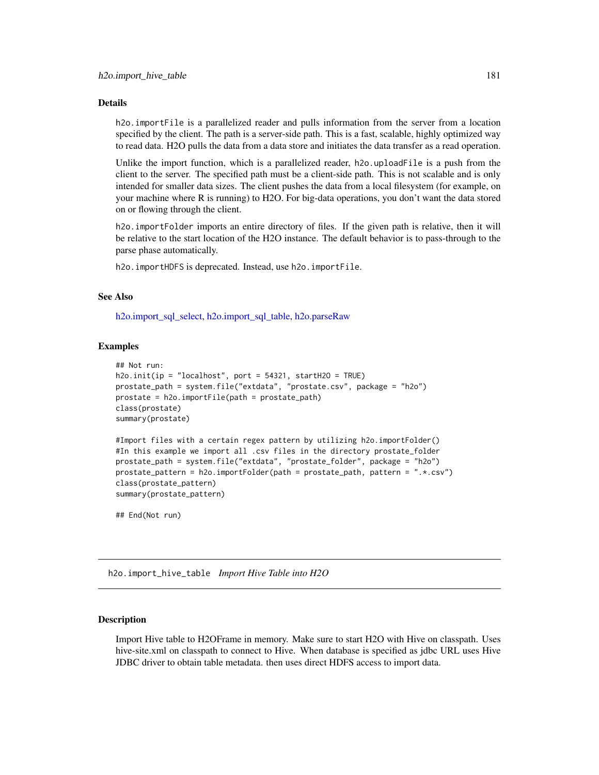#### Details

h2o.importFile is a parallelized reader and pulls information from the server from a location specified by the client. The path is a server-side path. This is a fast, scalable, highly optimized way to read data. H2O pulls the data from a data store and initiates the data transfer as a read operation.

Unlike the import function, which is a parallelized reader, h2o.uploadFile is a push from the client to the server. The specified path must be a client-side path. This is not scalable and is only intended for smaller data sizes. The client pushes the data from a local filesystem (for example, on your machine where R is running) to H2O. For big-data operations, you don't want the data stored on or flowing through the client.

h2o.importFolder imports an entire directory of files. If the given path is relative, then it will be relative to the start location of the H2O instance. The default behavior is to pass-through to the parse phase automatically.

h2o.importHDFS is deprecated. Instead, use h2o.importFile.

#### See Also

[h2o.import\\_sql\\_select,](#page-182-0) [h2o.import\\_sql\\_table,](#page-183-0) [h2o.parseRaw](#page-248-0)

#### Examples

```
## Not run:
h2o.init(ip = "localhost", port = 54321, startH2O = TRUE)
prostate_path = system.file("extdata", "prostate.csv", package = "h2o")
prostate = h2o.importFile(path = prostate_path)
class(prostate)
summary(prostate)
```

```
#Import files with a certain regex pattern by utilizing h2o.importFolder()
#In this example we import all .csv files in the directory prostate_folder
prostate_path = system.file("extdata", "prostate_folder", package = "h2o")
prostate_pattern = h2o.importFolder(path = prostate_path, pattern = ".*.csv")
class(prostate_pattern)
summary(prostate_pattern)
```
## End(Not run)

h2o.import\_hive\_table *Import Hive Table into H2O*

#### Description

Import Hive table to H2OFrame in memory. Make sure to start H2O with Hive on classpath. Uses hive-site.xml on classpath to connect to Hive. When database is specified as jdbc URL uses Hive JDBC driver to obtain table metadata. then uses direct HDFS access to import data.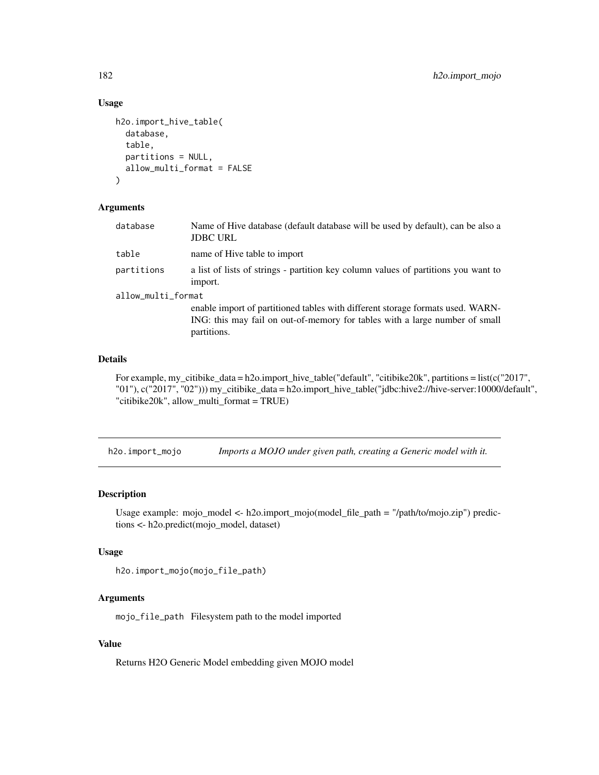## Usage

```
h2o.import_hive_table(
  database,
  table,
  partitions = NULL,
  allow_multi_format = FALSE
)
```
#### Arguments

| database           | Name of Hive database (default database will be used by default), can be also a<br><b>JDBC URL</b>                                                                           |  |
|--------------------|------------------------------------------------------------------------------------------------------------------------------------------------------------------------------|--|
| table              | name of Hive table to import                                                                                                                                                 |  |
| partitions         | a list of lists of strings - partition key column values of partitions you want to<br>import.                                                                                |  |
| allow_multi_format |                                                                                                                                                                              |  |
|                    | enable import of partitioned tables with different storage formats used. WARN-<br>ING: this may fail on out-of-memory for tables with a large number of small<br>partitions. |  |

#### Details

For example, my\_citibike\_data = h2o.import\_hive\_table("default", "citibike20k", partitions = list(c("2017", "01"), c("2017", "02"))) my\_citibike\_data = h2o.import\_hive\_table("jdbc:hive2://hive-server:10000/default", "citibike20k", allow\_multi\_format = TRUE)

h2o.import\_mojo *Imports a MOJO under given path, creating a Generic model with it.*

## Description

Usage example: mojo\_model <- h2o.import\_mojo(model\_file\_path = "/path/to/mojo.zip") predictions <- h2o.predict(mojo\_model, dataset)

#### Usage

```
h2o.import_mojo(mojo_file_path)
```
## Arguments

mojo\_file\_path Filesystem path to the model imported

## Value

Returns H2O Generic Model embedding given MOJO model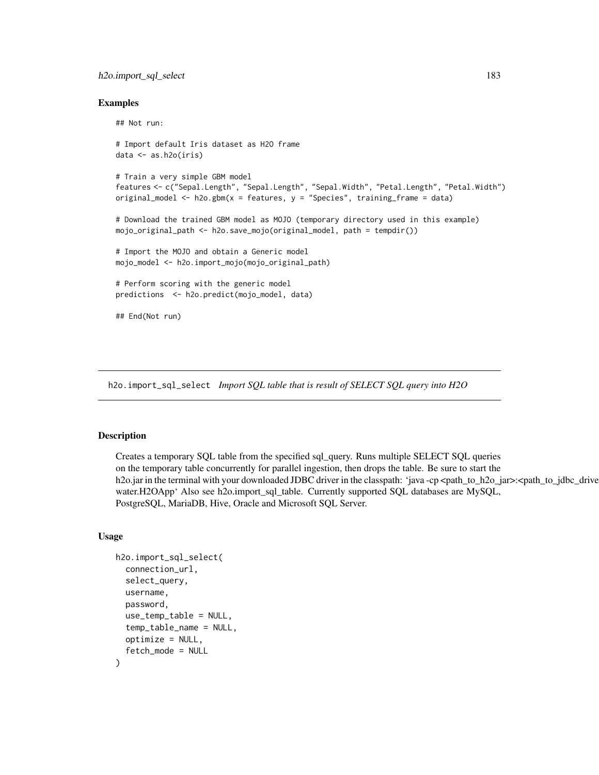## h2o.import\_sql\_select 183

#### Examples

```
## Not run:
# Import default Iris dataset as H2O frame
data <- as.h2o(iris)
# Train a very simple GBM model
features <- c("Sepal.Length", "Sepal.Length", "Sepal.Width", "Petal.Length", "Petal.Width")
original_model <- h2o.gbm(x = features, y = "Species", training_frame = data)
# Download the trained GBM model as MOJO (temporary directory used in this example)
mojo_original_path <- h2o.save_mojo(original_model, path = tempdir())
# Import the MOJO and obtain a Generic model
mojo_model <- h2o.import_mojo(mojo_original_path)
# Perform scoring with the generic model
predictions <- h2o.predict(mojo_model, data)
## End(Not run)
```
<span id="page-182-0"></span>h2o.import\_sql\_select *Import SQL table that is result of SELECT SQL query into H2O*

#### Description

Creates a temporary SQL table from the specified sql\_query. Runs multiple SELECT SQL queries on the temporary table concurrently for parallel ingestion, then drops the table. Be sure to start the h2o.jar in the terminal with your downloaded JDBC driver in the classpath: 'java -cp <path\_to\_h2o\_jar>:<path\_to\_jdbc\_drive water.H2OApp' Also see h2o.import\_sql\_table. Currently supported SQL databases are MySQL, PostgreSQL, MariaDB, Hive, Oracle and Microsoft SQL Server.

```
h2o.import_sql_select(
  connection_url,
  select_query,
  username,
  password,
  use_temp_table = NULL,
  temp_table_name = NULL,
  optimize = NULL,
  fetch_mode = NULL
)
```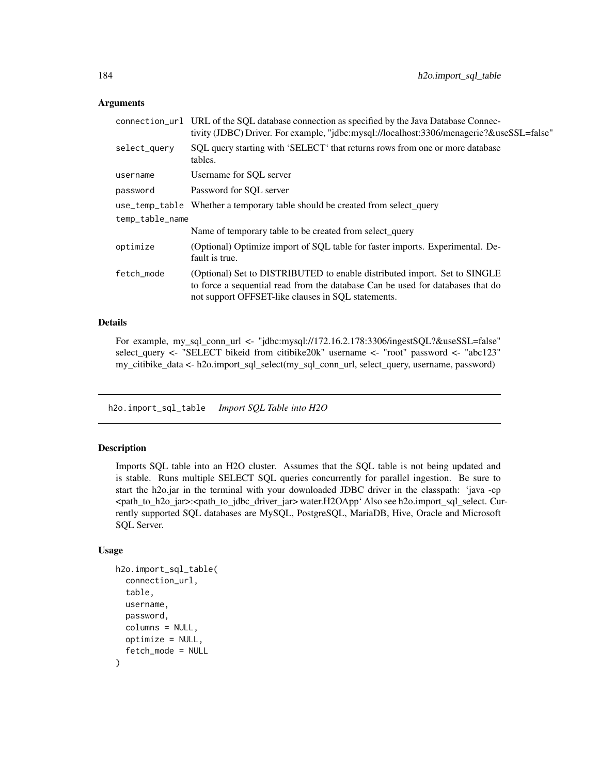#### **Arguments**

|                 | connection_url URL of the SQL database connection as specified by the Java Database Connec-<br>tivity (JDBC) Driver. For example, "jdbc:mysql://localhost:3306/menagerie?&useSSL=false"                           |  |
|-----------------|-------------------------------------------------------------------------------------------------------------------------------------------------------------------------------------------------------------------|--|
| select_query    | SQL query starting with 'SELECT' that returns rows from one or more database<br>tables.                                                                                                                           |  |
| username        | Username for SOL server                                                                                                                                                                                           |  |
| password        | Password for SOL server                                                                                                                                                                                           |  |
|                 | use_temp_table Whether a temporary table should be created from select_query                                                                                                                                      |  |
| temp_table_name |                                                                                                                                                                                                                   |  |
|                 | Name of temporary table to be created from select_query                                                                                                                                                           |  |
| optimize        | (Optional) Optimize import of SQL table for faster imports. Experimental. De-<br>fault is true.                                                                                                                   |  |
| fetch_mode      | (Optional) Set to DISTRIBUTED to enable distributed import. Set to SINGLE<br>to force a sequential read from the database Can be used for databases that do<br>not support OFFSET-like clauses in SQL statements. |  |

## Details

For example, my\_sql\_conn\_url <- "jdbc:mysql://172.16.2.178:3306/ingestSQL?&useSSL=false" select\_query <- "SELECT bikeid from citibike20k" username <- "root" password <- "abc123" my\_citibike\_data <- h2o.import\_sql\_select(my\_sql\_conn\_url, select\_query, username, password)

<span id="page-183-0"></span>h2o.import\_sql\_table *Import SQL Table into H2O*

## Description

Imports SQL table into an H2O cluster. Assumes that the SQL table is not being updated and is stable. Runs multiple SELECT SQL queries concurrently for parallel ingestion. Be sure to start the h2o.jar in the terminal with your downloaded JDBC driver in the classpath: 'java -cp <path\_to\_h2o\_jar>:<path\_to\_jdbc\_driver\_jar> water.H2OApp' Also see h2o.import\_sql\_select. Currently supported SQL databases are MySQL, PostgreSQL, MariaDB, Hive, Oracle and Microsoft SQL Server.

```
h2o.import_sql_table(
  connection_url,
  table,
  username,
  password,
  columns = NULL,
  optimize = NULL,
  fetch_mode = NULL
)
```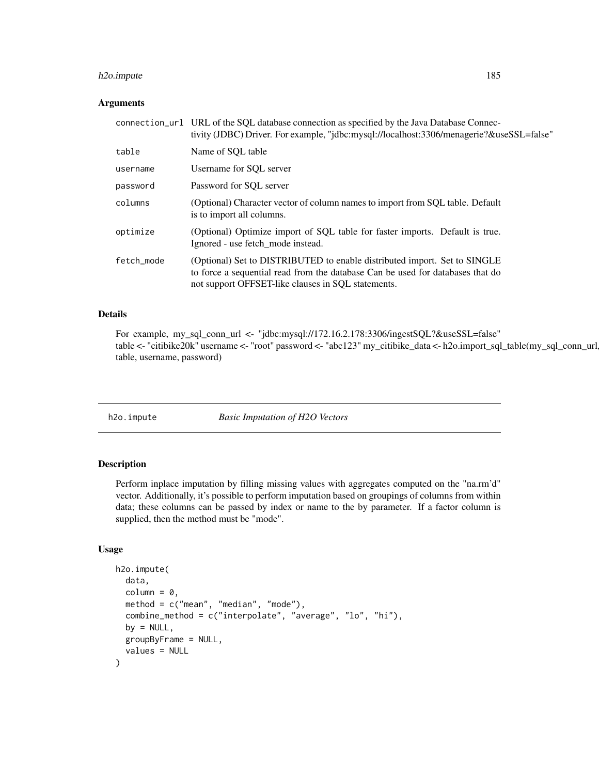## h2o.impute 185

#### Arguments

| connection_url URL of the SQL database connection as specified by the Java Database Connec-<br>tivity (JDBC) Driver. For example, "jdbc:mysql://localhost:3306/menagerie?&useSSL=false"                           |
|-------------------------------------------------------------------------------------------------------------------------------------------------------------------------------------------------------------------|
| Name of SOL table                                                                                                                                                                                                 |
| Username for SQL server                                                                                                                                                                                           |
| Password for SQL server                                                                                                                                                                                           |
| (Optional) Character vector of column names to import from SQL table. Default<br>is to import all columns.                                                                                                        |
| (Optional) Optimize import of SQL table for faster imports. Default is true.<br>Ignored - use fetch mode instead.                                                                                                 |
| (Optional) Set to DISTRIBUTED to enable distributed import. Set to SINGLE<br>to force a sequential read from the database Can be used for databases that do<br>not support OFFSET-like clauses in SQL statements. |
|                                                                                                                                                                                                                   |

#### Details

For example, my\_sql\_conn\_url <- "jdbc:mysql://172.16.2.178:3306/ingestSQL?&useSSL=false" table <- "citibike20k" username <- "root" password <- "abc123" my\_citibike\_data <- h2o.import\_sql\_table(my\_sql\_conn\_url, table, username, password)

h2o.impute *Basic Imputation of H2O Vectors*

## Description

Perform inplace imputation by filling missing values with aggregates computed on the "na.rm'd" vector. Additionally, it's possible to perform imputation based on groupings of columns from within data; these columns can be passed by index or name to the by parameter. If a factor column is supplied, then the method must be "mode".

```
h2o.impute(
  data,
  column = 0,method = c("mean", "median", "mode"),
  combine_method = c("interpolate", "average", "lo", "hi"),
 by = NULL,groupByFrame = NULL,
  values = NULL
)
```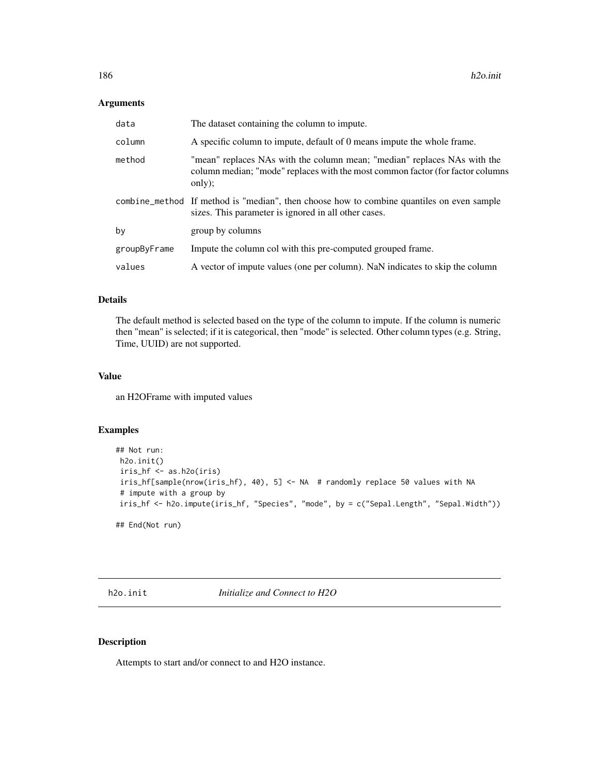#### Arguments

| data         | The dataset containing the column to impute.                                                                                                                         |
|--------------|----------------------------------------------------------------------------------------------------------------------------------------------------------------------|
| column       | A specific column to impute, default of 0 means impute the whole frame.                                                                                              |
| method       | "mean" replaces NAs with the column mean; "median" replaces NAs with the<br>column median; "mode" replaces with the most common factor (for factor columns<br>only); |
|              | combine_method If method is "median", then choose how to combine quantiles on even sample<br>sizes. This parameter is ignored in all other cases.                    |
| by           | group by columns                                                                                                                                                     |
| groupByFrame | Impute the column col with this pre-computed grouped frame.                                                                                                          |
| values       | A vector of impute values (one per column). NaN indicates to skip the column                                                                                         |

#### Details

The default method is selected based on the type of the column to impute. If the column is numeric then "mean" is selected; if it is categorical, then "mode" is selected. Other column types (e.g. String, Time, UUID) are not supported.

## Value

an H2OFrame with imputed values

## Examples

```
## Not run:
h2o.init()
iris_hf <- as.h2o(iris)
iris_hf[sample(nrow(iris_hf), 40), 5] <- NA # randomly replace 50 values with NA
# impute with a group by
iris_hf <- h2o.impute(iris_hf, "Species", "mode", by = c("Sepal.Length", "Sepal.Width"))
```
## End(Not run)

h2o.init *Initialize and Connect to H2O*

## Description

Attempts to start and/or connect to and H2O instance.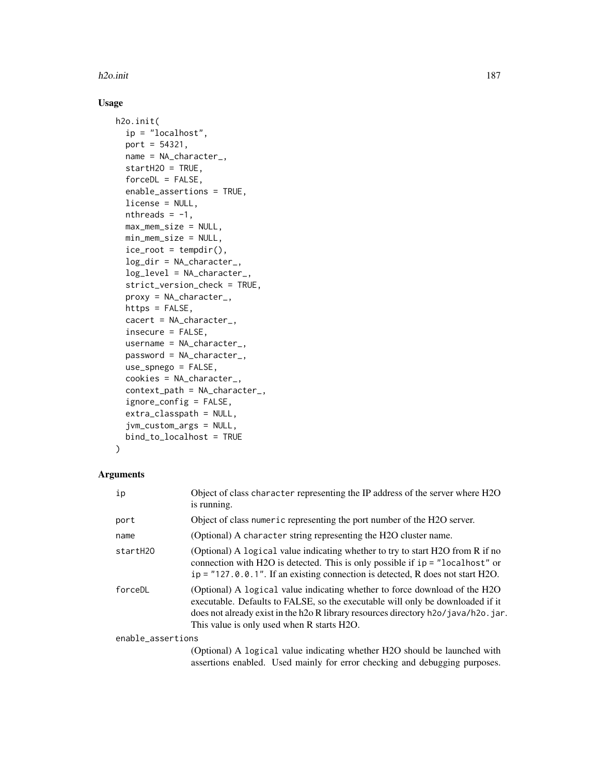#### h2o.init 187

## Usage

```
h2o.init(
  ip = "localhost",
  port = 54321,
  name = NA_character_,
  startH2O = TRUE,forceDL = FALSE,enable_assertions = TRUE,
  license = NULL,
 nthreads = -1,
 max_mem_size = NULL,
 min_mem_size = NULL,
  ice\_root = tempdir(),log_dir = NA_character_,
  log_level = NA_character_,
  strict_version_check = TRUE,
  proxy = NA_character_,
  https = FALSE,
  cacert = NA_character_,
  insecure = FALSE,
  username = NA_character_,
  password = NA_character_,
  use_spnego = FALSE,
  cookies = NA_character_,
  context_path = NA_character_,
  ignore_config = FALSE,
  extra_classpath = NULL,
  jvm_custom_args = NULL,
  bind_to_localhost = TRUE
)
```

```
Arguments
```

| ip                | Object of class character representing the IP address of the server where H2O<br>is running.                                                                                                                                                                                                    |
|-------------------|-------------------------------------------------------------------------------------------------------------------------------------------------------------------------------------------------------------------------------------------------------------------------------------------------|
| port              | Object of class numeric representing the port number of the H2O server.                                                                                                                                                                                                                         |
| name              | (Optional) A character string representing the H2O cluster name.                                                                                                                                                                                                                                |
| startH20          | (Optional) A logical value indicating whether to try to start H2O from R if no<br>connection with H2O is detected. This is only possible if $ip = "localhost"$ or<br>$ip = "127.0.0.1".$ If an existing connection is detected, R does not start H2O.                                           |
| forceDL           | (Optional) A logical value indicating whether to force download of the H2O<br>executable. Defaults to FALSE, so the executable will only be downloaded if it<br>does not already exist in the h2o R library resources directory h2o/java/h2o.jar.<br>This value is only used when R starts H2O. |
| enable_assertions |                                                                                                                                                                                                                                                                                                 |
|                   | (Optional) A logical value indicating whether H2O should be launched with                                                                                                                                                                                                                       |

assertions enabled. Used mainly for error checking and debugging purposes.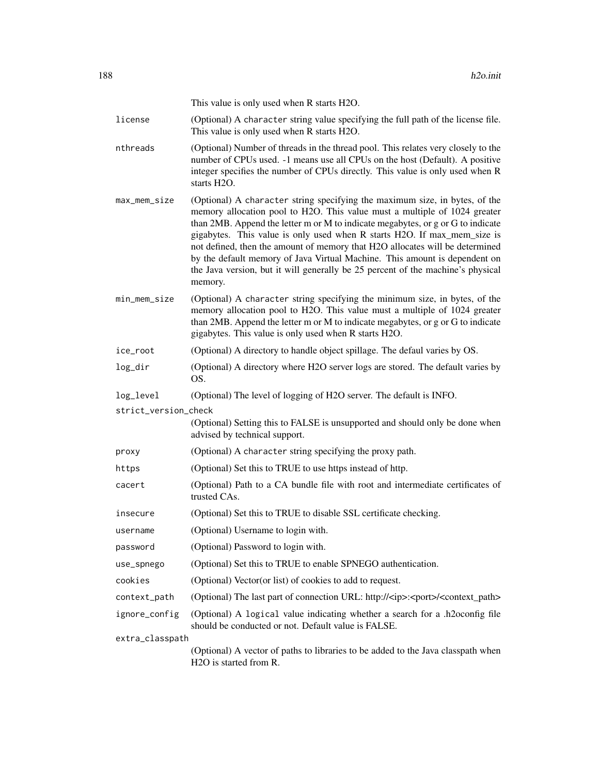This value is only used when R starts H2O.

license (Optional) A character string value specifying the full path of the license file. This value is only used when R starts H2O.

- nthreads (Optional) Number of threads in the thread pool. This relates very closely to the number of CPUs used. -1 means use all CPUs on the host (Default). A positive integer specifies the number of CPUs directly. This value is only used when R starts H2O.
- max\_mem\_size (Optional) A character string specifying the maximum size, in bytes, of the memory allocation pool to H2O. This value must a multiple of 1024 greater than 2MB. Append the letter m or M to indicate megabytes, or g or G to indicate gigabytes. This value is only used when R starts H2O. If max\_mem\_size is not defined, then the amount of memory that H2O allocates will be determined by the default memory of Java Virtual Machine. This amount is dependent on the Java version, but it will generally be 25 percent of the machine's physical memory.
- min\_mem\_size (Optional) A character string specifying the minimum size, in bytes, of the memory allocation pool to H2O. This value must a multiple of 1024 greater than 2MB. Append the letter m or M to indicate megabytes, or g or G to indicate gigabytes. This value is only used when R starts H2O.
- ice\_root (Optional) A directory to handle object spillage. The defaul varies by OS.
- log\_dir (Optional) A directory where H2O server logs are stored. The default varies by OS.
- log\_level (Optional) The level of logging of H2O server. The default is INFO.

strict\_version\_check

(Optional) Setting this to FALSE is unsupported and should only be done when advised by technical support.

- proxy (Optional) A character string specifying the proxy path.
- https (Optional) Set this to TRUE to use https instead of http.
- cacert (Optional) Path to a CA bundle file with root and intermediate certificates of trusted CAs.
- insecure (Optional) Set this to TRUE to disable SSL certificate checking.
- username (Optional) Username to login with.
- password (Optional) Password to login with.
- use\_spnego (Optional) Set this to TRUE to enable SPNEGO authentication.
- cookies (Optional) Vector(or list) of cookies to add to request.
- context\_path (Optional) The last part of connection URL: http://<ip>:<port>/<context\_path>
- ignore\_config (Optional) A logical value indicating whether a search for a .h2oconfig file should be conducted or not. Default value is FALSE.

extra\_classpath

(Optional) A vector of paths to libraries to be added to the Java classpath when H2O is started from R.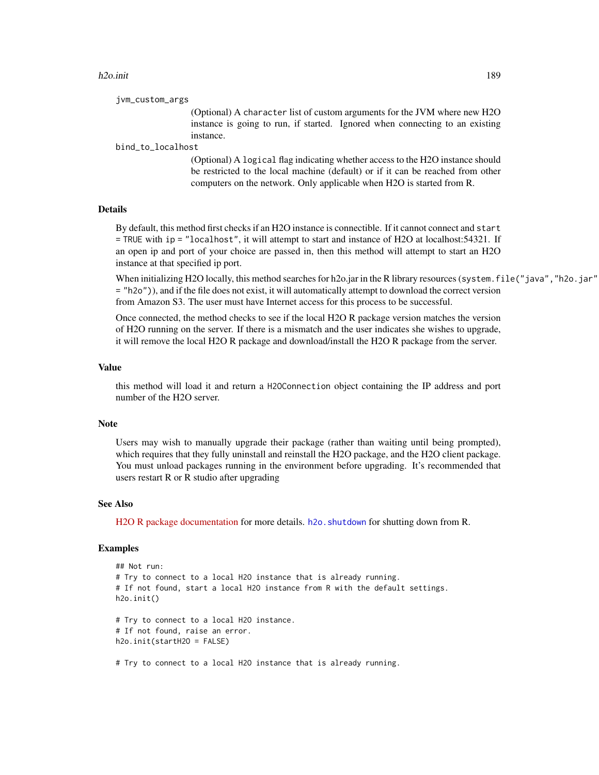#### h2o.init 189

```
jvm_custom_args
```
(Optional) A character list of custom arguments for the JVM where new H2O instance is going to run, if started. Ignored when connecting to an existing instance.

#### bind\_to\_localhost

(Optional) A logical flag indicating whether access to the H2O instance should be restricted to the local machine (default) or if it can be reached from other computers on the network. Only applicable when H2O is started from R.

## Details

By default, this method first checks if an H2O instance is connectible. If it cannot connect and start = TRUE with ip = "localhost", it will attempt to start and instance of H2O at localhost:54321. If an open ip and port of your choice are passed in, then this method will attempt to start an H2O instance at that specified ip port.

When initializing H2O locally, this method searches for h2o.jar in the R library resources (system.file("java","h2o.jar" = "h2o")), and if the file does not exist, it will automatically attempt to download the correct version from Amazon S3. The user must have Internet access for this process to be successful.

Once connected, the method checks to see if the local H2O R package version matches the version of H2O running on the server. If there is a mismatch and the user indicates she wishes to upgrade, it will remove the local H2O R package and download/install the H2O R package from the server.

#### Value

this method will load it and return a H2OConnection object containing the IP address and port number of the H2O server.

#### **Note**

Users may wish to manually upgrade their package (rather than waiting until being prompted), which requires that they fully uninstall and reinstall the H2O package, and the H2O client package. You must unload packages running in the environment before upgrading. It's recommended that users restart R or R studio after upgrading

#### See Also

[H2O R package documentation](http://docs.h2o.ai/h2o/latest-stable/h2o-r/h2o_package.pdf) for more details. h2o. shutdown for shutting down from R.

#### Examples

```
## Not run:
# Try to connect to a local H2O instance that is already running.
# If not found, start a local H2O instance from R with the default settings.
h2o.init()
# Try to connect to a local H2O instance.
# If not found, raise an error.
h2o.init(startH2O = FALSE)
```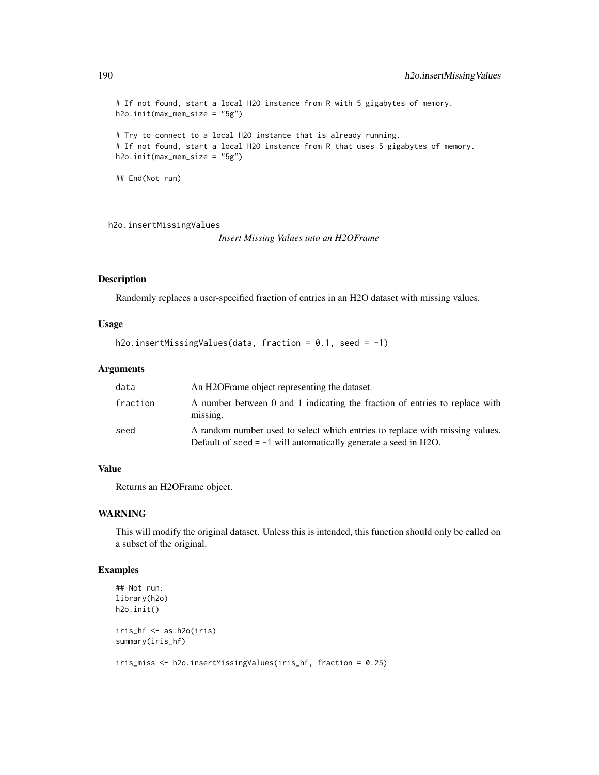```
# If not found, start a local H2O instance from R with 5 gigabytes of memory.
h2o.init(max_mem_size = "5g")
# Try to connect to a local H2O instance that is already running.
# If not found, start a local H2O instance from R that uses 5 gigabytes of memory.
h2o.init(max_mem_size = "5g")
## End(Not run)
```
h2o.insertMissingValues

*Insert Missing Values into an H2OFrame*

#### Description

Randomly replaces a user-specified fraction of entries in an H2O dataset with missing values.

#### Usage

```
h2o.insertMissingValues(data, fraction = 0.1, seed = -1)
```
#### Arguments

| data     | An H <sub>2</sub> OF rame object representing the dataset.                                                                                        |
|----------|---------------------------------------------------------------------------------------------------------------------------------------------------|
| fraction | A number between 0 and 1 indicating the fraction of entries to replace with<br>missing.                                                           |
| seed     | A random number used to select which entries to replace with missing values.<br>Default of seed $= -1$ will automatically generate a seed in H2O. |

#### Value

Returns an H2OFrame object.

#### WARNING

This will modify the original dataset. Unless this is intended, this function should only be called on a subset of the original.

## Examples

```
## Not run:
library(h2o)
h2o.init()
iris_hf <- as.h2o(iris)
summary(iris_hf)
iris_miss <- h2o.insertMissingValues(iris_hf, fraction = 0.25)
```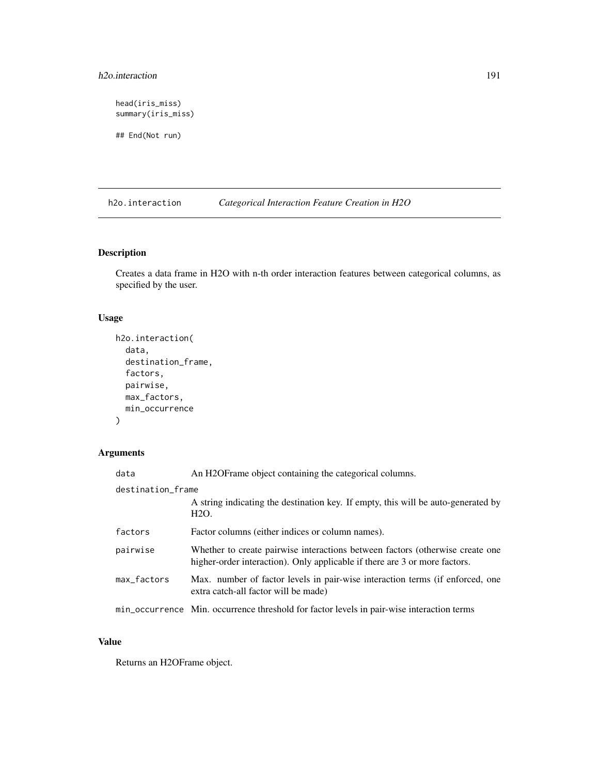## h2o.interaction 191

head(iris\_miss) summary(iris\_miss)

## End(Not run)

h2o.interaction *Categorical Interaction Feature Creation in H2O*

## Description

Creates a data frame in H2O with n-th order interaction features between categorical columns, as specified by the user.

## Usage

```
h2o.interaction(
  data,
  destination_frame,
  factors,
  pairwise,
  max_factors,
  min_occurrence
)
```
## Arguments

| data              | An H2OFrame object containing the categorical columns.                                                                                                      |  |
|-------------------|-------------------------------------------------------------------------------------------------------------------------------------------------------------|--|
| destination_frame |                                                                                                                                                             |  |
|                   | A string indicating the destination key. If empty, this will be auto-generated by<br>H <sub>2</sub> O.                                                      |  |
| factors           | Factor columns (either indices or column names).                                                                                                            |  |
| pairwise          | Whether to create pairwise interactions between factors (otherwise create one<br>higher-order interaction). Only applicable if there are 3 or more factors. |  |
| max_factors       | Max. number of factor levels in pair-wise interaction terms (if enforced, one<br>extra catch-all factor will be made)                                       |  |
|                   | min_occurrence Min. occurrence threshold for factor levels in pair-wise interaction terms                                                                   |  |

## Value

Returns an H2OFrame object.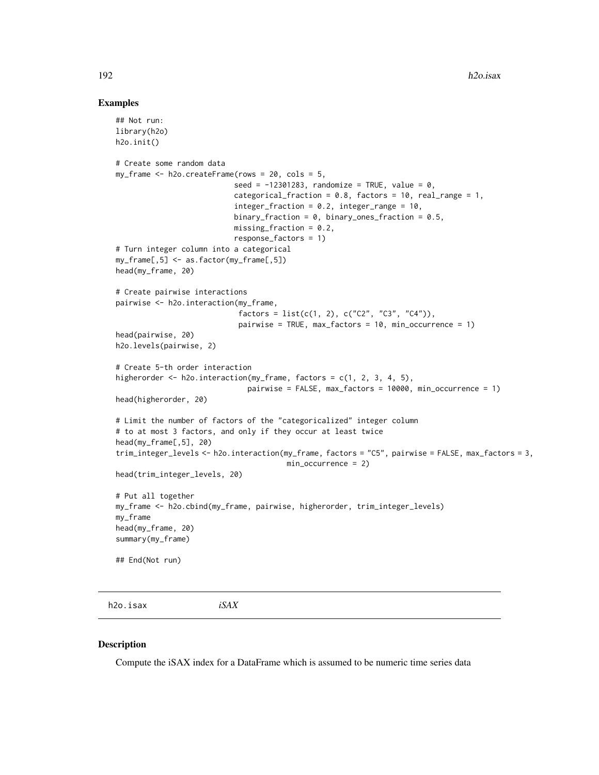#### Examples

```
## Not run:
 library(h2o)
 h2o.init()
 # Create some random data
 my_frame <- h2o.createFrame(rows = 20, cols = 5,
                            seed = -12301283, randomize = TRUE, value = 0,
                            categorical_fraction = 0.8, factors = 10, real_range = 1,
                            integer_fraction = 0.2, integer_range = 10,
                            binary_fraction = 0, binary_ones_fraction = 0.5,
                            missing\_fraction = 0.2,
                            response_factors = 1)
 # Turn integer column into a categorical
 my_frame[,5] <- as.factor(my_frame[,5])
 head(my_frame, 20)
  # Create pairwise interactions
 pairwise <- h2o.interaction(my_frame,
                             factors = list(c(1, 2), c("C2", "C3", "C4")),
                             pairwise = TRUE, max_factors = 10, min_occurrence = 1)
 head(pairwise, 20)
 h2o.levels(pairwise, 2)
  # Create 5-th order interaction
 higherorder <- h2o.interaction(my_frame, factors = c(1, 2, 3, 4, 5),
                                pairwise = FALSE, max_factors = 10000, min_occurrence = 1)
 head(higherorder, 20)
 # Limit the number of factors of the "categoricalized" integer column
  # to at most 3 factors, and only if they occur at least twice
 head(my_frame[,5], 20)
 trim_integer_levels <- h2o.interaction(my_frame, factors = "C5", pairwise = FALSE, max_factors = 3,
                                        min_occurrence = 2)
 head(trim_integer_levels, 20)
  # Put all together
 my_frame <- h2o.cbind(my_frame, pairwise, higherorder, trim_integer_levels)
 my_frame
 head(my_frame, 20)
 summary(my_frame)
  ## End(Not run)
h2o.isax iSAX
```
#### Description

Compute the iSAX index for a DataFrame which is assumed to be numeric time series data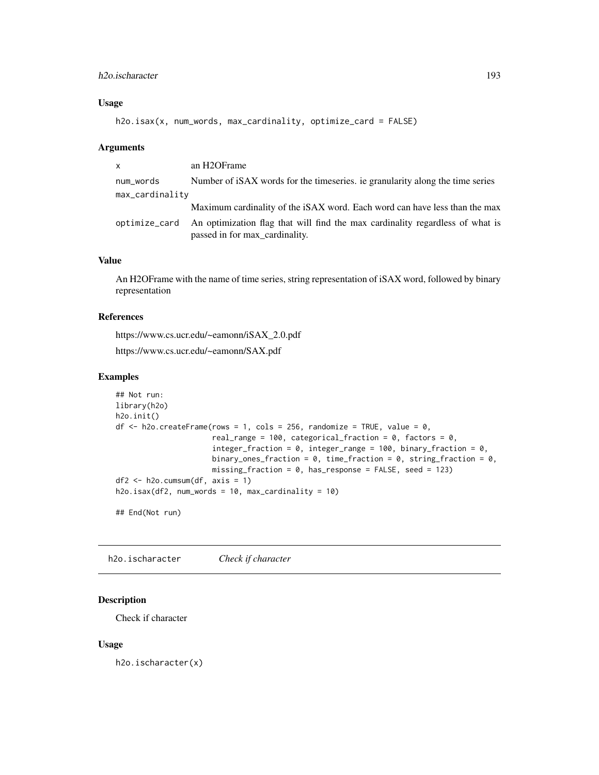## h2o.ischaracter 193

## Usage

h2o.isax(x, num\_words, max\_cardinality, optimize\_card = FALSE)

#### Arguments

| <b>X</b>        | an H2OFrame                                                                                                                    |
|-----------------|--------------------------------------------------------------------------------------------------------------------------------|
| num_words       | Number of iSAX words for the timeseries, ie granularity along the time series                                                  |
| max_cardinality |                                                                                                                                |
|                 | Maximum cardinality of the iSAX word. Each word can have less than the max                                                     |
|                 | optimize_card  An optimization flag that will find the max cardinality regardless of what is<br>passed in for max_cardinality. |

#### Value

An H2OFrame with the name of time series, string representation of iSAX word, followed by binary representation

## References

https://www.cs.ucr.edu/~eamonn/iSAX\_2.0.pdf https://www.cs.ucr.edu/~eamonn/SAX.pdf

## Examples

```
## Not run:
library(h2o)
h2o.init()
df \leq h2o.createFrame(rows = 1, cols = 256, randomize = TRUE, value = 0,
                      real_range = 100, categorical_fraction = 0, factors = 0,
                      integer_fraction = 0, integer_range = 100, binary_fraction = 0,
                      binary_ones_fraction = 0, time_fraction = 0, string_fraction = 0,
                      missing_fraction = 0, has_response = FALSE, seed = 123)
df2 \leftarrow h2o.cumsum(df, axis = 1)
h2o.isax(df2, num_words = 10, max_cardinality = 10)
```
## End(Not run)

h2o.ischaracter *Check if character*

## Description

Check if character

#### Usage

h2o.ischaracter(x)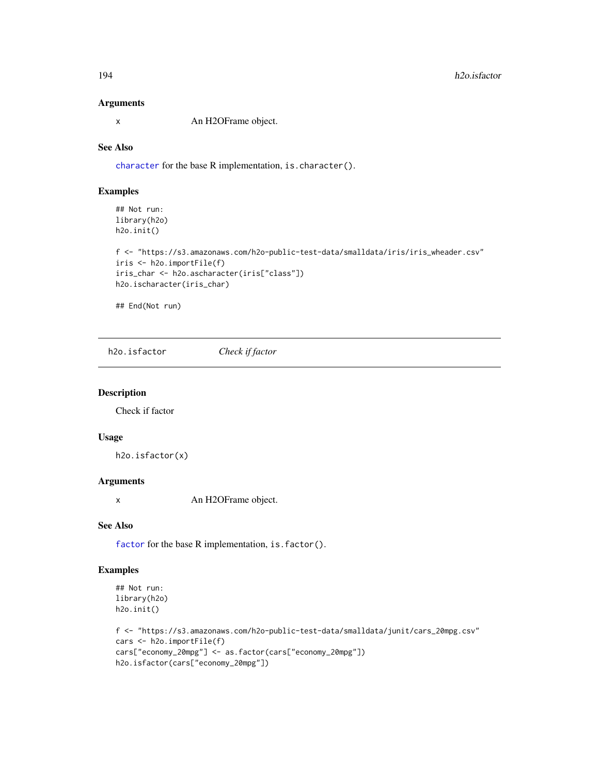#### Arguments

x An H2OFrame object.

#### See Also

[character](#page-0-0) for the base R implementation, is.character().

#### Examples

## Not run: library(h2o) h2o.init()

```
f <- "https://s3.amazonaws.com/h2o-public-test-data/smalldata/iris/iris_wheader.csv"
iris <- h2o.importFile(f)
iris_char <- h2o.ascharacter(iris["class"])
h2o.ischaracter(iris_char)
```
## End(Not run)

h2o.isfactor *Check if factor*

#### Description

Check if factor

## Usage

h2o.isfactor(x)

#### Arguments

x An H2OFrame object.

#### See Also

[factor](#page-0-0) for the base R implementation, is.factor().

## Examples

```
## Not run:
library(h2o)
h2o.init()
```

```
f <- "https://s3.amazonaws.com/h2o-public-test-data/smalldata/junit/cars_20mpg.csv"
cars <- h2o.importFile(f)
cars["economy_20mpg"] <- as.factor(cars["economy_20mpg"])
h2o.isfactor(cars["economy_20mpg"])
```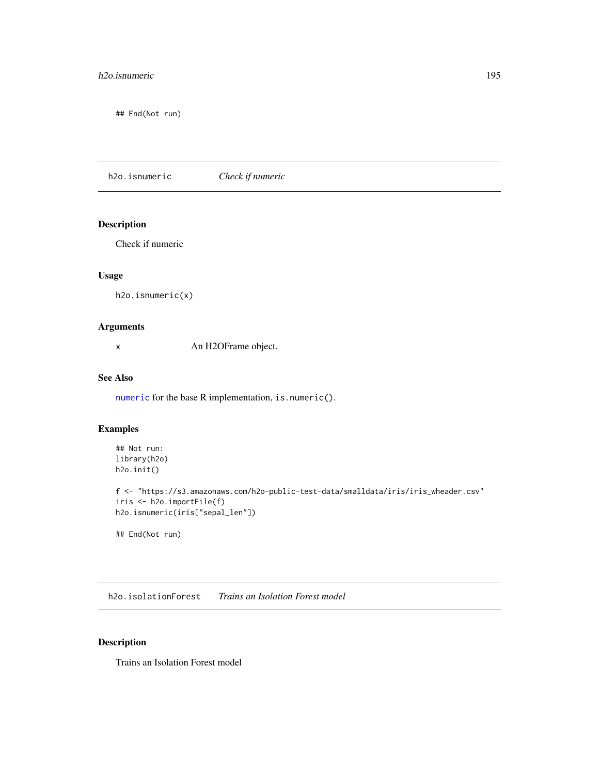## h2o.isnumeric 195

## End(Not run)

h2o.isnumeric *Check if numeric*

## Description

Check if numeric

## Usage

```
h2o.isnumeric(x)
```
## Arguments

x An H2OFrame object.

## See Also

[numeric](#page-0-0) for the base R implementation, is.numeric().

## Examples

```
## Not run:
library(h2o)
h2o.init()
f <- "https://s3.amazonaws.com/h2o-public-test-data/smalldata/iris/iris_wheader.csv"
iris <- h2o.importFile(f)
h2o.isnumeric(iris["sepal_len"])
```
## End(Not run)

h2o.isolationForest *Trains an Isolation Forest model*

## Description

Trains an Isolation Forest model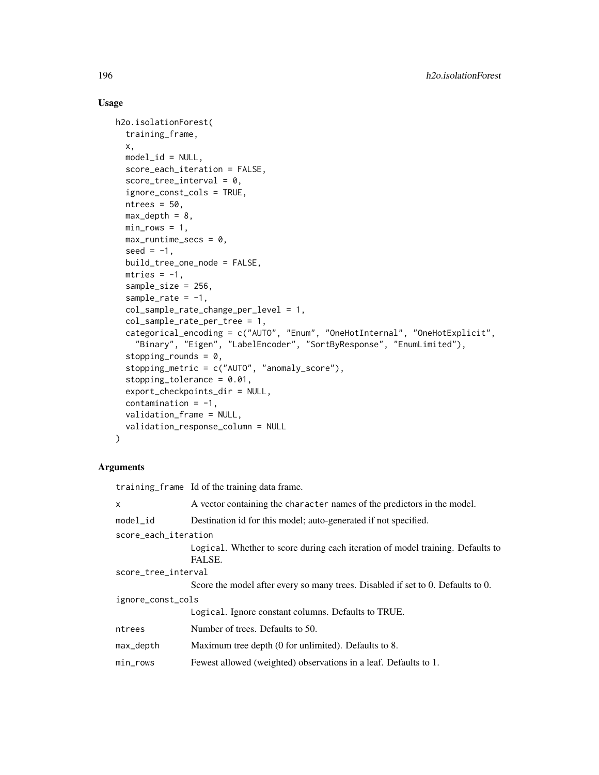## Usage

```
h2o.isolationForest(
  training_frame,
  x,
  model_id = NULL,score_each_iteration = FALSE,
  score\_tree\_interval = 0,
  ignore_const_cols = TRUE,
  ntrees = 50,
  max\_depth = 8,
 min\_rows = 1,
 max_runtime_secs = 0,
  seed = -1,
  build_tree_one_node = FALSE,
  mtries = -1,
  sample_size = 256,
  sample_rate = -1,
  col_sample_rate_change_per_level = 1,
  col_sample_rate_per_tree = 1,
  categorical_encoding = c("AUTO", "Enum", "OneHotInternal", "OneHotExplicit",
    "Binary", "Eigen", "LabelEncoder", "SortByResponse", "EnumLimited"),
  stopping_rounds = 0,
  stopping_metric = c("AUTO", "anomaly_score"),
  stopping_tolerance = 0.01,
  export_checkpoints_dir = NULL,
  contamination = -1,
  validation_frame = NULL,
  validation_response_column = NULL
\lambda
```
## Arguments

|                      | training frame Id of the training data frame.                                            |  |
|----------------------|------------------------------------------------------------------------------------------|--|
| X                    | A vector containing the character names of the predictors in the model.                  |  |
| $model_id$           | Destination id for this model; auto-generated if not specified.                          |  |
| score_each_iteration |                                                                                          |  |
|                      | Logical. Whether to score during each iteration of model training. Defaults to<br>FALSE. |  |
| score_tree_interval  |                                                                                          |  |
|                      | Score the model after every so many trees. Disabled if set to 0. Defaults to 0.          |  |
| ignore_const_cols    |                                                                                          |  |
|                      | Logical. Ignore constant columns. Defaults to TRUE.                                      |  |
| ntrees               | Number of trees. Defaults to 50.                                                         |  |
| max_depth            | Maximum tree depth (0 for unlimited). Defaults to 8.                                     |  |
| $min\_rows$          | Fewest allowed (weighted) observations in a leaf. Defaults to 1.                         |  |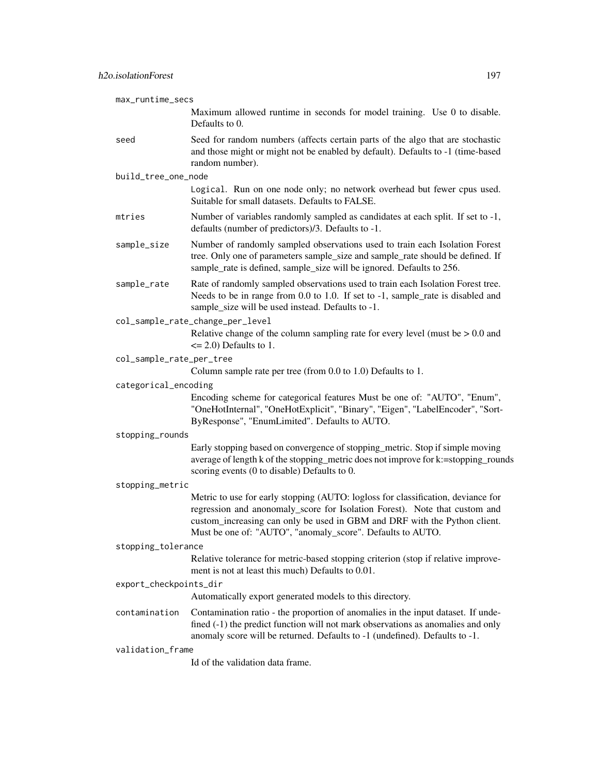| max_runtime_secs         |                                                                                                                                                                                                                                                                                                           |
|--------------------------|-----------------------------------------------------------------------------------------------------------------------------------------------------------------------------------------------------------------------------------------------------------------------------------------------------------|
|                          | Maximum allowed runtime in seconds for model training. Use 0 to disable.<br>Defaults to 0.                                                                                                                                                                                                                |
| seed                     | Seed for random numbers (affects certain parts of the algo that are stochastic<br>and those might or might not be enabled by default). Defaults to -1 (time-based<br>random number).                                                                                                                      |
| build_tree_one_node      |                                                                                                                                                                                                                                                                                                           |
|                          | Logical. Run on one node only; no network overhead but fewer cpus used.<br>Suitable for small datasets. Defaults to FALSE.                                                                                                                                                                                |
| mtries                   | Number of variables randomly sampled as candidates at each split. If set to -1,<br>defaults (number of predictors)/3. Defaults to -1.                                                                                                                                                                     |
| sample_size              | Number of randomly sampled observations used to train each Isolation Forest<br>tree. Only one of parameters sample_size and sample_rate should be defined. If<br>sample_rate is defined, sample_size will be ignored. Defaults to 256.                                                                    |
| sample_rate              | Rate of randomly sampled observations used to train each Isolation Forest tree.<br>Needs to be in range from 0.0 to 1.0. If set to -1, sample_rate is disabled and<br>sample_size will be used instead. Defaults to -1.                                                                                   |
|                          | col_sample_rate_change_per_level<br>Relative change of the column sampling rate for every level (must be $> 0.0$ and<br>$\leq$ 2.0) Defaults to 1.                                                                                                                                                        |
| col_sample_rate_per_tree |                                                                                                                                                                                                                                                                                                           |
|                          | Column sample rate per tree (from 0.0 to 1.0) Defaults to 1.                                                                                                                                                                                                                                              |
| categorical_encoding     |                                                                                                                                                                                                                                                                                                           |
|                          | Encoding scheme for categorical features Must be one of: "AUTO", "Enum",<br>"OneHotInternal", "OneHotExplicit", "Binary", "Eigen", "LabelEncoder", "Sort-<br>ByResponse", "EnumLimited". Defaults to AUTO.                                                                                                |
| stopping_rounds          |                                                                                                                                                                                                                                                                                                           |
|                          | Early stopping based on convergence of stopping_metric. Stop if simple moving<br>average of length k of the stopping_metric does not improve for k:=stopping_rounds<br>scoring events (0 to disable) Defaults to 0.                                                                                       |
| stopping_metric          |                                                                                                                                                                                                                                                                                                           |
|                          | Metric to use for early stopping (AUTO: logloss for classification, deviance for<br>regression and anonomaly_score for Isolation Forest). Note that custom and<br>custom_increasing can only be used in GBM and DRF with the Python client.<br>Must be one of: "AUTO", "anomaly_score". Defaults to AUTO. |
| stopping_tolerance       |                                                                                                                                                                                                                                                                                                           |
|                          | Relative tolerance for metric-based stopping criterion (stop if relative improve-<br>ment is not at least this much) Defaults to 0.01.                                                                                                                                                                    |
| export_checkpoints_dir   |                                                                                                                                                                                                                                                                                                           |
|                          | Automatically export generated models to this directory.                                                                                                                                                                                                                                                  |
| contamination            | Contamination ratio - the proportion of anomalies in the input dataset. If unde-<br>fined (-1) the predict function will not mark observations as anomalies and only<br>anomaly score will be returned. Defaults to -1 (undefined). Defaults to -1.                                                       |
| validation_frame         |                                                                                                                                                                                                                                                                                                           |
|                          | Id of the validation data frame.                                                                                                                                                                                                                                                                          |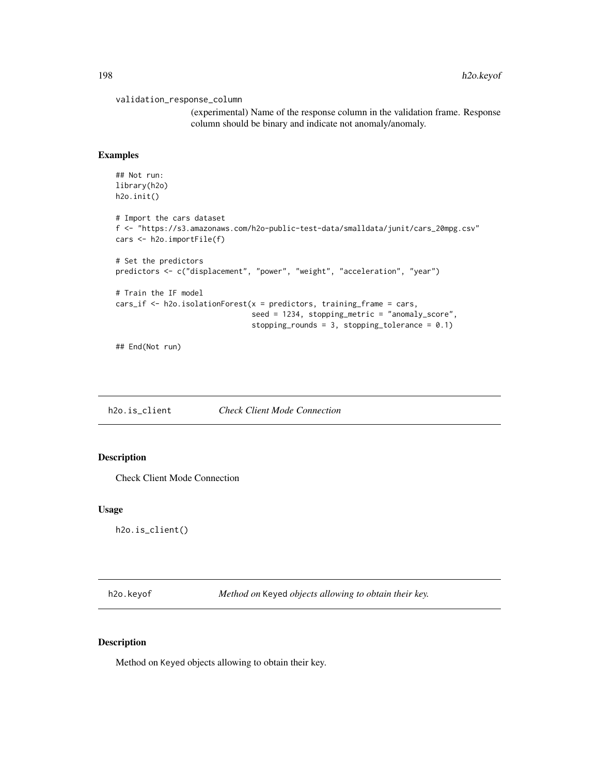```
validation_response_column
```
(experimental) Name of the response column in the validation frame. Response column should be binary and indicate not anomaly/anomaly.

#### Examples

```
## Not run:
library(h2o)
h2o.init()
# Import the cars dataset
f <- "https://s3.amazonaws.com/h2o-public-test-data/smalldata/junit/cars_20mpg.csv"
cars <- h2o.importFile(f)
# Set the predictors
predictors <- c("displacement", "power", "weight", "acceleration", "year")
# Train the IF model
cars_if <- h2o.isolationForest(x = predictors, training_frame = cars,
                               seed = 1234, stopping_metric = "anomaly_score",
                               stopping_rounds = 3, stopping_tolerance = 0.1)
```
## End(Not run)

h2o.is\_client *Check Client Mode Connection*

## Description

Check Client Mode Connection

#### Usage

h2o.is\_client()

h2o.keyof *Method on* Keyed *objects allowing to obtain their key.*

#### Description

Method on Keyed objects allowing to obtain their key.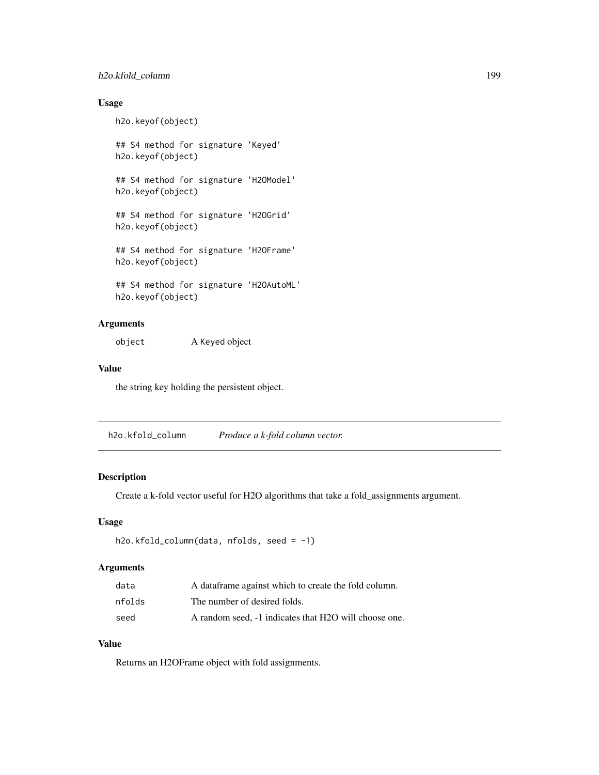## h2o.kfold\_column 199

## Usage

h2o.keyof(object)

## S4 method for signature 'Keyed' h2o.keyof(object)

## S4 method for signature 'H2OModel' h2o.keyof(object)

## S4 method for signature 'H2OGrid' h2o.keyof(object)

## S4 method for signature 'H2OFrame' h2o.keyof(object)

## S4 method for signature 'H2OAutoML' h2o.keyof(object)

## Arguments

object A Keyed object

#### Value

the string key holding the persistent object.

h2o.kfold\_column *Produce a k-fold column vector.*

## Description

Create a k-fold vector useful for H2O algorithms that take a fold\_assignments argument.

## Usage

```
h2o.kfold_column(data, nfolds, seed = -1)
```
## Arguments

| data   | A data frame against which to create the fold column. |
|--------|-------------------------------------------------------|
| nfolds | The number of desired folds.                          |
| seed   | A random seed, -1 indicates that H2O will choose one. |

## Value

Returns an H2OFrame object with fold assignments.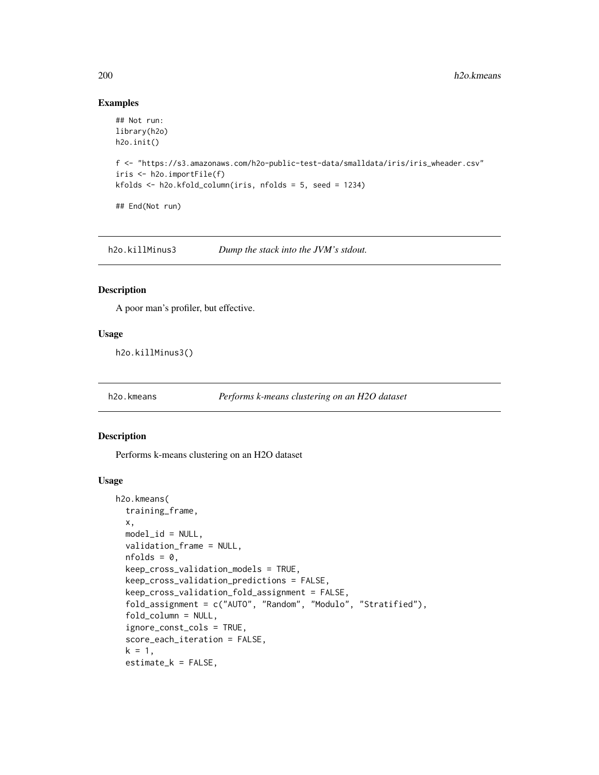## Examples

```
## Not run:
library(h2o)
h2o.init()
f <- "https://s3.amazonaws.com/h2o-public-test-data/smalldata/iris/iris_wheader.csv"
iris <- h2o.importFile(f)
kfolds <- h2o.kfold_column(iris, nfolds = 5, seed = 1234)
## End(Not run)
```
h2o.killMinus3 *Dump the stack into the JVM's stdout.*

#### Description

A poor man's profiler, but effective.

#### Usage

h2o.killMinus3()

h2o.kmeans *Performs k-means clustering on an H2O dataset*

#### Description

Performs k-means clustering on an H2O dataset

```
h2o.kmeans(
  training_frame,
 x,
 model_id = NULL,validation_frame = NULL,
  nfolds = 0,
  keep_cross_validation_models = TRUE,
  keep_cross_validation_predictions = FALSE,
  keep_cross_validation_fold_assignment = FALSE,
  fold_assignment = c("AUTO", "Random", "Modulo", "Stratified"),
  fold_column = NULL,
  ignore_const_cols = TRUE,
  score_each_iteration = FALSE,
  k = 1,
  estimate_k = FALSE,
```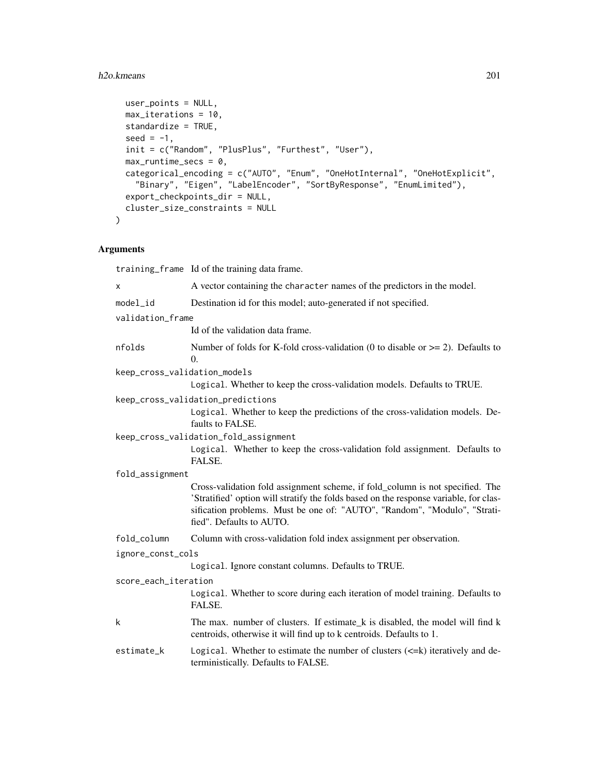## h2o.kmeans 201

```
user_points = NULL,
 max_iterations = 10,
 standardize = TRUE,
 seed = -1,
 init = c("Random", "PlusPlus", "Furthest", "User"),
 max_runtime_secs = 0,
 categorical_encoding = c("AUTO", "Enum", "OneHotInternal", "OneHotExplicit",
   "Binary", "Eigen", "LabelEncoder", "SortByResponse", "EnumLimited"),
 export_checkpoints_dir = NULL,
 cluster_size_constraints = NULL
\mathcal{L}
```
## Arguments

|                              | training_frame Id of the training data frame.                                                                                                                                                                                                                                   |
|------------------------------|---------------------------------------------------------------------------------------------------------------------------------------------------------------------------------------------------------------------------------------------------------------------------------|
| x                            | A vector containing the character names of the predictors in the model.                                                                                                                                                                                                         |
| model_id                     | Destination id for this model; auto-generated if not specified.                                                                                                                                                                                                                 |
| validation_frame             |                                                                                                                                                                                                                                                                                 |
|                              | Id of the validation data frame.                                                                                                                                                                                                                                                |
| nfolds                       | Number of folds for K-fold cross-validation (0 to disable or $\geq$ 2). Defaults to<br>0.                                                                                                                                                                                       |
| keep_cross_validation_models |                                                                                                                                                                                                                                                                                 |
|                              | Logical. Whether to keep the cross-validation models. Defaults to TRUE.                                                                                                                                                                                                         |
|                              | keep_cross_validation_predictions                                                                                                                                                                                                                                               |
|                              | Logical. Whether to keep the predictions of the cross-validation models. De-<br>faults to FALSE.                                                                                                                                                                                |
|                              | keep_cross_validation_fold_assignment                                                                                                                                                                                                                                           |
|                              | Logical. Whether to keep the cross-validation fold assignment. Defaults to<br>FALSE.                                                                                                                                                                                            |
| fold_assignment              |                                                                                                                                                                                                                                                                                 |
|                              | Cross-validation fold assignment scheme, if fold_column is not specified. The<br>'Stratified' option will stratify the folds based on the response variable, for clas-<br>sification problems. Must be one of: "AUTO", "Random", "Modulo", "Strati-<br>fied". Defaults to AUTO. |
| fold_column                  | Column with cross-validation fold index assignment per observation.                                                                                                                                                                                                             |
| ignore_const_cols            |                                                                                                                                                                                                                                                                                 |
|                              | Logical. Ignore constant columns. Defaults to TRUE.                                                                                                                                                                                                                             |
| score_each_iteration         |                                                                                                                                                                                                                                                                                 |
|                              | Logical. Whether to score during each iteration of model training. Defaults to<br>FALSE.                                                                                                                                                                                        |
| k                            | The max. number of clusters. If estimate_k is disabled, the model will find k<br>centroids, otherwise it will find up to k centroids. Defaults to 1.                                                                                                                            |
| estimate_k                   | Logical. Whether to estimate the number of clusters $(\leq=k)$ iteratively and de-<br>terministically. Defaults to FALSE.                                                                                                                                                       |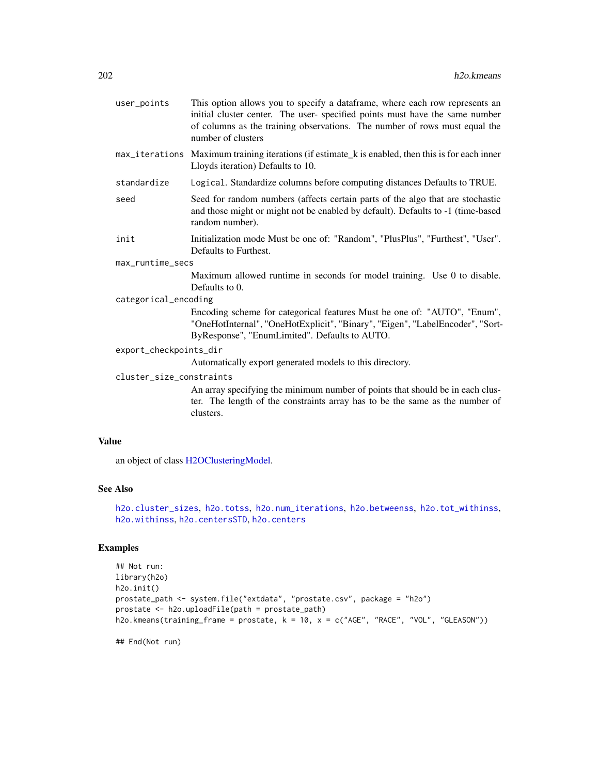| user_points              | This option allows you to specify a dataframe, where each row represents an<br>initial cluster center. The user-specified points must have the same number<br>of columns as the training observations. The number of rows must equal the<br>number of clusters |  |
|--------------------------|----------------------------------------------------------------------------------------------------------------------------------------------------------------------------------------------------------------------------------------------------------------|--|
|                          | max_iterations Maximum training iterations (if estimate k is enabled, then this is for each inner<br>Lloyds iteration) Defaults to 10.                                                                                                                         |  |
| standardize              | Logical. Standardize columns before computing distances Defaults to TRUE.                                                                                                                                                                                      |  |
| seed                     | Seed for random numbers (affects certain parts of the algo that are stochastic<br>and those might or might not be enabled by default). Defaults to -1 (time-based<br>random number).                                                                           |  |
| init                     | Initialization mode Must be one of: "Random", "PlusPlus", "Furthest", "User".<br>Defaults to Furthest.                                                                                                                                                         |  |
| max_runtime_secs         |                                                                                                                                                                                                                                                                |  |
|                          | Maximum allowed runtime in seconds for model training. Use 0 to disable.<br>Defaults to 0.                                                                                                                                                                     |  |
| categorical_encoding     |                                                                                                                                                                                                                                                                |  |
|                          | Encoding scheme for categorical features Must be one of: "AUTO", "Enum",<br>"OneHotInternal", "OneHotExplicit", "Binary", "Eigen", "LabelEncoder", "Sort-<br>ByResponse", "EnumLimited". Defaults to AUTO.                                                     |  |
| export_checkpoints_dir   |                                                                                                                                                                                                                                                                |  |
|                          | Automatically export generated models to this directory.                                                                                                                                                                                                       |  |
| cluster_size_constraints |                                                                                                                                                                                                                                                                |  |
|                          | An array specifying the minimum number of points that should be in each clus-                                                                                                                                                                                  |  |

An array specifying the minimum number of points that should be in each cluster. The length of the constraints array has to be the same as the number of clusters.

## Value

an object of class [H2OClusteringModel.](#page-364-0)

#### See Also

[h2o.cluster\\_sizes](#page-75-0), [h2o.totss](#page-337-0), [h2o.num\\_iterations](#page-246-0), [h2o.betweenss](#page-67-0), [h2o.tot\\_withinss](#page-337-1), [h2o.withinss](#page-355-0), [h2o.centersSTD](#page-71-0), [h2o.centers](#page-71-1)

## Examples

```
## Not run:
library(h2o)
h2o.init()
prostate_path <- system.file("extdata", "prostate.csv", package = "h2o")
prostate <- h2o.uploadFile(path = prostate_path)
h2o.kmeans(training_frame = prostate, k = 10, x = c("AGE", "RACE", "VOL", "GLEASON"))
```
## End(Not run)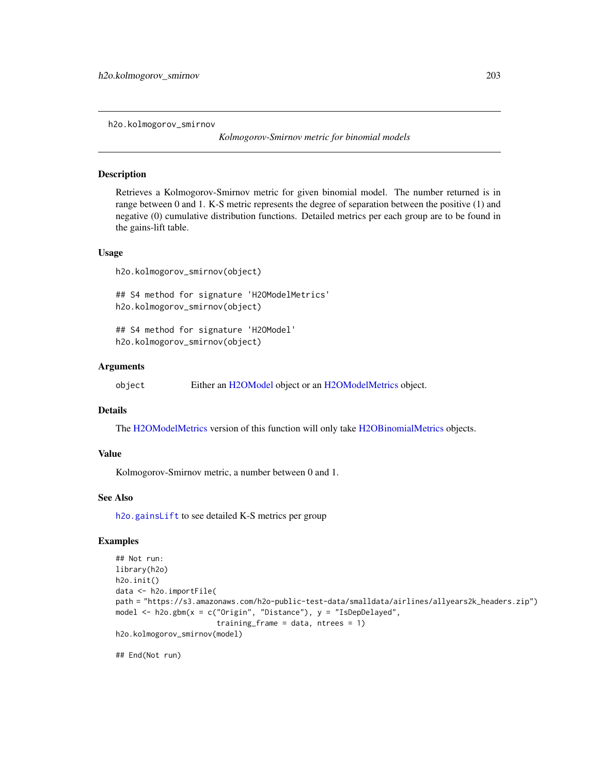h2o.kolmogorov\_smirnov

*Kolmogorov-Smirnov metric for binomial models*

#### **Description**

Retrieves a Kolmogorov-Smirnov metric for given binomial model. The number returned is in range between 0 and 1. K-S metric represents the degree of separation between the positive (1) and negative (0) cumulative distribution functions. Detailed metrics per each group are to be found in the gains-lift table.

#### Usage

h2o.kolmogorov\_smirnov(object)

## S4 method for signature 'H2OModelMetrics' h2o.kolmogorov\_smirnov(object)

## S4 method for signature 'H2OModel' h2o.kolmogorov\_smirnov(object)

#### Arguments

object Either an [H2OModel](#page-370-0) object or an [H2OModelMetrics](#page-371-0) object.

## Details

The [H2OModelMetrics](#page-371-0) version of this function will only take [H2OBinomialMetrics](#page-371-1) objects.

#### Value

Kolmogorov-Smirnov metric, a number between 0 and 1.

#### See Also

[h2o.gainsLift](#page-129-0) to see detailed K-S metrics per group

#### Examples

```
## Not run:
library(h2o)
h2o.init()
data <- h2o.importFile(
path = "https://s3.amazonaws.com/h2o-public-test-data/smalldata/airlines/allyears2k_headers.zip")
model <- h2o.gbm(x = c("Origin", "Distance"), y = "IsDepDelayed",
                       training_frame = data, ntrees = 1)
h2o.kolmogorov_smirnov(model)
```
## End(Not run)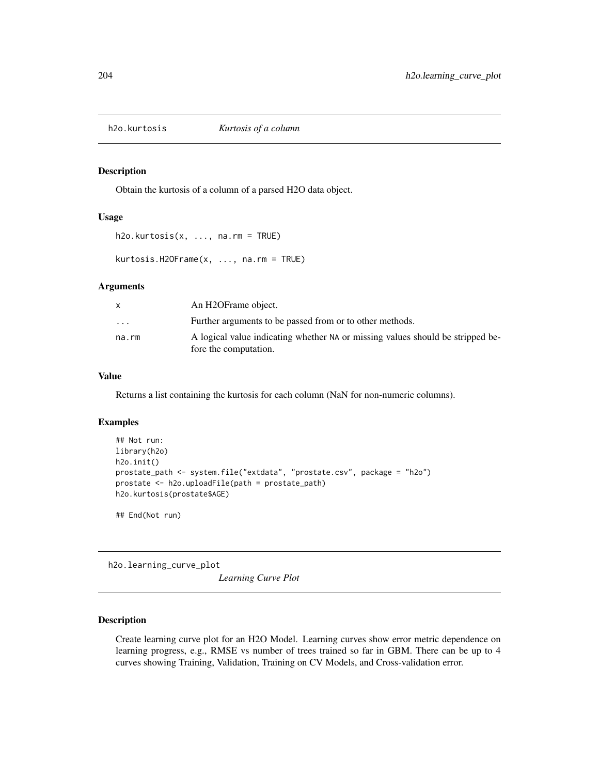Obtain the kurtosis of a column of a parsed H2O data object.

#### Usage

h2o.kurtosis(x, ..., na.rm = TRUE)

kurtosis.H2OFrame(x, ..., na.rm = TRUE)

#### Arguments

| Further arguments to be passed from or to other methods.<br>$\cdot$ $\cdot$ $\cdot$                              |  |
|------------------------------------------------------------------------------------------------------------------|--|
| A logical value indicating whether NA or missing values should be stripped be-<br>na.rm<br>fore the computation. |  |

## Value

Returns a list containing the kurtosis for each column (NaN for non-numeric columns).

#### Examples

```
## Not run:
library(h2o)
h2o.init()
prostate_path <- system.file("extdata", "prostate.csv", package = "h2o")
prostate <- h2o.uploadFile(path = prostate_path)
h2o.kurtosis(prostate$AGE)
```
## End(Not run)

h2o.learning\_curve\_plot

*Learning Curve Plot*

#### Description

Create learning curve plot for an H2O Model. Learning curves show error metric dependence on learning progress, e.g., RMSE vs number of trees trained so far in GBM. There can be up to 4 curves showing Training, Validation, Training on CV Models, and Cross-validation error.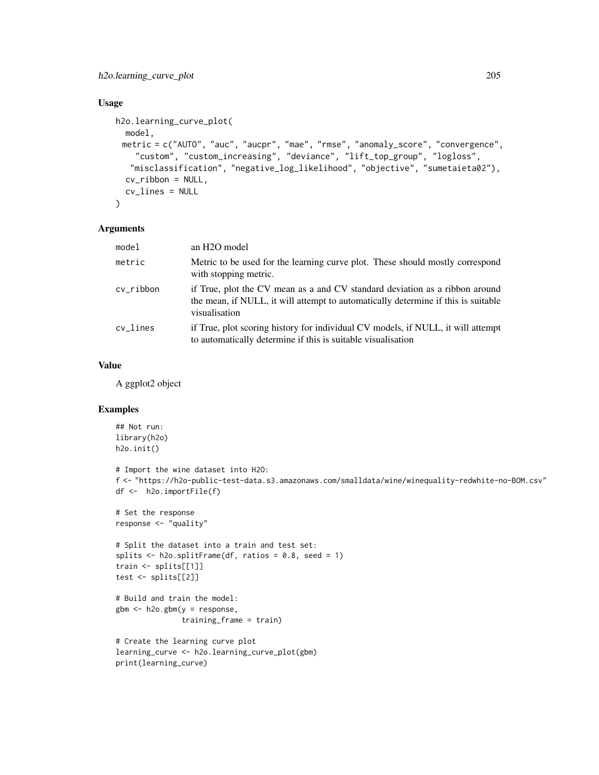## Usage

```
h2o.learning_curve_plot(
 model,
 metric = c("AUTO", "auc", "aucpr", "mae", "rmse", "anomaly_score", "convergence",
    "custom", "custom_increasing", "deviance", "lift_top_group", "logloss",
   "misclassification", "negative_log_likelihood", "objective", "sumetaieta02"),
  cv_ribbon = NULL,
 cv_lines = NULL
\lambda
```
#### Arguments

| model     | an H <sub>2</sub> O model                                                                                                                                                         |
|-----------|-----------------------------------------------------------------------------------------------------------------------------------------------------------------------------------|
| metric    | Metric to be used for the learning curve plot. These should mostly correspond<br>with stopping metric.                                                                            |
| cv ribbon | if True, plot the CV mean as a and CV standard deviation as a ribbon around<br>the mean, if NULL, it will attempt to automatically determine if this is suitable<br>visualisation |
| cv lines  | if True, plot scoring history for individual CV models, if NULL, it will attempt<br>to automatically determine if this is suitable visualization                                  |

#### Value

A ggplot2 object

## Examples

```
## Not run:
library(h2o)
h2o.init()
# Import the wine dataset into H2O:
f <- "https://h2o-public-test-data.s3.amazonaws.com/smalldata/wine/winequality-redwhite-no-BOM.csv"
df <- h2o.importFile(f)
# Set the response
response <- "quality"
# Split the dataset into a train and test set:
splits \le h2o.splitFrame(df, ratios = 0.8, seed = 1)
train <- splits[[1]]
test <- splits[[2]]
# Build and train the model:
gbm <- h2o.gbm(y = response,
               training_frame = train)
# Create the learning curve plot
learning_curve <- h2o.learning_curve_plot(gbm)
print(learning_curve)
```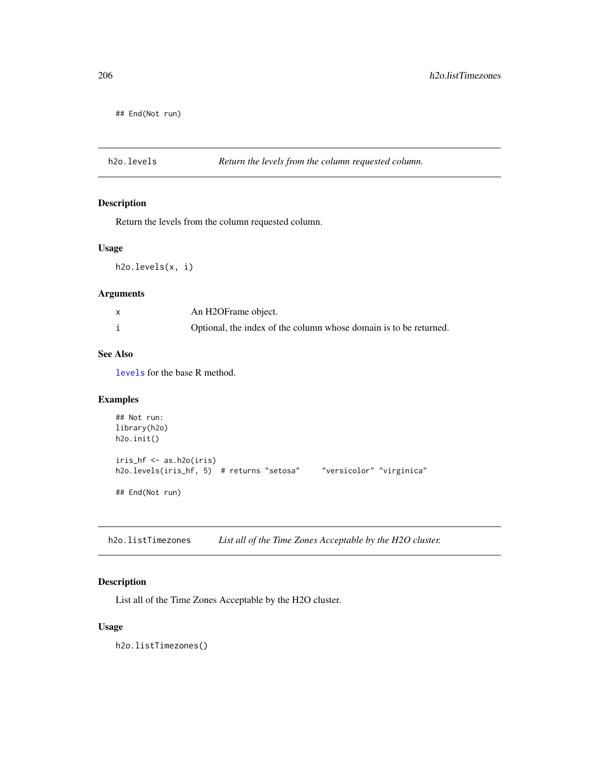## End(Not run)

h2o.levels *Return the levels from the column requested column.*

## Description

Return the levels from the column requested column.

#### Usage

h2o.levels(x, i)

#### Arguments

| An H2OFrame object.                                               |
|-------------------------------------------------------------------|
| Optional, the index of the column whose domain is to be returned. |

## See Also

[levels](#page-0-0) for the base R method.

## Examples

```
## Not run:
library(h2o)
h2o.init()
iris_hf <- as.h2o(iris)
h2o.levels(iris_hf, 5) # returns "setosa" "versicolor" "virginica"
## End(Not run)
```
h2o.listTimezones *List all of the Time Zones Acceptable by the H2O cluster.*

## Description

List all of the Time Zones Acceptable by the H2O cluster.

## Usage

h2o.listTimezones()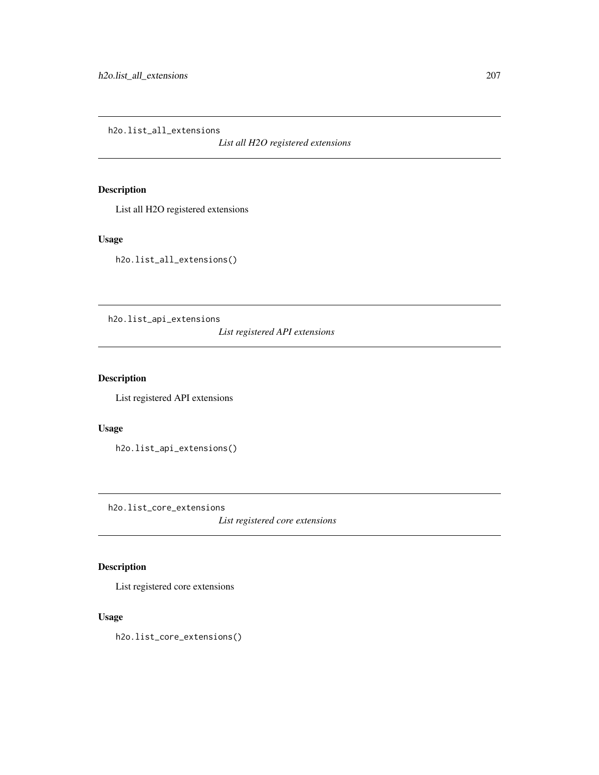h2o.list\_all\_extensions

*List all H2O registered extensions*

## Description

List all H2O registered extensions

## Usage

h2o.list\_all\_extensions()

h2o.list\_api\_extensions

*List registered API extensions*

## Description

List registered API extensions

#### Usage

h2o.list\_api\_extensions()

h2o.list\_core\_extensions

*List registered core extensions*

## Description

List registered core extensions

#### Usage

h2o.list\_core\_extensions()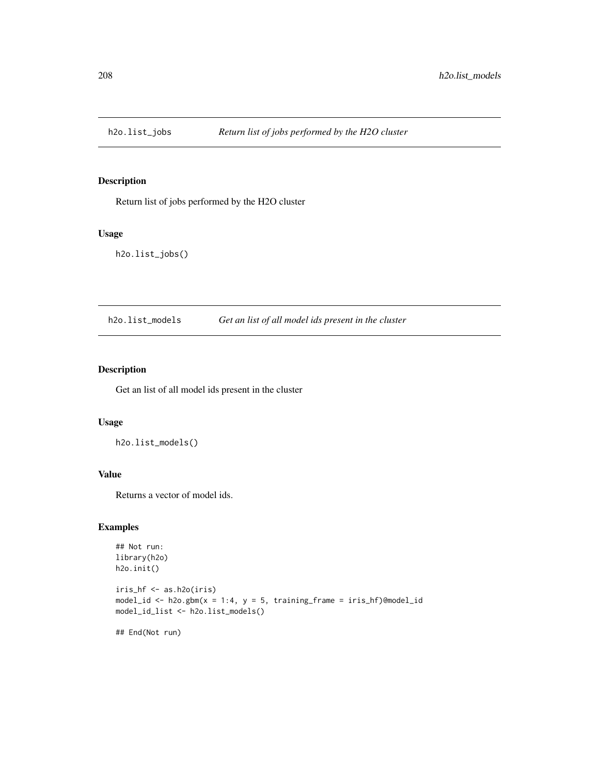Return list of jobs performed by the H2O cluster

#### Usage

h2o.list\_jobs()

h2o.list\_models *Get an list of all model ids present in the cluster*

## Description

Get an list of all model ids present in the cluster

#### Usage

h2o.list\_models()

## Value

Returns a vector of model ids.

## Examples

```
## Not run:
library(h2o)
h2o.init()
iris_hf <- as.h2o(iris)
model_id <- h2o.gbm(x = 1:4, y = 5, training_frame = iris_hf)@model_id
model_id_list <- h2o.list_models()
## End(Not run)
```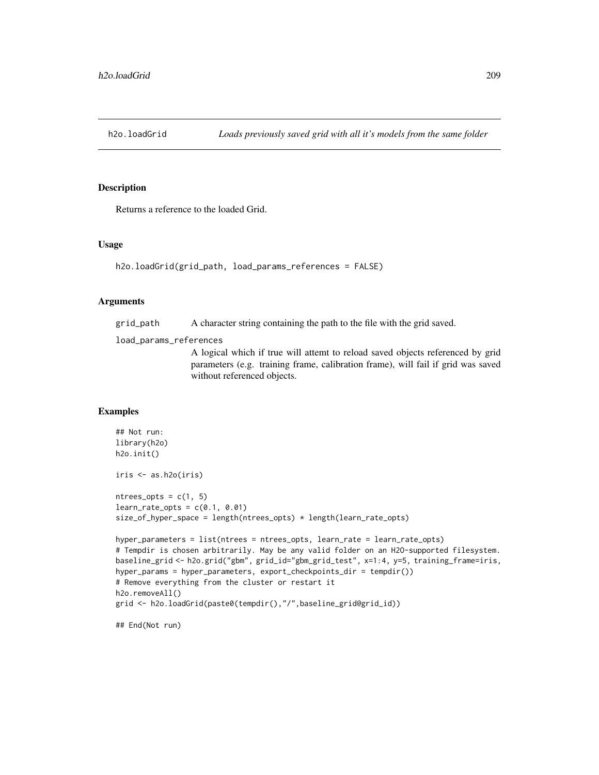Returns a reference to the loaded Grid.

#### Usage

```
h2o.loadGrid(grid_path, load_params_references = FALSE)
```
#### Arguments

grid\_path A character string containing the path to the file with the grid saved.

load\_params\_references

A logical which if true will attemt to reload saved objects referenced by grid parameters (e.g. training frame, calibration frame), will fail if grid was saved without referenced objects.

#### Examples

```
## Not run:
library(h2o)
h2o.init()
iris <- as.h2o(iris)
ntrees\_opts = c(1, 5)learn_rate\_opts = c(0.1, 0.01)size_of_hyper_space = length(ntrees_opts) * length(learn_rate_opts)
hyper_parameters = list(ntrees = ntrees_opts, learn_rate = learn_rate_opts)
# Tempdir is chosen arbitrarily. May be any valid folder on an H2O-supported filesystem.
baseline_grid <- h2o.grid("gbm", grid_id="gbm_grid_test", x=1:4, y=5, training_frame=iris,
hyper_params = hyper_parameters, export_checkpoints_dir = tempdir())
# Remove everything from the cluster or restart it
h2o.removeAll()
grid <- h2o.loadGrid(paste0(tempdir(),"/",baseline_grid@grid_id))
```
## End(Not run)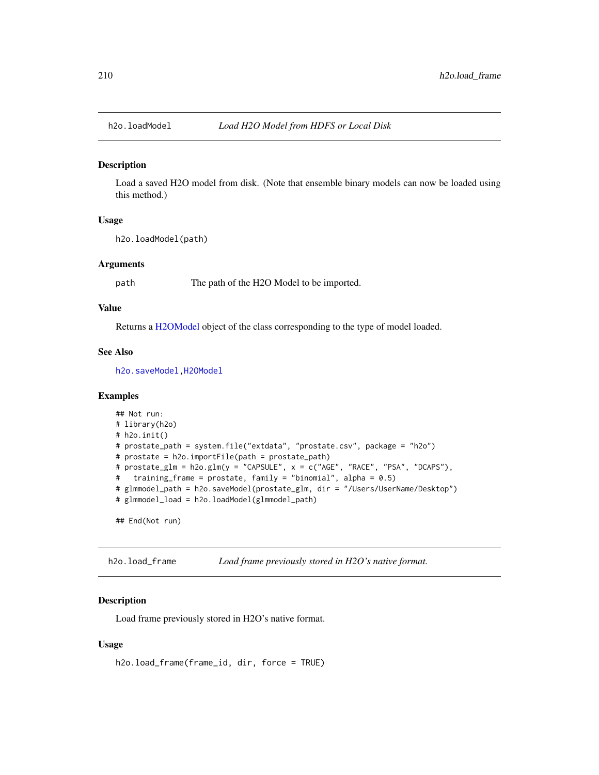Load a saved H2O model from disk. (Note that ensemble binary models can now be loaded using this method.)

## Usage

```
h2o.loadModel(path)
```
#### **Arguments**

path The path of the H2O Model to be imported.

### Value

Returns a [H2OModel](#page-370-0) object of the class corresponding to the type of model loaded.

#### See Also

[h2o.saveModel](#page-293-0)[,H2OModel](#page-370-0)

#### Examples

```
## Not run:
# library(h2o)
# h2o.init()
# prostate_path = system.file("extdata", "prostate.csv", package = "h2o")
# prostate = h2o.importFile(path = prostate_path)
# prostate_glm = h2o.glm(y = "CAPSULE", x = c("AGE", "RACE", "PSA", "DCAPS"),
# training_frame = prostate, family = "binomial", alpha = 0.5)
# glmmodel_path = h2o.saveModel(prostate_glm, dir = "/Users/UserName/Desktop")
# glmmodel_load = h2o.loadModel(glmmodel_path)
```
## End(Not run)

h2o.load\_frame *Load frame previously stored in H2O's native format.*

#### Description

Load frame previously stored in H2O's native format.

```
h2o.load_frame(frame_id, dir, force = TRUE)
```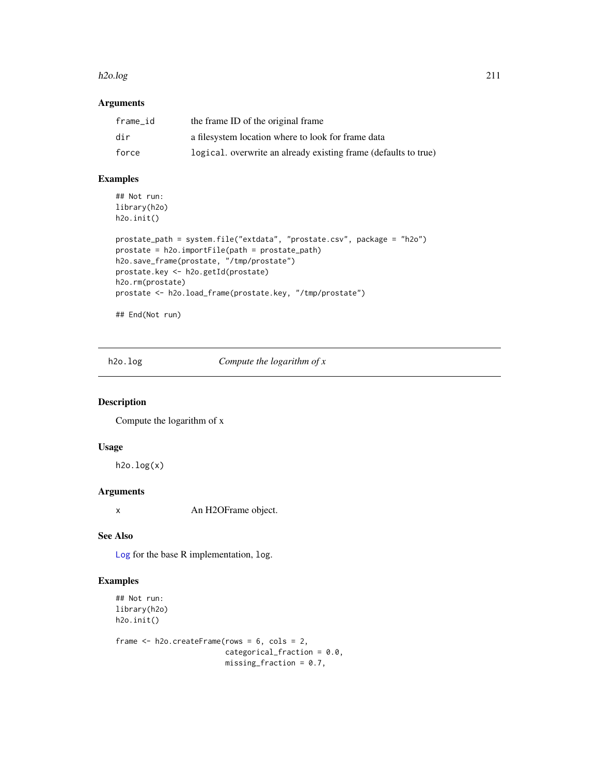#### h2o.log 211

## Arguments

| frame id | the frame ID of the original frame                              |
|----------|-----------------------------------------------------------------|
| dir      | a filesystem location where to look for frame data              |
| force    | logical. overwrite an already existing frame (defaults to true) |

## Examples

```
## Not run:
library(h2o)
h2o.init()
```

```
prostate_path = system.file("extdata", "prostate.csv", package = "h2o")
prostate = h2o.importFile(path = prostate_path)
h2o.save_frame(prostate, "/tmp/prostate")
prostate.key <- h2o.getId(prostate)
h2o.rm(prostate)
prostate <- h2o.load_frame(prostate.key, "/tmp/prostate")
```
## End(Not run)

h2o.log *Compute the logarithm of x*

## Description

Compute the logarithm of x

#### Usage

 $h2o.log(x)$ 

## Arguments

x An H2OFrame object.

## See Also

[Log](#page-0-0) for the base R implementation, log.

## Examples

```
## Not run:
library(h2o)
h2o.init()
```

```
frame <- h2o.createFrame(rows = 6, cols = 2,
                         categorical_fraction = 0.0,
                         missing\_fraction = 0.7,
```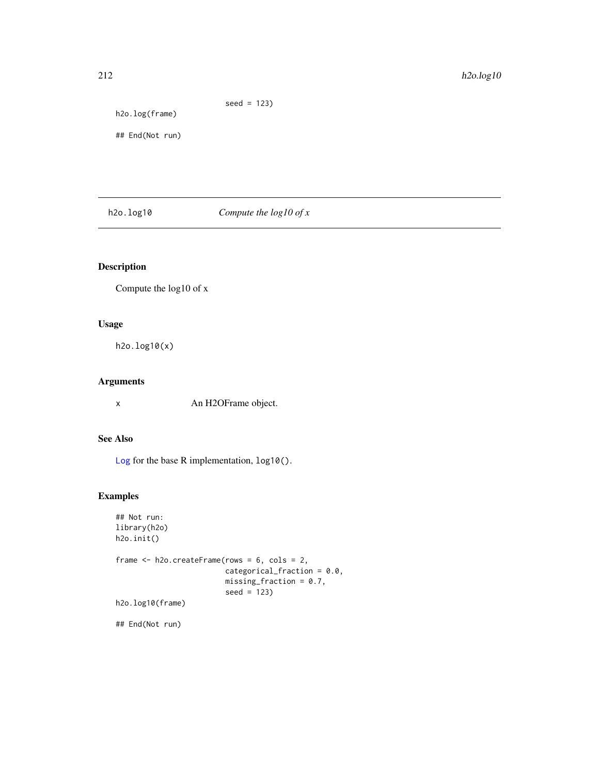# seed = 123) h2o.log(frame) ## End(Not run)

h2o.log10 *Compute the log10 of x*

## Description

Compute the log10 of x

## Usage

h2o.log10(x)

## Arguments

x An H2OFrame object.

## See Also

[Log](#page-0-0) for the base R implementation, log10().

## Examples

```
## Not run:
library(h2o)
h2o.init()
frame <- h2o.createFrame(rows = 6, cols = 2,
                         categorical_fraction = 0.0,
                         missing_fraction = 0.7,
                         seed = 123)
h2o.log10(frame)
```
## End(Not run)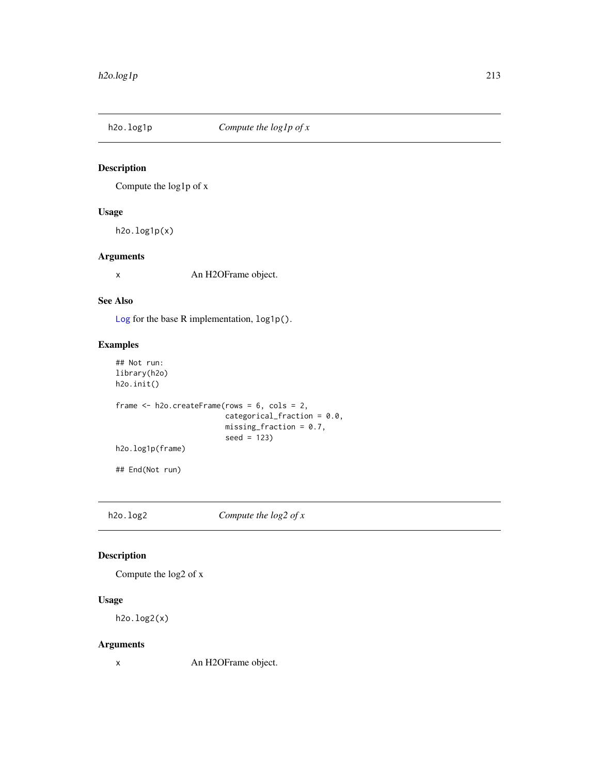Compute the log1p of x

## Usage

h2o.log1p(x)

## Arguments

x An H2OFrame object.

## See Also

[Log](#page-0-0) for the base R implementation, log1p().

## Examples

```
## Not run:
library(h2o)
h2o.init()
frame <- h2o.createFrame(rows = 6, cols = 2,
                         categorical_fraction = 0.0,
                         missing_fraction = 0.7,
                         seed = 123)
h2o.log1p(frame)
## End(Not run)
```
h2o.log2 *Compute the log2 of x*

## Description

Compute the log2 of x

## Usage

h2o.log2(x)

## Arguments

x An H2OFrame object.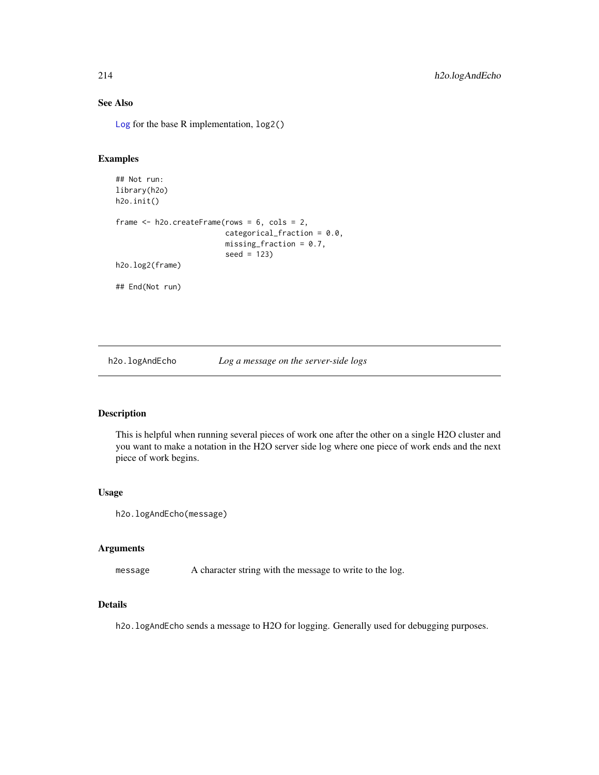## See Also

[Log](#page-0-0) for the base R implementation, log2()

## Examples

```
## Not run:
library(h2o)
h2o.init()
frame <- h2o.createFrame(rows = 6, cols = 2,
                         categorical_fraction = 0.0,
                         missing\_fraction = 0.7,
                         seed = 123)
h2o.log2(frame)
## End(Not run)
```
h2o.logAndEcho *Log a message on the server-side logs*

## Description

This is helpful when running several pieces of work one after the other on a single H2O cluster and you want to make a notation in the H2O server side log where one piece of work ends and the next piece of work begins.

#### Usage

```
h2o.logAndEcho(message)
```
## Arguments

message A character string with the message to write to the log.

#### Details

h2o.logAndEcho sends a message to H2O for logging. Generally used for debugging purposes.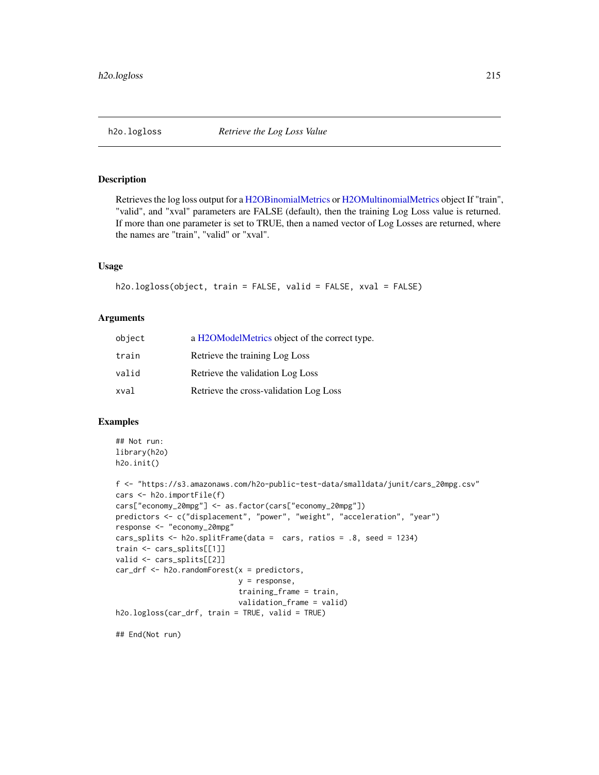Retrieves the log loss output for a [H2OBinomialMetrics](#page-371-1) or [H2OMultinomialMetrics](#page-371-1) object If "train", "valid", and "xval" parameters are FALSE (default), then the training Log Loss value is returned. If more than one parameter is set to TRUE, then a named vector of Log Losses are returned, where the names are "train", "valid" or "xval".

#### Usage

```
h2o.logloss(object, train = FALSE, valid = FALSE, xval = FALSE)
```
#### Arguments

| object | a H2OModelMetrics object of the correct type. |
|--------|-----------------------------------------------|
| train  | Retrieve the training Log Loss                |
| valid  | Retrieve the validation Log Loss              |
| xval   | Retrieve the cross-validation Log Loss        |

#### Examples

```
## Not run:
library(h2o)
h2o.init()
```

```
f <- "https://s3.amazonaws.com/h2o-public-test-data/smalldata/junit/cars_20mpg.csv"
cars <- h2o.importFile(f)
cars["economy_20mpg"] <- as.factor(cars["economy_20mpg"])
predictors <- c("displacement", "power", "weight", "acceleration", "year")
response <- "economy_20mpg"
cars_splits <- h2o.splitFrame(data = cars, ratios = .8, seed = 1234)
train <- cars_splits[[1]]
valid <- cars_splits[[2]]
car_drf <- h2o.randomForest(x = predictors,
                            y = response,
                            training_frame = train,
                            validation_frame = valid)
h2o.logloss(car_drf, train = TRUE, valid = TRUE)
```
## End(Not run)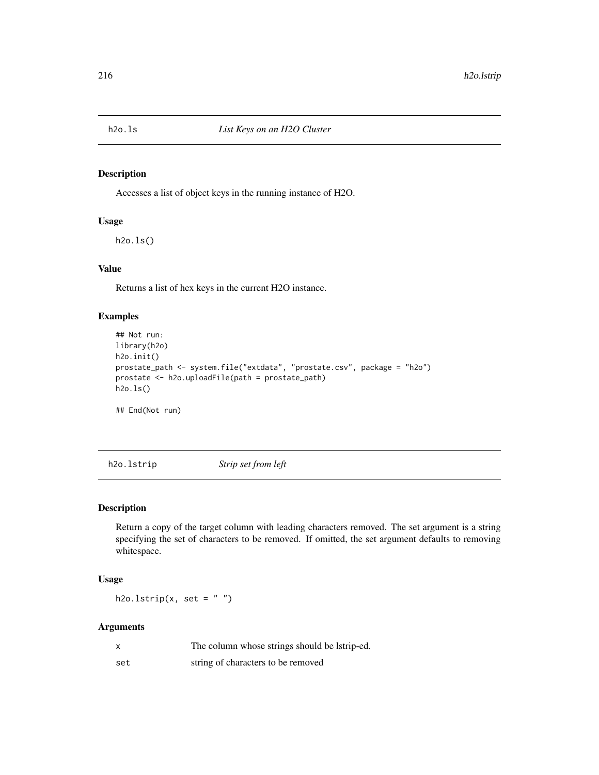Accesses a list of object keys in the running instance of H2O.

## Usage

h2o.ls()

## Value

Returns a list of hex keys in the current H2O instance.

## Examples

```
## Not run:
library(h2o)
h2o.init()
prostate_path <- system.file("extdata", "prostate.csv", package = "h2o")
prostate <- h2o.uploadFile(path = prostate_path)
h2o.ls()
```
## End(Not run)

h2o.lstrip *Strip set from left*

#### Description

Return a copy of the target column with leading characters removed. The set argument is a string specifying the set of characters to be removed. If omitted, the set argument defaults to removing whitespace.

#### Usage

h2o.lstrip(x, set =  $"$ )

#### Arguments

| $\boldsymbol{\mathsf{x}}$ | The column whose strings should be latrip-ed. |
|---------------------------|-----------------------------------------------|
| set                       | string of characters to be removed            |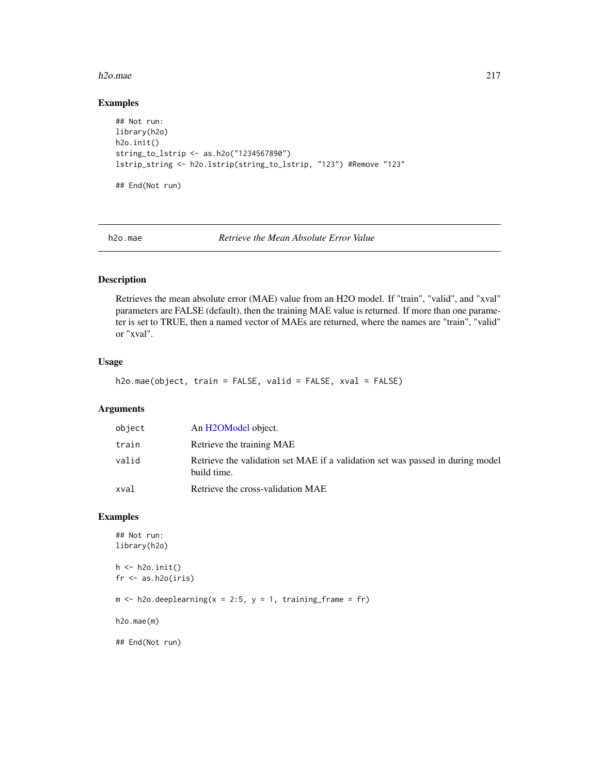#### h2o.mae 217

# Examples

```
## Not run:
library(h2o)
h2o.init()
string_to_lstrip <- as.h2o("1234567890")
lstrip_string <- h2o.lstrip(string_to_lstrip, "123") #Remove "123"
## End(Not run)
```
h2o.mae *Retrieve the Mean Absolute Error Value*

# Description

Retrieves the mean absolute error (MAE) value from an H2O model. If "train", "valid", and "xval" parameters are FALSE (default), then the training MAE value is returned. If more than one parameter is set to TRUE, then a named vector of MAEs are returned, where the names are "train", "valid" or "xval".

## Usage

```
h2o.mae(object, train = FALSE, valid = FALSE, xval = FALSE)
```
# Arguments

| object | An H2OModel object.                                                                           |
|--------|-----------------------------------------------------------------------------------------------|
| train  | Retrieve the training MAE                                                                     |
| valid  | Retrieve the validation set MAE if a validation set was passed in during model<br>build time. |
| xval   | Retrieve the cross-validation MAE                                                             |

# Examples

```
## Not run:
library(h2o)
h <- h2o.init()
fr < - as.h2o(iris)
m \le -h2o.deeplearning(x = 2:5, y = 1, training_frame = fr)
h2o.mae(m)
## End(Not run)
```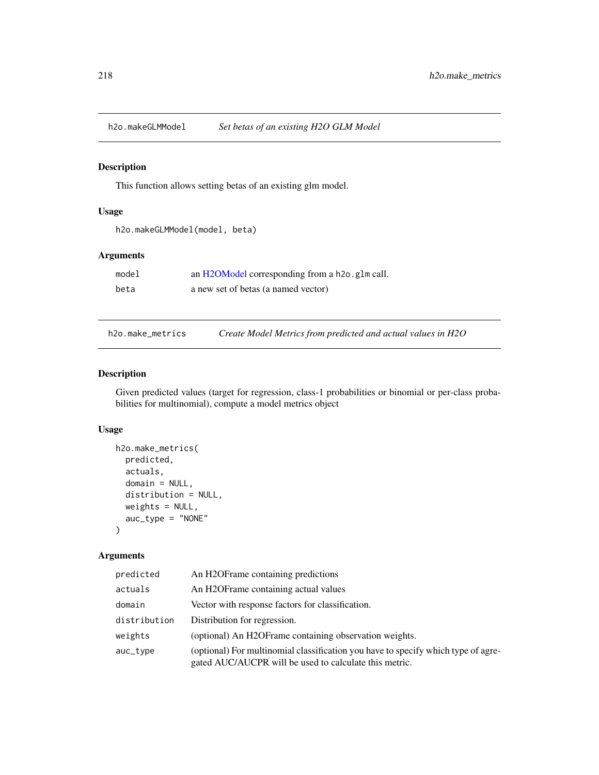# Description

This function allows setting betas of an existing glm model.

# Usage

h2o.makeGLMModel(model, beta)

#### Arguments

| model | an H2OModel corresponding from a h2o. g1m call. |
|-------|-------------------------------------------------|
| beta  | a new set of betas (a named vector)             |

h2o.make\_metrics *Create Model Metrics from predicted and actual values in H2O*

### Description

Given predicted values (target for regression, class-1 probabilities or binomial or per-class probabilities for multinomial), compute a model metrics object

# Usage

```
h2o.make_metrics(
 predicted,
  actuals,
  domain = NULL,
  distribution = NULL,
  weights = NULL,auc_type = "NONE"
)
```
## Arguments

| predicted    | An H2OFrame containing predictions                                                                                                          |
|--------------|---------------------------------------------------------------------------------------------------------------------------------------------|
| actuals      | An H2OFrame containing actual values                                                                                                        |
| domain       | Vector with response factors for classification.                                                                                            |
| distribution | Distribution for regression.                                                                                                                |
| weights      | (optional) An H2OF rame containing observation weights.                                                                                     |
| auc_type     | (optional) For multinomial classification you have to specify which type of agre-<br>gated AUC/AUCPR will be used to calculate this metric. |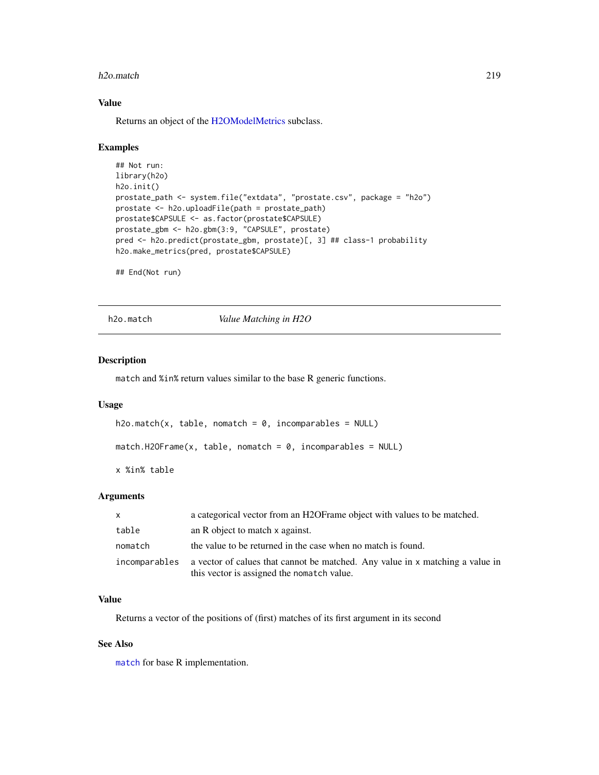#### h2o.match 219

# Value

Returns an object of the [H2OModelMetrics](#page-371-0) subclass.

#### Examples

```
## Not run:
library(h2o)
h2o.init()
prostate_path <- system.file("extdata", "prostate.csv", package = "h2o")
prostate <- h2o.uploadFile(path = prostate_path)
prostate$CAPSULE <- as.factor(prostate$CAPSULE)
prostate_gbm <- h2o.gbm(3:9, "CAPSULE", prostate)
pred <- h2o.predict(prostate_gbm, prostate)[, 3] ## class-1 probability
h2o.make_metrics(pred, prostate$CAPSULE)
```
## End(Not run)

h2o.match *Value Matching in H2O*

# Description

match and %in% return values similar to the base R generic functions.

#### Usage

```
h2o.match(x, table, nomatch = 0, incomparables = NULL)match.H20Frame(x, table, nomatch = 0, incomparables = NULL)x %in% table
```
#### Arguments

| $\mathsf{x}$  | a categorical vector from an H2OF rame object with values to be matched.                                                    |
|---------------|-----------------------------------------------------------------------------------------------------------------------------|
| table         | an R object to match x against.                                                                                             |
| nomatch       | the value to be returned in the case when no match is found.                                                                |
| incomparables | a vector of calues that cannot be matched. Any value in x matching a value in<br>this vector is assigned the nomatch value. |

### Value

Returns a vector of the positions of (first) matches of its first argument in its second

# See Also

[match](#page-0-0) for base R implementation.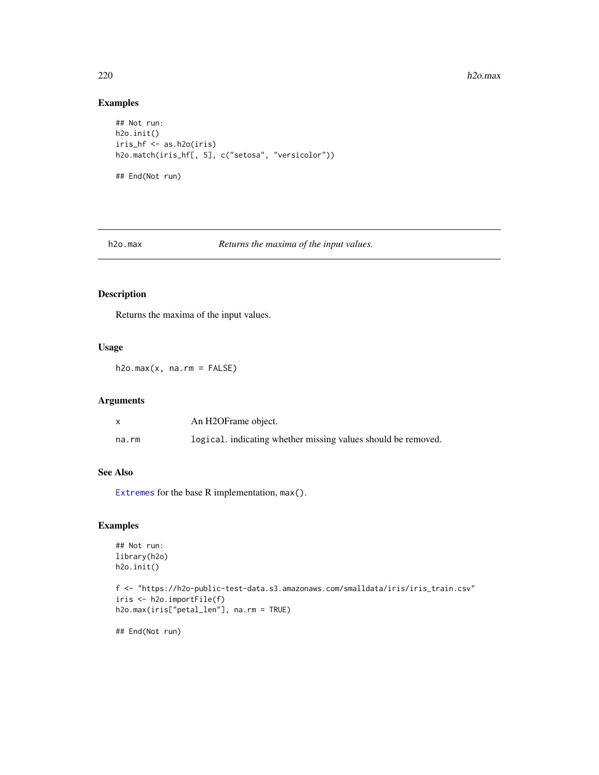#### $h20$  h2o.max

# Examples

```
## Not run:
h2o.init()
iris_hf <- as.h2o(iris)
h2o.match(iris_hf[, 5], c("setosa", "versicolor"))
## End(Not run)
```
h2o.max *Returns the maxima of the input values.*

# Description

Returns the maxima of the input values.

# Usage

 $h2o.max(x, na.rm = FALSE)$ 

# Arguments

|       | An H2OFrame object.                                           |
|-------|---------------------------------------------------------------|
| na.rm | logical. indicating whether missing values should be removed. |

# See Also

[Extremes](#page-0-0) for the base R implementation, max().

## Examples

```
## Not run:
library(h2o)
h2o.init()
```

```
f <- "https://h2o-public-test-data.s3.amazonaws.com/smalldata/iris/iris_train.csv"
iris <- h2o.importFile(f)
h2o.max(iris["petal_len"], na.rm = TRUE)
```
## End(Not run)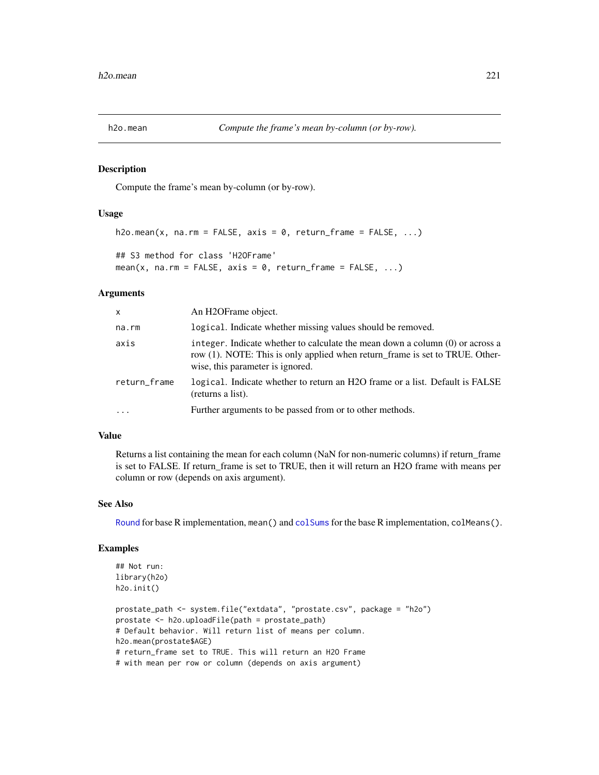#### Description

Compute the frame's mean by-column (or by-row).

### Usage

```
h2o.mean(x, na.rm = FALSE, axis = 0, return_fram = FALSE, ...)## S3 method for class 'H2OFrame'
mean(x, na.rm = FALSE, axis = 0, return_frame = FALSE, ...)
```
#### Arguments

| X            | An H2OFrame object.                                                                                                                                                                                 |
|--------------|-----------------------------------------------------------------------------------------------------------------------------------------------------------------------------------------------------|
| na.rm        | logical. Indicate whether missing values should be removed.                                                                                                                                         |
| axis         | integer. Indicate whether to calculate the mean down a column $(0)$ or across a<br>row (1). NOTE: This is only applied when return frame is set to TRUE. Other-<br>wise, this parameter is ignored. |
| return_frame | logical. Indicate whether to return an H2O frame or a list. Default is FALSE<br>(returns a list).                                                                                                   |
| $\cdot$      | Further arguments to be passed from or to other methods.                                                                                                                                            |

# Value

Returns a list containing the mean for each column (NaN for non-numeric columns) if return\_frame is set to FALSE. If return\_frame is set to TRUE, then it will return an H2O frame with means per column or row (depends on axis argument).

#### See Also

[Round](#page-0-0) for base R implementation, mean() and [colSums](#page-0-0) for the base R implementation, colMeans().

## Examples

```
## Not run:
library(h2o)
h2o.init()
```

```
prostate_path <- system.file("extdata", "prostate.csv", package = "h2o")
prostate <- h2o.uploadFile(path = prostate_path)
# Default behavior. Will return list of means per column.
h2o.mean(prostate$AGE)
# return_frame set to TRUE. This will return an H2O Frame
# with mean per row or column (depends on axis argument)
```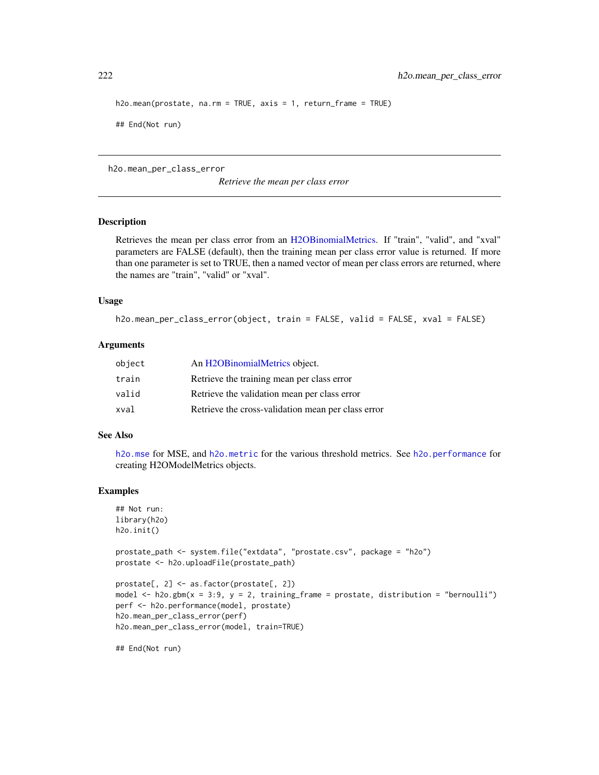```
h2o.mean(prostate, na.rm = TRUE, axis = 1, return_frame = TRUE)
## End(Not run)
```
h2o.mean\_per\_class\_error

*Retrieve the mean per class error*

#### **Description**

Retrieves the mean per class error from an [H2OBinomialMetrics.](#page-371-1) If "train", "valid", and "xval" parameters are FALSE (default), then the training mean per class error value is returned. If more than one parameter is set to TRUE, then a named vector of mean per class errors are returned, where the names are "train", "valid" or "xval".

# Usage

```
h2o.mean_per_class_error(object, train = FALSE, valid = FALSE, xval = FALSE)
```
### Arguments

| object | An H2OBinomialMetrics object.                      |
|--------|----------------------------------------------------|
| train  | Retrieve the training mean per class error         |
| valid  | Retrieve the validation mean per class error       |
| xval   | Retrieve the cross-validation mean per class error |

#### See Also

[h2o.mse](#page-233-0) for MSE, and [h2o.metric](#page-225-0) for the various threshold metrics. See [h2o.performance](#page-256-0) for creating H2OModelMetrics objects.

#### Examples

```
## Not run:
library(h2o)
h2o.init()
```

```
prostate_path <- system.file("extdata", "prostate.csv", package = "h2o")
prostate <- h2o.uploadFile(prostate_path)
```

```
prostate[, 2] <- as.factor(prostate[, 2])
model \leq h2o.gbm(x = 3:9, y = 2, training_frame = prostate, distribution = "bernoulli")
perf <- h2o.performance(model, prostate)
h2o.mean_per_class_error(perf)
h2o.mean_per_class_error(model, train=TRUE)
```
## End(Not run)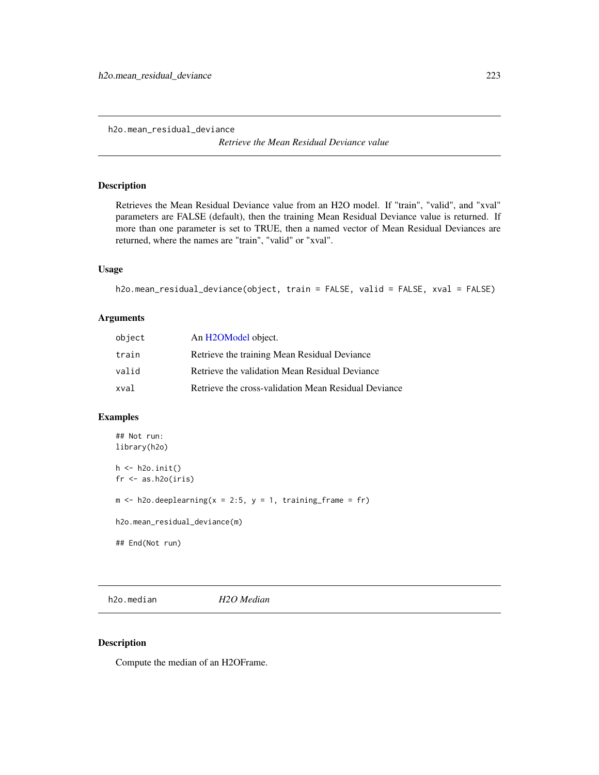h2o.mean\_residual\_deviance

*Retrieve the Mean Residual Deviance value*

### Description

Retrieves the Mean Residual Deviance value from an H2O model. If "train", "valid", and "xval" parameters are FALSE (default), then the training Mean Residual Deviance value is returned. If more than one parameter is set to TRUE, then a named vector of Mean Residual Deviances are returned, where the names are "train", "valid" or "xval".

# Usage

```
h2o.mean_residual_deviance(object, train = FALSE, valid = FALSE, xval = FALSE)
```
# Arguments

| object | An H <sub>2</sub> OM <sub>odel</sub> object.         |
|--------|------------------------------------------------------|
| train  | Retrieve the training Mean Residual Deviance         |
| valid  | Retrieve the validation Mean Residual Deviance       |
| xval   | Retrieve the cross-validation Mean Residual Deviance |

# Examples

```
## Not run:
library(h2o)
h <- h2o.init()
fr < - as.h2o(iris)
m \le -h2o.deeplearning(x = 2:5, y = 1, training_frame = fr)
h2o.mean_residual_deviance(m)
## End(Not run)
```
h2o.median *H2O Median*

#### Description

Compute the median of an H2OFrame.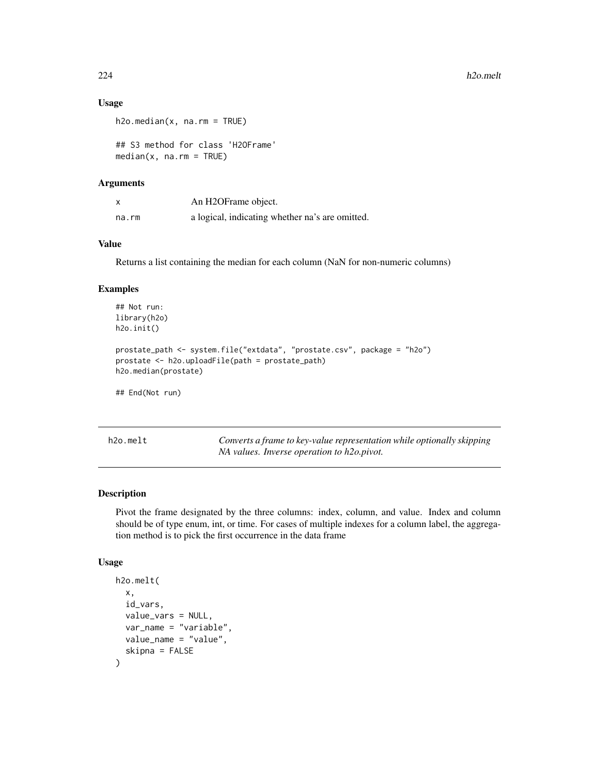### Usage

```
h2o.median(x, na.rm = TRUE)
```

```
## S3 method for class 'H2OFrame'
median(x, na.rm = TRUE)
```
# Arguments

|       | An H2OFrame object.                             |
|-------|-------------------------------------------------|
| na.rm | a logical, indicating whether na's are omitted. |

# Value

Returns a list containing the median for each column (NaN for non-numeric columns)

#### Examples

```
## Not run:
library(h2o)
h2o.init()
prostate_path <- system.file("extdata", "prostate.csv", package = "h2o")
prostate <- h2o.uploadFile(path = prostate_path)
h2o.median(prostate)
## End(Not run)
```
h2o.melt *Converts a frame to key-value representation while optionally skipping NA values. Inverse operation to h2o.pivot.*

#### Description

Pivot the frame designated by the three columns: index, column, and value. Index and column should be of type enum, int, or time. For cases of multiple indexes for a column label, the aggregation method is to pick the first occurrence in the data frame

### Usage

```
h2o.melt(
  x,
  id_vars,
  value_vars = NULL,
  var_name = "variable",
  value_name = "value",
  skipna = FALSE
)
```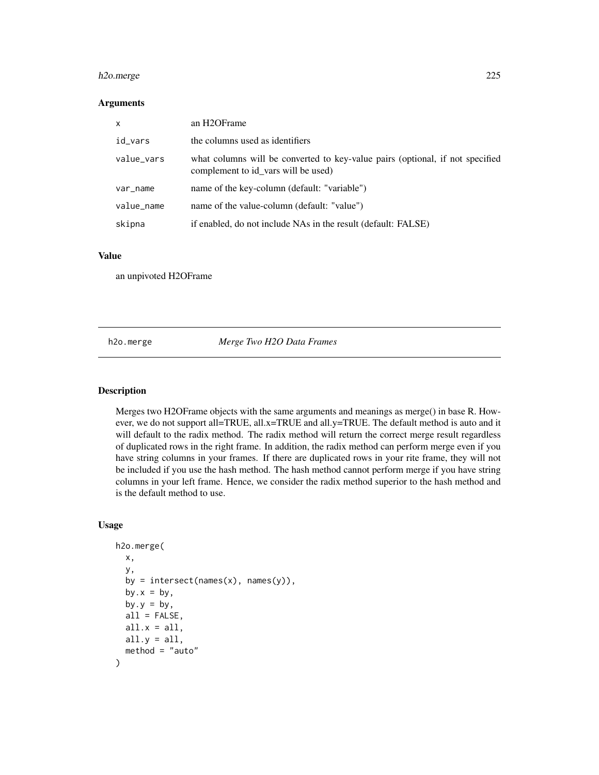# h2o.merge 225

## Arguments

| X          | an H2OFrame                                                                                                          |
|------------|----------------------------------------------------------------------------------------------------------------------|
| id_vars    | the columns used as identifiers                                                                                      |
| value_vars | what columns will be converted to key-value pairs (optional, if not specified<br>complement to id_vars will be used) |
| var_name   | name of the key-column (default: "variable")                                                                         |
| value_name | name of the value-column (default: "value")                                                                          |
| skipna     | if enabled, do not include NAs in the result (default: FALSE)                                                        |

#### Value

an unpivoted H2OFrame

h2o.merge *Merge Two H2O Data Frames*

# Description

Merges two H2OFrame objects with the same arguments and meanings as merge() in base R. However, we do not support all=TRUE, all.x=TRUE and all.y=TRUE. The default method is auto and it will default to the radix method. The radix method will return the correct merge result regardless of duplicated rows in the right frame. In addition, the radix method can perform merge even if you have string columns in your frames. If there are duplicated rows in your rite frame, they will not be included if you use the hash method. The hash method cannot perform merge if you have string columns in your left frame. Hence, we consider the radix method superior to the hash method and is the default method to use.

### Usage

```
h2o.merge(
  x,
  y,
  by = intersect(names(x), names(y)),
  by.x = by,
  by.y = by,
  all = FALSE,all.x = all,all.y = a11,
  method = "auto")
```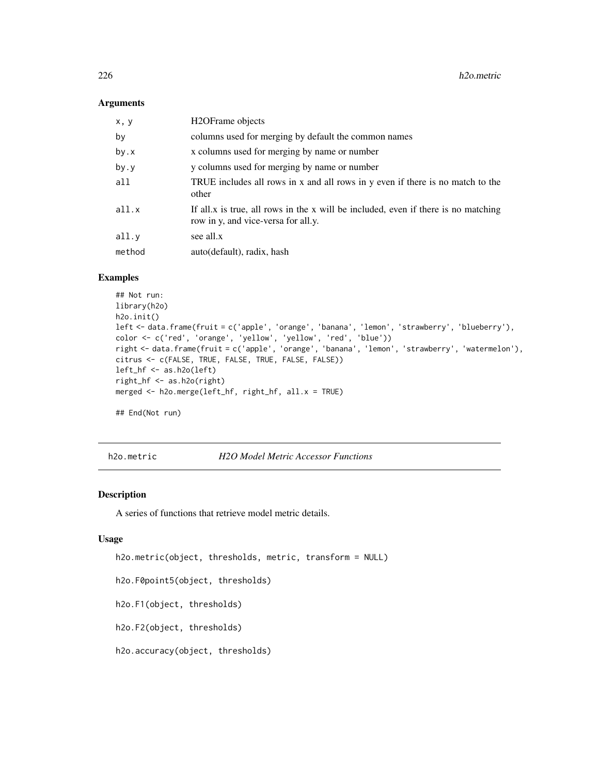## Arguments

| x, y   | H <sub>2</sub> OFrame objects                                                                                             |
|--------|---------------------------------------------------------------------------------------------------------------------------|
| by     | columns used for merging by default the common names                                                                      |
| by.x   | x columns used for merging by name or number                                                                              |
| by.y   | y columns used for merging by name or number                                                                              |
| all    | TRUE includes all rows in x and all rows in y even if there is no match to the<br>other                                   |
| all.x  | If all x is true, all rows in the x will be included, even if there is no matching<br>row in y, and vice-versa for all.y. |
| all.y  | see all.x                                                                                                                 |
| method | auto(default), radix, hash                                                                                                |
|        |                                                                                                                           |

# Examples

```
## Not run:
library(h2o)
h2o.init()
left <- data.frame(fruit = c('apple', 'orange', 'banana', 'lemon', 'strawberry', 'blueberry'),
color <- c('red', 'orange', 'yellow', 'yellow', 'red', 'blue'))
right <- data.frame(fruit = c('apple', 'orange', 'banana', 'lemon', 'strawberry', 'watermelon'),
citrus <- c(FALSE, TRUE, FALSE, TRUE, FALSE, FALSE))
left_hf <- as.h2o(left)
right_hf <- as.h2o(right)
merged <- h2o.merge(left_hf, right_hf, all.x = TRUE)
## End(Not run)
```
<span id="page-225-0"></span>h2o.metric *H2O Model Metric Accessor Functions*

# Description

A series of functions that retrieve model metric details.

### Usage

```
h2o.metric(object, thresholds, metric, transform = NULL)
```
h2o.F0point5(object, thresholds)

h2o.F1(object, thresholds)

h2o.F2(object, thresholds)

h2o.accuracy(object, thresholds)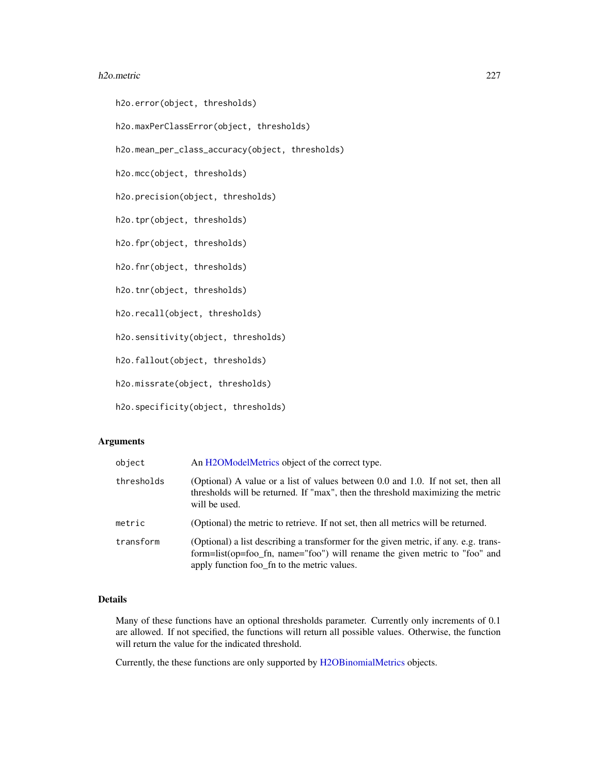#### h2o.metric 227

h2o.error(object, thresholds)

h2o.maxPerClassError(object, thresholds)

h2o.mean\_per\_class\_accuracy(object, thresholds)

h2o.mcc(object, thresholds)

h2o.precision(object, thresholds)

h2o.tpr(object, thresholds)

h2o.fpr(object, thresholds)

h2o.fnr(object, thresholds)

h2o.tnr(object, thresholds)

h2o.recall(object, thresholds)

h2o.sensitivity(object, thresholds)

h2o.fallout(object, thresholds)

h2o.missrate(object, thresholds)

h2o.specificity(object, thresholds)

# Arguments

| object     | An H2OModelMetrics object of the correct type.                                                                                                                                                                    |
|------------|-------------------------------------------------------------------------------------------------------------------------------------------------------------------------------------------------------------------|
| thresholds | (Optional) A value or a list of values between 0.0 and 1.0. If not set, then all<br>thresholds will be returned. If "max", then the threshold maximizing the metric<br>will be used.                              |
| metric     | (Optional) the metric to retrieve. If not set, then all metrics will be returned.                                                                                                                                 |
| transform  | (Optional) a list describing a transformer for the given metric, if any. e.g. trans-<br>form=list(op=foo_fn, name="foo") will rename the given metric to "foo" and<br>apply function foo_fn to the metric values. |

# Details

Many of these functions have an optional thresholds parameter. Currently only increments of 0.1 are allowed. If not specified, the functions will return all possible values. Otherwise, the function will return the value for the indicated threshold.

Currently, the these functions are only supported by [H2OBinomialMetrics](#page-371-1) objects.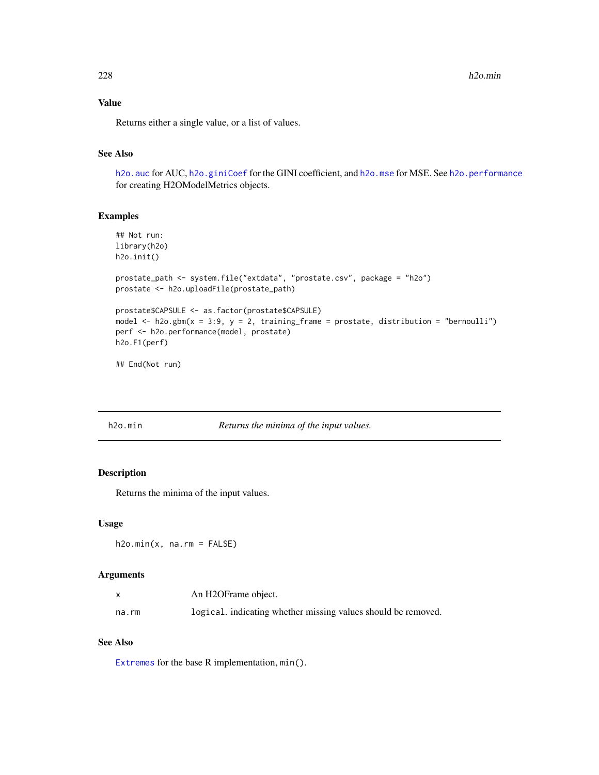$228$  h2o.min

# Value

Returns either a single value, or a list of values.

# See Also

h2o. auc for AUC, [h2o.giniCoef](#page-156-0) for the GINI coefficient, and [h2o.mse](#page-233-0) for MSE. See [h2o.performance](#page-256-0) for creating H2OModelMetrics objects.

# Examples

```
## Not run:
library(h2o)
h2o.init()
prostate_path <- system.file("extdata", "prostate.csv", package = "h2o")
prostate <- h2o.uploadFile(prostate_path)
prostate$CAPSULE <- as.factor(prostate$CAPSULE)
model \leq h2o.gbm(x = 3:9, y = 2, training_frame = prostate, distribution = "bernoulli")
perf <- h2o.performance(model, prostate)
h2o.F1(perf)
```
## End(Not run)

| h2o.min |  |
|---------|--|

#### Returns the minima of the input values.

# Description

Returns the minima of the input values.

## Usage

 $h2o.min(x, na.rm = FALSE)$ 

### Arguments

|       | An H2OFrame object.                                           |
|-------|---------------------------------------------------------------|
| na.rm | logical, indicating whether missing values should be removed. |

#### See Also

[Extremes](#page-0-0) for the base R implementation, min().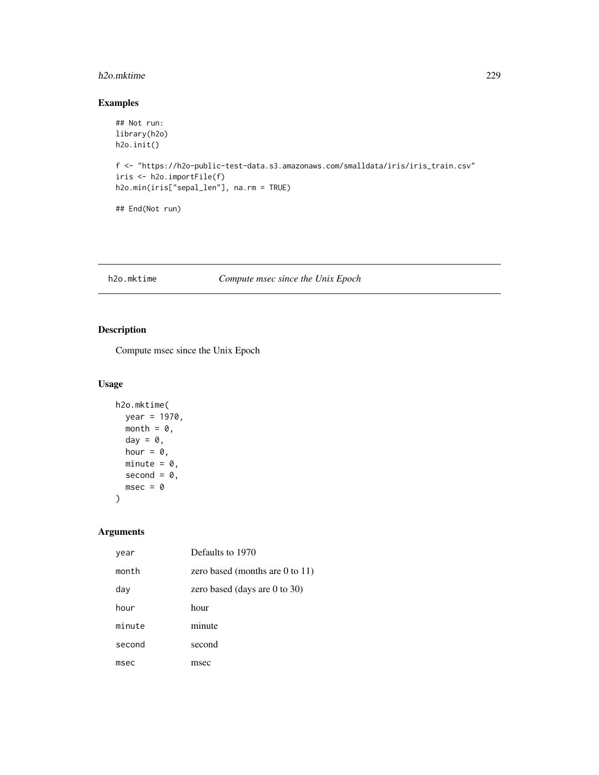#### h2o.mktime 229

# Examples

```
## Not run:
library(h2o)
h2o.init()
f <- "https://h2o-public-test-data.s3.amazonaws.com/smalldata/iris/iris_train.csv"
iris <- h2o.importFile(f)
h2o.min(iris["sepal_len"], na.rm = TRUE)
## End(Not run)
```
# h2o.mktime *Compute msec since the Unix Epoch*

# Description

Compute msec since the Unix Epoch

# Usage

```
h2o.mktime(
  year = 1970,
  month = \theta,
  day = \theta,
  hour = 0,
  minute = 0,
  second = 0,
  msec = 0)
```
# Arguments

| year   | Defaults to 1970                |
|--------|---------------------------------|
| month  | zero based (months are 0 to 11) |
| day    | zero based (days are 0 to 30)   |
| hour   | hour                            |
| minute | minute                          |
| second | second                          |
| msec   | msec                            |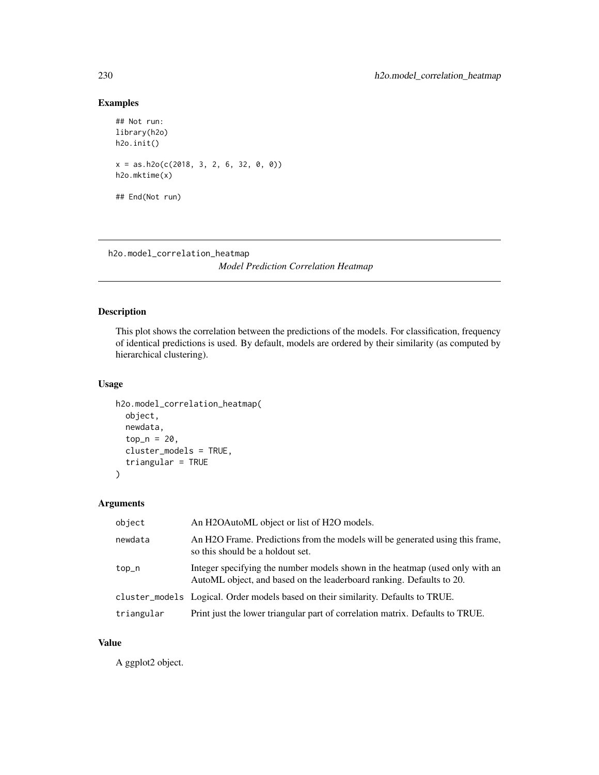# Examples

```
## Not run:
library(h2o)
h2o.init()
x = as.h2o(c(2018, 3, 2, 6, 32, 0, 0))h2o.mktime(x)
## End(Not run)
```
h2o.model\_correlation\_heatmap *Model Prediction Correlation Heatmap*

# Description

This plot shows the correlation between the predictions of the models. For classification, frequency of identical predictions is used. By default, models are ordered by their similarity (as computed by hierarchical clustering).

# Usage

```
h2o.model_correlation_heatmap(
 object,
 newdata,
  top_n = 20,
  cluster_models = TRUE,
  triangular = TRUE
)
```
# Arguments

| object     | An H2OAutoML object or list of H2O models.                                                                                                           |
|------------|------------------------------------------------------------------------------------------------------------------------------------------------------|
| newdata    | An H <sub>2</sub> O Frame. Predictions from the models will be generated using this frame,<br>so this should be a holdout set.                       |
| top_n      | Integer specifying the number models shown in the heatmap (used only with an<br>AutoML object, and based on the leaderboard ranking. Defaults to 20. |
|            | cluster_models Logical. Order models based on their similarity. Defaults to TRUE.                                                                    |
| triangular | Print just the lower triangular part of correlation matrix. Defaults to TRUE.                                                                        |

#### Value

A ggplot2 object.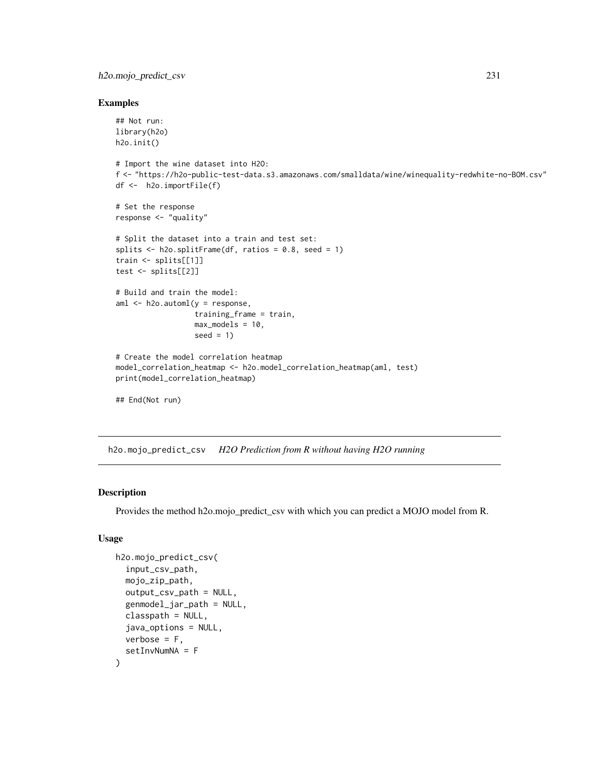# h2o.mojo\_predict\_csv 231

### Examples

```
## Not run:
library(h2o)
h2o.init()
# Import the wine dataset into H2O:
f <- "https://h2o-public-test-data.s3.amazonaws.com/smalldata/wine/winequality-redwhite-no-BOM.csv"
df <- h2o.importFile(f)
# Set the response
response <- "quality"
# Split the dataset into a train and test set:
splits \le h2o.splitFrame(df, ratios = 0.8, seed = 1)
train <- splits[[1]]
test <- splits[[2]]
# Build and train the model:
aml <- h2o.automl(y = response,
                  training_frame = train,
                  max_models = 10,
                  seed = 1)
# Create the model correlation heatmap
model_correlation_heatmap <- h2o.model_correlation_heatmap(aml, test)
print(model_correlation_heatmap)
## End(Not run)
```
h2o.mojo\_predict\_csv *H2O Prediction from R without having H2O running*

## Description

Provides the method h2o.mojo\_predict\_csv with which you can predict a MOJO model from R.

# Usage

```
h2o.mojo_predict_csv(
  input_csv_path,
  mojo_zip_path,
  output_csv_path = NULL,
  genmodel_jar_path = NULL,
  classpath = NULL,
  java_options = NULL,
  verbose = F,
  setInvNumNA = F
)
```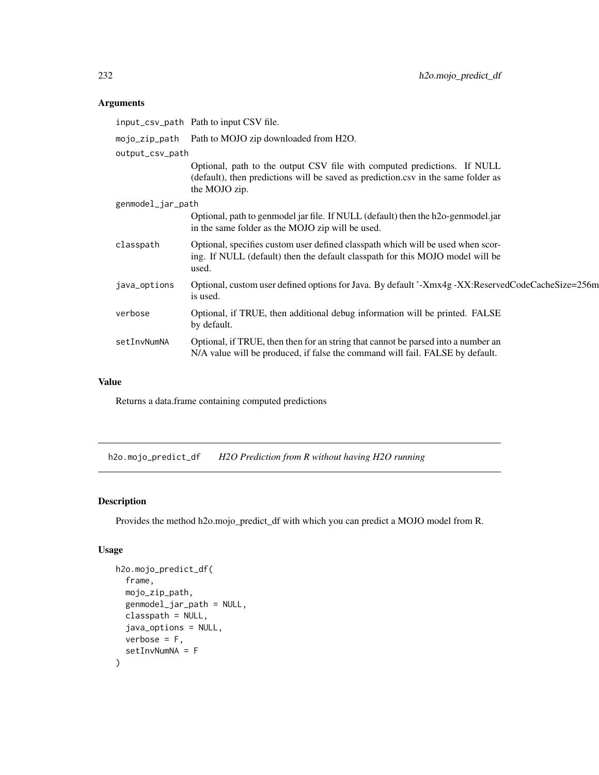# Arguments

|                   | input_csv_path Path to input CSV file.                                                                                                                                         |
|-------------------|--------------------------------------------------------------------------------------------------------------------------------------------------------------------------------|
|                   | mojo_zip_path Path to MOJO zip downloaded from H2O.                                                                                                                            |
| output_csv_path   |                                                                                                                                                                                |
|                   | Optional, path to the output CSV file with computed predictions. If NULL<br>(default), then predictions will be saved as prediction.csv in the same folder as<br>the MOJO zip. |
| genmodel_jar_path |                                                                                                                                                                                |
|                   | Optional, path to genmodel jar file. If NULL (default) then the h2o-genmodel.jar<br>in the same folder as the MOJO zip will be used.                                           |
| classpath         | Optional, specifies custom user defined classpath which will be used when scor-<br>ing. If NULL (default) then the default classpath for this MOJO model will be<br>used.      |
| java_options      | Optional, custom user defined options for Java. By default '-Xmx4g -XX:ReservedCodeCacheSize=256m<br>is used.                                                                  |
| verbose           | Optional, if TRUE, then additional debug information will be printed. FALSE<br>by default.                                                                                     |
| setInvNumNA       | Optional, if TRUE, then then for an string that cannot be parsed into a number an<br>N/A value will be produced, if false the command will fail. FALSE by default.             |

# Value

Returns a data.frame containing computed predictions

h2o.mojo\_predict\_df *H2O Prediction from R without having H2O running*

# Description

Provides the method h2o.mojo\_predict\_df with which you can predict a MOJO model from R.

# Usage

```
h2o.mojo_predict_df(
  frame,
 mojo_zip_path,
  genmodel_jar_path = NULL,
 classpath = NULL,
  java_options = NULL,
 verbose = F,
  setInvNumNA = F
\mathcal{E}
```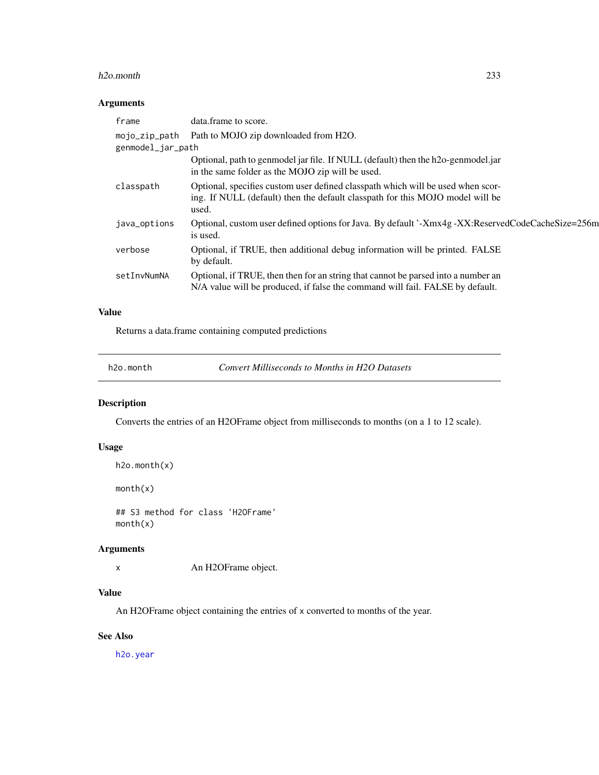#### h2o.month 233

# Arguments

| frame             | data.frame to score.                                                                                                                                                      |
|-------------------|---------------------------------------------------------------------------------------------------------------------------------------------------------------------------|
| mojo_zip_path     | Path to MOJO zip downloaded from H2O.                                                                                                                                     |
| genmodel_jar_path |                                                                                                                                                                           |
|                   | Optional, path to genmodel jar file. If NULL (default) then the h2o-genmodel.jar<br>in the same folder as the MOJO zip will be used.                                      |
| classpath         | Optional, specifies custom user defined classpath which will be used when scor-<br>ing. If NULL (default) then the default classpath for this MOJO model will be<br>used. |
| java_options      | Optional, custom user defined options for Java. By default '-Xmx4g -XX:ReservedCodeCacheSize=256m<br>is used.                                                             |
| verbose           | Optional, if TRUE, then additional debug information will be printed. FALSE<br>by default.                                                                                |
| setInvNumNA       | Optional, if TRUE, then then for an string that cannot be parsed into a number an<br>N/A value will be produced, if false the command will fail. FALSE by default.        |

# Value

Returns a data.frame containing computed predictions

h2o.month *Convert Milliseconds to Months in H2O Datasets*

# Description

Converts the entries of an H2OFrame object from milliseconds to months (on a 1 to 12 scale).

# Usage

```
h2o.month(x)
```
month(x)

## S3 method for class 'H2OFrame' month(x)

# Arguments

x An H2OFrame object.

# Value

An H2OFrame object containing the entries of x converted to months of the year.

# See Also

[h2o.year](#page-363-0)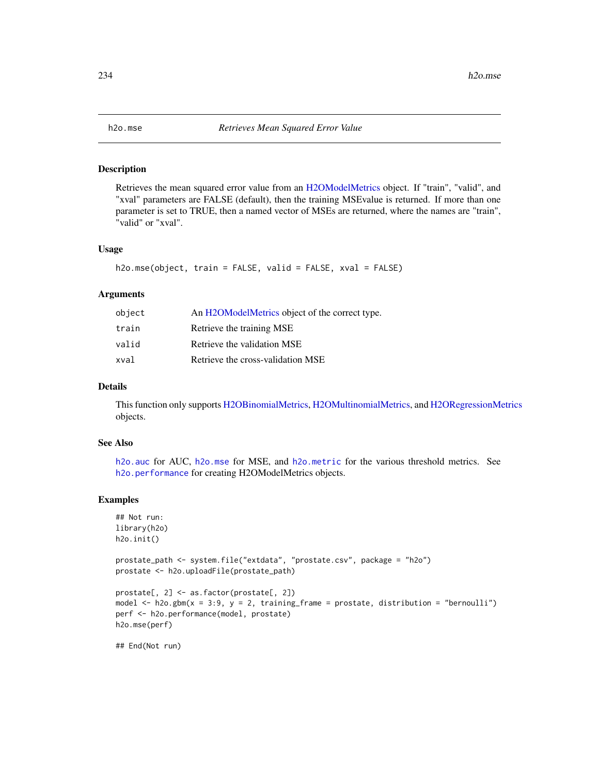<span id="page-233-0"></span>

#### Description

Retrieves the mean squared error value from an [H2OModelMetrics](#page-371-0) object. If "train", "valid", and "xval" parameters are FALSE (default), then the training MSEvalue is returned. If more than one parameter is set to TRUE, then a named vector of MSEs are returned, where the names are "train", "valid" or "xval".

#### Usage

```
h2o.mse(object, train = FALSE, valid = FALSE, xval = FALSE)
```
#### Arguments

| object | An H2OModelMetrics object of the correct type. |
|--------|------------------------------------------------|
| train  | Retrieve the training MSE                      |
| valid  | Retrieve the validation MSE                    |
| xval   | Retrieve the cross-validation MSE              |

#### Details

This function only supports [H2OBinomialMetrics,](#page-371-1) [H2OMultinomialMetrics,](#page-371-1) and [H2ORegressionMetrics](#page-371-1) objects.

# See Also

[h2o.auc](#page-61-0) for AUC, [h2o.mse](#page-233-0) for MSE, and [h2o.metric](#page-225-0) for the various threshold metrics. See [h2o.performance](#page-256-0) for creating H2OModelMetrics objects.

# Examples

```
## Not run:
library(h2o)
h2o.init()
```

```
prostate_path <- system.file("extdata", "prostate.csv", package = "h2o")
prostate <- h2o.uploadFile(prostate_path)
```

```
prostate[, 2] <- as.factor(prostate[, 2])
model \leq h2o.gbm(x = 3:9, y = 2, training_frame = prostate, distribution = "bernoulli")
perf <- h2o.performance(model, prostate)
h2o.mse(perf)
```
## End(Not run)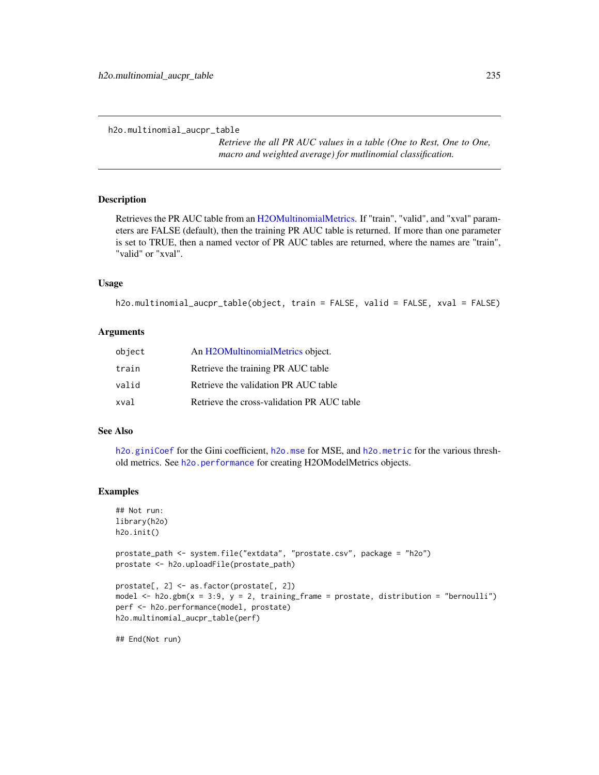```
h2o.multinomial_aucpr_table
```
*Retrieve the all PR AUC values in a table (One to Rest, One to One, macro and weighted average) for mutlinomial classification.*

# Description

Retrieves the PR AUC table from an [H2OMultinomialMetrics.](#page-371-1) If "train", "valid", and "xval" parameters are FALSE (default), then the training PR AUC table is returned. If more than one parameter is set to TRUE, then a named vector of PR AUC tables are returned, where the names are "train", "valid" or "xval".

#### Usage

```
h2o.multinomial_aucpr_table(object, train = FALSE, valid = FALSE, xval = FALSE)
```
### Arguments

| object | An H <sub>2</sub> OMultinomialMetrics object. |
|--------|-----------------------------------------------|
| train  | Retrieve the training PR AUC table            |
| valid  | Retrieve the validation PR AUC table          |
| xval   | Retrieve the cross-validation PR AUC table    |

### See Also

[h2o.giniCoef](#page-156-0) for the Gini coefficient, [h2o.mse](#page-233-0) for MSE, and [h2o.metric](#page-225-0) for the various threshold metrics. See [h2o.performance](#page-256-0) for creating H2OModelMetrics objects.

#### Examples

```
## Not run:
library(h2o)
h2o.init()
prostate_path <- system.file("extdata", "prostate.csv", package = "h2o")
prostate <- h2o.uploadFile(prostate_path)
prostate[, 2] <- as.factor(prostate[, 2])
model \leq h2o.gbm(x = 3:9, y = 2, training_frame = prostate, distribution = "bernoulli")
perf <- h2o.performance(model, prostate)
h2o.multinomial_aucpr_table(perf)
## End(Not run)
```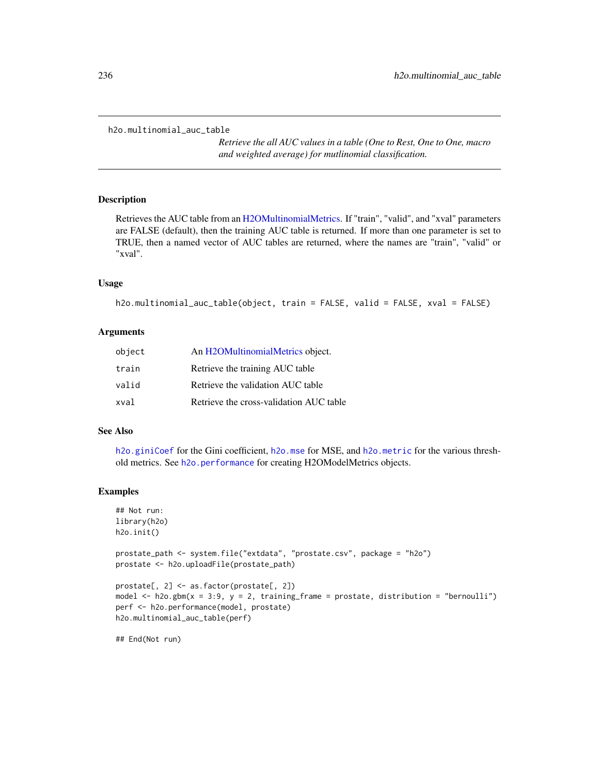```
h2o.multinomial_auc_table
```
*Retrieve the all AUC values in a table (One to Rest, One to One, macro and weighted average) for mutlinomial classification.*

# Description

Retrieves the AUC table from an [H2OMultinomialMetrics.](#page-371-1) If "train", "valid", and "xval" parameters are FALSE (default), then the training AUC table is returned. If more than one parameter is set to TRUE, then a named vector of AUC tables are returned, where the names are "train", "valid" or "xval".

#### Usage

```
h2o.multinomial_auc_table(object, train = FALSE, valid = FALSE, xval = FALSE)
```
### Arguments

| object | An H2OMultinomialMetrics object.        |
|--------|-----------------------------------------|
| train  | Retrieve the training AUC table         |
| valid  | Retrieve the validation AUC table       |
| xval   | Retrieve the cross-validation AUC table |

### See Also

[h2o.giniCoef](#page-156-0) for the Gini coefficient, [h2o.mse](#page-233-0) for MSE, and [h2o.metric](#page-225-0) for the various threshold metrics. See [h2o.performance](#page-256-0) for creating H2OModelMetrics objects.

#### Examples

```
## Not run:
library(h2o)
h2o.init()
prostate_path <- system.file("extdata", "prostate.csv", package = "h2o")
prostate <- h2o.uploadFile(prostate_path)
prostate[, 2] <- as.factor(prostate[, 2])
model \leq h2o.gbm(x = 3:9, y = 2, training_frame = prostate, distribution = "bernoulli")
perf <- h2o.performance(model, prostate)
h2o.multinomial_auc_table(perf)
```
## End(Not run)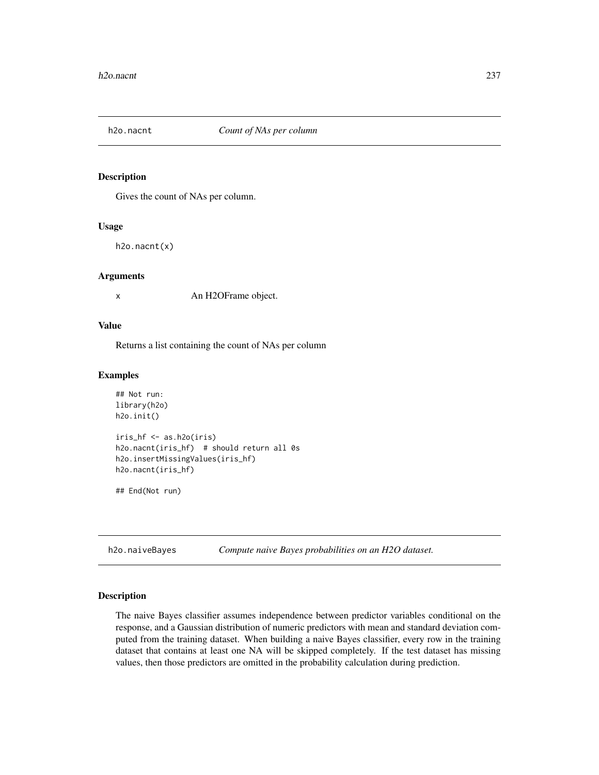# Description

Gives the count of NAs per column.

#### Usage

h2o.nacnt(x)

#### Arguments

x An H2OFrame object.

#### Value

Returns a list containing the count of NAs per column

#### Examples

```
## Not run:
library(h2o)
h2o.init()
iris_hf <- as.h2o(iris)
h2o.nacnt(iris_hf) # should return all 0s
h2o.insertMissingValues(iris_hf)
h2o.nacnt(iris_hf)
```
## End(Not run)

h2o.naiveBayes *Compute naive Bayes probabilities on an H2O dataset.*

## Description

The naive Bayes classifier assumes independence between predictor variables conditional on the response, and a Gaussian distribution of numeric predictors with mean and standard deviation computed from the training dataset. When building a naive Bayes classifier, every row in the training dataset that contains at least one NA will be skipped completely. If the test dataset has missing values, then those predictors are omitted in the probability calculation during prediction.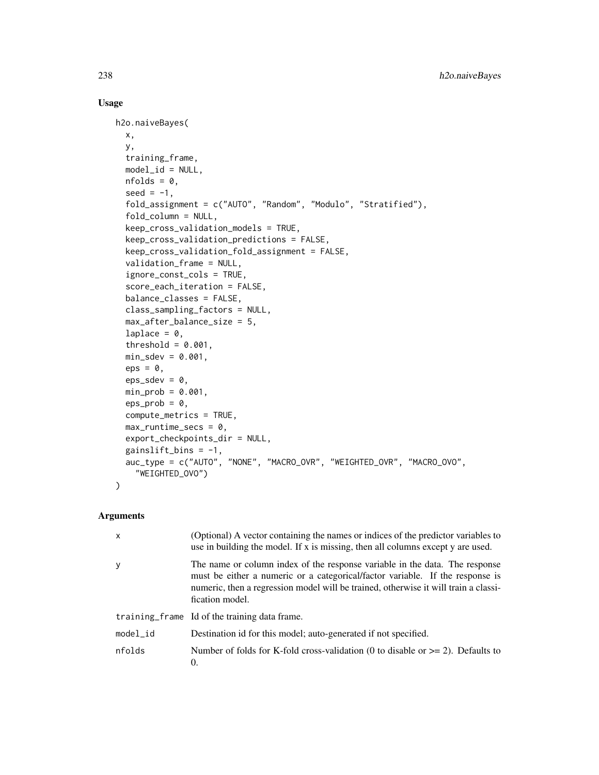# Usage

```
h2o.naiveBayes(
  x,
 y,
  training_frame,
 model_id = NULL,nfolds = 0,
  seed = -1,
  fold_assignment = c("AUTO", "Random", "Modulo", "Stratified"),
  fold_column = NULL,
  keep_cross_validation_models = TRUE,
  keep_cross_validation_predictions = FALSE,
  keep_cross_validation_fold_assignment = FALSE,
  validation_frame = NULL,
  ignore_const_cols = TRUE,
  score_each_iteration = FALSE,
  balance_classes = FALSE,
  class_sampling_factors = NULL,
  max_after_balance_size = 5,
  laplace = 0,
  threshold = 0.001,
  min\_sdev = 0.001,
  eps = 0,
  eps_sdev = 0,
  min\_prob = 0.001,eps\_prob = 0,
  compute_metrics = TRUE,
 max_runtime_secs = 0,
  export_checkpoints_dir = NULL,
  gainslift_bins = -1,
  auc_type = c("AUTO", "NONE", "MACRO_OVR", "WEIGHTED_OVR", "MACRO_OVO",
    "WEIGHTED_OVO")
)
```
# Arguments

| $\mathsf{x}$ | (Optional) A vector containing the names or indices of the predictor variables to<br>use in building the model. If x is missing, then all columns except y are used.                                                                                                   |
|--------------|------------------------------------------------------------------------------------------------------------------------------------------------------------------------------------------------------------------------------------------------------------------------|
| y            | The name or column index of the response variable in the data. The response<br>must be either a numeric or a categorical/factor variable. If the response is<br>numeric, then a regression model will be trained, otherwise it will train a classi-<br>fication model. |
|              | training frame Id of the training data frame.                                                                                                                                                                                                                          |
| $model_id$   | Destination id for this model; auto-generated if not specified.                                                                                                                                                                                                        |
| nfolds       | Number of folds for K-fold cross-validation (0 to disable or $\geq$ 2). Defaults to<br>$\Omega$ .                                                                                                                                                                      |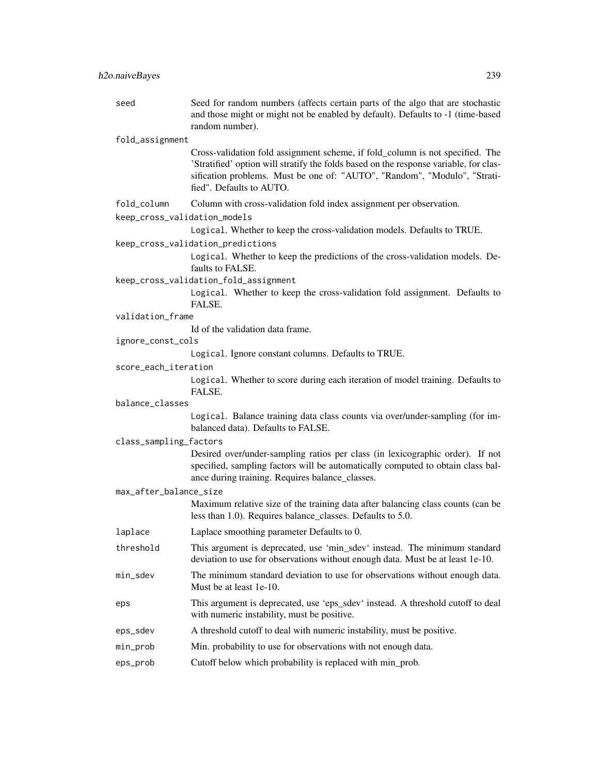| seed                         | Seed for random numbers (affects certain parts of the algo that are stochastic<br>and those might or might not be enabled by default). Defaults to -1 (time-based<br>random number).                                                                                            |
|------------------------------|---------------------------------------------------------------------------------------------------------------------------------------------------------------------------------------------------------------------------------------------------------------------------------|
| fold_assignment              |                                                                                                                                                                                                                                                                                 |
|                              | Cross-validation fold assignment scheme, if fold_column is not specified. The<br>'Stratified' option will stratify the folds based on the response variable, for clas-<br>sification problems. Must be one of: "AUTO", "Random", "Modulo", "Strati-<br>fied". Defaults to AUTO. |
| fold_column                  | Column with cross-validation fold index assignment per observation.                                                                                                                                                                                                             |
| keep_cross_validation_models |                                                                                                                                                                                                                                                                                 |
|                              | Logical. Whether to keep the cross-validation models. Defaults to TRUE.                                                                                                                                                                                                         |
|                              | keep_cross_validation_predictions                                                                                                                                                                                                                                               |
|                              | Logical. Whether to keep the predictions of the cross-validation models. De-<br>faults to FALSE.                                                                                                                                                                                |
|                              | keep_cross_validation_fold_assignment                                                                                                                                                                                                                                           |
|                              | Logical. Whether to keep the cross-validation fold assignment. Defaults to<br>FALSE.                                                                                                                                                                                            |
| validation_frame             |                                                                                                                                                                                                                                                                                 |
|                              | Id of the validation data frame.                                                                                                                                                                                                                                                |
| ignore_const_cols            |                                                                                                                                                                                                                                                                                 |
|                              | Logical. Ignore constant columns. Defaults to TRUE.                                                                                                                                                                                                                             |
| score_each_iteration         | Logical. Whether to score during each iteration of model training. Defaults to                                                                                                                                                                                                  |
|                              | FALSE.                                                                                                                                                                                                                                                                          |
| balance_classes              |                                                                                                                                                                                                                                                                                 |
|                              | Logical. Balance training data class counts via over/under-sampling (for im-<br>balanced data). Defaults to FALSE.                                                                                                                                                              |
| class_sampling_factors       |                                                                                                                                                                                                                                                                                 |
|                              | Desired over/under-sampling ratios per class (in lexicographic order). If not<br>specified, sampling factors will be automatically computed to obtain class bal-<br>ance during training. Requires balance_classes.                                                             |
| max_after_balance_size       |                                                                                                                                                                                                                                                                                 |
|                              | Maximum relative size of the training data after balancing class counts (can be<br>less than 1.0). Requires balance_classes. Defaults to 5.0.                                                                                                                                   |
| laplace                      | Laplace smoothing parameter Defaults to 0.                                                                                                                                                                                                                                      |
| threshold                    | This argument is deprecated, use 'min_sdev' instead. The minimum standard<br>deviation to use for observations without enough data. Must be at least 1e-10.                                                                                                                     |
| min_sdev                     | The minimum standard deviation to use for observations without enough data.<br>Must be at least 1e-10.                                                                                                                                                                          |
| eps                          | This argument is deprecated, use 'eps_sdev' instead. A threshold cutoff to deal<br>with numeric instability, must be positive.                                                                                                                                                  |
| eps_sdev                     | A threshold cutoff to deal with numeric instability, must be positive.                                                                                                                                                                                                          |
| min_prob                     | Min. probability to use for observations with not enough data.                                                                                                                                                                                                                  |
| eps_prob                     | Cutoff below which probability is replaced with min_prob.                                                                                                                                                                                                                       |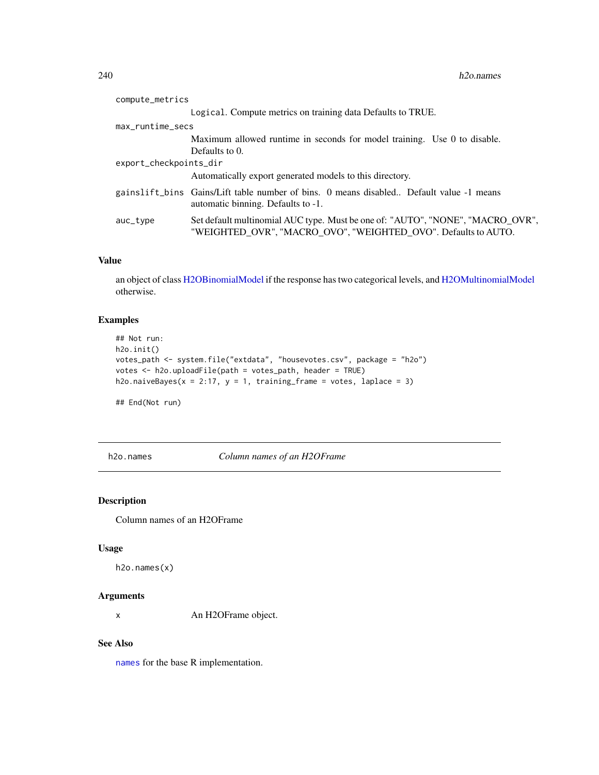| compute_metrics        |                                                                                                                                                  |  |
|------------------------|--------------------------------------------------------------------------------------------------------------------------------------------------|--|
|                        | Logical. Compute metrics on training data Defaults to TRUE.                                                                                      |  |
| max_runtime_secs       |                                                                                                                                                  |  |
|                        | Maximum allowed runtime in seconds for model training. Use 0 to disable.                                                                         |  |
|                        | Defaults to 0.                                                                                                                                   |  |
| export_checkpoints_dir |                                                                                                                                                  |  |
|                        | Automatically export generated models to this directory.                                                                                         |  |
|                        | gainslift_bins Gains/Lift table number of bins. 0 means disabled Default value -1 means<br>automatic binning. Defaults to -1.                    |  |
| $auc_{\text{-}}type$   | Set default multinomial AUC type. Must be one of: "AUTO", "NONE", "MACRO_OVR",<br>"WEIGHTED OVR", "MACRO OVO", "WEIGHTED OVO". Defaults to AUTO. |  |
|                        |                                                                                                                                                  |  |

# Value

an object of class [H2OBinomialModel](#page-370-1) if the response has two categorical levels, and [H2OMultinomialModel](#page-370-1) otherwise.

# Examples

```
## Not run:
h2o.init()
votes_path <- system.file("extdata", "housevotes.csv", package = "h2o")
votes <- h2o.uploadFile(path = votes_path, header = TRUE)
h2o.naiveBayes(x = 2:17, y = 1, training_frame = votes, laplace = 3)
```
## End(Not run)

h2o.names *Column names of an H2OFrame*

# Description

Column names of an H2OFrame

# Usage

```
h2o.names(x)
```
#### Arguments

x An H2OFrame object.

#### See Also

[names](#page-0-0) for the base R implementation.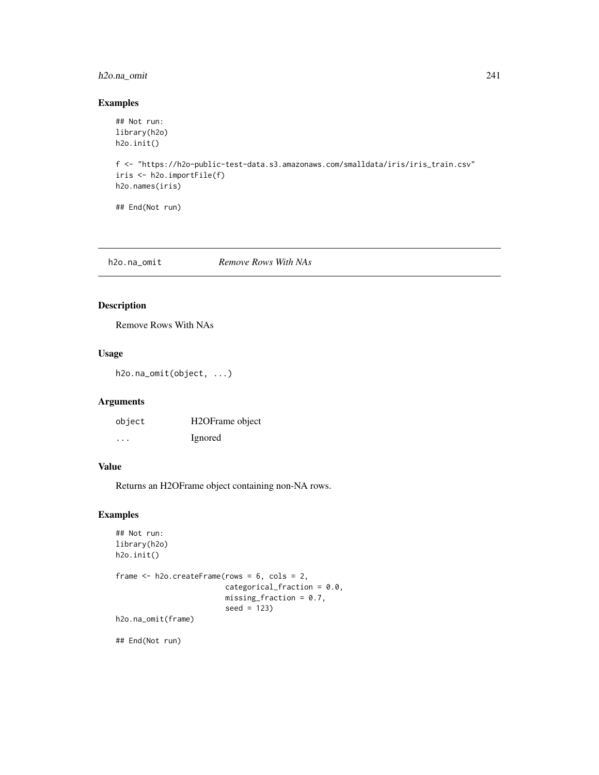# h2o.na\_omit 241

# Examples

```
## Not run:
library(h2o)
h2o.init()
f <- "https://h2o-public-test-data.s3.amazonaws.com/smalldata/iris/iris_train.csv"
iris <- h2o.importFile(f)
h2o.names(iris)
## End(Not run)
```
h2o.na\_omit *Remove Rows With NAs*

# Description

Remove Rows With NAs

## Usage

```
h2o.na_omit(object, ...)
```
# Arguments

| object   | H <sub>2</sub> OFrame object |
|----------|------------------------------|
| $\cdots$ | Ignored                      |

# Value

Returns an H2OFrame object containing non-NA rows.

# Examples

```
## Not run:
library(h2o)
h2o.init()
frame <- h2o.createFrame(rows = 6, cols = 2,
                         categorical_fraction = 0.0,
                         missing_fraction = 0.7,
                         seed = 123)
h2o.na_omit(frame)
```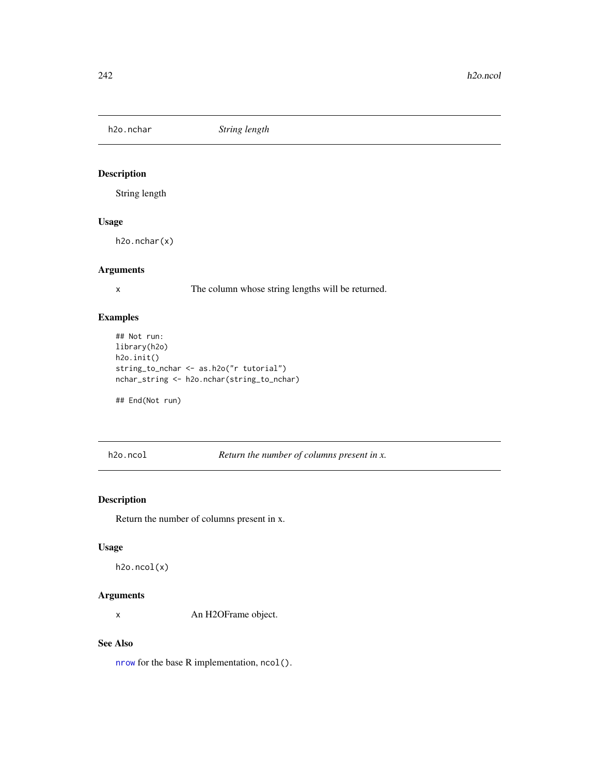h2o.nchar *String length*

# Description

String length

# Usage

h2o.nchar(x)

# Arguments

x The column whose string lengths will be returned.

# Examples

```
## Not run:
library(h2o)
h2o.init()
string_to_nchar <- as.h2o("r tutorial")
nchar_string <- h2o.nchar(string_to_nchar)
```
## End(Not run)

h2o.ncol *Return the number of columns present in x.*

# Description

Return the number of columns present in x.

# Usage

h2o.ncol(x)

#### Arguments

x An H2OFrame object.

## See Also

[nrow](#page-0-0) for the base R implementation, ncol().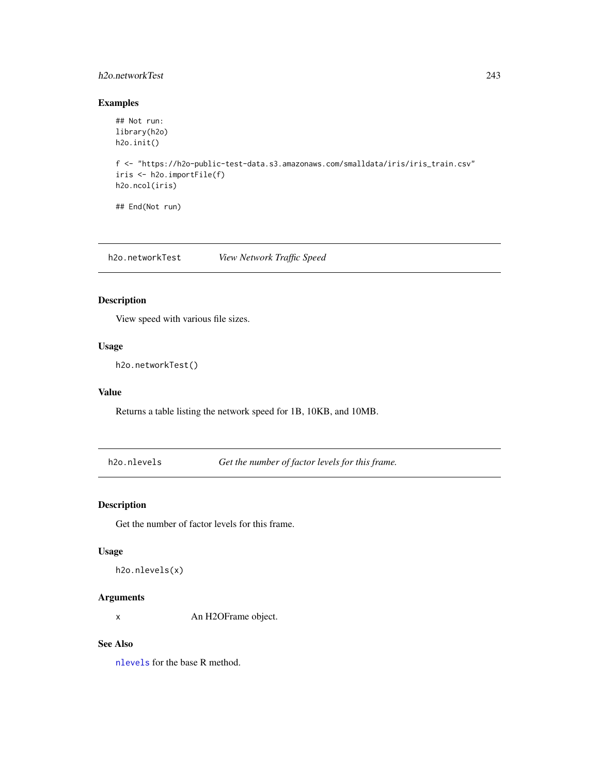# h2o.networkTest 243

# Examples

```
## Not run:
library(h2o)
h2o.init()
f <- "https://h2o-public-test-data.s3.amazonaws.com/smalldata/iris/iris_train.csv"
iris <- h2o.importFile(f)
h2o.ncol(iris)
## End(Not run)
```
h2o.networkTest *View Network Traffic Speed*

# Description

View speed with various file sizes.

#### Usage

h2o.networkTest()

#### Value

Returns a table listing the network speed for 1B, 10KB, and 10MB.

h2o.nlevels *Get the number of factor levels for this frame.*

# Description

Get the number of factor levels for this frame.

### Usage

h2o.nlevels(x)

# Arguments

x An H2OFrame object.

# See Also

[nlevels](#page-0-0) for the base R method.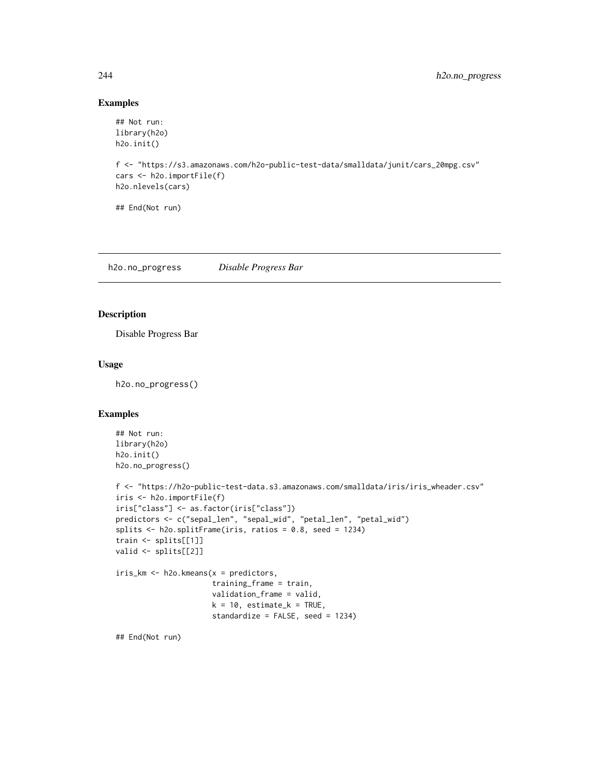# Examples

```
## Not run:
library(h2o)
h2o.init()
f <- "https://s3.amazonaws.com/h2o-public-test-data/smalldata/junit/cars_20mpg.csv"
cars <- h2o.importFile(f)
h2o.nlevels(cars)
## End(Not run)
```
h2o.no\_progress *Disable Progress Bar*

# Description

Disable Progress Bar

#### Usage

h2o.no\_progress()

# Examples

```
## Not run:
library(h2o)
h2o.init()
h2o.no_progress()
f <- "https://h2o-public-test-data.s3.amazonaws.com/smalldata/iris/iris_wheader.csv"
iris <- h2o.importFile(f)
iris["class"] <- as.factor(iris["class"])
predictors <- c("sepal_len", "sepal_wid", "petal_len", "petal_wid")
splits <- h2o.splitFrame(iris, ratios = 0.8, seed = 1234)
train <- splits[[1]]
valid <- splits[[2]]
iris_km <- h2o.kmeans(x = predictors,
                      training_frame = train,
                      validation_frame = valid,
                      k = 10, estimate_k = TRUE,
                      standardize = FALSE, seed = 1234)
```
## End(Not run)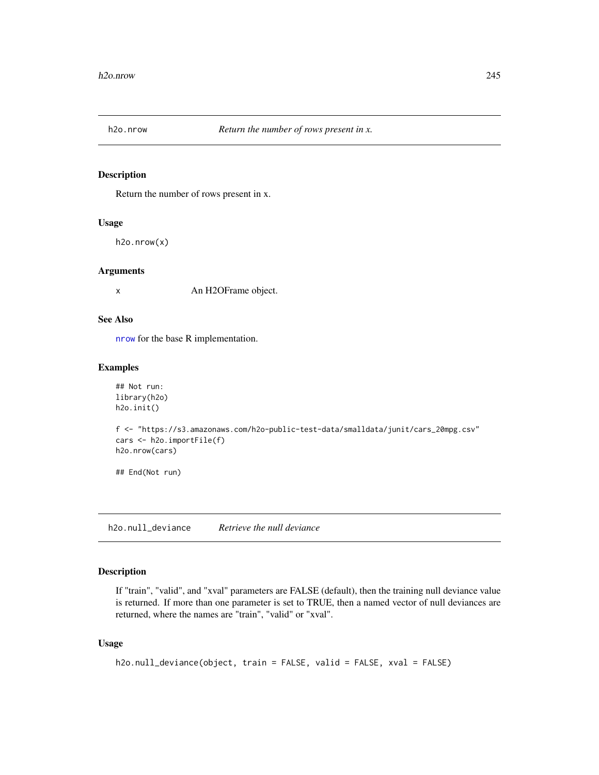# Description

Return the number of rows present in x.

### Usage

h2o.nrow(x)

### Arguments

x An H2OFrame object.

# See Also

[nrow](#page-0-0) for the base R implementation.

## Examples

```
## Not run:
library(h2o)
h2o.init()
```

```
f <- "https://s3.amazonaws.com/h2o-public-test-data/smalldata/junit/cars_20mpg.csv"
cars <- h2o.importFile(f)
h2o.nrow(cars)
```
## End(Not run)

h2o.null\_deviance *Retrieve the null deviance*

# Description

If "train", "valid", and "xval" parameters are FALSE (default), then the training null deviance value is returned. If more than one parameter is set to TRUE, then a named vector of null deviances are returned, where the names are "train", "valid" or "xval".

## Usage

```
h2o.null_deviance(object, train = FALSE, valid = FALSE, xval = FALSE)
```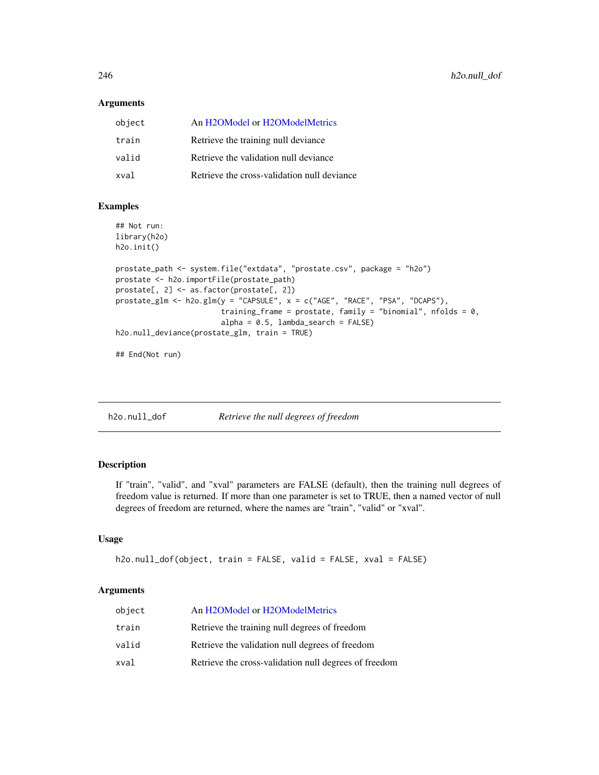#### Arguments

| object | An H2OModel or H2OModelMetrics              |
|--------|---------------------------------------------|
| train  | Retrieve the training null deviance         |
| valid  | Retrieve the validation null deviance       |
| xval   | Retrieve the cross-validation null deviance |

#### Examples

```
## Not run:
library(h2o)
h2o.init()
```

```
prostate_path <- system.file("extdata", "prostate.csv", package = "h2o")
prostate <- h2o.importFile(prostate_path)
prostate[, 2] <- as.factor(prostate[, 2])
prostate_glm <- h2o.glm(y = "CAPSULE", x = c("AGE", "RACE", "PSA", "DCAPS"),
                        training_frame = prostate, family = "binomial", nfolds = 0,
                        alpha = 0.5, lambda = search = FALSEh2o.null_deviance(prostate_glm, train = TRUE)
```
## End(Not run)

h2o.null\_dof *Retrieve the null degrees of freedom*

# Description

If "train", "valid", and "xval" parameters are FALSE (default), then the training null degrees of freedom value is returned. If more than one parameter is set to TRUE, then a named vector of null degrees of freedom are returned, where the names are "train", "valid" or "xval".

### Usage

```
h2o.null_dof(object, train = FALSE, valid = FALSE, xval = FALSE)
```
#### Arguments

| object | An H2OModel or H2OModelMetrics                        |
|--------|-------------------------------------------------------|
| train  | Retrieve the training null degrees of freedom         |
| valid  | Retrieve the validation null degrees of freedom       |
| xval   | Retrieve the cross-validation null degrees of freedom |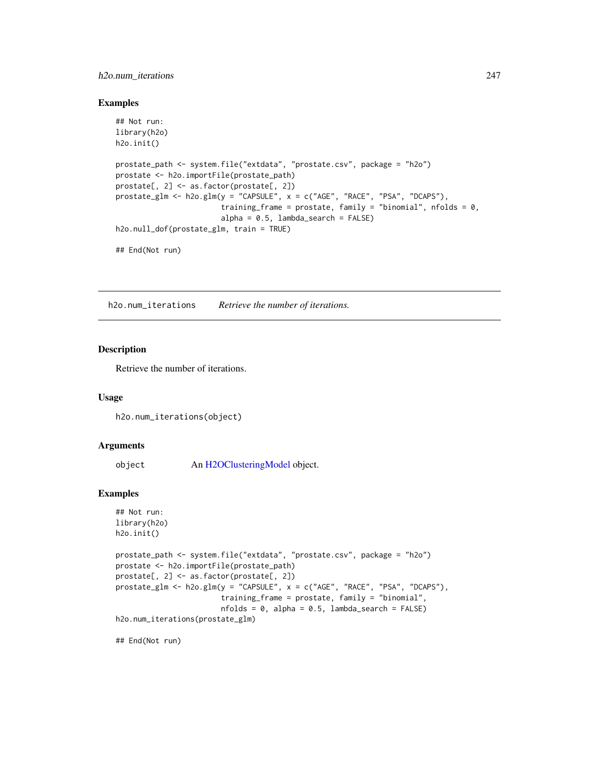## h2o.num\_iterations 247

#### Examples

```
## Not run:
library(h2o)
h2o.init()
prostate_path <- system.file("extdata", "prostate.csv", package = "h2o")
prostate <- h2o.importFile(prostate_path)
prostate[, 2] <- as.factor(prostate[, 2])
prostate_glm <- h2o.glm(y = "CAPSULE", x = c("AGE", "RACE", "PSA", "DCAPS"),
                        training_frame = prostate, family = "binomial", nfolds = 0,
                        alpha = 0.5, lambda = search = FALSEh2o.null_dof(prostate_glm, train = TRUE)
## End(Not run)
```
h2o.num\_iterations *Retrieve the number of iterations.*

# Description

Retrieve the number of iterations.

#### Usage

```
h2o.num_iterations(object)
```
#### Arguments

object An [H2OClusteringModel](#page-364-0) object.

#### Examples

```
## Not run:
library(h2o)
h2o.init()
```

```
prostate_path <- system.file("extdata", "prostate.csv", package = "h2o")
prostate <- h2o.importFile(prostate_path)
prostate[, 2] <- as.factor(prostate[, 2])
prostate_glm <- h2o.glm(y = "CAPSULE", x = c("AGE", "RACE", "PSA", "DCAPS"),
                        training_frame = prostate, family = "binomial",
                        nfolds = 0, alpha = 0.5, lambda_search = FALSE)
h2o.num_iterations(prostate_glm)
```
## End(Not run)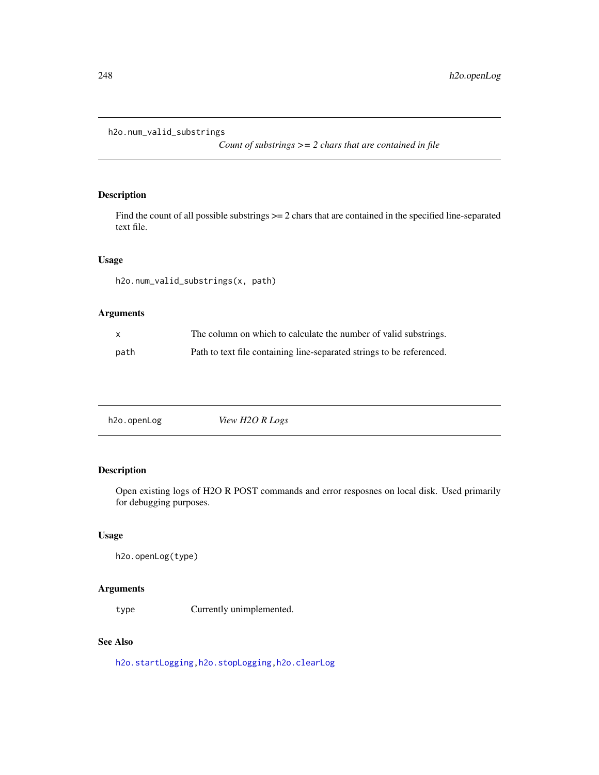```
h2o.num_valid_substrings
```
*Count of substrings >= 2 chars that are contained in file*

# Description

Find the count of all possible substrings  $\geq$  2 chars that are contained in the specified line-separated text file.

# Usage

h2o.num\_valid\_substrings(x, path)

# Arguments

|      | The column on which to calculate the number of valid substrings.      |
|------|-----------------------------------------------------------------------|
| path | Path to text file containing line-separated strings to be referenced. |

| h <sub>2</sub> o.openLog | View H2O R Logs |
|--------------------------|-----------------|
|                          |                 |

# Description

Open existing logs of H2O R POST commands and error resposnes on local disk. Used primarily for debugging purposes.

## Usage

h2o.openLog(type)

### Arguments

type Currently unimplemented.

# See Also

[h2o.startLogging](#page-315-0)[,h2o.stopLogging,](#page-316-0)[h2o.clearLog](#page-73-0)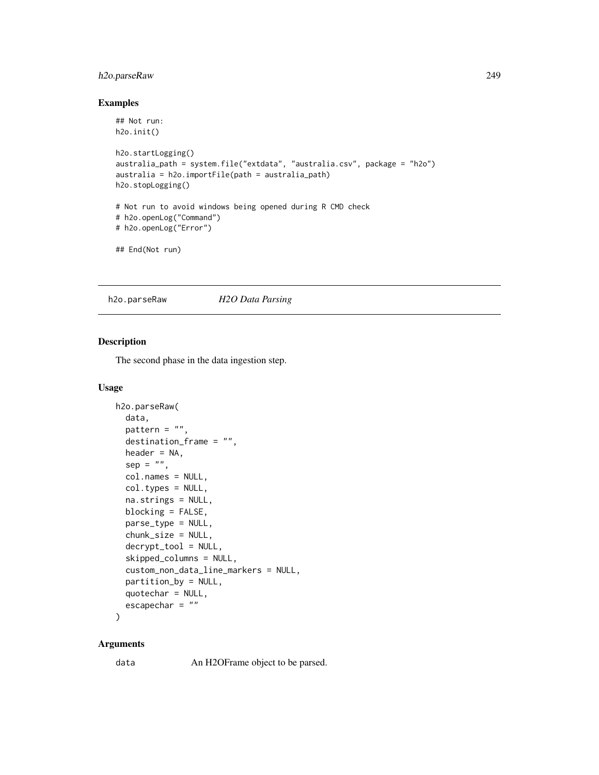# h2o.parseRaw 249

# Examples

```
## Not run:
h2o.init()
h2o.startLogging()
australia_path = system.file("extdata", "australia.csv", package = "h2o")
australia = h2o.importFile(path = australia_path)
h2o.stopLogging()
# Not run to avoid windows being opened during R CMD check
# h2o.openLog("Command")
# h2o.openLog("Error")
## End(Not run)
```
<span id="page-248-0"></span>h2o.parseRaw *H2O Data Parsing*

# Description

The second phase in the data ingestion step.

#### Usage

```
h2o.parseRaw(
  data,
  pattern = ",
  destination_frame = "",
  header = NA,
  sep = "",col.names = NULL,
  col.types = NULL,
  na.strings = NULL,
  blocking = FALSE,
  parse_type = NULL,
  chunk_size = NULL,
  decrypt_tool = NULL,
  skipped_columns = NULL,
  custom_non_data_line_markers = NULL,
  partition_by = NULL,
  quotechar = NULL,
  escapechar = ""
)
```
#### Arguments

data An H2OFrame object to be parsed.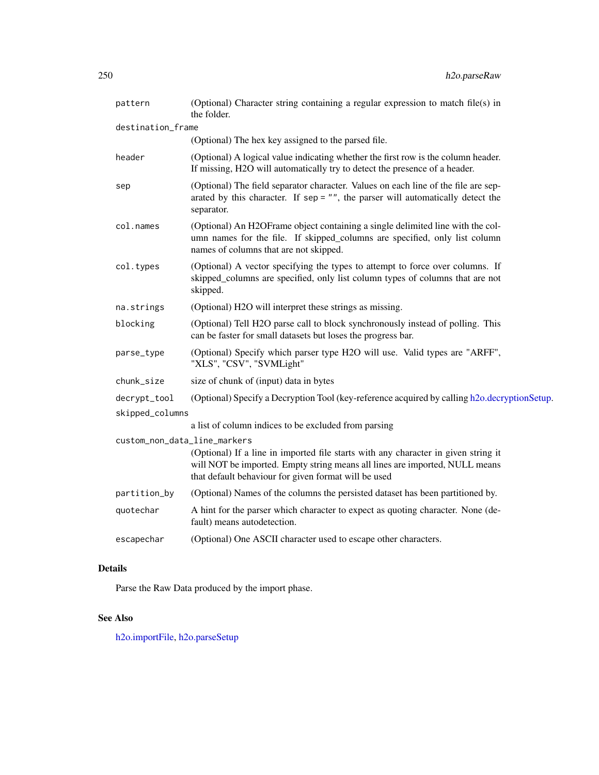| pattern                         | (Optional) Character string containing a regular expression to match file(s) in<br>the folder.                                                                                                                            |
|---------------------------------|---------------------------------------------------------------------------------------------------------------------------------------------------------------------------------------------------------------------------|
| destination_frame               |                                                                                                                                                                                                                           |
|                                 | (Optional) The hex key assigned to the parsed file.                                                                                                                                                                       |
| header                          | (Optional) A logical value indicating whether the first row is the column header.<br>If missing, H2O will automatically try to detect the presence of a header.                                                           |
| sep                             | (Optional) The field separator character. Values on each line of the file are sep-<br>arated by this character. If $sep = ""$ , the parser will automatically detect the<br>separator.                                    |
| col.names                       | (Optional) An H2OFrame object containing a single delimited line with the col-<br>umn names for the file. If skipped_columns are specified, only list column<br>names of columns that are not skipped.                    |
| col.types                       | (Optional) A vector specifying the types to attempt to force over columns. If<br>skipped_columns are specified, only list column types of columns that are not<br>skipped.                                                |
| na.strings                      | (Optional) H2O will interpret these strings as missing.                                                                                                                                                                   |
| blocking                        | (Optional) Tell H2O parse call to block synchronously instead of polling. This<br>can be faster for small datasets but loses the progress bar.                                                                            |
| parse_type                      | (Optional) Specify which parser type H2O will use. Valid types are "ARFF",<br>"XLS", "CSV", "SVMLight"                                                                                                                    |
| chunk_size                      | size of chunk of (input) data in bytes                                                                                                                                                                                    |
| decrypt_tool<br>skipped_columns | (Optional) Specify a Decryption Tool (key-reference acquired by calling h2o.decryptionSetup.                                                                                                                              |
|                                 | a list of column indices to be excluded from parsing                                                                                                                                                                      |
| custom_non_data_line_markers    | (Optional) If a line in imported file starts with any character in given string it<br>will NOT be imported. Empty string means all lines are imported, NULL means<br>that default behaviour for given format will be used |
| partition_by                    | (Optional) Names of the columns the persisted dataset has been partitioned by.                                                                                                                                            |
| quotechar                       | A hint for the parser which character to expect as quoting character. None (de-<br>fault) means autodetection.                                                                                                            |
| escapechar                      | (Optional) One ASCII character used to escape other characters.                                                                                                                                                           |
|                                 |                                                                                                                                                                                                                           |

# Details

Parse the Raw Data produced by the import phase.

# See Also

[h2o.importFile,](#page-177-0) [h2o.parseSetup](#page-250-0)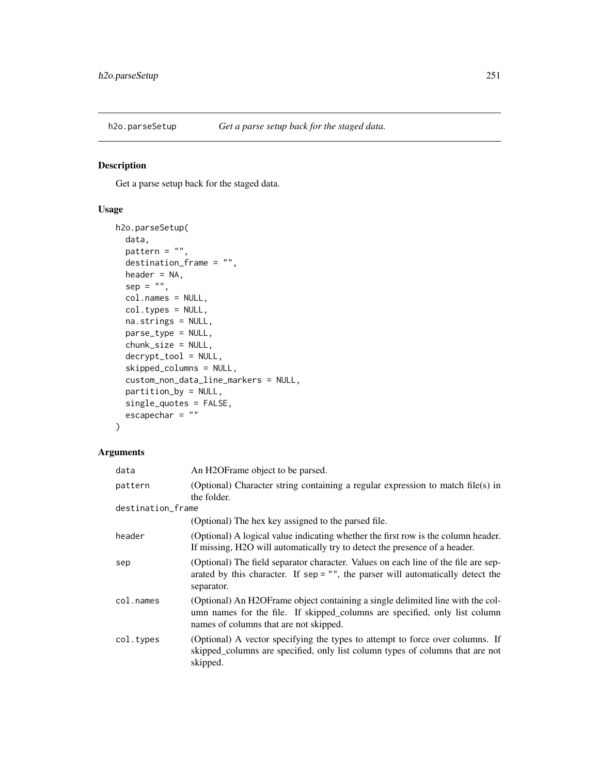<span id="page-250-0"></span>

# Description

Get a parse setup back for the staged data.

# Usage

```
h2o.parseSetup(
 data,
 pattern = ",
  destination_frame = "",
 header = NA,
  sep = "",col.names = NULL,
  col.types = NULL,
 na.strings = NULL,
 parse_type = NULL,
  chunk_size = NULL,
  decrypt_tool = NULL,
  skipped_columns = NULL,
  custom_non_data_line_markers = NULL,
  partition_by = NULL,
  single_quotes = FALSE,
  escapechar = "")
```
# Arguments

| data              | An H2OFrame object to be parsed.                                                                                                                                                                       |
|-------------------|--------------------------------------------------------------------------------------------------------------------------------------------------------------------------------------------------------|
| pattern           | (Optional) Character string containing a regular expression to match file(s) in<br>the folder.                                                                                                         |
| destination_frame |                                                                                                                                                                                                        |
|                   | (Optional) The hex key assigned to the parsed file.                                                                                                                                                    |
| header            | (Optional) A logical value indicating whether the first row is the column header.<br>If missing, H <sub>2</sub> O will automatically try to detect the presence of a header.                           |
| sep               | (Optional) The field separator character. Values on each line of the file are sep-<br>arated by this character. If sep = $"$ , the parser will automatically detect the<br>separator.                  |
| col.names         | (Optional) An H2OFrame object containing a single delimited line with the col-<br>umn names for the file. If skipped_columns are specified, only list column<br>names of columns that are not skipped. |
| col.types         | (Optional) A vector specifying the types to attempt to force over columns. If<br>skipped_columns are specified, only list column types of columns that are not<br>skipped.                             |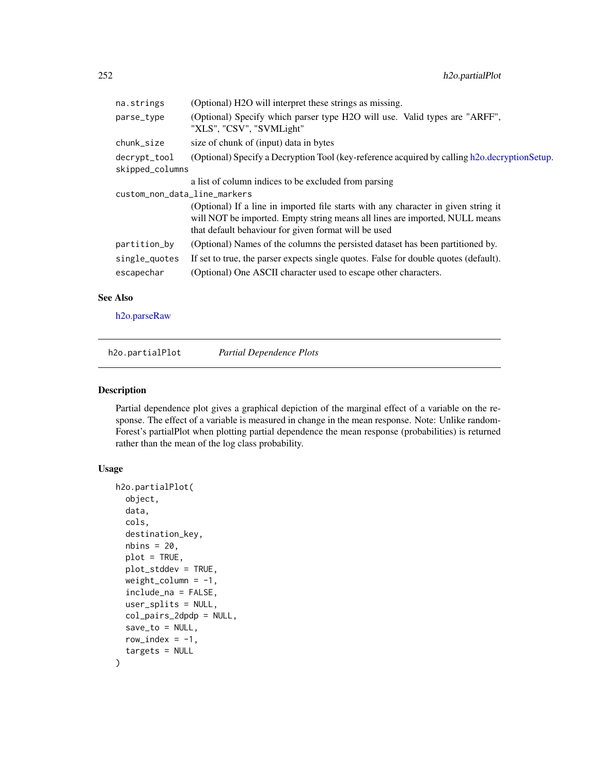| na.strings                      | (Optional) H2O will interpret these strings as missing.                                                                                                                                                                   |
|---------------------------------|---------------------------------------------------------------------------------------------------------------------------------------------------------------------------------------------------------------------------|
| parse_type                      | (Optional) Specify which parser type H2O will use. Valid types are "ARFF",<br>"XLS", "CSV", "SVMLight"                                                                                                                    |
| chunk_size                      | size of chunk of (input) data in bytes                                                                                                                                                                                    |
| decrypt_tool<br>skipped_columns | (Optional) Specify a Decryption Tool (key-reference acquired by calling h2o.decryptionSetup.                                                                                                                              |
|                                 | a list of column indices to be excluded from parsing                                                                                                                                                                      |
| custom_non_data_line_markers    |                                                                                                                                                                                                                           |
|                                 | (Optional) If a line in imported file starts with any character in given string it<br>will NOT be imported. Empty string means all lines are imported, NULL means<br>that default behaviour for given format will be used |
| partition_by                    | (Optional) Names of the columns the persisted dataset has been partitioned by.                                                                                                                                            |
| single_quotes<br>escapechar     | If set to true, the parser expects single quotes. False for double quotes (default).<br>(Optional) One ASCII character used to escape other characters.                                                                   |
|                                 |                                                                                                                                                                                                                           |

# See Also

[h2o.parseRaw](#page-248-0)

h2o.partialPlot *Partial Dependence Plots*

## Description

Partial dependence plot gives a graphical depiction of the marginal effect of a variable on the response. The effect of a variable is measured in change in the mean response. Note: Unlike random-Forest's partialPlot when plotting partial dependence the mean response (probabilities) is returned rather than the mean of the log class probability.

# Usage

```
h2o.partialPlot(
  object,
  data,
  cols,
  destination_key,
  nbins = 20,
  plot = TRUE,
  plot_stddev = TRUE,
  weight_column = -1,
  include_na = FALSE,
  user_splits = NULL,
  col_pairs_2dpdp = NULL,
  save_to = NULL,
  row_index = -1,
  targets = NULL
\mathcal{E}
```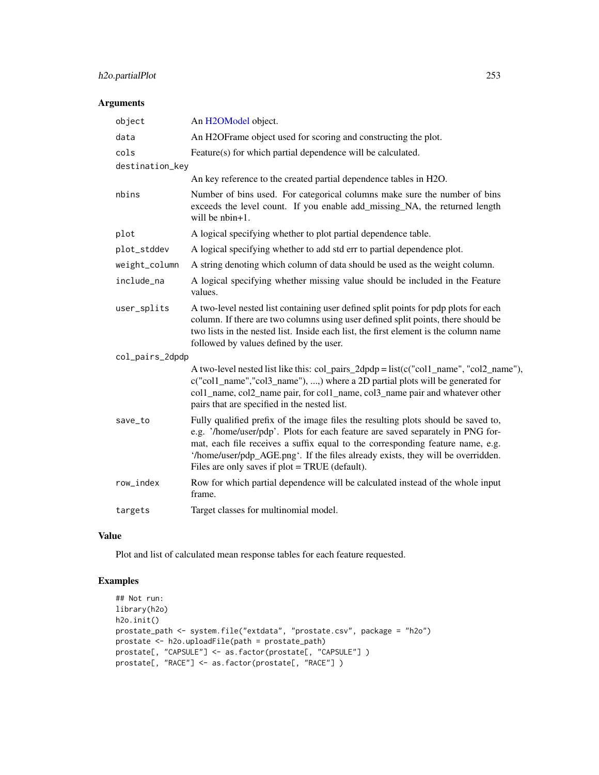# h2o.partialPlot 253

# Arguments

| object          | An H2OModel object.                                                                                                                                                                                                                                                                                                                                                                        |
|-----------------|--------------------------------------------------------------------------------------------------------------------------------------------------------------------------------------------------------------------------------------------------------------------------------------------------------------------------------------------------------------------------------------------|
| data            | An H2OFrame object used for scoring and constructing the plot.                                                                                                                                                                                                                                                                                                                             |
| cols            | Feature(s) for which partial dependence will be calculated.                                                                                                                                                                                                                                                                                                                                |
| destination_key |                                                                                                                                                                                                                                                                                                                                                                                            |
|                 | An key reference to the created partial dependence tables in H2O.                                                                                                                                                                                                                                                                                                                          |
| nbins           | Number of bins used. For categorical columns make sure the number of bins<br>exceeds the level count. If you enable add_missing_NA, the returned length<br>will be $nbin+1$ .                                                                                                                                                                                                              |
| plot            | A logical specifying whether to plot partial dependence table.                                                                                                                                                                                                                                                                                                                             |
| plot_stddev     | A logical specifying whether to add std err to partial dependence plot.                                                                                                                                                                                                                                                                                                                    |
| weight_column   | A string denoting which column of data should be used as the weight column.                                                                                                                                                                                                                                                                                                                |
| include_na      | A logical specifying whether missing value should be included in the Feature<br>values.                                                                                                                                                                                                                                                                                                    |
| user_splits     | A two-level nested list containing user defined split points for pdp plots for each<br>column. If there are two columns using user defined split points, there should be<br>two lists in the nested list. Inside each list, the first element is the column name<br>followed by values defined by the user.                                                                                |
| col_pairs_2dpdp |                                                                                                                                                                                                                                                                                                                                                                                            |
|                 | A two-level nested list like this: col_pairs_2dpdp = list(c("col1_name", "col2_name"),<br>c("col1_name","col3_name"), ,) where a 2D partial plots will be generated for<br>col1_name, col2_name pair, for col1_name, col3_name pair and whatever other<br>pairs that are specified in the nested list.                                                                                     |
| save_to         | Fully qualified prefix of the image files the resulting plots should be saved to,<br>e.g. '/home/user/pdp'. Plots for each feature are saved separately in PNG for-<br>mat, each file receives a suffix equal to the corresponding feature name, e.g.<br>'/home/user/pdp_AGE.png'. If the files already exists, they will be overridden.<br>Files are only saves if plot = TRUE (default). |
| row_index       | Row for which partial dependence will be calculated instead of the whole input<br>frame.                                                                                                                                                                                                                                                                                                   |
| targets         | Target classes for multinomial model.                                                                                                                                                                                                                                                                                                                                                      |

# Value

Plot and list of calculated mean response tables for each feature requested.

# Examples

```
## Not run:
library(h2o)
h2o.init()
prostate_path <- system.file("extdata", "prostate.csv", package = "h2o")
prostate <- h2o.uploadFile(path = prostate_path)
prostate[, "CAPSULE"] <- as.factor(prostate[, "CAPSULE"] )
prostate[, "RACE"] <- as.factor(prostate[, "RACE"] )
```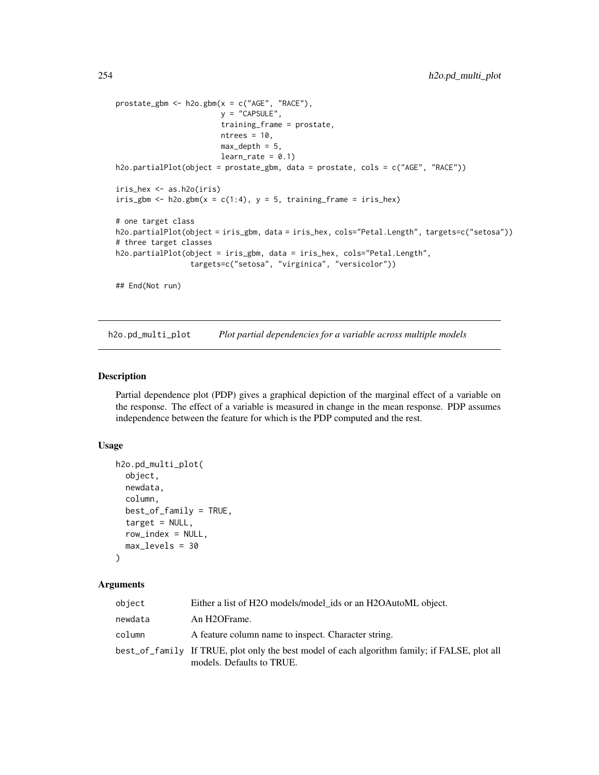```
prostate_gbm <- h2o.gbm(x = c("AGE", "RACE"),
                       y = "CAPSULE",
                        training_frame = prostate,
                        ntrees = 10,
                        max\_depth = 5,
                        learn_rate = 0.1h2o.partialPlot(object = prostate_gbm, data = prostate, cols = c("AGE", "RACE"))
iris_hex <- as.h2o(iris)
iris_gbm <- h2o.gbm(x = c(1:4), y = 5, training_frame = iris_hex)
# one target class
h2o.partialPlot(object = iris_gbm, data = iris_hex, cols="Petal.Length", targets=c("setosa"))
# three target classes
h2o.partialPlot(object = iris_gbm, data = iris_hex, cols="Petal.Length",
                 targets=c("setosa", "virginica", "versicolor"))
## End(Not run)
```
h2o.pd\_multi\_plot *Plot partial dependencies for a variable across multiple models*

# Description

Partial dependence plot (PDP) gives a graphical depiction of the marginal effect of a variable on the response. The effect of a variable is measured in change in the mean response. PDP assumes independence between the feature for which is the PDP computed and the rest.

#### Usage

```
h2o.pd_multi_plot(
  object,
  newdata,
  column,
  best_of_family = TRUE,
  target = NULL,row_index = NULL,
 max_levels = 30
)
```
## Arguments

| object  | Either a list of H2O models/model ids or an H2OAutoML object.                                                              |
|---------|----------------------------------------------------------------------------------------------------------------------------|
| newdata | An H <sub>2</sub> OFrame.                                                                                                  |
| column  | A feature column name to inspect. Character string.                                                                        |
|         | best_of_family If TRUE, plot only the best model of each algorithm family; if FALSE, plot all<br>models. Defaults to TRUE. |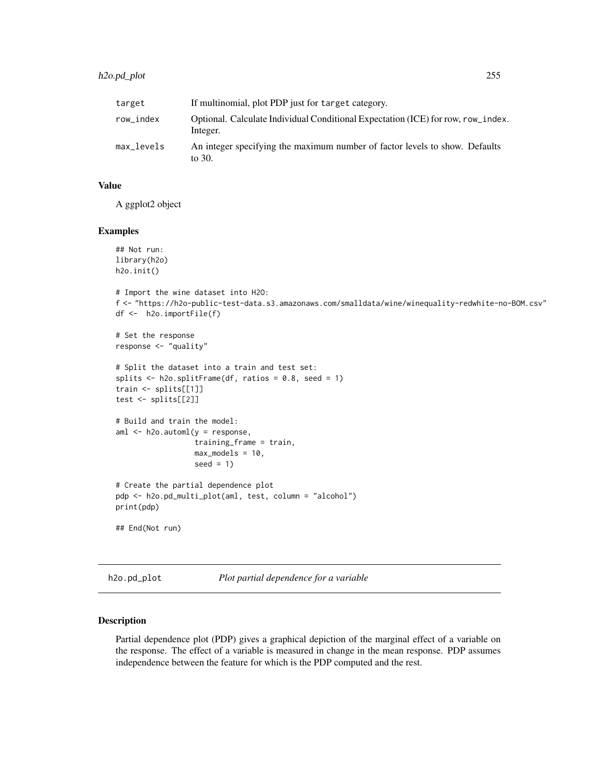# h2o.pd\_plot 255

| target     | If multinomial, plot PDP just for target category.                                           |
|------------|----------------------------------------------------------------------------------------------|
| row index  | Optional. Calculate Individual Conditional Expectation (ICE) for row, row_index.<br>Integer. |
| max_levels | An integer specifying the maximum number of factor levels to show. Defaults<br>to 30.        |

#### Value

A ggplot2 object

#### Examples

```
## Not run:
library(h2o)
h2o.init()
# Import the wine dataset into H2O:
f <- "https://h2o-public-test-data.s3.amazonaws.com/smalldata/wine/winequality-redwhite-no-BOM.csv"
df <- h2o.importFile(f)
# Set the response
response <- "quality"
# Split the dataset into a train and test set:
splits \le h2o.splitFrame(df, ratios = 0.8, seed = 1)
train <- splits[[1]]
test <- splits[[2]]
# Build and train the model:
aml \leq h2o.automl(y = response,
                  training_frame = train,
                  max_models = 10,
                  seed = 1)# Create the partial dependence plot
pdp <- h2o.pd_multi_plot(aml, test, column = "alcohol")
print(pdp)
```
## End(Not run)

h2o.pd\_plot *Plot partial dependence for a variable*

## Description

Partial dependence plot (PDP) gives a graphical depiction of the marginal effect of a variable on the response. The effect of a variable is measured in change in the mean response. PDP assumes independence between the feature for which is the PDP computed and the rest.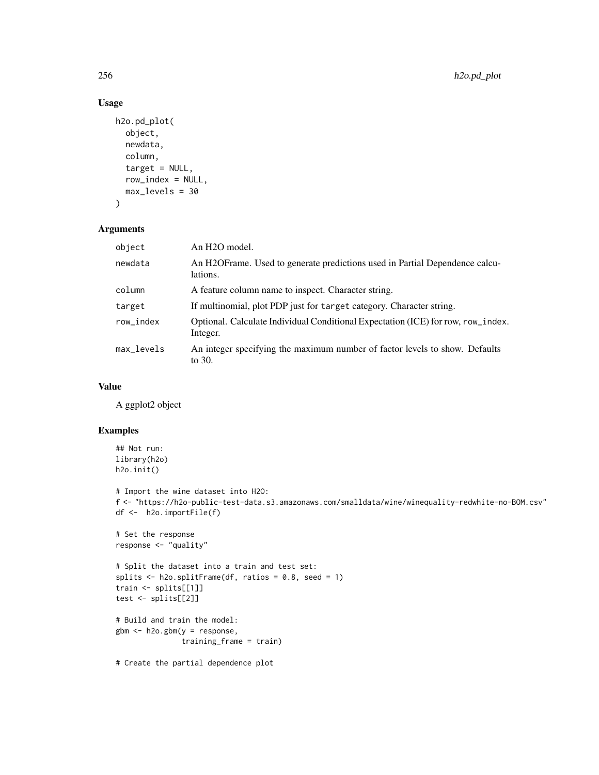# Usage

```
h2o.pd_plot(
  object,
  newdata,
  column,
  target = NULL,row_index = NULL,
  max_levels = 30
\mathcal{L}
```
## Arguments

| object     | An H <sub>2</sub> O model.                                                                   |
|------------|----------------------------------------------------------------------------------------------|
| newdata    | An H2OFrame. Used to generate predictions used in Partial Dependence calcu-<br>lations.      |
| column     | A feature column name to inspect. Character string.                                          |
| target     | If multinomial, plot PDP just for target category. Character string.                         |
| row_index  | Optional. Calculate Individual Conditional Expectation (ICE) for row, row_index.<br>Integer. |
| max_levels | An integer specifying the maximum number of factor levels to show. Defaults<br>to 30.        |

# Value

A ggplot2 object

# Examples

```
## Not run:
library(h2o)
h2o.init()
```

```
# Import the wine dataset into H2O:
f <- "https://h2o-public-test-data.s3.amazonaws.com/smalldata/wine/winequality-redwhite-no-BOM.csv"
df <- h2o.importFile(f)
```

```
# Set the response
response <- "quality"
```

```
# Split the dataset into a train and test set:
splits \le h2o.splitFrame(df, ratios = 0.8, seed = 1)
train <- splits[[1]]
test <- splits[[2]]
```

```
# Build and train the model:
gbm <- h2o.gbm(y = response,
               training_frame = train)
```
# Create the partial dependence plot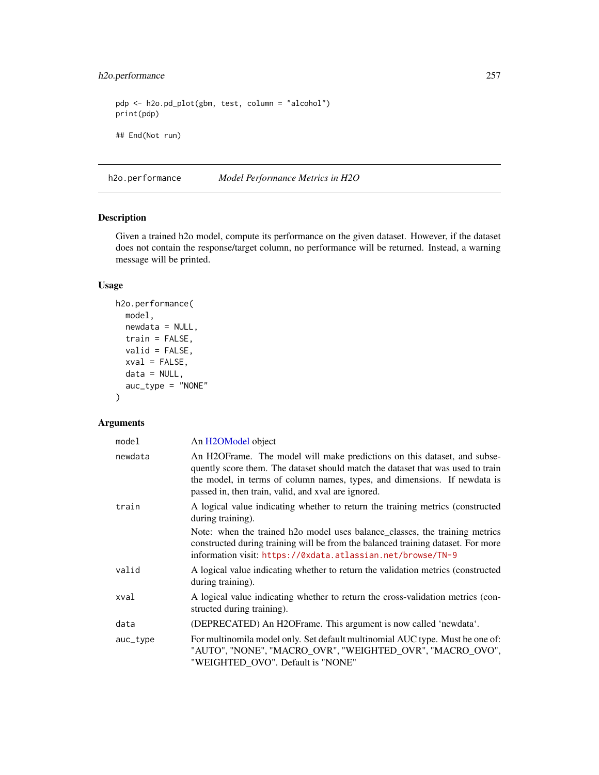# h2o.performance 257

pdp <- h2o.pd\_plot(gbm, test, column = "alcohol") print(pdp) ## End(Not run)

<span id="page-256-0"></span>h2o.performance *Model Performance Metrics in H2O*

# Description

Given a trained h2o model, compute its performance on the given dataset. However, if the dataset does not contain the response/target column, no performance will be returned. Instead, a warning message will be printed.

# Usage

```
h2o.performance(
 model,
 newdata = NULL,
  train = FALSE,
  valid = FALSE,
 xval = FALSE,data = NULL,auc_type = "NONE"
\mathcal{L}
```
# Arguments

| model    | An H <sub>2</sub> OM <sub>odel</sub> object                                                                                                                                                                                                                                                     |
|----------|-------------------------------------------------------------------------------------------------------------------------------------------------------------------------------------------------------------------------------------------------------------------------------------------------|
| newdata  | An H2OFrame. The model will make predictions on this dataset, and subse-<br>quently score them. The dataset should match the dataset that was used to train<br>the model, in terms of column names, types, and dimensions. If newdata is<br>passed in, then train, valid, and xval are ignored. |
| train    | A logical value indicating whether to return the training metrics (constructed<br>during training).                                                                                                                                                                                             |
|          | Note: when the trained h2o model uses balance_classes, the training metrics<br>constructed during training will be from the balanced training dataset. For more<br>information visit: https://0xdata.atlassian.net/browse/TN-9                                                                  |
| valid    | A logical value indicating whether to return the validation metrics (constructed<br>during training).                                                                                                                                                                                           |
| xval     | A logical value indicating whether to return the cross-validation metrics (con-<br>structed during training).                                                                                                                                                                                   |
| data     | (DEPRECATED) An H2OFrame. This argument is now called 'newdata'.                                                                                                                                                                                                                                |
| auc_type | For multinomila model only. Set default multinomial AUC type. Must be one of:<br>"AUTO", "NONE", "MACRO_OVR", "WEIGHTED_OVR", "MACRO_OVO",<br>"WEIGHTED_OVO". Default is "NONE"                                                                                                                 |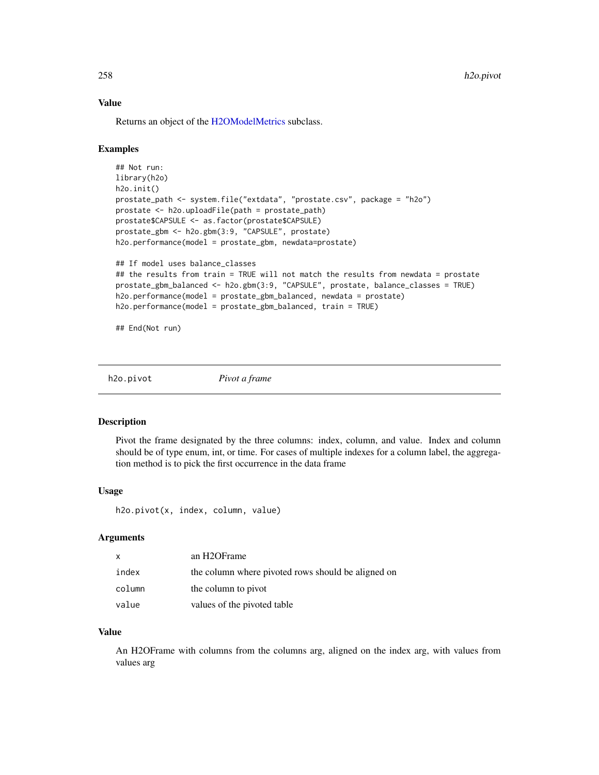# Value

Returns an object of the [H2OModelMetrics](#page-371-0) subclass.

## Examples

```
## Not run:
library(h2o)
h2o.init()
prostate_path <- system.file("extdata", "prostate.csv", package = "h2o")
prostate <- h2o.uploadFile(path = prostate_path)
prostate$CAPSULE <- as.factor(prostate$CAPSULE)
prostate_gbm <- h2o.gbm(3:9, "CAPSULE", prostate)
h2o.performance(model = prostate_gbm, newdata=prostate)
## If model uses balance_classes
```

```
## the results from train = TRUE will not match the results from newdata = prostate
prostate_gbm_balanced <- h2o.gbm(3:9, "CAPSULE", prostate, balance_classes = TRUE)
h2o.performance(model = prostate_gbm_balanced, newdata = prostate)
h2o.performance(model = prostate_gbm_balanced, train = TRUE)
```
## End(Not run)

h2o.pivot *Pivot a frame*

#### Description

Pivot the frame designated by the three columns: index, column, and value. Index and column should be of type enum, int, or time. For cases of multiple indexes for a column label, the aggregation method is to pick the first occurrence in the data frame

#### Usage

h2o.pivot(x, index, column, value)

## Arguments

| $\mathsf{x}$ | an H <sub>2</sub> OF <sub>rame</sub>               |
|--------------|----------------------------------------------------|
| index        | the column where pivoted rows should be aligned on |
| column       | the column to pivot                                |
| value        | values of the pivoted table                        |

#### Value

An H2OFrame with columns from the columns arg, aligned on the index arg, with values from values arg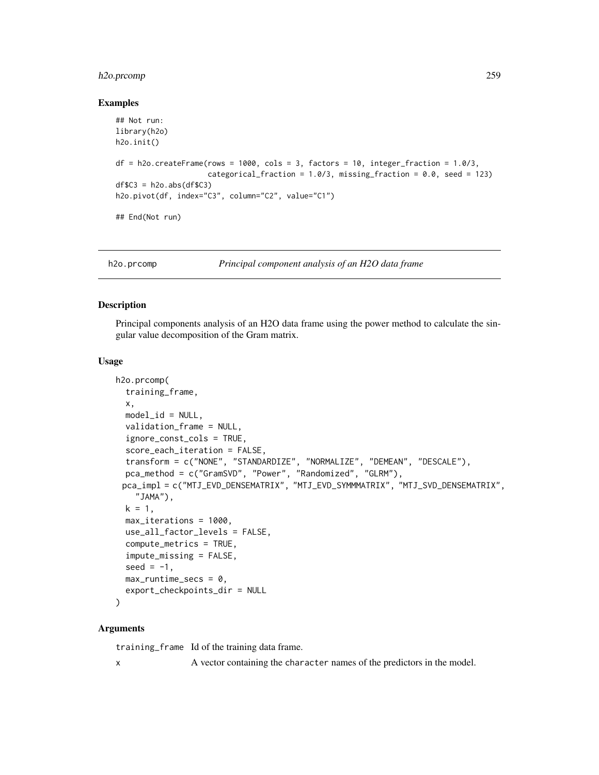# h2o.prcomp 259

#### Examples

```
## Not run:
library(h2o)
h2o.init()
df = h2o.createFrame(rows = 1000, cols = 3, factors = 10, integer-fraction = 1.0/3,categorical_fraction = 1.0/3, missing_fraction = 0.0, seed = 123)
dfC3 = h2o.abs(dfC3)h2o.pivot(df, index="C3", column="C2", value="C1")
## End(Not run)
```
h2o.prcomp *Principal component analysis of an H2O data frame*

#### **Description**

Principal components analysis of an H2O data frame using the power method to calculate the singular value decomposition of the Gram matrix.

#### Usage

```
h2o.prcomp(
  training_frame,
  x,
  model_id = NULL,validation_frame = NULL,
  ignore_const_cols = TRUE,
  score_each_iteration = FALSE,
  transform = c("NONE", "STANDARDIZE", "NORMALIZE", "DEMEAN", "DESCALE"),
  pca_method = c("GramSVD", "Power", "Randomized", "GLRM"),
 pca_impl = c("MTJ_EVD_DENSEMATRIX", "MTJ_EVD_SYMMMATRIX", "MTJ_SVD_DENSEMATRIX",
    "JAMA"),
  k = 1,
  max_iterations = 1000,
  use_all_factor_levels = FALSE,
  compute_metrics = TRUE,
  impute_missing = FALSE,
  seed = -1,
  max_runtime_secs = 0,
  export_checkpoints_dir = NULL
\mathcal{E}
```
# Arguments

training\_frame Id of the training data frame. x A vector containing the character names of the predictors in the model.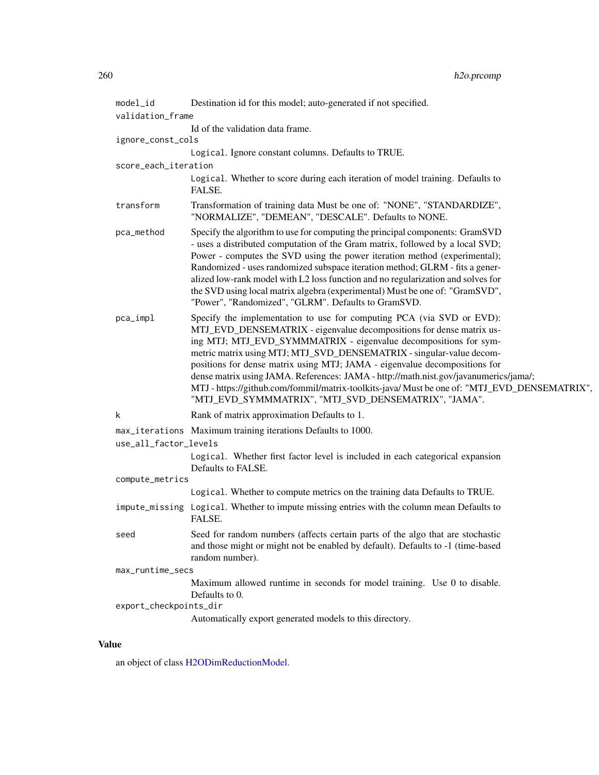| model_id               | Destination id for this model; auto-generated if not specified.                                                                                                                                                                                                                                                                                                                                                                                                                                                                                                                                                         |
|------------------------|-------------------------------------------------------------------------------------------------------------------------------------------------------------------------------------------------------------------------------------------------------------------------------------------------------------------------------------------------------------------------------------------------------------------------------------------------------------------------------------------------------------------------------------------------------------------------------------------------------------------------|
| validation_frame       |                                                                                                                                                                                                                                                                                                                                                                                                                                                                                                                                                                                                                         |
|                        | Id of the validation data frame.                                                                                                                                                                                                                                                                                                                                                                                                                                                                                                                                                                                        |
| ignore_const_cols      |                                                                                                                                                                                                                                                                                                                                                                                                                                                                                                                                                                                                                         |
|                        | Logical. Ignore constant columns. Defaults to TRUE.                                                                                                                                                                                                                                                                                                                                                                                                                                                                                                                                                                     |
| score_each_iteration   | Logical. Whether to score during each iteration of model training. Defaults to                                                                                                                                                                                                                                                                                                                                                                                                                                                                                                                                          |
|                        | FALSE.                                                                                                                                                                                                                                                                                                                                                                                                                                                                                                                                                                                                                  |
| transform              | Transformation of training data Must be one of: "NONE", "STANDARDIZE",<br>"NORMALIZE", "DEMEAN", "DESCALE". Defaults to NONE.                                                                                                                                                                                                                                                                                                                                                                                                                                                                                           |
| pca_method             | Specify the algorithm to use for computing the principal components: GramSVD<br>- uses a distributed computation of the Gram matrix, followed by a local SVD;<br>Power - computes the SVD using the power iteration method (experimental);<br>Randomized - uses randomized subspace iteration method; GLRM - fits a gener-<br>alized low-rank model with L2 loss function and no regularization and solves for<br>the SVD using local matrix algebra (experimental) Must be one of: "GramSVD",<br>"Power", "Randomized", "GLRM". Defaults to GramSVD.                                                                   |
| pca_impl               | Specify the implementation to use for computing PCA (via SVD or EVD):<br>MTJ_EVD_DENSEMATRIX - eigenvalue decompositions for dense matrix us-<br>ing MTJ; MTJ_EVD_SYMMMATRIX - eigenvalue decompositions for sym-<br>metric matrix using MTJ; MTJ_SVD_DENSEMATRIX - singular-value decom-<br>positions for dense matrix using MTJ; JAMA - eigenvalue decompositions for<br>dense matrix using JAMA. References: JAMA - http://math.nist.gov/javanumerics/jama/;<br>MTJ - https://github.com/fommil/matrix-toolkits-java/ Must be one of: "MTJ_EVD_DENSEMATRIX",<br>"MTJ_EVD_SYMMMATRIX", "MTJ_SVD_DENSEMATRIX", "JAMA". |
| k                      | Rank of matrix approximation Defaults to 1.                                                                                                                                                                                                                                                                                                                                                                                                                                                                                                                                                                             |
|                        | max_iterations Maximum training iterations Defaults to 1000.                                                                                                                                                                                                                                                                                                                                                                                                                                                                                                                                                            |
| use_all_factor_levels  |                                                                                                                                                                                                                                                                                                                                                                                                                                                                                                                                                                                                                         |
|                        | Logical. Whether first factor level is included in each categorical expansion<br>Defaults to FALSE.                                                                                                                                                                                                                                                                                                                                                                                                                                                                                                                     |
| compute_metrics        |                                                                                                                                                                                                                                                                                                                                                                                                                                                                                                                                                                                                                         |
|                        | Logical. Whether to compute metrics on the training data Defaults to TRUE.                                                                                                                                                                                                                                                                                                                                                                                                                                                                                                                                              |
|                        | impute_missing Logical. Whether to impute missing entries with the column mean Defaults to<br>FALSE.                                                                                                                                                                                                                                                                                                                                                                                                                                                                                                                    |
| seed                   | Seed for random numbers (affects certain parts of the algo that are stochastic<br>and those might or might not be enabled by default). Defaults to -1 (time-based<br>random number).                                                                                                                                                                                                                                                                                                                                                                                                                                    |
| max_runtime_secs       |                                                                                                                                                                                                                                                                                                                                                                                                                                                                                                                                                                                                                         |
|                        | Maximum allowed runtime in seconds for model training. Use 0 to disable.<br>Defaults to 0.                                                                                                                                                                                                                                                                                                                                                                                                                                                                                                                              |
| export_checkpoints_dir |                                                                                                                                                                                                                                                                                                                                                                                                                                                                                                                                                                                                                         |
|                        | Automatically export generated models to this directory.                                                                                                                                                                                                                                                                                                                                                                                                                                                                                                                                                                |

# Value

an object of class [H2ODimReductionModel.](#page-370-1)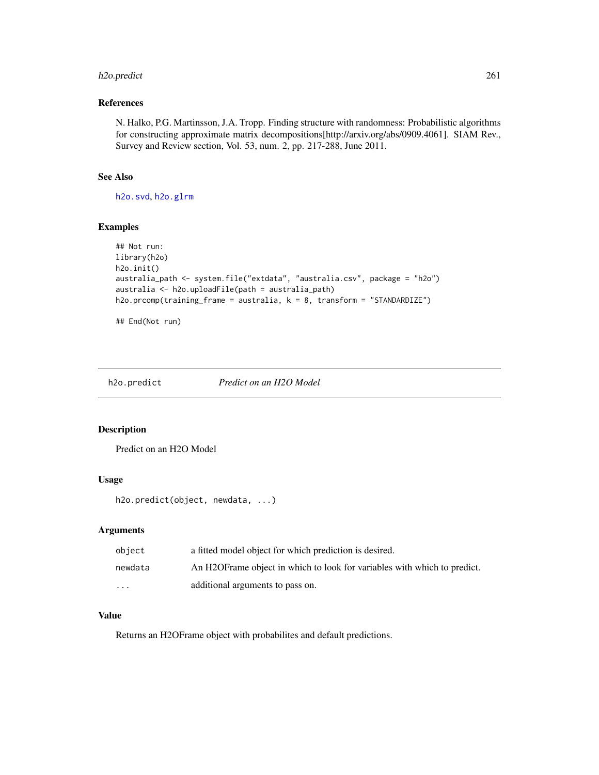# h2o.predict 261

## References

N. Halko, P.G. Martinsson, J.A. Tropp. Finding structure with randomness: Probabilistic algorithms for constructing approximate matrix decompositions[http://arxiv.org/abs/0909.4061]. SIAM Rev., Survey and Review section, Vol. 53, num. 2, pp. 217-288, June 2011.

# See Also

[h2o.svd](#page-323-0), [h2o.glrm](#page-163-0)

#### Examples

```
## Not run:
library(h2o)
h2o.init()
australia_path <- system.file("extdata", "australia.csv", package = "h2o")
australia <- h2o.uploadFile(path = australia_path)
h2o.prcomp(training_frame = australia, k = 8, transform = "STANDARDIZE")
```
## End(Not run)

h2o.predict *Predict on an H2O Model*

#### Description

Predict on an H2O Model

# Usage

h2o.predict(object, newdata, ...)

#### Arguments

| object  | a fitted model object for which prediction is desired.                    |
|---------|---------------------------------------------------------------------------|
| newdata | An H2OF rame object in which to look for variables with which to predict. |
| $\cdot$ | additional arguments to pass on.                                          |

# Value

Returns an H2OFrame object with probabilites and default predictions.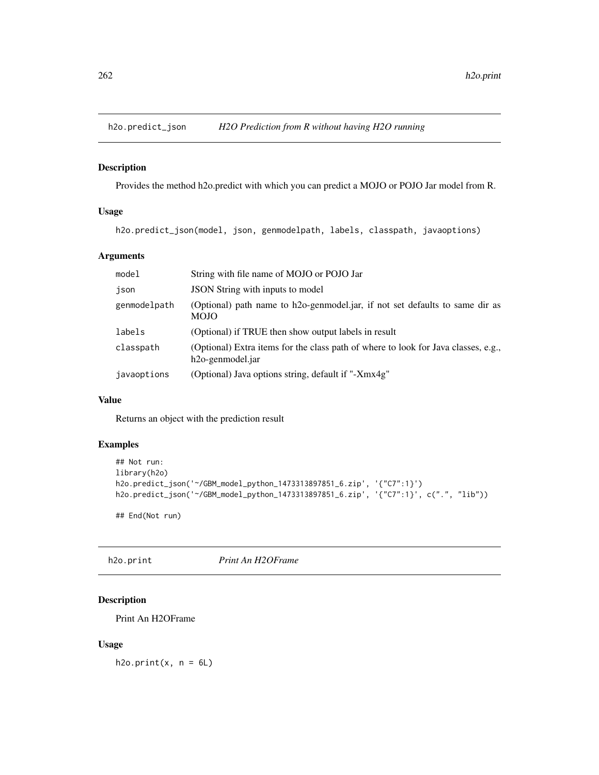# Description

Provides the method h2o.predict with which you can predict a MOJO or POJO Jar model from R.

#### Usage

h2o.predict\_json(model, json, genmodelpath, labels, classpath, javaoptions)

# Arguments

| model        | String with file name of MOJO or POJO Jar                                                                           |
|--------------|---------------------------------------------------------------------------------------------------------------------|
| json         | JSON String with inputs to model                                                                                    |
| genmodelpath | (Optional) path name to h2o-genmodel.jar, if not set defaults to same dir as<br><b>MOJO</b>                         |
| labels       | (Optional) if TRUE then show output labels in result                                                                |
| classpath    | (Optional) Extra items for the class path of where to look for Java classes, e.g.,<br>h <sub>20</sub> -genmodel.jar |
| javaoptions  | (Optional) Java options string, default if "-Xmx4g"                                                                 |

## Value

Returns an object with the prediction result

## Examples

```
## Not run:
library(h2o)
h2o.predict_json('~/GBM_model_python_1473313897851_6.zip', '{"C7":1}')
h2o.predict_json('~/GBM_model_python_1473313897851_6.zip', '{"C7":1}', c(".", "lib"))
```
## End(Not run)

h2o.print *Print An H2OFrame*

# Description

Print An H2OFrame

#### Usage

h2o.print $(x, n = 6L)$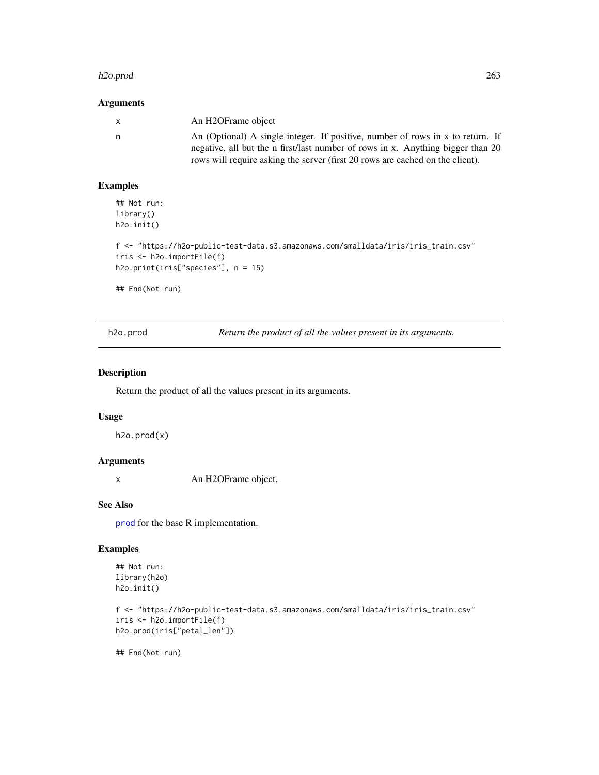#### h2o.prod 263

## Arguments

| $\mathsf{X}$ | An H2OFrame object                                                                                                                                                |
|--------------|-------------------------------------------------------------------------------------------------------------------------------------------------------------------|
| n.           | An (Optional) A single integer. If positive, number of rows in x to return. If<br>negative, all but the n first/last number of rows in x. Anything bigger than 20 |
|              | rows will require asking the server (first 20 rows are cached on the client).                                                                                     |

## Examples

## Not run: library() h2o.init()

```
f <- "https://h2o-public-test-data.s3.amazonaws.com/smalldata/iris/iris_train.csv"
iris <- h2o.importFile(f)
h2o.print(iris["species"], n = 15)
```
## End(Not run)

h2o.prod *Return the product of all the values present in its arguments.*

## Description

Return the product of all the values present in its arguments.

## Usage

h2o.prod(x)

# Arguments

x An H2OFrame object.

# See Also

[prod](#page-0-0) for the base R implementation.

# Examples

```
## Not run:
library(h2o)
h2o.init()
```

```
f <- "https://h2o-public-test-data.s3.amazonaws.com/smalldata/iris/iris_train.csv"
iris <- h2o.importFile(f)
h2o.prod(iris["petal_len"])
```
## End(Not run)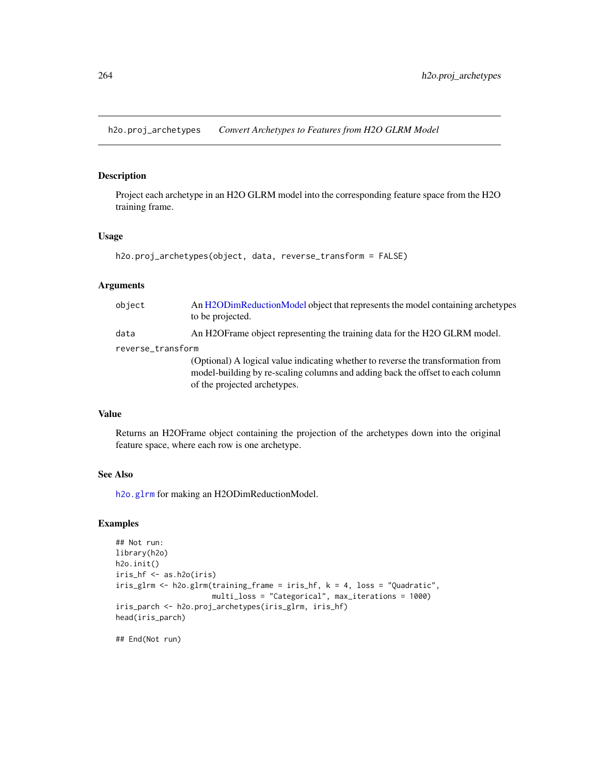h2o.proj\_archetypes *Convert Archetypes to Features from H2O GLRM Model*

#### Description

Project each archetype in an H2O GLRM model into the corresponding feature space from the H2O training frame.

## Usage

```
h2o.proj_archetypes(object, data, reverse_transform = FALSE)
```
# Arguments

| object            | An H2ODimReductionModel object that represents the model containing archetypes<br>to be projected.                                                                                                 |
|-------------------|----------------------------------------------------------------------------------------------------------------------------------------------------------------------------------------------------|
| data              | An H2OF rame object representing the training data for the H2O GLRM model.                                                                                                                         |
| reverse_transform |                                                                                                                                                                                                    |
|                   | (Optional) A logical value indicating whether to reverse the transformation from<br>model-building by re-scaling columns and adding back the offset to each column<br>of the projected archetypes. |

# Value

Returns an H2OFrame object containing the projection of the archetypes down into the original feature space, where each row is one archetype.

# See Also

[h2o.glrm](#page-163-0) for making an H2ODimReductionModel.

# Examples

```
## Not run:
library(h2o)
h2o.init()
iris_hf <- as.h2o(iris)
iris_glrm <- h2o.glrm(training_frame = iris_hf, k = 4, loss = "Quadratic",
                      multi_loss = "Categorical", max_iterations = 1000)
iris_parch <- h2o.proj_archetypes(iris_glrm, iris_hf)
head(iris_parch)
```
## End(Not run)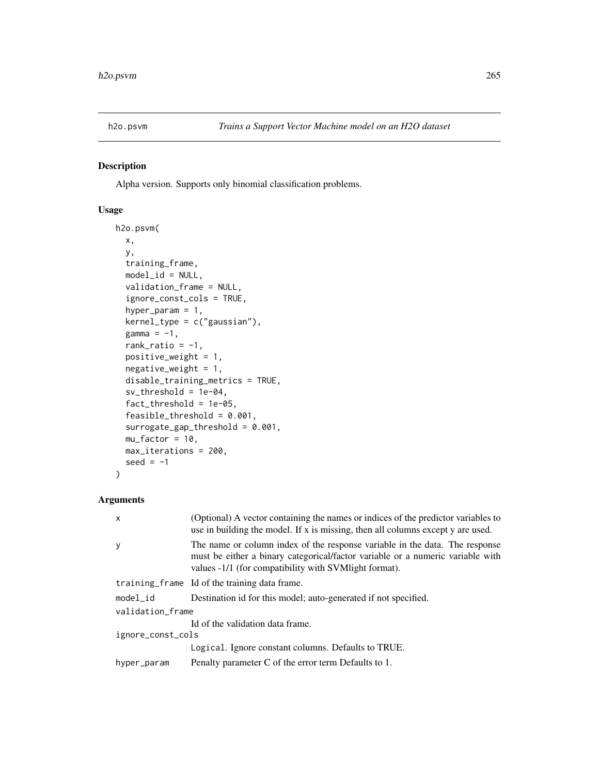#### Description

Alpha version. Supports only binomial classification problems.

# Usage

```
h2o.psvm(
  x,
  y,
  training_frame,
  model_id = NULL,validation_frame = NULL,
  ignore_const_cols = TRUE,
  hyper_param = 1,
  kernel_type = c("gaussian"),
  gamma = -1,
  rank_ratio = -1,
  positive_weight = 1,
  negative\_weight = 1,
  disable_training_metrics = TRUE,
  sv_threshold = 1e-04,
  fact_threshold = 1e-05,
  feasible_threshold = 0.001,
  surrogate_gap_threshold = 0.001,
 mu_factor = 10,
 max_iterations = 200,
  seed = -1\mathcal{L}
```
# Arguments

| $\mathsf{x}$      | (Optional) A vector containing the names or indices of the predictor variables to<br>use in building the model. If x is missing, then all columns except y are used.                                                    |  |
|-------------------|-------------------------------------------------------------------------------------------------------------------------------------------------------------------------------------------------------------------------|--|
| y                 | The name or column index of the response variable in the data. The response<br>must be either a binary categorical/factor variable or a numeric variable with<br>values -1/1 (for compatibility with SVM light format). |  |
|                   | training frame Id of the training data frame.                                                                                                                                                                           |  |
| $model_id$        | Destination id for this model; auto-generated if not specified.                                                                                                                                                         |  |
| validation_frame  |                                                                                                                                                                                                                         |  |
|                   | Id of the validation data frame.                                                                                                                                                                                        |  |
| ignore_const_cols |                                                                                                                                                                                                                         |  |
|                   | Logical. Ignore constant columns. Defaults to TRUE.                                                                                                                                                                     |  |
| hyper_param       | Penalty parameter C of the error term Defaults to 1.                                                                                                                                                                    |  |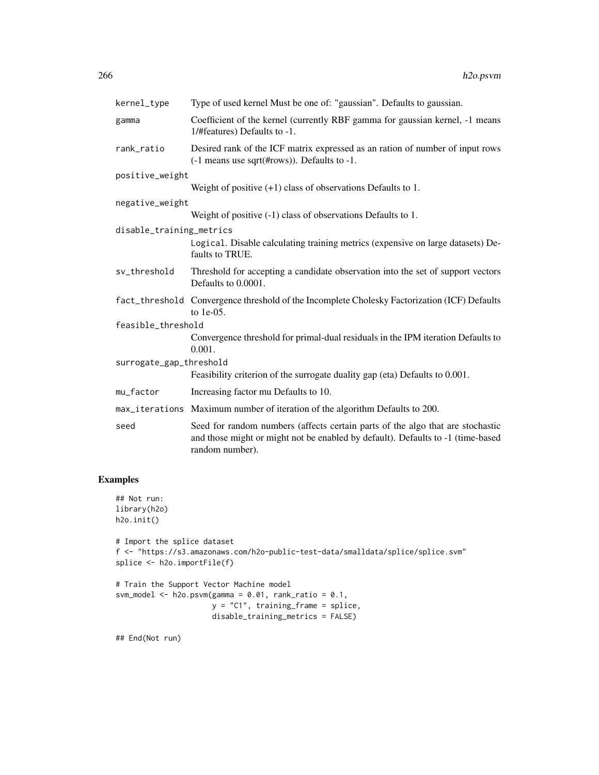| kernel_type              | Type of used kernel Must be one of: "gaussian". Defaults to gaussian.                                                                                                                |  |  |
|--------------------------|--------------------------------------------------------------------------------------------------------------------------------------------------------------------------------------|--|--|
| gamma                    | Coefficient of the kernel (currently RBF gamma for gaussian kernel, -1 means<br>1/#features) Defaults to -1.                                                                         |  |  |
| rank_ratio               | Desired rank of the ICF matrix expressed as an ration of number of input rows<br>(-1 means use sqrt(#rows)). Defaults to -1.                                                         |  |  |
| positive_weight          |                                                                                                                                                                                      |  |  |
|                          | Weight of positive $(+1)$ class of observations Defaults to 1.                                                                                                                       |  |  |
| negative_weight          |                                                                                                                                                                                      |  |  |
|                          | Weight of positive $(-1)$ class of observations Defaults to 1.                                                                                                                       |  |  |
| disable_training_metrics |                                                                                                                                                                                      |  |  |
|                          | Logical. Disable calculating training metrics (expensive on large datasets) De-<br>faults to TRUE.                                                                                   |  |  |
| sv_threshold             | Threshold for accepting a candidate observation into the set of support vectors<br>Defaults to 0.0001.                                                                               |  |  |
|                          | fact_threshold Convergence threshold of the Incomplete Cholesky Factorization (ICF) Defaults<br>to 1e-05.                                                                            |  |  |
| feasible_threshold       |                                                                                                                                                                                      |  |  |
|                          | Convergence threshold for primal-dual residuals in the IPM iteration Defaults to<br>0.001.                                                                                           |  |  |
| surrogate_gap_threshold  |                                                                                                                                                                                      |  |  |
|                          | Feasibility criterion of the surrogate duality gap (eta) Defaults to 0.001.                                                                                                          |  |  |
| mu_factor                | Increasing factor mu Defaults to 10.                                                                                                                                                 |  |  |
|                          | max_iterations Maximum number of iteration of the algorithm Defaults to 200.                                                                                                         |  |  |
| seed                     | Seed for random numbers (affects certain parts of the algo that are stochastic<br>and those might or might not be enabled by default). Defaults to -1 (time-based<br>random number). |  |  |

# Examples

```
## Not run:
library(h2o)
h2o.init()
# Import the splice dataset
f <- "https://s3.amazonaws.com/h2o-public-test-data/smalldata/splice/splice.svm"
splice <- h2o.importFile(f)
# Train the Support Vector Machine model
svm_model <- h2o.psvm(gamma = 0.01, rank_ratio = 0.1,
                      y = "C1", training_frame = splice,
                      disable_training_metrics = FALSE)
```
## End(Not run)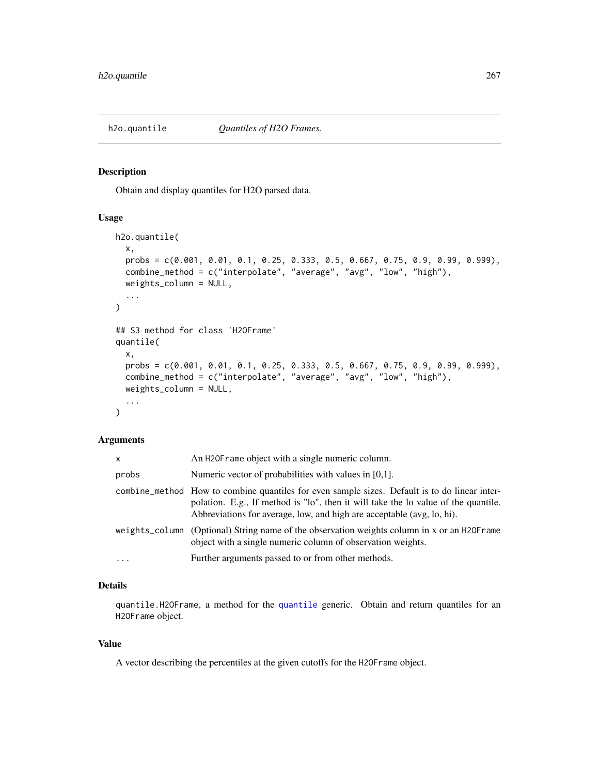# Description

Obtain and display quantiles for H2O parsed data.

## Usage

```
h2o.quantile(
  x,
  probs = c(0.001, 0.01, 0.1, 0.25, 0.333, 0.5, 0.667, 0.75, 0.9, 0.99, 0.999),
  combine_method = c("interpolate", "average", "avg", "low", "high"),
  weights_column = NULL,
  ...
\mathcal{L}## S3 method for class 'H2OFrame'
quantile(
  x,
 probs = c(0.001, 0.01, 0.1, 0.25, 0.333, 0.5, 0.667, 0.75, 0.9, 0.99, 0.999),
  combine_method = c("interpolate", "average", "avg", "low", "high"),
  weights_column = NULL,
  ...
\mathcal{L}
```
#### Arguments

| <b>X</b> | An H20F rame object with a single numeric column.                                                                                                                                                                                                             |
|----------|---------------------------------------------------------------------------------------------------------------------------------------------------------------------------------------------------------------------------------------------------------------|
| probs    | Numeric vector of probabilities with values in [0,1].                                                                                                                                                                                                         |
|          | combine_method How to combine quantiles for even sample sizes. Default is to do linear inter-<br>polation. E.g., If method is "lo", then it will take the lo value of the quantile.<br>Abbreviations for average, low, and high are acceptable (avg, lo, hi). |
|          | weights_column (Optional) String name of the observation weights column in x or an H2OFrame<br>object with a single numeric column of observation weights.                                                                                                    |
| $\cdots$ | Further arguments passed to or from other methods.                                                                                                                                                                                                            |

# Details

quantile.H2OFrame, a method for the [quantile](#page-0-0) generic. Obtain and return quantiles for an H2OFrame object.

#### Value

A vector describing the percentiles at the given cutoffs for the H2OFrame object.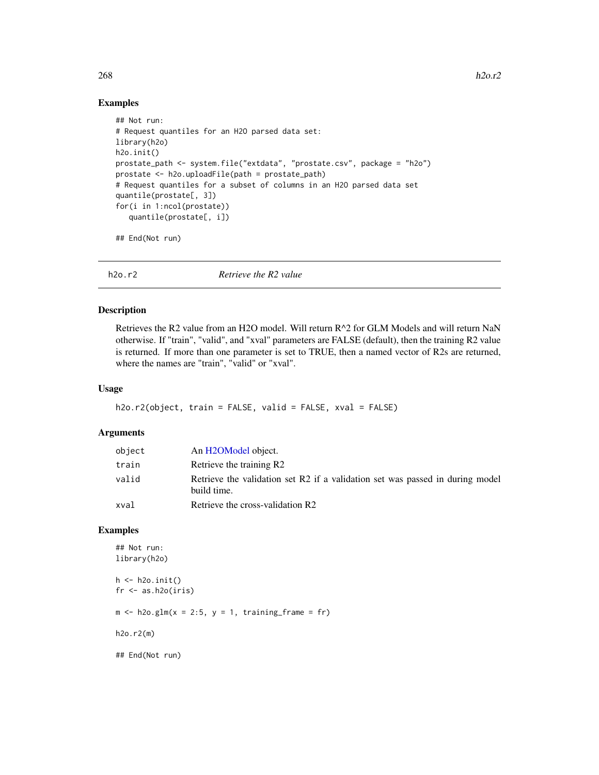#### Examples

```
## Not run:
# Request quantiles for an H2O parsed data set:
library(h2o)
h2o.init()
prostate_path <- system.file("extdata", "prostate.csv", package = "h2o")
prostate <- h2o.uploadFile(path = prostate_path)
# Request quantiles for a subset of columns in an H2O parsed data set
quantile(prostate[, 3])
for(i in 1:ncol(prostate))
   quantile(prostate[, i])
```
## End(Not run)

h2o.r2 *Retrieve the R2 value*

#### Description

Retrieves the R2 value from an H2O model. Will return R^2 for GLM Models and will return NaN otherwise. If "train", "valid", and "xval" parameters are FALSE (default), then the training R2 value is returned. If more than one parameter is set to TRUE, then a named vector of R2s are returned, where the names are "train", "valid" or "xval".

## Usage

```
h2o.r2(object, train = FALSE, valid = FALSE, xval = FALSE)
```
#### Arguments

| object | An H <sub>2</sub> OM <sub>odel</sub> object.                                                 |
|--------|----------------------------------------------------------------------------------------------|
| train  | Retrieve the training R2                                                                     |
| valid  | Retrieve the validation set R2 if a validation set was passed in during model<br>build time. |
| xval   | Retrieve the cross-validation R2                                                             |

#### Examples

```
## Not run:
library(h2o)
h \leftarrow h20.init()fr < - as.h2o(iris)
m \le -h2o.glm(x = 2:5, y = 1, training-frame = fr)h2o.r2(m)
## End(Not run)
```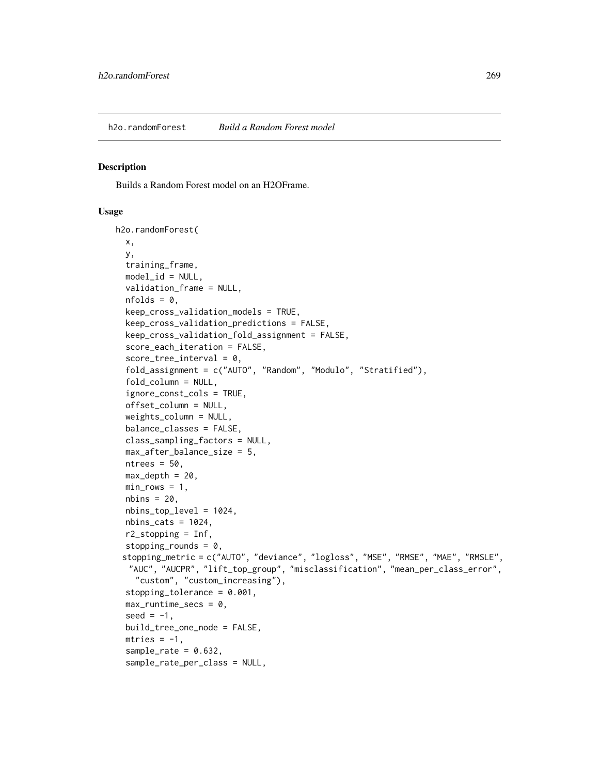#### Description

Builds a Random Forest model on an H2OFrame.

#### Usage

```
h2o.randomForest(
  x,
 y,
  training_frame,
 model_id = NULL,validation_frame = NULL,
  nfolds = 0,
  keep_cross_validation_models = TRUE,
  keep_cross_validation_predictions = FALSE,
  keep_cross_validation_fold_assignment = FALSE,
  score_each_iteration = FALSE,
  score\_tree\_interval = 0,
  fold_assignment = c("AUTO", "Random", "Modulo", "Stratified"),
  fold_column = NULL,
  ignore_const_cols = TRUE,
  offset_column = NULL,
  weights_column = NULL,
  balance_classes = FALSE,
  class_sampling_factors = NULL,
  max_after_balance_size = 5,
 ntrees = 50,
 max\_depth = 20,
 min\_rows = 1,
 nbins = 20,
  nbins_top_level = 1024,
  nbins\_cats = 1024,r2_stopping = Inf,
  stopping_rounds = 0,
 stopping_metric = c("AUTO", "deviance", "logloss", "MSE", "RMSE", "MAE", "RMSLE",
  "AUC", "AUCPR", "lift_top_group", "misclassification", "mean_per_class_error",
    "custom", "custom_increasing"),
  stopping_tolerance = 0.001,
  max_runtime_secs = 0,
  seed = -1,
  build_tree_one_node = FALSE,
 mtries = -1,
  sample_rate = 0.632,
  sample_rate_per_class = NULL,
```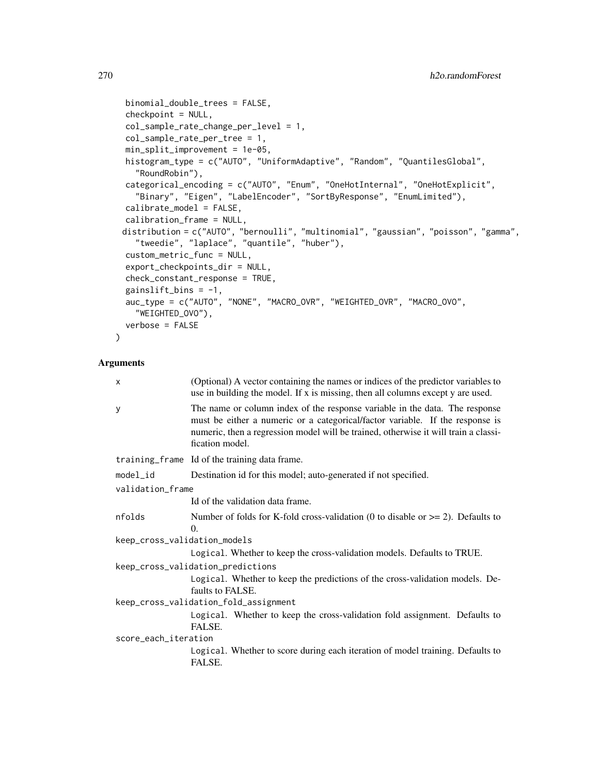```
binomial_double_trees = FALSE,
checkpoint = NULL,
col_sample_rate_change_per_level = 1,
col_sample_rate_per_tree = 1,
min_split_improvement = 1e-05,
histogram_type = c("AUTO", "UniformAdaptive", "Random", "QuantilesGlobal",
  "RoundRobin"),
categorical_encoding = c("AUTO", "Enum", "OneHotInternal", "OneHotExplicit",
  "Binary", "Eigen", "LabelEncoder", "SortByResponse", "EnumLimited"),
calibrate_model = FALSE,
calibration_frame = NULL,
distribution = c("AUTO", "bernoulli", "multinomial", "gaussian", "poisson", "gamma",
  "tweedie", "laplace", "quantile", "huber"),
custom_metric_func = NULL,
export_checkpoints_dir = NULL,
check_constant_response = TRUE,
gainslift_bins = -1,
auc_type = c("AUTO", "NONE", "MACRO_OVR", "WEIGHTED_OVR", "MACRO_OVO",
  "WEIGHTED_OVO"),
verbose = FALSE
```
#### Arguments

 $\lambda$ 

| $\times$                     | (Optional) A vector containing the names or indices of the predictor variables to<br>use in building the model. If x is missing, then all columns except y are used.                                                                                                   |  |  |  |  |
|------------------------------|------------------------------------------------------------------------------------------------------------------------------------------------------------------------------------------------------------------------------------------------------------------------|--|--|--|--|
| y                            | The name or column index of the response variable in the data. The response<br>must be either a numeric or a categorical/factor variable. If the response is<br>numeric, then a regression model will be trained, otherwise it will train a classi-<br>fication model. |  |  |  |  |
|                              | training_frame Id of the training data frame.                                                                                                                                                                                                                          |  |  |  |  |
| model_id                     | Destination id for this model; auto-generated if not specified.                                                                                                                                                                                                        |  |  |  |  |
| validation_frame             |                                                                                                                                                                                                                                                                        |  |  |  |  |
|                              | Id of the validation data frame.                                                                                                                                                                                                                                       |  |  |  |  |
| nfolds                       | Number of folds for K-fold cross-validation (0 to disable or $\geq$ = 2). Defaults to<br>$\Omega$ .                                                                                                                                                                    |  |  |  |  |
| keep_cross_validation_models |                                                                                                                                                                                                                                                                        |  |  |  |  |
|                              | Logical. Whether to keep the cross-validation models. Defaults to TRUE.                                                                                                                                                                                                |  |  |  |  |
|                              | keep_cross_validation_predictions                                                                                                                                                                                                                                      |  |  |  |  |
|                              | Logical. Whether to keep the predictions of the cross-validation models. De-<br>faults to FALSE.                                                                                                                                                                       |  |  |  |  |
|                              | keep_cross_validation_fold_assignment                                                                                                                                                                                                                                  |  |  |  |  |
|                              | Logical. Whether to keep the cross-validation fold assignment. Defaults to<br>FALSE.                                                                                                                                                                                   |  |  |  |  |
| score_each_iteration         |                                                                                                                                                                                                                                                                        |  |  |  |  |
|                              | Logical. Whether to score during each iteration of model training. Defaults to<br>FALSE.                                                                                                                                                                               |  |  |  |  |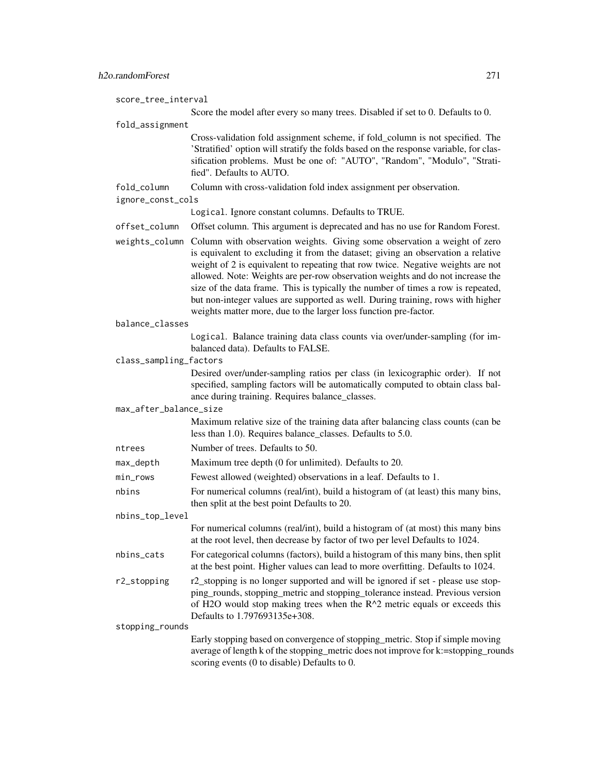score\_tree\_interval Score the model after every so many trees. Disabled if set to 0. Defaults to 0. fold\_assignment Cross-validation fold assignment scheme, if fold\_column is not specified. The 'Stratified' option will stratify the folds based on the response variable, for classification problems. Must be one of: "AUTO", "Random", "Modulo", "Stratified". Defaults to AUTO. fold\_column Column with cross-validation fold index assignment per observation. ignore\_const\_cols Logical. Ignore constant columns. Defaults to TRUE. offset\_column Offset column. This argument is deprecated and has no use for Random Forest. weights\_column Column with observation weights. Giving some observation a weight of zero is equivalent to excluding it from the dataset; giving an observation a relative weight of 2 is equivalent to repeating that row twice. Negative weights are not allowed. Note: Weights are per-row observation weights and do not increase the size of the data frame. This is typically the number of times a row is repeated, but non-integer values are supported as well. During training, rows with higher weights matter more, due to the larger loss function pre-factor. balance\_classes Logical. Balance training data class counts via over/under-sampling (for imbalanced data). Defaults to FALSE. class\_sampling\_factors Desired over/under-sampling ratios per class (in lexicographic order). If not specified, sampling factors will be automatically computed to obtain class balance during training. Requires balance\_classes. max\_after\_balance\_size Maximum relative size of the training data after balancing class counts (can be less than 1.0). Requires balance\_classes. Defaults to 5.0. ntrees Number of trees. Defaults to 50. max\_depth Maximum tree depth (0 for unlimited). Defaults to 20. min\_rows Fewest allowed (weighted) observations in a leaf. Defaults to 1. nbins For numerical columns (real/int), build a histogram of (at least) this many bins, then split at the best point Defaults to 20. nbins\_top\_level For numerical columns (real/int), build a histogram of (at most) this many bins at the root level, then decrease by factor of two per level Defaults to 1024. nbins\_cats For categorical columns (factors), build a histogram of this many bins, then split at the best point. Higher values can lead to more overfitting. Defaults to 1024. r2\_stopping r2\_stopping is no longer supported and will be ignored if set - please use stopping\_rounds, stopping\_metric and stopping\_tolerance instead. Previous version of H2O would stop making trees when the R^2 metric equals or exceeds this Defaults to 1.797693135e+308. stopping\_rounds Early stopping based on convergence of stopping\_metric. Stop if simple moving average of length k of the stopping\_metric does not improve for k:=stopping\_rounds

scoring events (0 to disable) Defaults to 0.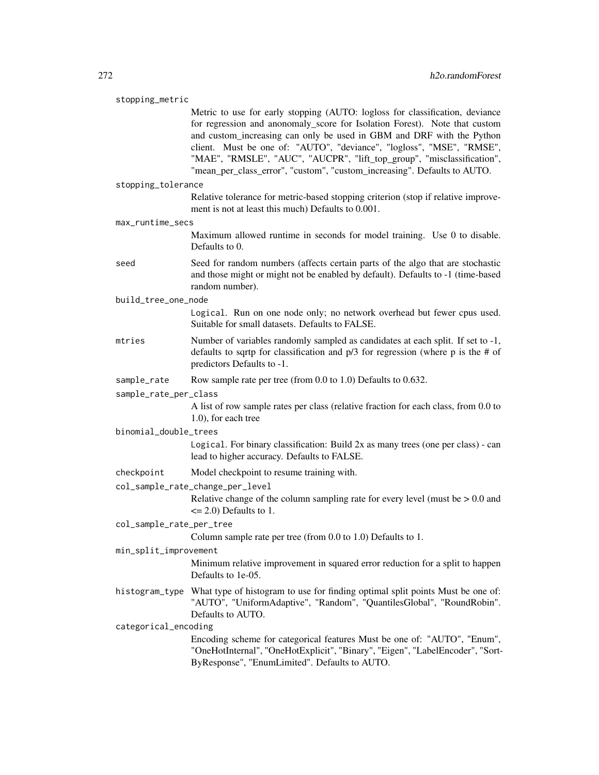#### stopping\_metric

Metric to use for early stopping (AUTO: logloss for classification, deviance for regression and anonomaly\_score for Isolation Forest). Note that custom and custom increasing can only be used in GBM and DRF with the Python client. Must be one of: "AUTO", "deviance", "logloss", "MSE", "RMSE", "MAE", "RMSLE", "AUC", "AUCPR", "lift\_top\_group", "misclassification", "mean\_per\_class\_error", "custom", "custom\_increasing". Defaults to AUTO.

stopping\_tolerance

Relative tolerance for metric-based stopping criterion (stop if relative improvement is not at least this much) Defaults to 0.001.

max\_runtime\_secs

Maximum allowed runtime in seconds for model training. Use 0 to disable. Defaults to 0.

seed Seed for random numbers (affects certain parts of the algo that are stochastic and those might or might not be enabled by default). Defaults to -1 (time-based random number).

build\_tree\_one\_node

Logical. Run on one node only; no network overhead but fewer cpus used. Suitable for small datasets. Defaults to FALSE.

- mtries Number of variables randomly sampled as candidates at each split. If set to -1, defaults to sqrtp for classification and p/3 for regression (where p is the # of predictors Defaults to -1.
- sample\_rate Row sample rate per tree (from 0.0 to 1.0) Defaults to 0.632.

#### sample\_rate\_per\_class

A list of row sample rates per class (relative fraction for each class, from 0.0 to 1.0), for each tree

binomial\_double\_trees

Logical. For binary classification: Build 2x as many trees (one per class) - can lead to higher accuracy. Defaults to FALSE.

- checkpoint Model checkpoint to resume training with.
- col\_sample\_rate\_change\_per\_level

Relative change of the column sampling rate for every level (must be  $> 0.0$  and  $\leq$  2.0) Defaults to 1.

col\_sample\_rate\_per\_tree

Column sample rate per tree (from 0.0 to 1.0) Defaults to 1.

#### min\_split\_improvement

Minimum relative improvement in squared error reduction for a split to happen Defaults to 1e-05.

histogram\_type What type of histogram to use for finding optimal split points Must be one of: "AUTO", "UniformAdaptive", "Random", "QuantilesGlobal", "RoundRobin". Defaults to AUTO.

#### categorical\_encoding

Encoding scheme for categorical features Must be one of: "AUTO", "Enum", "OneHotInternal", "OneHotExplicit", "Binary", "Eigen", "LabelEncoder", "Sort-ByResponse", "EnumLimited". Defaults to AUTO.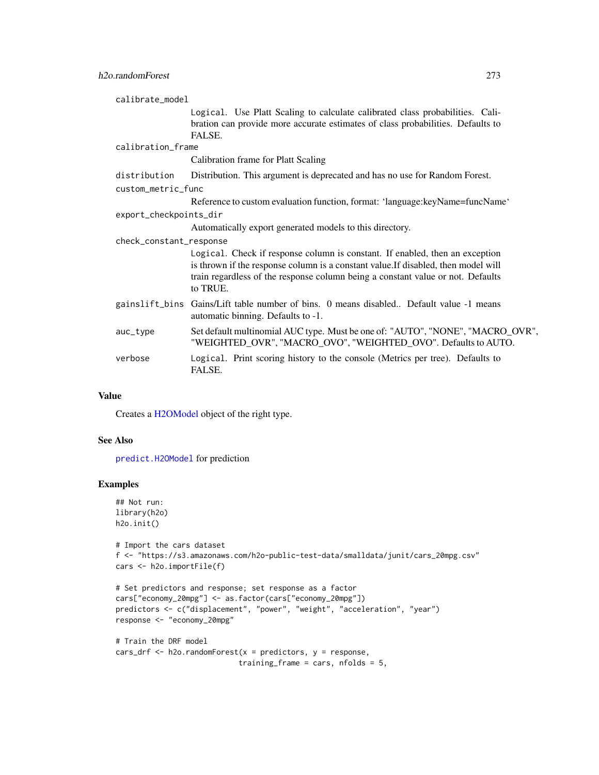| calibrate_model         |                                                                                                                                                                                                                                                                   |
|-------------------------|-------------------------------------------------------------------------------------------------------------------------------------------------------------------------------------------------------------------------------------------------------------------|
|                         | Logical. Use Platt Scaling to calculate calibrated class probabilities. Cali-<br>bration can provide more accurate estimates of class probabilities. Defaults to<br>FALSE.                                                                                        |
| calibration_frame       |                                                                                                                                                                                                                                                                   |
|                         | Calibration frame for Platt Scaling                                                                                                                                                                                                                               |
| distribution            | Distribution. This argument is deprecated and has no use for Random Forest.                                                                                                                                                                                       |
| custom_metric_func      |                                                                                                                                                                                                                                                                   |
|                         | Reference to custom evaluation function, format: 'language:keyName=funcName'                                                                                                                                                                                      |
| export_checkpoints_dir  |                                                                                                                                                                                                                                                                   |
|                         | Automatically export generated models to this directory.                                                                                                                                                                                                          |
| check_constant_response |                                                                                                                                                                                                                                                                   |
|                         | Logical. Check if response column is constant. If enabled, then an exception<br>is thrown if the response column is a constant value. If disabled, then model will<br>train regardless of the response column being a constant value or not. Defaults<br>to TRUE. |
|                         | gainslift_bins Gains/Lift table number of bins. 0 means disabled Default value -1 means<br>automatic binning. Defaults to -1.                                                                                                                                     |
| auc_type                | Set default multinomial AUC type. Must be one of: "AUTO", "NONE", "MACRO_OVR",<br>"WEIGHTED_OVR", "MACRO_OVO", "WEIGHTED_OVO". Defaults to AUTO.                                                                                                                  |
| verbose                 | Logical. Print scoring history to the console (Metrics per tree). Defaults to<br>FALSE.                                                                                                                                                                           |

## Value

Creates a [H2OModel](#page-370-0) object of the right type.

# See Also

[predict.H2OModel](#page-385-0) for prediction

# Examples

```
## Not run:
library(h2o)
h2o.init()
```

```
# Import the cars dataset
f <- "https://s3.amazonaws.com/h2o-public-test-data/smalldata/junit/cars_20mpg.csv"
cars <- h2o.importFile(f)
```

```
# Set predictors and response; set response as a factor
cars["economy_20mpg"] <- as.factor(cars["economy_20mpg"])
predictors <- c("displacement", "power", "weight", "acceleration", "year")
response <- "economy_20mpg"
```

```
# Train the DRF model
cars_drf <- h2o.randomForest(x = predictors, y = response,
                           training_frame = cars, nfolds = 5,
```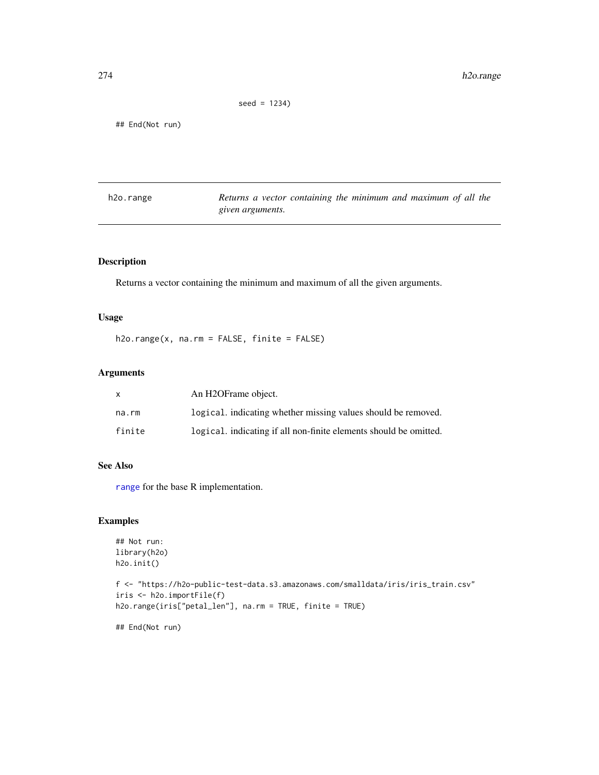```
seed = 1234)
```
## End(Not run)

| h2o.range | Returns a vector containing the minimum and maximum of all the |  |  |  |  |
|-----------|----------------------------------------------------------------|--|--|--|--|
|           | given arguments.                                               |  |  |  |  |

# Description

Returns a vector containing the minimum and maximum of all the given arguments.

# Usage

h2o.range(x, na.rm = FALSE, finite = FALSE)

## Arguments

|        | An H <sub>2</sub> OFrame object.                                  |
|--------|-------------------------------------------------------------------|
| na.rm  | logical. indicating whether missing values should be removed.     |
| finite | logical, indicating if all non-finite elements should be omitted. |

# See Also

[range](#page-0-0) for the base R implementation.

# Examples

```
## Not run:
library(h2o)
h2o.init()
```

```
f <- "https://h2o-public-test-data.s3.amazonaws.com/smalldata/iris/iris_train.csv"
iris <- h2o.importFile(f)
h2o.range(iris["petal_len"], na.rm = TRUE, finite = TRUE)
```
## End(Not run)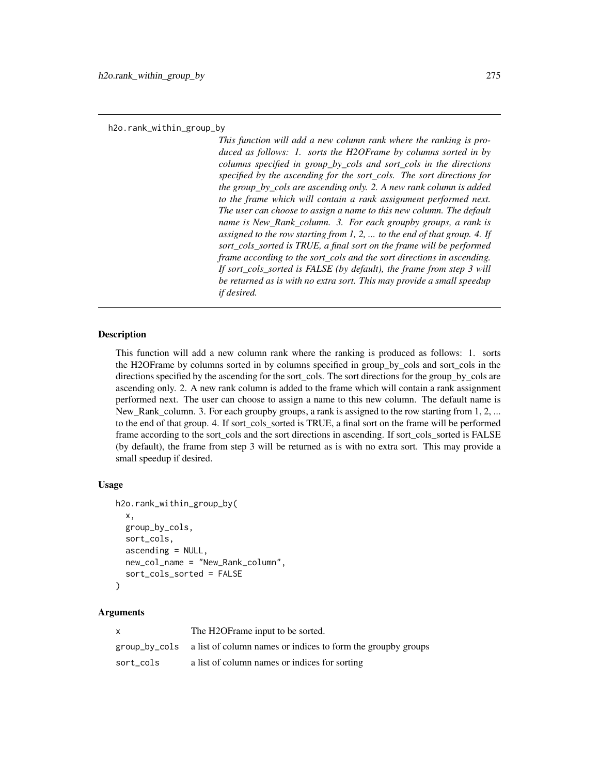*This function will add a new column rank where the ranking is produced as follows: 1. sorts the H2OFrame by columns sorted in by columns specified in group\_by\_cols and sort\_cols in the directions specified by the ascending for the sort\_cols. The sort directions for the group\_by\_cols are ascending only. 2. A new rank column is added to the frame which will contain a rank assignment performed next. The user can choose to assign a name to this new column. The default name is New\_Rank\_column. 3. For each groupby groups, a rank is assigned to the row starting from 1, 2, ... to the end of that group. 4. If sort\_cols\_sorted is TRUE, a final sort on the frame will be performed frame according to the sort\_cols and the sort directions in ascending. If sort\_cols\_sorted is FALSE (by default), the frame from step 3 will be returned as is with no extra sort. This may provide a small speedup if desired.*

#### Description

This function will add a new column rank where the ranking is produced as follows: 1. sorts the H2OFrame by columns sorted in by columns specified in group\_by\_cols and sort\_cols in the directions specified by the ascending for the sort\_cols. The sort directions for the group\_by\_cols are ascending only. 2. A new rank column is added to the frame which will contain a rank assignment performed next. The user can choose to assign a name to this new column. The default name is New\_Rank\_column. 3. For each groupby groups, a rank is assigned to the row starting from 1, 2, ... to the end of that group. 4. If sort cols sorted is TRUE, a final sort on the frame will be performed frame according to the sort\_cols and the sort directions in ascending. If sort\_cols\_sorted is FALSE (by default), the frame from step 3 will be returned as is with no extra sort. This may provide a small speedup if desired.

## Usage

```
h2o.rank_within_group_by(
  x,
  group_by_cols,
  sort_cols,
  ascending = NULL,
  new_col_name = "New_Rank_column",
  sort_cols_sorted = FALSE
)
```
#### Arguments

| X         | The H2OF rame input to be sorted.                                          |
|-----------|----------------------------------------------------------------------------|
|           | group_by_cols a list of column names or indices to form the group y groups |
| sort cols | a list of column names or indices for sorting                              |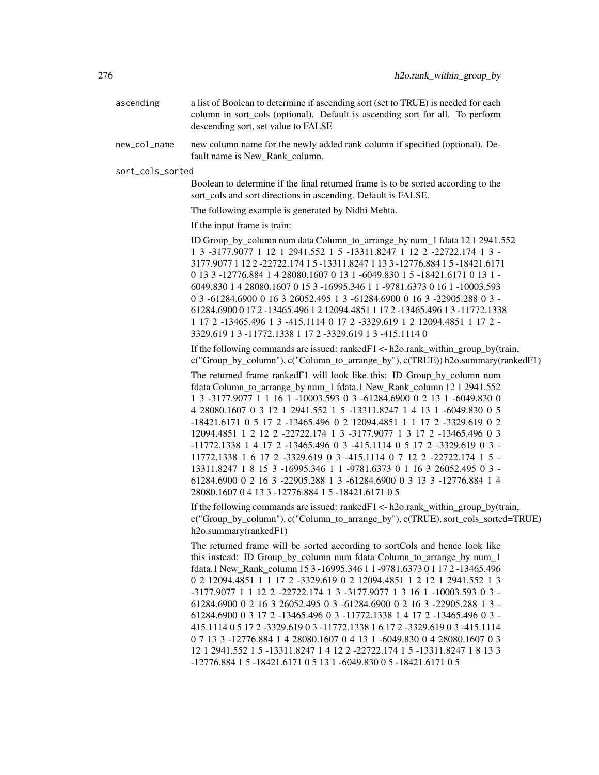| ascending    | a list of Boolean to determine if ascending sort (set to TRUE) is needed for each<br>column in sort cols (optional). Default is ascending sort for all. To perform<br>descending sort, set value to FALSE |
|--------------|-----------------------------------------------------------------------------------------------------------------------------------------------------------------------------------------------------------|
| new_col_name | new column name for the newly added rank column if specified (optional). De-<br>fault name is New Rank column.                                                                                            |

sort\_cols\_sorted

Boolean to determine if the final returned frame is to be sorted according to the sort\_cols and sort directions in ascending. Default is FALSE.

The following example is generated by Nidhi Mehta.

If the input frame is train:

ID Group\_by\_column num data Column\_to\_arrange\_by num\_1 fdata 12 1 2941.552 1 3 -3177.9077 1 12 1 2941.552 1 5 -13311.8247 1 12 2 -22722.174 1 3 - 3177.9077 1 12 2 -22722.174 1 5 -13311.8247 1 13 3 -12776.884 1 5 -18421.6171 0 13 3 -12776.884 1 4 28080.1607 0 13 1 -6049.830 1 5 -18421.6171 0 13 1 - 6049.830 1 4 28080.1607 0 15 3 -16995.346 1 1 -9781.6373 0 16 1 -10003.593 0 3 -61284.6900 0 16 3 26052.495 1 3 -61284.6900 0 16 3 -22905.288 0 3 - 61284.6900 0 17 2 -13465.496 1 2 12094.4851 1 17 2 -13465.496 1 3 -11772.1338 1 17 2 -13465.496 1 3 -415.1114 0 17 2 -3329.619 1 2 12094.4851 1 17 2 - 3329.619 1 3 -11772.1338 1 17 2 -3329.619 1 3 -415.1114 0

If the following commands are issued: ranked  $F1 < -h2$ o.rank within group by(train, c("Group\_by\_column"), c("Column\_to\_arrange\_by"), c(TRUE)) h2o.summary(rankedF1)

The returned frame rankedF1 will look like this: ID Group\_by\_column num fdata Column\_to\_arrange\_by num\_1 fdata.1 New\_Rank\_column 12 1 2941.552 1 3 -3177.9077 1 1 16 1 -10003.593 0 3 -61284.6900 0 2 13 1 -6049.830 0 4 28080.1607 0 3 12 1 2941.552 1 5 -13311.8247 1 4 13 1 -6049.830 0 5 -18421.6171 0 5 17 2 -13465.496 0 2 12094.4851 1 1 17 2 -3329.619 0 2 12094.4851 1 2 12 2 -22722.174 1 3 -3177.9077 1 3 17 2 -13465.496 0 3 -11772.1338 1 4 17 2 -13465.496 0 3 -415.1114 0 5 17 2 -3329.619 0 3 - 11772.1338 1 6 17 2 -3329.619 0 3 -415.1114 0 7 12 2 -22722.174 1 5 - 13311.8247 1 8 15 3 -16995.346 1 1 -9781.6373 0 1 16 3 26052.495 0 3 - 61284.6900 0 2 16 3 -22905.288 1 3 -61284.6900 0 3 13 3 -12776.884 1 4 28080.1607 0 4 13 3 -12776.884 1 5 -18421.6171 0 5

If the following commands are issued: ranked  $F1 \leq h2o$  rank within group by(train, c("Group by column"), c("Column to arrange by"), c(TRUE), sort cols sorted=TRUE) h2o.summary(rankedF1)

The returned frame will be sorted according to sortCols and hence look like this instead: ID Group\_by\_column num fdata Column\_to\_arrange\_by num\_1 fdata.1 New\_Rank\_column 15 3 -16995.346 1 1 -9781.6373 0 1 17 2 -13465.496 0 2 12094.4851 1 1 17 2 -3329.619 0 2 12094.4851 1 2 12 1 2941.552 1 3 -3177.9077 1 1 12 2 -22722.174 1 3 -3177.9077 1 3 16 1 -10003.593 0 3 - 61284.6900 0 2 16 3 26052.495 0 3 -61284.6900 0 2 16 3 -22905.288 1 3 - 61284.6900 0 3 17 2 -13465.496 0 3 -11772.1338 1 4 17 2 -13465.496 0 3 - 415.1114 0 5 17 2 -3329.619 0 3 -11772.1338 1 6 17 2 -3329.619 0 3 -415.1114 0 7 13 3 -12776.884 1 4 28080.1607 0 4 13 1 -6049.830 0 4 28080.1607 0 3 12 1 2941.552 1 5 -13311.8247 1 4 12 2 -22722.174 1 5 -13311.8247 1 8 13 3 -12776.884 1 5 -18421.6171 0 5 13 1 -6049.830 0 5 -18421.6171 0 5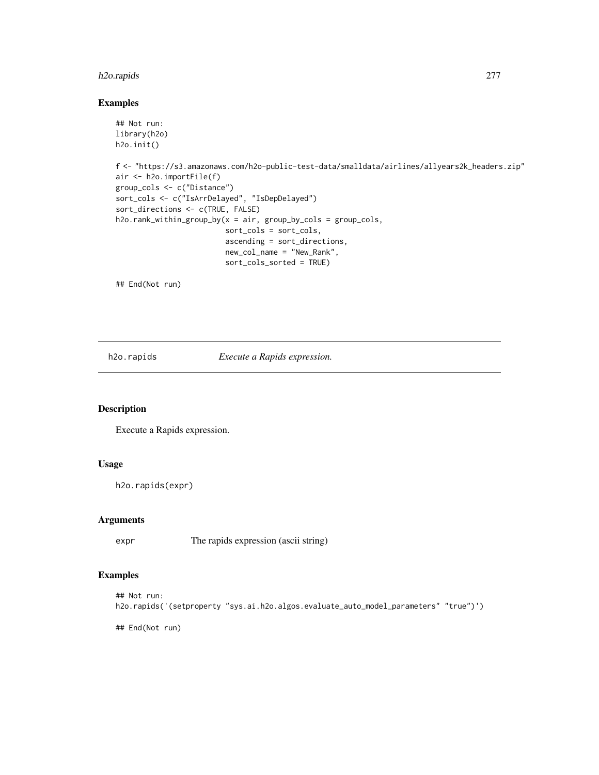# h2o.rapids 277

## Examples

```
## Not run:
library(h2o)
h2o.init()
f <- "https://s3.amazonaws.com/h2o-public-test-data/smalldata/airlines/allyears2k_headers.zip"
air <- h2o.importFile(f)
group_cols <- c("Distance")
sort_cols <- c("IsArrDelayed", "IsDepDelayed")
sort_directions <- c(TRUE, FALSE)
h2o.rank_within_group_by(x = air, group_by_cols = group_cols,
                         sort_cols = sort_cols,
                         ascending = sort_directions,
                         new_col_name = "New_Rank",
                         sort_cols_sorted = TRUE)
```
## End(Not run)

h2o.rapids *Execute a Rapids expression.*

# Description

Execute a Rapids expression.

# Usage

h2o.rapids(expr)

#### Arguments

expr The rapids expression (ascii string)

# Examples

```
## Not run:
h2o.rapids('(setproperty "sys.ai.h2o.algos.evaluate_auto_model_parameters" "true")')
```
## End(Not run)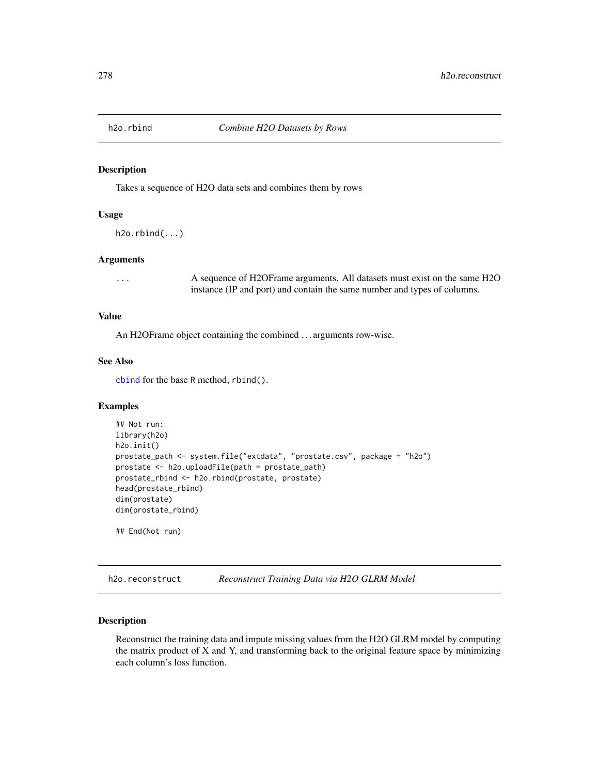#### Description

Takes a sequence of H2O data sets and combines them by rows

# Usage

```
h2o.rbind(...)
```
#### Arguments

... A sequence of H2OFrame arguments. All datasets must exist on the same H2O instance (IP and port) and contain the same number and types of columns.

# Value

An H2OFrame object containing the combined . . . arguments row-wise.

## See Also

[cbind](#page-0-0) for the base R method, rbind().

#### Examples

```
## Not run:
library(h2o)
h2o.init()
prostate_path <- system.file("extdata", "prostate.csv", package = "h2o")
prostate <- h2o.uploadFile(path = prostate_path)
prostate_rbind <- h2o.rbind(prostate, prostate)
head(prostate_rbind)
dim(prostate)
dim(prostate_rbind)
## End(Not run)
```
h2o.reconstruct *Reconstruct Training Data via H2O GLRM Model*

# Description

Reconstruct the training data and impute missing values from the H2O GLRM model by computing the matrix product of X and Y, and transforming back to the original feature space by minimizing each column's loss function.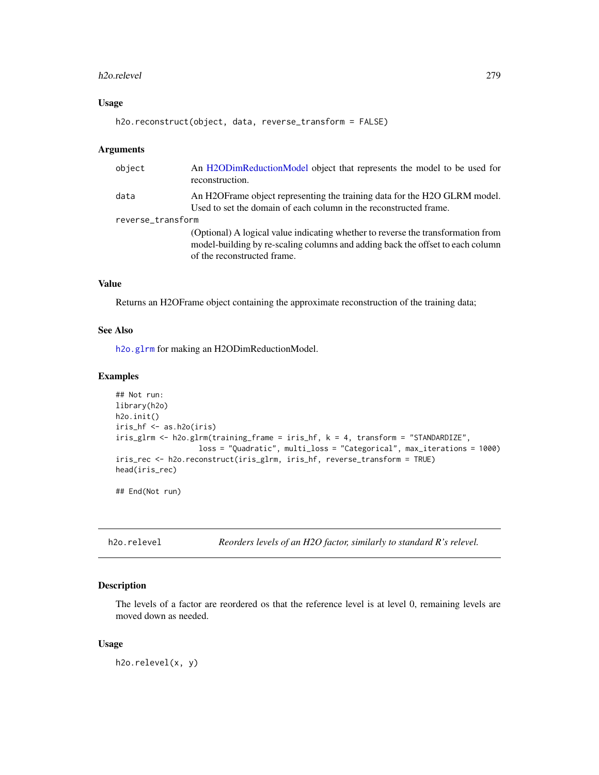#### h2o.relevel 279

# Usage

```
h2o.reconstruct(object, data, reverse_transform = FALSE)
```
#### Arguments

| object            | An H2ODimReductionModel object that represents the model to be used for<br>reconstruction.                                                                                                        |
|-------------------|---------------------------------------------------------------------------------------------------------------------------------------------------------------------------------------------------|
| data              | An H2OF rame object representing the training data for the H2O GLRM model.<br>Used to set the domain of each column in the reconstructed frame.                                                   |
| reverse_transform |                                                                                                                                                                                                   |
|                   | (Optional) A logical value indicating whether to reverse the transformation from<br>model-building by re-scaling columns and adding back the offset to each column<br>of the reconstructed frame. |

## Value

Returns an H2OFrame object containing the approximate reconstruction of the training data;

#### See Also

[h2o.glrm](#page-163-0) for making an H2ODimReductionModel.

# Examples

```
## Not run:
library(h2o)
h2o.init()
iris_hf <- as.h2o(iris)
iris_glrm <- h2o.glrm(training_frame = iris_hf, k = 4, transform = "STANDARDIZE",
                   loss = "Quadratic", multi_loss = "Categorical", max_iterations = 1000)
iris_rec <- h2o.reconstruct(iris_glrm, iris_hf, reverse_transform = TRUE)
head(iris_rec)
```
## End(Not run)

h2o.relevel *Reorders levels of an H2O factor, similarly to standard R's relevel.*

## Description

The levels of a factor are reordered os that the reference level is at level 0, remaining levels are moved down as needed.

#### Usage

h2o.relevel(x, y)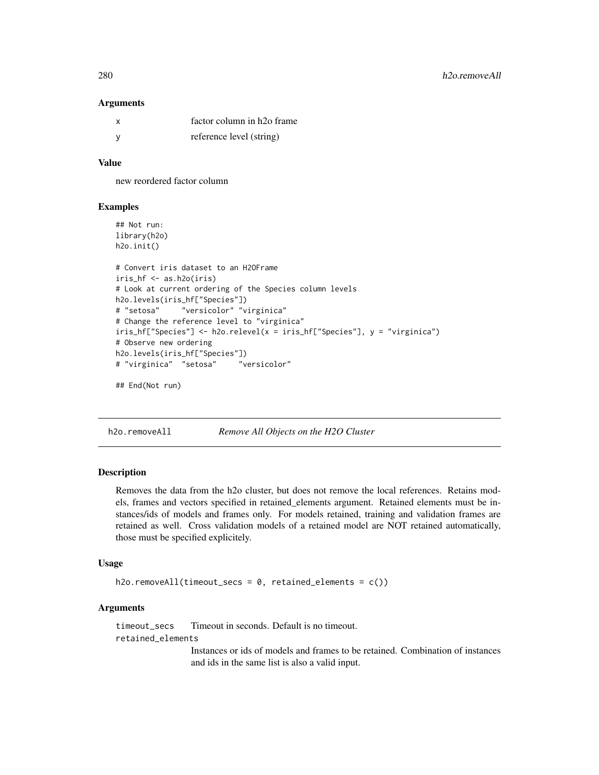#### **Arguments**

| X   | factor column in h <sub>20</sub> frame |
|-----|----------------------------------------|
| - V | reference level (string)               |

#### Value

new reordered factor column

#### Examples

```
## Not run:
library(h2o)
h2o.init()
# Convert iris dataset to an H2OFrame
iris_hf <- as.h2o(iris)
# Look at current ordering of the Species column levels
h2o.levels(iris_hf["Species"])
# "setosa" "versicolor" "virginica"
# Change the reference level to "virginica"
iris_hf["Species"] <- h2o.relevel(x = iris_hf["Species"], y = "virginica")
# Observe new ordering
h2o.levels(iris_hf["Species"])
# "virginica" "setosa" "versicolor"
```

```
## End(Not run)
```
h2o.removeAll *Remove All Objects on the H2O Cluster*

## Description

Removes the data from the h2o cluster, but does not remove the local references. Retains models, frames and vectors specified in retained\_elements argument. Retained elements must be instances/ids of models and frames only. For models retained, training and validation frames are retained as well. Cross validation models of a retained model are NOT retained automatically, those must be specified explicitely.

#### Usage

```
h2o.removeAll(timeout_secs = 0, retained_elements = c())
```
# Arguments

timeout\_secs Timeout in seconds. Default is no timeout.

retained\_elements

Instances or ids of models and frames to be retained. Combination of instances and ids in the same list is also a valid input.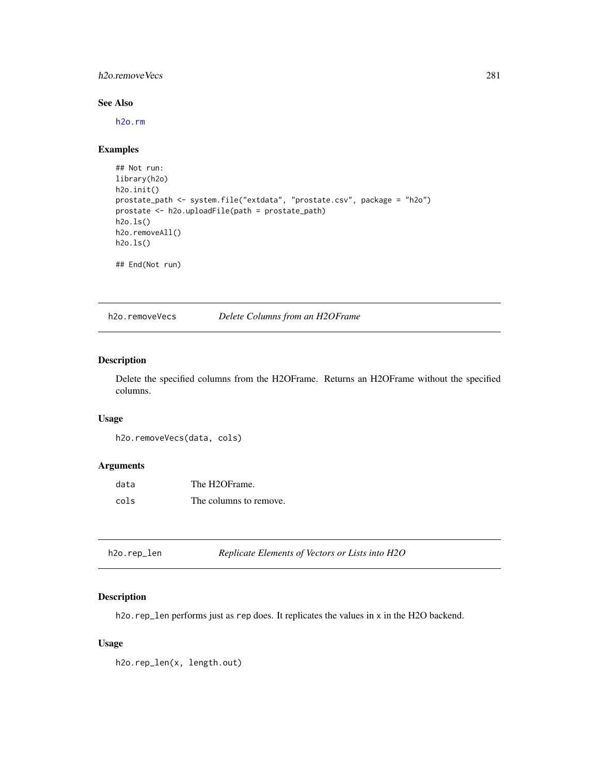## h2o.removeVecs 281

# See Also

[h2o.rm](#page-285-0)

#### Examples

```
## Not run:
library(h2o)
h2o.init()
prostate_path <- system.file("extdata", "prostate.csv", package = "h2o")
prostate <- h2o.uploadFile(path = prostate_path)
h2o.ls()
h2o.removeAll()
h2o.ls()
## End(Not run)
```
h2o.removeVecs *Delete Columns from an H2OFrame*

# Description

Delete the specified columns from the H2OFrame. Returns an H2OFrame without the specified columns.

# Usage

```
h2o.removeVecs(data, cols)
```
# Arguments

| data | The H2OFrame.          |
|------|------------------------|
| cols | The columns to remove. |

| Replicate Elements of Vectors or Lists into H2O<br>h2o.rep_len |  |
|----------------------------------------------------------------|--|
|----------------------------------------------------------------|--|

# Description

h2o.rep\_len performs just as rep does. It replicates the values in x in the H2O backend.

#### Usage

h2o.rep\_len(x, length.out)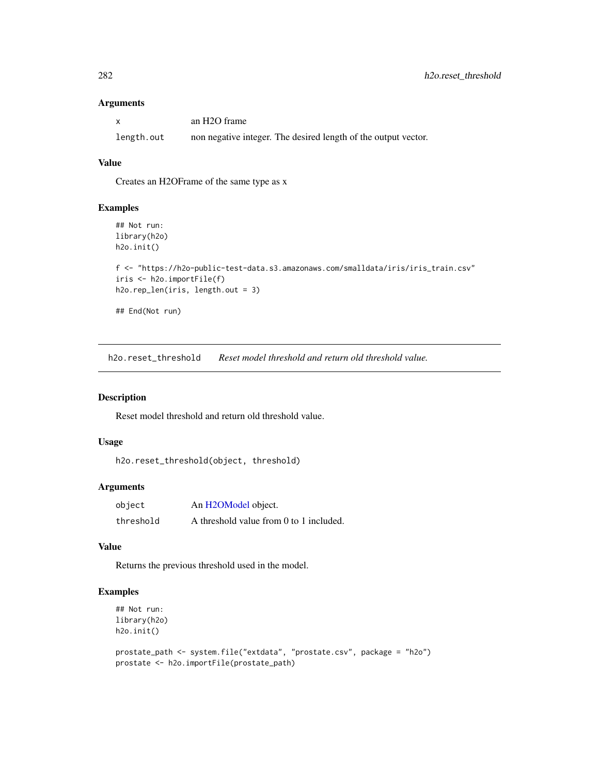# Arguments

| X          | an H <sub>2</sub> O frame                                      |
|------------|----------------------------------------------------------------|
| length.out | non negative integer. The desired length of the output vector. |

# Value

Creates an H2OFrame of the same type as x

#### Examples

```
## Not run:
library(h2o)
h2o.init()
f <- "https://h2o-public-test-data.s3.amazonaws.com/smalldata/iris/iris_train.csv"
iris <- h2o.importFile(f)
h2o.rep_len(iris, length.out = 3)
## End(Not run)
```
h2o.reset\_threshold *Reset model threshold and return old threshold value.*

#### Description

Reset model threshold and return old threshold value.

# Usage

```
h2o.reset_threshold(object, threshold)
```
## Arguments

| object    | An H2OModel object.                     |
|-----------|-----------------------------------------|
| threshold | A threshold value from 0 to 1 included. |

## Value

Returns the previous threshold used in the model.

## Examples

```
## Not run:
library(h2o)
h2o.init()
```

```
prostate_path <- system.file("extdata", "prostate.csv", package = "h2o")
prostate <- h2o.importFile(prostate_path)
```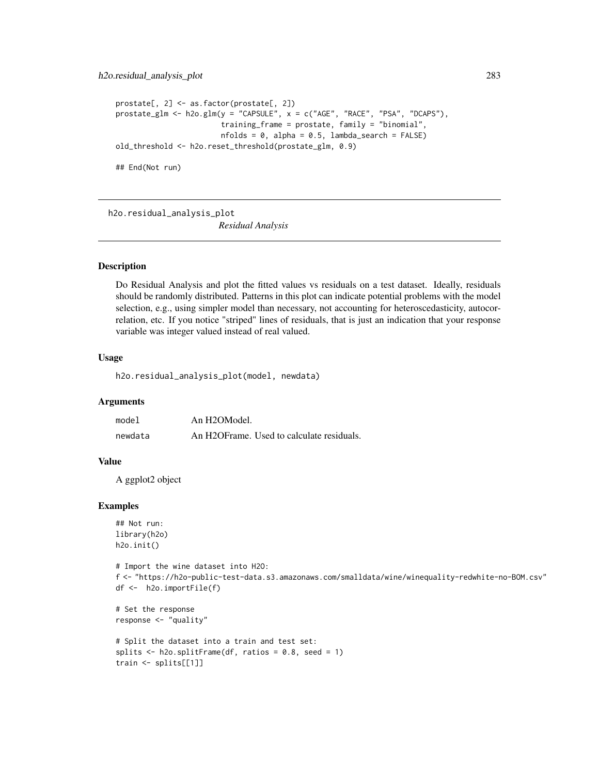```
prostate[, 2] <- as.factor(prostate[, 2])
prostate_glm <- h2o.glm(y = "CAPSULE", x = c("AGE", "RACE", "PSA", "DCAPS"),
                        training_frame = prostate, family = "binomial",
                        nfolds = 0, alpha = 0.5, lambda_search = FALSE)
old_threshold <- h2o.reset_threshold(prostate_glm, 0.9)
## End(Not run)
```
h2o.residual\_analysis\_plot

*Residual Analysis*

## Description

Do Residual Analysis and plot the fitted values vs residuals on a test dataset. Ideally, residuals should be randomly distributed. Patterns in this plot can indicate potential problems with the model selection, e.g., using simpler model than necessary, not accounting for heteroscedasticity, autocorrelation, etc. If you notice "striped" lines of residuals, that is just an indication that your response variable was integer valued instead of real valued.

## Usage

h2o.residual\_analysis\_plot(model, newdata)

## Arguments

| model   | An H2OModel.                              |
|---------|-------------------------------------------|
| newdata | An H2OFrame. Used to calculate residuals. |

#### Value

A ggplot2 object

#### Examples

```
## Not run:
library(h2o)
h2o.init()
```

```
# Import the wine dataset into H2O:
f <- "https://h2o-public-test-data.s3.amazonaws.com/smalldata/wine/winequality-redwhite-no-BOM.csv"
df <- h2o.importFile(f)
```

```
# Set the response
response <- "quality"
```

```
# Split the dataset into a train and test set:
splits \le h2o.splitFrame(df, ratios = 0.8, seed = 1)
train <- splits[[1]]
```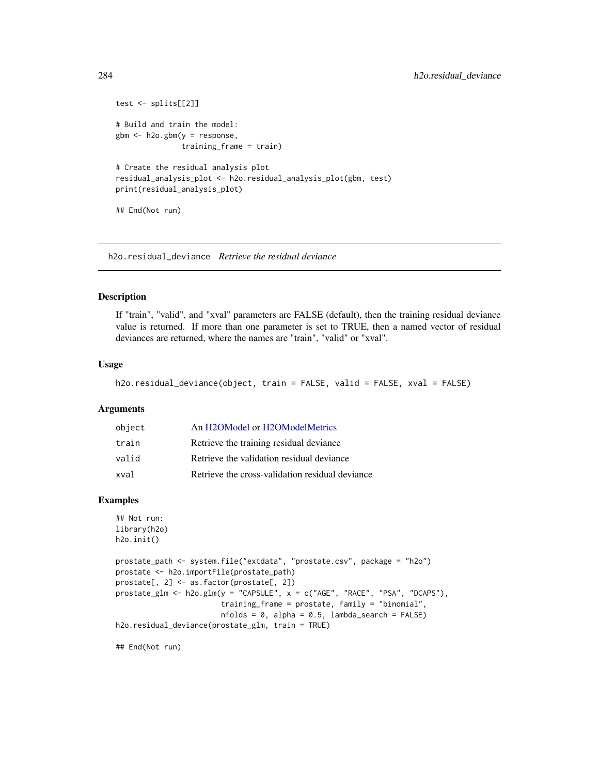```
test <- splits[[2]]
# Build and train the model:
gbm <- h2o.gbm(y = response,
               training_frame = train)
# Create the residual analysis plot
residual_analysis_plot <- h2o.residual_analysis_plot(gbm, test)
print(residual_analysis_plot)
## End(Not run)
```
h2o.residual\_deviance *Retrieve the residual deviance*

# Description

If "train", "valid", and "xval" parameters are FALSE (default), then the training residual deviance value is returned. If more than one parameter is set to TRUE, then a named vector of residual deviances are returned, where the names are "train", "valid" or "xval".

#### Usage

```
h2o.residual_deviance(object, train = FALSE, valid = FALSE, xval = FALSE)
```
#### Arguments

| object | An H2OModel or H2OModelMetrics                  |
|--------|-------------------------------------------------|
| train  | Retrieve the training residual deviance         |
| valid  | Retrieve the validation residual deviance       |
| xval   | Retrieve the cross-validation residual deviance |

#### Examples

```
## Not run:
library(h2o)
h2o.init()
```

```
prostate_path <- system.file("extdata", "prostate.csv", package = "h2o")
prostate <- h2o.importFile(prostate_path)
prostate[, 2] <- as.factor(prostate[, 2])
prostate_glm <- h2o.glm(y = "CAPSULE", x = c("AGE", "RACE", "PSA", "DCAPS"),
                        training_frame = prostate, family = "binomial",
                        nfolds = 0, alpha = 0.5, lambda_search = FALSE)
h2o.residual_deviance(prostate_glm, train = TRUE)
```
## End(Not run)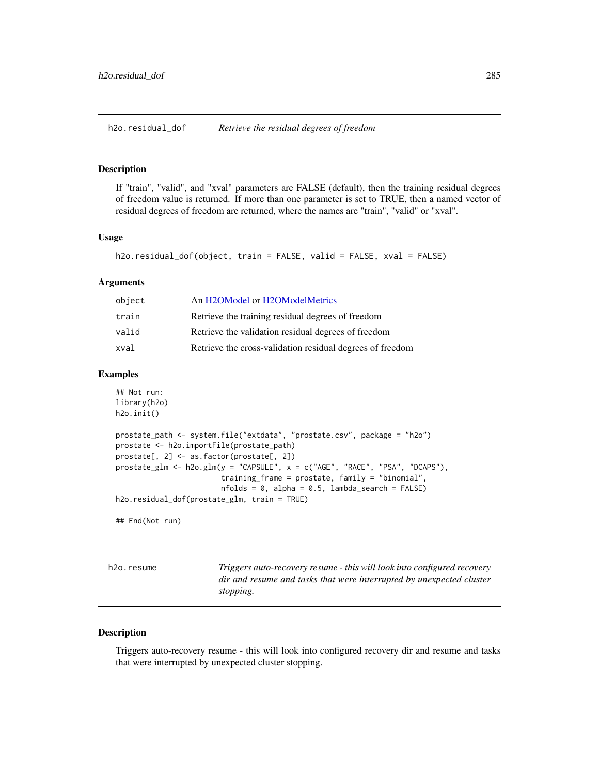h2o.residual\_dof *Retrieve the residual degrees of freedom*

#### **Description**

If "train", "valid", and "xval" parameters are FALSE (default), then the training residual degrees of freedom value is returned. If more than one parameter is set to TRUE, then a named vector of residual degrees of freedom are returned, where the names are "train", "valid" or "xval".

# Usage

```
h2o.residual_dof(object, train = FALSE, valid = FALSE, xval = FALSE)
```
#### Arguments

| object | An H2OModel or H2OModelMetrics                            |
|--------|-----------------------------------------------------------|
| train  | Retrieve the training residual degrees of freedom         |
| valid  | Retrieve the validation residual degrees of freedom       |
| xval   | Retrieve the cross-validation residual degrees of freedom |

## Examples

```
## Not run:
library(h2o)
h2o.init()
prostate_path <- system.file("extdata", "prostate.csv", package = "h2o")
prostate <- h2o.importFile(prostate_path)
prostate[, 2] <- as.factor(prostate[, 2])
prostate_glm <- h2o.glm(y = "CAPSULE", x = c("AGE", "RACE", "PSA", "DCAPS"),
                        training_frame = prostate, family = "binomial",
                        nfolds = 0, alpha = 0.5, lambda_search = FALSE)
h2o.residual_dof(prostate_glm, train = TRUE)
```
## End(Not run)

h2o.resume *Triggers auto-recovery resume - this will look into configured recovery dir and resume and tasks that were interrupted by unexpected cluster stopping.*

## Description

Triggers auto-recovery resume - this will look into configured recovery dir and resume and tasks that were interrupted by unexpected cluster stopping.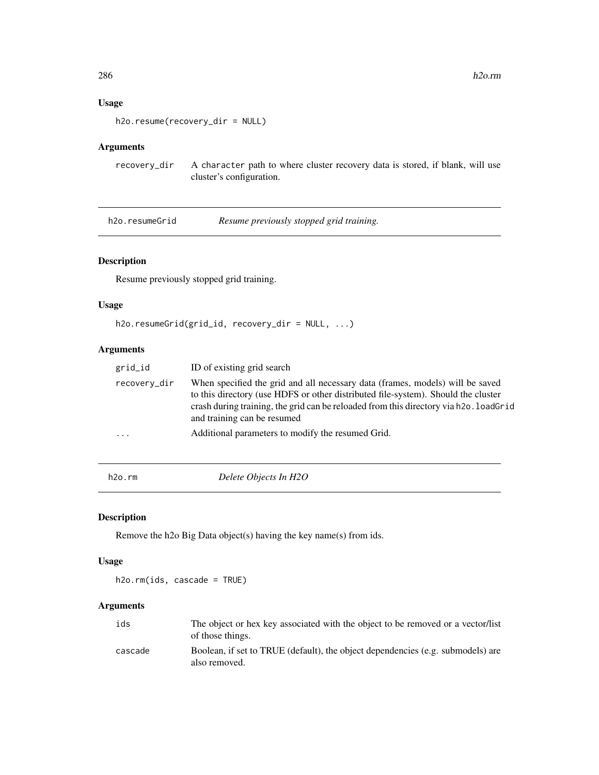# Usage

h2o.resume(recovery\_dir = NULL)

# Arguments

recovery\_dir A character path to where cluster recovery data is stored, if blank, will use cluster's configuration.

h2o.resumeGrid *Resume previously stopped grid training.*

# Description

Resume previously stopped grid training.

## Usage

```
h2o.resumeGrid(grid_id, recovery_dir = NULL, ...)
```
# Arguments

| grid_id                 | ID of existing grid search                                                                                                                                                                                                                                                                 |
|-------------------------|--------------------------------------------------------------------------------------------------------------------------------------------------------------------------------------------------------------------------------------------------------------------------------------------|
| recovery_dir            | When specified the grid and all necessary data (frames, models) will be saved<br>to this directory (use HDFS or other distributed file-system). Should the cluster<br>crash during training, the grid can be reloaded from this directory via h2o. loadGrid<br>and training can be resumed |
| $\cdot$ $\cdot$ $\cdot$ | Additional parameters to modify the resumed Grid.                                                                                                                                                                                                                                          |
|                         |                                                                                                                                                                                                                                                                                            |

<span id="page-285-0"></span>h2o.rm *Delete Objects In H2O*

## Description

Remove the h2o Big Data object(s) having the key name(s) from ids.

## Usage

h2o.rm(ids, cascade = TRUE)

# Arguments

| ids     | The object or hex key associated with the object to be removed or a vector/list<br>of those things. |
|---------|-----------------------------------------------------------------------------------------------------|
| cascade | Boolean, if set to TRUE (default), the object dependencies (e.g. submodels) are<br>also removed.    |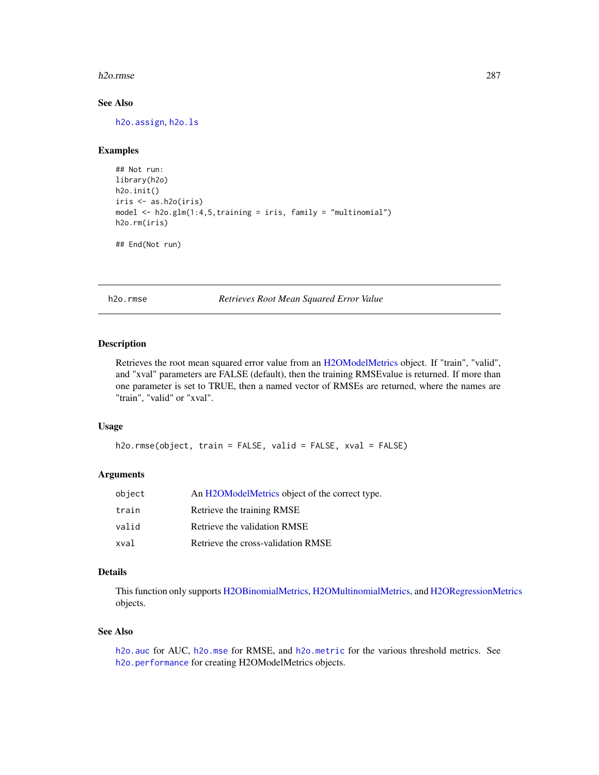#### h2o.rmse 287

# See Also

[h2o.assign](#page-60-0), [h2o.ls](#page-215-0)

# Examples

```
## Not run:
library(h2o)
h2o.init()
iris <- as.h2o(iris)
model <- h2o.glm(1:4,5,training = iris, family = "multinomial")
h2o.rm(iris)
```
## End(Not run)

h2o.rmse *Retrieves Root Mean Squared Error Value*

## Description

Retrieves the root mean squared error value from an [H2OModelMetrics](#page-371-0) object. If "train", "valid", and "xval" parameters are FALSE (default), then the training RMSEvalue is returned. If more than one parameter is set to TRUE, then a named vector of RMSEs are returned, where the names are "train", "valid" or "xval".

#### Usage

```
h2o.rmse(object, train = FALSE, valid = FALSE, xval = FALSE)
```
#### Arguments

| object | An H2OModelMetrics object of the correct type. |
|--------|------------------------------------------------|
| train  | Retrieve the training RMSE                     |
| valid  | Retrieve the validation RMSE                   |
| xval   | Retrieve the cross-validation RMSE             |

# Details

This function only supports [H2OBinomialMetrics,](#page-371-1) [H2OMultinomialMetrics,](#page-371-1) and [H2ORegressionMetrics](#page-371-1) objects.

#### See Also

[h2o.auc](#page-61-0) for AUC, [h2o.mse](#page-233-0) for RMSE, and [h2o.metric](#page-225-0) for the various threshold metrics. See [h2o.performance](#page-256-0) for creating H2OModelMetrics objects.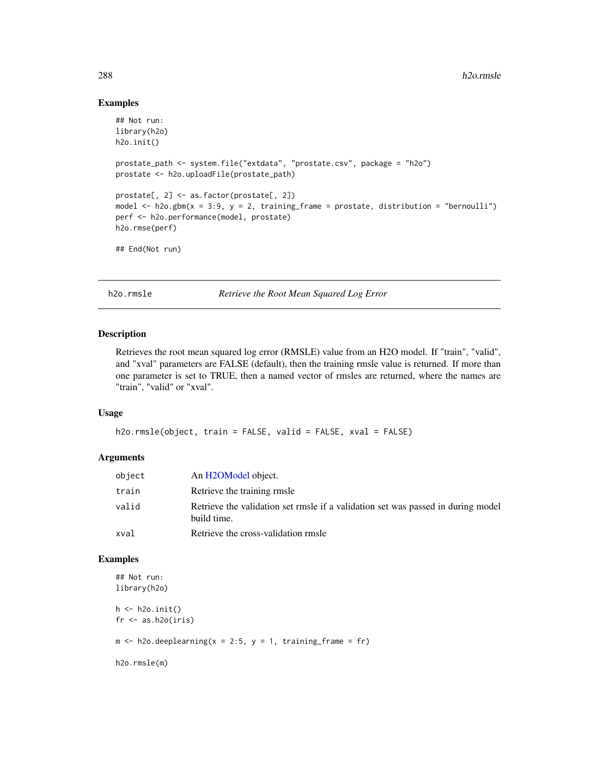#### Examples

```
## Not run:
library(h2o)
h2o.init()
prostate_path <- system.file("extdata", "prostate.csv", package = "h2o")
prostate <- h2o.uploadFile(prostate_path)
prostate[, 2] <- as.factor(prostate[, 2])
model \leq h2o.gbm(x = 3:9, y = 2, training_frame = prostate, distribution = "bernoulli")
perf <- h2o.performance(model, prostate)
h2o.rmse(perf)
## End(Not run)
```
h2o.rmsle *Retrieve the Root Mean Squared Log Error*

# Description

Retrieves the root mean squared log error (RMSLE) value from an H2O model. If "train", "valid", and "xval" parameters are FALSE (default), then the training rmsle value is returned. If more than one parameter is set to TRUE, then a named vector of rmsles are returned, where the names are "train", "valid" or "xval".

#### Usage

```
h2o.rmsle(object, train = FALSE, valid = FALSE, xval = FALSE)
```
## Arguments

| object | An H2OModel object.                                                                             |
|--------|-------------------------------------------------------------------------------------------------|
| train  | Retrieve the training rmsle                                                                     |
| valid  | Retrieve the validation set rmsle if a validation set was passed in during model<br>build time. |
| xval   | Retrieve the cross-validation rmsle                                                             |

# Examples

```
## Not run:
library(h2o)
h \leftarrow h20.init()fr < - as.h2o(iris)
m \le -h2o.deeplearning(x = 2:5, y = 1, training_frame = fr)
h2o.rmsle(m)
```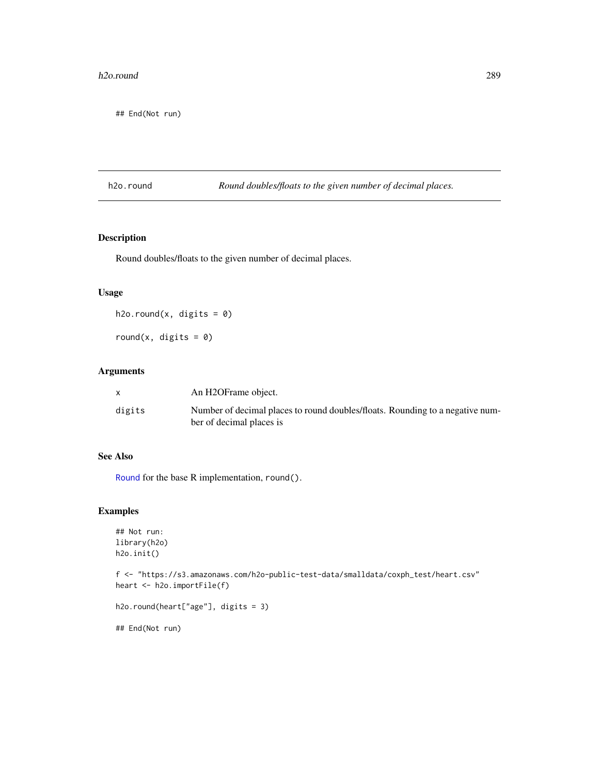#### h2o.round 289

## End(Not run)

h2o.round *Round doubles/floats to the given number of decimal places.*

# Description

Round doubles/floats to the given number of decimal places.

# Usage

h2o.round(x, digits =  $0$ )

round(x, digits =  $0$ )

# Arguments

|        | An H2OFrame object.                                                           |
|--------|-------------------------------------------------------------------------------|
| digits | Number of decimal places to round doubles/floats. Rounding to a negative num- |
|        | ber of decimal places is                                                      |

#### See Also

[Round](#page-0-0) for the base R implementation, round().

# Examples

```
## Not run:
library(h2o)
h2o.init()
```
f <- "https://s3.amazonaws.com/h2o-public-test-data/smalldata/coxph\_test/heart.csv" heart <- h2o.importFile(f)

```
h2o.round(heart["age"], digits = 3)
```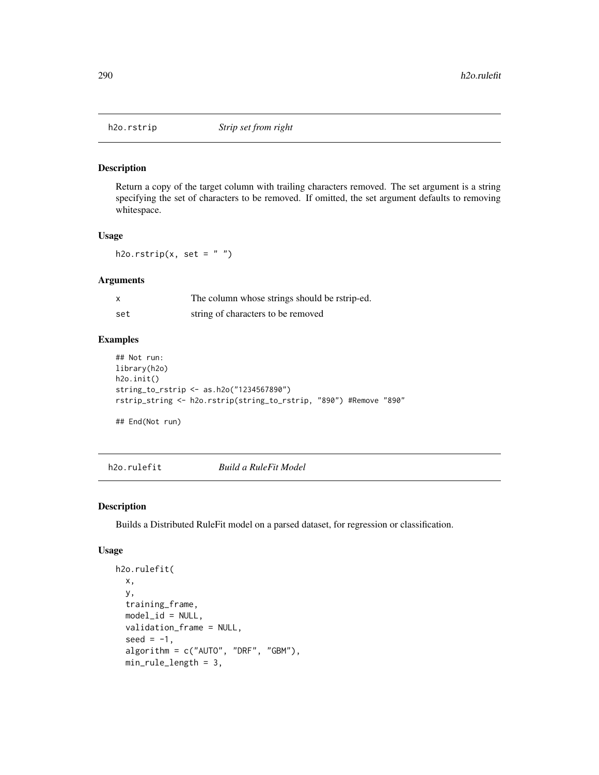Return a copy of the target column with trailing characters removed. The set argument is a string specifying the set of characters to be removed. If omitted, the set argument defaults to removing whitespace.

## Usage

h2o.rstrip(x, set =  $"$ ")

# Arguments

| x   | The column whose strings should be rstrip-ed. |
|-----|-----------------------------------------------|
| set | string of characters to be removed            |

# Examples

```
## Not run:
library(h2o)
h2o.init()
string_to_rstrip <- as.h2o("1234567890")
rstrip_string <- h2o.rstrip(string_to_rstrip, "890") #Remove "890"
```
## End(Not run)

h2o.rulefit *Build a RuleFit Model*

## Description

Builds a Distributed RuleFit model on a parsed dataset, for regression or classification.

#### Usage

```
h2o.rulefit(
  x,
  y,
  training_frame,
 model_id = NULL,validation_frame = NULL,
  seed = -1,
  algorithm = c("AUTO", "DRF", "GBM"),
  min_rule_length = 3,
```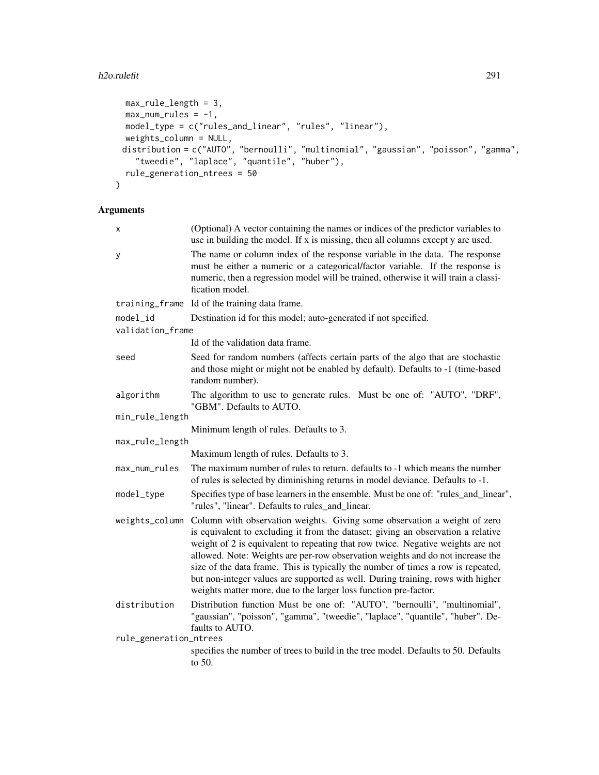# h2o.rulefit 291

```
max_rule_length = 3,
 max\_num\_rules = -1,
 model_type = c("rules_and_linear", "rules", "linear"),
 weights_column = NULL,
 distribution = c("AUTO", "bernoulli", "multinomial", "gaussian", "poisson", "gamma",
    "tweedie", "laplace", "quantile", "huber"),
 rule_generation_ntrees = 50
\mathcal{L}
```
# Arguments

| X                      | (Optional) A vector containing the names or indices of the predictor variables to<br>use in building the model. If x is missing, then all columns except y are used.                                                                                                                                                                                                                                                                                                                                                                                                          |
|------------------------|-------------------------------------------------------------------------------------------------------------------------------------------------------------------------------------------------------------------------------------------------------------------------------------------------------------------------------------------------------------------------------------------------------------------------------------------------------------------------------------------------------------------------------------------------------------------------------|
| y                      | The name or column index of the response variable in the data. The response<br>must be either a numeric or a categorical/factor variable. If the response is<br>numeric, then a regression model will be trained, otherwise it will train a classi-<br>fication model.                                                                                                                                                                                                                                                                                                        |
|                        | training_frame Id of the training data frame.                                                                                                                                                                                                                                                                                                                                                                                                                                                                                                                                 |
| model_id               | Destination id for this model; auto-generated if not specified.                                                                                                                                                                                                                                                                                                                                                                                                                                                                                                               |
| validation_frame       |                                                                                                                                                                                                                                                                                                                                                                                                                                                                                                                                                                               |
|                        | Id of the validation data frame.                                                                                                                                                                                                                                                                                                                                                                                                                                                                                                                                              |
| seed                   | Seed for random numbers (affects certain parts of the algo that are stochastic<br>and those might or might not be enabled by default). Defaults to -1 (time-based<br>random number).                                                                                                                                                                                                                                                                                                                                                                                          |
| algorithm              | The algorithm to use to generate rules. Must be one of: "AUTO", "DRF",<br>"GBM". Defaults to AUTO.                                                                                                                                                                                                                                                                                                                                                                                                                                                                            |
| min_rule_length        |                                                                                                                                                                                                                                                                                                                                                                                                                                                                                                                                                                               |
|                        | Minimum length of rules. Defaults to 3.                                                                                                                                                                                                                                                                                                                                                                                                                                                                                                                                       |
| max_rule_length        |                                                                                                                                                                                                                                                                                                                                                                                                                                                                                                                                                                               |
|                        | Maximum length of rules. Defaults to 3.                                                                                                                                                                                                                                                                                                                                                                                                                                                                                                                                       |
| max_num_rules          | The maximum number of rules to return. defaults to -1 which means the number<br>of rules is selected by diminishing returns in model deviance. Defaults to -1.                                                                                                                                                                                                                                                                                                                                                                                                                |
| model_type             | Specifies type of base learners in the ensemble. Must be one of: "rules_and_linear",<br>"rules", "linear". Defaults to rules and linear.                                                                                                                                                                                                                                                                                                                                                                                                                                      |
| weights_column         | Column with observation weights. Giving some observation a weight of zero<br>is equivalent to excluding it from the dataset; giving an observation a relative<br>weight of 2 is equivalent to repeating that row twice. Negative weights are not<br>allowed. Note: Weights are per-row observation weights and do not increase the<br>size of the data frame. This is typically the number of times a row is repeated,<br>but non-integer values are supported as well. During training, rows with higher<br>weights matter more, due to the larger loss function pre-factor. |
| distribution           | Distribution function Must be one of: "AUTO", "bernoulli", "multinomial",<br>"gaussian", "poisson", "gamma", "tweedie", "laplace", "quantile", "huber". De-<br>faults to AUTO.                                                                                                                                                                                                                                                                                                                                                                                                |
| rule_generation_ntrees | specifies the number of trees to build in the tree model. Defaults to 50. Defaults<br>to $50$ .                                                                                                                                                                                                                                                                                                                                                                                                                                                                               |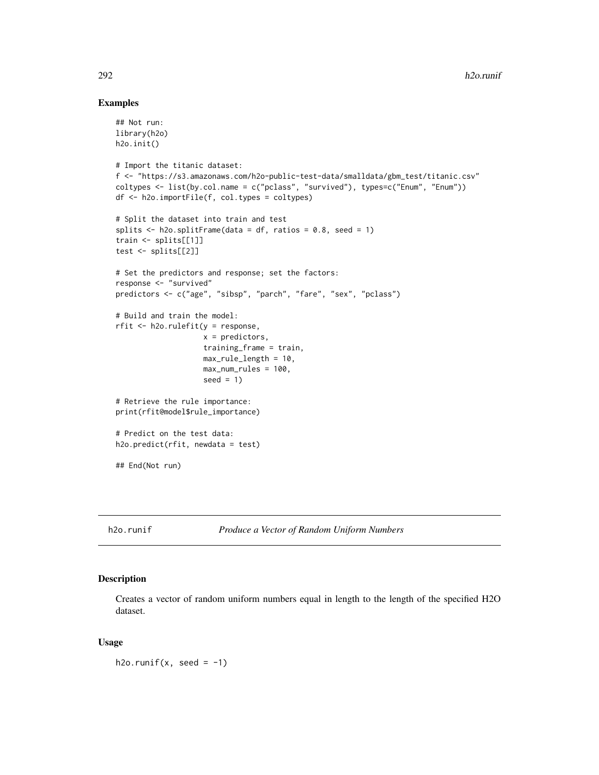#### Examples

```
## Not run:
library(h2o)
h2o.init()
# Import the titanic dataset:
f <- "https://s3.amazonaws.com/h2o-public-test-data/smalldata/gbm_test/titanic.csv"
coltypes <- list(by.col.name = c("pclass", "survived"), types=c("Enum", "Enum"))
df <- h2o.importFile(f, col.types = coltypes)
# Split the dataset into train and test
splits \le h2o.splitFrame(data = df, ratios = 0.8, seed = 1)
train <- splits[[1]]
test <- splits[[2]]
# Set the predictors and response; set the factors:
response <- "survived"
predictors <- c("age", "sibsp", "parch", "fare", "sex", "pclass")
# Build and train the model:
rfit <- h2o.rulefit(y = response,
                    x = predictors,
                    training_frame = train,
                    max_rule_length = 10,
                    max_num_rules = 100,
                    seed = 1)
# Retrieve the rule importance:
print(rfit@model$rule_importance)
# Predict on the test data:
h2o.predict(rfit, newdata = test)
## End(Not run)
```
h2o.runif *Produce a Vector of Random Uniform Numbers*

#### Description

Creates a vector of random uniform numbers equal in length to the length of the specified H2O dataset.

#### Usage

h2o.runif(x, seed =  $-1$ )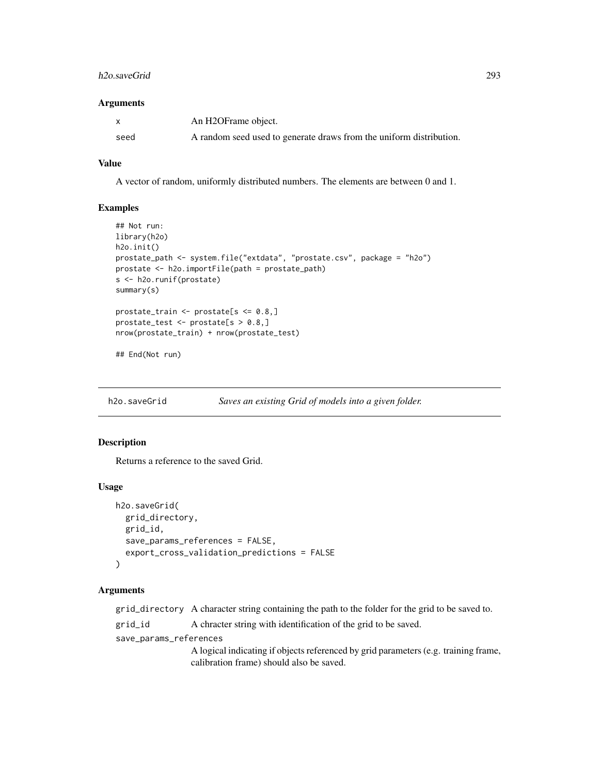#### h2o.saveGrid 293

#### **Arguments**

| X    | An H2OFrame object.                                                 |
|------|---------------------------------------------------------------------|
| seed | A random seed used to generate draws from the uniform distribution. |

# Value

A vector of random, uniformly distributed numbers. The elements are between 0 and 1.

#### Examples

```
## Not run:
library(h2o)
h2o.init()
prostate_path <- system.file("extdata", "prostate.csv", package = "h2o")
prostate <- h2o.importFile(path = prostate_path)
s <- h2o.runif(prostate)
summary(s)
prostate_train <- prostate[s <= 0.8,]
prostate_test <- prostate[s > 0.8,]
nrow(prostate_train) + nrow(prostate_test)
```
## End(Not run)

h2o.saveGrid *Saves an existing Grid of models into a given folder.*

# Description

Returns a reference to the saved Grid.

#### Usage

```
h2o.saveGrid(
  grid_directory,
  grid_id,
  save_params_references = FALSE,
  export_cross_validation_predictions = FALSE
)
```
#### Arguments

grid\_directory A character string containing the path to the folder for the grid to be saved to.

grid\_id A chracter string with identification of the grid to be saved.

save\_params\_references

A logical indicating if objects referenced by grid parameters (e.g. training frame, calibration frame) should also be saved.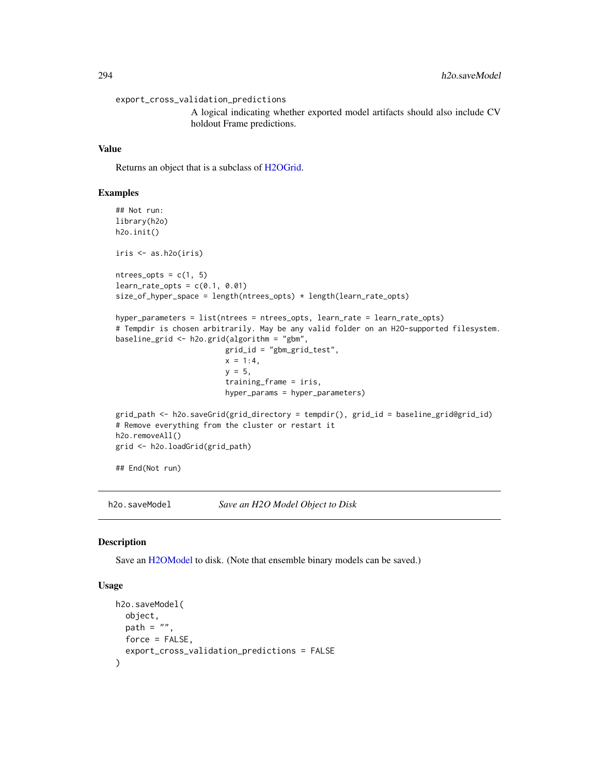```
export_cross_validation_predictions
                 A logical indicating whether exported model artifacts should also include CV
                 holdout Frame predictions.
```
#### Value

Returns an object that is a subclass of [H2OGrid.](#page-369-0)

#### Examples

```
## Not run:
library(h2o)
h2o.init()
iris <- as.h2o(iris)
ntrees\_opts = c(1, 5)learn_rate\_opts = c(0.1, 0.01)size_of_hyper_space = length(ntrees_opts) * length(learn_rate_opts)
hyper_parameters = list(ntrees = ntrees_opts, learn_rate = learn_rate_opts)
# Tempdir is chosen arbitrarily. May be any valid folder on an H2O-supported filesystem.
baseline_grid <- h2o.grid(algorithm = "gbm",
                         grid_id = "gbm_grid_test",
                         x = 1:4,
                         y = 5,
                         training_frame = iris,
                         hyper_params = hyper_parameters)
grid_path <- h2o.saveGrid(grid_directory = tempdir(), grid_id = baseline_grid@grid_id)
# Remove everything from the cluster or restart it
h2o.removeAll()
grid <- h2o.loadGrid(grid_path)
## End(Not run)
```
<span id="page-293-0"></span>h2o.saveModel *Save an H2O Model Object to Disk*

#### Description

Save an [H2OModel](#page-370-0) to disk. (Note that ensemble binary models can be saved.)

#### Usage

```
h2o.saveModel(
 object,
 path = ".
 force = FALSE,
  export_cross_validation_predictions = FALSE
)
```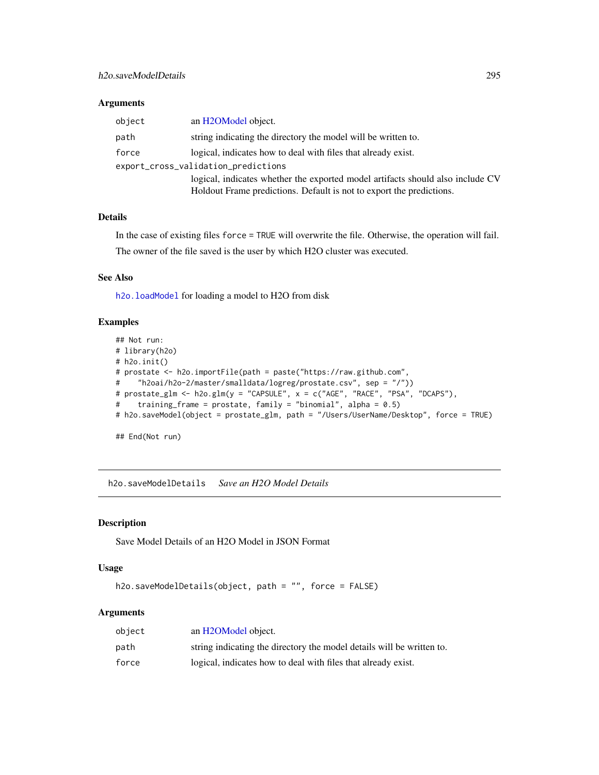## Arguments

| object                              | an H <sub>2</sub> OM <sub>odel</sub> object.                                   |  |
|-------------------------------------|--------------------------------------------------------------------------------|--|
| path                                | string indicating the directory the model will be written to.                  |  |
| force                               | logical, indicates how to deal with files that already exist.                  |  |
| export_cross_validation_predictions |                                                                                |  |
|                                     | logical, indicates whether the exported model artifacts should also include CV |  |
|                                     | Holdout Frame predictions. Default is not to export the predictions.           |  |

## Details

In the case of existing files force = TRUE will overwrite the file. Otherwise, the operation will fail. The owner of the file saved is the user by which H2O cluster was executed.

# See Also

h2o. loadModel for loading a model to H2O from disk

# Examples

```
## Not run:
# library(h2o)
# h2o.init()
# prostate <- h2o.importFile(path = paste("https://raw.github.com",
# "h2oai/h2o-2/master/smalldata/logreg/prostate.csv", sep = "/"))
# prostate_glm <- h2o.glm(y = "CAPSULE", x = c("AGE", "RACE", "PSA", "DCAPS"),
# training_frame = prostate, family = "binomial", alpha = 0.5)
# h2o.saveModel(object = prostate_glm, path = "/Users/UserName/Desktop", force = TRUE)
## End(Not run)
```
h2o.saveModelDetails *Save an H2O Model Details*

# Description

Save Model Details of an H2O Model in JSON Format

#### Usage

```
h2o.saveModelDetails(object, path = "", force = FALSE)
```
## Arguments

| object | an H2OModel object.                                                   |
|--------|-----------------------------------------------------------------------|
| path   | string indicating the directory the model details will be written to. |
| force  | logical, indicates how to deal with files that already exist.         |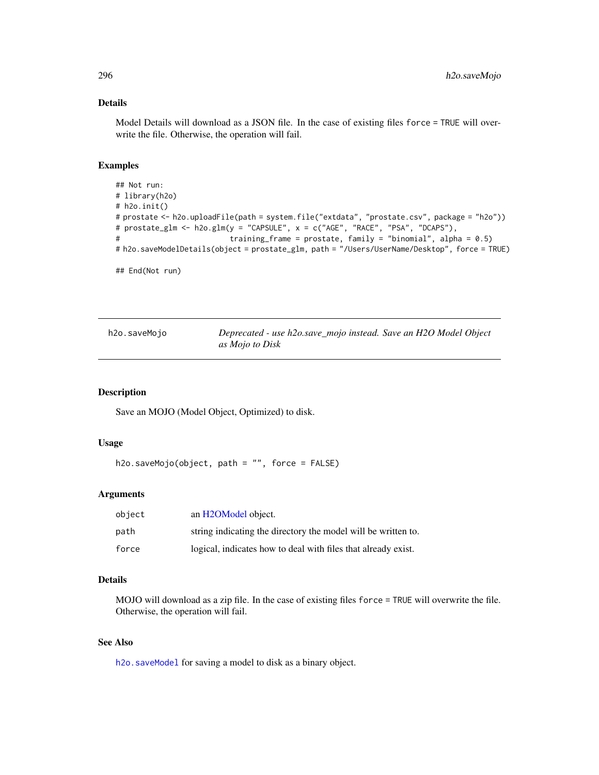# Details

Model Details will download as a JSON file. In the case of existing files force = TRUE will overwrite the file. Otherwise, the operation will fail.

## Examples

```
## Not run:
# library(h2o)
# h2o.init()
# prostate <- h2o.uploadFile(path = system.file("extdata", "prostate.csv", package = "h2o"))
# prostate_glm <- h2o.glm(y = "CAPSULE", x = c("AGE", "RACE", "PSA", "DCAPS"),
# training_frame = prostate, family = "binomial", alpha = 0.5)
# h2o.saveModelDetails(object = prostate_glm, path = "/Users/UserName/Desktop", force = TRUE)
```

```
## End(Not run)
```

| h2o.saveMojo | Deprecated - use h2o.save_mojo instead. Save an H2O Model Object |
|--------------|------------------------------------------------------------------|
|              | as Mojo to Disk                                                  |

## Description

Save an MOJO (Model Object, Optimized) to disk.

## Usage

```
h2o.saveMojo(object, path = "", force = FALSE)
```
## Arguments

| object | an H <sub>2</sub> OM <sub>odel</sub> object.                  |
|--------|---------------------------------------------------------------|
| path   | string indicating the directory the model will be written to. |
| force  | logical, indicates how to deal with files that already exist. |

# Details

MOJO will download as a zip file. In the case of existing files force = TRUE will overwrite the file. Otherwise, the operation will fail.

## See Also

[h2o.saveModel](#page-293-0) for saving a model to disk as a binary object.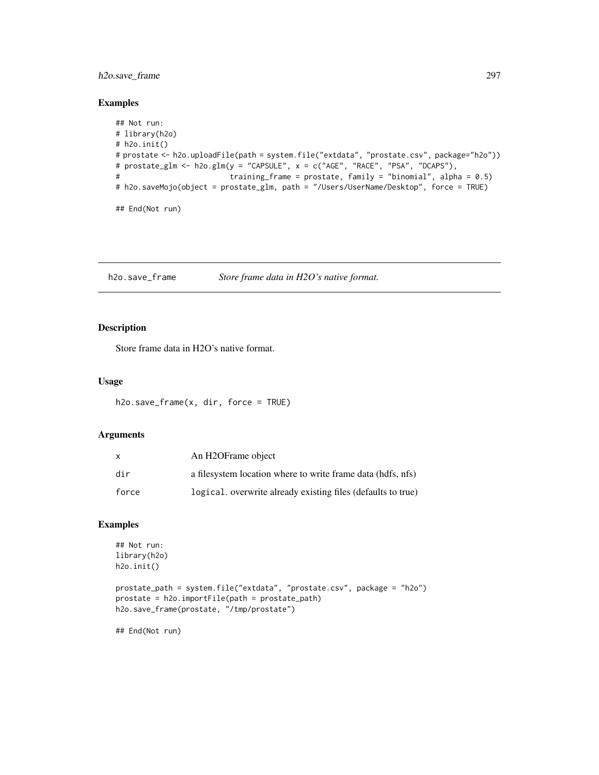# h2o.save\_frame 297

## Examples

```
## Not run:
# library(h2o)
# h2o.init()
# prostate <- h2o.uploadFile(path = system.file("extdata", "prostate.csv", package="h2o"))
# prostate_glm <- h2o.glm(y = "CAPSULE", x = c("AGE", "RACE", "PSA", "DCAPS"),
# training_frame = prostate, family = "binomial", alpha = 0.5)
# h2o.saveMojo(object = prostate_glm, path = "/Users/UserName/Desktop", force = TRUE)
## End(Not run)
```
h2o.save\_frame *Store frame data in H2O's native format.*

## Description

Store frame data in H2O's native format.

# Usage

```
h2o.save-frame(x, dir, force = TRUE)
```
# Arguments

| X     | An H <sub>2</sub> OFrame object                              |
|-------|--------------------------------------------------------------|
| dir   | a filesystem location where to write frame data (hdfs, nfs)  |
| force | logical. overwrite already existing files (defaults to true) |

#### Examples

```
## Not run:
library(h2o)
h2o.init()
```

```
prostate_path = system.file("extdata", "prostate.csv", package = "h2o")
prostate = h2o.importFile(path = prostate_path)
h2o.save_frame(prostate, "/tmp/prostate")
```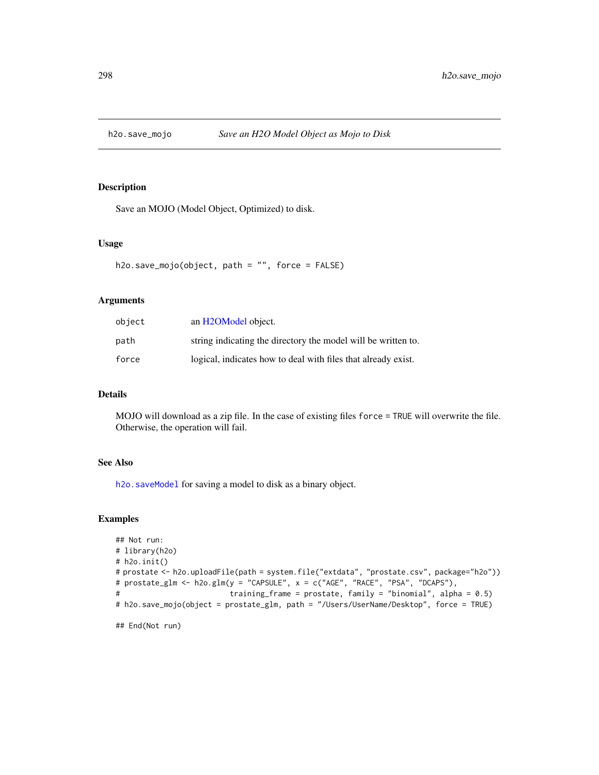Save an MOJO (Model Object, Optimized) to disk.

#### Usage

```
h2o.save_mojo(object, path = "", force = FALSE)
```
## Arguments

| object | an H2OModel object.                                           |
|--------|---------------------------------------------------------------|
| path   | string indicating the directory the model will be written to. |
| force  | logical, indicates how to deal with files that already exist. |

## Details

MOJO will download as a zip file. In the case of existing files force = TRUE will overwrite the file. Otherwise, the operation will fail.

# See Also

[h2o.saveModel](#page-293-0) for saving a model to disk as a binary object.

#### Examples

```
## Not run:
# library(h2o)
# h2o.init()
# prostate <- h2o.uploadFile(path = system.file("extdata", "prostate.csv", package="h2o"))
# prostate_glm <- h2o.glm(y = "CAPSULE", x = c("AGE", "RACE", "PSA", "DCAPS"),
# training_frame = prostate, family = "binomial", alpha = 0.5)
# h2o.save_mojo(object = prostate_glm, path = "/Users/UserName/Desktop", force = TRUE)
## End(Not run)
```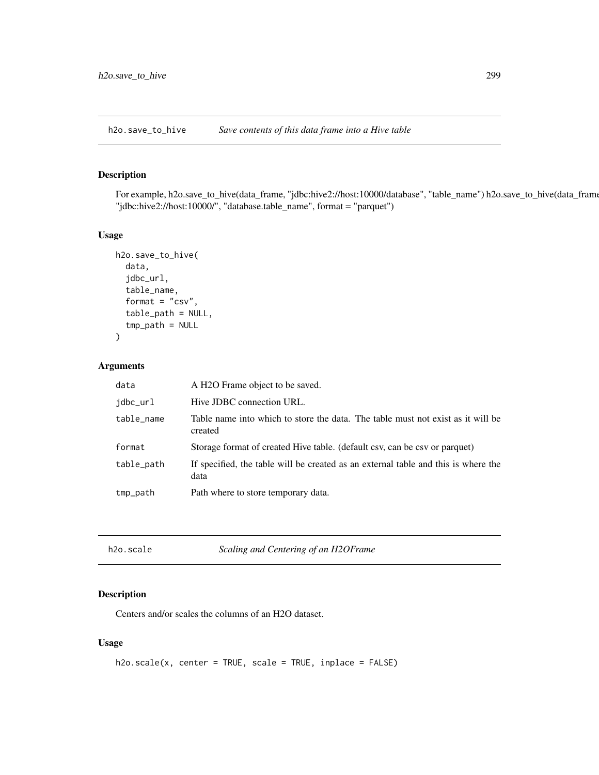h2o.save\_to\_hive *Save contents of this data frame into a Hive table*

# Description

For example, h2o.save\_to\_hive(data\_frame, "jdbc:hive2://host:10000/database", "table\_name") h2o.save\_to\_hive(data\_frame "jdbc:hive2://host:10000/", "database.table\_name", format = "parquet")

#### Usage

```
h2o.save_to_hive(
  data,
  jdbc_url,
  table_name,
  format = "csv",
  table_path = NULL,
  tmp_path = NULL)
```
# Arguments

| data       | A H2O Frame object to be saved.                                                            |
|------------|--------------------------------------------------------------------------------------------|
| jdbc_url   | Hive JDBC connection URL.                                                                  |
| table_name | Table name into which to store the data. The table must not exist as it will be<br>created |
| format     | Storage format of created Hive table. (default csv, can be csv or parquet)                 |
| table_path | If specified, the table will be created as an external table and this is where the<br>data |
| tmp_path   | Path where to store temporary data.                                                        |

|  | h2o.scale |  |
|--|-----------|--|
|--|-----------|--|

h2o.scale *Scaling and Centering of an H2OFrame*

# Description

Centers and/or scales the columns of an H2O dataset.

#### Usage

```
h2o.scale(x, center = TRUE, scale = TRUE, inplace = FALSE)
```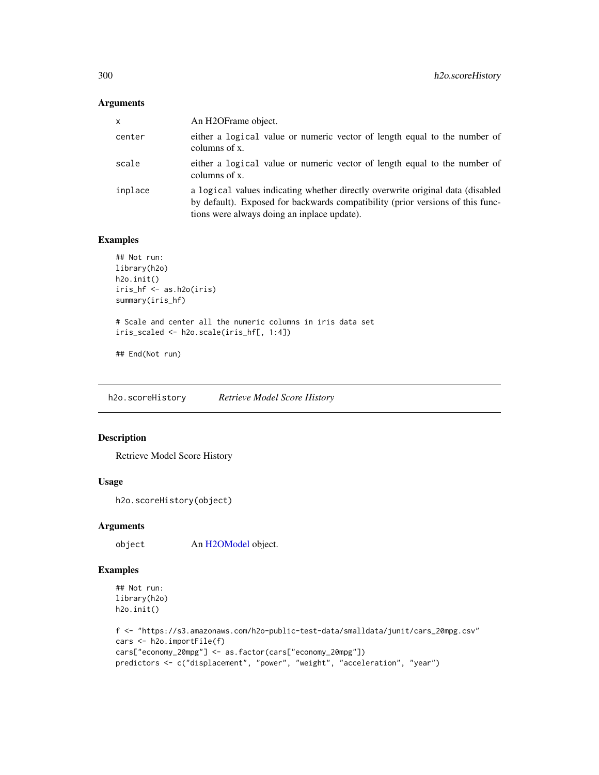# Arguments

| <b>X</b> | An H2OFrame object.                                                                                                                                                                                             |
|----------|-----------------------------------------------------------------------------------------------------------------------------------------------------------------------------------------------------------------|
| center   | either a logical value or numeric vector of length equal to the number of<br>columns of x.                                                                                                                      |
| scale    | either a logical value or numeric vector of length equal to the number of<br>columns of x.                                                                                                                      |
| inplace  | a logical values indicating whether directly overwrite original data (disabled<br>by default). Exposed for backwards compatibility (prior versions of this func-<br>tions were always doing an inplace update). |

# Examples

```
## Not run:
library(h2o)
h2o.init()
iris_hf <- as.h2o(iris)
summary(iris_hf)
# Scale and center all the numeric columns in iris data set
iris_scaled <- h2o.scale(iris_hf[, 1:4])
## End(Not run)
```
h2o.scoreHistory *Retrieve Model Score History*

# Description

Retrieve Model Score History

# Usage

```
h2o.scoreHistory(object)
```
#### Arguments

object An [H2OModel](#page-370-0) object.

# Examples

```
## Not run:
library(h2o)
h2o.init()
```

```
f <- "https://s3.amazonaws.com/h2o-public-test-data/smalldata/junit/cars_20mpg.csv"
cars <- h2o.importFile(f)
cars["economy_20mpg"] <- as.factor(cars["economy_20mpg"])
predictors <- c("displacement", "power", "weight", "acceleration", "year")
```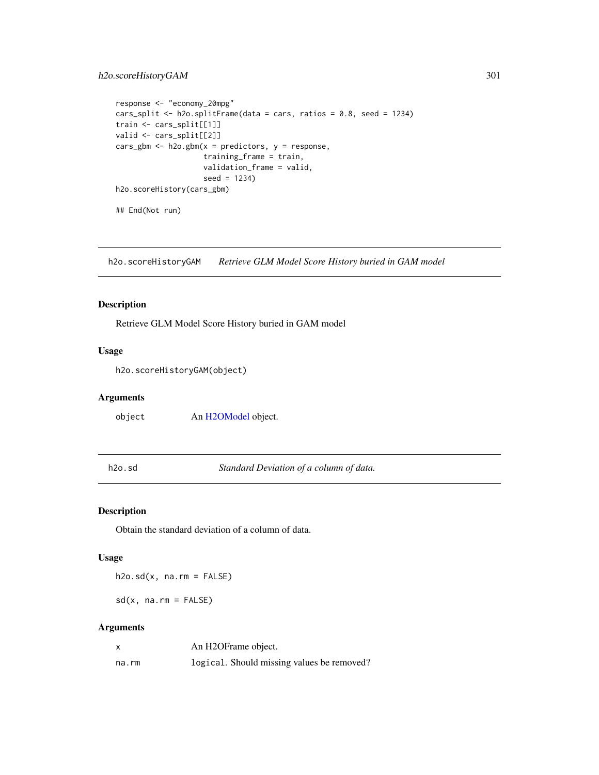# h2o.scoreHistoryGAM 301

```
response <- "economy_20mpg"
cars_split <- h2o.splitFrame(data = cars, ratios = 0.8, seed = 1234)
train <- cars_split[[1]]
valid <- cars_split[[2]]
cars_gbm <- h2o.gbm(x = predictors, y = response,
                    training_frame = train,
                    validation_frame = valid,
                    seed = 1234)
h2o.scoreHistory(cars_gbm)
## End(Not run)
```
h2o.scoreHistoryGAM *Retrieve GLM Model Score History buried in GAM model*

# Description

Retrieve GLM Model Score History buried in GAM model

## Usage

h2o.scoreHistoryGAM(object)

# Arguments

object An [H2OModel](#page-370-0) object.

h2o.sd *Standard Deviation of a column of data.*

# <span id="page-300-0"></span>Description

Obtain the standard deviation of a column of data.

#### Usage

 $h2o.sd(x, na.rm = FALSE)$ 

 $sd(x, na.rm = FALSE)$ 

#### Arguments

| x     | An H2OFrame object.                        |
|-------|--------------------------------------------|
| na.rm | logical. Should missing values be removed? |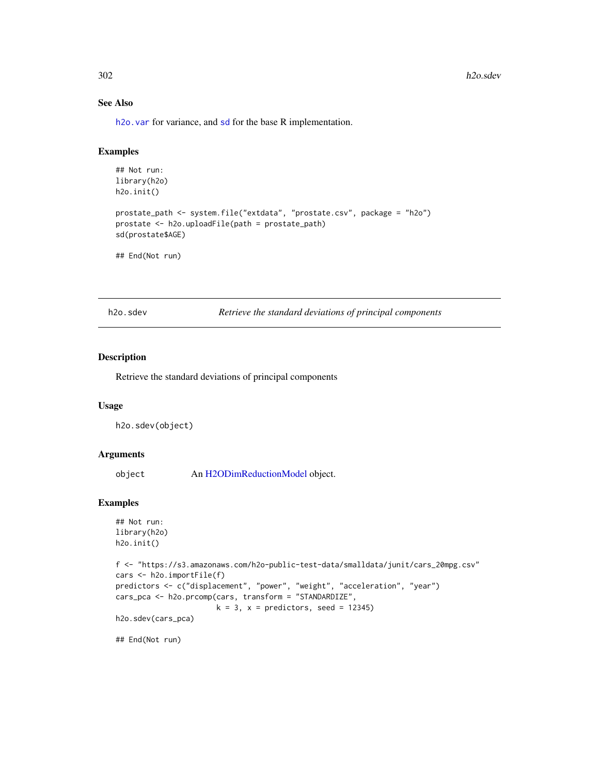# See Also

h2o. var for variance, and [sd](#page-300-0) for the base R implementation.

# Examples

```
## Not run:
library(h2o)
h2o.init()
prostate_path <- system.file("extdata", "prostate.csv", package = "h2o")
prostate <- h2o.uploadFile(path = prostate_path)
sd(prostate$AGE)
```
## End(Not run)

h2o.sdev *Retrieve the standard deviations of principal components*

## Description

Retrieve the standard deviations of principal components

#### Usage

h2o.sdev(object)

#### Arguments

object An [H2ODimReductionModel](#page-370-1) object.

#### Examples

```
## Not run:
library(h2o)
h2o.init()
```

```
f <- "https://s3.amazonaws.com/h2o-public-test-data/smalldata/junit/cars_20mpg.csv"
cars <- h2o.importFile(f)
predictors <- c("displacement", "power", "weight", "acceleration", "year")
cars_pca <- h2o.prcomp(cars, transform = "STANDARDIZE",
                      k = 3, x = predictors, seed = 12345)
h2o.sdev(cars_pca)
```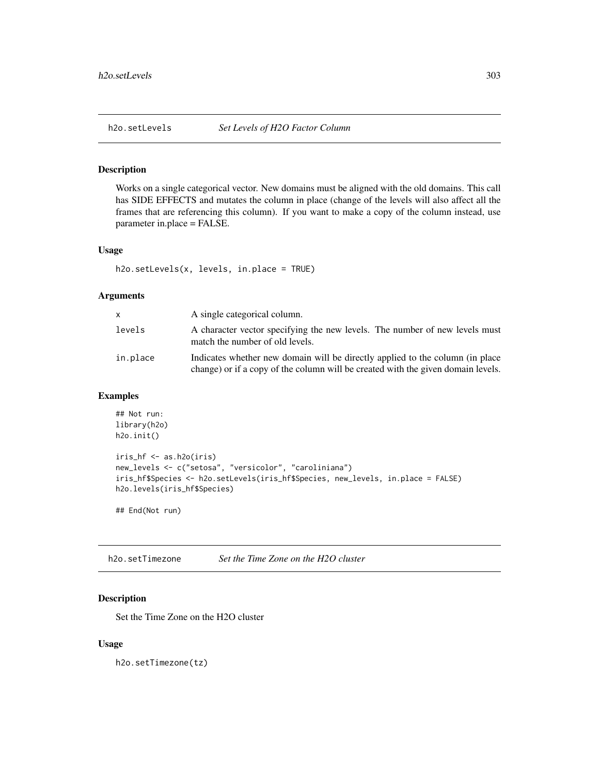Works on a single categorical vector. New domains must be aligned with the old domains. This call has SIDE EFFECTS and mutates the column in place (change of the levels will also affect all the frames that are referencing this column). If you want to make a copy of the column instead, use parameter in.place = FALSE.

#### Usage

h2o.setLevels(x, levels, in.place = TRUE)

# Arguments

| x.       | A single categorical column.                                                                                                                                       |
|----------|--------------------------------------------------------------------------------------------------------------------------------------------------------------------|
| levels   | A character vector specifying the new levels. The number of new levels must<br>match the number of old levels.                                                     |
| in.place | Indicates whether new domain will be directly applied to the column (in place)<br>change) or if a copy of the column will be created with the given domain levels. |

# Examples

```
## Not run:
library(h2o)
h2o.init()
iris_hf <- as.h2o(iris)
new_levels <- c("setosa", "versicolor", "caroliniana")
iris_hf$Species <- h2o.setLevels(iris_hf$Species, new_levels, in.place = FALSE)
h2o.levels(iris_hf$Species)
```
## End(Not run)

h2o.setTimezone *Set the Time Zone on the H2O cluster*

# Description

Set the Time Zone on the H2O cluster

#### Usage

h2o.setTimezone(tz)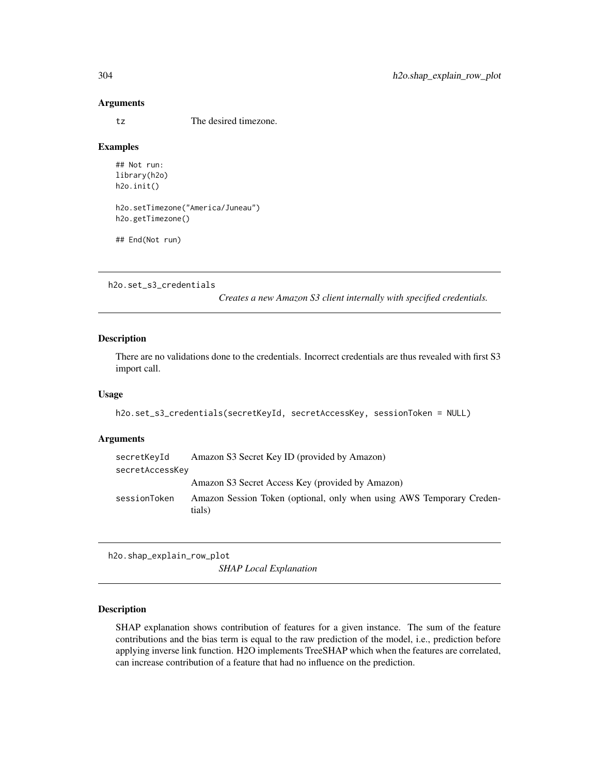#### Arguments

tz The desired timezone.

#### Examples

```
## Not run:
library(h2o)
h2o.init()
h2o.setTimezone("America/Juneau")
h2o.getTimezone()
```

```
## End(Not run)
```
h2o.set\_s3\_credentials

*Creates a new Amazon S3 client internally with specified credentials.*

# Description

There are no validations done to the credentials. Incorrect credentials are thus revealed with first S3 import call.

#### Usage

```
h2o.set_s3_credentials(secretKeyId, secretAccessKey, sessionToken = NULL)
```
#### Arguments

| secretKeyId     | Amazon S3 Secret Key ID (provided by Amazon)                                    |
|-----------------|---------------------------------------------------------------------------------|
| secretAccessKey |                                                                                 |
|                 | Amazon S3 Secret Access Key (provided by Amazon)                                |
| sessionToken    | Amazon Session Token (optional, only when using AWS Temporary Creden-<br>tials) |

h2o.shap\_explain\_row\_plot

*SHAP Local Explanation*

# Description

SHAP explanation shows contribution of features for a given instance. The sum of the feature contributions and the bias term is equal to the raw prediction of the model, i.e., prediction before applying inverse link function. H2O implements TreeSHAP which when the features are correlated, can increase contribution of a feature that had no influence on the prediction.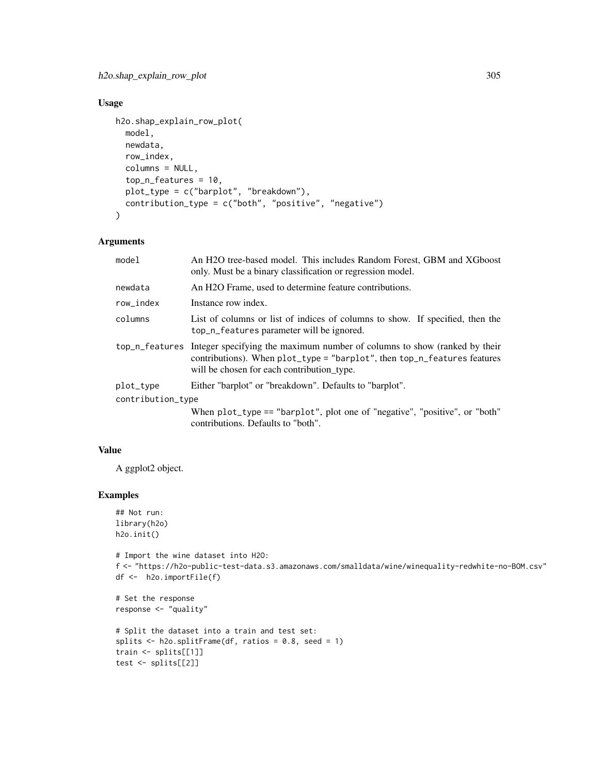# Usage

```
h2o.shap_explain_row_plot(
 model,
  newdata,
 row_index,
  columns = NULL,
  top_n_features = 10,
 plot_type = c("barplot", "breakdown"),
 contribution_type = c("both", "positive", "negative")
\mathcal{L}
```
# Arguments

| model             | An H2O tree-based model. This includes Random Forest, GBM and XGboost<br>only. Must be a binary classification or regression model.                                                                                |  |
|-------------------|--------------------------------------------------------------------------------------------------------------------------------------------------------------------------------------------------------------------|--|
| newdata           | An H <sub>2</sub> O Frame, used to determine feature contributions.                                                                                                                                                |  |
| row_index         | Instance row index.                                                                                                                                                                                                |  |
| columns           | List of columns or list of indices of columns to show. If specified, then the<br>top_n_features parameter will be ignored.                                                                                         |  |
|                   | top_n_features Integer specifying the maximum number of columns to show (ranked by their<br>contributions). When plot_type = "barplot", then top_n_features features<br>will be chosen for each contribution type. |  |
| plot_type         | Either "barplot" or "breakdown". Defaults to "barplot".                                                                                                                                                            |  |
| contribution_type |                                                                                                                                                                                                                    |  |
|                   | When $plot_type == "barplot", plot one of "negative", "positive", or "both"$<br>contributions. Defaults to "both".                                                                                                 |  |

#### Value

A ggplot2 object.

#### Examples

```
## Not run:
library(h2o)
h2o.init()
```

```
# Import the wine dataset into H2O:
f <- "https://h2o-public-test-data.s3.amazonaws.com/smalldata/wine/winequality-redwhite-no-BOM.csv"
df <- h2o.importFile(f)
```

```
# Set the response
response <- "quality"
```

```
# Split the dataset into a train and test set:
splits \leq h2o.splitFrame(df, ratios = 0.8, seed = 1)
train <- splits[[1]]
test <- splits[[2]]
```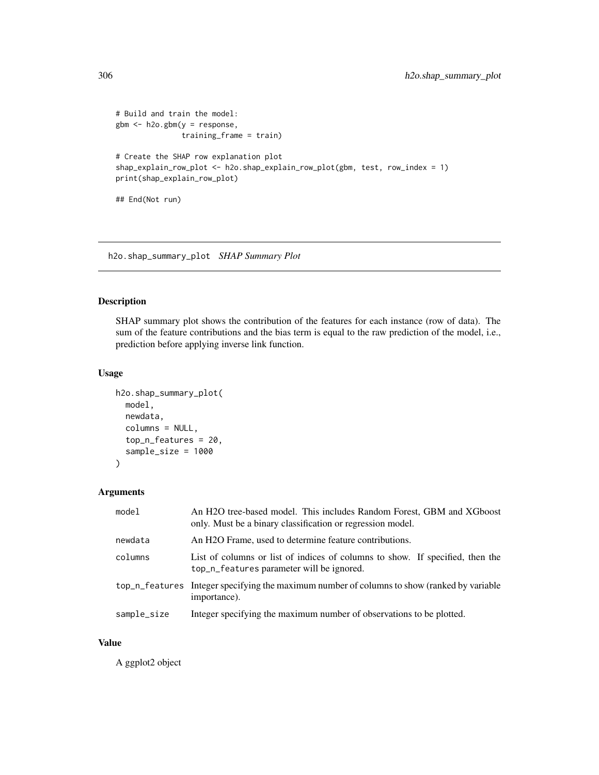```
# Build and train the model:
gbm <- h2o.gbm(y = response,
              training_frame = train)
# Create the SHAP row explanation plot
shap_explain_row_plot <- h2o.shap_explain_row_plot(gbm, test, row_index = 1)
print(shap_explain_row_plot)
## End(Not run)
```
h2o.shap\_summary\_plot *SHAP Summary Plot*

# Description

SHAP summary plot shows the contribution of the features for each instance (row of data). The sum of the feature contributions and the bias term is equal to the raw prediction of the model, i.e., prediction before applying inverse link function.

## Usage

```
h2o.shap_summary_plot(
  model,
  newdata,
  columns = NULL,
  top_n_features = 20,
  sample_size = 1000
\mathcal{L}
```
#### Arguments

| model       | An H <sub>2</sub> O tree-based model. This includes Random Forest, GBM and XGboost<br>only. Must be a binary classification or regression model. |
|-------------|--------------------------------------------------------------------------------------------------------------------------------------------------|
| newdata     | An H <sub>2</sub> O Frame, used to determine feature contributions.                                                                              |
| columns     | List of columns or list of indices of columns to show. If specified, then the<br>top_n_features parameter will be ignored.                       |
|             | top_n_features Integer specifying the maximum number of columns to show (ranked by variable<br>importance).                                      |
| sample_size | Integer specifying the maximum number of observations to be plotted.                                                                             |

#### Value

A ggplot2 object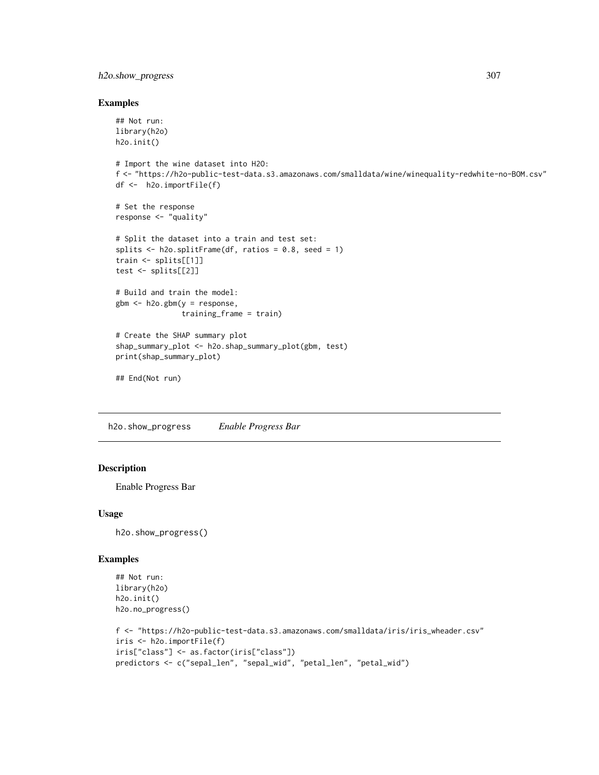# h2o.show\_progress 307

#### Examples

```
## Not run:
library(h2o)
h2o.init()
# Import the wine dataset into H2O:
f <- "https://h2o-public-test-data.s3.amazonaws.com/smalldata/wine/winequality-redwhite-no-BOM.csv"
df <- h2o.importFile(f)
# Set the response
response <- "quality"
# Split the dataset into a train and test set:
splits \le h2o.splitFrame(df, ratios = 0.8, seed = 1)
train <- splits[[1]]
test <- splits[[2]]
# Build and train the model:
gbm <- h2o.gbm(y = response,
               training_frame = train)
# Create the SHAP summary plot
shap_summary_plot <- h2o.shap_summary_plot(gbm, test)
print(shap_summary_plot)
## End(Not run)
```
h2o.show\_progress *Enable Progress Bar*

## Description

Enable Progress Bar

#### Usage

h2o.show\_progress()

#### Examples

```
## Not run:
library(h2o)
h2o.init()
h2o.no_progress()
f <- "https://h2o-public-test-data.s3.amazonaws.com/smalldata/iris/iris_wheader.csv"
iris <- h2o.importFile(f)
iris["class"] <- as.factor(iris["class"])
predictors <- c("sepal_len", "sepal_wid", "petal_len", "petal_wid")
```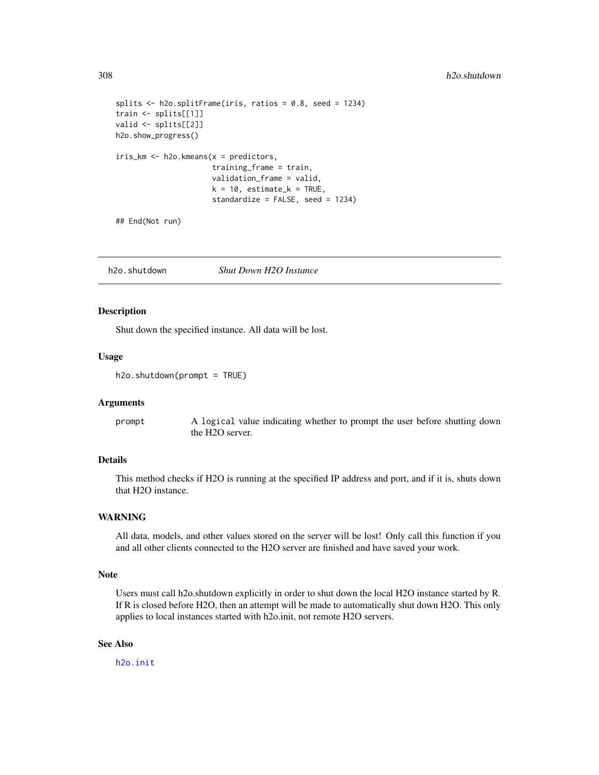```
splits \leq h2o.splitFrame(iris, ratios = 0.8, seed = 1234)
train <- splits[[1]]
valid <- splits[[2]]
h2o.show_progress()
iris_km <- h2o.kmeans(x = predictors,
                      training_frame = train,
                      validation_frame = valid,
                      k = 10, estimate_k = TRUE,
                      standardize = FALSE, seed = 1234)
```
## End(Not run)

h2o.shutdown *Shut Down H2O Instance*

#### Description

Shut down the specified instance. All data will be lost.

#### Usage

h2o.shutdown(prompt = TRUE)

#### Arguments

prompt A logical value indicating whether to prompt the user before shutting down the H2O server.

#### Details

This method checks if H2O is running at the specified IP address and port, and if it is, shuts down that H2O instance.

## WARNING

All data, models, and other values stored on the server will be lost! Only call this function if you and all other clients connected to the H2O server are finished and have saved your work.

#### Note

Users must call h2o.shutdown explicitly in order to shut down the local H2O instance started by R. If R is closed before H2O, then an attempt will be made to automatically shut down H2O. This only applies to local instances started with h2o.init, not remote H2O servers.

# See Also

[h2o.init](#page-185-0)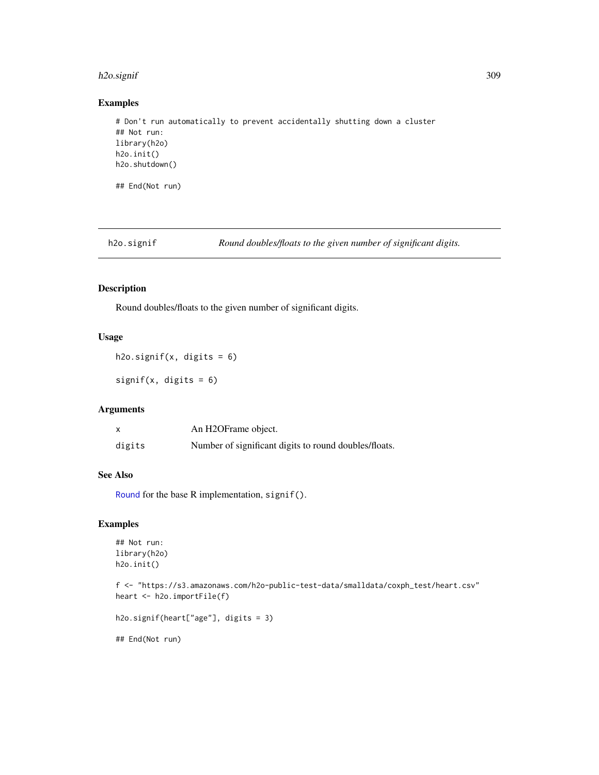# h2o.signif 309

# Examples

```
# Don't run automatically to prevent accidentally shutting down a cluster
## Not run:
library(h2o)
h2o.init()
h2o.shutdown()
## End(Not run)
```
h2o.signif *Round doubles/floats to the given number of significant digits.*

## Description

Round doubles/floats to the given number of significant digits.

# Usage

```
h2o.signif(x, digits = 6)
```
signif(x, digits = 6)

## Arguments

|        | An H2OFrame object.                                   |
|--------|-------------------------------------------------------|
| digits | Number of significant digits to round doubles/floats. |

#### See Also

[Round](#page-0-0) for the base R implementation, signif().

## Examples

```
## Not run:
library(h2o)
h2o.init()
```
f <- "https://s3.amazonaws.com/h2o-public-test-data/smalldata/coxph\_test/heart.csv" heart <- h2o.importFile(f)

h2o.signif(heart["age"], digits = 3)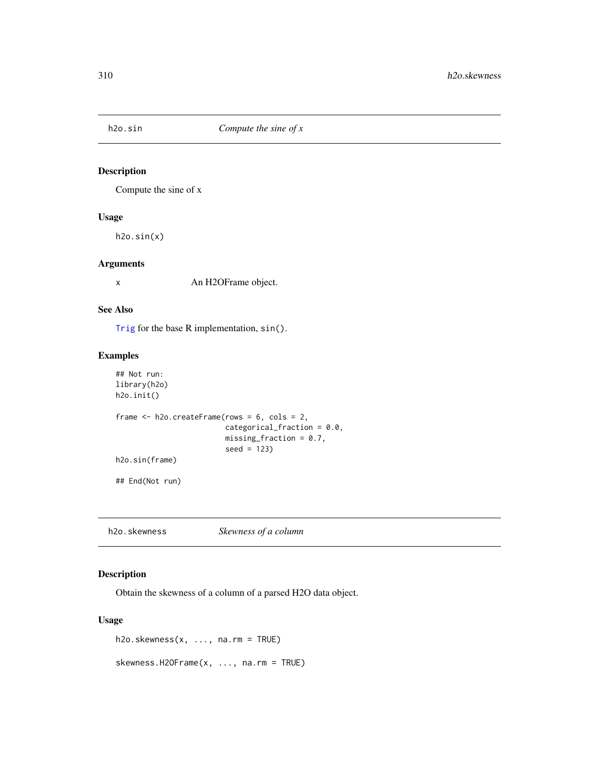Compute the sine of x

# Usage

h2o.sin(x)

#### Arguments

x An H2OFrame object.

#### See Also

[Trig](#page-0-0) for the base R implementation, sin().

## Examples

```
## Not run:
library(h2o)
h2o.init()
frame <- h2o.createFrame(rows = 6, cols = 2,
                         categorical_fraction = 0.0,
                         missing\_fraction = 0.7,
                         seed = 123)
h2o.sin(frame)
## End(Not run)
```
h2o.skewness *Skewness of a column*

# Description

Obtain the skewness of a column of a parsed H2O data object.

## Usage

h2o.skewness(x, ..., na.rm = TRUE)

skewness.H2OFrame(x, ..., na.rm = TRUE)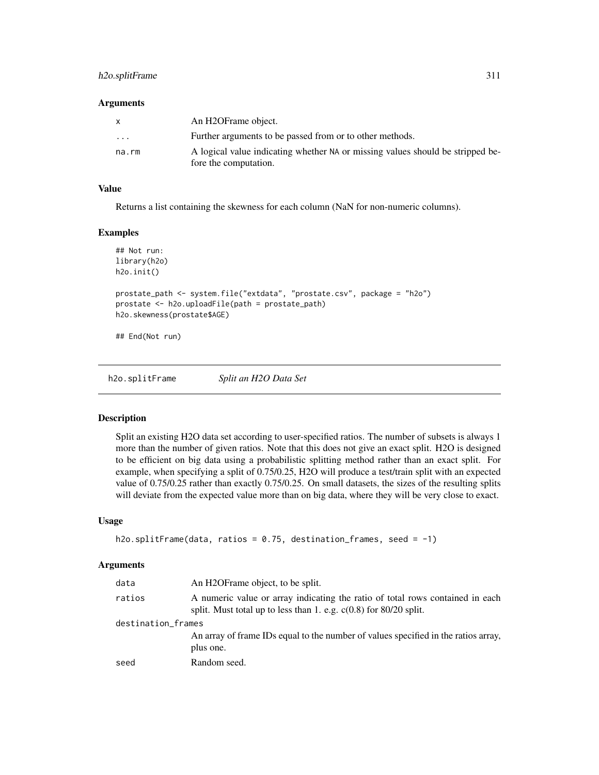# h2o.splitFrame 311

#### **Arguments**

| X        | An H2OFrame object.                                                            |
|----------|--------------------------------------------------------------------------------|
| $\cdots$ | Further arguments to be passed from or to other methods.                       |
| na.rm    | A logical value indicating whether NA or missing values should be stripped be- |
|          | fore the computation.                                                          |

# Value

Returns a list containing the skewness for each column (NaN for non-numeric columns).

#### Examples

```
## Not run:
library(h2o)
h2o.init()
prostate_path <- system.file("extdata", "prostate.csv", package = "h2o")
prostate <- h2o.uploadFile(path = prostate_path)
h2o.skewness(prostate$AGE)
```
## End(Not run)

h2o.splitFrame *Split an H2O Data Set*

#### Description

Split an existing H2O data set according to user-specified ratios. The number of subsets is always 1 more than the number of given ratios. Note that this does not give an exact split. H2O is designed to be efficient on big data using a probabilistic splitting method rather than an exact split. For example, when specifying a split of 0.75/0.25, H2O will produce a test/train split with an expected value of 0.75/0.25 rather than exactly 0.75/0.25. On small datasets, the sizes of the resulting splits will deviate from the expected value more than on big data, where they will be very close to exact.

#### Usage

```
h2o.splitFrame(data, ratios = 0.75, destination_frames, seed = -1)
```
## Arguments

| data               | An H2OFrame object, to be split.                                                                                                                     |  |
|--------------------|------------------------------------------------------------------------------------------------------------------------------------------------------|--|
| ratios             | A numeric value or array indicating the ratio of total rows contained in each<br>split. Must total up to less than 1. e.g. $c(0.8)$ for 80/20 split. |  |
| destination_frames |                                                                                                                                                      |  |
|                    | An array of frame IDs equal to the number of values specified in the ratios array,<br>plus one.                                                      |  |
| seed               | Random seed.                                                                                                                                         |  |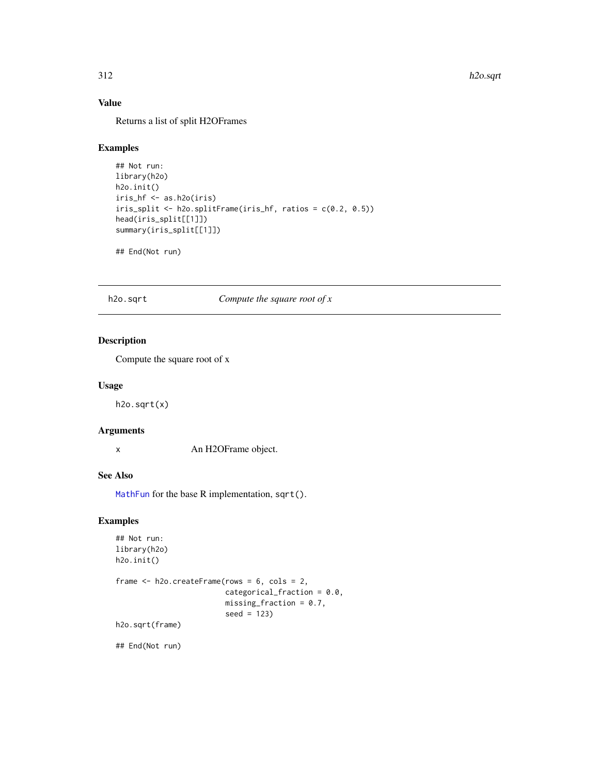# Value

Returns a list of split H2OFrames

# Examples

```
## Not run:
library(h2o)
h2o.init()
iris_hf <- as.h2o(iris)
iris_split <- h2o.splitFrame(iris_hf, ratios = c(0.2, 0.5))
head(iris_split[[1]])
summary(iris_split[[1]])
```
## End(Not run)

#### h2o.sqrt *Compute the square root of x*

# Description

Compute the square root of x

#### Usage

h2o.sqrt(x)

# Arguments

x An H2OFrame object.

# See Also

[MathFun](#page-0-0) for the base R implementation, sqrt().

# Examples

```
## Not run:
library(h2o)
h2o.init()
```

```
frame <- h2o.createFrame(rows = 6, cols = 2,
                         categorical_fraction = 0.0,
                         missing\_fraction = 0.7,
                         seed = 123)
h2o.sqrt(frame)
```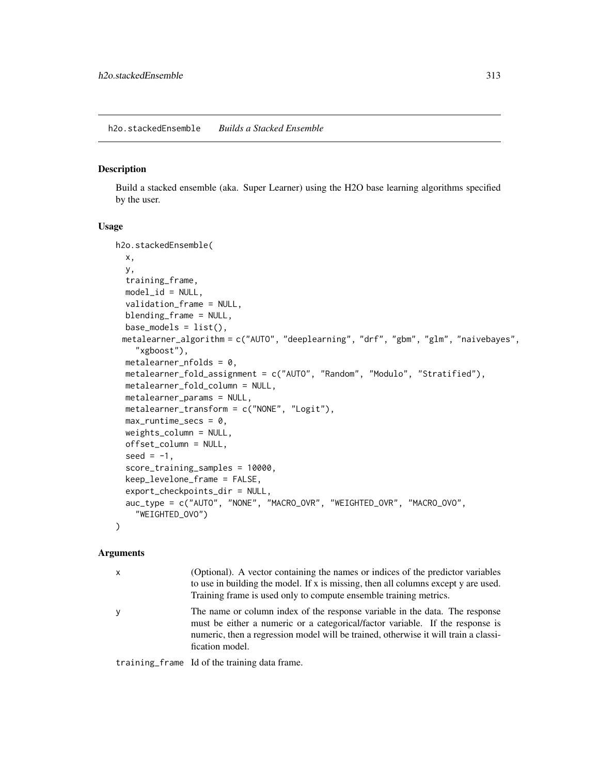Build a stacked ensemble (aka. Super Learner) using the H2O base learning algorithms specified by the user.

#### Usage

```
h2o.stackedEnsemble(
  x,
  y,
  training_frame,
  model_id = NULL,validation_frame = NULL,
  blending_frame = NULL,
  base_models = list(),metalearner_algorithm = c("AUTO", "deeplearning", "drf", "gbm", "glm", "naivebayes",
    "xgboost"),
 metalearner_nfolds = 0,
  metalearner_fold_assignment = c("AUTO", "Random", "Modulo", "Stratified"),
  metalearner_fold_column = NULL,
  metalearner_params = NULL,
  metalearner_transform = c("NONE", "Logit"),
  max_runtime_secs = \theta,
  weights_column = NULL,
  offset_column = NULL,
  seed = -1,
  score_training_samples = 10000,
  keep_levelone_frame = FALSE,
  export_checkpoints_dir = NULL,
  auc_type = c("AUTO", "NONE", "MACRO_OVR", "WEIGHTED_OVR", "MACRO_OVO",
    "WEIGHTED_OVO")
)
```
#### Arguments

| $\mathsf{x}$ | (Optional). A vector containing the names or indices of the predictor variables<br>to use in building the model. If x is missing, then all columns except y are used.<br>Training frame is used only to compute ensemble training metrics.                             |
|--------------|------------------------------------------------------------------------------------------------------------------------------------------------------------------------------------------------------------------------------------------------------------------------|
| y            | The name or column index of the response variable in the data. The response<br>must be either a numeric or a categorical/factor variable. If the response is<br>numeric, then a regression model will be trained, otherwise it will train a classi-<br>fication model. |

training\_frame Id of the training data frame.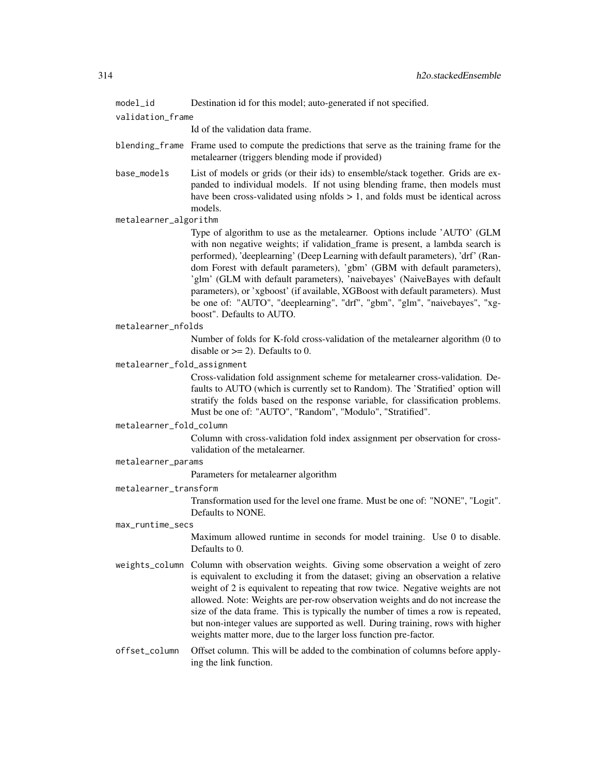model\_id Destination id for this model; auto-generated if not specified.

validation\_frame

Id of the validation data frame.

- blending\_frame Frame used to compute the predictions that serve as the training frame for the metalearner (triggers blending mode if provided)
- base\_models List of models or grids (or their ids) to ensemble/stack together. Grids are expanded to individual models. If not using blending frame, then models must have been cross-validated using nfolds  $> 1$ , and folds must be identical across models.

metalearner\_algorithm

Type of algorithm to use as the metalearner. Options include 'AUTO' (GLM with non negative weights; if validation frame is present, a lambda search is performed), 'deeplearning' (Deep Learning with default parameters), 'drf' (Random Forest with default parameters), 'gbm' (GBM with default parameters), 'glm' (GLM with default parameters), 'naivebayes' (NaiveBayes with default parameters), or 'xgboost' (if available, XGBoost with default parameters). Must be one of: "AUTO", "deeplearning", "drf", "gbm", "glm", "naivebayes", "xgboost". Defaults to AUTO.

#### metalearner\_nfolds

Number of folds for K-fold cross-validation of the metalearner algorithm (0 to disable or  $>= 2$ ). Defaults to 0.

#### metalearner\_fold\_assignment

Cross-validation fold assignment scheme for metalearner cross-validation. Defaults to AUTO (which is currently set to Random). The 'Stratified' option will stratify the folds based on the response variable, for classification problems. Must be one of: "AUTO", "Random", "Modulo", "Stratified".

#### metalearner\_fold\_column

Column with cross-validation fold index assignment per observation for crossvalidation of the metalearner.

#### metalearner\_params

Parameters for metalearner algorithm

#### metalearner\_transform

Transformation used for the level one frame. Must be one of: "NONE", "Logit". Defaults to NONE.

#### max\_runtime\_secs

Maximum allowed runtime in seconds for model training. Use 0 to disable. Defaults to 0.

weights\_column Column with observation weights. Giving some observation a weight of zero is equivalent to excluding it from the dataset; giving an observation a relative weight of 2 is equivalent to repeating that row twice. Negative weights are not allowed. Note: Weights are per-row observation weights and do not increase the size of the data frame. This is typically the number of times a row is repeated, but non-integer values are supported as well. During training, rows with higher weights matter more, due to the larger loss function pre-factor.

# offset\_column Offset column. This will be added to the combination of columns before applying the link function.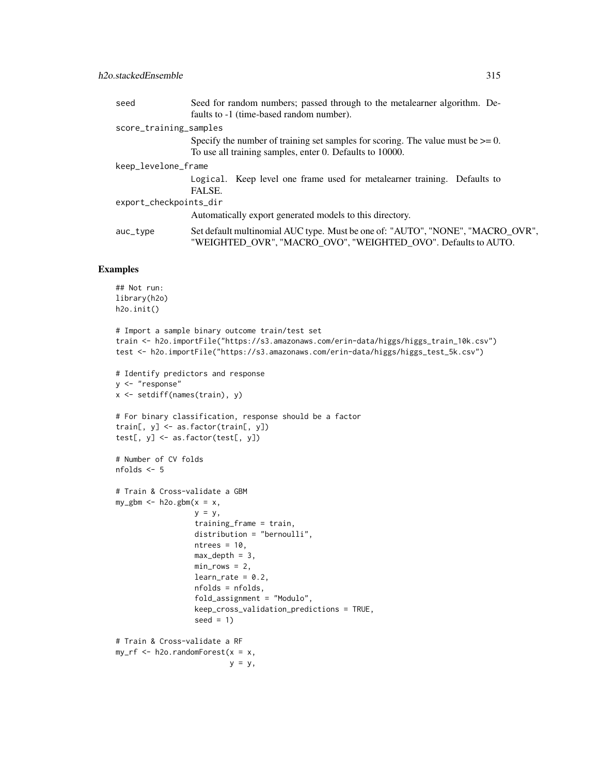| seed                   | Seed for random numbers; passed through to the metalearner algorithm. De-<br>faults to -1 (time-based random number).                            |  |
|------------------------|--------------------------------------------------------------------------------------------------------------------------------------------------|--|
| score_training_samples |                                                                                                                                                  |  |
|                        | Specify the number of training set samples for scoring. The value must be $\geq 0$ .                                                             |  |
|                        | To use all training samples, enter 0. Defaults to 10000.                                                                                         |  |
| keep_levelone_frame    |                                                                                                                                                  |  |
|                        | Logical. Keep level one frame used for metalearner training. Defaults to<br>FALSE.                                                               |  |
| export_checkpoints_dir |                                                                                                                                                  |  |
|                        | Automatically export generated models to this directory.                                                                                         |  |
| auc_type               | Set default multinomial AUC type. Must be one of: "AUTO", "NONE", "MACRO_OVR",<br>"WEIGHTED_OVR", "MACRO_OVO", "WEIGHTED_OVO". Defaults to AUTO. |  |

## Examples

```
## Not run:
library(h2o)
h2o.init()
# Import a sample binary outcome train/test set
train <- h2o.importFile("https://s3.amazonaws.com/erin-data/higgs/higgs_train_10k.csv")
test <- h2o.importFile("https://s3.amazonaws.com/erin-data/higgs/higgs_test_5k.csv")
# Identify predictors and response
y <- "response"
x <- setdiff(names(train), y)
# For binary classification, response should be a factor
train[, y] <- as.factor(train[, y])
test[, y] <- as.factor(test[, y])
# Number of CV folds
nfolds <- 5
# Train & Cross-validate a GBM
my\_gbm \leftarrow h2o.gbm(x = x,y = y,
                  training_frame = train,
                  distribution = "bernoulli",
                  ntrees = 10,
                  max\_depth = 3,
                  min\_rows = 2,
                  learn_rate = 0.2,nfolds = nfolds,
                  fold_assignment = "Modulo",
                  keep_cross_validation_predictions = TRUE,
                  seed = 1)
# Train & Cross-validate a RF
my\_rf \leftarrow h2o.randomForest(x = x,y = y,
```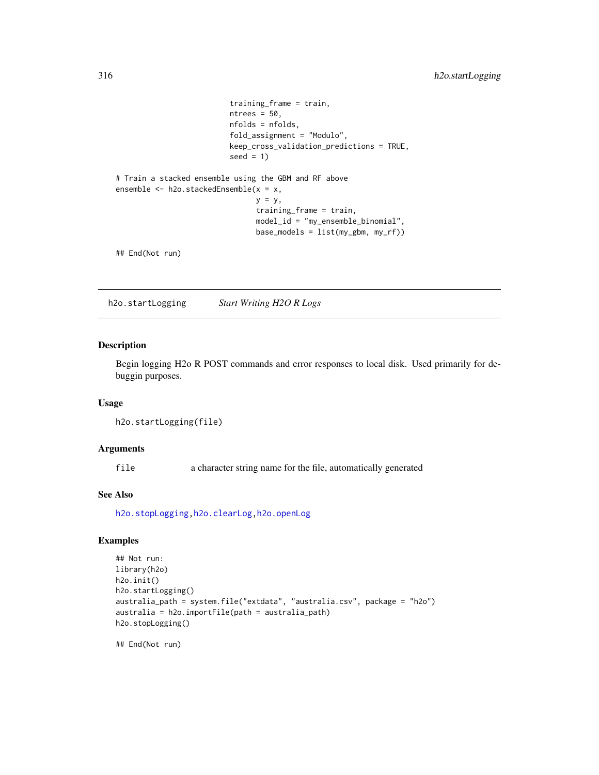```
training_frame = train,
                          ntrees = 50,
                          nfolds = nfolds,
                          fold_assignment = "Modulo",
                          keep_cross_validation_predictions = TRUE,
                          seed = 1)
# Train a stacked ensemble using the GBM and RF above
ensemble <- h2o.stackedEnsemble(x = x,
                                y = y,
                                training_frame = train,
                                model_id = "my_ensemble_binomial",
                                base_models = list(my_gbm, my_rf))
```
## End(Not run)

<span id="page-315-0"></span>h2o.startLogging *Start Writing H2O R Logs*

# Description

Begin logging H2o R POST commands and error responses to local disk. Used primarily for debuggin purposes.

## Usage

```
h2o.startLogging(file)
```
#### Arguments

file a character string name for the file, automatically generated

## See Also

[h2o.stopLogging](#page-316-0)[,h2o.clearLog,](#page-73-0)[h2o.openLog](#page-247-0)

# Examples

```
## Not run:
library(h2o)
h2o.init()
h2o.startLogging()
australia_path = system.file("extdata", "australia.csv", package = "h2o")
australia = h2o.importFile(path = australia_path)
h2o.stopLogging()
```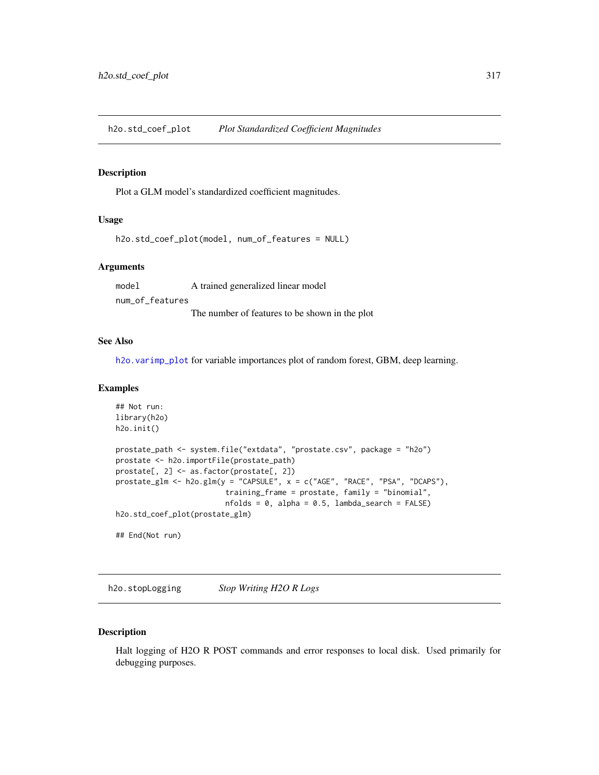h2o.std\_coef\_plot *Plot Standardized Coefficient Magnitudes*

#### Description

Plot a GLM model's standardized coefficient magnitudes.

# Usage

```
h2o.std_coef_plot(model, num_of_features = NULL)
```
#### Arguments

model A trained generalized linear model num\_of\_features The number of features to be shown in the plot

#### See Also

[h2o.varimp\\_plot](#page-349-0) for variable importances plot of random forest, GBM, deep learning.

# Examples

```
## Not run:
library(h2o)
h2o.init()
prostate_path <- system.file("extdata", "prostate.csv", package = "h2o")
prostate <- h2o.importFile(prostate_path)
prostate[, 2] <- as.factor(prostate[, 2])
prostate_glm <- h2o.glm(y = "CAPSULE", x = c("AGE", "RACE", "PSA", "DCAPS"),
                         training_frame = prostate, family = "binomial",
                         nfolds = 0, alpha = 0.5, lambda_search = FALSE)
h2o.std_coef_plot(prostate_glm)
## End(Not run)
```
<span id="page-316-0"></span>h2o.stopLogging *Stop Writing H2O R Logs*

# Description

Halt logging of H2O R POST commands and error responses to local disk. Used primarily for debugging purposes.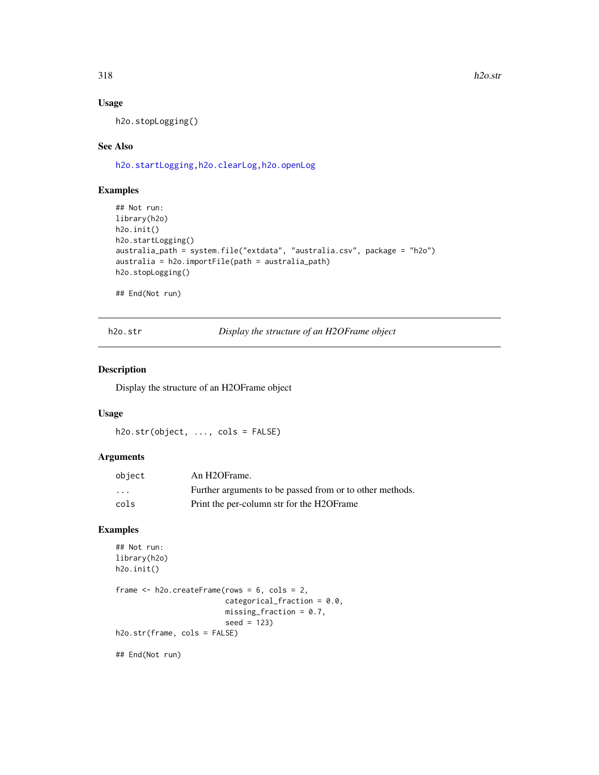318 h2o.str

# Usage

h2o.stopLogging()

# See Also

[h2o.startLogging](#page-315-0)[,h2o.clearLog,](#page-73-0)[h2o.openLog](#page-247-0)

#### Examples

```
## Not run:
library(h2o)
h2o.init()
h2o.startLogging()
australia_path = system.file("extdata", "australia.csv", package = "h2o")
australia = h2o.importFile(path = australia_path)
h2o.stopLogging()
```
## End(Not run)

h2o.str *Display the structure of an H2OFrame object*

## Description

Display the structure of an H2OFrame object

## Usage

h2o.str(object, ..., cols = FALSE)

# Arguments

| object | An H <sub>2</sub> OFrame.                                |
|--------|----------------------------------------------------------|
| .      | Further arguments to be passed from or to other methods. |
| cols   | Print the per-column str for the H2OFrame                |

#### Examples

```
## Not run:
library(h2o)
h2o.init()
frame <- h2o.createFrame(rows = 6, cols = 2,
                         categorical_fraction = 0.0,
                         missing_fraction = 0.7,
                         seed = 123)
h2o.str(frame, cols = FALSE)
```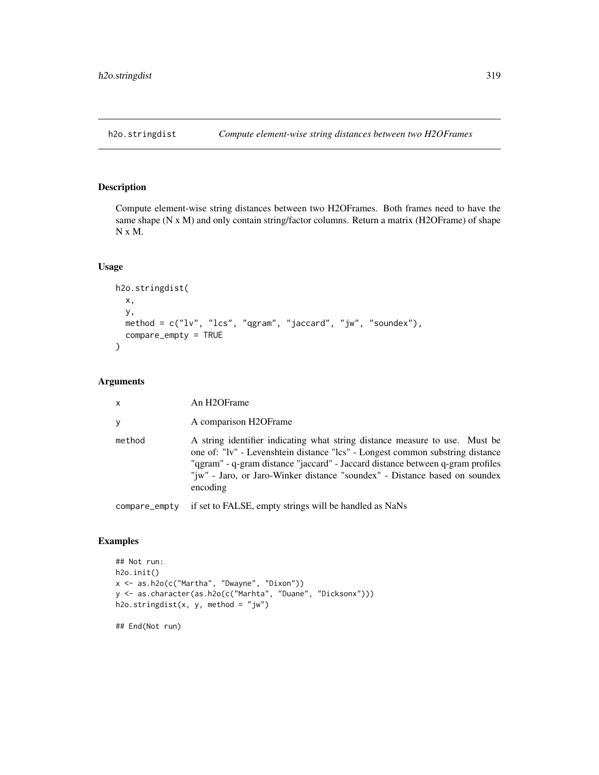Compute element-wise string distances between two H2OFrames. Both frames need to have the same shape (N x M) and only contain string/factor columns. Return a matrix (H2OFrame) of shape N x M.

# Usage

```
h2o.stringdist(
  x,
  y,
  method = c("lv", "lcs", "qgram", "jaccard", "jw", "soundex"),
  compare_empty = TRUE
\mathcal{L}
```
# Arguments

| $\mathsf{x}$  | An H2OFrame                                                                                                                                                                                                                                                                                                                              |
|---------------|------------------------------------------------------------------------------------------------------------------------------------------------------------------------------------------------------------------------------------------------------------------------------------------------------------------------------------------|
| V             | A comparison H2OFrame                                                                                                                                                                                                                                                                                                                    |
| method        | A string identifier indicating what string distance measure to use. Must be<br>one of: "lv" - Levenshtein distance "lcs" - Longest common substring distance<br>"ggram" - q-gram distance "jaccard" - Jaccard distance between q-gram profiles<br>"jw" - Jaro, or Jaro-Winker distance "soundex" - Distance based on soundex<br>encoding |
| compare_empty | if set to FALSE, empty strings will be handled as NaNs                                                                                                                                                                                                                                                                                   |

## Examples

```
## Not run:
h2o.init()
x <- as.h2o(c("Martha", "Dwayne", "Dixon"))
y <- as.character(as.h2o(c("Marhta", "Duane", "Dicksonx")))
h2o.stringdist(x, y, method = "jw")
```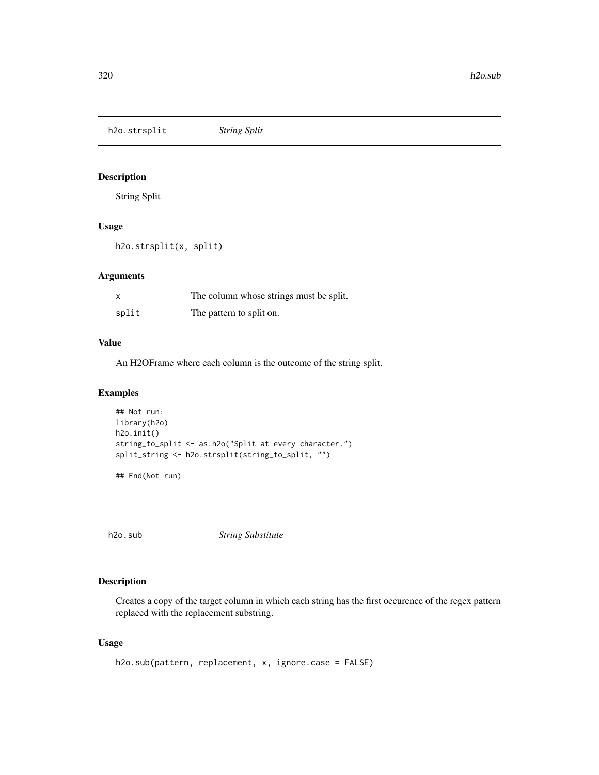h2o.strsplit *String Split*

Description

String Split

## Usage

h2o.strsplit(x, split)

# Arguments

| X     | The column whose strings must be split. |
|-------|-----------------------------------------|
| split | The pattern to split on.                |

## Value

An H2OFrame where each column is the outcome of the string split.

# Examples

```
## Not run:
library(h2o)
h2o.init()
string_to_split <- as.h2o("Split at every character.")
split_string <- h2o.strsplit(string_to_split, "")
```
## End(Not run)

h2o.sub *String Substitute*

# Description

Creates a copy of the target column in which each string has the first occurence of the regex pattern replaced with the replacement substring.

# Usage

```
h2o.sub(pattern, replacement, x, ignore.case = FALSE)
```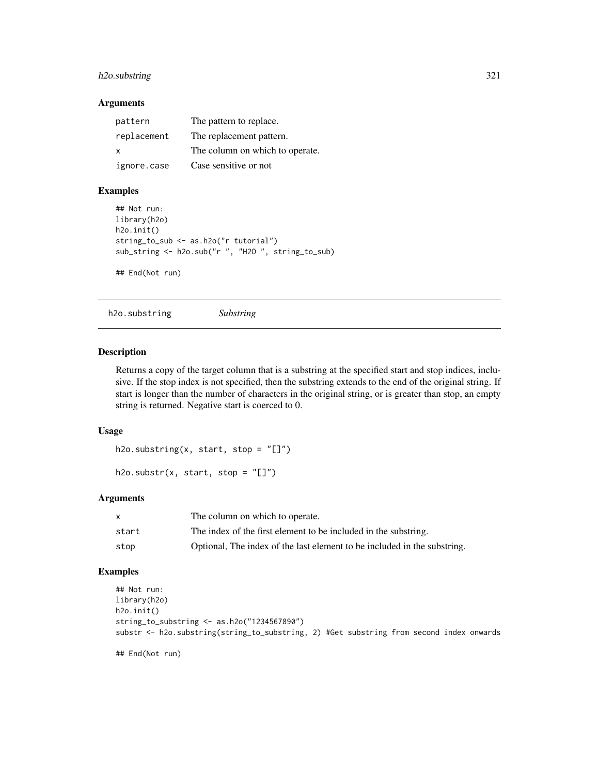# h2o.substring 321

## Arguments

| pattern      | The pattern to replace.         |
|--------------|---------------------------------|
| replacement  | The replacement pattern.        |
| $\mathbf{x}$ | The column on which to operate. |
| ignore.case  | Case sensitive or not           |

#### Examples

```
## Not run:
library(h2o)
h2o.init()
string_to_sub <- as.h2o("r tutorial")
sub_string <- h2o.sub("r ", "H2O ", string_to_sub)
## End(Not run)
```
h2o.substring *Substring*

## Description

Returns a copy of the target column that is a substring at the specified start and stop indices, inclusive. If the stop index is not specified, then the substring extends to the end of the original string. If start is longer than the number of characters in the original string, or is greater than stop, an empty string is returned. Negative start is coerced to 0.

#### Usage

```
h2o.substring(x, start, stop = "[]")
```

```
h2o.substr(x, start, stop = "[]")
```
## Arguments

| X     | The column on which to operate.                                          |
|-------|--------------------------------------------------------------------------|
| start | The index of the first element to be included in the substring.          |
| stop  | Optional, The index of the last element to be included in the substring. |

# Examples

```
## Not run:
library(h2o)
h2o.init()
string_to_substring <- as.h2o("1234567890")
substr <- h2o.substring(string_to_substring, 2) #Get substring from second index onwards
```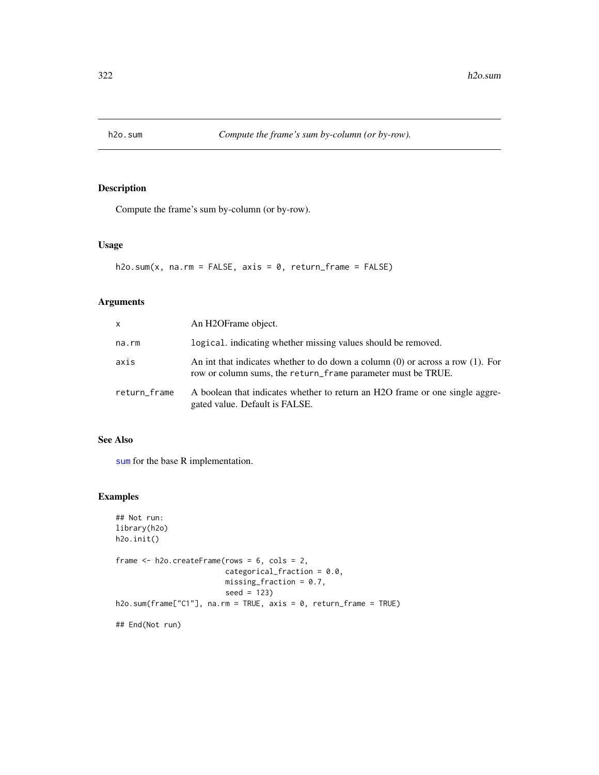Compute the frame's sum by-column (or by-row).

#### Usage

 $h2o.sum(x, na.rm = FALSE, axis = 0, return-frame = FALSE)$ 

## Arguments

| x            | An H2OFrame object.                                                                                                                                 |
|--------------|-----------------------------------------------------------------------------------------------------------------------------------------------------|
| na.rm        | logical, indicating whether missing values should be removed.                                                                                       |
| axis         | An int that indicates whether to do down a column $(0)$ or across a row $(1)$ . For<br>row or column sums, the return_frame parameter must be TRUE. |
| return_frame | A boolean that indicates whether to return an H2O frame or one single aggre-<br>gated value. Default is FALSE.                                      |

## See Also

[sum](#page-0-0) for the base R implementation.

# Examples

```
## Not run:
library(h2o)
h2o.init()
frame <- h2o.createFrame(rows = 6, cols = 2,
                         categorical_fraction = 0.0,
                         missing\_fraction = 0.7,
                         seed = 123)
h2o.sum(frame["C1"], na.rm = TRUE, axis = 0, return_frame = TRUE)
## End(Not run)
```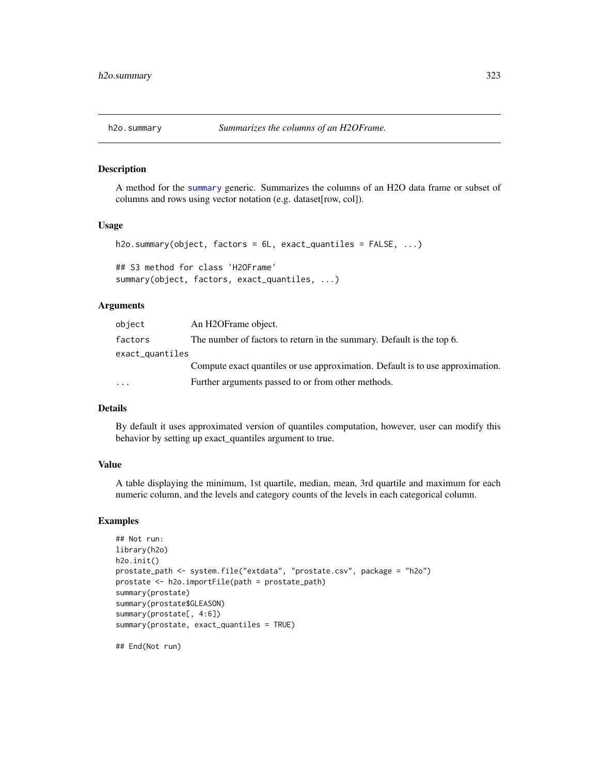A method for the [summary](#page-0-0) generic. Summarizes the columns of an H2O data frame or subset of columns and rows using vector notation (e.g. dataset[row, col]).

# Usage

```
h2o.summary(object, factors = 6L, exact_quantiles = FALSE, ...)
## S3 method for class 'H2OFrame'
summary(object, factors, exact_quantiles, ...)
```
# Arguments

| object          | An H2OFrame object.                                                            |
|-----------------|--------------------------------------------------------------------------------|
| factors         | The number of factors to return in the summary. Default is the top 6.          |
| exact_quantiles |                                                                                |
|                 | Compute exact quantiles or use approximation. Default is to use approximation. |
| $\ddotsc$       | Further arguments passed to or from other methods.                             |

#### Details

By default it uses approximated version of quantiles computation, however, user can modify this behavior by setting up exact\_quantiles argument to true.

## Value

A table displaying the minimum, 1st quartile, median, mean, 3rd quartile and maximum for each numeric column, and the levels and category counts of the levels in each categorical column.

#### Examples

```
## Not run:
library(h2o)
h2o.init()
prostate_path <- system.file("extdata", "prostate.csv", package = "h2o")
prostate <- h2o.importFile(path = prostate_path)
summary(prostate)
summary(prostate$GLEASON)
summary(prostate[, 4:6])
summary(prostate, exact_quantiles = TRUE)
```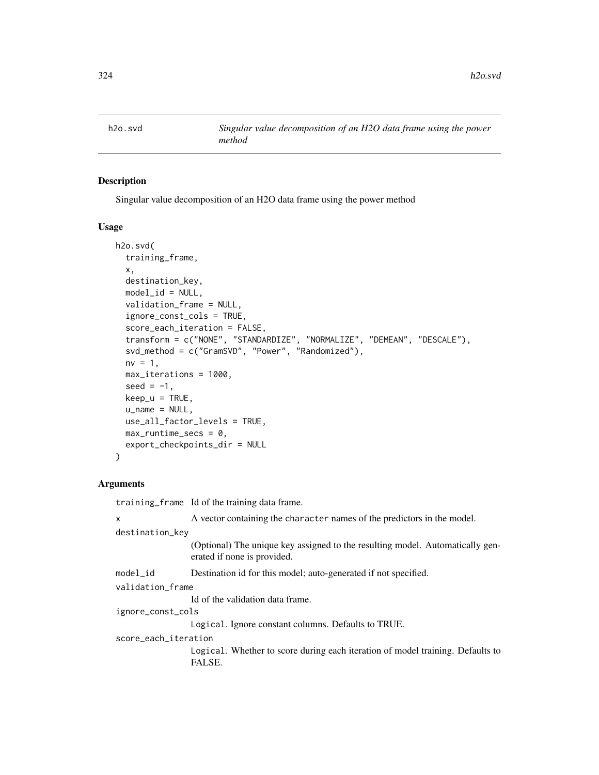Singular value decomposition of an H2O data frame using the power method

#### Usage

```
h2o.svd(
  training_frame,
  x,
  destination_key,
  model_id = NULL,validation_frame = NULL,
  ignore_const_cols = TRUE,
  score_each_iteration = FALSE,
  transform = c("NONE", "STANDARDIZE", "NORMALIZE", "DEMEAN", "DESCALE"),
  svd_method = c("GramSVD", "Power", "Randomized"),
  nv = 1,
  max_iterations = 1000,
  seed = -1,
  keep_u = TRUE,u_name = NULL,
  use_all_factor_levels = TRUE,
  max_runtime_secs = 0,
  export_checkpoints_dir = NULL
)
```
# Arguments

training\_frame Id of the training data frame.

x A vector containing the character names of the predictors in the model. destination\_key (Optional) The unique key assigned to the resulting model. Automatically generated if none is provided. model\_id Destination id for this model; auto-generated if not specified. validation\_frame Id of the validation data frame. ignore\_const\_cols Logical. Ignore constant columns. Defaults to TRUE. score\_each\_iteration Logical. Whether to score during each iteration of model training. Defaults to FALSE.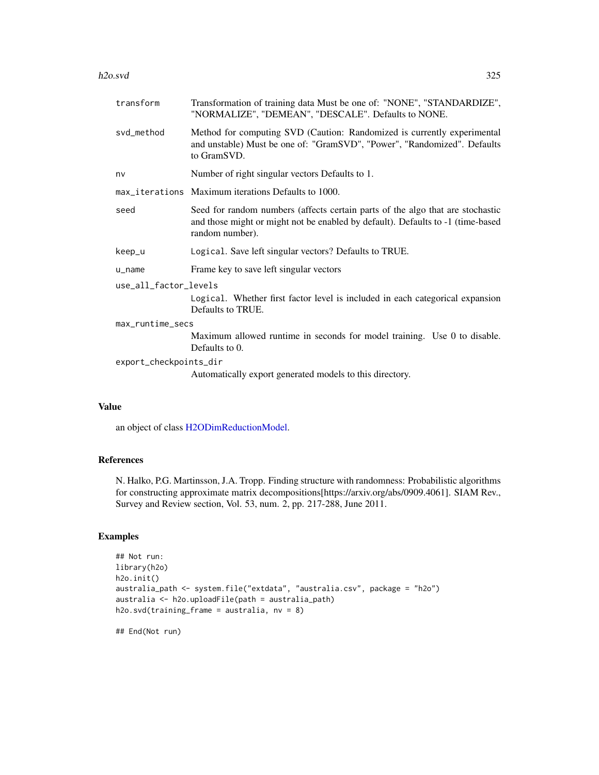#### h2o.svd 325

| transform              | Transformation of training data Must be one of: "NONE", "STANDARDIZE",<br>"NORMALIZE", "DEMEAN", "DESCALE". Defaults to NONE.                                                        |  |
|------------------------|--------------------------------------------------------------------------------------------------------------------------------------------------------------------------------------|--|
| svd_method             | Method for computing SVD (Caution: Randomized is currently experimental<br>and unstable) Must be one of: "GramSVD", "Power", "Randomized". Defaults<br>to GramSVD.                   |  |
| nv                     | Number of right singular vectors Defaults to 1.                                                                                                                                      |  |
|                        | max_iterations Maximum iterations Defaults to 1000.                                                                                                                                  |  |
| seed                   | Seed for random numbers (affects certain parts of the algo that are stochastic<br>and those might or might not be enabled by default). Defaults to -1 (time-based<br>random number). |  |
| keep_u                 | Logical. Save left singular vectors? Defaults to TRUE.                                                                                                                               |  |
| $u$ <sub>name</sub>    | Frame key to save left singular vectors                                                                                                                                              |  |
| use_all_factor_levels  |                                                                                                                                                                                      |  |
|                        | Logical. Whether first factor level is included in each categorical expansion<br>Defaults to TRUE.                                                                                   |  |
| max_runtime_secs       |                                                                                                                                                                                      |  |
|                        | Maximum allowed runtime in seconds for model training. Use 0 to disable.<br>Defaults to 0.                                                                                           |  |
| export_checkpoints_dir |                                                                                                                                                                                      |  |
|                        | Automatically export generated models to this directory.                                                                                                                             |  |

### Value

an object of class [H2ODimReductionModel.](#page-370-0)

### References

N. Halko, P.G. Martinsson, J.A. Tropp. Finding structure with randomness: Probabilistic algorithms for constructing approximate matrix decompositions[https://arxiv.org/abs/0909.4061]. SIAM Rev., Survey and Review section, Vol. 53, num. 2, pp. 217-288, June 2011.

# Examples

```
## Not run:
library(h2o)
h2o.init()
australia_path <- system.file("extdata", "australia.csv", package = "h2o")
australia <- h2o.uploadFile(path = australia_path)
h2o.svd(training_frame = australia, nv = 8)
```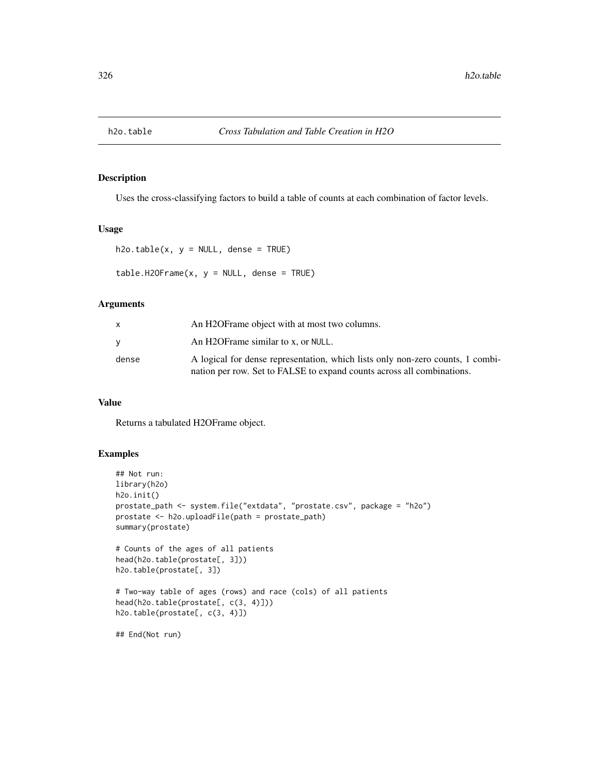Uses the cross-classifying factors to build a table of counts at each combination of factor levels.

#### Usage

```
h2o.table(x, y = NULL, dense = TRUE)
```
 $table.H20Frame(x, y = NULL, dense = TRUE)$ 

#### Arguments

|       | An H2OF rame object with at most two columns.                                                                                                            |
|-------|----------------------------------------------------------------------------------------------------------------------------------------------------------|
|       | An H2OFrame similar to x, or NULL.                                                                                                                       |
| dense | A logical for dense representation, which lists only non-zero counts, 1 combi-<br>nation per row. Set to FALSE to expand counts across all combinations. |

### Value

Returns a tabulated H2OFrame object.

#### Examples

```
## Not run:
library(h2o)
h2o.init()
prostate_path <- system.file("extdata", "prostate.csv", package = "h2o")
prostate <- h2o.uploadFile(path = prostate_path)
summary(prostate)
# Counts of the ages of all patients
head(h2o.table(prostate[, 3]))
h2o.table(prostate[, 3])
```
# Two-way table of ages (rows) and race (cols) of all patients head(h2o.table(prostate[, c(3, 4)])) h2o.table(prostate[, c(3, 4)])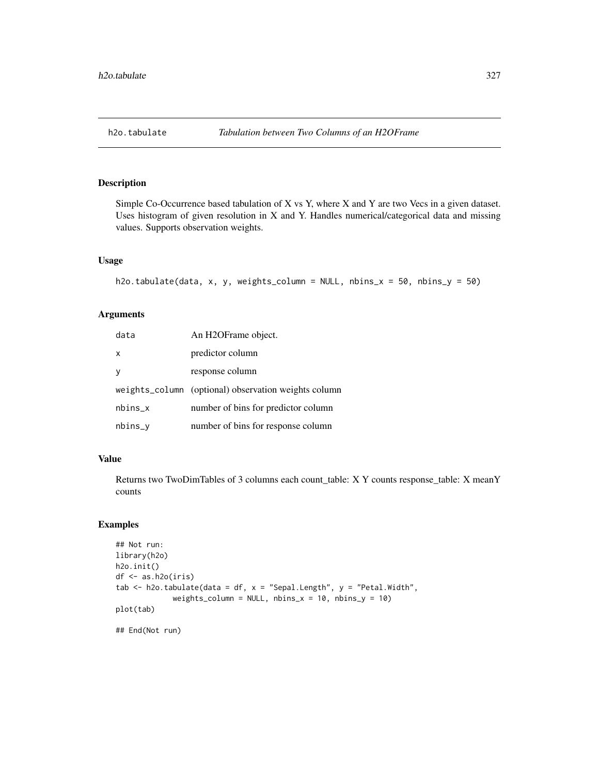Simple Co-Occurrence based tabulation of X vs Y, where X and Y are two Vecs in a given dataset. Uses histogram of given resolution in X and Y. Handles numerical/categorical data and missing values. Supports observation weights.

#### Usage

```
h2o.tabulate(data, x, y, weights_column = NULL, nbins_x = 50, nbins_y = 50)
```
### Arguments

| data      | An H2OFrame object.                                  |
|-----------|------------------------------------------------------|
| X         | predictor column                                     |
| y         | response column                                      |
|           | weights_column (optional) observation weights column |
| $nbins_x$ | number of bins for predictor column                  |
| $nbins_y$ | number of bins for response column                   |

### Value

Returns two TwoDimTables of 3 columns each count\_table: X Y counts response\_table: X meanY counts

#### Examples

```
## Not run:
library(h2o)
h2o.init()
df <- as.h2o(iris)
tab \le h2o.tabulate(data = df, x = "Sepal.Length", y = "Petal.Width",
             weights_column = NULL, nbins_x = 10, nbins_y = 10)
plot(tab)
## End(Not run)
```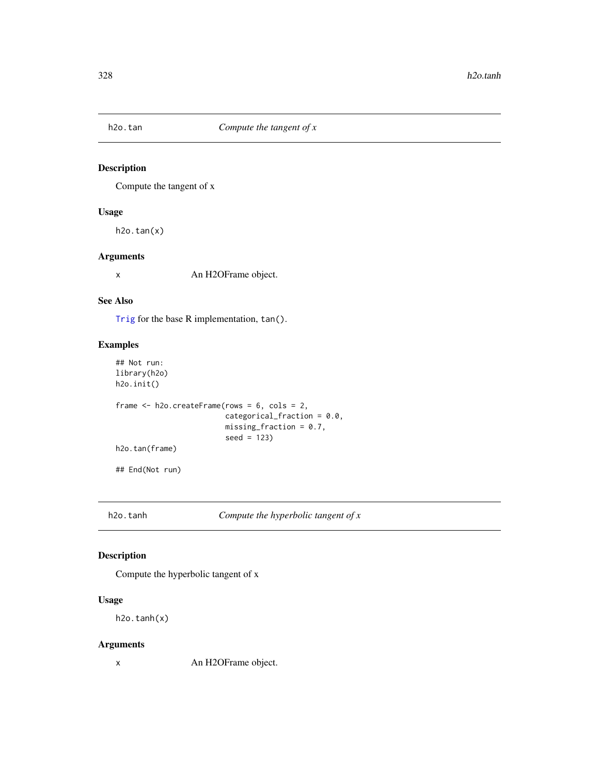Compute the tangent of x

### Usage

 $h2o.tan(x)$ 

### Arguments

x An H2OFrame object.

### See Also

[Trig](#page-0-0) for the base R implementation, tan().

### Examples

```
## Not run:
library(h2o)
h2o.init()
frame <- h2o.createFrame(rows = 6, cols = 2,
                         categorical_fraction = 0.0,
                         missing_fraction = 0.7,
                         seed = 123)
h2o.tan(frame)
## End(Not run)
```
h2o.tanh *Compute the hyperbolic tangent of x*

### Description

Compute the hyperbolic tangent of x

### Usage

h2o.tanh(x)

### Arguments

x An H2OFrame object.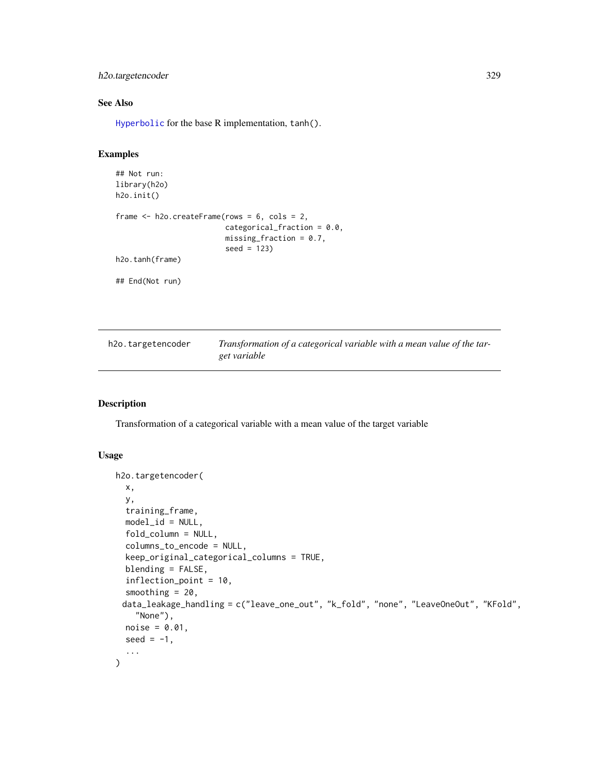### h2o.targetencoder 329

### See Also

[Hyperbolic](#page-0-0) for the base R implementation, tanh().

### Examples

```
## Not run:
library(h2o)
h2o.init()
frame <- h2o.createFrame(rows = 6, cols = 2,
                         categorical_fraction = 0.0,
                         missing_fraction = 0.7,
                         seed = 123)
h2o.tanh(frame)
## End(Not run)
```

| h2o.targetencoder | Transformation of a categorical variable with a mean value of the tar- |
|-------------------|------------------------------------------------------------------------|
|                   | get variable                                                           |

# Description

Transformation of a categorical variable with a mean value of the target variable

```
h2o.targetencoder(
  x,
  y,
  training_frame,
 model_id = NULL,fold_column = NULL,
  columns_to_encode = NULL,
  keep_original_categorical_columns = TRUE,
  blending = FALSE,
  inflection_point = 10,
  smoothing = 20,
 data_leakage_handling = c("leave_one_out", "k_fold", "none", "LeaveOneOut", "KFold",
    "None"),
 noise = 0.01,
  seed = -1,
  ...
\mathcal{L}
```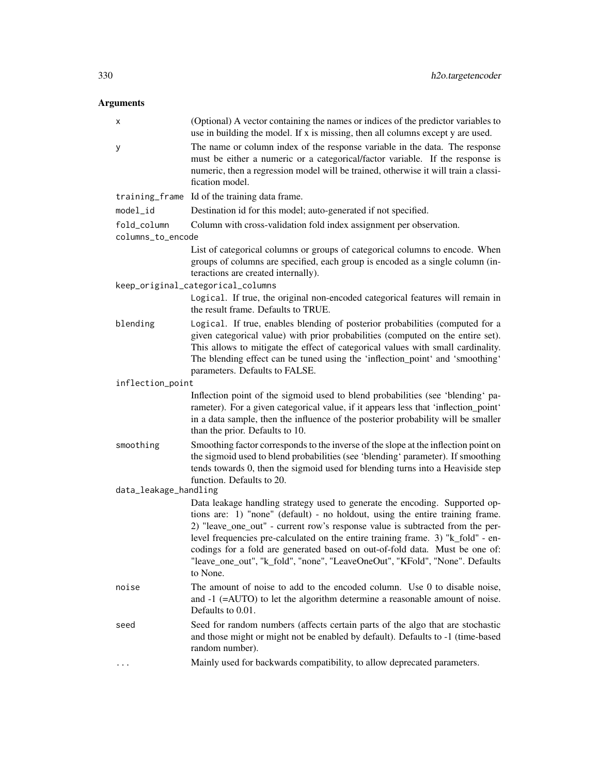| х                     | (Optional) A vector containing the names or indices of the predictor variables to<br>use in building the model. If x is missing, then all columns except y are used.                                                                                                                                                                                                                                                                                                                                        |
|-----------------------|-------------------------------------------------------------------------------------------------------------------------------------------------------------------------------------------------------------------------------------------------------------------------------------------------------------------------------------------------------------------------------------------------------------------------------------------------------------------------------------------------------------|
| У                     | The name or column index of the response variable in the data. The response<br>must be either a numeric or a categorical/factor variable. If the response is<br>numeric, then a regression model will be trained, otherwise it will train a classi-<br>fication model.                                                                                                                                                                                                                                      |
|                       | training_frame Id of the training data frame.                                                                                                                                                                                                                                                                                                                                                                                                                                                               |
| $model_id$            | Destination id for this model; auto-generated if not specified.                                                                                                                                                                                                                                                                                                                                                                                                                                             |
| fold_column           | Column with cross-validation fold index assignment per observation.                                                                                                                                                                                                                                                                                                                                                                                                                                         |
| columns_to_encode     |                                                                                                                                                                                                                                                                                                                                                                                                                                                                                                             |
|                       | List of categorical columns or groups of categorical columns to encode. When<br>groups of columns are specified, each group is encoded as a single column (in-<br>teractions are created internally).                                                                                                                                                                                                                                                                                                       |
|                       | keep_original_categorical_columns                                                                                                                                                                                                                                                                                                                                                                                                                                                                           |
|                       | Logical. If true, the original non-encoded categorical features will remain in<br>the result frame. Defaults to TRUE.                                                                                                                                                                                                                                                                                                                                                                                       |
| blending              | Logical. If true, enables blending of posterior probabilities (computed for a<br>given categorical value) with prior probabilities (computed on the entire set).<br>This allows to mitigate the effect of categorical values with small cardinality.<br>The blending effect can be tuned using the 'inflection_point' and 'smoothing'<br>parameters. Defaults to FALSE.                                                                                                                                     |
| inflection_point      |                                                                                                                                                                                                                                                                                                                                                                                                                                                                                                             |
|                       | Inflection point of the sigmoid used to blend probabilities (see 'blending' pa-<br>rameter). For a given categorical value, if it appears less that 'inflection_point'<br>in a data sample, then the influence of the posterior probability will be smaller<br>than the prior. Defaults to 10.                                                                                                                                                                                                              |
| smoothing             | Smoothing factor corresponds to the inverse of the slope at the inflection point on<br>the sigmoid used to blend probabilities (see 'blending' parameter). If smoothing<br>tends towards 0, then the sigmoid used for blending turns into a Heaviside step<br>function. Defaults to 20.                                                                                                                                                                                                                     |
| data_leakage_handling |                                                                                                                                                                                                                                                                                                                                                                                                                                                                                                             |
|                       | Data leakage handling strategy used to generate the encoding. Supported op-<br>tions are: 1) "none" (default) - no holdout, using the entire training frame.<br>2) "leave_one_out" - current row's response value is subtracted from the per-<br>level frequencies pre-calculated on the entire training frame. 3) "k_fold" - en-<br>codings for a fold are generated based on out-of-fold data. Must be one of:<br>"leave_one_out", "k_fold", "none", "LeaveOneOut", "KFold", "None". Defaults<br>to None. |
| noise                 | The amount of noise to add to the encoded column. Use 0 to disable noise,<br>and $-1$ ( $=$ AUTO) to let the algorithm determine a reasonable amount of noise.<br>Defaults to 0.01.                                                                                                                                                                                                                                                                                                                         |
| seed                  | Seed for random numbers (affects certain parts of the algo that are stochastic<br>and those might or might not be enabled by default). Defaults to -1 (time-based<br>random number).                                                                                                                                                                                                                                                                                                                        |
|                       | Mainly used for backwards compatibility, to allow deprecated parameters.                                                                                                                                                                                                                                                                                                                                                                                                                                    |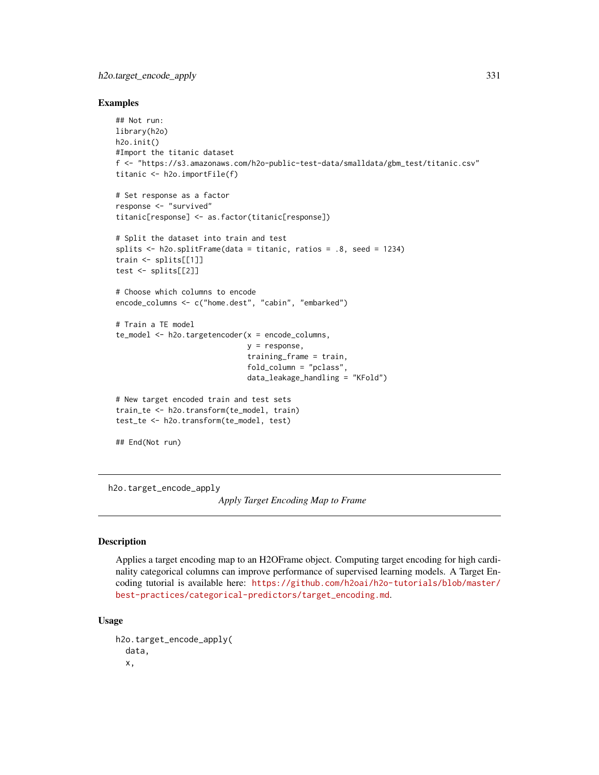### h2o.target\_encode\_apply 331

#### Examples

```
## Not run:
library(h2o)
h2o.init()
#Import the titanic dataset
f <- "https://s3.amazonaws.com/h2o-public-test-data/smalldata/gbm_test/titanic.csv"
titanic <- h2o.importFile(f)
# Set response as a factor
response <- "survived"
titanic[response] <- as.factor(titanic[response])
# Split the dataset into train and test
splits <- h2o.splitFrame(data = titanic, ratios = .8, seed = 1234)
train <- splits[[1]]
test <- splits[[2]]
# Choose which columns to encode
encode_columns <- c("home.dest", "cabin", "embarked")
# Train a TE model
te_model <- h2o.targetencoder(x = encode_columns,
                              y = response,
                              training_frame = train,
                              fold_column = "pclass",
                              data_leakage_handling = "KFold")
# New target encoded train and test sets
train_te <- h2o.transform(te_model, train)
test_te <- h2o.transform(te_model, test)
## End(Not run)
```
<span id="page-330-0"></span>h2o.target\_encode\_apply

*Apply Target Encoding Map to Frame*

#### **Description**

Applies a target encoding map to an H2OFrame object. Computing target encoding for high cardinality categorical columns can improve performance of supervised learning models. A Target Encoding tutorial is available here: [https://github.com/h2oai/h2o-tutorials/blob/master/](https://github.com/h2oai/h2o-tutorials/blob/master/best-practices/categorical-predictors/target_encoding.md) [best-practices/categorical-predictors/target\\_encoding.md](https://github.com/h2oai/h2o-tutorials/blob/master/best-practices/categorical-predictors/target_encoding.md).

```
h2o.target_encode_apply(
  data,
  x,
```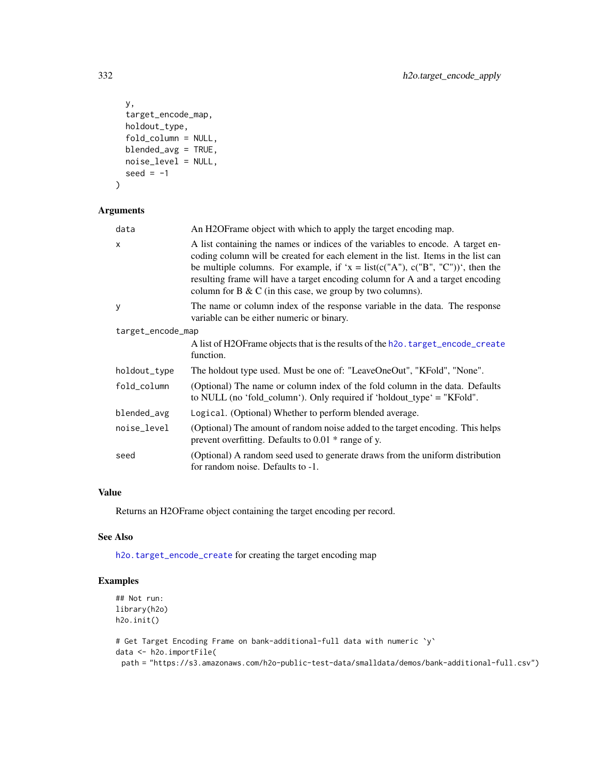```
y,
  target_encode_map,
 holdout_type,
 fold_column = NULL,
 blended_avg = TRUE,
 noise_level = NULL,
 seed = -1\mathcal{L}
```

| data              | An H2OFrame object with which to apply the target encoding map.                                                                                                                                                                                                                                                                                                                                                |
|-------------------|----------------------------------------------------------------------------------------------------------------------------------------------------------------------------------------------------------------------------------------------------------------------------------------------------------------------------------------------------------------------------------------------------------------|
| X                 | A list containing the names or indices of the variables to encode. A target en-<br>coding column will be created for each element in the list. Items in the list can<br>be multiple columns. For example, if 'x = list( $c("A")$ , $c("B", "C")$ ', then the<br>resulting frame will have a target encoding column for A and a target encoding<br>column for $B \& C$ (in this case, we group by two columns). |
| y                 | The name or column index of the response variable in the data. The response<br>variable can be either numeric or binary.                                                                                                                                                                                                                                                                                       |
| target_encode_map |                                                                                                                                                                                                                                                                                                                                                                                                                |
|                   | A list of H2OF rame objects that is the results of the h2o. target_encode_create<br>function.                                                                                                                                                                                                                                                                                                                  |
| holdout_type      | The holdout type used. Must be one of: "LeaveOneOut", "KFold", "None".                                                                                                                                                                                                                                                                                                                                         |
| fold_column       | (Optional) The name or column index of the fold column in the data. Defaults<br>to NULL (no 'fold_column'). Only required if 'holdout_type' = "KFold".                                                                                                                                                                                                                                                         |
| blended_avg       | Logical. (Optional) Whether to perform blended average.                                                                                                                                                                                                                                                                                                                                                        |
| noise_level       | (Optional) The amount of random noise added to the target encoding. This helps<br>prevent overfitting. Defaults to $0.01 *$ range of y.                                                                                                                                                                                                                                                                        |
| seed              | (Optional) A random seed used to generate draws from the uniform distribution<br>for random noise. Defaults to -1.                                                                                                                                                                                                                                                                                             |

### Value

Returns an H2OFrame object containing the target encoding per record.

#### See Also

[h2o.target\\_encode\\_create](#page-332-0) for creating the target encoding map

# Examples

```
## Not run:
library(h2o)
h2o.init()
```

```
# Get Target Encoding Frame on bank-additional-full data with numeric `y`
data <- h2o.importFile(
 path = "https://s3.amazonaws.com/h2o-public-test-data/smalldata/demos/bank-additional-full.csv")
```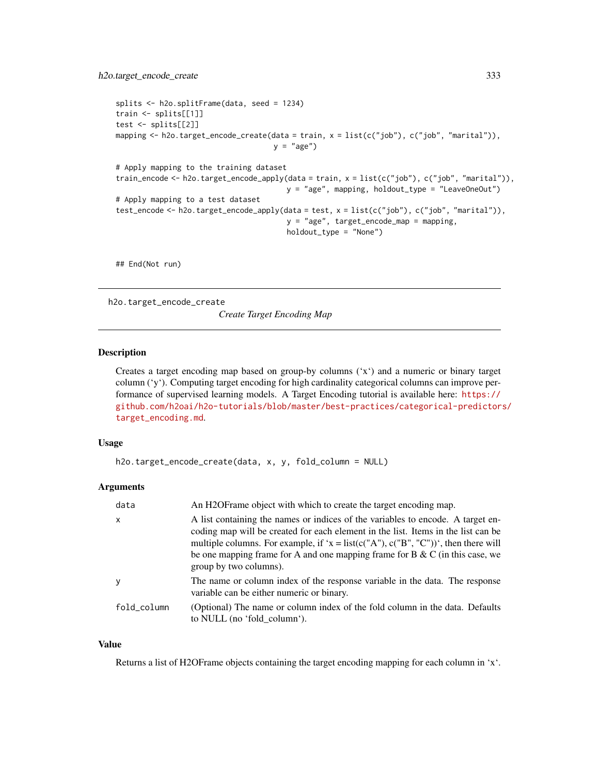```
splits <- h2o.splitFrame(data, seed = 1234)
train <- splits[[1]]
test <- splits[[2]]
mapping <- h2o.target_encode_create(data = train, x = list(c("job"), c("job", "marital")),
                                    y = "age")# Apply mapping to the training dataset
train_encode <- h2o.target_encode_apply(data = train, x = list(c("job"), c("job", "marital")),
                                       y = "age", mapping, holdout_type = "LeaveOneOut")
# Apply mapping to a test dataset
test_encode <- h2o.target_encode_apply(data = test, x = list(c("job"), c("job", "marital")),
                                       y = "age", target_encode_map = mapping,
                                       holdout_type = "None")
```
## End(Not run)

<span id="page-332-0"></span>h2o.target\_encode\_create

*Create Target Encoding Map*

#### Description

Creates a target encoding map based on group-by columns ('x') and a numeric or binary target column ('y'). Computing target encoding for high cardinality categorical columns can improve performance of supervised learning models. A Target Encoding tutorial is available here: [https://](https://github.com/h2oai/h2o-tutorials/blob/master/best-practices/categorical-predictors/target_encoding.md) [github.com/h2oai/h2o-tutorials/blob/master/best-practices/categorical-predictor](https://github.com/h2oai/h2o-tutorials/blob/master/best-practices/categorical-predictors/target_encoding.md)s/ [target\\_encoding.md](https://github.com/h2oai/h2o-tutorials/blob/master/best-practices/categorical-predictors/target_encoding.md).

### Usage

```
h2o.target_encode_create(data, x, y, fold_column = NULL)
```
#### Arguments

| data         | An H2OF rame object with which to create the target encoding map.                                                                                                                                                                                                                                                                                                       |
|--------------|-------------------------------------------------------------------------------------------------------------------------------------------------------------------------------------------------------------------------------------------------------------------------------------------------------------------------------------------------------------------------|
| $\mathsf{x}$ | A list containing the names or indices of the variables to encode. A target en-<br>coding map will be created for each element in the list. Items in the list can be<br>multiple columns. For example, if 'x = list(c("A"), c("B", "C"))', then there will<br>be one mapping frame for A and one mapping frame for B $\&$ C (in this case, we<br>group by two columns). |
| y            | The name or column index of the response variable in the data. The response<br>variable can be either numeric or binary.                                                                                                                                                                                                                                                |
| fold_column  | (Optional) The name or column index of the fold column in the data. Defaults<br>to NULL (no 'fold_column').                                                                                                                                                                                                                                                             |

#### Value

Returns a list of H2OFrame objects containing the target encoding mapping for each column in 'x'.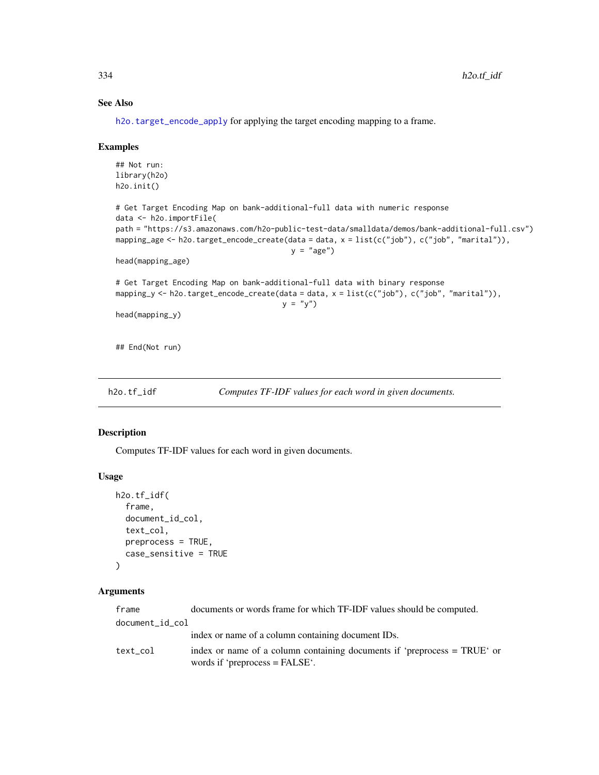### See Also

[h2o.target\\_encode\\_apply](#page-330-0) for applying the target encoding mapping to a frame.

#### Examples

```
## Not run:
library(h2o)
h2o.init()
# Get Target Encoding Map on bank-additional-full data with numeric response
data <- h2o.importFile(
path = "https://s3.amazonaws.com/h2o-public-test-data/smalldata/demos/bank-additional-full.csv")
mapping_age <- h2o.target_encode_create(data = data, x = list(c("job"), c("job", "marital")),
                                        y = "age")head(mapping_age)
# Get Target Encoding Map on bank-additional-full data with binary response
mapping_y <- h2o.target_encode_create(data = data, x = list(c("job"), c("job", "marital")),
                                      y = "y")head(mapping_y)
## End(Not run)
```
h2o.tf\_idf *Computes TF-IDF values for each word in given documents.*

#### Description

Computes TF-IDF values for each word in given documents.

#### Usage

```
h2o.tf_idf(
  frame,
  document_id_col,
  text_col,
  preprocess = TRUE,
  case_sensitive = TRUE
)
```
### Arguments

| frame           | documents or words frame for which TF-IDF values should be computed.                                         |
|-----------------|--------------------------------------------------------------------------------------------------------------|
| document_id_col |                                                                                                              |
|                 | index or name of a column containing document IDs.                                                           |
| text col        | index or name of a column containing documents if 'preprocess = TRUE' or<br>words if 'preprocess $=$ FALSE'. |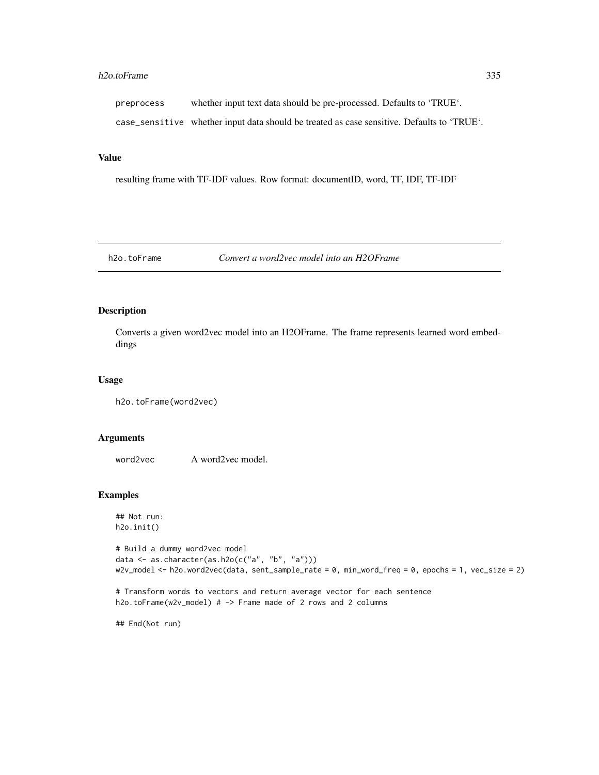#### h2o.toFrame 335

preprocess whether input text data should be pre-processed. Defaults to 'TRUE'.

case\_sensitive whether input data should be treated as case sensitive. Defaults to 'TRUE'.

#### Value

resulting frame with TF-IDF values. Row format: documentID, word, TF, IDF, TF-IDF

h2o.toFrame *Convert a word2vec model into an H2OFrame*

#### Description

Converts a given word2vec model into an H2OFrame. The frame represents learned word embeddings

#### Usage

h2o.toFrame(word2vec)

#### Arguments

word2vec A word2vec model.

### Examples

## Not run: h2o.init()

```
# Build a dummy word2vec model
data <- as.character(as.h2o(c("a", "b", "a")))
w2v_model <- h2o.word2vec(data, sent_sample_rate = 0, min_word_freq = 0, epochs = 1, vec_size = 2)
```

```
# Transform words to vectors and return average vector for each sentence
h2o.toFrame(w2v_model) # -> Frame made of 2 rows and 2 columns
```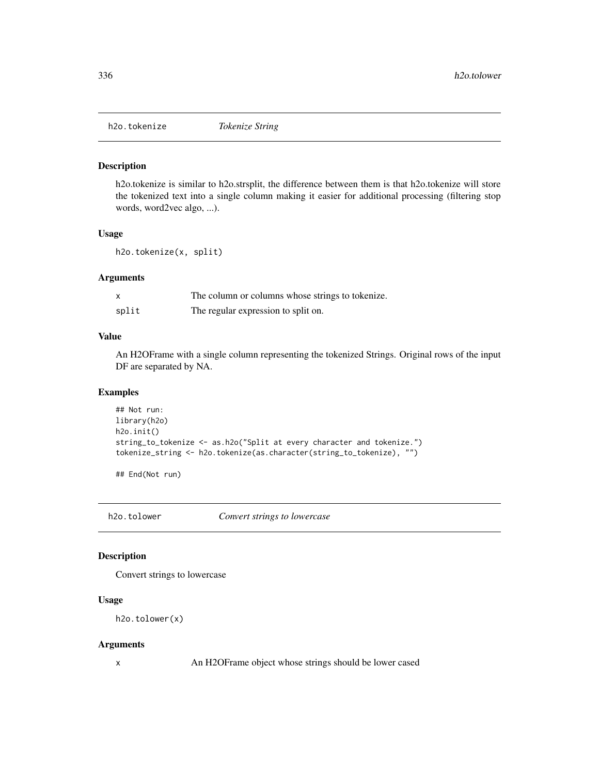h2o.tokenize is similar to h2o.strsplit, the difference between them is that h2o.tokenize will store the tokenized text into a single column making it easier for additional processing (filtering stop words, word2vec algo, ...).

### Usage

h2o.tokenize(x, split)

#### Arguments

|       | The column or columns whose strings to tokenize. |
|-------|--------------------------------------------------|
| split | The regular expression to split on.              |

### Value

An H2OFrame with a single column representing the tokenized Strings. Original rows of the input DF are separated by NA.

### Examples

```
## Not run:
library(h2o)
h2o.init()
string_to_tokenize <- as.h2o("Split at every character and tokenize.")
tokenize_string <- h2o.tokenize(as.character(string_to_tokenize), "")
```
## End(Not run)

h2o.tolower *Convert strings to lowercase*

### Description

Convert strings to lowercase

### Usage

h2o.tolower(x)

#### Arguments

x An H2OFrame object whose strings should be lower cased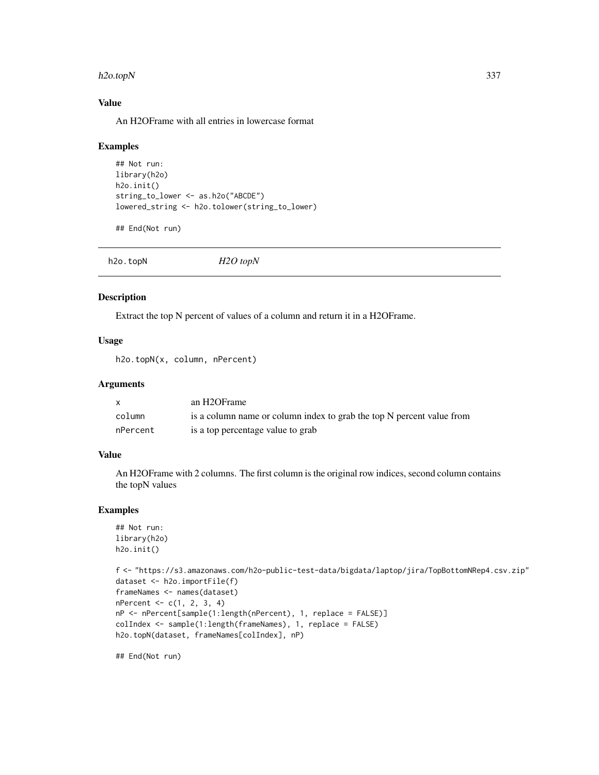#### h2o.topN 337

### Value

An H2OFrame with all entries in lowercase format

#### Examples

```
## Not run:
library(h2o)
h2o.init()
string_to_lower <- as.h2o("ABCDE")
lowered_string <- h2o.tolower(string_to_lower)
```
## End(Not run)

|--|--|--|

# Description

Extract the top N percent of values of a column and return it in a H2OFrame.

#### Usage

h2o.topN(x, column, nPercent)

#### Arguments

|          | an H2OFrame                                                           |
|----------|-----------------------------------------------------------------------|
| column   | is a column name or column index to grab the top N percent value from |
| nPercent | is a top percentage value to grab                                     |

#### Value

An H2OFrame with 2 columns. The first column is the original row indices, second column contains the topN values

#### Examples

```
## Not run:
library(h2o)
h2o.init()
```

```
f <- "https://s3.amazonaws.com/h2o-public-test-data/bigdata/laptop/jira/TopBottomNRep4.csv.zip"
dataset <- h2o.importFile(f)
frameNames <- names(dataset)
nPercent <- c(1, 2, 3, 4)
nP <- nPercent[sample(1:length(nPercent), 1, replace = FALSE)]
colIndex <- sample(1:length(frameNames), 1, replace = FALSE)
h2o.topN(dataset, frameNames[colIndex], nP)
```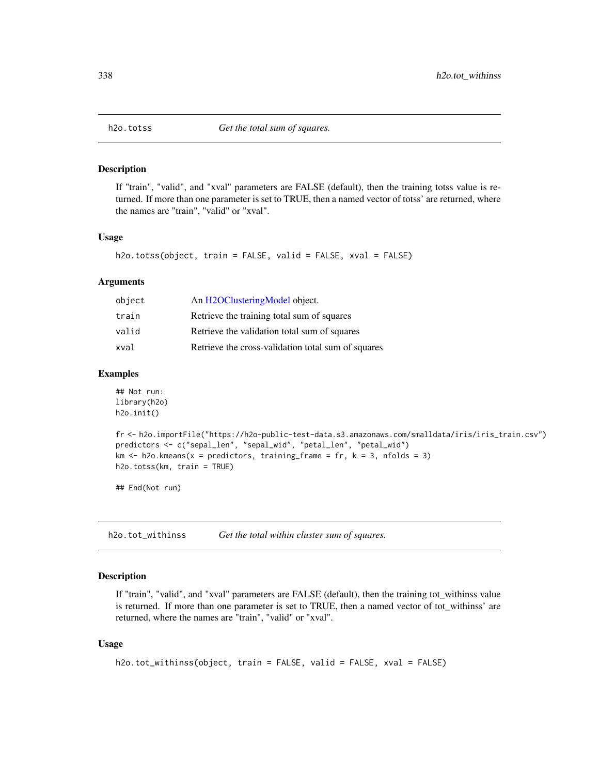If "train", "valid", and "xval" parameters are FALSE (default), then the training totss value is returned. If more than one parameter is set to TRUE, then a named vector of totss' are returned, where the names are "train", "valid" or "xval".

### Usage

h2o.totss(object, train = FALSE, valid = FALSE, xval = FALSE)

#### Arguments

| An H2OClusteringModel object.                      |
|----------------------------------------------------|
| Retrieve the training total sum of squares         |
| Retrieve the validation total sum of squares       |
| Retrieve the cross-validation total sum of squares |
|                                                    |

#### Examples

```
## Not run:
library(h2o)
h2o.init()
```

```
fr <- h2o.importFile("https://h2o-public-test-data.s3.amazonaws.com/smalldata/iris/iris_train.csv")
predictors <- c("sepal_len", "sepal_wid", "petal_len", "petal_wid")
km \leq -h2o.kmeans(x = predictors, training-frame = fr, k = 3, n folds = 3)h2o.totss(km, train = TRUE)
```
## End(Not run)

h2o.tot\_withinss *Get the total within cluster sum of squares.*

#### Description

If "train", "valid", and "xval" parameters are FALSE (default), then the training tot\_withinss value is returned. If more than one parameter is set to TRUE, then a named vector of tot\_withinss' are returned, where the names are "train", "valid" or "xval".

```
h2o.tot_withinss(object, train = FALSE, valid = FALSE, xval = FALSE)
```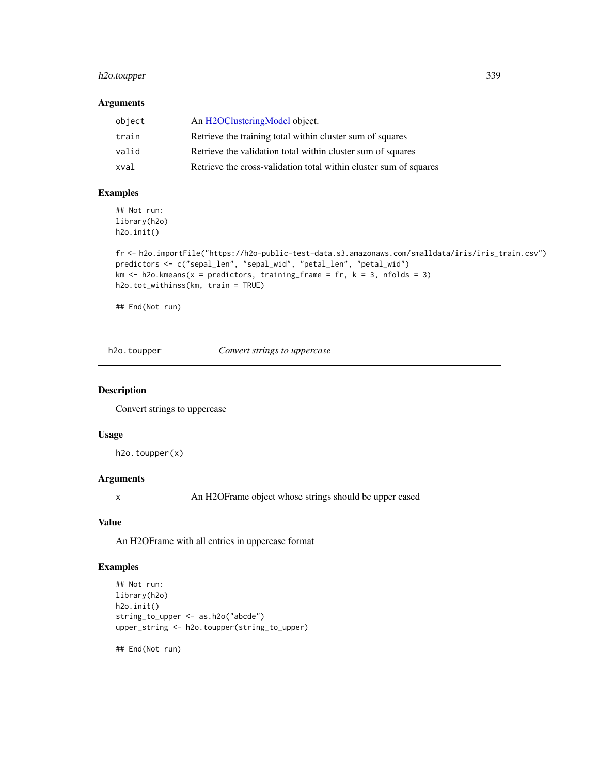### h2o.toupper 339

### Arguments

| object | An H2OClusteringModel object.                                     |
|--------|-------------------------------------------------------------------|
| train  | Retrieve the training total within cluster sum of squares         |
| valid  | Retrieve the validation total within cluster sum of squares       |
| xval   | Retrieve the cross-validation total within cluster sum of squares |

## Examples

## Not run: library(h2o) h2o.init()

```
fr <- h2o.importFile("https://h2o-public-test-data.s3.amazonaws.com/smalldata/iris/iris_train.csv")
predictors <- c("sepal_len", "sepal_wid", "petal_len", "petal_wid")
km \leq -h2o.kmeans(x = predictors, training_frame = fr, k = 3, nfolds = 3)
h2o.tot_withinss(km, train = TRUE)
```
## End(Not run)

h2o.toupper *Convert strings to uppercase*

#### Description

Convert strings to uppercase

#### Usage

h2o.toupper(x)

# Arguments

x An H2OFrame object whose strings should be upper cased

# Value

An H2OFrame with all entries in uppercase format

### Examples

```
## Not run:
library(h2o)
h2o.init()
string_to_upper <- as.h2o("abcde")
upper_string <- h2o.toupper(string_to_upper)
```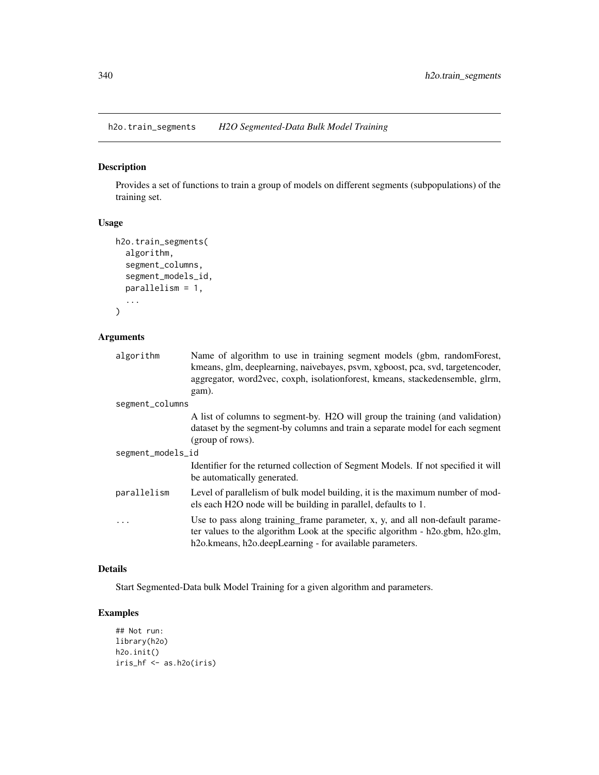h2o.train\_segments *H2O Segmented-Data Bulk Model Training*

# Description

Provides a set of functions to train a group of models on different segments (subpopulations) of the training set.

### Usage

```
h2o.train_segments(
  algorithm,
  segment_columns,
  segment_models_id,
 parallelism = 1,
  ...
)
```
### Arguments

| algorithm         | Name of algorithm to use in training segment models (gbm, randomForest,<br>kmeans, glm, deeplearning, naivebayes, psvm, xgboost, pca, svd, targetencoder,<br>aggregator, word2vec, coxph, isolationforest, kmeans, stackedensemble, glrm,<br>gam).    |  |
|-------------------|-------------------------------------------------------------------------------------------------------------------------------------------------------------------------------------------------------------------------------------------------------|--|
| segment_columns   |                                                                                                                                                                                                                                                       |  |
|                   | A list of columns to segment-by. H2O will group the training (and validation)<br>dataset by the segment-by columns and train a separate model for each segment<br>(group of rows).                                                                    |  |
| segment_models_id |                                                                                                                                                                                                                                                       |  |
|                   | Identifier for the returned collection of Segment Models. If not specified it will<br>be automatically generated.                                                                                                                                     |  |
| parallelism       | Level of parallelism of bulk model building, it is the maximum number of mod-<br>els each H2O node will be building in parallel, defaults to 1.                                                                                                       |  |
|                   | Use to pass along training frame parameter, x, y, and all non-default parame-<br>ter values to the algorithm Look at the specific algorithm - h2o.gbm, h2o.glm,<br>h <sub>2</sub> o.kmeans, h <sub>2</sub> o.deepLearning - for available parameters. |  |

### Details

Start Segmented-Data bulk Model Training for a given algorithm and parameters.

# Examples

```
## Not run:
library(h2o)
h2o.init()
iris_hf <- as.h2o(iris)
```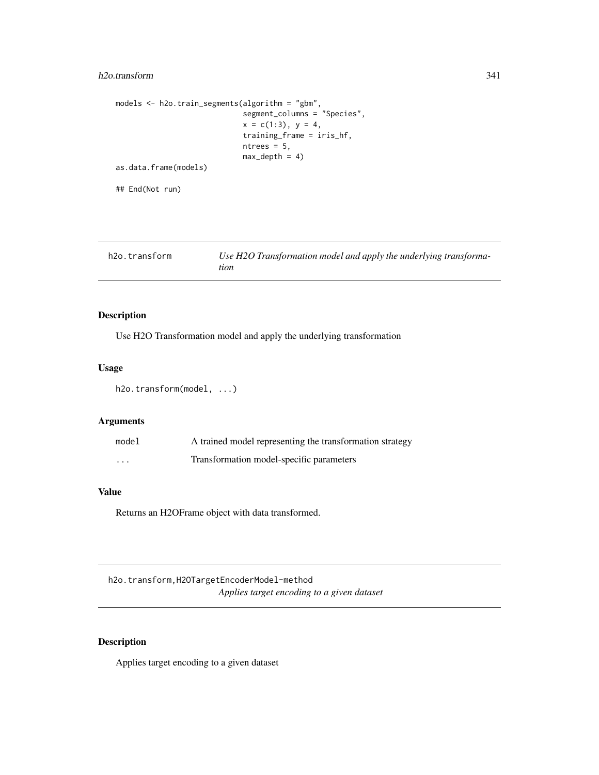### h2o.transform 341

```
models <- h2o.train_segments(algorithm = "gbm",
                             segment_columns = "Species",
                             x = c(1:3), y = 4,training_frame = iris_hf,
                             ntrees = 5,
                             max\_depth = 4)
as.data.frame(models)
```
## End(Not run)

| Use H2O Transformation model and apply the underlying transforma-<br>h2o.transform<br>tion |  |
|--------------------------------------------------------------------------------------------|--|
|--------------------------------------------------------------------------------------------|--|

### Description

Use H2O Transformation model and apply the underlying transformation

### Usage

h2o.transform(model, ...)

### Arguments

| model    | A trained model representing the transformation strategy |
|----------|----------------------------------------------------------|
| $\cdots$ | Transformation model-specific parameters                 |

# Value

Returns an H2OFrame object with data transformed.

h2o.transform,H2OTargetEncoderModel-method *Applies target encoding to a given dataset*

# Description

Applies target encoding to a given dataset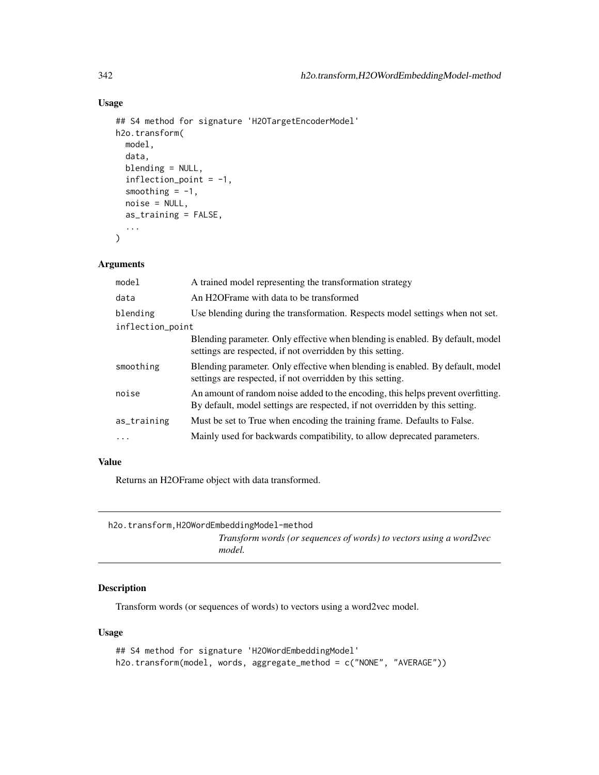# Usage

```
## S4 method for signature 'H2OTargetEncoderModel'
h2o.transform(
 model,
  data,
 blending = NULL,
  inflection\_point = -1,smoothing = -1,
  noise = NULL,
  as_training = FALSE,
  ...
)
```
### Arguments

| model            | A trained model representing the transformation strategy                                                                                                         |
|------------------|------------------------------------------------------------------------------------------------------------------------------------------------------------------|
| data             | An H2OFrame with data to be transformed                                                                                                                          |
| blending         | Use blending during the transformation. Respects model settings when not set.                                                                                    |
| inflection_point |                                                                                                                                                                  |
|                  | Blending parameter. Only effective when blending is enabled. By default, model<br>settings are respected, if not overridden by this setting.                     |
| smoothing        | Blending parameter. Only effective when blending is enabled. By default, model<br>settings are respected, if not overridden by this setting.                     |
| noise            | An amount of random noise added to the encoding, this helps prevent overfitting.<br>By default, model settings are respected, if not overridden by this setting. |
| as_training      | Must be set to True when encoding the training frame. Defaults to False.                                                                                         |
|                  | Mainly used for backwards compatibility, to allow deprecated parameters.                                                                                         |
|                  |                                                                                                                                                                  |

### Value

Returns an H2OFrame object with data transformed.

| h2o.transform.H2OWordEmbeddingModel-method |                                                                               |
|--------------------------------------------|-------------------------------------------------------------------------------|
|                                            | Transform words (or sequences of words) to vectors using a word2vec<br>model. |

# Description

Transform words (or sequences of words) to vectors using a word2vec model.

```
## S4 method for signature 'H2OWordEmbeddingModel'
h2o.transform(model, words, aggregate_method = c("NONE", "AVERAGE"))
```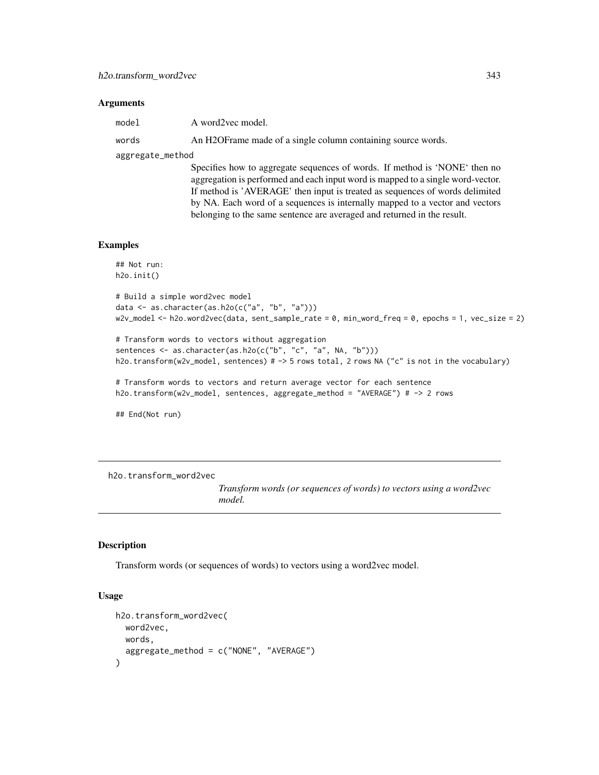| model |  | A word2vec model.                                             |
|-------|--|---------------------------------------------------------------|
| words |  | An H2OF rame made of a single column containing source words. |
|       |  |                                                               |

aggregate\_method

Specifies how to aggregate sequences of words. If method is 'NONE' then no aggregation is performed and each input word is mapped to a single word-vector. If method is 'AVERAGE' then input is treated as sequences of words delimited by NA. Each word of a sequences is internally mapped to a vector and vectors belonging to the same sentence are averaged and returned in the result.

#### Examples

```
## Not run:
h2o.init()
```

```
# Build a simple word2vec model
data <- as.character(as.h2o(c("a", "b", "a")))
w2v_model <- h2o.word2vec(data, sent_sample_rate = 0, min_word_freq = 0, epochs = 1, vec_size = 2)
```

```
# Transform words to vectors without aggregation
sentences <- as.character(as.h2o(c("b", "c", "a", NA, "b")))
h2o.transform(w2v_model, sentences) # -> 5 rows total, 2 rows NA ("c" is not in the vocabulary)
```

```
# Transform words to vectors and return average vector for each sentence
h2o.transform(w2v_model, sentences, aggregate_method = "AVERAGE") # -> 2 rows
```
## End(Not run)

h2o.transform\_word2vec

*Transform words (or sequences of words) to vectors using a word2vec model.*

#### Description

Transform words (or sequences of words) to vectors using a word2vec model.

```
h2o.transform_word2vec(
 word2vec,
 words,
  aggregate_method = c("NONE", "AVERAGE")
)
```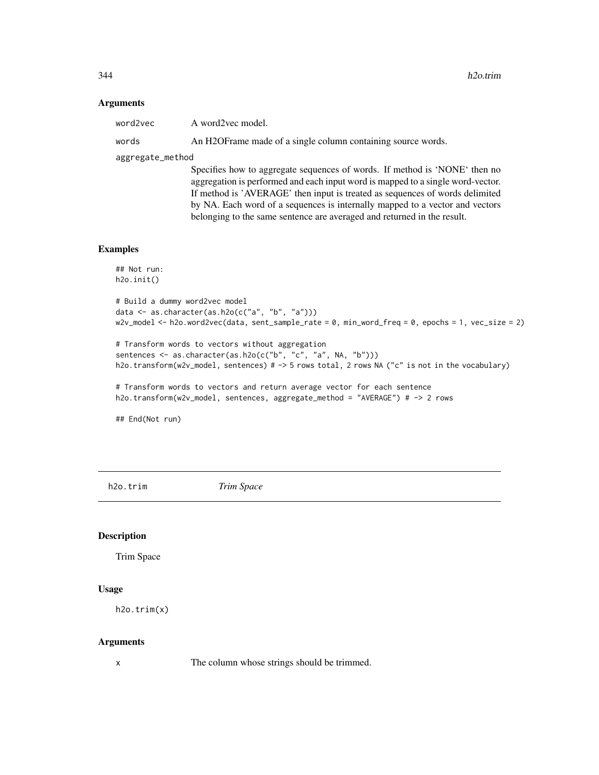| word2vec         | A word2vec model.                                                         |
|------------------|---------------------------------------------------------------------------|
| words            | An H2OF rame made of a single column containing source words.             |
| aggregate_method |                                                                           |
|                  | Specifies how to aggregate sequences of words. If method is 'NONE' then r |

Specifies how to aggregate sequences of words. If method is 'NONE' then no aggregation is performed and each input word is mapped to a single word-vector. If method is 'AVERAGE' then input is treated as sequences of words delimited by NA. Each word of a sequences is internally mapped to a vector and vectors belonging to the same sentence are averaged and returned in the result.

### Examples

```
## Not run:
h2o.init()
```

```
# Build a dummy word2vec model
data <- as.character(as.h2o(c("a", "b", "a")))
w2v_model <- h2o.word2vec(data, sent_sample_rate = 0, min_word_freq = 0, epochs = 1, vec_size = 2)
```

```
# Transform words to vectors without aggregation
sentences <- as.character(as.h2o(c("b", "c", "a", NA, "b")))
h2o.transform(w2v_model, sentences) # -> 5 rows total, 2 rows NA ("c" is not in the vocabulary)
```

```
# Transform words to vectors and return average vector for each sentence
h2o.transform(w2v_model, sentences, aggregate_method = "AVERAGE") # -> 2 rows
```
## End(Not run)

h2o.trim *Trim Space*

#### Description

Trim Space

#### Usage

```
h2o.trim(x)
```
#### Arguments

x The column whose strings should be trimmed.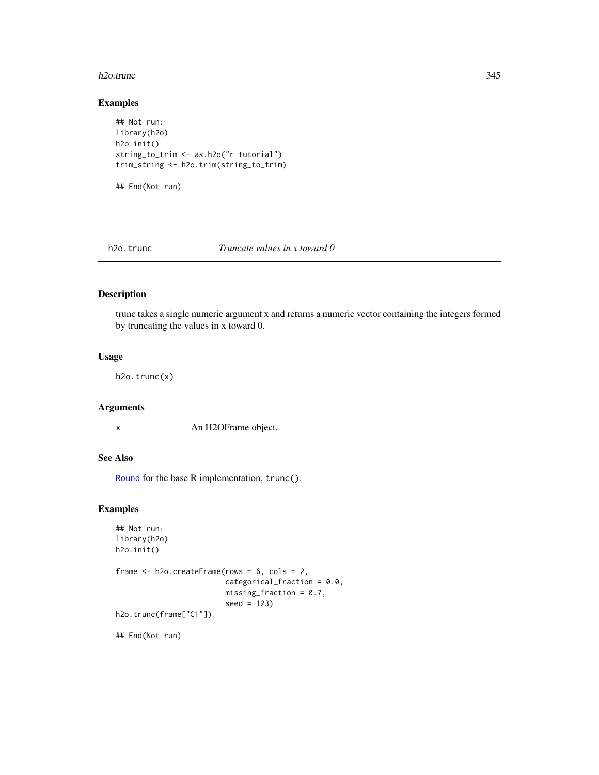#### h2o.trunc 345

### Examples

```
## Not run:
library(h2o)
h2o.init()
string_to_trim <- as.h2o("r tutorial")
trim_string <- h2o.trim(string_to_trim)
```
## End(Not run)

h2o.trunc *Truncate values in x toward 0*

### Description

trunc takes a single numeric argument x and returns a numeric vector containing the integers formed by truncating the values in x toward 0.

### Usage

h2o.trunc(x)

#### Arguments

x An H2OFrame object.

# See Also

[Round](#page-0-0) for the base R implementation, trunc().

#### Examples

```
## Not run:
library(h2o)
h2o.init()
frame <- h2o.createFrame(rows = 6, cols = 2,
                         categorical_fraction = 0.0,
                         missing\_fraction = 0.7,
                         seed = 123)
h2o.trunc(frame["C1"])
## End(Not run)
```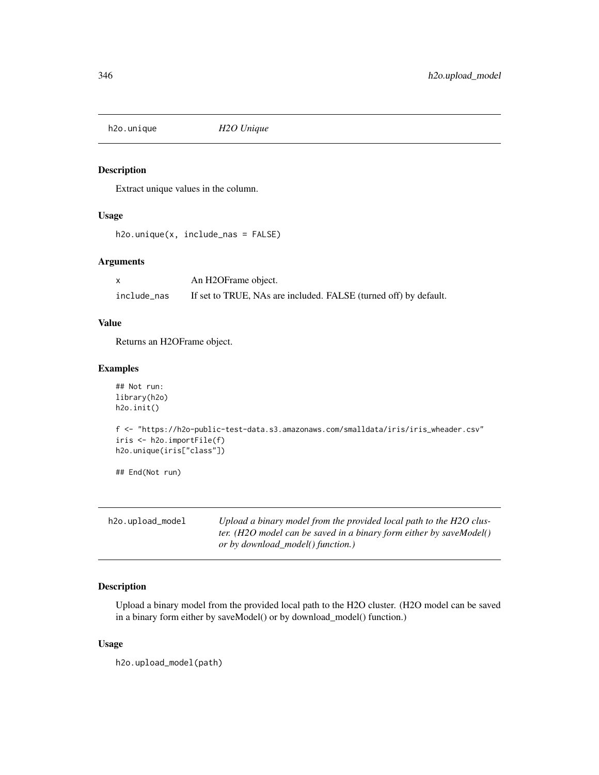h2o.unique *H2O Unique*

#### Description

Extract unique values in the column.

# Usage

h2o.unique(x, include\_nas = FALSE)

### Arguments

|             | An H2OFrame object.                                              |
|-------------|------------------------------------------------------------------|
| include nas | If set to TRUE, NAs are included. FALSE (turned off) by default. |

### Value

Returns an H2OFrame object.

### Examples

```
## Not run:
library(h2o)
h2o.init()
f <- "https://h2o-public-test-data.s3.amazonaws.com/smalldata/iris/iris_wheader.csv"
iris <- h2o.importFile(f)
h2o.unique(iris["class"])
## End(Not run)
```

| h2o.upload_model | Upload a binary model from the provided local path to the H2O clus- |
|------------------|---------------------------------------------------------------------|
|                  | ter. (H2O model can be saved in a binary form either by saveModel() |
|                  | or by download model() function.)                                   |

# Description

Upload a binary model from the provided local path to the H2O cluster. (H2O model can be saved in a binary form either by saveModel() or by download\_model() function.)

# Usage

h2o.upload\_model(path)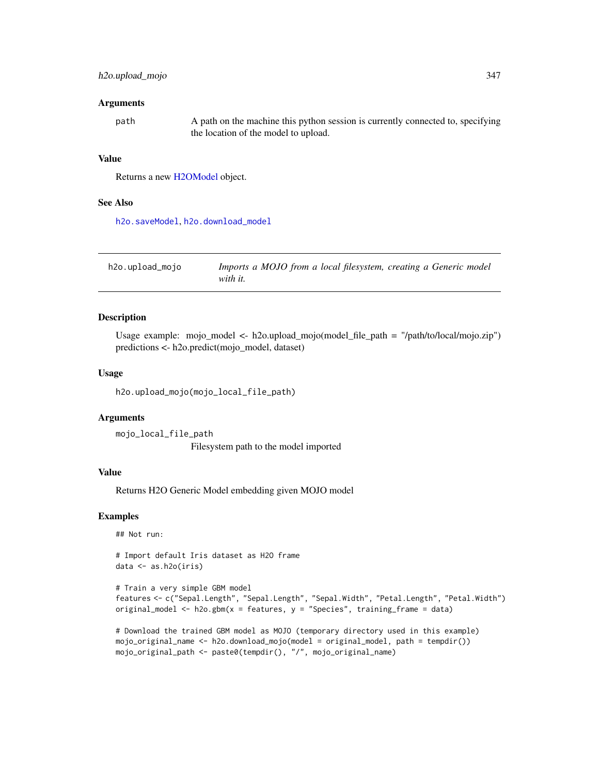### h2o.upload\_mojo 347

#### **Arguments**

| path | A path on the machine this python session is currently connected to, specifying |
|------|---------------------------------------------------------------------------------|
|      | the location of the model to upload.                                            |

### Value

Returns a new [H2OModel](#page-370-1) object.

#### See Also

[h2o.saveModel](#page-293-0), [h2o.download\\_model](#page-113-0)

| h2o.upload_mojo | Imports a MOJO from a local filesystem, creating a Generic model |
|-----------------|------------------------------------------------------------------|
|                 | with it.                                                         |

### Description

Usage example: mojo\_model <- h2o.upload\_mojo(model\_file\_path = "/path/to/local/mojo.zip") predictions <- h2o.predict(mojo\_model, dataset)

#### Usage

h2o.upload\_mojo(mojo\_local\_file\_path)

#### Arguments

mojo\_local\_file\_path Filesystem path to the model imported

#### Value

Returns H2O Generic Model embedding given MOJO model

### Examples

## Not run:

# Import default Iris dataset as H2O frame data <- as.h2o(iris)

```
# Train a very simple GBM model
features <- c("Sepal.Length", "Sepal.Length", "Sepal.Width", "Petal.Length", "Petal.Width")
original_model <- h2o.gbm(x = features, y = "Species", training_frame = data)
```

```
# Download the trained GBM model as MOJO (temporary directory used in this example)
mojo_original_name <- h2o.download_mojo(model = original_model, path = tempdir())
mojo_original_path <- paste0(tempdir(), "/", mojo_original_name)
```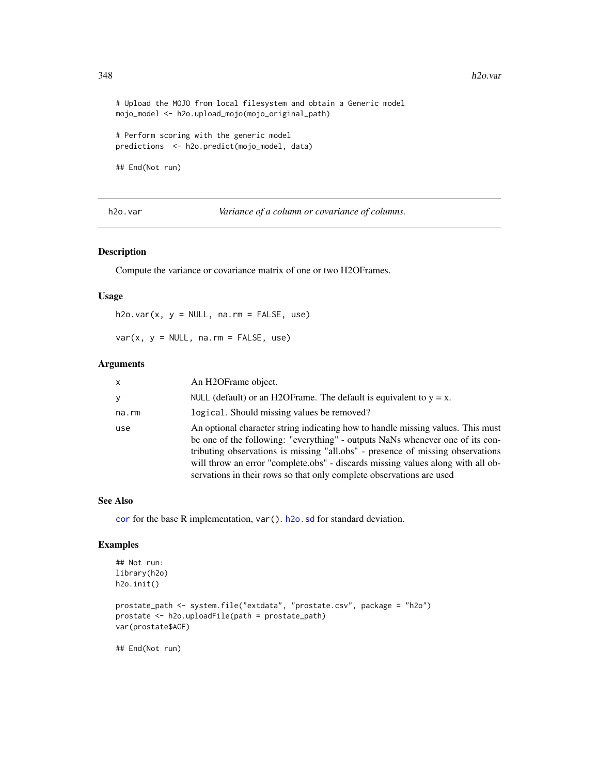```
# Upload the MOJO from local filesystem and obtain a Generic model
mojo_model <- h2o.upload_mojo(mojo_original_path)
```
# Perform scoring with the generic model predictions <- h2o.predict(mojo\_model, data)

## End(Not run)

h2o.var *Variance of a column or covariance of columns.*

### Description

Compute the variance or covariance matrix of one or two H2OFrames.

#### Usage

 $h2o.var(x, y = NULL, na.rm = FALSE, use)$ 

 $var(x, y = NULL, na.rm = FALSE, use)$ 

#### Arguments

| $\mathsf{x}$ | An H <sub>2</sub> OFrame object.                                                                                                                                                                                                                                                                                                                                                                              |
|--------------|---------------------------------------------------------------------------------------------------------------------------------------------------------------------------------------------------------------------------------------------------------------------------------------------------------------------------------------------------------------------------------------------------------------|
| У            | NULL (default) or an H2OF rame. The default is equivalent to $y = x$ .                                                                                                                                                                                                                                                                                                                                        |
| na.rm        | logical. Should missing values be removed?                                                                                                                                                                                                                                                                                                                                                                    |
| use          | An optional character string indicating how to handle missing values. This must<br>be one of the following: "everything" - outputs NaNs whenever one of its con-<br>tributing observations is missing "all.obs" - presence of missing observations<br>will throw an error "complete.obs" - discards missing values along with all ob-<br>servations in their rows so that only complete observations are used |

### See Also

[cor](#page-82-0) for the base R implementation, var(). [h2o.sd](#page-300-0) for standard deviation.

### Examples

```
## Not run:
library(h2o)
h2o.init()
prostate_path <- system.file("extdata", "prostate.csv", package = "h2o")
prostate <- h2o.uploadFile(path = prostate_path)
var(prostate$AGE)
```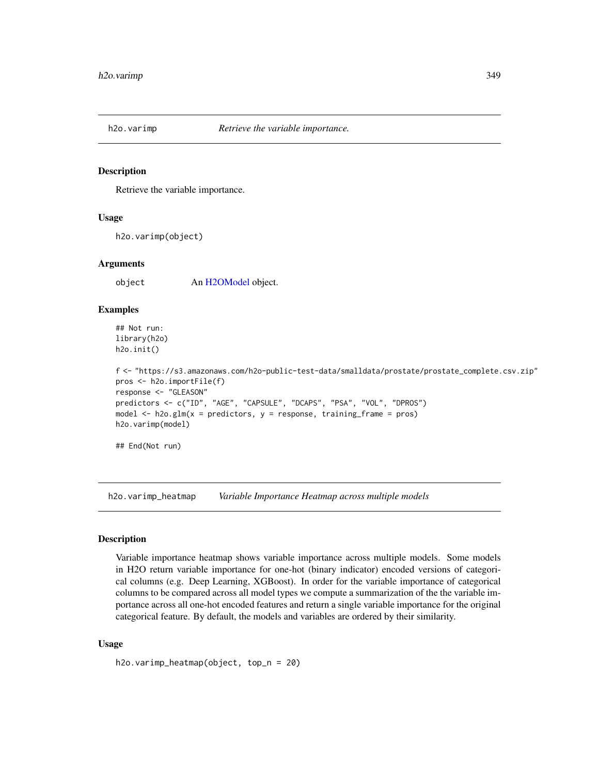Retrieve the variable importance.

#### Usage

h2o.varimp(object)

### Arguments

object An [H2OModel](#page-370-1) object.

### Examples

## Not run: library(h2o) h2o.init()

```
f <- "https://s3.amazonaws.com/h2o-public-test-data/smalldata/prostate/prostate_complete.csv.zip"
pros <- h2o.importFile(f)
response <- "GLEASON"
predictors <- c("ID", "AGE", "CAPSULE", "DCAPS", "PSA", "VOL", "DPROS")
model \leq h2o.glm(x = predictors, y = response, training_frame = pros)
h2o.varimp(model)
```
## End(Not run)

h2o.varimp\_heatmap *Variable Importance Heatmap across multiple models*

#### Description

Variable importance heatmap shows variable importance across multiple models. Some models in H2O return variable importance for one-hot (binary indicator) encoded versions of categorical columns (e.g. Deep Learning, XGBoost). In order for the variable importance of categorical columns to be compared across all model types we compute a summarization of the the variable importance across all one-hot encoded features and return a single variable importance for the original categorical feature. By default, the models and variables are ordered by their similarity.

```
h2o.varimp_heatmap(object, top_n = 20)
```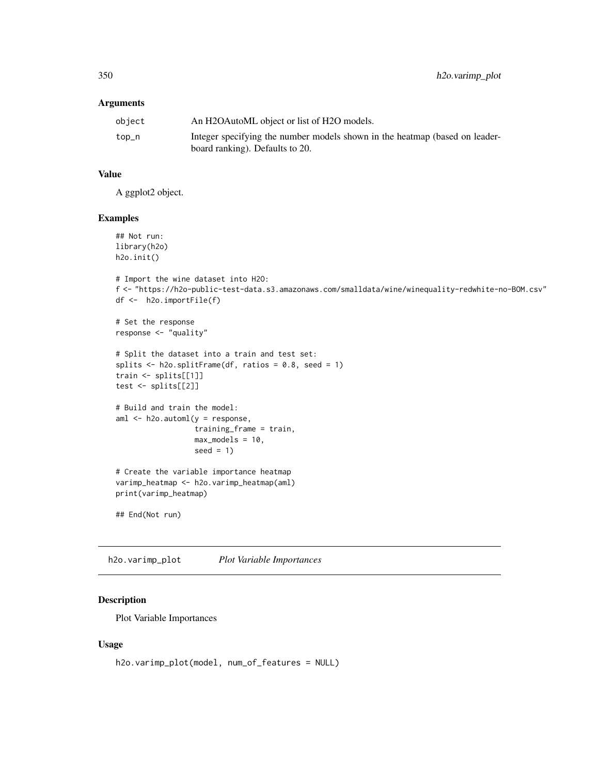| object | An H2OAutoML object or list of H2O models.                                  |
|--------|-----------------------------------------------------------------------------|
| top_n  | Integer specifying the number models shown in the heatmap (based on leader- |
|        | board ranking). Defaults to 20.                                             |

### Value

A ggplot2 object.

#### Examples

```
## Not run:
library(h2o)
h2o.init()
```

```
# Import the wine dataset into H2O:
f <- "https://h2o-public-test-data.s3.amazonaws.com/smalldata/wine/winequality-redwhite-no-BOM.csv"
df <- h2o.importFile(f)
```

```
# Set the response
response <- "quality"
```

```
# Split the dataset into a train and test set:
splits <- h2o.splitFrame(df, ratios = 0.8, seed = 1)
train <- splits[[1]]
test <- splits[[2]]
```

```
# Build and train the model:
aml <- h2o.automl(y = response,
                 training_frame = train,
                 max_models = 10,seed = 1
```

```
# Create the variable importance heatmap
varimp_heatmap <- h2o.varimp_heatmap(aml)
print(varimp_heatmap)
```

```
## End(Not run)
```
h2o.varimp\_plot *Plot Variable Importances*

# Description

Plot Variable Importances

```
h2o.varimp_plot(model, num_of_features = NULL)
```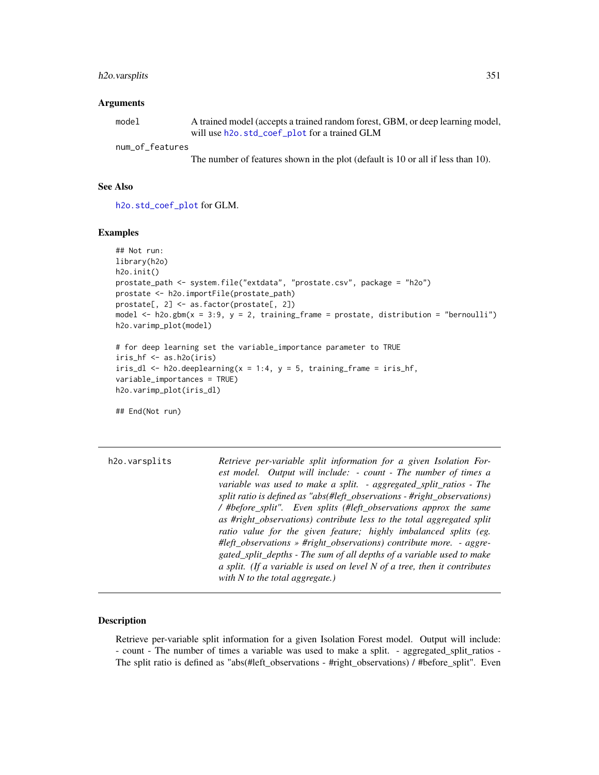### h2o.varsplits 351

#### **Arguments**

| model           | A trained model (accepts a trained random forest, GBM, or deep learning model, |
|-----------------|--------------------------------------------------------------------------------|
|                 | will use h2o. std_coef_plot for a trained GLM                                  |
| num_of_features |                                                                                |

The number of features shown in the plot (default is 10 or all if less than 10).

#### See Also

[h2o.std\\_coef\\_plot](#page-316-0) for GLM.

#### Examples

```
## Not run:
library(h2o)
h2o.init()
prostate_path <- system.file("extdata", "prostate.csv", package = "h2o")
prostate <- h2o.importFile(prostate_path)
prostate[, 2] <- as.factor(prostate[, 2])
model \leq h2o.gbm(x = 3:9, y = 2, training_frame = prostate, distribution = "bernoulli")
h2o.varimp_plot(model)
# for deep learning set the variable_importance parameter to TRUE
iris_hf <- as.h2o(iris)
iris_dl <- h2o.deeplearning(x = 1:4, y = 5, training_frame = iris_hf,
variable_importances = TRUE)
h2o.varimp_plot(iris_dl)
## End(Not run)
```

| h <sub>2</sub> o.varsplits | Retrieve per-variable split information for a given Isolation For-<br>est model. Output will include: - count - The number of times a          |
|----------------------------|------------------------------------------------------------------------------------------------------------------------------------------------|
|                            | variable was used to make a split. - aggregated_split_ratios - The<br>split ratio is defined as "abs(#left_observations - #right_observations) |
|                            | / #before_split". Even splits (#left_observations approx the same                                                                              |
|                            | as #right_observations) contribute less to the total aggregated split                                                                          |
|                            | ratio value for the given feature; highly imbalanced splits (eg.                                                                               |
|                            | #left_observations » #right_observations) contribute more. - aggre-<br>gated_split_depths - The sum of all depths of a variable used to make   |
|                            | a split. (If a variable is used on level $N$ of a tree, then it contributes                                                                    |
|                            | with N to the total aggregate.)                                                                                                                |

# Description

Retrieve per-variable split information for a given Isolation Forest model. Output will include: - count - The number of times a variable was used to make a split. - aggregated\_split\_ratios - The split ratio is defined as "abs(#left\_observations - #right\_observations) / #before\_split". Even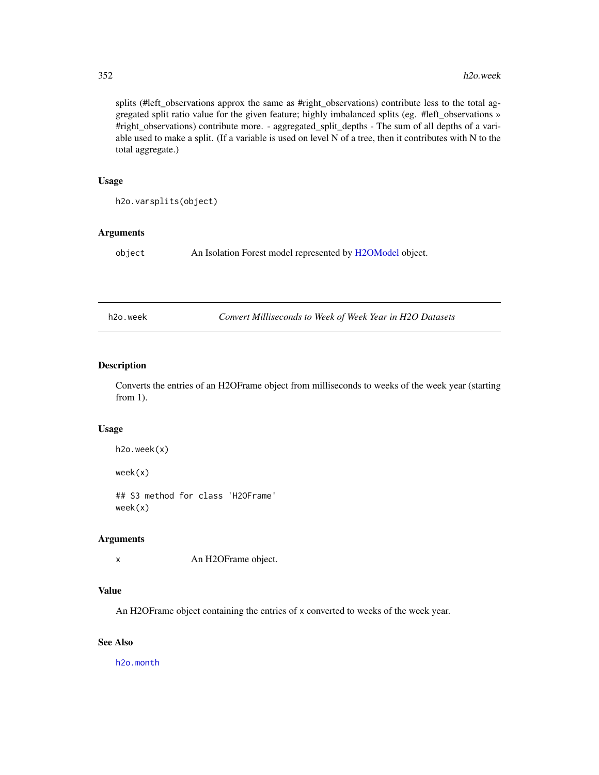splits (#left\_observations approx the same as #right\_observations) contribute less to the total aggregated split ratio value for the given feature; highly imbalanced splits (eg. #left\_observations » #right\_observations) contribute more. - aggregated\_split\_depths - The sum of all depths of a variable used to make a split. (If a variable is used on level N of a tree, then it contributes with N to the total aggregate.)

#### Usage

```
h2o.varsplits(object)
```
#### Arguments

object An Isolation Forest model represented by [H2OModel](#page-370-1) object.

h2o.week *Convert Milliseconds to Week of Week Year in H2O Datasets*

### Description

Converts the entries of an H2OFrame object from milliseconds to weeks of the week year (starting from 1).

#### Usage

```
h2o.week(x)
```
week(x)

## S3 method for class 'H2OFrame' week(x)

#### Arguments

x An H2OFrame object.

#### Value

An H2OFrame object containing the entries of x converted to weeks of the week year.

# See Also

[h2o.month](#page-232-0)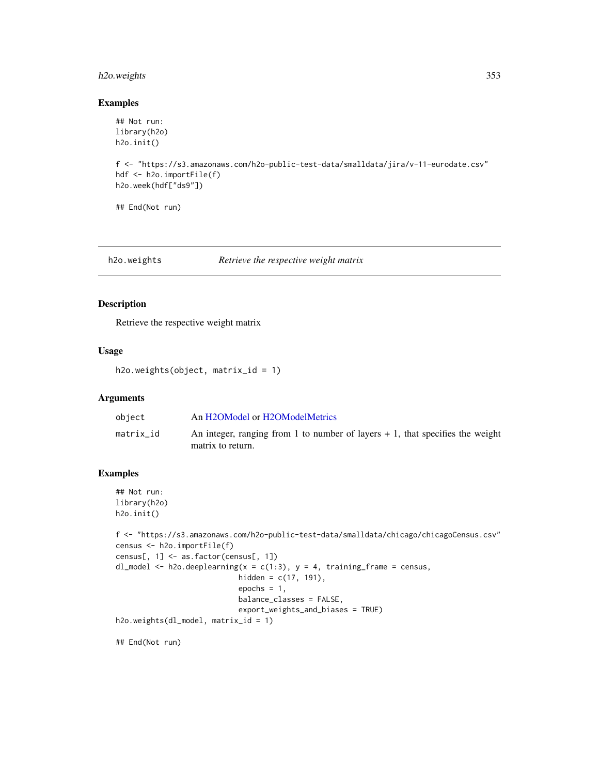### h2o.weights 353

### Examples

```
## Not run:
library(h2o)
h2o.init()
f <- "https://s3.amazonaws.com/h2o-public-test-data/smalldata/jira/v-11-eurodate.csv"
hdf <- h2o.importFile(f)
h2o.week(hdf["ds9"])
## End(Not run)
```
h2o.weights *Retrieve the respective weight matrix*

### Description

Retrieve the respective weight matrix

#### Usage

```
h2o.weights(object, matrix_id = 1)
```
### Arguments

| object    | An H2OModel or H2OModelMetrics                                                                       |
|-----------|------------------------------------------------------------------------------------------------------|
| matrix id | An integer, ranging from 1 to number of layers $+1$ , that specifies the weight<br>matrix to return. |

### Examples

```
## Not run:
library(h2o)
h2o.init()
```

```
f <- "https://s3.amazonaws.com/h2o-public-test-data/smalldata/chicago/chicagoCensus.csv"
census <- h2o.importFile(f)
census[, 1] <- as.factor(census[, 1])
dl_model <- h2o.deeplearning(x = c(1:3), y = 4, training_frame = census,
                            hidden = c(17, 191),
                            epochs = 1,
                            balance_classes = FALSE,
                            export_weights_and_biases = TRUE)
h2o.weights(dl_model, matrix_id = 1)
```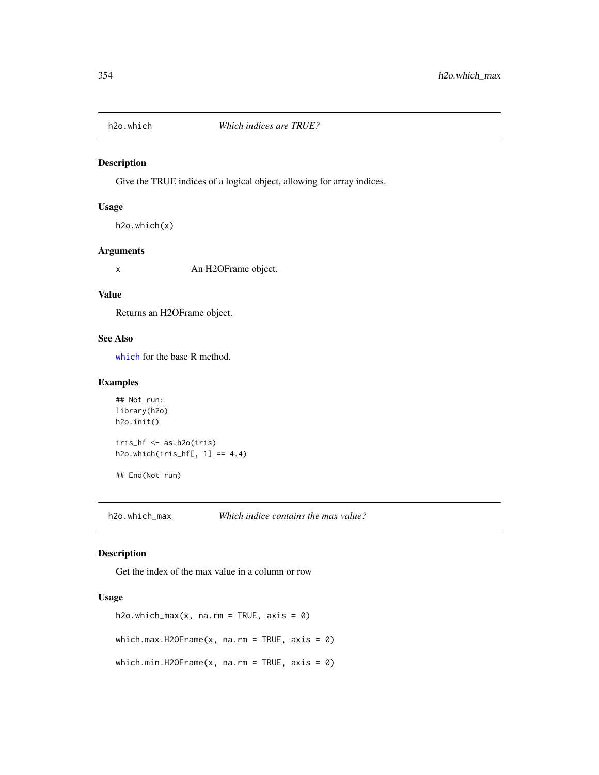Give the TRUE indices of a logical object, allowing for array indices.

#### Usage

```
h2o.which(x)
```
#### Arguments

x An H2OFrame object.

#### Value

Returns an H2OFrame object.

### See Also

[which](#page-0-0) for the base R method.

### Examples

```
## Not run:
library(h2o)
h2o.init()
iris_hf <- as.h2o(iris)
h2o.which(iris_hf[, 1] == 4.4)
## End(Not run)
```
h2o.which\_max *Which indice contains the max value?*

### Description

Get the index of the max value in a column or row

```
h2o.which_max(x, na.rm = TRUE, axis = \theta)
which.max.H2OFrame(x, na.rm = TRUE, axis = \emptyset)
which.min.H2OFrame(x, na.rm = TRUE, axis = \theta)
```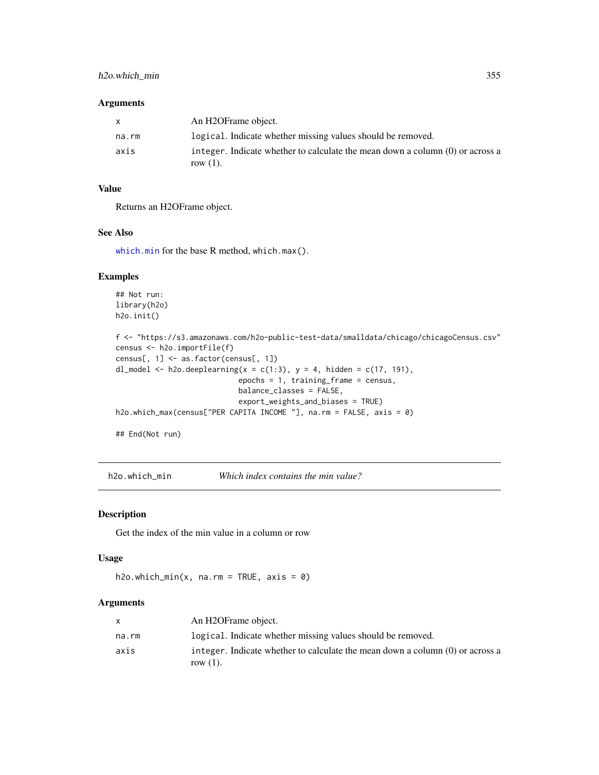| X     | An H2OFrame object.                                                                          |
|-------|----------------------------------------------------------------------------------------------|
| na.rm | logical. Indicate whether missing values should be removed.                                  |
| axis  | integer. Indicate whether to calculate the mean down a column (0) or across a<br>row $(1)$ . |

# Value

Returns an H2OFrame object.

### See Also

[which.min](#page-0-0) for the base R method, which.max().

### Examples

```
## Not run:
library(h2o)
h2o.init()
f <- "https://s3.amazonaws.com/h2o-public-test-data/smalldata/chicago/chicagoCensus.csv"
census <- h2o.importFile(f)
census[, 1] <- as.factor(census[, 1])
dl_model <- h2o.deeplearning(x = c(1:3), y = 4, hidden = c(17, 191),
                            epochs = 1, training_frame = census,
                            balance_classes = FALSE,
                            export_weights_and_biases = TRUE)
h2o.which_max(census["PER CAPITA INCOME "], na.rm = FALSE, axis = 0)
## End(Not run)
```
h2o.which\_min *Which index contains the min value?*

#### Description

Get the index of the min value in a column or row

#### Usage

```
h2o.which_min(x, na.rm = TRUE, axis = 0)
```
### Arguments

|       | An H2OFrame object.                                                             |
|-------|---------------------------------------------------------------------------------|
| na.rm | logical. Indicate whether missing values should be removed.                     |
| axis  | integer. Indicate whether to calculate the mean down a column $(0)$ or across a |
|       | row $(1)$ .                                                                     |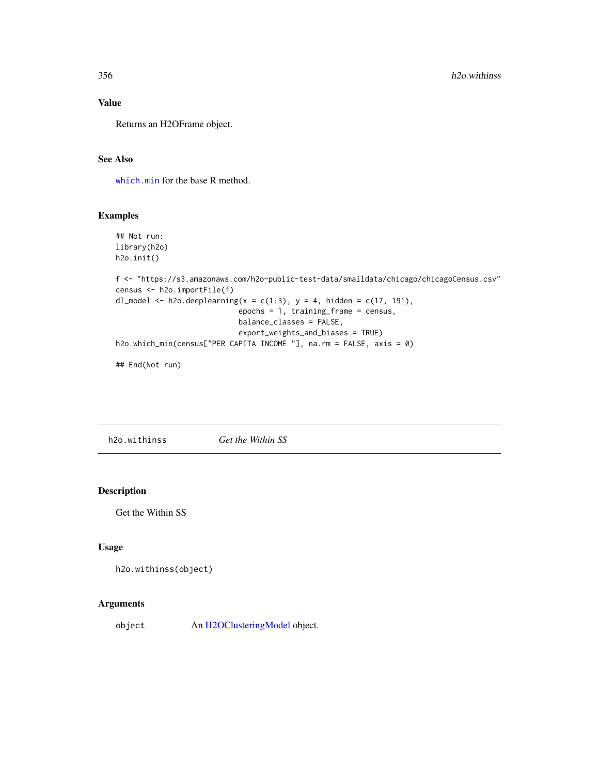## Value

Returns an H2OFrame object.

### See Also

[which.min](#page-0-0) for the base R method.

# Examples

```
## Not run:
library(h2o)
h2o.init()
f <- "https://s3.amazonaws.com/h2o-public-test-data/smalldata/chicago/chicagoCensus.csv"
census <- h2o.importFile(f)
dl_model <- h2o.deeplearning(x = c(1:3), y = 4, hidden = c(17, 191),
                            epochs = 1, training_frame = census,
                            balance_classes = FALSE,
                            export_weights_and_biases = TRUE)
h2o.which_min(census["PER CAPITA INCOME "], na.rm = FALSE, axis = 0)
```
## End(Not run)

h2o.withinss *Get the Within SS*

#### Description

Get the Within SS

#### Usage

```
h2o.withinss(object)
```
### Arguments

object An [H2OClusteringModel](#page-364-0) object.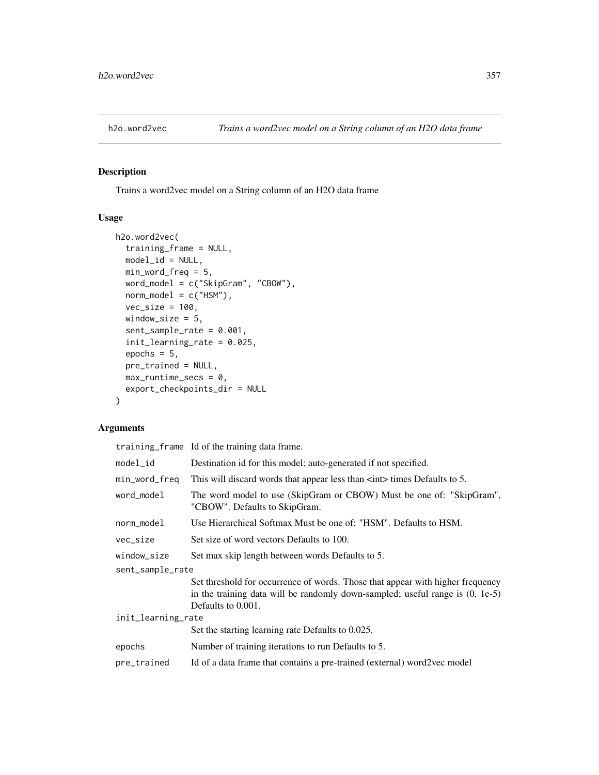Trains a word2vec model on a String column of an H2O data frame

### Usage

```
h2o.word2vec(
  training_frame = NULL,
 model_id = NULL,min_word_freq = 5,
 word_model = c("SkipGram", "CBOW"),
  norm_model = c("HSM"),
  vec\_size = 100,
 window_size = 5,
  sent_sample_rate = 0.001,
  init_learning_rate = 0.025,
  epochs = 5,
 pre_trained = NULL,
 max_runtime_secs = 0,
  export_checkpoints_dir = NULL
)
```
### Arguments

|                    | training_frame Id of the training data frame.                                                                                                                                           |
|--------------------|-----------------------------------------------------------------------------------------------------------------------------------------------------------------------------------------|
| model_id           | Destination id for this model; auto-generated if not specified.                                                                                                                         |
| min_word_freq      | This will discard words that appear less than $\langle$ int $\rangle$ times Defaults to 5.                                                                                              |
| word model         | The word model to use (SkipGram or CBOW) Must be one of: "SkipGram",<br>"CBOW". Defaults to SkipGram.                                                                                   |
| norm_model         | Use Hierarchical Softmax Must be one of: "HSM". Defaults to HSM.                                                                                                                        |
| vec_size           | Set size of word vectors Defaults to 100.                                                                                                                                               |
| window_size        | Set max skip length between words Defaults to 5.                                                                                                                                        |
| sent_sample_rate   |                                                                                                                                                                                         |
|                    | Set threshold for occurrence of words. Those that appear with higher frequency<br>in the training data will be randomly down-sampled; useful range is $(0, 1e-5)$<br>Defaults to 0.001. |
| init_learning_rate |                                                                                                                                                                                         |
|                    | Set the starting learning rate Defaults to 0.025.                                                                                                                                       |
| epochs             | Number of training iterations to run Defaults to 5.                                                                                                                                     |
| pre_trained        | Id of a data frame that contains a pre-trained (external) word2vec model                                                                                                                |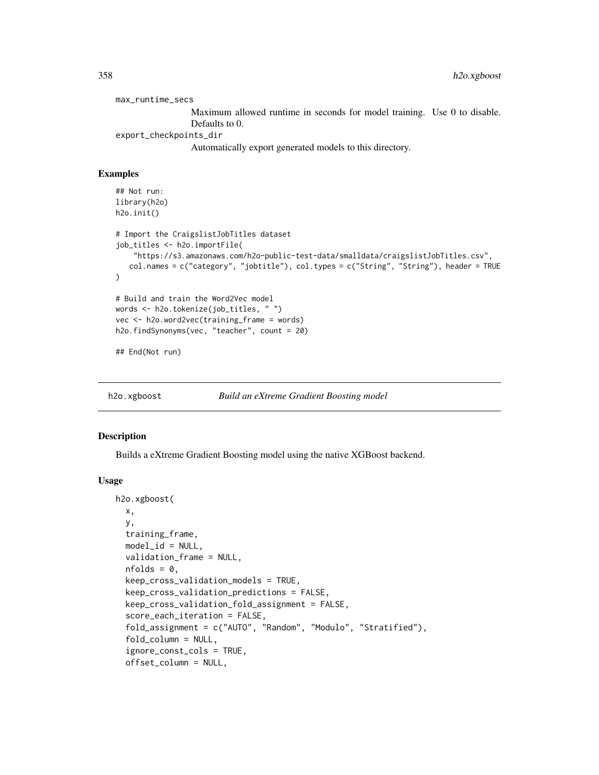max\_runtime\_secs Maximum allowed runtime in seconds for model training. Use 0 to disable. Defaults to 0. export\_checkpoints\_dir Automatically export generated models to this directory.

### Examples

```
## Not run:
library(h2o)
h2o.init()
# Import the CraigslistJobTitles dataset
job_titles <- h2o.importFile(
    "https://s3.amazonaws.com/h2o-public-test-data/smalldata/craigslistJobTitles.csv",
   col.names = c("category", "jobtitle"), col.types = c("String", "String"), header = TRUE
\lambda# Build and train the Word2Vec model
words <- h2o.tokenize(job_titles, " ")
vec <- h2o.word2vec(training_frame = words)
h2o.findSynonyms(vec, "teacher", count = 20)
## End(Not run)
```
h2o.xgboost *Build an eXtreme Gradient Boosting model*

#### Description

Builds a eXtreme Gradient Boosting model using the native XGBoost backend.

```
h2o.xgboost(
  x,
 y,
  training_frame,
 model_id = NULL,validation_frame = NULL,
  nfolds = 0,
  keep_cross_validation_models = TRUE,
  keep_cross_validation_predictions = FALSE,
  keep_cross_validation_fold_assignment = FALSE,
  score_each_iteration = FALSE,
  fold_assignment = c("AUTO", "Random", "Modulo", "Stratified"),
  fold_column = NULL,
  ignore_const_cols = TRUE,
  offset_column = NULL,
```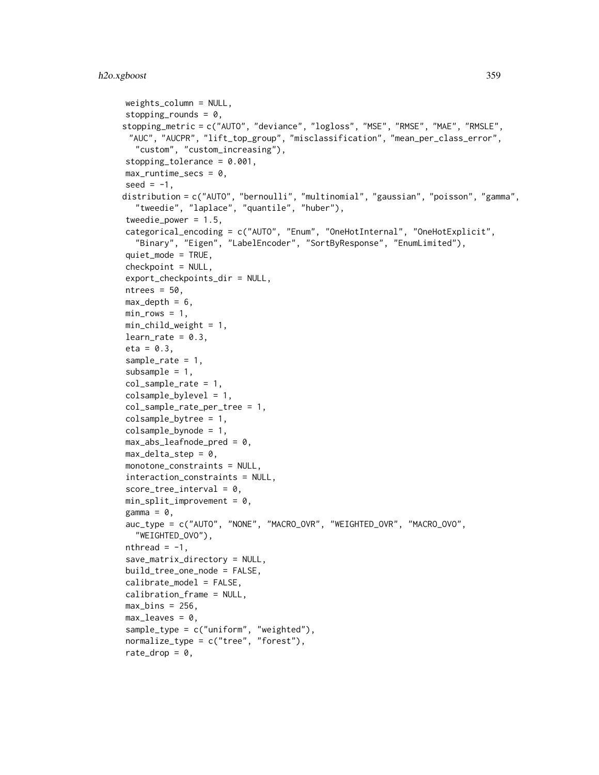```
weights_column = NULL,
stopping_rounds = 0,
stopping_metric = c("AUTO", "deviance", "logloss", "MSE", "RMSE", "MAE", "RMSLE",
 "AUC", "AUCPR", "lift_top_group", "misclassification", "mean_per_class_error",
  "custom", "custom_increasing"),
stopping_tolerance = 0.001,
max_runtime_secs = 0,
seed = -1,
distribution = c("AUTO", "bernoulli", "multinomial", "gaussian", "poisson", "gamma",
  "tweedie", "laplace", "quantile", "huber"),
tweedie_power = 1.5,
categorical_encoding = c("AUTO", "Enum", "OneHotInternal", "OneHotExplicit",
  "Binary", "Eigen", "LabelEncoder", "SortByResponse", "EnumLimited"),
quiet_mode = TRUE,
checkpoint = NULL,
export_checkpoints_dir = NULL,
ntrees = 50,
max\_depth = 6,
min\_rows = 1,
min_{\text{child\_weight}} = 1,
learn_rate = 0.3,eta = 0.3,
sample_rate = 1,
subsample = 1,
col_sample_rate = 1,
colsample_bylevel = 1,
col_sample_rate_per_tree = 1,
colsample_bytree = 1,
colsample_bynode = 1,
max\_abs\_leafnode\_pred = 0,
max\_delta\_step = 0,
monotone_constraints = NULL,
interaction_constraints = NULL,
score\_tree\_interval = 0,
min\_split\_improvement = 0,
gamma = 0,
auc_type = c("AUTO", "NONE", "MACRO_OVR", "WEIGHTED_OVR", "MACRO_OVO",
  "WEIGHTED_OVO"),
nthread = -1,
save_matrix_directory = NULL,
build_tree_one_node = FALSE,
calisheste_model = FALSE,
calibration_frame = NULL,
max\_bins = 256,
max\_leaves = 0,
sample_type = c("uniform", "weighted"),
normalize_type = c("tree", "forest"),
rate_drop = 0,
```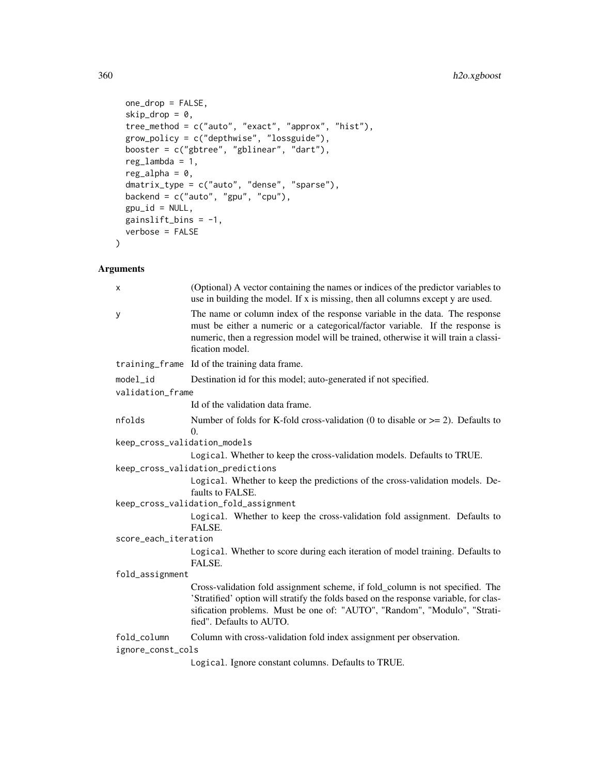```
one_drop = FALSE,
 skip\_drop = 0,tree_method = c("auto", "exact", "approx", "hist"),
 grow_policy = c("depthwise", "lossguide"),
 booster = c("gbtree", "gblinear", "dart"),
 reg_lambda = 1,
 reg\_alpha = 0,
 dmatrix_type = c("auto", "dense", "sparse"),
 backend = c("auto", "gpu", "cpu"),
 gpu_id = NULL,gainslift_bins = -1,
 verbose = FALSE
)
```

| x                            | (Optional) A vector containing the names or indices of the predictor variables to<br>use in building the model. If $x$ is missing, then all columns except $y$ are used.                                                                                                        |
|------------------------------|---------------------------------------------------------------------------------------------------------------------------------------------------------------------------------------------------------------------------------------------------------------------------------|
| У                            | The name or column index of the response variable in the data. The response<br>must be either a numeric or a categorical/factor variable. If the response is<br>numeric, then a regression model will be trained, otherwise it will train a classi-<br>fication model.          |
|                              | training_frame Id of the training data frame.                                                                                                                                                                                                                                   |
| model_id                     | Destination id for this model; auto-generated if not specified.                                                                                                                                                                                                                 |
| validation_frame             |                                                                                                                                                                                                                                                                                 |
|                              | Id of the validation data frame.                                                                                                                                                                                                                                                |
| nfolds                       | Number of folds for K-fold cross-validation (0 to disable or $\ge$ = 2). Defaults to<br>$\theta$ .                                                                                                                                                                              |
| keep_cross_validation_models |                                                                                                                                                                                                                                                                                 |
|                              | Logical. Whether to keep the cross-validation models. Defaults to TRUE.                                                                                                                                                                                                         |
|                              | keep_cross_validation_predictions                                                                                                                                                                                                                                               |
|                              | Logical. Whether to keep the predictions of the cross-validation models. De-<br>faults to FALSE.                                                                                                                                                                                |
|                              | keep_cross_validation_fold_assignment                                                                                                                                                                                                                                           |
|                              | Logical. Whether to keep the cross-validation fold assignment. Defaults to<br>FALSE.                                                                                                                                                                                            |
| score_each_iteration         |                                                                                                                                                                                                                                                                                 |
|                              | Logical. Whether to score during each iteration of model training. Defaults to<br>FALSE.                                                                                                                                                                                        |
| fold_assignment              |                                                                                                                                                                                                                                                                                 |
|                              | Cross-validation fold assignment scheme, if fold_column is not specified. The<br>'Stratified' option will stratify the folds based on the response variable, for clas-<br>sification problems. Must be one of: "AUTO", "Random", "Modulo", "Strati-<br>fied". Defaults to AUTO. |
| fold_column                  | Column with cross-validation fold index assignment per observation.                                                                                                                                                                                                             |
| ignore_const_cols            |                                                                                                                                                                                                                                                                                 |
|                              | Logical. Ignore constant columns. Defaults to TRUE.                                                                                                                                                                                                                             |
|                              |                                                                                                                                                                                                                                                                                 |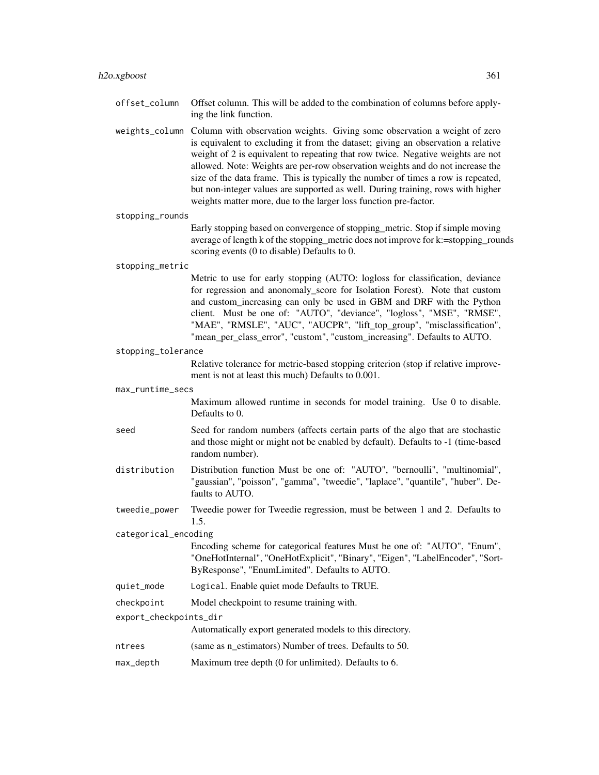weights\_column Column with observation weights. Giving some observation a weight of zero is equivalent to excluding it from the dataset; giving an observation a relative weight of 2 is equivalent to repeating that row twice. Negative weights are not allowed. Note: Weights are per-row observation weights and do not increase the size of the data frame. This is typically the number of times a row is repeated, but non-integer values are supported as well. During training, rows with higher weights matter more, due to the larger loss function pre-factor.

#### stopping\_rounds

Early stopping based on convergence of stopping\_metric. Stop if simple moving average of length k of the stopping metric does not improve for k:=stopping rounds scoring events (0 to disable) Defaults to 0.

#### stopping\_metric

Metric to use for early stopping (AUTO: logloss for classification, deviance for regression and anonomaly\_score for Isolation Forest). Note that custom and custom\_increasing can only be used in GBM and DRF with the Python client. Must be one of: "AUTO", "deviance", "logloss", "MSE", "RMSE", "MAE", "RMSLE", "AUC", "AUCPR", "lift\_top\_group", "misclassification", "mean\_per\_class\_error", "custom", "custom\_increasing". Defaults to AUTO.

stopping\_tolerance

Relative tolerance for metric-based stopping criterion (stop if relative improvement is not at least this much) Defaults to 0.001.

#### max\_runtime\_secs

Maximum allowed runtime in seconds for model training. Use 0 to disable. Defaults to 0.

- seed Seed for random numbers (affects certain parts of the algo that are stochastic and those might or might not be enabled by default). Defaults to -1 (time-based random number).
- distribution Distribution function Must be one of: "AUTO", "bernoulli", "multinomial", "gaussian", "poisson", "gamma", "tweedie", "laplace", "quantile", "huber". Defaults to AUTO.
- tweedie\_power Tweedie power for Tweedie regression, must be between 1 and 2. Defaults to 1.5.

categorical\_encoding

Encoding scheme for categorical features Must be one of: "AUTO", "Enum", "OneHotInternal", "OneHotExplicit", "Binary", "Eigen", "LabelEncoder", "Sort-ByResponse", "EnumLimited". Defaults to AUTO.

- quiet\_mode Logical. Enable quiet mode Defaults to TRUE.
- checkpoint Model checkpoint to resume training with.
- export\_checkpoints\_dir

Automatically export generated models to this directory.

- ntrees (same as n\_estimators) Number of trees. Defaults to 50.
- max\_depth Maximum tree depth (0 for unlimited). Defaults to 6.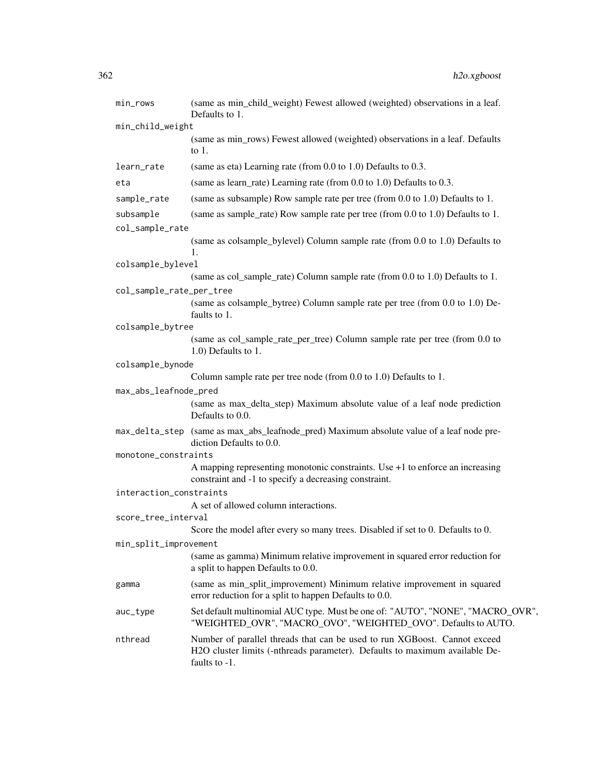| min_rows                 | (same as min_child_weight) Fewest allowed (weighted) observations in a leaf.<br>Defaults to 1.                                                                            |
|--------------------------|---------------------------------------------------------------------------------------------------------------------------------------------------------------------------|
| min_child_weight         |                                                                                                                                                                           |
|                          | (same as min_rows) Fewest allowed (weighted) observations in a leaf. Defaults<br>to $1$ .                                                                                 |
| learn_rate               | (same as eta) Learning rate (from $0.0$ to $1.0$ ) Defaults to $0.3$ .                                                                                                    |
| eta                      | (same as learn_rate) Learning rate (from 0.0 to 1.0) Defaults to 0.3.                                                                                                     |
| sample_rate              | (same as subsample) Row sample rate per tree (from 0.0 to 1.0) Defaults to 1.                                                                                             |
| subsample                | (same as sample_rate) Row sample rate per tree (from 0.0 to 1.0) Defaults to 1.                                                                                           |
| col_sample_rate          |                                                                                                                                                                           |
|                          | (same as colsample_bylevel) Column sample rate (from 0.0 to 1.0) Defaults to<br>1.                                                                                        |
| colsample_bylevel        |                                                                                                                                                                           |
|                          | (same as col_sample_rate) Column sample rate (from 0.0 to 1.0) Defaults to 1.                                                                                             |
| col_sample_rate_per_tree |                                                                                                                                                                           |
|                          | (same as colsample_bytree) Column sample rate per tree (from 0.0 to 1.0) De-<br>faults to 1.                                                                              |
| colsample_bytree         |                                                                                                                                                                           |
|                          | (same as col_sample_rate_per_tree) Column sample rate per tree (from 0.0 to<br>1.0) Defaults to 1.                                                                        |
| colsample_bynode         |                                                                                                                                                                           |
|                          | Column sample rate per tree node (from 0.0 to 1.0) Defaults to 1.                                                                                                         |
| max_abs_leafnode_pred    |                                                                                                                                                                           |
|                          | (same as max_delta_step) Maximum absolute value of a leaf node prediction<br>Defaults to 0.0.                                                                             |
|                          | max_delta_step (same as max_abs_leafnode_pred) Maximum absolute value of a leaf node pre-<br>diction Defaults to 0.0.                                                     |
| monotone_constraints     |                                                                                                                                                                           |
|                          | A mapping representing monotonic constraints. Use $+1$ to enforce an increasing<br>constraint and -1 to specify a decreasing constraint.                                  |
| interaction_constraints  |                                                                                                                                                                           |
|                          | A set of allowed column interactions.                                                                                                                                     |
| score_tree_interval      | Score the model after every so many trees. Disabled if set to 0. Defaults to 0.                                                                                           |
| min_split_improvement    |                                                                                                                                                                           |
|                          | (same as gamma) Minimum relative improvement in squared error reduction for<br>a split to happen Defaults to 0.0.                                                         |
| gamma                    | (same as min_split_improvement) Minimum relative improvement in squared<br>error reduction for a split to happen Defaults to 0.0.                                         |
| auc_type                 | Set default multinomial AUC type. Must be one of: "AUTO", "NONE", "MACRO_OVR",<br>"WEIGHTED_OVR", "MACRO_OVO", "WEIGHTED_OVO". Defaults to AUTO.                          |
| nthread                  | Number of parallel threads that can be used to run XGBoost. Cannot exceed<br>H2O cluster limits (-nthreads parameter). Defaults to maximum available De-<br>faults to -1. |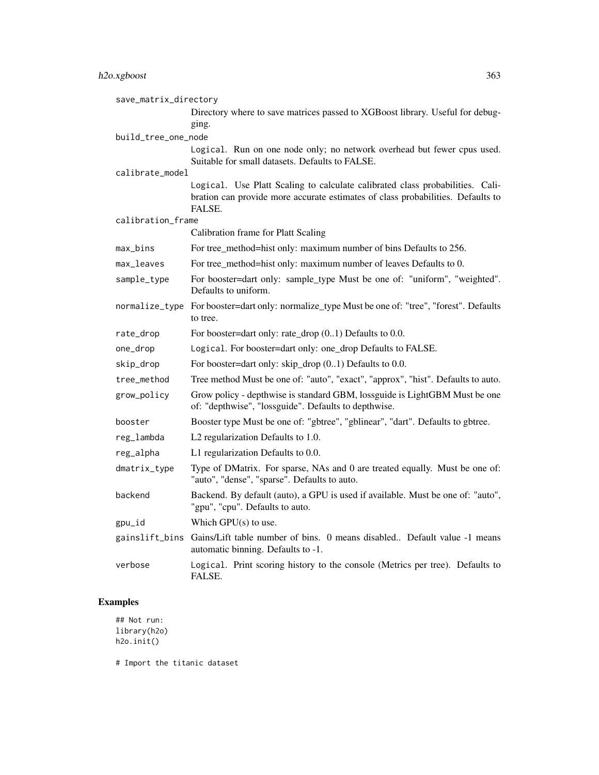save\_matrix\_directory Directory where to save matrices passed to XGBoost library. Useful for debugging. build\_tree\_one\_node Logical. Run on one node only; no network overhead but fewer cpus used. Suitable for small datasets. Defaults to FALSE. calibrate\_model Logical. Use Platt Scaling to calculate calibrated class probabilities. Calibration can provide more accurate estimates of class probabilities. Defaults to FALSE. calibration\_frame Calibration frame for Platt Scaling max\_bins For tree\_method=hist only: maximum number of bins Defaults to 256. max\_leaves For tree\_method=hist only: maximum number of leaves Defaults to 0. sample\_type For booster=dart only: sample\_type Must be one of: "uniform", "weighted". Defaults to uniform. normalize\_type For booster=dart only: normalize\_type Must be one of: "tree", "forest". Defaults to tree. rate\_drop For booster=dart only: rate\_drop  $(0.1)$  Defaults to 0.0. one\_drop Logical. For booster=dart only: one\_drop Defaults to FALSE. skip\_drop For booster=dart only: skip\_drop  $(0..1)$  Defaults to 0.0. tree\_method Tree method Must be one of: "auto", "exact", "approx", "hist". Defaults to auto. grow\_policy Grow policy - depthwise is standard GBM, lossguide is LightGBM Must be one of: "depthwise", "lossguide". Defaults to depthwise. booster Booster type Must be one of: "gbtree", "gblinear", "dart". Defaults to gbtree. reg\_lambda L2 regularization Defaults to 1.0. reg\_alpha L1 regularization Defaults to 0.0. dmatrix\_type Type of DMatrix. For sparse, NAs and 0 are treated equally. Must be one of: "auto", "dense", "sparse". Defaults to auto. backend Backend. By default (auto), a GPU is used if available. Must be one of: "auto", "gpu", "cpu". Defaults to auto. gpu\_id Which GPU(s) to use. gainslift\_bins Gains/Lift table number of bins. 0 means disabled.. Default value -1 means automatic binning. Defaults to -1. verbose Logical. Print scoring history to the console (Metrics per tree). Defaults to FALSE.

#### Examples

```
## Not run:
library(h2o)
h2o.init()
```
# Import the titanic dataset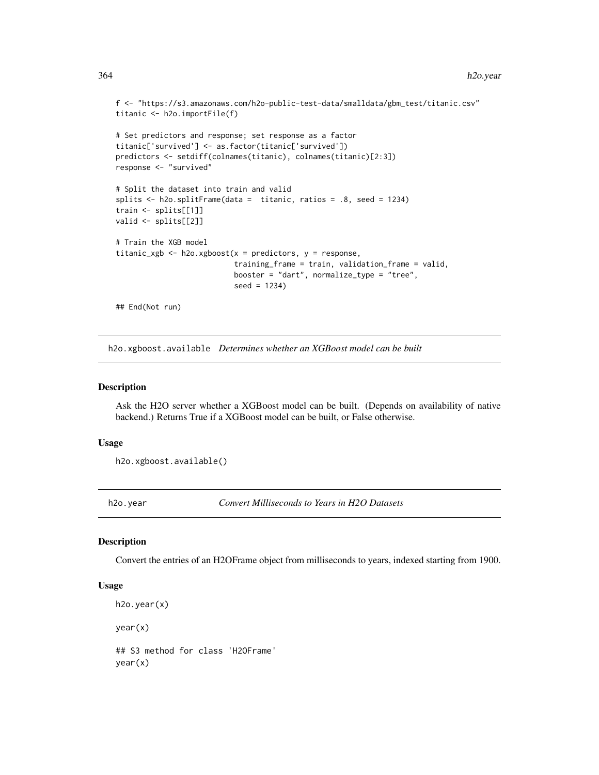```
f <- "https://s3.amazonaws.com/h2o-public-test-data/smalldata/gbm_test/titanic.csv"
titanic <- h2o.importFile(f)
# Set predictors and response; set response as a factor
titanic['survived'] <- as.factor(titanic['survived'])
predictors <- setdiff(colnames(titanic), colnames(titanic)[2:3])
response <- "survived"
# Split the dataset into train and valid
splits <- h2o.splitFrame(data = titanic, ratios = .8, seed = 1234)
train <- splits[[1]]
valid <- splits[[2]]
# Train the XGB model
titanic_xgb <- h2o.xgboost(x = predictors, y = response,
                           training_frame = train, validation_frame = valid,
                           booster = "dart", normalize_type = "tree",
                           seed = 1234)
## End(Not run)
```
h2o.xgboost.available *Determines whether an XGBoost model can be built*

#### Description

Ask the H2O server whether a XGBoost model can be built. (Depends on availability of native backend.) Returns True if a XGBoost model can be built, or False otherwise.

## Usage

h2o.xgboost.available()

h2o.year *Convert Milliseconds to Years in H2O Datasets*

#### Description

Convert the entries of an H2OFrame object from milliseconds to years, indexed starting from 1900.

#### Usage

```
h2o.year(x)
```
year(x)

## S3 method for class 'H2OFrame' year(x)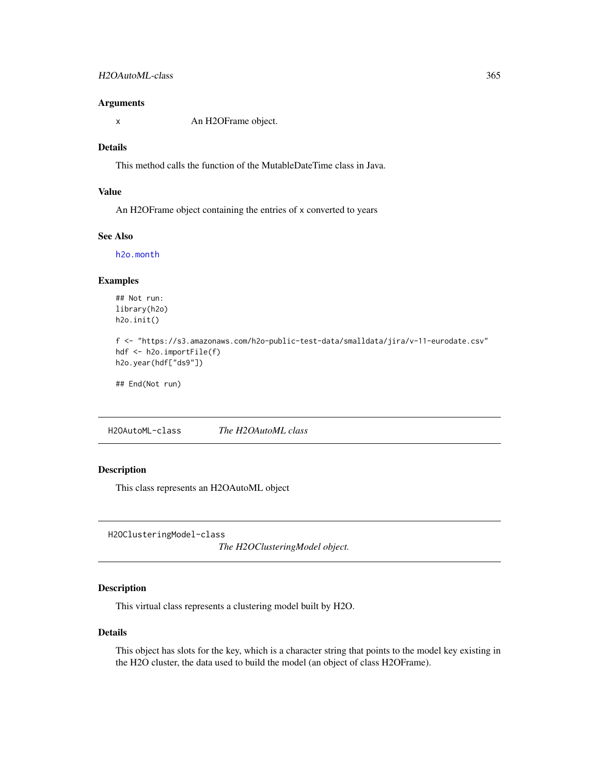#### Arguments

x An H2OFrame object.

#### Details

This method calls the function of the MutableDateTime class in Java.

## Value

An H2OFrame object containing the entries of x converted to years

## See Also

[h2o.month](#page-232-0)

## Examples

## Not run: library(h2o) h2o.init()

```
f <- "https://s3.amazonaws.com/h2o-public-test-data/smalldata/jira/v-11-eurodate.csv"
hdf <- h2o.importFile(f)
h2o.year(hdf["ds9"])
```
## End(Not run)

<span id="page-364-0"></span>H2OAutoML-class *The H2OAutoML class*

## Description

This class represents an H2OAutoML object

H2OClusteringModel-class

*The H2OClusteringModel object.*

## Description

This virtual class represents a clustering model built by H2O.

#### Details

This object has slots for the key, which is a character string that points to the model key existing in the H2O cluster, the data used to build the model (an object of class H2OFrame).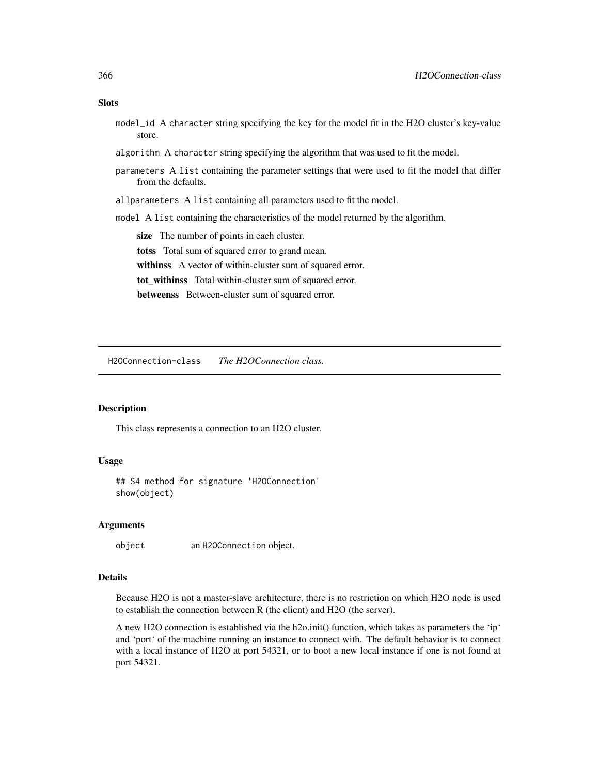#### **Slots**

- model\_id A character string specifying the key for the model fit in the H2O cluster's key-value store.
- algorithm A character string specifying the algorithm that was used to fit the model.
- parameters A list containing the parameter settings that were used to fit the model that differ from the defaults.
- allparameters A list containing all parameters used to fit the model.
- model A list containing the characteristics of the model returned by the algorithm.

size The number of points in each cluster. totss Total sum of squared error to grand mean. withinss A vector of within-cluster sum of squared error. tot\_withinss Total within-cluster sum of squared error. betweenss Between-cluster sum of squared error.

H2OConnection-class *The H2OConnection class.*

#### Description

This class represents a connection to an H2O cluster.

#### Usage

## S4 method for signature 'H2OConnection' show(object)

#### Arguments

object an H2OConnection object.

# Details

Because H2O is not a master-slave architecture, there is no restriction on which H2O node is used to establish the connection between R (the client) and H2O (the server).

A new H2O connection is established via the h2o.init() function, which takes as parameters the 'ip' and 'port' of the machine running an instance to connect with. The default behavior is to connect with a local instance of H2O at port 54321, or to boot a new local instance if one is not found at port 54321.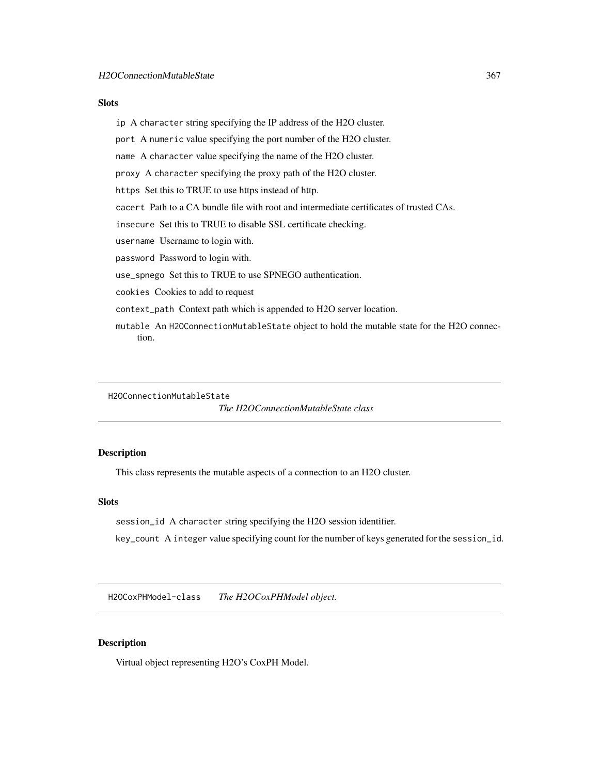#### **Slots**

ip A character string specifying the IP address of the H2O cluster.

port A numeric value specifying the port number of the H2O cluster.

name A character value specifying the name of the H2O cluster.

proxy A character specifying the proxy path of the H2O cluster.

https Set this to TRUE to use https instead of http.

cacert Path to a CA bundle file with root and intermediate certificates of trusted CAs.

insecure Set this to TRUE to disable SSL certificate checking.

username Username to login with.

password Password to login with.

use\_spnego Set this to TRUE to use SPNEGO authentication.

cookies Cookies to add to request

context\_path Context path which is appended to H2O server location.

mutable An H2OConnectionMutableState object to hold the mutable state for the H2O connection.

H2OConnectionMutableState

*The H2OConnectionMutableState class*

# Description

This class represents the mutable aspects of a connection to an H2O cluster.

## Slots

session\_id A character string specifying the H2O session identifier.

key\_count A integer value specifying count for the number of keys generated for the session\_id.

H2OCoxPHModel-class *The H2OCoxPHModel object.*

#### Description

Virtual object representing H2O's CoxPH Model.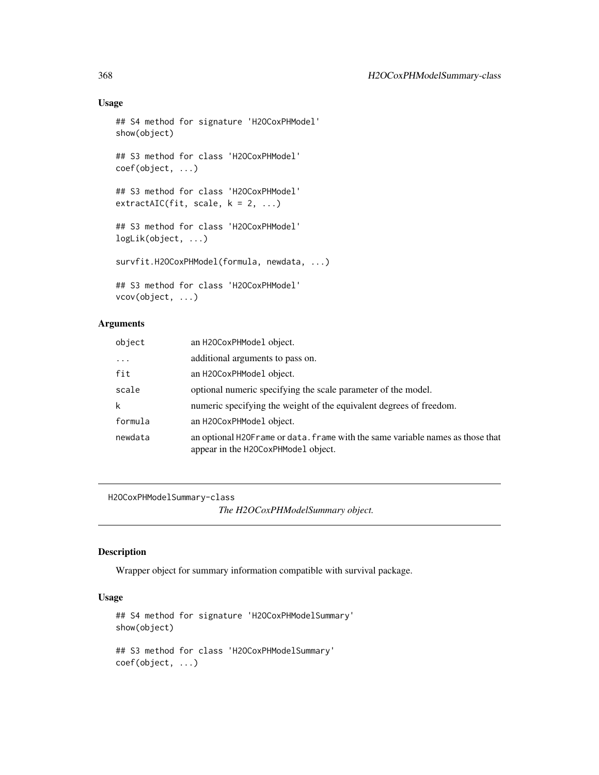# Usage

```
## S4 method for signature 'H2OCoxPHModel'
show(object)
## S3 method for class 'H2OCoxPHModel'
coef(object, ...)
## S3 method for class 'H2OCoxPHModel'
extractAIC(fit, scale, k = 2, ...)## S3 method for class 'H2OCoxPHModel'
logLik(object, ...)
survfit.H2OCoxPHModel(formula, newdata, ...)
## S3 method for class 'H2OCoxPHModel'
vcov(object, ...)
```
# Arguments

| object     | an H20CoxPHModel object.                                                                                               |
|------------|------------------------------------------------------------------------------------------------------------------------|
| $\ddots$ . | additional arguments to pass on.                                                                                       |
| fit        | an H20CoxPHModel object.                                                                                               |
| scale      | optional numeric specifying the scale parameter of the model.                                                          |
| k          | numeric specifying the weight of the equivalent degrees of freedom.                                                    |
| formula    | an H20CoxPHModel object.                                                                                               |
| newdata    | an optional H2OF rame or data. frame with the same variable names as those that<br>appear in the H20CoxPHModel object. |

H2OCoxPHModelSummary-class

*The H2OCoxPHModelSummary object.*

## Description

Wrapper object for summary information compatible with survival package.

# Usage

```
## S4 method for signature 'H2OCoxPHModelSummary'
show(object)
## S3 method for class 'H2OCoxPHModelSummary'
coef(object, ...)
```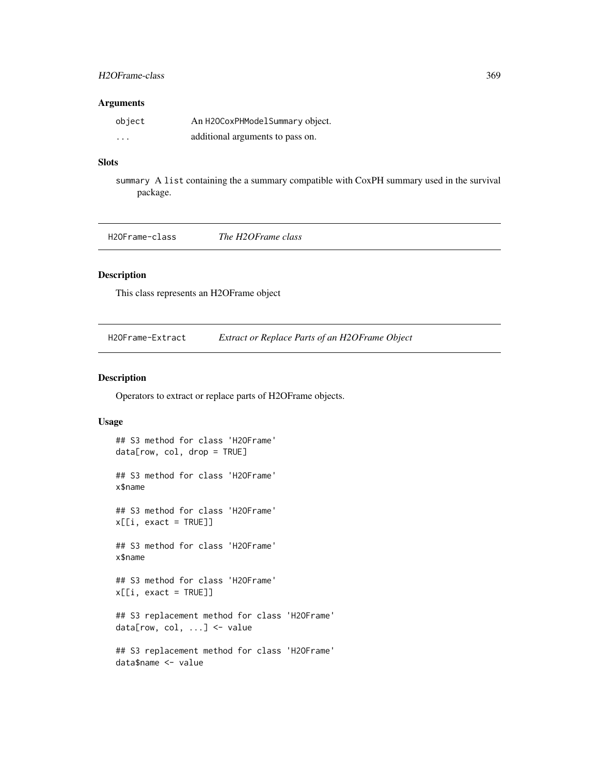## H2OFrame-class 369

#### Arguments

| object  | An H2OCoxPHModelSummary object.  |
|---------|----------------------------------|
| $\cdot$ | additional arguments to pass on. |

# Slots

summary A list containing the a summary compatible with CoxPH summary used in the survival package.

H2OFrame-class *The H2OFrame class*

# Description

This class represents an H2OFrame object

H2OFrame-Extract *Extract or Replace Parts of an H2OFrame Object*

#### Description

Operators to extract or replace parts of H2OFrame objects.

## Usage

```
## S3 method for class 'H2OFrame'
data[row, col, drop = TRUE]
## S3 method for class 'H2OFrame'
x$name
## S3 method for class 'H2OFrame'
x[[i, exact = TRUE]]
## S3 method for class 'H2OFrame'
x$name
## S3 method for class 'H2OFrame'
x[[i, exact = TRUE]]## S3 replacement method for class 'H2OFrame'
data[row, col, ...] <- value
## S3 replacement method for class 'H2OFrame'
data$name <- value
```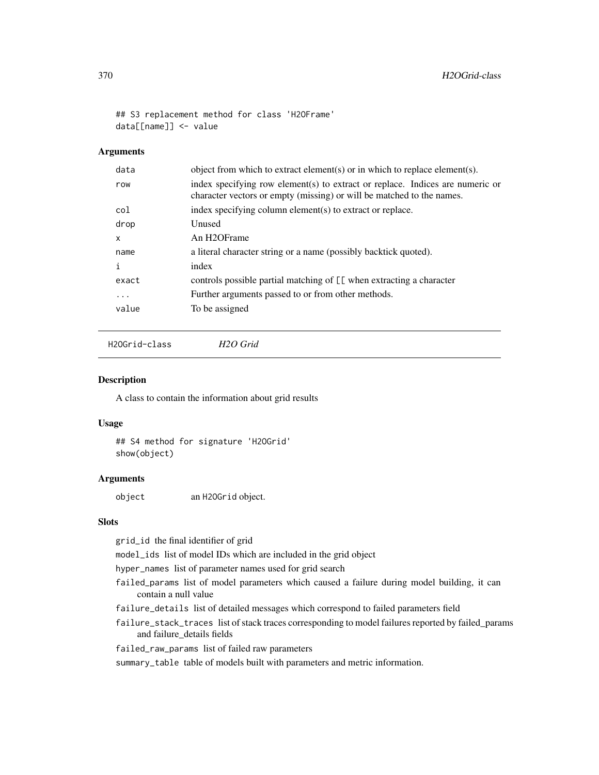## S3 replacement method for class 'H2OFrame' data[[name]] <- value

## Arguments

| data     | object from which to extract element(s) or in which to replace element(s).                                                                             |
|----------|--------------------------------------------------------------------------------------------------------------------------------------------------------|
| row      | index specifying row element(s) to extract or replace. Indices are numeric or<br>character vectors or empty (missing) or will be matched to the names. |
| col      | index specifying column element(s) to extract or replace.                                                                                              |
| drop     | Unused                                                                                                                                                 |
| x        | An H <sub>2</sub> OFrame                                                                                                                               |
| name     | a literal character string or a name (possibly backtick quoted).                                                                                       |
| i        | index                                                                                                                                                  |
| exact    | controls possible partial matching of [[ when extracting a character                                                                                   |
| $\cdots$ | Further arguments passed to or from other methods.                                                                                                     |
| value    | To be assigned                                                                                                                                         |
|          |                                                                                                                                                        |

H2OGrid-class *H2O Grid*

#### Description

A class to contain the information about grid results

#### Usage

```
## S4 method for signature 'H2OGrid'
show(object)
```
## Arguments

object an H2OGrid object.

## Slots

grid\_id the final identifier of grid

model\_ids list of model IDs which are included in the grid object

hyper\_names list of parameter names used for grid search

- failed\_params list of model parameters which caused a failure during model building, it can contain a null value
- failure\_details list of detailed messages which correspond to failed parameters field
- failure\_stack\_traces list of stack traces corresponding to model failures reported by failed\_params and failure\_details fields
- failed\_raw\_params list of failed raw parameters

summary\_table table of models built with parameters and metric information.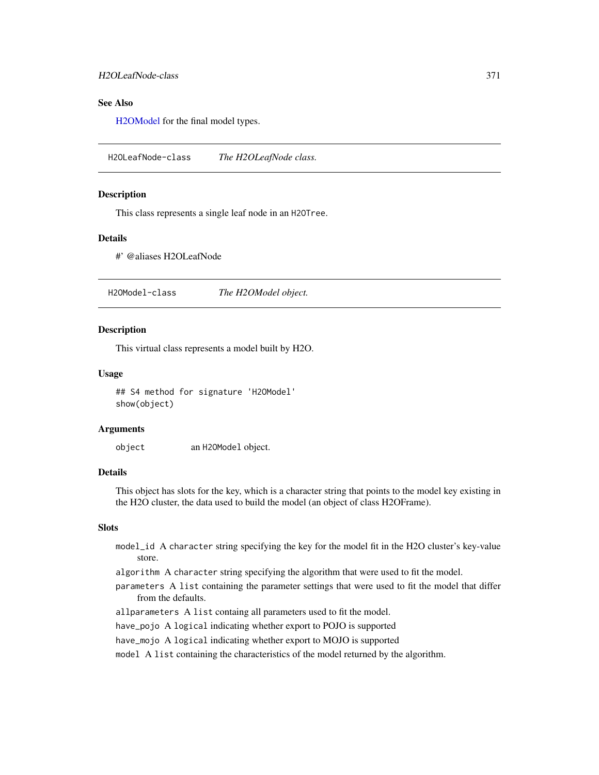# See Also

[H2OModel](#page-370-0) for the final model types.

H2OLeafNode-class *The H2OLeafNode class.*

## **Description**

This class represents a single leaf node in an H2OTree.

#### Details

#' @aliases H2OLeafNode

<span id="page-370-0"></span>H2OModel-class *The H2OModel object.*

#### **Description**

This virtual class represents a model built by H2O.

#### Usage

## S4 method for signature 'H2OModel' show(object)

#### Arguments

object an H2OModel object.

## Details

This object has slots for the key, which is a character string that points to the model key existing in the H2O cluster, the data used to build the model (an object of class H2OFrame).

## Slots

- model\_id A character string specifying the key for the model fit in the H2O cluster's key-value store.
- algorithm A character string specifying the algorithm that were used to fit the model.
- parameters A list containing the parameter settings that were used to fit the model that differ from the defaults.
- allparameters A list containg all parameters used to fit the model.
- have\_pojo A logical indicating whether export to POJO is supported

have\_mojo A logical indicating whether export to MOJO is supported

model A list containing the characteristics of the model returned by the algorithm.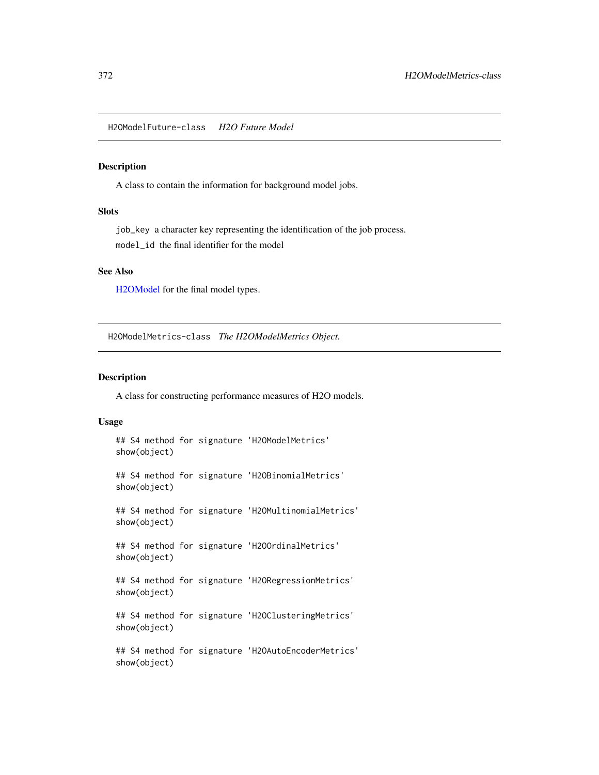H2OModelFuture-class *H2O Future Model*

## Description

A class to contain the information for background model jobs.

## Slots

job\_key a character key representing the identification of the job process. model\_id the final identifier for the model

#### See Also

[H2OModel](#page-370-0) for the final model types.

H2OModelMetrics-class *The H2OModelMetrics Object.*

## Description

A class for constructing performance measures of H2O models.

## Usage

```
## S4 method for signature 'H2OModelMetrics'
show(object)
## S4 method for signature 'H2OBinomialMetrics'
show(object)
## S4 method for signature 'H2OMultinomialMetrics'
show(object)
## S4 method for signature 'H2OOrdinalMetrics'
show(object)
## S4 method for signature 'H2ORegressionMetrics'
show(object)
## S4 method for signature 'H2OClusteringMetrics'
show(object)
## S4 method for signature 'H2OAutoEncoderMetrics'
show(object)
```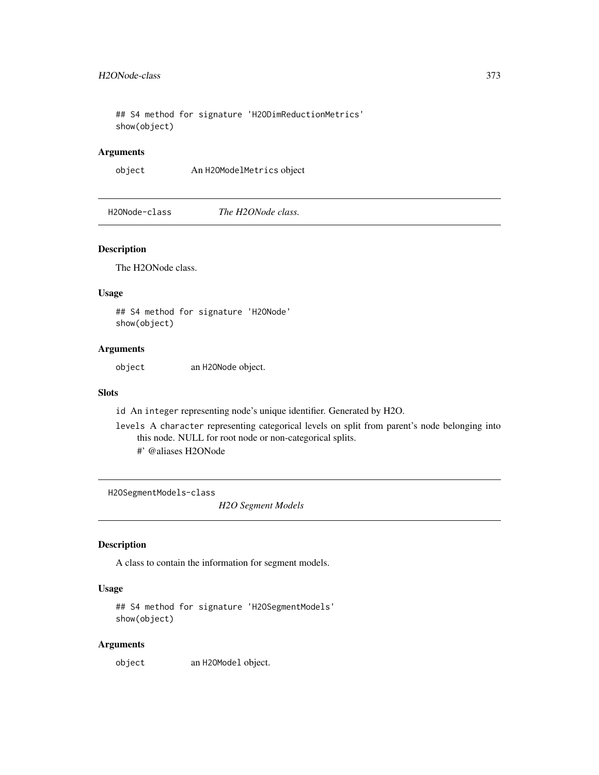## S4 method for signature 'H2ODimReductionMetrics' show(object)

## Arguments

object An H2OModelMetrics object

H2ONode-class *The H2ONode class.*

## Description

The H2ONode class.

#### Usage

## S4 method for signature 'H2ONode' show(object)

# Arguments

object an H2ONode object.

#### Slots

id An integer representing node's unique identifier. Generated by H2O.

levels A character representing categorical levels on split from parent's node belonging into this node. NULL for root node or non-categorical splits. #' @aliases H2ONode

<span id="page-372-0"></span>H2OSegmentModels-class

*H2O Segment Models*

# Description

A class to contain the information for segment models.

## Usage

```
## S4 method for signature 'H2OSegmentModels'
show(object)
```
#### Arguments

object an H2OModel object.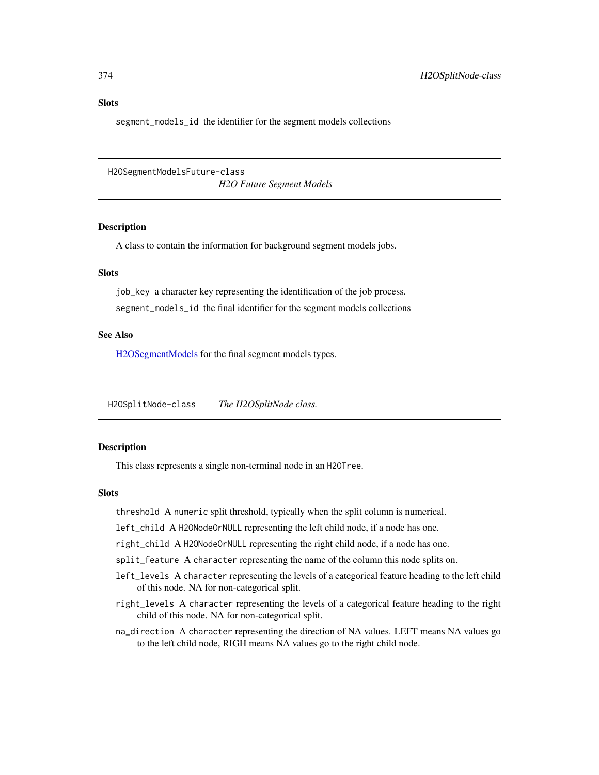segment\_models\_id the identifier for the segment models collections

H2OSegmentModelsFuture-class

*H2O Future Segment Models*

#### Description

A class to contain the information for background segment models jobs.

## **Slots**

job\_key a character key representing the identification of the job process. segment\_models\_id the final identifier for the segment models collections

## See Also

[H2OSegmentModels](#page-372-0) for the final segment models types.

H2OSplitNode-class *The H2OSplitNode class.*

#### Description

This class represents a single non-terminal node in an H2OTree.

#### **Slots**

threshold A numeric split threshold, typically when the split column is numerical.

left\_child A H2ONodeOrNULL representing the left child node, if a node has one.

right\_child A H2ONodeOrNULL representing the right child node, if a node has one.

- split\_feature A character representing the name of the column this node splits on.
- left\_levels A character representing the levels of a categorical feature heading to the left child of this node. NA for non-categorical split.
- right\_levels A character representing the levels of a categorical feature heading to the right child of this node. NA for non-categorical split.
- na\_direction A character representing the direction of NA values. LEFT means NA values go to the left child node, RIGH means NA values go to the right child node.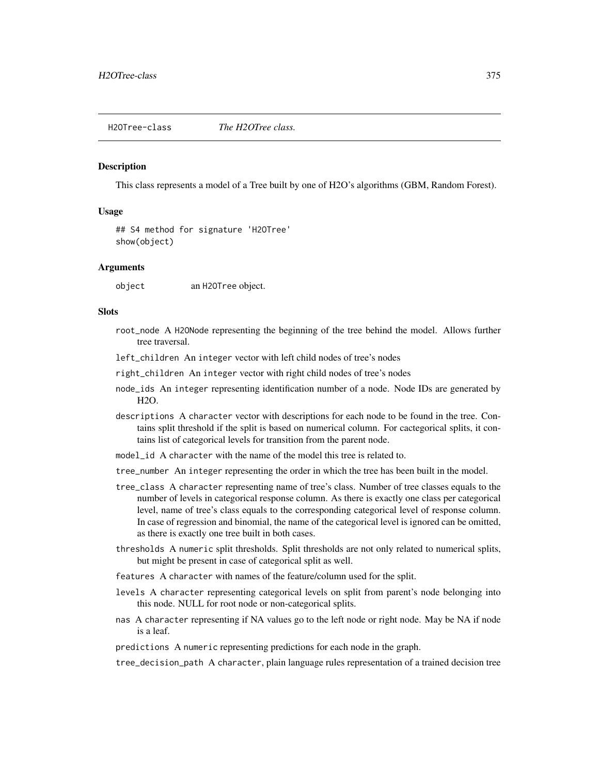H2OTree-class *The H2OTree class.*

#### Description

This class represents a model of a Tree built by one of H2O's algorithms (GBM, Random Forest).

#### Usage

## S4 method for signature 'H2OTree' show(object)

#### Arguments

object an H2OTree object.

# **Slots**

- root\_node A H2ONode representing the beginning of the tree behind the model. Allows further tree traversal.
- left\_children An integer vector with left child nodes of tree's nodes

right\_children An integer vector with right child nodes of tree's nodes

- node\_ids An integer representing identification number of a node. Node IDs are generated by H2O.
- descriptions A character vector with descriptions for each node to be found in the tree. Contains split threshold if the split is based on numerical column. For cactegorical splits, it contains list of categorical levels for transition from the parent node.
- model id A character with the name of the model this tree is related to.
- tree\_number An integer representing the order in which the tree has been built in the model.
- tree\_class A character representing name of tree's class. Number of tree classes equals to the number of levels in categorical response column. As there is exactly one class per categorical level, name of tree's class equals to the corresponding categorical level of response column. In case of regression and binomial, the name of the categorical level is ignored can be omitted, as there is exactly one tree built in both cases.
- thresholds A numeric split thresholds. Split thresholds are not only related to numerical splits, but might be present in case of categorical split as well.
- features A character with names of the feature/column used for the split.
- levels A character representing categorical levels on split from parent's node belonging into this node. NULL for root node or non-categorical splits.
- nas A character representing if NA values go to the left node or right node. May be NA if node is a leaf.
- predictions A numeric representing predictions for each node in the graph.

tree\_decision\_path A character, plain language rules representation of a trained decision tree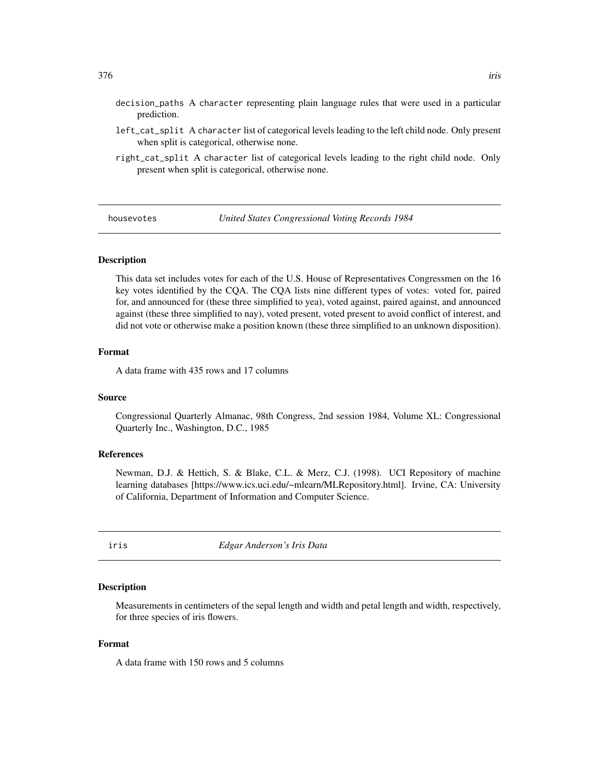- decision\_paths A character representing plain language rules that were used in a particular prediction.
- left\_cat\_split A character list of categorical levels leading to the left child node. Only present when split is categorical, otherwise none.
- right\_cat\_split A character list of categorical levels leading to the right child node. Only present when split is categorical, otherwise none.

housevotes *United States Congressional Voting Records 1984*

#### Description

This data set includes votes for each of the U.S. House of Representatives Congressmen on the 16 key votes identified by the CQA. The CQA lists nine different types of votes: voted for, paired for, and announced for (these three simplified to yea), voted against, paired against, and announced against (these three simplified to nay), voted present, voted present to avoid conflict of interest, and did not vote or otherwise make a position known (these three simplified to an unknown disposition).

#### Format

A data frame with 435 rows and 17 columns

#### Source

Congressional Quarterly Almanac, 98th Congress, 2nd session 1984, Volume XL: Congressional Quarterly Inc., Washington, D.C., 1985

## References

Newman, D.J. & Hettich, S. & Blake, C.L. & Merz, C.J. (1998). UCI Repository of machine learning databases [https://www.ics.uci.edu/~mlearn/MLRepository.html]. Irvine, CA: University of California, Department of Information and Computer Science.

iris *Edgar Anderson's Iris Data*

## **Description**

Measurements in centimeters of the sepal length and width and petal length and width, respectively, for three species of iris flowers.

#### Format

A data frame with 150 rows and 5 columns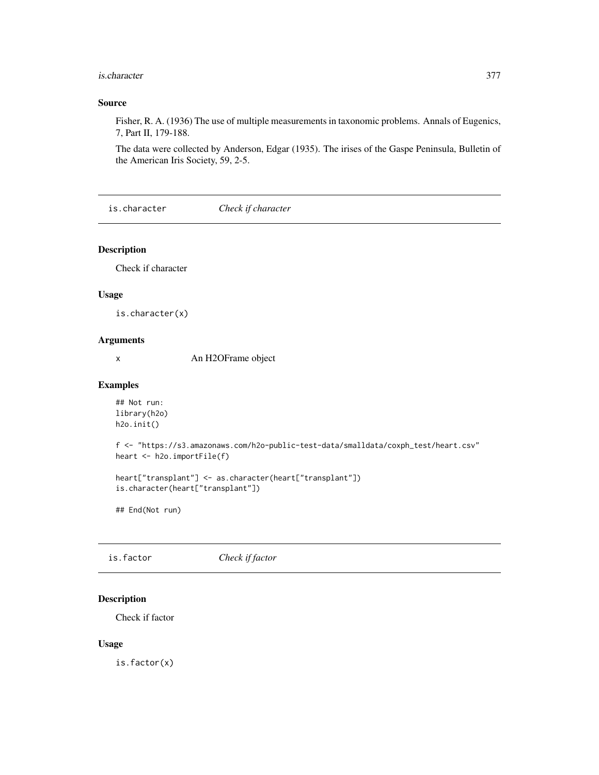#### is.character 377

## Source

Fisher, R. A. (1936) The use of multiple measurements in taxonomic problems. Annals of Eugenics, 7, Part II, 179-188.

The data were collected by Anderson, Edgar (1935). The irises of the Gaspe Peninsula, Bulletin of the American Iris Society, 59, 2-5.

is.character *Check if character*

#### Description

Check if character

#### Usage

is.character(x)

## Arguments

x An H2OFrame object

#### Examples

```
## Not run:
library(h2o)
h2o.init()
```
f <- "https://s3.amazonaws.com/h2o-public-test-data/smalldata/coxph\_test/heart.csv" heart <- h2o.importFile(f)

```
heart["transplant"] <- as.character(heart["transplant"])
is.character(heart["transplant"])
```
## End(Not run)

is.factor *Check if factor*

## Description

Check if factor

#### Usage

is.factor(x)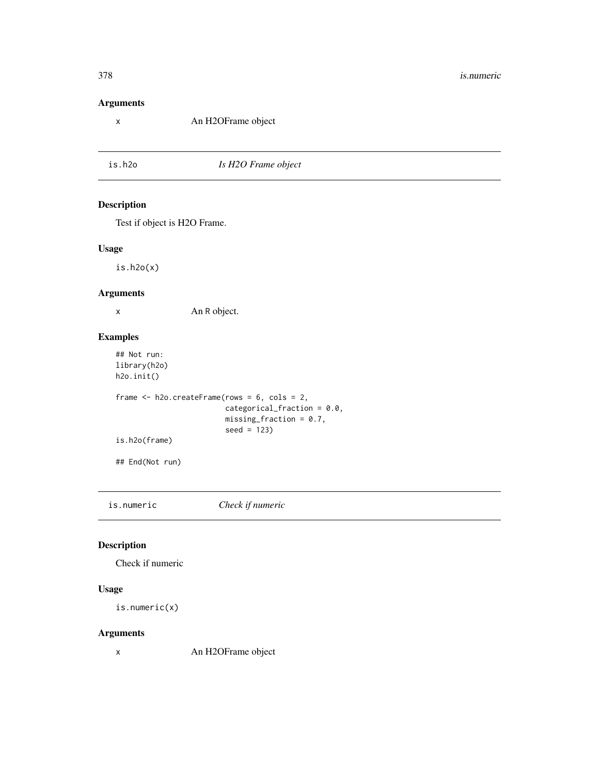# Arguments

x An H2OFrame object

is.h2o *Is H2O Frame object*

# Description

Test if object is H2O Frame.

#### Usage

is.h2o(x)

## Arguments

x An R object.

## Examples

```
## Not run:
library(h2o)
h2o.init()
frame <- h2o.createFrame(rows = 6, cols = 2,
                         categorical_fraction = 0.0,
                         missing_fraction = 0.7,
                         seed = 123)
is.h2o(frame)
## End(Not run)
```
is.numeric *Check if numeric*

## Description

Check if numeric

#### Usage

is.numeric(x)

### Arguments

x An H2OFrame object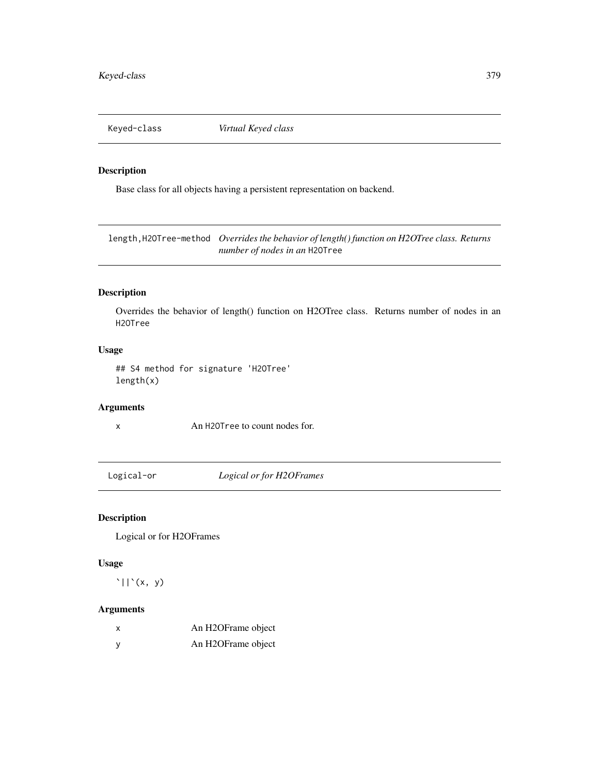Keyed-class *Virtual Keyed class*

## Description

Base class for all objects having a persistent representation on backend.

length,H2OTree-method *Overrides the behavior of length() function on H2OTree class. Returns number of nodes in an* H2OTree

## Description

Overrides the behavior of length() function on H2OTree class. Returns number of nodes in an H2OTree

# Usage

## S4 method for signature 'H2OTree' length(x)

# Arguments

x An H2OTree to count nodes for.

Logical-or *Logical or for H2OFrames*

# Description

Logical or for H2OFrames

#### Usage

 $'\vert\vert'(x, y)$ 

## Arguments

| x | An H2OFrame object |
|---|--------------------|
| у | An H2OFrame object |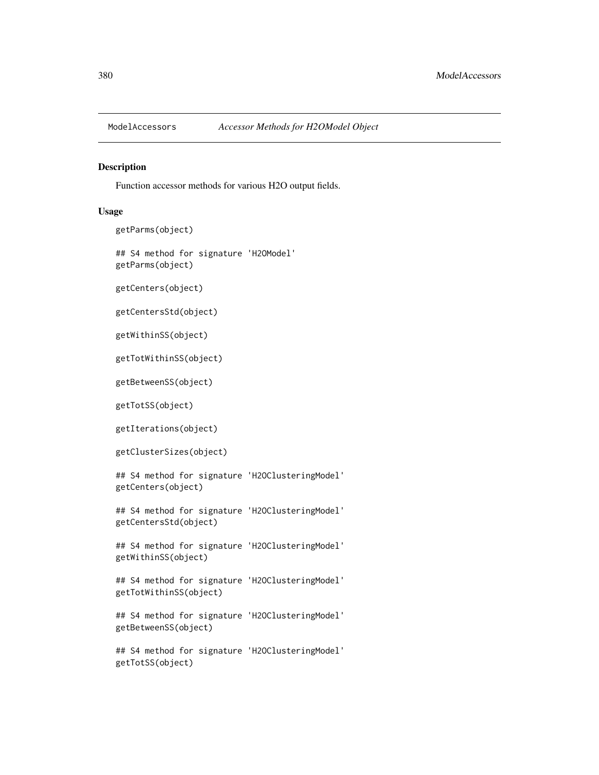#### Description

Function accessor methods for various H2O output fields.

#### Usage

```
getParms(object)
```

```
## S4 method for signature 'H2OModel'
getParms(object)
```
getCenters(object)

getCentersStd(object)

getWithinSS(object)

getTotWithinSS(object)

getBetweenSS(object)

getTotSS(object)

getIterations(object)

getClusterSizes(object)

## S4 method for signature 'H2OClusteringModel' getCenters(object)

## S4 method for signature 'H2OClusteringModel' getCentersStd(object)

## S4 method for signature 'H2OClusteringModel' getWithinSS(object)

## S4 method for signature 'H2OClusteringModel' getTotWithinSS(object)

## S4 method for signature 'H2OClusteringModel' getBetweenSS(object)

## S4 method for signature 'H2OClusteringModel' getTotSS(object)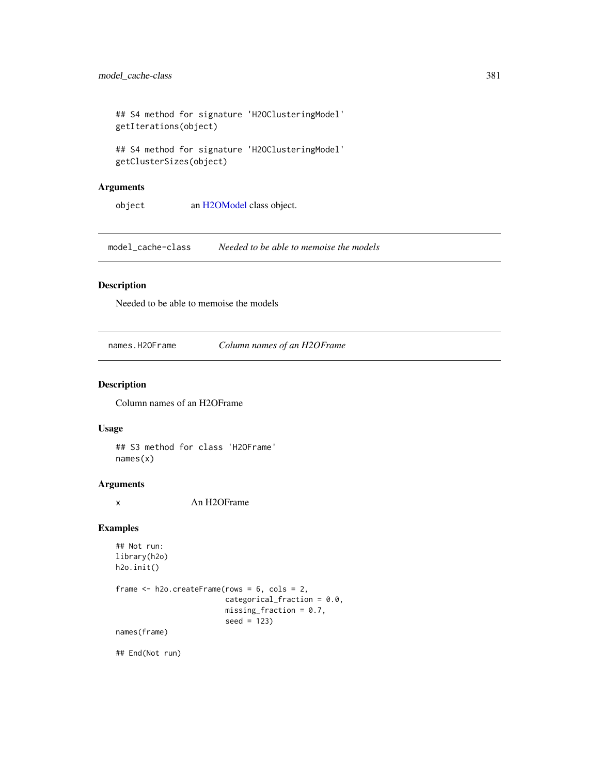```
## S4 method for signature 'H2OClusteringModel'
getIterations(object)
## S4 method for signature 'H2OClusteringModel'
```
getClusterSizes(object)

#### Arguments

object an [H2OModel](#page-370-0) class object.

model\_cache-class *Needed to be able to memoise the models*

## Description

Needed to be able to memoise the models

names.H2OFrame *Column names of an H2OFrame*

#### Description

Column names of an H2OFrame

#### Usage

## S3 method for class 'H2OFrame' names(x)

## Arguments

x An H2OFrame

## Examples

```
## Not run:
library(h2o)
h2o.init()
frame <- h2o.createFrame(rows = 6, cols = 2,
                         categorical_fraction = 0.0,
                         missing\_fraction = 0.7,
                         seed = 123)
names(frame)
```
## End(Not run)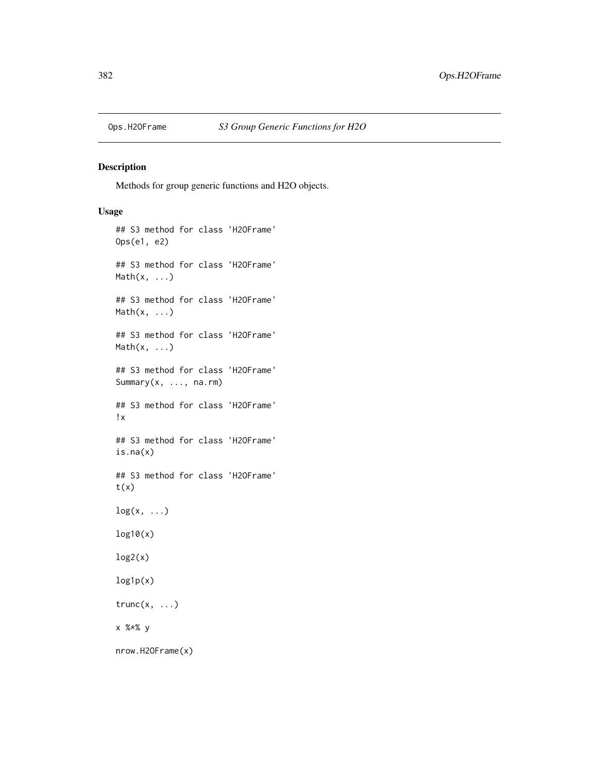## Description

Methods for group generic functions and H2O objects.

## Usage

```
## S3 method for class 'H2OFrame'
Ops(e1, e2)
## S3 method for class 'H2OFrame'
Math(x, \ldots)## S3 method for class 'H2OFrame'
Math(x, ...)
## S3 method for class 'H2OFrame'
Math(x, ...)
## S3 method for class 'H2OFrame'
Summary(x, ..., na.rm)
## S3 method for class 'H2OFrame'
!x
## S3 method for class 'H2OFrame'
is.na(x)
## S3 method for class 'H2OFrame'
t(x)log(x, \ldots)log10(x)
log2(x)log1p(x)
trunc(x, \ldots)x %*% y
nrow.H2OFrame(x)
```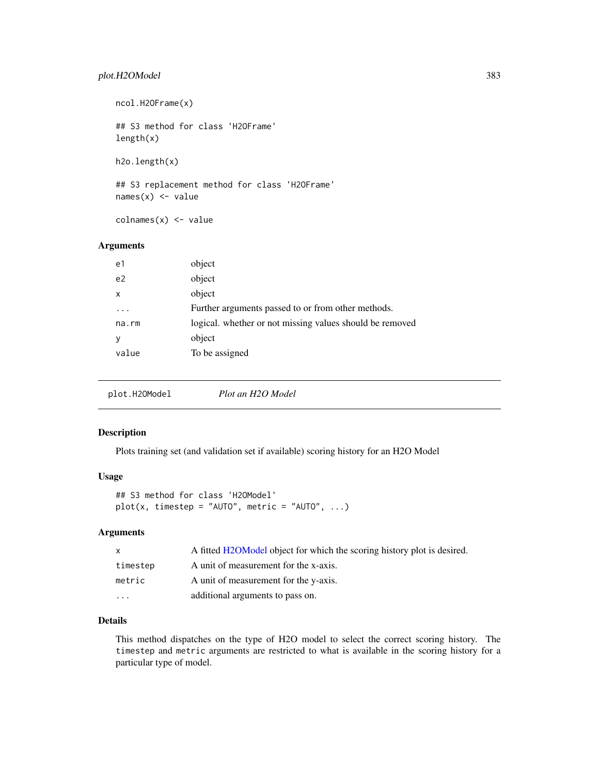## plot.H2OModel 383

ncol.H2OFrame(x) ## S3 method for class 'H2OFrame' length(x) h2o.length(x)

## S3 replacement method for class 'H2OFrame'  $names(x)$  <- value

colnames(x) <- value

## Arguments

| e1             | object                                                   |
|----------------|----------------------------------------------------------|
| e <sub>2</sub> | object                                                   |
| $\mathsf{x}$   | object                                                   |
| .              | Further arguments passed to or from other methods.       |
| na.rm          | logical. whether or not missing values should be removed |
| У              | object                                                   |
| value          | To be assigned                                           |
|                |                                                          |

plot.H2OModel *Plot an H2O Model*

#### Description

Plots training set (and validation set if available) scoring history for an H2O Model

#### Usage

```
## S3 method for class 'H2OModel'
plot(x, timestep = "AUT0", metric = "AUT0", ...)
```
# Arguments

| $\mathsf{X}$         | A fitted H2OModel object for which the scoring history plot is desired. |
|----------------------|-------------------------------------------------------------------------|
| timestep             | A unit of measurement for the x-axis.                                   |
| metric               | A unit of measurement for the y-axis.                                   |
| $\ddot{\phantom{0}}$ | additional arguments to pass on.                                        |

## Details

This method dispatches on the type of H2O model to select the correct scoring history. The timestep and metric arguments are restricted to what is available in the scoring history for a particular type of model.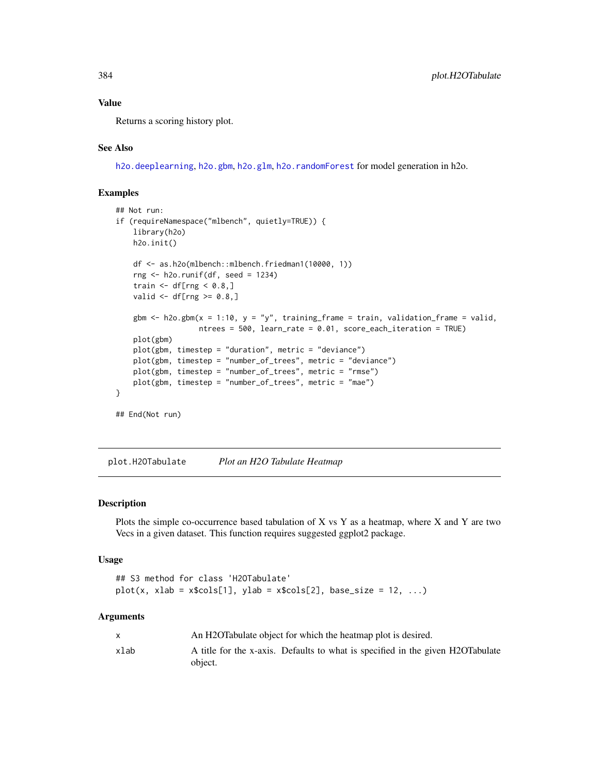## Value

Returns a scoring history plot.

### See Also

[h2o.deeplearning](#page-101-0), [h2o.gbm](#page-136-0), [h2o.glm](#page-157-0), [h2o.randomForest](#page-268-0) for model generation in h2o.

# Examples

```
## Not run:
if (requireNamespace("mlbench", quietly=TRUE)) {
    library(h2o)
   h2o.init()
   df <- as.h2o(mlbench::mlbench.friedman1(10000, 1))
   rng <- h2o.runif(df, seed = 1234)
   train \leq df[rng \leq 0.8,]
   valid \leq df[rng \geq 0.8,]
   gbm \le h2o.gbm(x = 1:10, y = "y", training_frame = train, validation_frame = valid,
                   ntrees = 500, learn_rate = 0.01, score_each_iteration = TRUE)
   plot(gbm)
   plot(gbm, timestep = "duration", metric = "deviance")
   plot(gbm, timestep = "number_of_trees", metric = "deviance")
   plot(gbm, timestep = "number_of_trees", metric = "rmse")
   plot(gbm, timestep = "number_of_trees", metric = "mae")
}
## End(Not run)
```
plot.H2OTabulate *Plot an H2O Tabulate Heatmap*

#### Description

Plots the simple co-occurrence based tabulation of X vs Y as a heatmap, where X and Y are two Vecs in a given dataset. This function requires suggested ggplot2 package.

#### Usage

```
## S3 method for class 'H2OTabulate'
plot(x, xlab = x$cols[1], ylab = x$cols[2], base_size = 12, ...)
```
#### Arguments

|      | An H2OTabulate object for which the heatmap plot is desired.                              |
|------|-------------------------------------------------------------------------------------------|
| xlab | A title for the x-axis. Defaults to what is specified in the given H2OTabulate<br>object. |
|      |                                                                                           |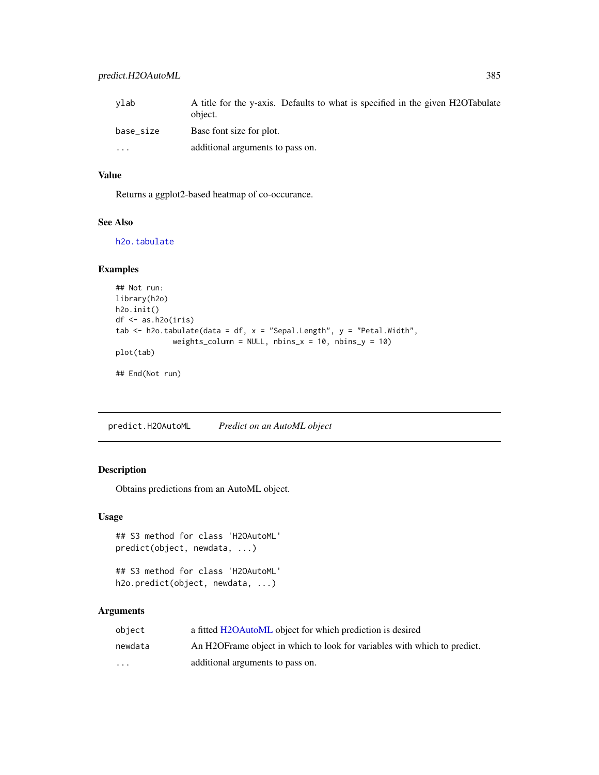| ylab      | A title for the y-axis. Defaults to what is specified in the given H2OTabulate<br>object. |
|-----------|-------------------------------------------------------------------------------------------|
| base_size | Base font size for plot.                                                                  |
| .         | additional arguments to pass on.                                                          |

## Value

Returns a ggplot2-based heatmap of co-occurance.

## See Also

[h2o.tabulate](#page-326-0)

## Examples

```
## Not run:
library(h2o)
h2o.init()
df <- as.h2o(iris)
tab \le h2o.tabulate(data = df, x = "Sepal.Length", y = "Petal.Width",
             weights_column = NULL, nbins_x = 10, nbins_y = 10)
plot(tab)
## End(Not run)
```
predict.H2OAutoML *Predict on an AutoML object*

#### Description

Obtains predictions from an AutoML object.

#### Usage

```
## S3 method for class 'H2OAutoML'
predict(object, newdata, ...)
```
## S3 method for class 'H2OAutoML' h2o.predict(object, newdata, ...)

## Arguments

| object  | a fitted H2OAutoML object for which prediction is desired                 |
|---------|---------------------------------------------------------------------------|
| newdata | An H2OF rame object in which to look for variables with which to predict. |
| $\cdot$ | additional arguments to pass on.                                          |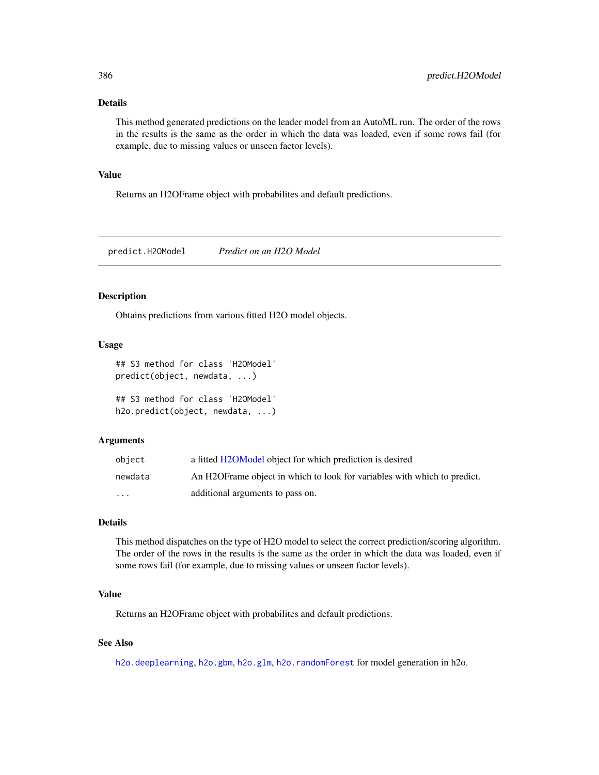## Details

This method generated predictions on the leader model from an AutoML run. The order of the rows in the results is the same as the order in which the data was loaded, even if some rows fail (for example, due to missing values or unseen factor levels).

#### Value

Returns an H2OFrame object with probabilites and default predictions.

predict.H2OModel *Predict on an H2O Model*

## Description

Obtains predictions from various fitted H2O model objects.

# Usage

```
## S3 method for class 'H2OModel'
predict(object, newdata, ...)
```

```
## S3 method for class 'H2OModel'
h2o.predict(object, newdata, ...)
```
## Arguments

| object  | a fitted H2OModel object for which prediction is desired                  |
|---------|---------------------------------------------------------------------------|
| newdata | An H2OF rame object in which to look for variables with which to predict. |
| $\cdot$ | additional arguments to pass on.                                          |

# Details

This method dispatches on the type of H2O model to select the correct prediction/scoring algorithm. The order of the rows in the results is the same as the order in which the data was loaded, even if some rows fail (for example, due to missing values or unseen factor levels).

#### Value

Returns an H2OFrame object with probabilites and default predictions.

#### See Also

[h2o.deeplearning](#page-101-0), [h2o.gbm](#page-136-0), [h2o.glm](#page-157-0), [h2o.randomForest](#page-268-0) for model generation in h2o.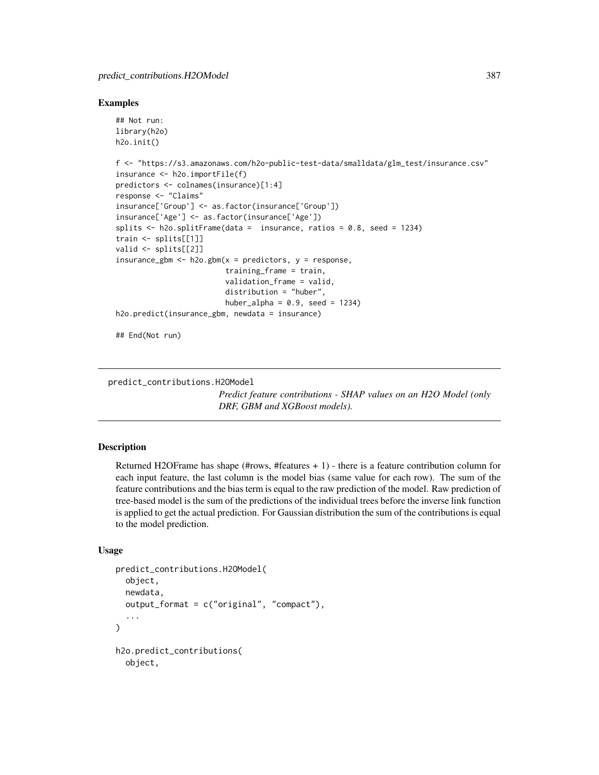#### Examples

```
## Not run:
library(h2o)
h2o.init()
f <- "https://s3.amazonaws.com/h2o-public-test-data/smalldata/glm_test/insurance.csv"
insurance <- h2o.importFile(f)
predictors <- colnames(insurance)[1:4]
response <- "Claims"
insurance['Group'] <- as.factor(insurance['Group'])
insurance['Age'] <- as.factor(insurance['Age'])
splits \le h2o.splitFrame(data = insurance, ratios = 0.8, seed = 1234)
train <- splits[[1]]
valid <- splits[[2]]
insurance_gbm <- h2o.gbm(x = predictors, y = response,
                         training_frame = train,
                         validation_frame = valid,
                         distribution = "huber",
                         huber_alpha = 0.9, seed = 1234)
h2o.predict(insurance_gbm, newdata = insurance)
## End(Not run)
```
predict\_contributions.H2OModel

*Predict feature contributions - SHAP values on an H2O Model (only DRF, GBM and XGBoost models).*

#### Description

Returned H2OFrame has shape ( $\#rows$ ,  $\#features + 1)$  - there is a feature contribution column for each input feature, the last column is the model bias (same value for each row). The sum of the feature contributions and the bias term is equal to the raw prediction of the model. Raw prediction of tree-based model is the sum of the predictions of the individual trees before the inverse link function is applied to get the actual prediction. For Gaussian distribution the sum of the contributions is equal to the model prediction.

## Usage

```
predict_contributions.H2OModel(
  object,
  newdata,
  output_format = c("original", "compact"),
  ...
)
h2o.predict_contributions(
 object,
```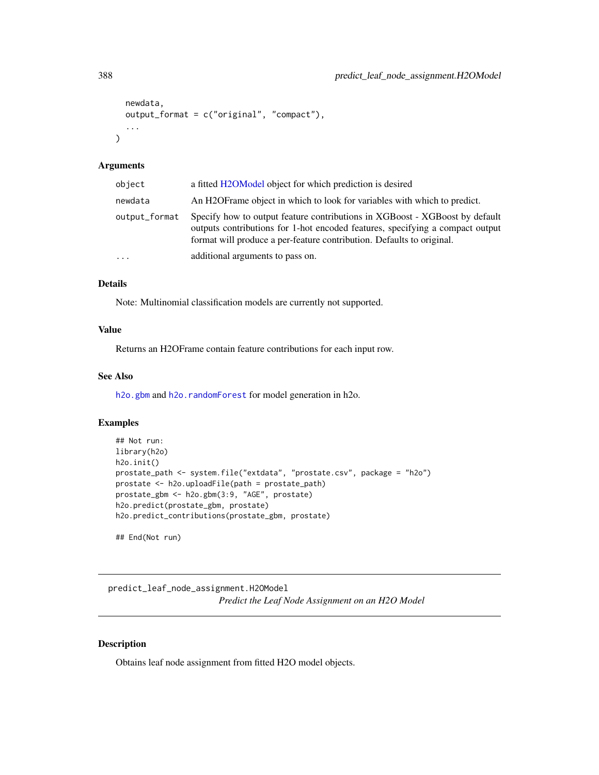```
newdata,
  output_format = c("original", "compact"),
  ...
\lambda
```
#### Arguments

| object        | a fitted H2OModel object for which prediction is desired                                                                                                                                                                              |
|---------------|---------------------------------------------------------------------------------------------------------------------------------------------------------------------------------------------------------------------------------------|
| newdata       | An H2OF rame object in which to look for variables with which to predict.                                                                                                                                                             |
| output_format | Specify how to output feature contributions in XGBoost - XGBoost by default<br>outputs contributions for 1-hot encoded features, specifying a compact output<br>format will produce a per-feature contribution. Defaults to original. |
| $\ddotsc$     | additional arguments to pass on.                                                                                                                                                                                                      |

## Details

Note: Multinomial classification models are currently not supported.

## Value

Returns an H2OFrame contain feature contributions for each input row.

## See Also

[h2o.gbm](#page-136-0) and [h2o.randomForest](#page-268-0) for model generation in h2o.

# Examples

```
## Not run:
library(h2o)
h2o.init()
prostate_path <- system.file("extdata", "prostate.csv", package = "h2o")
prostate <- h2o.uploadFile(path = prostate_path)
prostate_gbm <- h2o.gbm(3:9, "AGE", prostate)
h2o.predict(prostate_gbm, prostate)
h2o.predict_contributions(prostate_gbm, prostate)
```
## End(Not run)

predict\_leaf\_node\_assignment.H2OModel *Predict the Leaf Node Assignment on an H2O Model*

## <span id="page-387-0"></span>Description

Obtains leaf node assignment from fitted H2O model objects.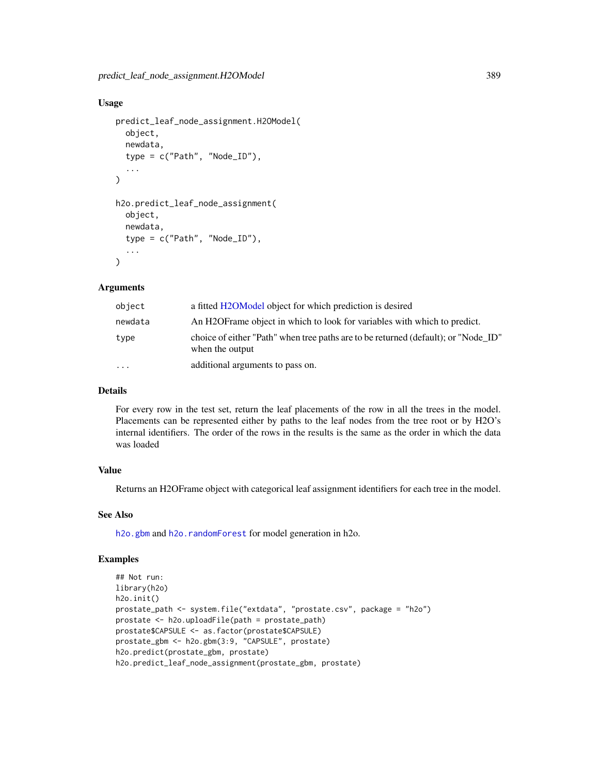### Usage

```
predict_leaf_node_assignment.H2OModel(
  object,
  newdata,
  type = c("Path", "Node_ID"),
  ...
\lambdah2o.predict_leaf_node_assignment(
  object,
  newdata,
  type = c("Path", "Node_ID"),
  ...
\mathcal{L}
```
#### Arguments

| object   | a fitted H2OModel object for which prediction is desired                                              |
|----------|-------------------------------------------------------------------------------------------------------|
| newdata  | An H2OF rame object in which to look for variables with which to predict.                             |
| type     | choice of either "Path" when tree paths are to be returned (default); or "Node ID"<br>when the output |
| $\ddots$ | additional arguments to pass on.                                                                      |

## Details

For every row in the test set, return the leaf placements of the row in all the trees in the model. Placements can be represented either by paths to the leaf nodes from the tree root or by H2O's internal identifiers. The order of the rows in the results is the same as the order in which the data was loaded

#### Value

Returns an H2OFrame object with categorical leaf assignment identifiers for each tree in the model.

#### See Also

[h2o.gbm](#page-136-0) and [h2o.randomForest](#page-268-0) for model generation in h2o.

#### Examples

```
## Not run:
library(h2o)
h2o.init()
prostate_path <- system.file("extdata", "prostate.csv", package = "h2o")
prostate <- h2o.uploadFile(path = prostate_path)
prostate$CAPSULE <- as.factor(prostate$CAPSULE)
prostate_gbm <- h2o.gbm(3:9, "CAPSULE", prostate)
h2o.predict(prostate_gbm, prostate)
h2o.predict_leaf_node_assignment(prostate_gbm, prostate)
```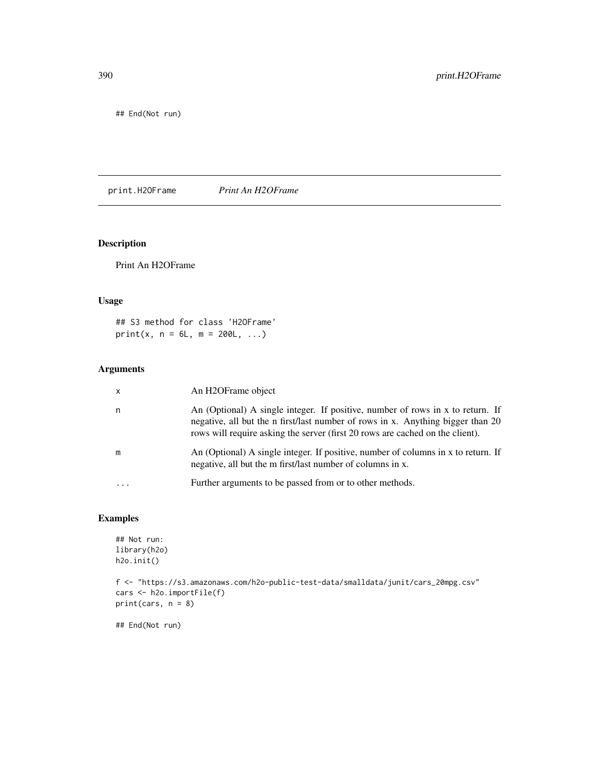## End(Not run)

print.H2OFrame *Print An H2OFrame*

# Description

Print An H2OFrame

## Usage

## S3 method for class 'H2OFrame'  $print(x, n = 6L, m = 200L, ...)$ 

## Arguments

| $\mathsf{x}$ | An H2OFrame object                                                                                                                                                                                                                                 |
|--------------|----------------------------------------------------------------------------------------------------------------------------------------------------------------------------------------------------------------------------------------------------|
| n            | An (Optional) A single integer. If positive, number of rows in x to return. If<br>negative, all but the n first/last number of rows in x. Anything bigger than 20<br>rows will require asking the server (first 20 rows are cached on the client). |
| m            | An (Optional) A single integer. If positive, number of columns in x to return. If<br>negative, all but the m first/last number of columns in x.                                                                                                    |
|              | Further arguments to be passed from or to other methods.                                                                                                                                                                                           |

# Examples

```
## Not run:
library(h2o)
h2o.init()
f <- "https://s3.amazonaws.com/h2o-public-test-data/smalldata/junit/cars_20mpg.csv"
cars <- h2o.importFile(f)
print(cars, n = 8)
```
## End(Not run)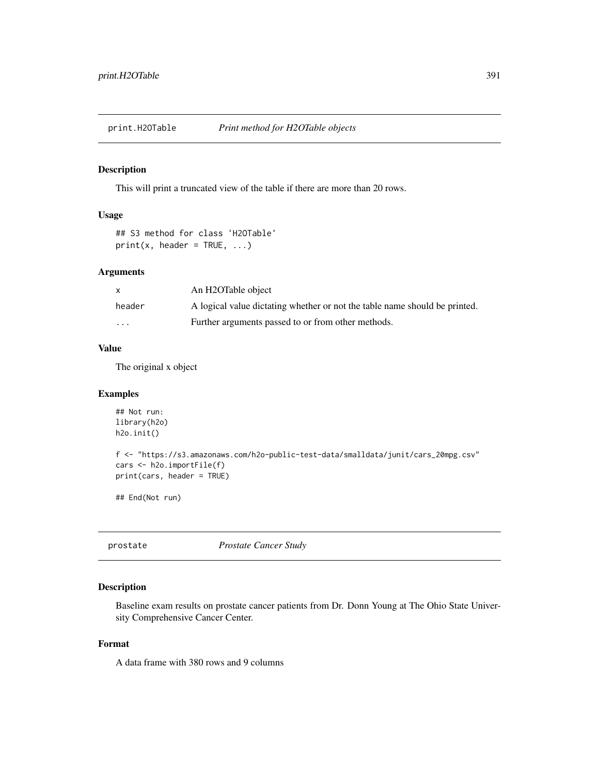print.H2OTable *Print method for H2OTable objects*

#### Description

This will print a truncated view of the table if there are more than 20 rows.

# Usage

```
## S3 method for class 'H2OTable'
print(x, header = TRUE, ...)
```
# Arguments

| $\mathsf{x}$ | An H2OTable object                                                         |
|--------------|----------------------------------------------------------------------------|
| header       | A logical value dictating whether or not the table name should be printed. |
| .            | Further arguments passed to or from other methods.                         |

#### Value

The original x object

## Examples

```
## Not run:
library(h2o)
h2o.init()
f <- "https://s3.amazonaws.com/h2o-public-test-data/smalldata/junit/cars_20mpg.csv"
cars <- h2o.importFile(f)
print(cars, header = TRUE)
## End(Not run)
```
prostate *Prostate Cancer Study*

## Description

Baseline exam results on prostate cancer patients from Dr. Donn Young at The Ohio State University Comprehensive Cancer Center.

## Format

A data frame with 380 rows and 9 columns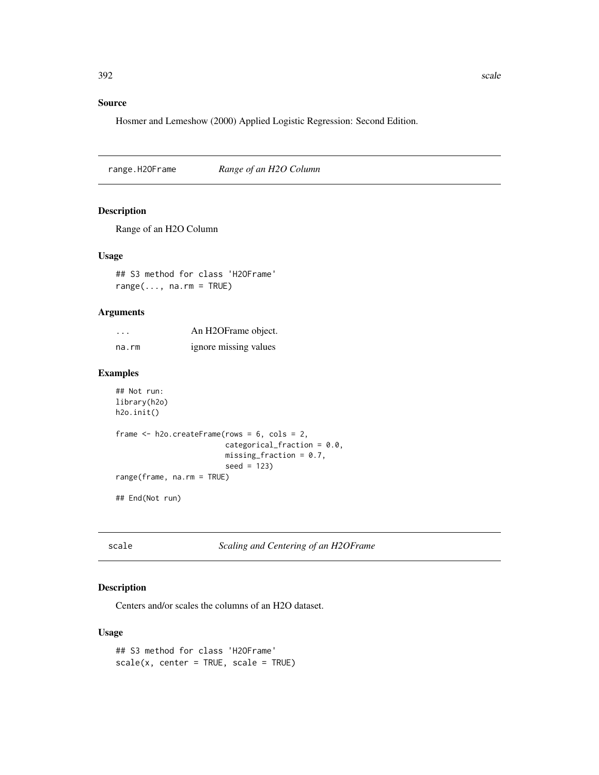# Source

Hosmer and Lemeshow (2000) Applied Logistic Regression: Second Edition.

range.H2OFrame *Range of an H2O Column*

## Description

Range of an H2O Column

#### Usage

## S3 method for class 'H2OFrame'  $range(..., na.rm = TRUE)$ 

## Arguments

| $\cdots$ | An H2OFrame object.   |
|----------|-----------------------|
| na.rm    | ignore missing values |

#### Examples

```
## Not run:
library(h2o)
h2o.init()
frame <- h2o.createFrame(rows = 6, cols = 2,
                         categorical_fraction = 0.0,
```
range(frame, na.rm = TRUE)

## End(Not run)

scale *Scaling and Centering of an H2OFrame*

 $missing\_fraction = 0.7$ ,

seed = 123)

## Description

Centers and/or scales the columns of an H2O dataset.

#### Usage

## S3 method for class 'H2OFrame'  $scale(x, center = TRUE, scale = TRUE)$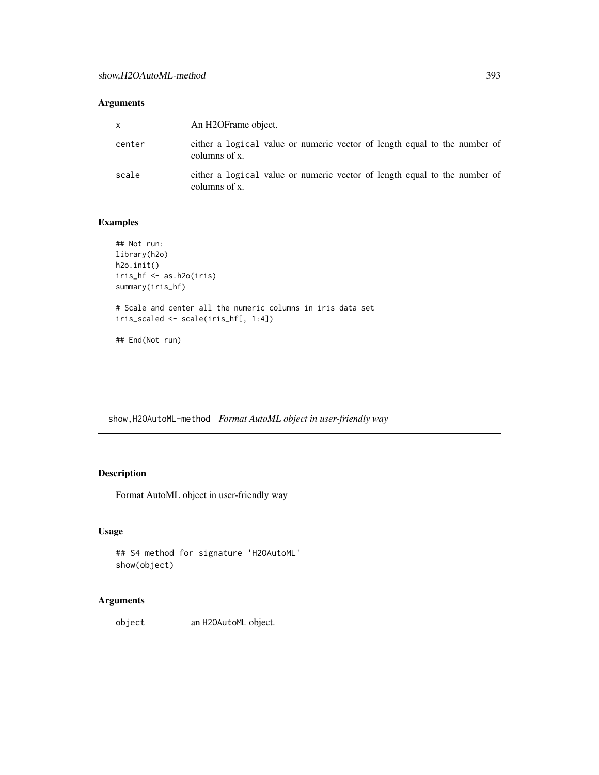# Arguments

| x      | An H2OFrame object.                                                                        |
|--------|--------------------------------------------------------------------------------------------|
| center | either a logical value or numeric vector of length equal to the number of<br>columns of x. |
| scale  | either a logical value or numeric vector of length equal to the number of<br>columns of x. |

## Examples

```
## Not run:
library(h2o)
h2o.init()
iris_hf <- as.h2o(iris)
summary(iris_hf)
# Scale and center all the numeric columns in iris data set
iris_scaled <- scale(iris_hf[, 1:4])
## End(Not run)
```
show,H2OAutoML-method *Format AutoML object in user-friendly way*

# Description

Format AutoML object in user-friendly way

## Usage

```
## S4 method for signature 'H2OAutoML'
show(object)
```
# Arguments

object an H2OAutoML object.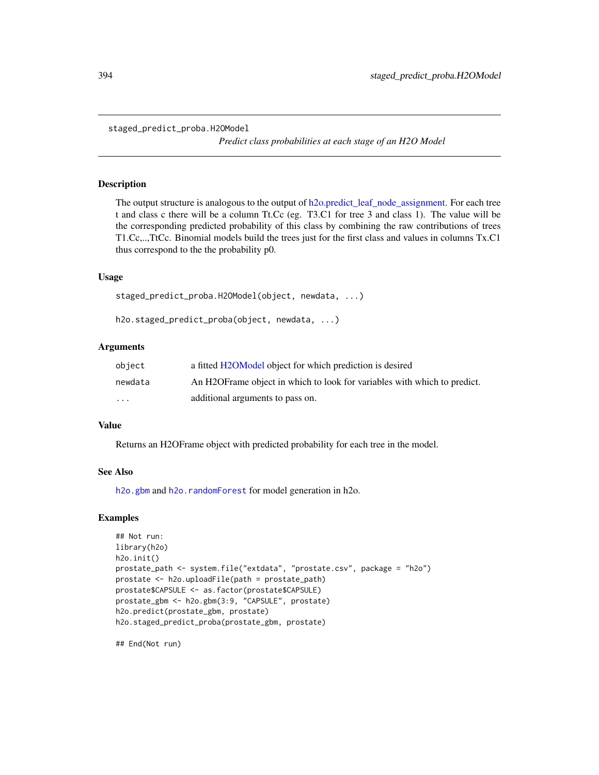staged\_predict\_proba.H2OModel

*Predict class probabilities at each stage of an H2O Model*

#### Description

The output structure is analogous to the output of [h2o.predict\\_leaf\\_node\\_assignment.](#page-387-0) For each tree t and class c there will be a column Tt.Cc (eg. T3.C1 for tree 3 and class 1). The value will be the corresponding predicted probability of this class by combining the raw contributions of trees T1.Cc,..,TtCc. Binomial models build the trees just for the first class and values in columns Tx.C1 thus correspond to the the probability p0.

#### Usage

```
staged_predict_proba.H2OModel(object, newdata, ...)
```
h2o.staged\_predict\_proba(object, newdata, ...)

#### Arguments

| obiect   | a fitted H2OModel object for which prediction is desired                  |
|----------|---------------------------------------------------------------------------|
| newdata  | An H2OF rame object in which to look for variables with which to predict. |
| $\cdots$ | additional arguments to pass on.                                          |

#### Value

Returns an H2OFrame object with predicted probability for each tree in the model.

#### See Also

[h2o.gbm](#page-136-0) and [h2o.randomForest](#page-268-0) for model generation in h2o.

#### Examples

```
## Not run:
library(h2o)
h2o.init()
prostate_path <- system.file("extdata", "prostate.csv", package = "h2o")
prostate <- h2o.uploadFile(path = prostate_path)
prostate$CAPSULE <- as.factor(prostate$CAPSULE)
prostate_gbm <- h2o.gbm(3:9, "CAPSULE", prostate)
h2o.predict(prostate_gbm, prostate)
h2o.staged_predict_proba(prostate_gbm, prostate)
```
## End(Not run)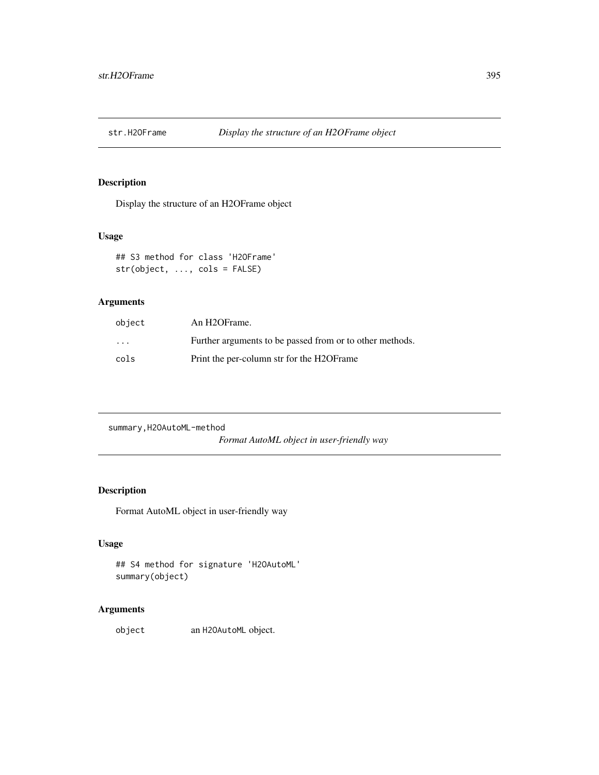## Description

Display the structure of an H2OFrame object

## Usage

## S3 method for class 'H2OFrame' str(object, ..., cols = FALSE)

# Arguments

| object            | An H <sub>2</sub> OFrame.                                |
|-------------------|----------------------------------------------------------|
| $\cdot\cdot\cdot$ | Further arguments to be passed from or to other methods. |
| cols              | Print the per-column str for the H2OF rame               |

summary,H2OAutoML-method

*Format AutoML object in user-friendly way*

# Description

Format AutoML object in user-friendly way

# Usage

## S4 method for signature 'H2OAutoML' summary(object)

# Arguments

object an H2OAutoML object.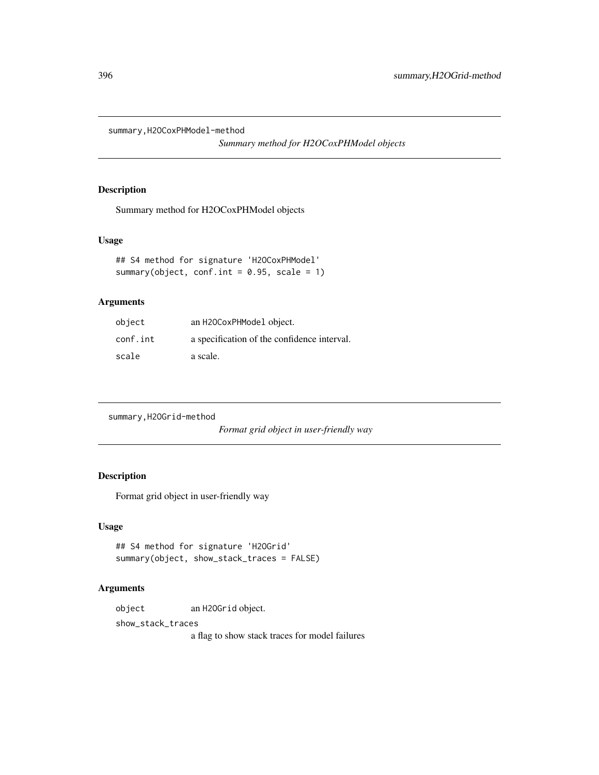summary,H2OCoxPHModel-method

*Summary method for H2OCoxPHModel objects*

## Description

Summary method for H2OCoxPHModel objects

#### Usage

```
## S4 method for signature 'H2OCoxPHModel'
summary(object, conf.int = 0.95, scale = 1)
```
# Arguments

| object   | an H20CoxPHModel object.                    |
|----------|---------------------------------------------|
| conf.int | a specification of the confidence interval. |
| scale    | a scale.                                    |

summary,H2OGrid-method

*Format grid object in user-friendly way*

## Description

Format grid object in user-friendly way

## Usage

```
## S4 method for signature 'H2OGrid'
summary(object, show_stack_traces = FALSE)
```
#### Arguments

object an H2OGrid object.

show\_stack\_traces

a flag to show stack traces for model failures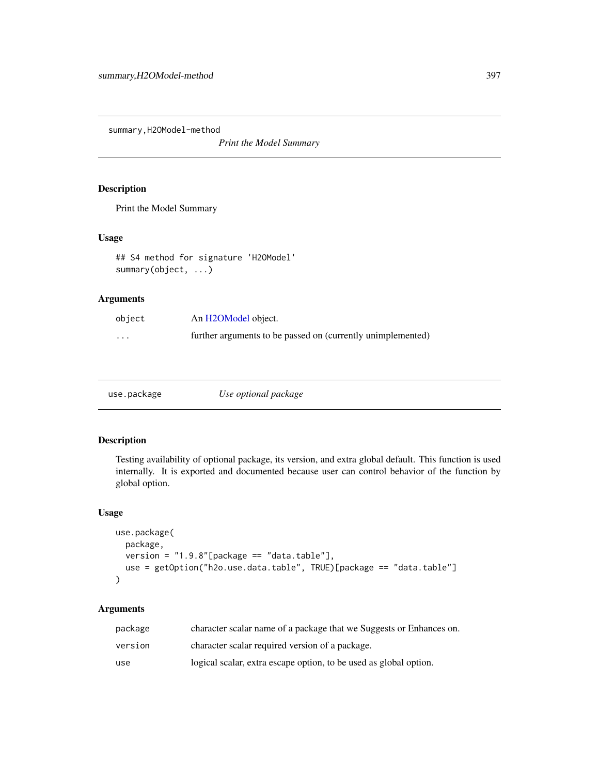<span id="page-396-0"></span>summary,H2OModel-method

*Print the Model Summary*

# Description

Print the Model Summary

# Usage

```
## S4 method for signature 'H2OModel'
summary(object, ...)
```
# Arguments

| object   | An H2OModel object.                                         |
|----------|-------------------------------------------------------------|
| $\cdots$ | further arguments to be passed on (currently unimplemented) |

| use.package | Use optional package |
|-------------|----------------------|
|-------------|----------------------|

# Description

Testing availability of optional package, its version, and extra global default. This function is used internally. It is exported and documented because user can control behavior of the function by global option.

# Usage

```
use.package(
 package,
 version = "1.9.8"[package == "data.table"],
 use = getOption("h2o.use.data.table", TRUE)[package == "data.table"]
)
```
# Arguments

| package | character scalar name of a package that we Suggests or Enhances on. |
|---------|---------------------------------------------------------------------|
| version | character scalar required version of a package.                     |
| use     | logical scalar, extra escape option, to be used as global option.   |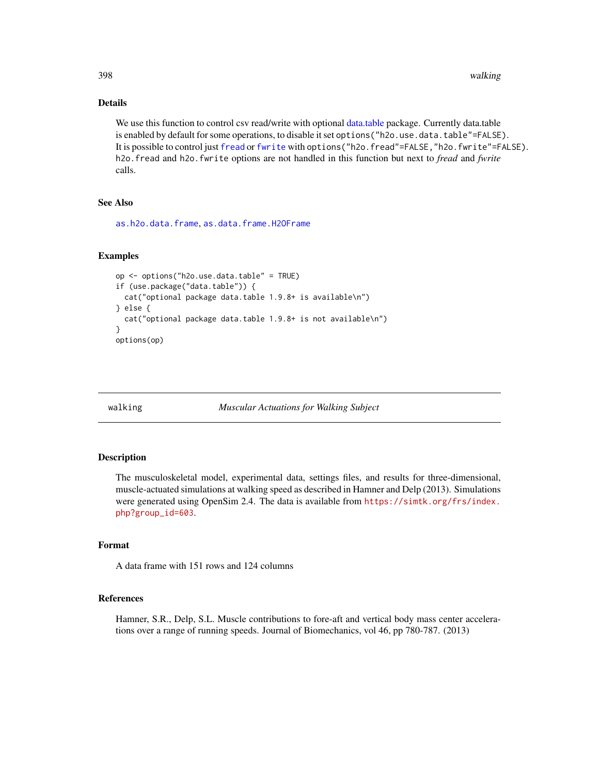398 walking

# Details

We use this function to control csv read/write with optional [data.table](#page-0-0) package. Currently data.table is enabled by default for some operations, to disable it set options ("h2o.use.data.table"=FALSE). It is possible to control just [fread](#page-0-0) or [fwrite](#page-0-0) with options ("h2o.fread"=FALSE,"h2o.fwrite"=FALSE). h2o.fread and h2o.fwrite options are not handled in this function but next to *fread* and *fwrite* calls.

# See Also

[as.h2o.data.frame](#page-42-0), [as.data.frame.H2OFrame](#page-40-0)

### Examples

```
op <- options("h2o.use.data.table" = TRUE)
if (use.package("data.table")) {
 cat("optional package data.table 1.9.8+ is available\n")
} else {
 cat("optional package data.table 1.9.8+ is not available\n")
}
options(op)
```
walking *Muscular Actuations for Walking Subject*

### Description

The musculoskeletal model, experimental data, settings files, and results for three-dimensional, muscle-actuated simulations at walking speed as described in Hamner and Delp (2013). Simulations were generated using OpenSim 2.4. The data is available from [https://simtk.org/frs/index.](https://simtk.org/frs/index.php?group_id=603) [php?group\\_id=603](https://simtk.org/frs/index.php?group_id=603).

# Format

A data frame with 151 rows and 124 columns

### References

Hamner, S.R., Delp, S.L. Muscle contributions to fore-aft and vertical body mass center accelerations over a range of running speeds. Journal of Biomechanics, vol 46, pp 780-787. (2013)

<span id="page-397-0"></span>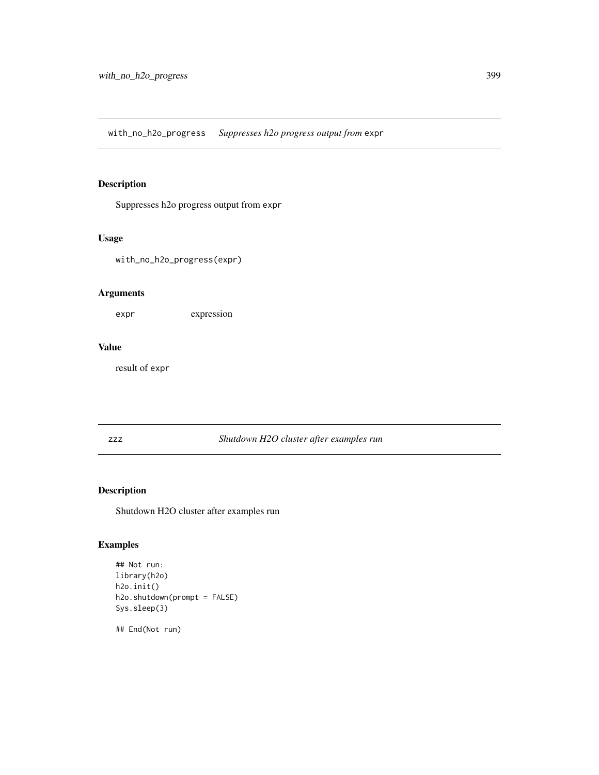<span id="page-398-0"></span>with\_no\_h2o\_progress *Suppresses h2o progress output from* expr

# Description

Suppresses h2o progress output from expr

# Usage

with\_no\_h2o\_progress(expr)

# Arguments

expr expression

# Value

result of expr

# zzz *Shutdown H2O cluster after examples run*

# Description

Shutdown H2O cluster after examples run

# Examples

```
## Not run:
library(h2o)
h2o.init()
h2o.shutdown(prompt = FALSE)
Sys.sleep(3)
```
## End(Not run)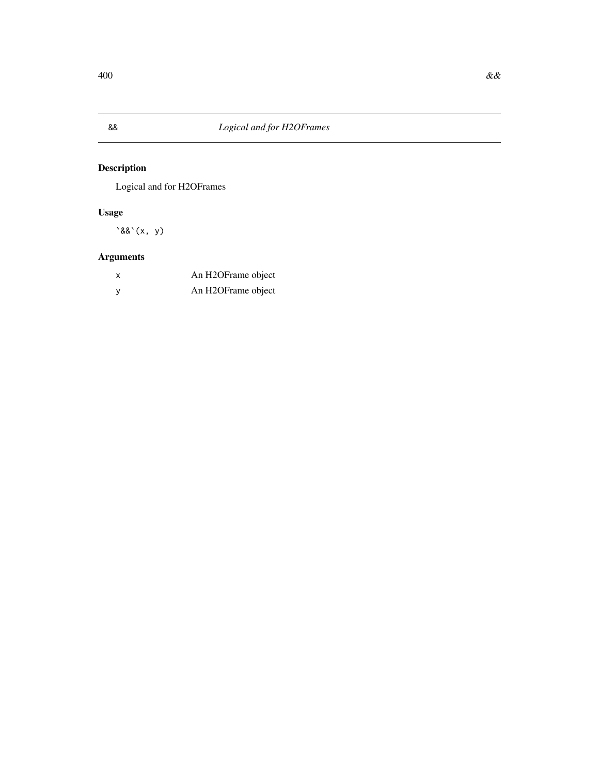<span id="page-399-0"></span>

# Description

Logical and for H2OFrames

# Usage

 $\&&(x, y)$ 

# Arguments

| x | An H2OFrame object |
|---|--------------------|
|   | An H2OFrame object |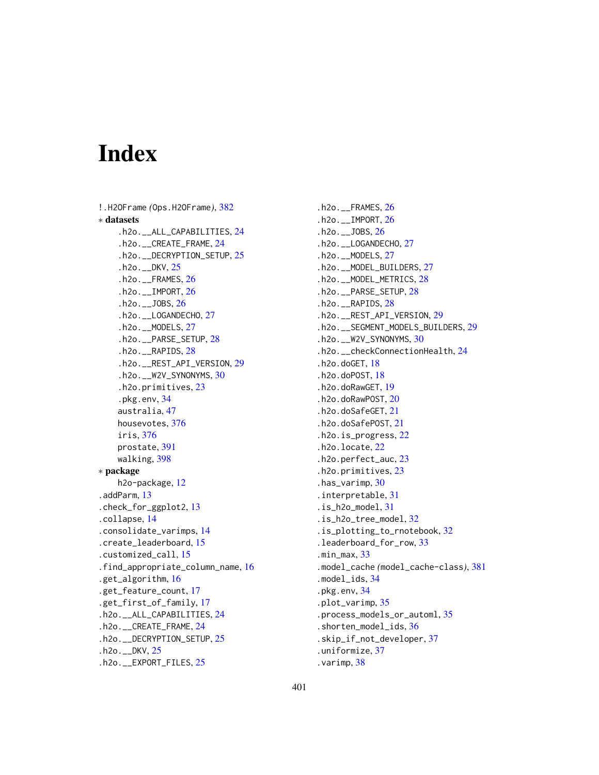# Index

```
!.H2OFrame (Ops.H2OFrame), 382
∗ datasets
    .h2o.__ALL_CAPABILITIES, 24
    .h2o.__CREATE_FRAME, 24
    .h2o.__DECRYPTION_SETUP, 25
    .h2o.__DKV, 25
    .h2o.__FRAMES, 26
    .h2o.__IMPORT, 26
    .h2o.__JOBS, 26
    .h2o.__LOGANDECHO, 27
    .h2o.__MODELS, 27
    .h2o.__PARSE_SETUP, 28
    .h2o.__RAPIDS, 28
    .h2o.__REST_API_VERSION, 29
    .h2o.__W2V_SYNONYMS, 30
    .h2o.primitives, 23
    .pkg.env, 34
    australia, 47
    housevotes, 376
    iris, 376
    prostate, 391
    walking, 398
∗ package
    h2o-package, 12
.addParm, 13
.check_for_ggplot2, 13
.collapse, 14
.consolidate_varimps, 14
.create_leaderboard, 15
.customized_call, 15
.find_appropriate_column_name, 16
.get_algorithm, 16
.get_feature_count, 17
.get_first_of_family, 17
.h2o.__ALL_CAPABILITIES, 24
.h2o.__CREATE_FRAME, 24
.h2o.__DECRYPTION_SETUP, 25
.h2o.__DKV, 25
.h2o.__EXPORT_FILES, 25
```
.h2o.\_\_FRAMES, [26](#page-25-0) .h2o.\_\_IMPORT, [26](#page-25-0) .h2o.\_\_JOBS, [26](#page-25-0) .h2o.\_\_LOGANDECHO, [27](#page-26-0) .h2o.\_\_MODELS, [27](#page-26-0) .h2o.\_\_MODEL\_BUILDERS, [27](#page-26-0) .h2o.\_\_MODEL\_METRICS, [28](#page-27-0) .h2o.\_\_PARSE\_SETUP, [28](#page-27-0) .h2o.\_\_RAPIDS, [28](#page-27-0) .h2o.\_\_REST\_API\_VERSION, [29](#page-28-0) .h2o.\_\_SEGMENT\_MODELS\_BUILDERS, [29](#page-28-0) .h2o.\_\_W2V\_SYNONYMS, [30](#page-29-0) .h2o.\_\_checkConnectionHealth, [24](#page-23-0) .h2o.doGET, [18](#page-17-0) .h2o.doPOST, [18](#page-17-0) .h2o.doRawGET, [19](#page-18-0) .h2o.doRawPOST, [20](#page-19-0) .h2o.doSafeGET, [21](#page-20-0) .h2o.doSafePOST, [21](#page-20-0) .h2o.is\_progress, [22](#page-21-0) .h2o.locate, [22](#page-21-0) .h2o.perfect\_auc, [23](#page-22-0) .h2o.primitives, [23](#page-22-0) .has\_varimp, [30](#page-29-0) .interpretable, [31](#page-30-0) .is\_h2o\_model, [31](#page-30-0) .is\_h2o\_tree\_model, [32](#page-31-0) .is\_plotting\_to\_rnotebook, [32](#page-31-0) .leaderboard\_for\_row, [33](#page-32-0) .min\_max, [33](#page-32-0) .model\_cache *(*model\_cache-class*)*, [381](#page-380-0) .model\_ids, [34](#page-33-0) .pkg.env, [34](#page-33-0) .plot\_varimp, [35](#page-34-0) .process\_models\_or\_automl, [35](#page-34-0) .shorten\_model\_ids, [36](#page-35-0) .skip\_if\_not\_developer, [37](#page-36-0) .uniformize, [37](#page-36-0) .varimp, [38](#page-37-0)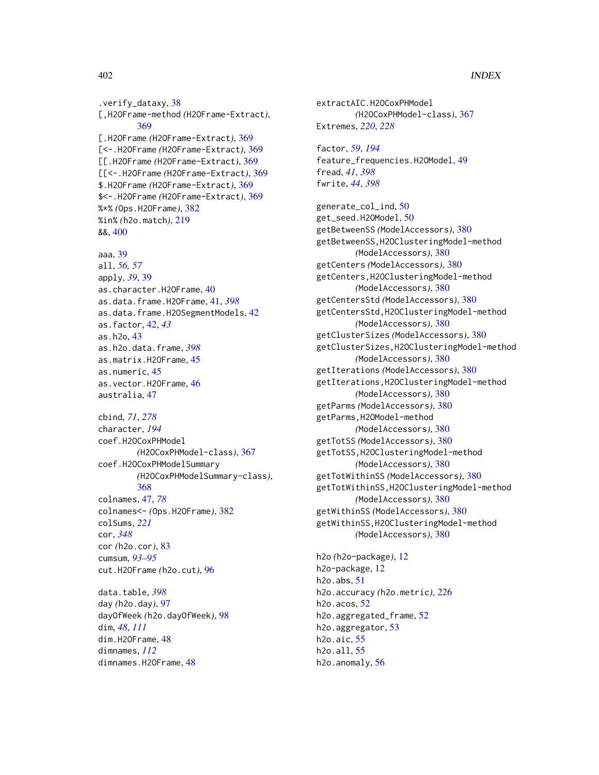.verify\_dataxy, [38](#page-37-0) [,H2OFrame-method *(*H2OFrame-Extract*)*, [369](#page-368-0) [.H2OFrame *(*H2OFrame-Extract*)*, [369](#page-368-0) [<-.H2OFrame *(*H2OFrame-Extract*)*, [369](#page-368-0) [[.H2OFrame *(*H2OFrame-Extract*)*, [369](#page-368-0) [[<-.H2OFrame *(*H2OFrame-Extract*)*, [369](#page-368-0) \$.H2OFrame *(*H2OFrame-Extract*)*, [369](#page-368-0) \$<-.H2OFrame *(*H2OFrame-Extract*)*, [369](#page-368-0) %\*% *(*Ops.H2OFrame*)*, [382](#page-381-0) %in% *(*h2o.match*)*, [219](#page-218-0) &&, [400](#page-399-0)

# aaa, [39](#page-38-0)

all, *[56,](#page-55-0) [57](#page-56-0)* apply, *[39](#page-38-0)*, [39](#page-38-0) as.character.H2OFrame, [40](#page-39-0) as.data.frame.H2OFrame, [41,](#page-40-1) *[398](#page-397-0)* as.data.frame.H2OSegmentModels, [42](#page-41-0) as.factor, [42,](#page-41-0) *[43](#page-42-1)* as.h2o, [43](#page-42-1) as.h2o.data.frame, *[398](#page-397-0)* as.matrix.H2OFrame, [45](#page-44-0) as.numeric, [45](#page-44-0) as.vector.H2OFrame, [46](#page-45-0) australia, [47](#page-46-0)

#### cbind, *[71](#page-70-0)*, *[278](#page-277-0)*

character, *[194](#page-193-0)* coef.H2OCoxPHModel *(*H2OCoxPHModel-class*)*, [367](#page-366-0) coef.H2OCoxPHModelSummary *(*H2OCoxPHModelSummary-class*)*, [368](#page-367-0) colnames, [47,](#page-46-0) *[78](#page-77-0)* colnames<- *(*Ops.H2OFrame*)*, [382](#page-381-0) colSums, *[221](#page-220-0)* cor, *[348](#page-347-0)* cor *(*h2o.cor*)*, [83](#page-82-0) cumsum, *[93](#page-92-0)[–95](#page-94-0)* cut.H2OFrame *(*h2o.cut*)*, [96](#page-95-0)

data.table, *[398](#page-397-0)* day *(*h2o.day*)*, [97](#page-96-0) dayOfWeek *(*h2o.dayOfWeek*)*, [98](#page-97-0) dim, *[48](#page-47-0)*, *[111](#page-110-0)* dim.H2OFrame, [48](#page-47-0) dimnames, *[112](#page-111-0)* dimnames.H2OFrame, [48](#page-47-0)

extractAIC.H2OCoxPHModel *(*H2OCoxPHModel-class*)*, [367](#page-366-0) Extremes, *[220](#page-219-0)*, *[228](#page-227-0)*

factor, *[59](#page-58-0)*, *[194](#page-193-0)* feature\_frequencies.H2OModel, [49](#page-48-0) fread, *[41](#page-40-1)*, *[398](#page-397-0)* fwrite, *[44](#page-43-0)*, *[398](#page-397-0)*

generate\_col\_ind, [50](#page-49-0) get\_seed.H2OModel, [50](#page-49-0) getBetweenSS *(*ModelAccessors*)*, [380](#page-379-0) getBetweenSS,H2OClusteringModel-method *(*ModelAccessors*)*, [380](#page-379-0) getCenters *(*ModelAccessors*)*, [380](#page-379-0) getCenters,H2OClusteringModel-method *(*ModelAccessors*)*, [380](#page-379-0) getCentersStd *(*ModelAccessors*)*, [380](#page-379-0) getCentersStd,H2OClusteringModel-method *(*ModelAccessors*)*, [380](#page-379-0) getClusterSizes *(*ModelAccessors*)*, [380](#page-379-0) getClusterSizes,H2OClusteringModel-method *(*ModelAccessors*)*, [380](#page-379-0) getIterations *(*ModelAccessors*)*, [380](#page-379-0) getIterations,H2OClusteringModel-method *(*ModelAccessors*)*, [380](#page-379-0) getParms *(*ModelAccessors*)*, [380](#page-379-0) getParms,H2OModel-method *(*ModelAccessors*)*, [380](#page-379-0) getTotSS *(*ModelAccessors*)*, [380](#page-379-0) getTotSS,H2OClusteringModel-method *(*ModelAccessors*)*, [380](#page-379-0) getTotWithinSS *(*ModelAccessors*)*, [380](#page-379-0) getTotWithinSS,H2OClusteringModel-method *(*ModelAccessors*)*, [380](#page-379-0) getWithinSS *(*ModelAccessors*)*, [380](#page-379-0) getWithinSS,H2OClusteringModel-method *(*ModelAccessors*)*, [380](#page-379-0)

h2o *(*h2o-package*)*, [12](#page-11-0) h2o-package, [12](#page-11-0) h2o.abs, [51](#page-50-0) h2o.accuracy *(*h2o.metric*)*, [226](#page-225-0) h2o.acos, [52](#page-51-0) h2o.aggregated\_frame, [52](#page-51-0) h2o.aggregator, [53](#page-52-0) h2o.aic, [55](#page-54-0) h2o.all, [55](#page-54-0) h2o.anomaly, [56](#page-55-0)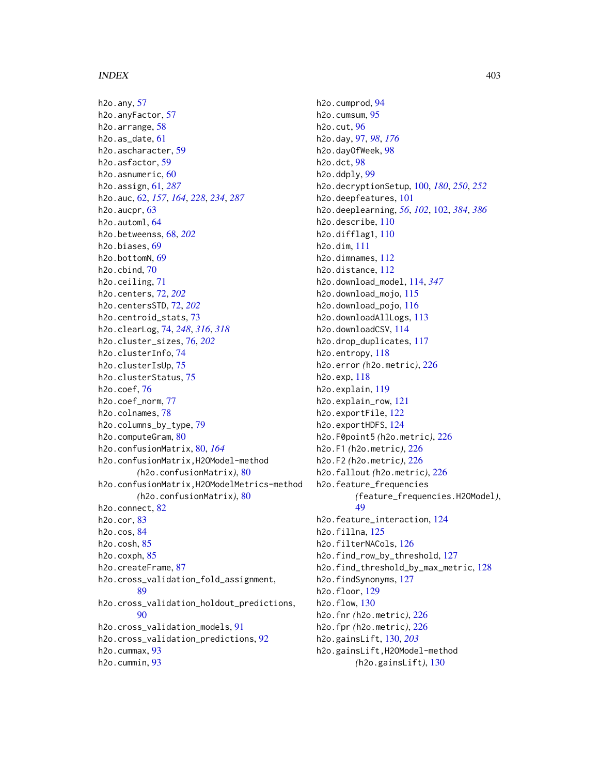h2o.any, [57](#page-56-0) h2o.anyFactor, [57](#page-56-0) h2o.arrange, [58](#page-57-0) h2o.as\_date, [61](#page-60-0) h2o.ascharacter, [59](#page-58-0) h2o.asfactor, [59](#page-58-0) h2o.asnumeric, [60](#page-59-0) h2o.assign, [61,](#page-60-0) *[287](#page-286-0)* h2o.auc, [62,](#page-61-0) *[157](#page-156-0)*, *[164](#page-163-0)*, *[228](#page-227-0)*, *[234](#page-233-0)*, *[287](#page-286-0)* h2o.aucpr, [63](#page-62-0) h2o.automl, [64](#page-63-0) h2o.betweenss, [68,](#page-67-0) *[202](#page-201-0)* h2o.biases, [69](#page-68-0) h2o.bottomN, [69](#page-68-0) h2o.cbind, [70](#page-69-0) h2o.ceiling, [71](#page-70-0) h2o.centers, [72,](#page-71-0) *[202](#page-201-0)* h2o.centersSTD, [72,](#page-71-0) *[202](#page-201-0)* h2o.centroid\_stats, [73](#page-72-0) h2o.clearLog, [74,](#page-73-0) *[248](#page-247-0)*, *[316](#page-315-0)*, *[318](#page-317-0)* h2o.cluster\_sizes, [76,](#page-75-0) *[202](#page-201-0)* h2o.clusterInfo, [74](#page-73-0) h2o.clusterIsUp, [75](#page-74-0) h2o.clusterStatus, [75](#page-74-0) h2o.coef, [76](#page-75-0) h2o.coef\_norm, [77](#page-76-0) h2o.colnames, [78](#page-77-0) h2o.columns\_by\_type, [79](#page-78-0) h2o.computeGram, [80](#page-79-0) h2o.confusionMatrix, [80,](#page-79-0) *[164](#page-163-0)* h2o.confusionMatrix,H2OModel-method *(*h2o.confusionMatrix*)*, [80](#page-79-0) h2o.confusionMatrix,H2OModelMetrics-method *(*h2o.confusionMatrix*)*, [80](#page-79-0) h2o.connect, [82](#page-81-0) h2o.cor, [83](#page-82-0) h2o.cos, [84](#page-83-0) h2o.cosh, [85](#page-84-0) h2o.coxph, [85](#page-84-0) h2o.createFrame, [87](#page-86-0) h2o.cross\_validation\_fold\_assignment, [89](#page-88-0) h2o.cross\_validation\_holdout\_predictions, [90](#page-89-0) h2o.cross\_validation\_models, [91](#page-90-0) h2o.cross\_validation\_predictions, [92](#page-91-0) h2o.cummax, [93](#page-92-0) h2o.cummin, [93](#page-92-0)

h2o.cumprod, [94](#page-93-0) h2o.cumsum, [95](#page-94-0) h2o.cut, [96](#page-95-0) h2o.day, [97,](#page-96-0) *[98](#page-97-0)*, *[176](#page-175-0)* h2o.dayOfWeek, [98](#page-97-0) h2o.dct, [98](#page-97-0) h2o.ddply, [99](#page-98-0) h2o.decryptionSetup, [100,](#page-99-0) *[180](#page-179-0)*, *[250](#page-249-0)*, *[252](#page-251-0)* h2o.deepfeatures, [101](#page-100-0) h2o.deeplearning, *[56](#page-55-0)*, *[102](#page-101-0)*, [102,](#page-101-0) *[384](#page-383-0)*, *[386](#page-385-0)* h2o.describe, [110](#page-109-0) h2o.difflag1, [110](#page-109-0) h2o.dim, [111](#page-110-0) h2o.dimnames, [112](#page-111-0) h2o.distance, [112](#page-111-0) h2o.download\_model, [114,](#page-113-0) *[347](#page-346-0)* h2o.download\_mojo, [115](#page-114-0) h2o.download\_pojo, [116](#page-115-0) h2o.downloadAllLogs, [113](#page-112-0) h2o.downloadCSV, [114](#page-113-0) h2o.drop\_duplicates, [117](#page-116-0) h2o.entropy, [118](#page-117-0) h2o.error *(*h2o.metric*)*, [226](#page-225-0) h2o.exp, [118](#page-117-0) h2o.explain, [119](#page-118-0) h2o.explain\_row, [121](#page-120-0) h2o.exportFile, [122](#page-121-0) h2o.exportHDFS, [124](#page-123-0) h2o.F0point5 *(*h2o.metric*)*, [226](#page-225-0) h2o.F1 *(*h2o.metric*)*, [226](#page-225-0) h2o.F2 *(*h2o.metric*)*, [226](#page-225-0) h2o.fallout *(*h2o.metric*)*, [226](#page-225-0) h2o.feature\_frequencies *(*feature\_frequencies.H2OModel*)*, [49](#page-48-0) h2o.feature\_interaction, [124](#page-123-0) h2o.fillna, [125](#page-124-0) h2o.filterNACols, [126](#page-125-0) h2o.find\_row\_by\_threshold, [127](#page-126-0) h2o.find\_threshold\_by\_max\_metric, [128](#page-127-0) h2o.findSynonyms, [127](#page-126-0) h2o.floor, [129](#page-128-0) h2o.flow, [130](#page-129-0) h2o.fnr *(*h2o.metric*)*, [226](#page-225-0) h2o.fpr *(*h2o.metric*)*, [226](#page-225-0) h2o.gainsLift, [130,](#page-129-0) *[203](#page-202-0)* h2o.gainsLift,H2OModel-method *(*h2o.gainsLift*)*, [130](#page-129-0)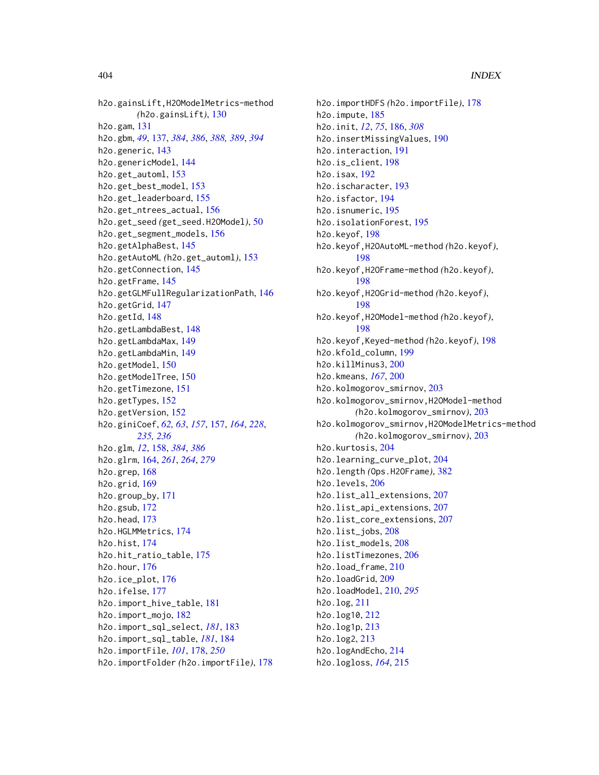h2o.gainsLift,H2OModelMetrics-method *(*h2o.gainsLift*)*, [130](#page-129-0) h2o.gam, [131](#page-130-0) h2o.gbm, *[49](#page-48-0)*, [137,](#page-136-0) *[384](#page-383-0)*, *[386](#page-385-0)*, *[388,](#page-387-0) [389](#page-388-0)*, *[394](#page-393-0)* h2o.generic, [143](#page-142-0) h2o.genericModel, [144](#page-143-0) h2o.get\_automl, [153](#page-152-0) h2o.get\_best\_model, [153](#page-152-0) h2o.get\_leaderboard, [155](#page-154-0) h2o.get\_ntrees\_actual, [156](#page-155-0) h2o.get\_seed *(*get\_seed.H2OModel*)*, [50](#page-49-0) h2o.get\_segment\_models, [156](#page-155-0) h2o.getAlphaBest, [145](#page-144-0) h2o.getAutoML *(*h2o.get\_automl*)*, [153](#page-152-0) h2o.getConnection, [145](#page-144-0) h2o.getFrame, [145](#page-144-0) h2o.getGLMFullRegularizationPath, [146](#page-145-0) h2o.getGrid, [147](#page-146-0) h2o.getId, [148](#page-147-0) h2o.getLambdaBest, [148](#page-147-0) h2o.getLambdaMax, [149](#page-148-0) h2o.getLambdaMin, [149](#page-148-0) h2o.getModel, [150](#page-149-0) h2o.getModelTree, [150](#page-149-0) h2o.getTimezone, [151](#page-150-0) h2o.getTypes, [152](#page-151-0) h2o.getVersion, [152](#page-151-0) h2o.giniCoef, *[62,](#page-61-0) [63](#page-62-0)*, *[157](#page-156-0)*, [157,](#page-156-0) *[164](#page-163-0)*, *[228](#page-227-0)*, *[235,](#page-234-0) [236](#page-235-0)* h2o.glm, *[12](#page-11-0)*, [158,](#page-157-0) *[384](#page-383-0)*, *[386](#page-385-0)* h2o.glrm, [164,](#page-163-0) *[261](#page-260-0)*, *[264](#page-263-0)*, *[279](#page-278-0)* h2o.grep, [168](#page-167-0) h2o.grid, [169](#page-168-0) h2o.group\_by, [171](#page-170-0) h2o.gsub, [172](#page-171-0) h2o.head, [173](#page-172-0) h2o.HGLMMetrics, [174](#page-173-0) h2o.hist, [174](#page-173-0) h2o.hit\_ratio\_table, [175](#page-174-0) h2o.hour, [176](#page-175-0) h2o.ice\_plot, [176](#page-175-0) h2o.ifelse, [177](#page-176-0) h2o.import\_hive\_table, [181](#page-180-0) h2o.import\_mojo, [182](#page-181-0) h2o.import\_sql\_select, *[181](#page-180-0)*, [183](#page-182-0) h2o.import\_sql\_table, *[181](#page-180-0)*, [184](#page-183-0) h2o.importFile, *[101](#page-100-0)*, [178,](#page-177-0) *[250](#page-249-0)* h2o.importFolder *(*h2o.importFile*)*, [178](#page-177-0)

h2o.importHDFS *(*h2o.importFile*)*, [178](#page-177-0) h2o.impute, [185](#page-184-0) h2o.init, *[12](#page-11-0)*, *[75](#page-74-0)*, [186,](#page-185-0) *[308](#page-307-0)* h2o.insertMissingValues, [190](#page-189-0) h2o.interaction, [191](#page-190-0) h2o.is\_client, [198](#page-197-0) h2o.isax, [192](#page-191-0) h2o.ischaracter, [193](#page-192-0) h2o.isfactor, [194](#page-193-0) h2o.isnumeric, [195](#page-194-0) h2o.isolationForest, [195](#page-194-0) h2o.keyof, [198](#page-197-0) h2o.keyof,H2OAutoML-method *(*h2o.keyof*)*, [198](#page-197-0) h2o.keyof,H2OFrame-method *(*h2o.keyof*)*, [198](#page-197-0) h2o.keyof,H2OGrid-method *(*h2o.keyof*)*, [198](#page-197-0) h2o.keyof,H2OModel-method *(*h2o.keyof*)*, [198](#page-197-0) h2o.keyof,Keyed-method *(*h2o.keyof*)*, [198](#page-197-0) h2o.kfold\_column, [199](#page-198-0) h2o.killMinus3, [200](#page-199-0) h2o.kmeans, *[167](#page-166-0)*, [200](#page-199-0) h2o.kolmogorov\_smirnov, [203](#page-202-0) h2o.kolmogorov\_smirnov,H2OModel-method *(*h2o.kolmogorov\_smirnov*)*, [203](#page-202-0) h2o.kolmogorov\_smirnov,H2OModelMetrics-method *(*h2o.kolmogorov\_smirnov*)*, [203](#page-202-0) h2o.kurtosis, [204](#page-203-0) h2o.learning\_curve\_plot, [204](#page-203-0) h2o.length *(*Ops.H2OFrame*)*, [382](#page-381-0) h2o.levels, [206](#page-205-0) h2o.list\_all\_extensions, [207](#page-206-0) h2o.list\_api\_extensions, [207](#page-206-0) h2o.list\_core\_extensions, [207](#page-206-0) h2o.list\_jobs, [208](#page-207-0) h2o.list\_models, [208](#page-207-0) h2o.listTimezones, [206](#page-205-0) h2o.load\_frame, [210](#page-209-0) h2o.loadGrid, [209](#page-208-0) h2o.loadModel, [210,](#page-209-0) *[295](#page-294-0)* h2o.log, [211](#page-210-0) h2o.log10, [212](#page-211-0) h2o.log1p, [213](#page-212-0) h2o.log2, [213](#page-212-0) h2o.logAndEcho, [214](#page-213-0) h2o.logloss, *[164](#page-163-0)*, [215](#page-214-0)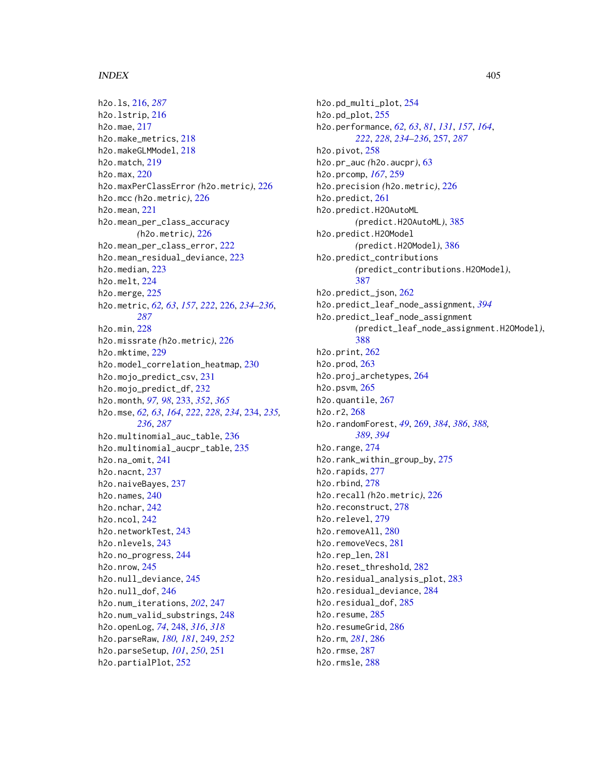h2o.ls, [216,](#page-215-0) *[287](#page-286-0)* h2o.lstrip, [216](#page-215-0) h2o.mae, [217](#page-216-0) h2o.make\_metrics, [218](#page-217-0) h2o.makeGLMModel, [218](#page-217-0) h2o.match, [219](#page-218-0) h2o.max, [220](#page-219-0) h2o.maxPerClassError *(*h2o.metric*)*, [226](#page-225-0) h2o.mcc *(*h2o.metric*)*, [226](#page-225-0) h2o.mean, [221](#page-220-0) h2o.mean\_per\_class\_accuracy *(*h2o.metric*)*, [226](#page-225-0) h2o.mean\_per\_class\_error, [222](#page-221-0) h2o.mean\_residual\_deviance, [223](#page-222-0) h2o.median, [223](#page-222-0) h2o.melt, [224](#page-223-0) h2o.merge, [225](#page-224-0) h2o.metric, *[62,](#page-61-0) [63](#page-62-0)*, *[157](#page-156-0)*, *[222](#page-221-0)*, [226,](#page-225-0) *[234–](#page-233-0)[236](#page-235-0)*, *[287](#page-286-0)* h2o.min, [228](#page-227-0) h2o.missrate *(*h2o.metric*)*, [226](#page-225-0) h2o.mktime, [229](#page-228-0) h2o.model\_correlation\_heatmap, [230](#page-229-0) h2o.mojo\_predict\_csv, [231](#page-230-0) h2o.mojo\_predict\_df, [232](#page-231-0) h2o.month, *[97,](#page-96-0) [98](#page-97-0)*, [233,](#page-232-0) *[352](#page-351-0)*, *[365](#page-364-0)* h2o.mse, *[62,](#page-61-0) [63](#page-62-0)*, *[164](#page-163-0)*, *[222](#page-221-0)*, *[228](#page-227-0)*, *[234](#page-233-0)*, [234,](#page-233-0) *[235,](#page-234-0) [236](#page-235-0)*, *[287](#page-286-0)* h2o.multinomial\_auc\_table, [236](#page-235-0) h2o.multinomial\_aucpr\_table, [235](#page-234-0) h2o.na  $omit$ .  $241$ h2o.nacnt, [237](#page-236-0) h2o.naiveBayes, [237](#page-236-0) h2o.names, [240](#page-239-0) h2o.nchar, [242](#page-241-0) h2o.ncol, [242](#page-241-0) h2o.networkTest, [243](#page-242-0) h2o.nlevels, [243](#page-242-0) h2o.no\_progress, [244](#page-243-0) h2o.nrow, [245](#page-244-0) h2o.null\_deviance, [245](#page-244-0) h2o.null\_dof, [246](#page-245-0) h2o.num\_iterations, *[202](#page-201-0)*, [247](#page-246-0) h2o.num\_valid\_substrings, [248](#page-247-0) h2o.openLog, *[74](#page-73-0)*, [248,](#page-247-0) *[316](#page-315-0)*, *[318](#page-317-0)* h2o.parseRaw, *[180,](#page-179-0) [181](#page-180-0)*, [249,](#page-248-0) *[252](#page-251-0)* h2o.parseSetup, *[101](#page-100-0)*, *[250](#page-249-0)*, [251](#page-250-0) h2o.partialPlot, [252](#page-251-0)

h2o.pd\_multi\_plot, [254](#page-253-0) h2o.pd\_plot, [255](#page-254-0) h2o.performance, *[62,](#page-61-0) [63](#page-62-0)*, *[81](#page-80-0)*, *[131](#page-130-0)*, *[157](#page-156-0)*, *[164](#page-163-0)*, *[222](#page-221-0)*, *[228](#page-227-0)*, *[234](#page-233-0)[–236](#page-235-0)*, [257,](#page-256-0) *[287](#page-286-0)* h2o.pivot, [258](#page-257-0) h2o.pr\_auc *(*h2o.aucpr*)*, [63](#page-62-0) h2o.prcomp, *[167](#page-166-0)*, [259](#page-258-0) h2o.precision *(*h2o.metric*)*, [226](#page-225-0) h2o.predict, [261](#page-260-0) h2o.predict.H2OAutoML *(*predict.H2OAutoML*)*, [385](#page-384-0) h2o.predict.H2OModel *(*predict.H2OModel*)*, [386](#page-385-0) h2o.predict\_contributions *(*predict\_contributions.H2OModel*)*, [387](#page-386-0) h2o.predict\_json, [262](#page-261-0) h2o.predict\_leaf\_node\_assignment, *[394](#page-393-0)* h2o.predict\_leaf\_node\_assignment *(*predict\_leaf\_node\_assignment.H2OModel*)*, [388](#page-387-0) h2o.print, [262](#page-261-0) h2o.prod, [263](#page-262-0) h2o.proj\_archetypes, [264](#page-263-0) h2o.psvm, [265](#page-264-0) h2o.quantile, [267](#page-266-0) h2o.r2, [268](#page-267-0) h2o.randomForest, *[49](#page-48-0)*, [269,](#page-268-0) *[384](#page-383-0)*, *[386](#page-385-0)*, *[388,](#page-387-0) [389](#page-388-0)*, *[394](#page-393-0)* h2o.range, [274](#page-273-0) h2o.rank\_within\_group\_by, [275](#page-274-0) h2o.rapids, [277](#page-276-0) h2o.rbind, [278](#page-277-0) h2o.recall *(*h2o.metric*)*, [226](#page-225-0) h2o.reconstruct, [278](#page-277-0) h2o.relevel, [279](#page-278-0) h2o.removeAll, [280](#page-279-0) h2o.removeVecs, [281](#page-280-0) h2o.rep\_len, [281](#page-280-0) h2o.reset\_threshold, [282](#page-281-0) h2o.residual\_analysis\_plot, [283](#page-282-0) h2o.residual\_deviance, [284](#page-283-0) h2o.residual\_dof, [285](#page-284-0) h2o.resume, [285](#page-284-0) h2o.resumeGrid, [286](#page-285-0) h2o.rm, *[281](#page-280-0)*, [286](#page-285-0) h2o.rmse, [287](#page-286-0) h2o.rmsle, [288](#page-287-0)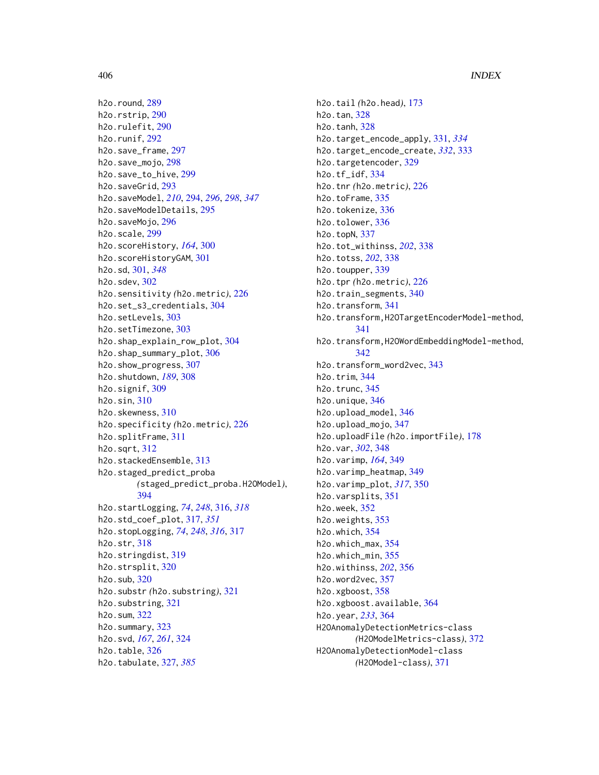h2o.round, [289](#page-288-0) h2o.rstrip, [290](#page-289-0) h2o.rulefit, [290](#page-289-0) h2o.runif, [292](#page-291-0) h2o.save\_frame, [297](#page-296-0) h2o.save\_mojo, [298](#page-297-0) h2o.save\_to\_hive, [299](#page-298-0) h2o.saveGrid, [293](#page-292-0) h2o.saveModel, *[210](#page-209-0)*, [294,](#page-293-0) *[296](#page-295-0)*, *[298](#page-297-0)*, *[347](#page-346-0)* h2o.saveModelDetails, [295](#page-294-0) h2o.saveMojo, [296](#page-295-0) h2o.scale, [299](#page-298-0) h2o.scoreHistory, *[164](#page-163-0)*, [300](#page-299-0) h2o.scoreHistoryGAM, [301](#page-300-0) h2o.sd, [301,](#page-300-0) *[348](#page-347-0)* h2o.sdev, [302](#page-301-0) h2o.sensitivity *(*h2o.metric*)*, [226](#page-225-0) h2o.set\_s3\_credentials, [304](#page-303-0) h2o.setLevels, [303](#page-302-0) h2o.setTimezone, [303](#page-302-0) h2o.shap\_explain\_row\_plot, [304](#page-303-0) h2o.shap\_summary\_plot, [306](#page-305-0) h2o.show\_progress, [307](#page-306-0) h2o.shutdown, *[189](#page-188-0)*, [308](#page-307-0) h2o.signif, [309](#page-308-0) h2o.sin, [310](#page-309-0) h2o.skewness, [310](#page-309-0) h2o.specificity *(*h2o.metric*)*, [226](#page-225-0) h2o.splitFrame, [311](#page-310-0) h2o.sqrt, [312](#page-311-0) h2o.stackedEnsemble, [313](#page-312-0) h2o.staged\_predict\_proba *(*staged\_predict\_proba.H2OModel*)*, [394](#page-393-0) h2o.startLogging, *[74](#page-73-0)*, *[248](#page-247-0)*, [316,](#page-315-0) *[318](#page-317-0)* h2o.std\_coef\_plot, [317,](#page-316-0) *[351](#page-350-0)* h2o.stopLogging, *[74](#page-73-0)*, *[248](#page-247-0)*, *[316](#page-315-0)*, [317](#page-316-0) h2o.str, [318](#page-317-0) h2o.stringdist, [319](#page-318-0) h2o.strsplit, [320](#page-319-0) h2o.sub, [320](#page-319-0) h2o.substr *(*h2o.substring*)*, [321](#page-320-0) h2o.substring, [321](#page-320-0) h2o.sum, [322](#page-321-0) h2o.summary, [323](#page-322-0) h2o.svd, *[167](#page-166-0)*, *[261](#page-260-0)*, [324](#page-323-0) h2o.table, [326](#page-325-0) h2o.tabulate, [327,](#page-326-0) *[385](#page-384-0)*

h2o.tail *(*h2o.head*)*, [173](#page-172-0) h2o.tan, [328](#page-327-0) h2o.tanh, [328](#page-327-0) h2o.target\_encode\_apply, [331,](#page-330-0) *[334](#page-333-0)* h2o.target\_encode\_create, *[332](#page-331-0)*, [333](#page-332-0) h2o.targetencoder, [329](#page-328-0) h2o.tf\_idf, [334](#page-333-0) h2o.tnr *(*h2o.metric*)*, [226](#page-225-0) h2o.toFrame, [335](#page-334-0) h2o.tokenize, [336](#page-335-0) h2o.tolower, [336](#page-335-0) h2o.topN, [337](#page-336-0) h2o.tot\_withinss, *[202](#page-201-0)*, [338](#page-337-0) h2o.totss, *[202](#page-201-0)*, [338](#page-337-0) h2o.toupper, [339](#page-338-0) h2o.tpr *(*h2o.metric*)*, [226](#page-225-0) h2o.train\_segments, [340](#page-339-0) h2o.transform, [341](#page-340-0) h2o.transform,H2OTargetEncoderModel-method, [341](#page-340-0) h2o.transform,H2OWordEmbeddingModel-method, [342](#page-341-0) h2o.transform\_word2vec, [343](#page-342-0) h2o.trim, [344](#page-343-0) h2o.trunc, [345](#page-344-0) h2o.unique, [346](#page-345-0) h2o.upload\_model, [346](#page-345-0) h2o.upload\_mojo, [347](#page-346-0) h2o.uploadFile *(*h2o.importFile*)*, [178](#page-177-0) h2o.var, *[302](#page-301-0)*, [348](#page-347-0) h2o.varimp, *[164](#page-163-0)*, [349](#page-348-0) h2o.varimp\_heatmap, [349](#page-348-0) h2o.varimp\_plot, *[317](#page-316-0)*, [350](#page-349-0) h2o.varsplits, [351](#page-350-0) h2o.week, [352](#page-351-0) h2o.weights, [353](#page-352-0) h2o.which, [354](#page-353-0) h2o.which\_max, [354](#page-353-0) h2o.which\_min, [355](#page-354-0) h2o.withinss, *[202](#page-201-0)*, [356](#page-355-0) h2o.word2vec, [357](#page-356-0) h2o.xgboost, [358](#page-357-0) h2o.xgboost.available, [364](#page-363-0) h2o.year, *[233](#page-232-0)*, [364](#page-363-0) H2OAnomalyDetectionMetrics-class *(*H2OModelMetrics-class*)*, [372](#page-371-0) H2OAnomalyDetectionModel-class *(*H2OModel-class*)*, [371](#page-370-1)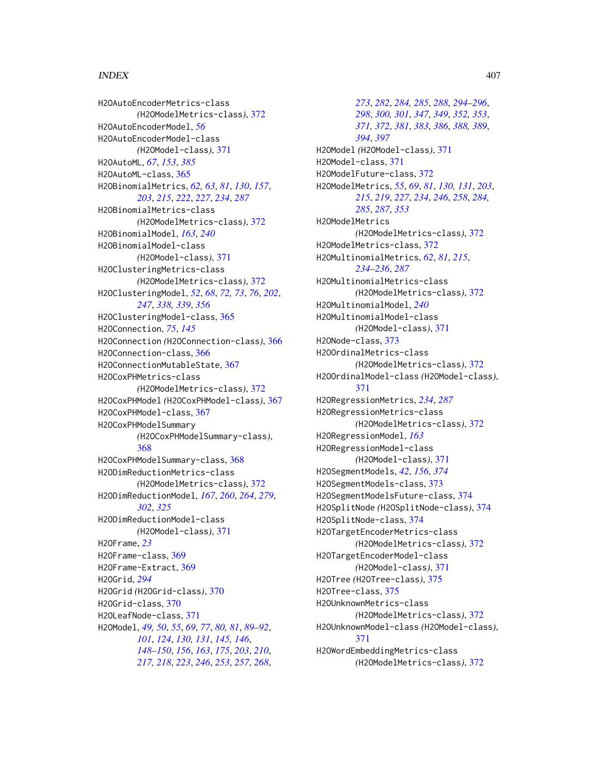H2OAutoEncoderMetrics-class *(*H2OModelMetrics-class*)*, [372](#page-371-0) H2OAutoEncoderModel, *[56](#page-55-0)* H2OAutoEncoderModel-class *(*H2OModel-class*)*, [371](#page-370-1) H2OAutoML, *[67](#page-66-0)*, *[153](#page-152-0)*, *[385](#page-384-0)* H2OAutoML-class, [365](#page-364-0) H2OBinomialMetrics, *[62,](#page-61-0) [63](#page-62-0)*, *[81](#page-80-0)*, *[130](#page-129-0)*, *[157](#page-156-0)*, *[203](#page-202-0)*, *[215](#page-214-0)*, *[222](#page-221-0)*, *[227](#page-226-0)*, *[234](#page-233-0)*, *[287](#page-286-0)* H2OBinomialMetrics-class *(*H2OModelMetrics-class*)*, [372](#page-371-0) H2OBinomialModel, *[163](#page-162-0)*, *[240](#page-239-0)* H2OBinomialModel-class *(*H2OModel-class*)*, [371](#page-370-1) H2OClusteringMetrics-class *(*H2OModelMetrics-class*)*, [372](#page-371-0) H2OClusteringModel, *[52](#page-51-0)*, *[68](#page-67-0)*, *[72,](#page-71-0) [73](#page-72-0)*, *[76](#page-75-0)*, *[202](#page-201-0)*, *[247](#page-246-0)*, *[338,](#page-337-0) [339](#page-338-0)*, *[356](#page-355-0)* H2OClusteringModel-class, [365](#page-364-0) H2OConnection, *[75](#page-74-0)*, *[145](#page-144-0)* H2OConnection *(*H2OConnection-class*)*, [366](#page-365-0) H2OConnection-class, [366](#page-365-0) H2OConnectionMutableState, [367](#page-366-0) H2OCoxPHMetrics-class *(*H2OModelMetrics-class*)*, [372](#page-371-0) H2OCoxPHModel *(*H2OCoxPHModel-class*)*, [367](#page-366-0) H2OCoxPHModel-class, [367](#page-366-0) H2OCoxPHModelSummary *(*H2OCoxPHModelSummary-class*)*, [368](#page-367-0) H2OCoxPHModelSummary-class, [368](#page-367-0) H2ODimReductionMetrics-class *(*H2OModelMetrics-class*)*, [372](#page-371-0) H2ODimReductionModel, *[167](#page-166-0)*, *[260](#page-259-0)*, *[264](#page-263-0)*, *[279](#page-278-0)*, *[302](#page-301-0)*, *[325](#page-324-0)* H2ODimReductionModel-class *(*H2OModel-class*)*, [371](#page-370-1) H2OFrame, *[23](#page-22-0)* H2OFrame-class, [369](#page-368-0) H2OFrame-Extract, [369](#page-368-0) H2OGrid, *[294](#page-293-0)* H2OGrid *(*H2OGrid-class*)*, [370](#page-369-0) H2OGrid-class, [370](#page-369-0) H2OLeafNode-class, [371](#page-370-1) H2OModel, *[49,](#page-48-0) [50](#page-49-0)*, *[55](#page-54-0)*, *[69](#page-68-0)*, *[77](#page-76-0)*, *[80,](#page-79-0) [81](#page-80-0)*, *[89–](#page-88-0)[92](#page-91-0)*, *[101](#page-100-0)*, *[124](#page-123-0)*, *[130,](#page-129-0) [131](#page-130-0)*, *[145,](#page-144-0) [146](#page-145-0)*, *[148](#page-147-0)[–150](#page-149-0)*, *[156](#page-155-0)*, *[163](#page-162-0)*, *[175](#page-174-0)*, *[203](#page-202-0)*, *[210](#page-209-0)*, *[217,](#page-216-0) [218](#page-217-0)*, *[223](#page-222-0)*, *[246](#page-245-0)*, *[253](#page-252-0)*, *[257](#page-256-0)*, *[268](#page-267-0)*,

*[273](#page-272-0)*, *[282](#page-281-0)*, *[284,](#page-283-0) [285](#page-284-0)*, *[288](#page-287-0)*, *[294](#page-293-0)[–296](#page-295-0)*, *[298](#page-297-0)*, *[300,](#page-299-0) [301](#page-300-0)*, *[347](#page-346-0)*, *[349](#page-348-0)*, *[352,](#page-351-0) [353](#page-352-0)*, *[371,](#page-370-1) [372](#page-371-0)*, *[381](#page-380-0)*, *[383](#page-382-0)*, *[386](#page-385-0)*, *[388,](#page-387-0) [389](#page-388-0)*, *[394](#page-393-0)*, *[397](#page-396-0)* H2OModel *(*H2OModel-class*)*, [371](#page-370-1) H2OModel-class, [371](#page-370-1) H2OModelFuture-class, [372](#page-371-0) H2OModelMetrics, *[55](#page-54-0)*, *[69](#page-68-0)*, *[81](#page-80-0)*, *[130,](#page-129-0) [131](#page-130-0)*, *[203](#page-202-0)*, *[215](#page-214-0)*, *[219](#page-218-0)*, *[227](#page-226-0)*, *[234](#page-233-0)*, *[246](#page-245-0)*, *[258](#page-257-0)*, *[284,](#page-283-0) [285](#page-284-0)*, *[287](#page-286-0)*, *[353](#page-352-0)* H2OModelMetrics *(*H2OModelMetrics-class*)*, [372](#page-371-0) H2OModelMetrics-class, [372](#page-371-0) H2OMultinomialMetrics, *[62](#page-61-0)*, *[81](#page-80-0)*, *[215](#page-214-0)*, *[234](#page-233-0)[–236](#page-235-0)*, *[287](#page-286-0)* H2OMultinomialMetrics-class *(*H2OModelMetrics-class*)*, [372](#page-371-0) H2OMultinomialModel, *[240](#page-239-0)* H2OMultinomialModel-class *(*H2OModel-class*)*, [371](#page-370-1) H2ONode-class, [373](#page-372-0) H2OOrdinalMetrics-class *(*H2OModelMetrics-class*)*, [372](#page-371-0) H2OOrdinalModel-class *(*H2OModel-class*)*, [371](#page-370-1) H2ORegressionMetrics, *[234](#page-233-0)*, *[287](#page-286-0)* H2ORegressionMetrics-class *(*H2OModelMetrics-class*)*, [372](#page-371-0) H2ORegressionModel, *[163](#page-162-0)* H2ORegressionModel-class *(*H2OModel-class*)*, [371](#page-370-1) H2OSegmentModels, *[42](#page-41-0)*, *[156](#page-155-0)*, *[374](#page-373-0)* H2OSegmentModels-class, [373](#page-372-0) H2OSegmentModelsFuture-class, [374](#page-373-0) H2OSplitNode *(*H2OSplitNode-class*)*, [374](#page-373-0) H2OSplitNode-class, [374](#page-373-0) H2OTargetEncoderMetrics-class *(*H2OModelMetrics-class*)*, [372](#page-371-0) H2OTargetEncoderModel-class *(*H2OModel-class*)*, [371](#page-370-1) H2OTree *(*H2OTree-class*)*, [375](#page-374-0) H2OTree-class, [375](#page-374-0) H2OUnknownMetrics-class *(*H2OModelMetrics-class*)*, [372](#page-371-0) H2OUnknownModel-class *(*H2OModel-class*)*, [371](#page-370-1) H2OWordEmbeddingMetrics-class *(*H2OModelMetrics-class*)*, [372](#page-371-0)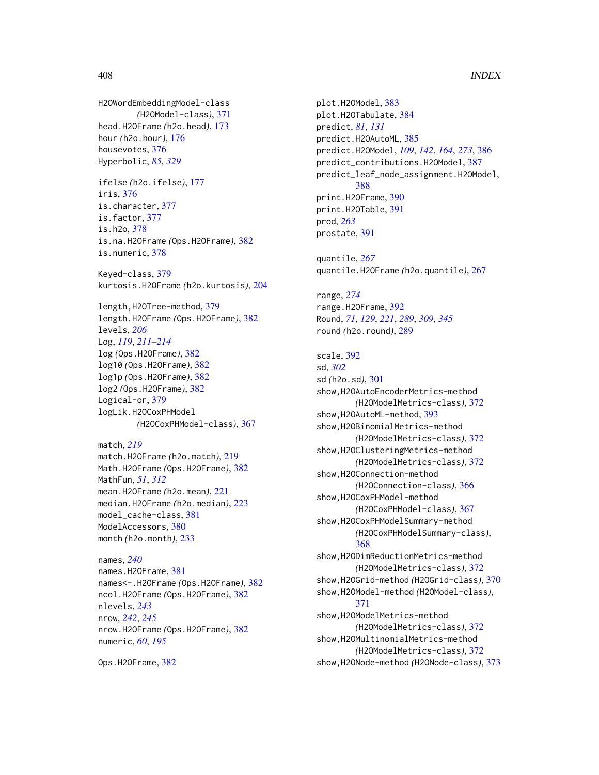```
H2OWordEmbeddingModel-class
        (H2OModel-class), 371
head.H2OFrame (h2o.head), 173
hour (h2o.hour), 176
housevotes, 376
Hyperbolic, 85, 329
```
ifelse *(*h2o.ifelse*)*, [177](#page-176-0) iris, [376](#page-375-0) is.character, [377](#page-376-0) is.factor, [377](#page-376-0) is.h2o, [378](#page-377-0) is.na.H2OFrame *(*Ops.H2OFrame*)*, [382](#page-381-0) is.numeric, [378](#page-377-0)

Keyed-class, [379](#page-378-0) kurtosis.H2OFrame *(*h2o.kurtosis*)*, [204](#page-203-0)

length,H2OTree-method, [379](#page-378-0) length.H2OFrame *(*Ops.H2OFrame*)*, [382](#page-381-0) levels, *[206](#page-205-0)* Log, *[119](#page-118-0)*, *[211](#page-210-0)[–214](#page-213-0)* log *(*Ops.H2OFrame*)*, [382](#page-381-0) log10 *(*Ops.H2OFrame*)*, [382](#page-381-0) log1p *(*Ops.H2OFrame*)*, [382](#page-381-0) log2 *(*Ops.H2OFrame*)*, [382](#page-381-0) Logical-or, [379](#page-378-0) logLik.H2OCoxPHModel *(*H2OCoxPHModel-class*)*, [367](#page-366-0)

match, *[219](#page-218-0)* match.H2OFrame *(*h2o.match*)*, [219](#page-218-0) Math.H2OFrame *(*Ops.H2OFrame*)*, [382](#page-381-0) MathFun, *[51](#page-50-0)*, *[312](#page-311-0)* mean.H2OFrame *(*h2o.mean*)*, [221](#page-220-0) median.H2OFrame *(*h2o.median*)*, [223](#page-222-0) model\_cache-class, [381](#page-380-0) ModelAccessors, [380](#page-379-0) month *(*h2o.month*)*, [233](#page-232-0)

```
names, 240
names.H2OFrame, 381
names<-.H2OFrame (Ops.H2OFrame), 382
ncol.H2OFrame (Ops.H2OFrame), 382
nlevels, 243
nrow, 242, 245
nrow.H2OFrame (Ops.H2OFrame), 382
numeric, 60, 195
```

```
Ops.H2OFrame, 382
```
plot.H2OModel, [383](#page-382-0) plot.H2OTabulate, [384](#page-383-0) predict, *[81](#page-80-0)*, *[131](#page-130-0)* predict.H2OAutoML, [385](#page-384-0) predict.H2OModel, *[109](#page-108-0)*, *[142](#page-141-0)*, *[164](#page-163-0)*, *[273](#page-272-0)*, [386](#page-385-0) predict\_contributions.H2OModel, [387](#page-386-0) predict\_leaf\_node\_assignment.H2OModel, [388](#page-387-0) print.H2OFrame, [390](#page-389-0) print.H2OTable, [391](#page-390-0) prod, *[263](#page-262-0)* prostate, [391](#page-390-0)

quantile, *[267](#page-266-0)* quantile.H2OFrame *(*h2o.quantile*)*, [267](#page-266-0)

range, *[274](#page-273-0)* range.H2OFrame, [392](#page-391-0) Round, *[71](#page-70-0)*, *[129](#page-128-0)*, *[221](#page-220-0)*, *[289](#page-288-0)*, *[309](#page-308-0)*, *[345](#page-344-0)* round *(*h2o.round*)*, [289](#page-288-0)

```
scale, 392
sd, 302
sd (h2o.sd), 301
show,H2OAutoEncoderMetrics-method
        (H2OModelMetrics-class), 372
393
show,H2OBinomialMetrics-method
        (H2OModelMetrics-class), 372
show,H2OClusteringMetrics-method
        (H2OModelMetrics-class), 372
show,H2OConnection-method
        (H2OConnection-class), 366
show,H2OCoxPHModel-method
        (H2OCoxPHModel-class), 367
show,H2OCoxPHModelSummary-method
        (H2OCoxPHModelSummary-class),
        368
show,H2ODimReductionMetrics-method
        (H2OModelMetrics-class), 372
show,H2OGrid-method (H2OGrid-class), 370
show,H2OModel-method (H2OModel-class),
        371
show,H2OModelMetrics-method
        (H2OModelMetrics-class), 372
show,H2OMultinomialMetrics-method
        (H2OModelMetrics-class), 372
show,H2ONode-method (H2ONode-class), 373
```